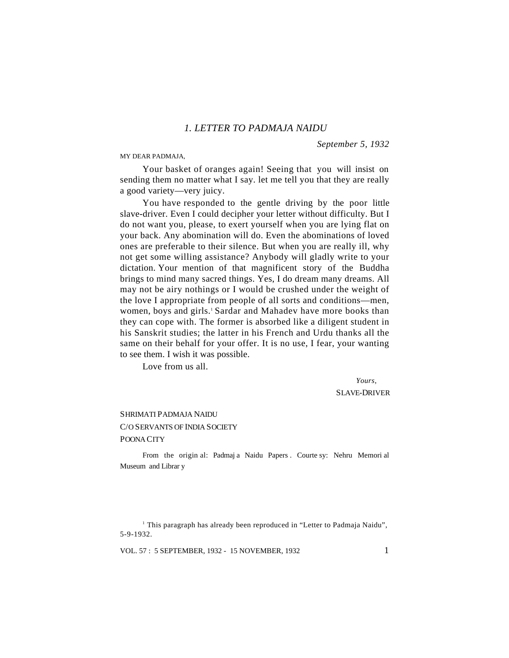*September 5, 1932*

#### MY DEAR PADMAJA,

Your basket of oranges again! Seeing that you will insist on sending them no matter what I say. let me tell you that they are really a good variety—very juicy.

You have responded to the gentle driving by the poor little slave-driver. Even I could decipher your letter without difficulty. But I do not want you, please, to exert yourself when you are lying flat on your back. Any abomination will do. Even the abominations of loved ones are preferable to their silence. But when you are really ill, why not get some willing assistance? Anybody will gladly write to your dictation. Your mention of that magnificent story of the Buddha brings to mind many sacred things. Yes, I do dream many dreams. All may not be airy nothings or I would be crushed under the weight of the love I appropriate from people of all sorts and conditions—men, women, boys and girls.<sup>1</sup> Sardar and Mahadev have more books than they can cope with. The former is absorbed like a diligent student in his Sanskrit studies; the latter in his French and Urdu thanks all the same on their behalf for your offer. It is no use, I fear, your wanting to see them. I wish it was possible.

Love from us all.

*Yours,* SLAVE-DRIVER

# SHRIMATI PADMAJA NAIDU C/O SERVANTS OF INDIA SOCIETY POONA CITY

From the origin al: Padmaj a Naidu Papers . Courte sy: Nehru Memori al Museum and Librar y

VOL. 57 : 5 SEPTEMBER, 1932 - 15 NOVEMBER, 1932 1

<sup>&</sup>lt;sup>1</sup> This paragraph has already been reproduced in "Letter to Padmaja Naidu", 5-9-1932.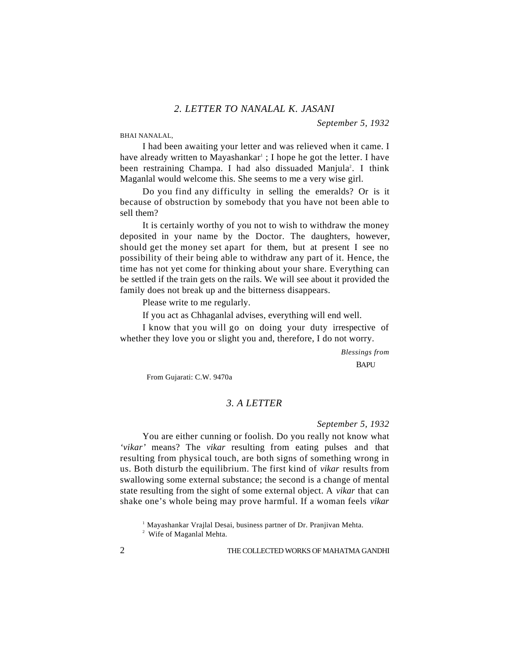*September 5, 1932*

BHAI NANALAL,

I had been awaiting your letter and was relieved when it came. I have already written to Mayashankar<sup>1</sup>; I hope he got the letter. I have been restraining Champa. I had also dissuaded Manjula<sup>2</sup>. I think Maganlal would welcome this. She seems to me a very wise girl.

Do you find any difficulty in selling the emeralds? Or is it because of obstruction by somebody that you have not been able to sell them?

It is certainly worthy of you not to wish to withdraw the money deposited in your name by the Doctor. The daughters, however, should get the money set apart for them, but at present I see no possibility of their being able to withdraw any part of it. Hence, the time has not yet come for thinking about your share. Everything can be settled if the train gets on the rails. We will see about it provided the family does not break up and the bitterness disappears.

Please write to me regularly.

If you act as Chhaganlal advises, everything will end well.

I know that you will go on doing your duty irrespective of whether they love you or slight you and, therefore, I do not worry.

> *Blessings from* **BAPU**

From Gujarati: C.W. 9470a

# *3. A LETTER*

#### *September 5, 1932*

You are either cunning or foolish. Do you really not know what *'vikar'* means? The *vikar* resulting from eating pulses and that resulting from physical touch, are both signs of something wrong in us. Both disturb the equilibrium. The first kind of *vikar* results from swallowing some external substance; the second is a change of mental state resulting from the sight of some external object. A *vikar* that can shake one's whole being may prove harmful. If a woman feels *vikar*

<sup>&</sup>lt;sup>1</sup> Mayashankar Vrajlal Desai, business partner of Dr. Pranjivan Mehta.

<sup>&</sup>lt;sup>2</sup> Wife of Maganlal Mehta.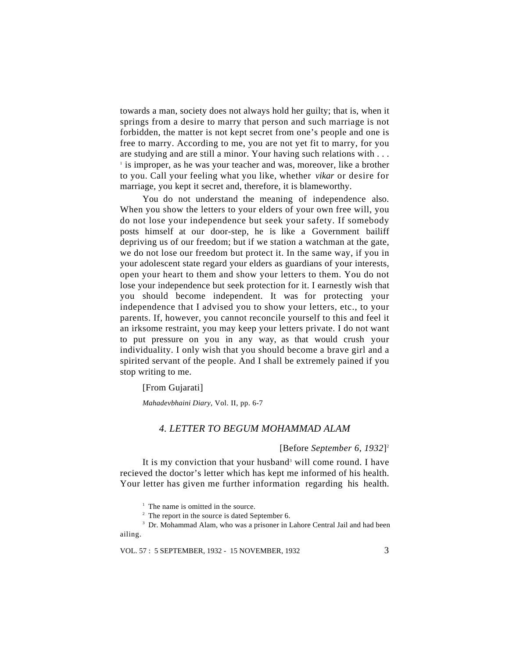towards a man, society does not always hold her guilty; that is, when it springs from a desire to marry that person and such marriage is not forbidden, the matter is not kept secret from one's people and one is free to marry. According to me, you are not yet fit to marry, for you are studying and are still a minor. Your having such relations with . . . <sup>1</sup> is improper, as he was your teacher and was, moreover, like a brother to you. Call your feeling what you like, whether *vikar* or desire for marriage, you kept it secret and, therefore, it is blameworthy.

You do not understand the meaning of independence also. When you show the letters to your elders of your own free will, you do not lose your independence but seek your safety. If somebody posts himself at our door-step, he is like a Government bailiff depriving us of our freedom; but if we station a watchman at the gate, we do not lose our freedom but protect it. In the same way, if you in your adolescent state regard your elders as guardians of your interests, open your heart to them and show your letters to them. You do not lose your independence but seek protection for it. I earnestly wish that you should become independent. It was for protecting your independence that I advised you to show your letters, etc., to your parents. If, however, you cannot reconcile yourself to this and feel it an irksome restraint, you may keep your letters private. I do not want to put pressure on you in any way, as that would crush your individuality. I only wish that you should become a brave girl and a spirited servant of the people. And I shall be extremely pained if you stop writing to me.

[From Gujarati]

*Mahadevbhaini Diary*, Vol. II, pp. 6-7

# *4. LETTER TO BEGUM MOHAMMAD ALAM*

[Before *September 6, 1932*] 2

It is my conviction that your husband<sup>3</sup> will come round. I have recieved the doctor's letter which has kept me informed of his health. Your letter has given me further information regarding his health.

 $<sup>1</sup>$  The name is omitted in the source.</sup>

VOL. 57 : 5 SEPTEMBER, 1932 - 15 NOVEMBER, 1932 3

 $2^2$  The report in the source is dated September 6.

<sup>&</sup>lt;sup>3</sup> Dr. Mohammad Alam, who was a prisoner in Lahore Central Jail and had been ailing.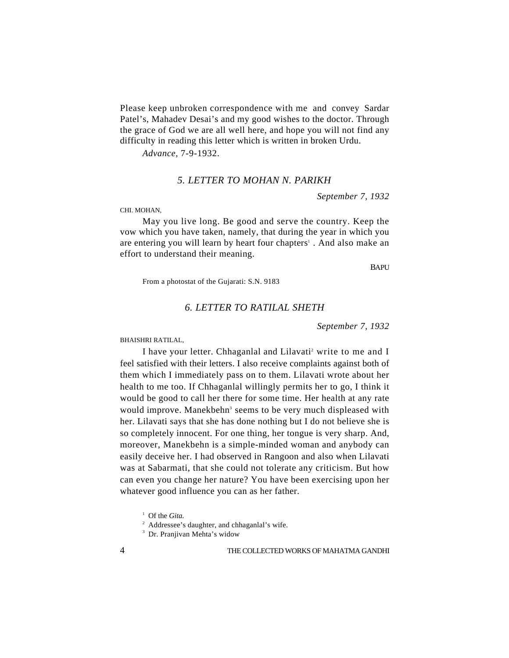Please keep unbroken correspondence with me and convey Sardar Patel's, Mahadev Desai's and my good wishes to the doctor. Through the grace of God we are all well here, and hope you will not find any difficulty in reading this letter which is written in broken Urdu.

*Advance,* 7-9-1932.

# *5. LETTER TO MOHAN N. PARIKH*

*September 7, 1932*

CHI. MOHAN,

May you live long. Be good and serve the country. Keep the vow which you have taken, namely, that during the year in which you are entering you will learn by heart four chapters<sup>1</sup>. And also make an effort to understand their meaning.

**BAPU** 

From a photostat of the Gujarati: S.N. 9183

# *6. LETTER TO RATILAL SHETH*

*September 7, 1932*

BHAISHRI RATILAL,

I have your letter. Chhaganlal and Lilavati<sup>2</sup> write to me and I feel satisfied with their letters. I also receive complaints against both of them which I immediately pass on to them. Lilavati wrote about her health to me too. If Chhaganlal willingly permits her to go, I think it would be good to call her there for some time. Her health at any rate would improve. Manekbehn<sup>3</sup> seems to be very much displeased with her. Lilavati says that she has done nothing but I do not believe she is so completely innocent. For one thing, her tongue is very sharp. And, moreover, Manekbehn is a simple-minded woman and anybody can easily deceive her. I had observed in Rangoon and also when Lilavati was at Sabarmati, that she could not tolerate any criticism. But how can even you change her nature? You have been exercising upon her whatever good influence you can as her father.

<sup>1</sup> Of the *Gita.*

 $<sup>2</sup>$  Addressee's daughter, and chhaganlal's wife.</sup>

<sup>3</sup> Dr. Pranjivan Mehta's widow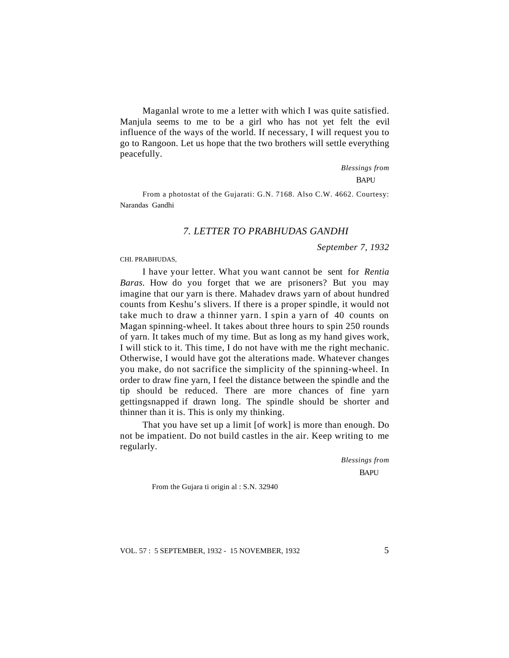Maganlal wrote to me a letter with which I was quite satisfied. Manjula seems to me to be a girl who has not yet felt the evil influence of the ways of the world. If necessary, I will request you to go to Rangoon. Let us hope that the two brothers will settle everything peacefully.

> *Blessings from* **BAPU**

From a photostat of the Gujarati: G.N. 7168. Also C.W. 4662. Courtesy: Narandas Gandhi

#### *7. LETTER TO PRABHUDAS GANDHI*

*September 7, 1932*

CHI. PRABHUDAS,

I have your letter. What you want cannot be sent for *Rentia Baras.* How do you forget that we are prisoners? But you may imagine that our yarn is there. Mahadev draws yarn of about hundred counts from Keshu's slivers. If there is a proper spindle, it would not take much to draw a thinner yarn. I spin a yarn of 40 counts on Magan spinning-wheel. It takes about three hours to spin 250 rounds of yarn. It takes much of my time. But as long as my hand gives work, I will stick to it. This time, I do not have with me the right mechanic. Otherwise, I would have got the alterations made. Whatever changes you make, do not sacrifice the simplicity of the spinning-wheel. In order to draw fine yarn, I feel the distance between the spindle and the tip should be reduced. There are more chances of fine yarn gettingsnapped if drawn long. The spindle should be shorter and thinner than it is. This is only my thinking.

That you have set up a limit [of work] is more than enough. Do not be impatient. Do not build castles in the air. Keep writing to me regularly.

> *Blessings from* **BAPU**

From the Gujara ti origin al : S.N. 32940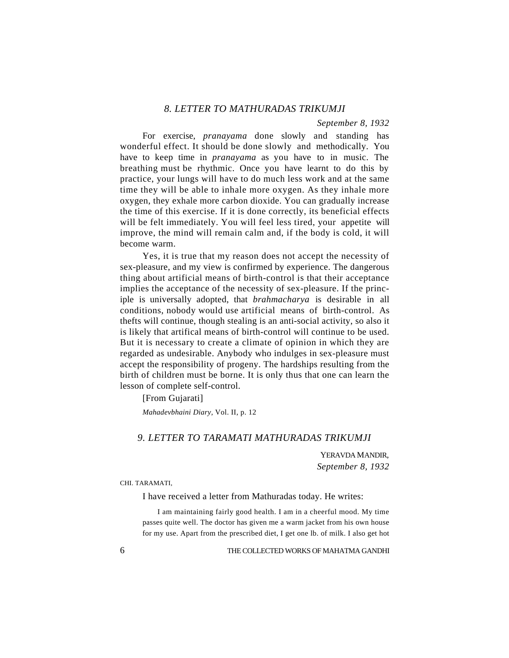# *8. LETTER TO MATHURADAS TRIKUMJI*

*September 8, 1932*

For exercise, *pranayama* done slowly and standing has wonderful effect. It should be done slowly and methodically. You have to keep time in *pranayama* as you have to in music. The breathing must be rhythmic. Once you have learnt to do this by practice, your lungs will have to do much less work and at the same time they will be able to inhale more oxygen. As they inhale more oxygen, they exhale more carbon dioxide. You can gradually increase the time of this exercise. If it is done correctly, its beneficial effects will be felt immediately. You will feel less tired, your appetite will improve, the mind will remain calm and, if the body is cold, it will become warm.

Yes, it is true that my reason does not accept the necessity of sex-pleasure, and my view is confirmed by experience. The dangerous thing about artificial means of birth-control is that their acceptance implies the acceptance of the necessity of sex-pleasure. If the principle is universally adopted, that *brahmacharya* is desirable in all conditions, nobody would use artificial means of birth-control. As thefts will continue, though stealing is an anti-social activity, so also it is likely that artifical means of birth-control will continue to be used. But it is necessary to create a climate of opinion in which they are regarded as undesirable. Anybody who indulges in sex-pleasure must accept the responsibility of progeny. The hardships resulting from the birth of children must be borne. It is only thus that one can learn the lesson of complete self-control.

[From Gujarati] *Mahadevbhaini Diary,* Vol. II, p. 12

# *9. LETTER TO TARAMATI MATHURADAS TRIKUMJI*

YERAVDA MANDIR, *September 8, 1932*

CHI. TARAMATI,

I have received a letter from Mathuradas today. He writes:

I am maintaining fairly good health. I am in a cheerful mood. My time passes quite well. The doctor has given me a warm jacket from his own house for my use. Apart from the prescribed diet, I get one lb. of milk. I also get hot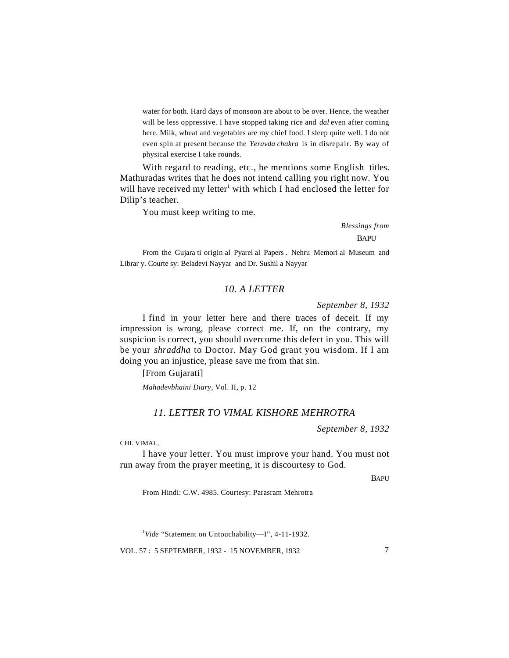water for both. Hard days of monsoon are about to be over. Hence, the weather will be less oppressive. I have stopped taking rice and *dal* even after coming here. Milk, wheat and vegetables are my chief food. I sleep quite well. I do not even spin at present because the *Yeravda chakra* is in disrepair. By way of physical exercise I take rounds.

With regard to reading, etc., he mentions some English titles. Mathuradas writes that he does not intend calling you right now. You will have received my letter<sup>1</sup> with which I had enclosed the letter for Dilip's teacher.

You must keep writing to me.

*Blessings from* **BAPU** 

From the Gujara ti origin al Pyarel al Papers . Nehru Memori al Museum and Librar y. Courte sy: Beladevi Nayyar and Dr. Sushil a Nayyar

# *10. A LETTER*

*September 8, 1932*

I find in your letter here and there traces of deceit. If my impression is wrong, please correct me. If, on the contrary, my suspicion is correct, you should overcome this defect in you. This will be your *shraddha* to Doctor. May God grant you wisdom. If I am doing you an injustice, please save me from that sin.

### [From Gujarati]

*Mahadevbhaini Diary,* Vol. II, p. 12

# *11. LETTER TO VIMAL KISHORE MEHROTRA*

*September 8, 1932*

CHI. VIMAL,

I have your letter. You must improve your hand. You must not run away from the prayer meeting, it is discourtesy to God.

**BAPU** 

From Hindi: C.W. 4985. Courtesy: Parasram Mehrotra

<sup>1</sup>Vide "Statement on Untouchability—I", 4-11-1932.

VOL. 57 : 5 SEPTEMBER, 1932 - 15 NOVEMBER, 1932 7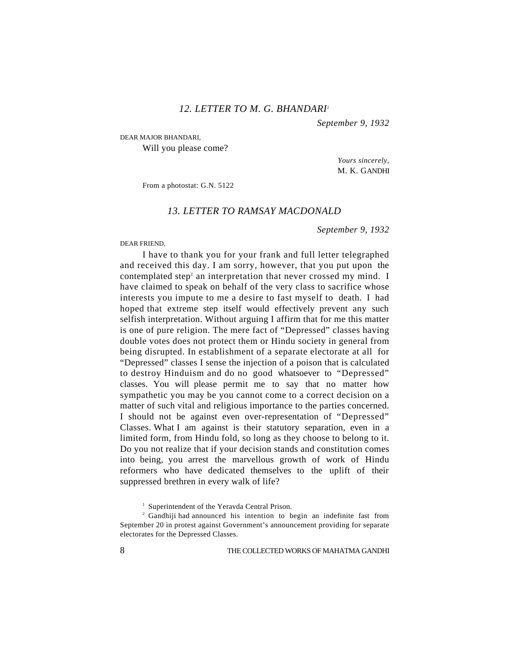# *12. LETTER TO M. G. BHANDARI<sup>1</sup>*

*September 9, 1932*

#### DEAR MAJOR BHANDARI,

Will you please come?

*Yours sincerely,* M. K. GANDHI

From a photostat: G.N. 5122

# *13. LETTER TO RAMSAY MACDONALD*

*September 9, 1932*

#### DEAR FRIEND,

I have to thank you for your frank and full letter telegraphed and received this day. I am sorry, however, that you put upon the contemplated step<sup>2</sup> an interpretation that never crossed my mind. I have claimed to speak on behalf of the very class to sacrifice whose interests you impute to me a desire to fast myself to death. I had hoped that extreme step itself would effectively prevent any such selfish interpretation. Without arguing I affirm that for me this matter is one of pure religion. The mere fact of "Depressed" classes having double votes does not protect them or Hindu society in general from being disrupted. In establishment of a separate electorate at all for "Depressed" classes I sense the injection of a poison that is calculated to destroy Hinduism and do no good whatsoever to "Depressed" classes. You will please permit me to say that no matter how sympathetic you may be you cannot come to a correct decision on a matter of such vital and religious importance to the parties concerned. I should not be against even over-representation of "Depressed" Classes. What I am against is their statutory separation, even in a limited form, from Hindu fold, so long as they choose to belong to it. Do you not realize that if your decision stands and constitution comes into being, you arrest the marvellous growth of work of Hindu reformers who have dedicated themselves to the uplift of their suppressed brethren in every walk of life?

<sup>1</sup> Superintendent of the Yeravda Central Prison.

<sup>2</sup> Gandhiji had announced his intention to begin an indefinite fast from September 20 in protest against Government's announcement providing for separate electorates for the Depressed Classes.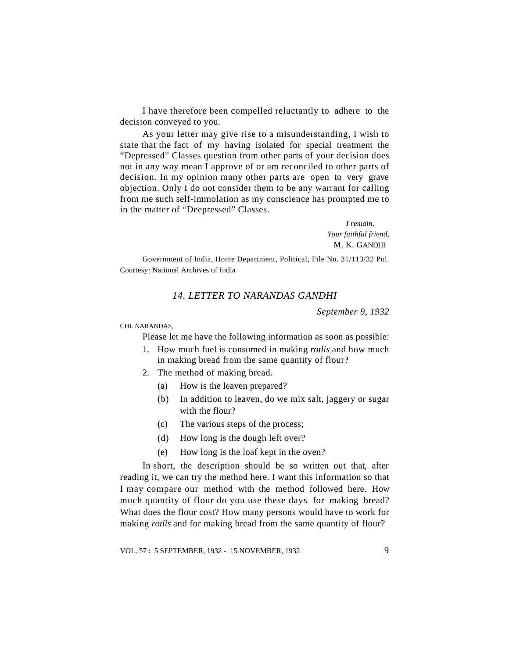I have therefore been compelled reluctantly to adhere to the decision conveyed to you.

As your letter may give rise to a misunderstanding, I wish to state that the fact of my having isolated for special treatment the "Depressed" Classes question from other parts of your decision does not in any way mean I approve of or am reconciled to other parts of decision. In my opinion many other parts are open to very grave objection. Only I do not consider them to be any warrant for calling from me such self-immolation as my conscience has prompted me to in the matter of "Deepressed" Classes.

> *I remain, Your faithful friend,* M. K. GANDHI

Government of India, Home Department, Political, File No. 31/113/32 Pol. Courtesy: National Archives of India

# *14. LETTER TO NARANDAS GANDHI*

*September 9, 1932*

#### CHI. NARANDAS,

Please let me have the following information as soon as possible:

- 1. How much fuel is consumed in making *rotlis* and how much in making bread from the same quantity of flour?
- 2. The method of making bread.
	- (a) How is the leaven prepared?
	- (b) In addition to leaven, do we mix salt, jaggery or sugar with the flour?
	- (c) The various steps of the process;
	- (d) How long is the dough left over?
	- (e) How long is the loaf kept in the oven?

In short, the description should be so written out that, after reading it, we can try the method here. I want this information so that I may compare our method with the method followed here. How much quantity of flour do you use these days for making bread? What does the flour cost? How many persons would have to work for making *rotlis* and for making bread from the same quantity of flour?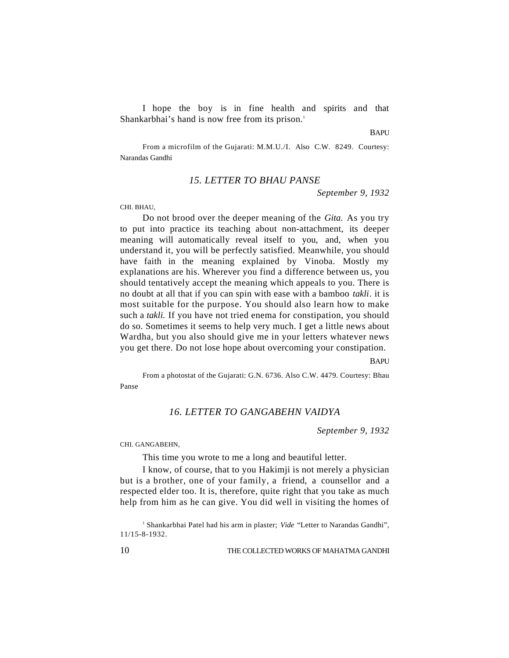I hope the boy is in fine health and spirits and that Shankarbhai's hand is now free from its prison.<sup>1</sup>

**BAPU** 

From a microfilm of the Gujarati: M.M.U./I. Also C.W. 8249. Courtesy: Narandas Gandhi

# *15. LETTER TO BHAU PANSE*

*September 9, 1932*

CHI. BHAU,

Do not brood over the deeper meaning of the *Gita.* As you try to put into practice its teaching about non-attachment, its deeper meaning will automatically reveal itself to you, and, when you understand it, you will be perfectly satisfied. Meanwhile, you should have faith in the meaning explained by Vinoba. Mostly my explanations are his. Wherever you find a difference between us, you should tentatively accept the meaning which appeals to you. There is no doubt at all that if you can spin with ease with a bamboo *takli*. it is most suitable for the purpose. You should also learn how to make such a *takli.* If you have not tried enema for constipation, you should do so. Sometimes it seems to help very much. I get a little news about Wardha, but you also should give me in your letters whatever news you get there. Do not lose hope about overcoming your constipation.

**BAPU** 

From a photostat of the Gujarati: G.N. 6736. Also C.W. 4479. Courtesy: Bhau Panse

# *16. LETTER TO GANGABEHN VAIDYA*

*September 9, 1932*

CHI. GANGABEHN,

This time you wrote to me a long and beautiful letter.

I know, of course, that to you Hakimji is not merely a physician but is a brother, one of your family, a friend, a counsellor and a respected elder too. It is, therefore, quite right that you take as much help from him as he can give. You did well in visiting the homes of

<sup>&</sup>lt;sup>1</sup> Shankarbhai Patel had his arm in plaster; Vide "Letter to Narandas Gandhi", 11/15-8-1932.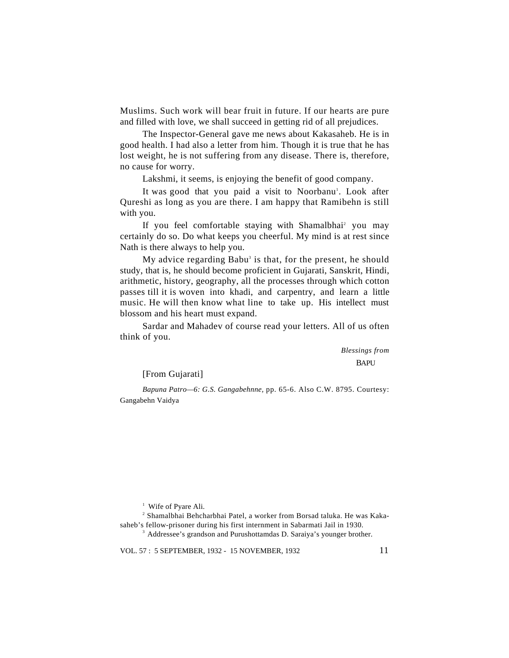Muslims. Such work will bear fruit in future. If our hearts are pure and filled with love, we shall succeed in getting rid of all prejudices.

The Inspector-General gave me news about Kakasaheb. He is in good health. I had also a letter from him. Though it is true that he has lost weight, he is not suffering from any disease. There is, therefore, no cause for worry.

Lakshmi, it seems, is enjoying the benefit of good company.

It was good that you paid a visit to Noorbanu<sup>1</sup>. Look after Qureshi as long as you are there. I am happy that Ramibehn is still with you.

If you feel comfortable staying with Shamalbhai<sup>2</sup> you may certainly do so. Do what keeps you cheerful. My mind is at rest since Nath is there always to help you.

My advice regarding Babu<sup>3</sup> is that, for the present, he should study, that is, he should become proficient in Gujarati, Sanskrit, Hindi, arithmetic, history, geography, all the processes through which cotton passes till it is woven into khadi, and carpentry, and learn a little music. He will then know what line to take up. His intellect must blossom and his heart must expand.

Sardar and Mahadev of course read your letters. All of us often think of you.

> *Blessings from* BAPU

[From Gujarati]

*Bapuna Patro—6: G.S. Gangabehnne,* pp. 65-6. Also C.W. 8795. Courtesy: Gangabehn Vaidya

<sup>1</sup> Wife of Pyare Ali.

<sup>2</sup> Shamalbhai Behcharbhai Patel, a worker from Borsad taluka. He was Kakasaheb's fellow-prisoner during his first internment in Sabarmati Jail in 1930.

<sup>3</sup> Addressee's grandson and Purushottamdas D. Saraiya's younger brother.

VOL. 57 : 5 SEPTEMBER, 1932 - 15 NOVEMBER, 1932 11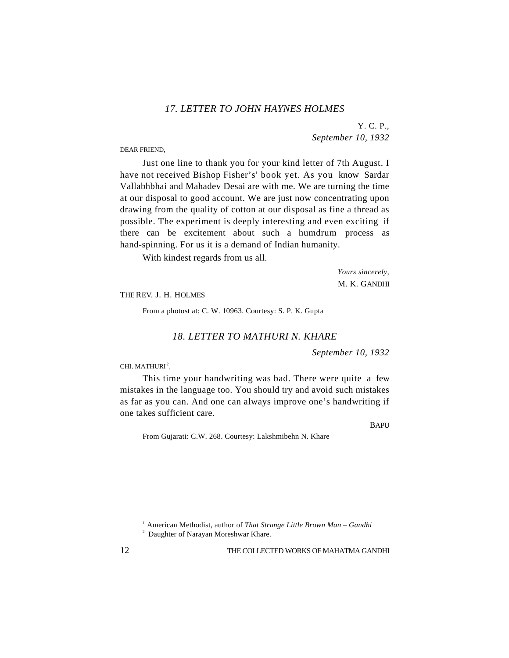# *17. LETTER TO JOHN HAYNES HOLMES*

Y. C. P., *September 10, 1932*

DEAR FRIEND,

Just one line to thank you for your kind letter of 7th August. I have not received Bishop Fisher's<sup>1</sup> book yet. As you know Sardar Vallabhbhai and Mahadev Desai are with me. We are turning the time at our disposal to good account. We are just now concentrating upon drawing from the quality of cotton at our disposal as fine a thread as possible. The experiment is deeply interesting and even exciting if there can be excitement about such a humdrum process as hand-spinning. For us it is a demand of Indian humanity.

With kindest regards from us all.

*Yours sincerely,* M. K. GANDHI

THE REV. J. H. HOLMES

From a photost at: C. W. 10963. Courtesy: S. P. K. Gupta

# *18. LETTER TO MATHURI N. KHARE*

*September 10, 1932*

CHI. MATHURI $^2$ ,

This time your handwriting was bad. There were quite a few mistakes in the language too. You should try and avoid such mistakes as far as you can. And one can always improve one's handwriting if one takes sufficient care.

**BAPU** 

From Gujarati: C.W. 268. Courtesy: Lakshmibehn N. Khare

<sup>&</sup>lt;sup>1</sup> American Methodist, author of *That Strange Little Brown Man – Gandhi*  $2$  Daughter of Narayan Moreshwar Khare.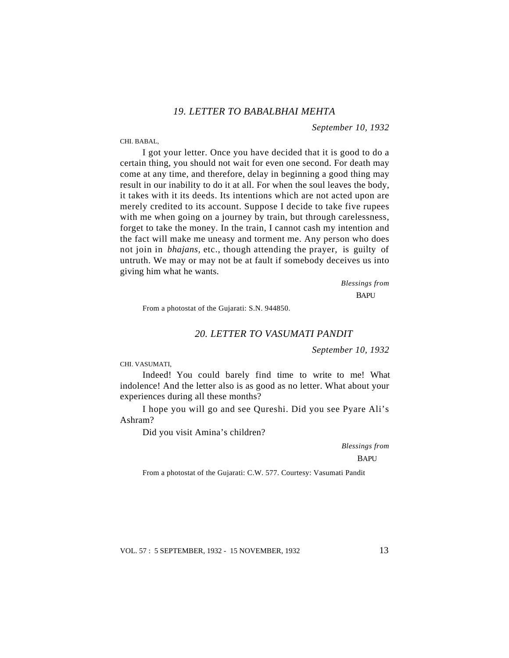## *19. LETTER TO BABALBHAI MEHTA*

*September 10, 1932*

CHI. BABAL,

I got your letter. Once you have decided that it is good to do a certain thing, you should not wait for even one second. For death may come at any time, and therefore, delay in beginning a good thing may result in our inability to do it at all. For when the soul leaves the body, it takes with it its deeds. Its intentions which are not acted upon are merely credited to its account. Suppose I decide to take five rupees with me when going on a journey by train, but through carelessness, forget to take the money. In the train, I cannot cash my intention and the fact will make me uneasy and torment me. Any person who does not join in *bhajans,* etc., though attending the prayer, is guilty of untruth. We may or may not be at fault if somebody deceives us into giving him what he wants.

> *Blessings from* **BAPU**

From a photostat of the Gujarati: S.N. 944850.

#### *20. LETTER TO VASUMATI PANDIT*

*September 10, 1932*

CHI. VASUMATI,

Indeed! You could barely find time to write to me! What indolence! And the letter also is as good as no letter. What about your experiences during all these months?

I hope you will go and see Qureshi. Did you see Pyare Ali's Ashram?

Did you visit Amina's children?

 *Blessings from*

**BAPU** 

From a photostat of the Gujarati: C.W. 577. Courtesy: Vasumati Pandit

VOL. 57 : 5 SEPTEMBER, 1932 - 15 NOVEMBER, 1932 13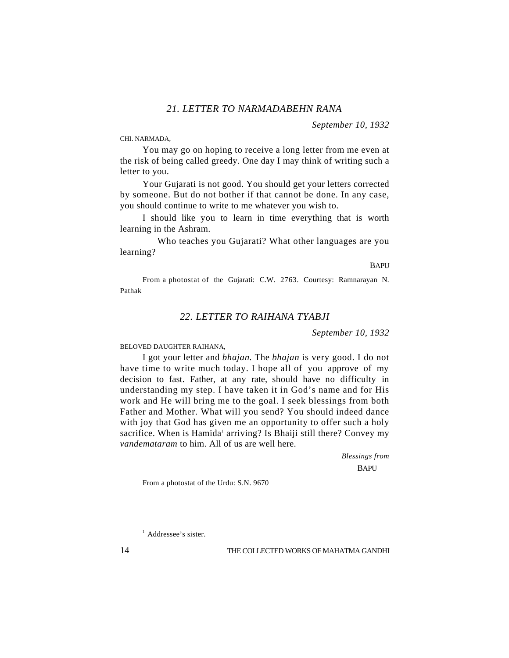*September 10, 1932*

CHI. NARMADA,

You may go on hoping to receive a long letter from me even at the risk of being called greedy. One day I may think of writing such a letter to you.

Your Gujarati is not good. You should get your letters corrected by someone. But do not bother if that cannot be done. In any case, you should continue to write to me whatever you wish to.

I should like you to learn in time everything that is worth learning in the Ashram.

Who teaches you Gujarati? What other languages are you learning?

**BAPU** 

From a photostat of the Gujarati: C.W. 2763. Courtesy: Ramnarayan N. Pathak

# *22. LETTER TO RAIHANA TYABJI*

*September 10, 1932*

BELOVED DAUGHTER RAIHANA,

I got your letter and *bhajan.* The *bhajan* is very good. I do not have time to write much today. I hope all of you approve of my decision to fast. Father, at any rate, should have no difficulty in understanding my step. I have taken it in God's name and for His work and He will bring me to the goal. I seek blessings from both Father and Mother. What will you send? You should indeed dance with joy that God has given me an opportunity to offer such a holy sacrifice. When is Hamida<sup>1</sup> arriving? Is Bhaiji still there? Convey my *vandemataram* to him. All of us are well here.

> *Blessings from* BAPU

From a photostat of the Urdu: S.N. 9670

<sup>1</sup> Addressee's sister.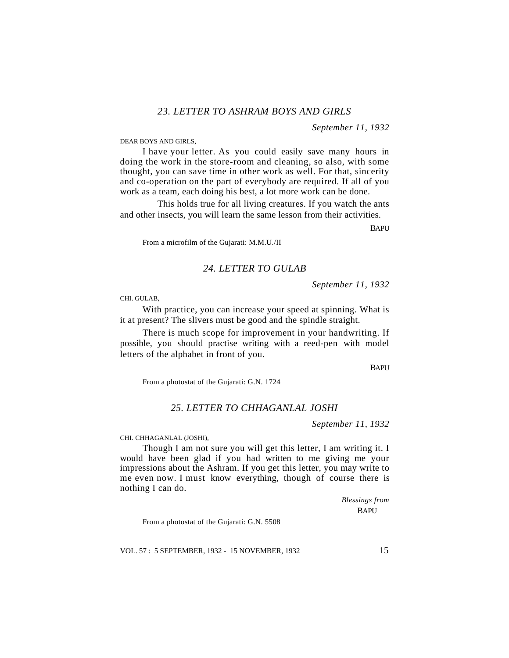*September 11, 1932*

DEAR BOYS AND GIRLS,

I have your letter. As you could easily save many hours in doing the work in the store-room and cleaning, so also, with some thought, you can save time in other work as well. For that, sincerity and co-operation on the part of everybody are required. If all of you work as a team, each doing his best, a lot more work can be done.

This holds true for all living creatures. If you watch the ants and other insects, you will learn the same lesson from their activities.

BAPU

From a microfilm of the Gujarati: M.M.U./II

### *24. LETTER TO GULAB*

*September 11, 1932*

CHI. GULAB,

With practice, you can increase your speed at spinning. What is it at present? The slivers must be good and the spindle straight.

There is much scope for improvement in your handwriting. If possible, you should practise writing with a reed-pen with model letters of the alphabet in front of you.

**BAPU** 

From a photostat of the Gujarati: G.N. 1724

# *25. LETTER TO CHHAGANLAL JOSHI*

*September 11, 1932*

CHI. CHHAGANLAL (JOSHI),

Though I am not sure you will get this letter, I am writing it. I would have been glad if you had written to me giving me your impressions about the Ashram. If you get this letter, you may write to me even now. I must know everything, though of course there is nothing I can do.

> *Blessings from* **BAPU**

From a photostat of the Gujarati: G.N. 5508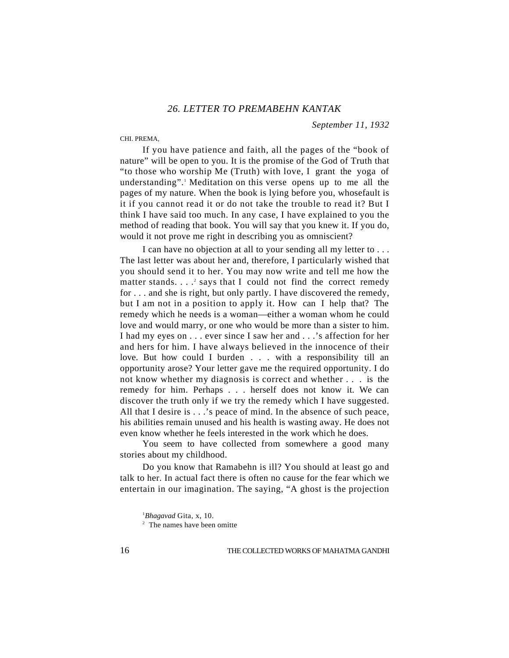*September 11, 1932*

CHI. PREMA,

If you have patience and faith, all the pages of the "book of nature" will be open to you. It is the promise of the God of Truth that "to those who worship Me (Truth) with love, I grant the yoga of understanding".<sup>1</sup> Meditation on this verse opens up to me all the pages of my nature. When the book is lying before you, whosefault is it if you cannot read it or do not take the trouble to read it? But I think I have said too much. In any case, I have explained to you the method of reading that book. You will say that you knew it. If you do, would it not prove me right in describing you as omniscient?

I can have no objection at all to your sending all my letter to . . . The last letter was about her and, therefore, I particularly wished that you should send it to her. You may now write and tell me how the matter stands.  $\ldots$  a says that I could not find the correct remedy for . . . and she is right, but only partly. I have discovered the remedy, but I am not in a position to apply it. How can I help that? The remedy which he needs is a woman—either a woman whom he could love and would marry, or one who would be more than a sister to him. I had my eyes on . . . ever since I saw her and . . .'s affection for her and hers for him. I have always believed in the innocence of their love. But how could I burden . . . with a responsibility till an opportunity arose? Your letter gave me the required opportunity. I do not know whether my diagnosis is correct and whether . . . is the remedy for him. Perhaps . . . herself does not know it. We can discover the truth only if we try the remedy which I have suggested. All that I desire is . . .'s peace of mind. In the absence of such peace, his abilities remain unused and his health is wasting away. He does not even know whether he feels interested in the work which he does.

You seem to have collected from somewhere a good many stories about my childhood.

Do you know that Ramabehn is ill? You should at least go and talk to her. In actual fact there is often no cause for the fear which we entertain in our imagination. The saying, "A ghost is the projection

<sup>1</sup>*Bhagavad* Gita, x, 10.

<sup>&</sup>lt;sup>2</sup> The names have been omitte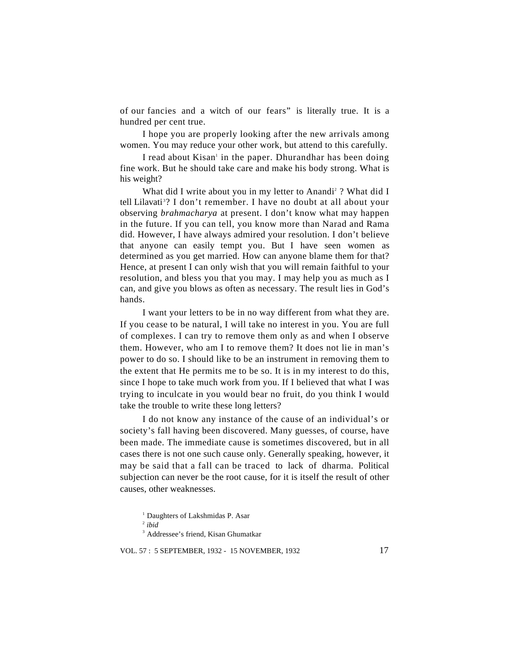of our fancies and a witch of our fears" is literally true. It is a hundred per cent true.

I hope you are properly looking after the new arrivals among women. You may reduce your other work, but attend to this carefully.

I read about Kisan<sup>1</sup> in the paper. Dhurandhar has been doing fine work. But he should take care and make his body strong. What is his weight?

What did I write about you in my letter to Anandi<sup>2</sup> ? What did I tell Lilavati<sup>3</sup>? I don't remember. I have no doubt at all about your observing *brahmacharya* at present. I don't know what may happen in the future. If you can tell, you know more than Narad and Rama did. However, I have always admired your resolution. I don't believe that anyone can easily tempt you. But I have seen women as determined as you get married. How can anyone blame them for that? Hence, at present I can only wish that you will remain faithful to your resolution, and bless you that you may. I may help you as much as I can, and give you blows as often as necessary. The result lies in God's hands.

I want your letters to be in no way different from what they are. If you cease to be natural, I will take no interest in you. You are full of complexes. I can try to remove them only as and when I observe them. However, who am I to remove them? It does not lie in man's power to do so. I should like to be an instrument in removing them to the extent that He permits me to be so. It is in my interest to do this, since I hope to take much work from you. If I believed that what I was trying to inculcate in you would bear no fruit, do you think I would take the trouble to write these long letters?

I do not know any instance of the cause of an individual's or society's fall having been discovered. Many guesses, of course, have been made. The immediate cause is sometimes discovered, but in all cases there is not one such cause only. Generally speaking, however, it may be said that a fall can be traced to lack of dharma. Political subjection can never be the root cause, for it is itself the result of other causes, other weaknesses.

<sup>1</sup> Daughters of Lakshmidas P. Asar

2 *ibid*

3 Addressee's friend, Kisan Ghumatkar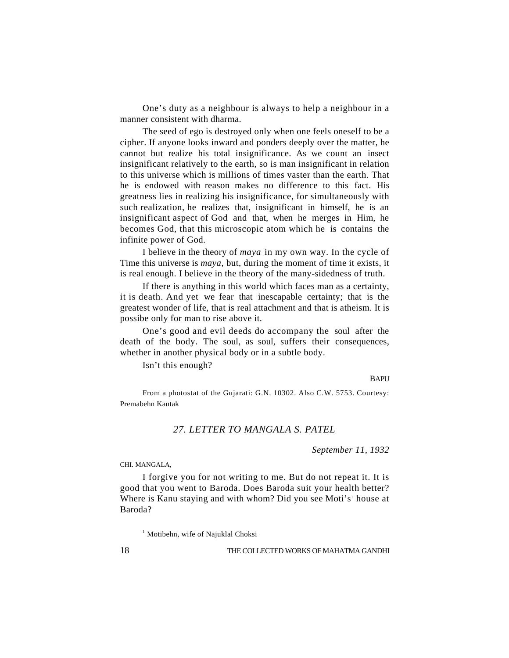One's duty as a neighbour is always to help a neighbour in a manner consistent with dharma.

The seed of ego is destroyed only when one feels oneself to be a cipher. If anyone looks inward and ponders deeply over the matter, he cannot but realize his total insignificance. As we count an insect insignificant relatively to the earth, so is man insignificant in relation to this universe which is millions of times vaster than the earth. That he is endowed with reason makes no difference to this fact. His greatness lies in realizing his insignificance, for simultaneously with such realization, he realizes that, insignificant in himself, he is an insignificant aspect of God and that, when he merges in Him, he becomes God, that this microscopic atom which he is contains the infinite power of God.

I believe in the theory of *maya* in my own way. In the cycle of Time this universe is *maya,* but, during the moment of time it exists, it is real enough. I believe in the theory of the many-sidedness of truth.

If there is anything in this world which faces man as a certainty, it is death. And yet we fear that inescapable certainty; that is the greatest wonder of life, that is real attachment and that is atheism. It is possibe only for man to rise above it.

One's good and evil deeds do accompany the soul after the death of the body. The soul, as soul, suffers their consequences, whether in another physical body or in a subtle body.

Isn't this enough?

BAPU

From a photostat of the Gujarati: G.N. 10302. Also C.W. 5753. Courtesy: Premabehn Kantak

# *27. LETTER TO MANGALA S. PATEL*

*September 11, 1932*

CHI. MANGALA,

I forgive you for not writing to me. But do not repeat it. It is good that you went to Baroda. Does Baroda suit your health better? Where is Kanu staying and with whom? Did you see Moti's' house at Baroda?

<sup>1</sup> Motibehn, wife of Najuklal Choksi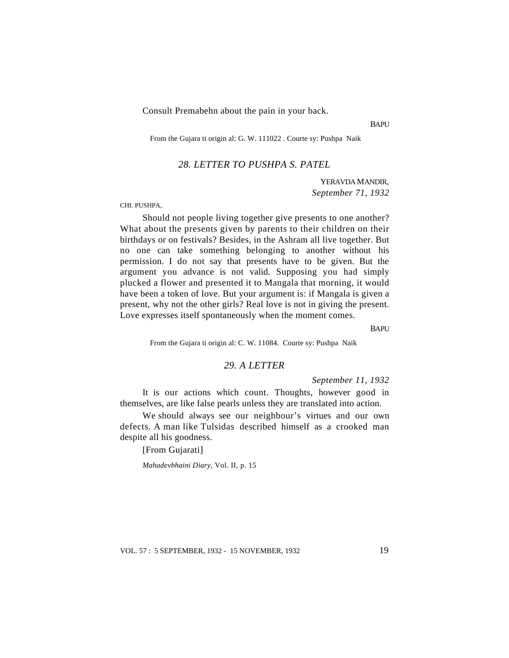Consult Premabehn about the pain in your back.

**BAPU** 

From the Gujara ti origin al: G. W. 111022 . Courte sy: Pushpa Naik

# *28. LETTER TO PUSHPA S. PATEL*

YERAVDA MANDIR, *September 71, 1932*

CHI. PUSHPA,

Should not people living together give presents to one another? What about the presents given by parents to their children on their birthdays or on festivals? Besides, in the Ashram all live together. But no one can take something belonging to another without his permission. I do not say that presents have to be given. But the argument you advance is not valid. Supposing you had simply plucked a flower and presented it to Mangala that morning, it would have been a token of love. But your argument is: if Mangala is given a present, why not the other girls? Real love is not in giving the present. Love expresses itself spontaneously when the moment comes.

**BAPU** 

From the Gujara ti origin al: C. W. 11084. Courte sy: Pushpa Naik

# *29. A LETTER*

*September 11, 1932*

It is our actions which count. Thoughts, however good in themselves, are like false pearls unless they are translated into action.

We should always see our neighbour's virtues and our own defects. A man like Tulsidas described himself as a crooked man despite all his goodness.

[From Gujarati]

*Mahadevbhaini Diary*, Vol. II, p. 15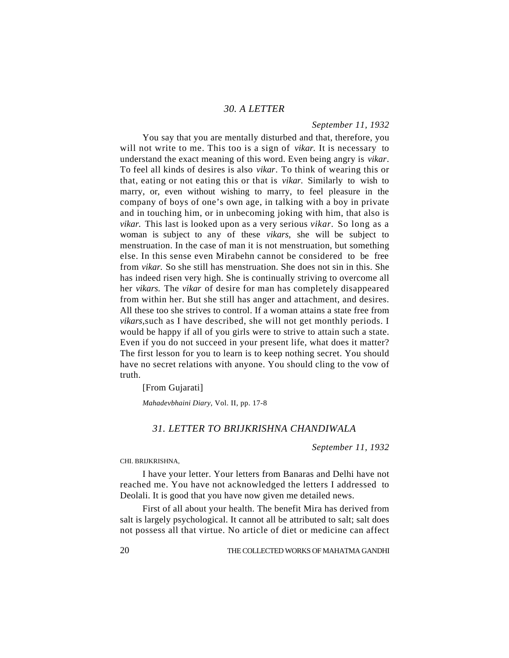# *30. A LETTER*

### *September 11, 1932*

You say that you are mentally disturbed and that, therefore, you will not write to me. This too is a sign of *vikar.* It is necessary to understand the exact meaning of this word. Even being angry is *vikar*. To feel all kinds of desires is also *vikar*. To think of wearing this or that, eating or not eating this or that is *vikar.* Similarly to wish to marry, or, even without wishing to marry, to feel pleasure in the company of boys of one's own age, in talking with a boy in private and in touching him, or in unbecoming joking with him, that also is *vikar.* This last is looked upon as a very serious *vikar*. So long as a woman is subject to any of these *vikars,* she will be subject to menstruation. In the case of man it is not menstruation, but something else. In this sense even Mirabehn cannot be considered to be free from *vikar.* So she still has menstruation. She does not sin in this. She has indeed risen very high. She is continually striving to overcome all her *vikars.* The *vikar* of desire for man has completely disappeared from within her. But she still has anger and attachment, and desires. All these too she strives to control. If a woman attains a state free from *vikars,*such as I have described, she will not get monthly periods. I would be happy if all of you girls were to strive to attain such a state. Even if you do not succeed in your present life, what does it matter? The first lesson for you to learn is to keep nothing secret. You should have no secret relations with anyone. You should cling to the vow of truth.

[From Gujarati]

*Mahadevbhaini Diary*, Vol. II, pp. 17-8

# *31. LETTER TO BRIJKRISHNA CHANDIWALA*

*September 11, 1932*

CHI. BRIJKRISHNA,

I have your letter. Your letters from Banaras and Delhi have not reached me. You have not acknowledged the letters I addressed to Deolali. It is good that you have now given me detailed news.

First of all about your health. The benefit Mira has derived from salt is largely psychological. It cannot all be attributed to salt; salt does not possess all that virtue. No article of diet or medicine can affect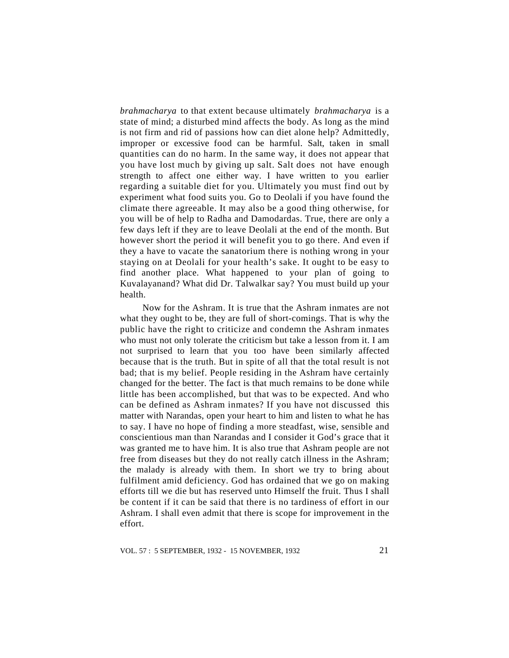*brahmacharya* to that extent because ultimately *brahmacharya* is a state of mind; a disturbed mind affects the body. As long as the mind is not firm and rid of passions how can diet alone help? Admittedly, improper or excessive food can be harmful. Salt, taken in small quantities can do no harm. In the same way, it does not appear that you have lost much by giving up salt. Salt does not have enough strength to affect one either way. I have written to you earlier regarding a suitable diet for you. Ultimately you must find out by experiment what food suits you. Go to Deolali if you have found the climate there agreeable. It may also be a good thing otherwise, for you will be of help to Radha and Damodardas. True, there are only a few days left if they are to leave Deolali at the end of the month. But however short the period it will benefit you to go there. And even if they a have to vacate the sanatorium there is nothing wrong in your staying on at Deolali for your health's sake. It ought to be easy to find another place. What happened to your plan of going to Kuvalayanand? What did Dr. Talwalkar say? You must build up your health.

Now for the Ashram. It is true that the Ashram inmates are not what they ought to be, they are full of short-comings. That is why the public have the right to criticize and condemn the Ashram inmates who must not only tolerate the criticism but take a lesson from it. I am not surprised to learn that you too have been similarly affected because that is the truth. But in spite of all that the total result is not bad; that is my belief. People residing in the Ashram have certainly changed for the better. The fact is that much remains to be done while little has been accomplished, but that was to be expected. And who can be defined as Ashram inmates? If you have not discussed this matter with Narandas, open your heart to him and listen to what he has to say. I have no hope of finding a more steadfast, wise, sensible and conscientious man than Narandas and I consider it God's grace that it was granted me to have him. It is also true that Ashram people are not free from diseases but they do not really catch illness in the Ashram; the malady is already with them. In short we try to bring about fulfilment amid deficiency. God has ordained that we go on making efforts till we die but has reserved unto Himself the fruit. Thus I shall be content if it can be said that there is no tardiness of effort in our Ashram. I shall even admit that there is scope for improvement in the effort.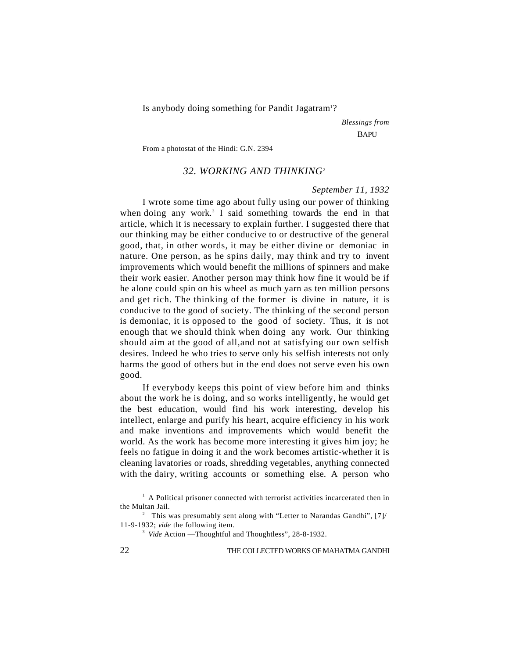Is anybody doing something for Pandit Jagatram<sup>1</sup>?

 *Blessings from* **BAPU** 

From a photostat of the Hindi: G.N. 2394

## *32. WORKING AND THINKING*<sup>2</sup>

#### *September 11, 1932*

I wrote some time ago about fully using our power of thinking when doing any work.<sup>3</sup> I said something towards the end in that article, which it is necessary to explain further. I suggested there that our thinking may be either conducive to or destructive of the general good, that, in other words, it may be either divine or demoniac in nature. One person, as he spins daily, may think and try to invent improvements which would benefit the millions of spinners and make their work easier. Another person may think how fine it would be if he alone could spin on his wheel as much yarn as ten million persons and get rich. The thinking of the former is divine in nature, it is conducive to the good of society. The thinking of the second person is demoniac, it is opposed to the good of society. Thus, it is not enough that we should think when doing any work. Our thinking should aim at the good of all,and not at satisfying our own selfish desires. Indeed he who tries to serve only his selfish interests not only harms the good of others but in the end does not serve even his own good.

If everybody keeps this point of view before him and thinks about the work he is doing, and so works intelligently, he would get the best education, would find his work interesting, develop his intellect, enlarge and purify his heart, acquire efficiency in his work and make inventions and improvements which would benefit the world. As the work has become more interesting it gives him joy; he feels no fatigue in doing it and the work becomes artistic-whether it is cleaning lavatories or roads, shredding vegetables, anything connected with the dairy, writing accounts or something else. A person who

 $<sup>1</sup>$  A Political prisoner connected with terrorist activities incarcerated then in</sup> the Multan Jail.

<sup>&</sup>lt;sup>2</sup> This was presumably sent along with "Letter to Narandas Gandhi",  $[7]$ / 11-9-1932; *vide* the following item.

<sup>3</sup> *Vide* Action —Thoughtful and Thoughtless", 28-8-1932.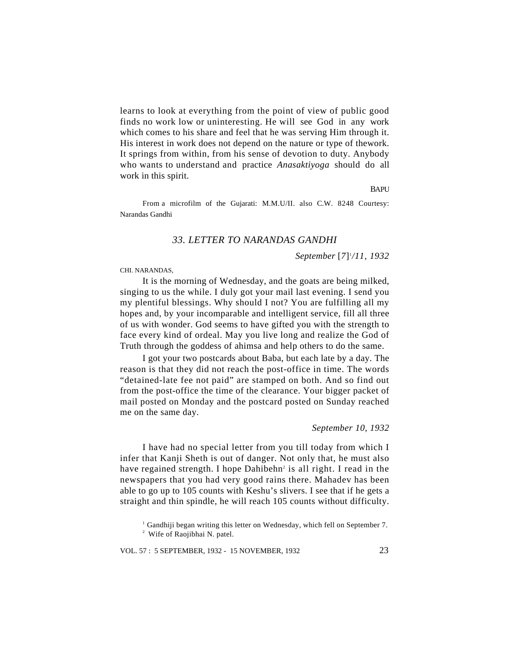learns to look at everything from the point of view of public good finds no work low or uninteresting. He will see God in any work which comes to his share and feel that he was serving Him through it. His interest in work does not depend on the nature or type of thework. It springs from within, from his sense of devotion to duty. Anybody who wants to understand and practice *Anasaktiyoga* should do all work in this spirit.

**BAPU** 

From a microfilm of the Gujarati: M.M.U/II. also C.W. 8248 Courtesy: Narandas Gandhi

# *33. LETTER TO NARANDAS GANDHI*

*September* [*7*] 1 */11, 1932*

CHI. NARANDAS,

It is the morning of Wednesday, and the goats are being milked, singing to us the while. I duly got your mail last evening. I send you my plentiful blessings. Why should I not? You are fulfilling all my hopes and, by your incomparable and intelligent service, fill all three of us with wonder. God seems to have gifted you with the strength to face every kind of ordeal. May you live long and realize the God of Truth through the goddess of ahimsa and help others to do the same.

I got your two postcards about Baba, but each late by a day. The reason is that they did not reach the post-office in time. The words "detained-late fee not paid" are stamped on both. And so find out from the post-office the time of the clearance. Your bigger packet of mail posted on Monday and the postcard posted on Sunday reached me on the same day.

#### *September 10, 1932*

I have had no special letter from you till today from which I infer that Kanji Sheth is out of danger. Not only that, he must also have regained strength. I hope Dahibehn<sup>2</sup> is all right. I read in the newspapers that you had very good rains there. Mahadev has been able to go up to 105 counts with Keshu's slivers. I see that if he gets a straight and thin spindle, he will reach 105 counts without difficulty.

<sup>&</sup>lt;sup>1</sup> Gandhiji began writing this letter on Wednesday, which fell on September 7. <sup>2</sup> Wife of Raojibhai N. patel.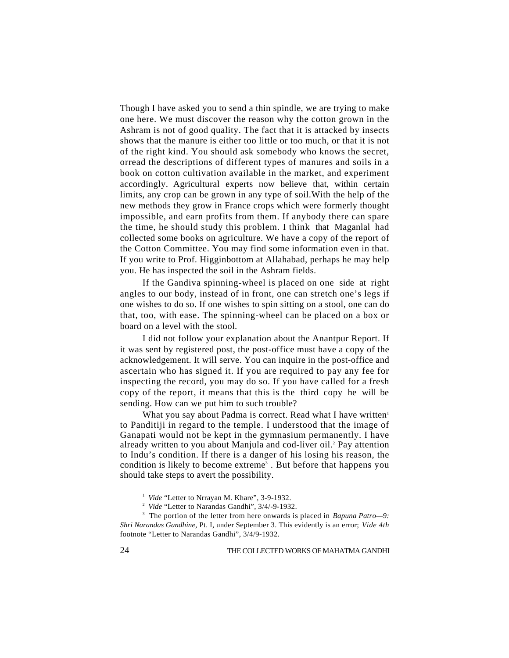Though I have asked you to send a thin spindle, we are trying to make one here. We must discover the reason why the cotton grown in the Ashram is not of good quality. The fact that it is attacked by insects shows that the manure is either too little or too much, or that it is not of the right kind. You should ask somebody who knows the secret, orread the descriptions of different types of manures and soils in a book on cotton cultivation available in the market, and experiment accordingly. Agricultural experts now believe that, within certain limits, any crop can be grown in any type of soil.With the help of the new methods they grow in France crops which were formerly thought impossible, and earn profits from them. If anybody there can spare the time, he should study this problem. I think that Maganlal had collected some books on agriculture. We have a copy of the report of the Cotton Committee. You may find some information even in that. If you write to Prof. Higginbottom at Allahabad, perhaps he may help you. He has inspected the soil in the Ashram fields.

If the Gandiva spinning-wheel is placed on one side at right angles to our body, instead of in front, one can stretch one's legs if one wishes to do so. If one wishes to spin sitting on a stool, one can do that, too, with ease. The spinning-wheel can be placed on a box or board on a level with the stool.

I did not follow your explanation about the Anantpur Report. If it was sent by registered post, the post-office must have a copy of the acknowledgement. It will serve. You can inquire in the post-office and ascertain who has signed it. If you are required to pay any fee for inspecting the record, you may do so. If you have called for a fresh copy of the report, it means that this is the third copy he will be sending. How can we put him to such trouble?

What you say about Padma is correct. Read what I have written<sup>1</sup> to Panditiji in regard to the temple. I understood that the image of Ganapati would not be kept in the gymnasium permanently. I have already written to you about Manjula and cod-liver oil.<sup>2</sup> Pay attention to Indu's condition. If there is a danger of his losing his reason, the condition is likely to become extreme<sup>3</sup>. But before that happens you should take steps to avert the possibility.

<sup>1</sup> *Vide* "Letter to Nrrayan M. Khare", 3-9-1932.

<sup>2</sup> *Vide* "Letter to Narandas Gandhi", 3/4/-9-1932.

<sup>3</sup> The portion of the letter from here onwards is placed in *Bapuna Patro*—9: *Shri Narandas Gandhine,* Pt. I, under September 3. This evidently is an error; *Vide 4th* footnote "Letter to Narandas Gandhi", 3/4/9-1932.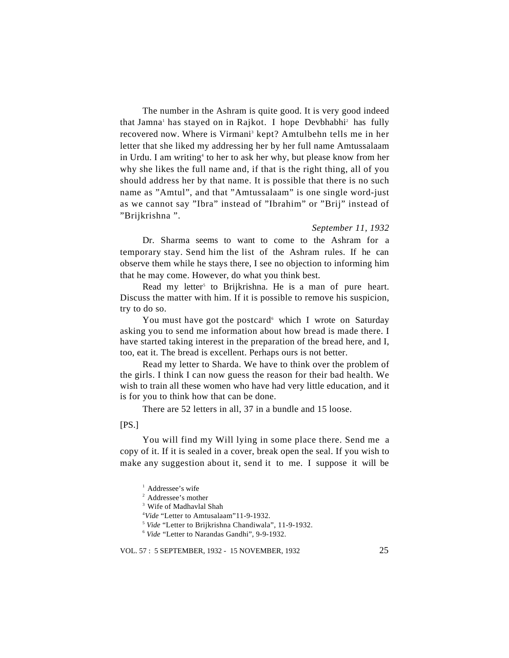The number in the Ashram is quite good. It is very good indeed that Jamna<sup>1</sup> has stayed on in Rajkot. I hope Devbhabhi<sup>2</sup> has fully recovered now. Where is Virmani<sup>3</sup> kept? Amtulbehn tells me in her letter that she liked my addressing her by her full name Amtussalaam in Urdu. I am writing<sup>4</sup> to her to ask her why, but please know from her why she likes the full name and, if that is the right thing, all of you should address her by that name. It is possible that there is no such name as "Amtul", and that "Amtussalaam" is one single word-just as we cannot say "Ibra" instead of "Ibrahim" or "Brij" instead of "Brijkrishna ".

## *September 11, 1932*

Dr. Sharma seems to want to come to the Ashram for a temporary stay. Send him the list of the Ashram rules. If he can observe them while he stays there, I see no objection to informing him that he may come. However, do what you think best.

Read my letter<sup>5</sup> to Brijkrishna. He is a man of pure heart. Discuss the matter with him. If it is possible to remove his suspicion, try to do so.

You must have got the postcard<sup> $6$ </sup> which I wrote on Saturday asking you to send me information about how bread is made there. I have started taking interest in the preparation of the bread here, and I, too, eat it. The bread is excellent. Perhaps ours is not better.

Read my letter to Sharda. We have to think over the problem of the girls. I think I can now guess the reason for their bad health. We wish to train all these women who have had very little education, and it is for you to think how that can be done.

There are 52 letters in all, 37 in a bundle and 15 loose.

#### $[PS.]$

You will find my Will lying in some place there. Send me a copy of it. If it is sealed in a cover, break open the seal. If you wish to make any suggestion about it, send it to me. I suppose it will be

<sup>1</sup> Addressee's wife <sup>2</sup> Addressee's mother <sup>3</sup> Wife of Madhavlal Shah <sup>4</sup>*Vide* "Letter to Amtusalaam"11-9-1932. <sup>5</sup> *Vide* "Letter to Brijkrishna Chandiwala", 11-9-1932. <sup>6</sup> *Vide* "Letter to Narandas Gandhi", 9-9-1932.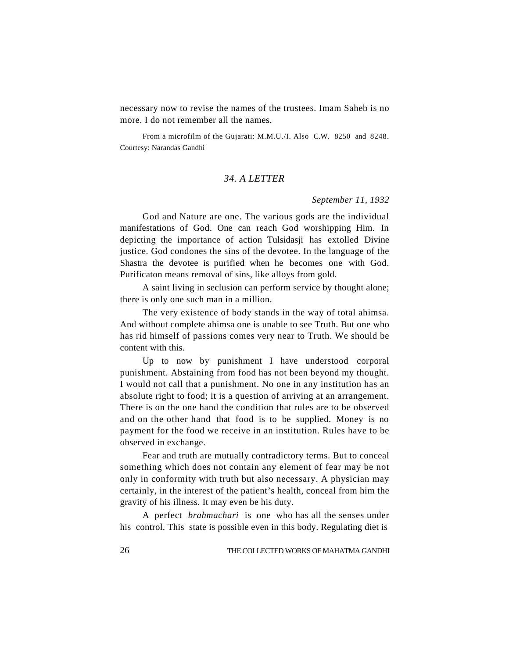necessary now to revise the names of the trustees. Imam Saheb is no more. I do not remember all the names.

From a microfilm of the Gujarati: M.M.U./I. Also C.W. 8250 and 8248. Courtesy: Narandas Gandhi

# *34. A LETTER*

# *September 11, 1932*

God and Nature are one. The various gods are the individual manifestations of God. One can reach God worshipping Him. In depicting the importance of action Tulsidasji has extolled Divine justice. God condones the sins of the devotee. In the language of the Shastra the devotee is purified when he becomes one with God. Purificaton means removal of sins, like alloys from gold.

A saint living in seclusion can perform service by thought alone; there is only one such man in a million.

The very existence of body stands in the way of total ahimsa. And without complete ahimsa one is unable to see Truth. But one who has rid himself of passions comes very near to Truth. We should be content with this.

Up to now by punishment I have understood corporal punishment. Abstaining from food has not been beyond my thought. I would not call that a punishment. No one in any institution has an absolute right to food; it is a question of arriving at an arrangement. There is on the one hand the condition that rules are to be observed and on the other hand that food is to be supplied. Money is no payment for the food we receive in an institution. Rules have to be observed in exchange.

Fear and truth are mutually contradictory terms. But to conceal something which does not contain any element of fear may be not only in conformity with truth but also necessary. A physician may certainly, in the interest of the patient's health, conceal from him the gravity of his illness. It may even be his duty.

A perfect *brahmachari* is one who has all the senses under his control. This state is possible even in this body. Regulating diet is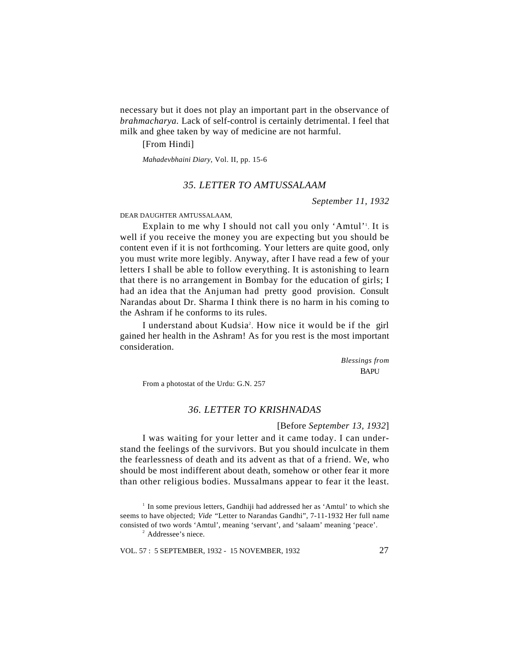necessary but it does not play an important part in the observance of *brahmacharya.* Lack of self-control is certainly detrimental. I feel that milk and ghee taken by way of medicine are not harmful.

[From Hindi]

*Mahadevbhaini Diary*, Vol. II, pp. 15-6

# *35. LETTER TO AMTUSSALAAM*

*September 11, 1932*

DEAR DAUGHTER AMTUSSALAAM,

Explain to me why I should not call you only 'Amtul'<sup>1</sup>. It is well if you receive the money you are expecting but you should be content even if it is not forthcoming. Your letters are quite good, only you must write more legibly. Anyway, after I have read a few of your letters I shall be able to follow everything. It is astonishing to learn that there is no arrangement in Bombay for the education of girls; I had an idea that the Anjuman had pretty good provision. Consult Narandas about Dr. Sharma I think there is no harm in his coming to the Ashram if he conforms to its rules.

I understand about Kudsia<sup>2</sup>. How nice it would be if the girl gained her health in the Ashram! As for you rest is the most important consideration.

> *Blessings from* BAPU

From a photostat of the Urdu: G.N. 257

# *36. LETTER TO KRISHNADAS*

[Before *September 13, 1932*]

I was waiting for your letter and it came today. I can understand the feelings of the survivors. But you should inculcate in them the fearlessness of death and its advent as that of a friend. We, who should be most indifferent about death, somehow or other fear it more than other religious bodies. Mussalmans appear to fear it the least.

<sup>1</sup> In some previous letters, Gandhiji had addressed her as 'Amtul' to which she seems to have objected; *Vide* "Letter to Narandas Gandhi", 7-11-1932 Her full name consisted of two words 'Amtul', meaning 'servant', and 'salaam' meaning 'peace'. <sup>2</sup> Addressee's niece.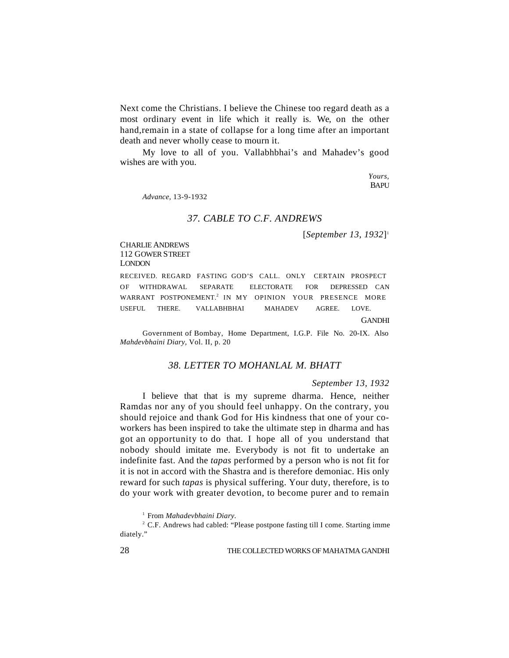Next come the Christians. I believe the Chinese too regard death as a most ordinary event in life which it really is. We, on the other hand,remain in a state of collapse for a long time after an important death and never wholly cease to mourn it.

My love to all of you. Vallabhbhai's and Mahadev's good wishes are with you.

> *Yours,* **BAPU**

*Advance,* 13-9-1932

#### *37. CABLE TO C.F. ANDREWS*

[*September 13, 1932*] 1

#### CHARLIE ANDREWS 112 GOWER STREET LONDON

RECEIVED. REGARD FASTING GOD'S CALL. ONLY CERTAIN PROSPECT OF WITHDRAWAL SEPARATE ELECTORATE FOR DEPRESSED CAN WARRANT POSTPONEMENT.<sup>2</sup> IN MY OPINION YOUR PRESENCE MORE USEFUL THERE. VALLABHBHAI MAHADEV AGREE. LOVE.

**GANDHI** 

Government of Bombay, Home Department, I.G.P. File No. 20-IX. Also *Mahdevbhaini Diary,* Vol. II, p. 20

# *38. LETTER TO MOHANLAL M. BHATT*

*September 13, 1932*

I believe that that is my supreme dharma. Hence, neither Ramdas nor any of you should feel unhappy. On the contrary, you should rejoice and thank God for His kindness that one of your coworkers has been inspired to take the ultimate step in dharma and has got an opportunity to do that. I hope all of you understand that nobody should imitate me. Everybody is not fit to undertake an indefinite fast. And the *tapas* performed by a person who is not fit for it is not in accord with the Shastra and is therefore demoniac. His only reward for such *tapas* is physical suffering. Your duty, therefore, is to do your work with greater devotion, to become purer and to remain

1 From *Mahadevbhaini Diary.*

<sup>2</sup> C.F. Andrews had cabled: "Please postpone fasting till I come. Starting imme diately."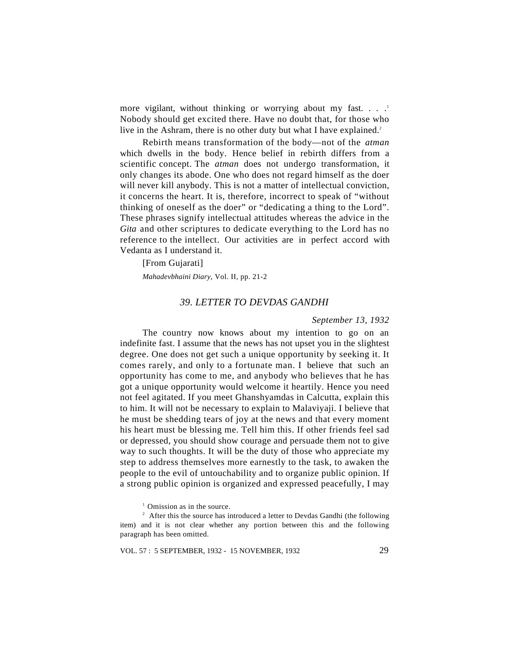more vigilant, without thinking or worrying about my fast. . . .<sup>1</sup> Nobody should get excited there. Have no doubt that, for those who live in the Ashram, there is no other duty but what I have explained.<sup>2</sup>

Rebirth means transformation of the body—not of the *atman* which dwells in the body. Hence belief in rebirth differs from a scientific concept. The *atman* does not undergo transformation, it only changes its abode. One who does not regard himself as the doer will never kill anybody. This is not a matter of intellectual conviction, it concerns the heart. It is, therefore, incorrect to speak of "without thinking of oneself as the doer" or "dedicating a thing to the Lord". These phrases signify intellectual attitudes whereas the advice in the *Gita* and other scriptures to dedicate everything to the Lord has no reference to the intellect. Our activities are in perfect accord with Vedanta as I understand it.

[From Gujarati]

*Mahadevbhaini Diary*, Vol. II, pp. 21-2

# *39. LETTER TO DEVDAS GANDHI*

### *September 13, 1932*

The country now knows about my intention to go on an indefinite fast. I assume that the news has not upset you in the slightest degree. One does not get such a unique opportunity by seeking it. It comes rarely, and only to a fortunate man. I believe that such an opportunity has come to me, and anybody who believes that he has got a unique opportunity would welcome it heartily. Hence you need not feel agitated. If you meet Ghanshyamdas in Calcutta, explain this to him. It will not be necessary to explain to Malaviyaji. I believe that he must be shedding tears of joy at the news and that every moment his heart must be blessing me. Tell him this. If other friends feel sad or depressed, you should show courage and persuade them not to give way to such thoughts. It will be the duty of those who appreciate my step to address themselves more earnestly to the task, to awaken the people to the evil of untouchability and to organize public opinion. If a strong public opinion is organized and expressed peacefully, I may

 $<sup>1</sup>$  Omission as in the source.</sup>

 $2<sup>2</sup>$  After this the source has introduced a letter to Devdas Gandhi (the following item) and it is not clear whether any portion between this and the following paragraph has been omitted.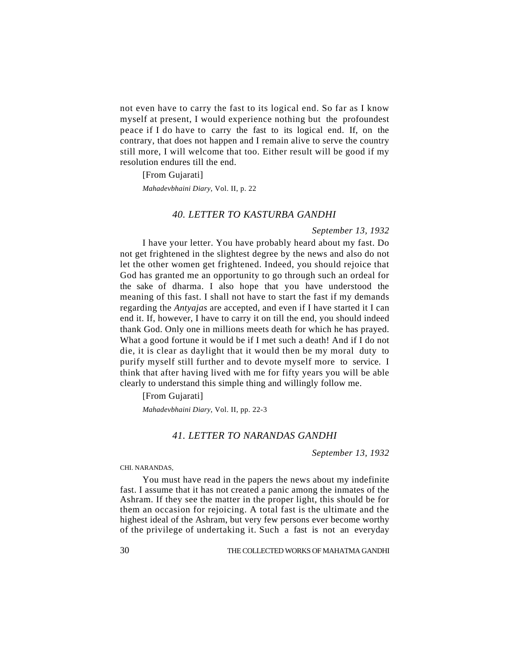not even have to carry the fast to its logical end. So far as I know myself at present, I would experience nothing but the profoundest peace if I do have to carry the fast to its logical end. If, on the contrary, that does not happen and I remain alive to serve the country still more, I will welcome that too. Either result will be good if my resolution endures till the end.

[From Gujarati]

*Mahadevbhaini Diary*, Vol. II, p. 22

# *40. LETTER TO KASTURBA GANDHI*

#### *September 13, 1932*

I have your letter. You have probably heard about my fast. Do not get frightened in the slightest degree by the news and also do not let the other women get frightened. Indeed, you should rejoice that God has granted me an opportunity to go through such an ordeal for the sake of dharma. I also hope that you have understood the meaning of this fast. I shall not have to start the fast if my demands regarding the *Antyajas* are accepted, and even if I have started it I can end it. If, however, I have to carry it on till the end, you should indeed thank God. Only one in millions meets death for which he has prayed. What a good fortune it would be if I met such a death! And if I do not die, it is clear as daylight that it would then be my moral duty to purify myself still further and to devote myself more to service. I think that after having lived with me for fifty years you will be able clearly to understand this simple thing and willingly follow me.

[From Gujarati]

*Mahadevbhaini Diary*, Vol. II, pp. 22-3

# *41. LETTER TO NARANDAS GANDHI*

*September 13, 1932*

CHI. NARANDAS,

You must have read in the papers the news about my indefinite fast. I assume that it has not created a panic among the inmates of the Ashram. If they see the matter in the proper light, this should be for them an occasion for rejoicing. A total fast is the ultimate and the highest ideal of the Ashram, but very few persons ever become worthy of the privilege of undertaking it. Such a fast is not an everyday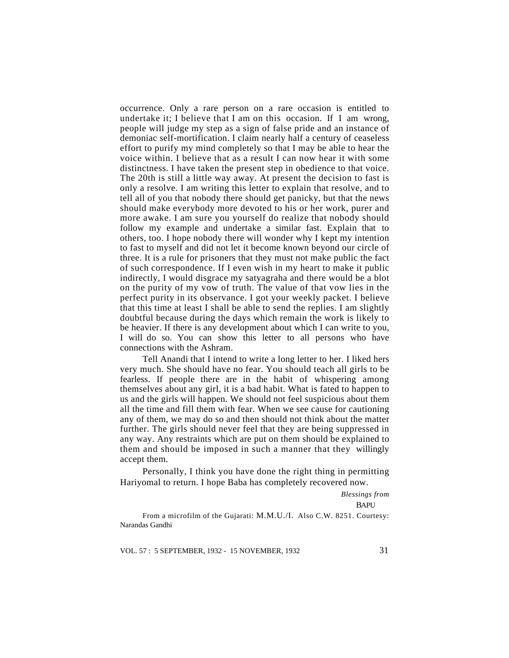occurrence. Only a rare person on a rare occasion is entitled to undertake it; I believe that I am on this occasion. If I am wrong, people will judge my step as a sign of false pride and an instance of demoniac self-mortification. I claim nearly half a century of ceaseless effort to purify my mind completely so that I may be able to hear the voice within. I believe that as a result I can now hear it with some distinctness. I have taken the present step in obedience to that voice. The 20th is still a little way away. At present the decision to fast is only a resolve. I am writing this letter to explain that resolve, and to tell all of you that nobody there should get panicky, but that the news should make everybody more devoted to his or her work, purer and more awake. I am sure you yourself do realize that nobody should follow my example and undertake a similar fast. Explain that to others, too. I hope nobody there will wonder why I kept my intention to fast to myself and did not let it become known beyond our circle of three. It is a rule for prisoners that they must not make public the fact of such correspondence. If I even wish in my heart to make it public indirectly, I would disgrace my satyagraha and there would be a blot on the purity of my vow of truth. The value of that vow lies in the perfect purity in its observance. I got your weekly packet. I believe that this time at least I shall be able to send the replies. I am slightly doubtful because during the days which remain the work is likely to be heavier. If there is any development about which I can write to you, I will do so. You can show this letter to all persons who have connections with the Ashram.

Tell Anandi that I intend to write a long letter to her. I liked hers very much. She should have no fear. You should teach all girls to be fearless. If people there are in the habit of whispering among themselves about any girl, it is a bad habit. What is fated to happen to us and the girls will happen. We should not feel suspicious about them all the time and fill them with fear. When we see cause for cautioning any of them, we may do so and then should not think about the matter further. The girls should never feel that they are being suppressed in any way. Any restraints which are put on them should be explained to them and should be imposed in such a manner that they willingly accept them.

Personally, I think you have done the right thing in permitting Hariyomal to return. I hope Baba has completely recovered now.

> *Blessings from* BAPU

From a microfilm of the Gujarati: M.M.U./I. Also C.W. 8251. Courtesy: Narandas Gandhi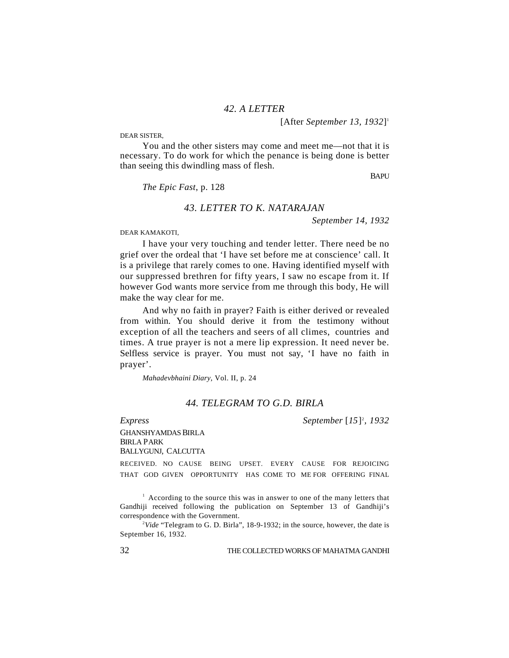[After *September 13, 1932*] 1

DEAR SISTER,

You and the other sisters may come and meet me—not that it is necessary. To do work for which the penance is being done is better than seeing this dwindling mass of flesh.

**BAPU** 

*The Epic Fast*, p. 128

### *43. LETTER TO K. NATARAJAN*

*September 14, 1932*

DEAR KAMAKOTI,

I have your very touching and tender letter. There need be no grief over the ordeal that 'I have set before me at conscience' call. It is a privilege that rarely comes to one. Having identified myself with our suppressed brethren for fifty years, I saw no escape from it. If however God wants more service from me through this body, He will make the way clear for me.

And why no faith in prayer? Faith is either derived or revealed from within. You should derive it from the testimony without exception of all the teachers and seers of all climes, countries and times. A true prayer is not a mere lip expression. It need never be. Selfless service is prayer. You must not say, 'I have no faith in prayer'.

*Mahadevbhaini Diary*, Vol. II, p. 24

### *44. TELEGRAM TO G.D. BIRLA*

*Express September* [*15*] 2 *, 1932*

GHANSHYAMDAS BIRLA BIRLA PARK BALLYGUNJ, CALCUTTA

RECEIVED. NO CAUSE BEING UPSET. EVERY CAUSE FOR REJOICING THAT GOD GIVEN OPPORTUNITY HAS COME TO ME FOR OFFERING FINAL

 $1$  According to the source this was in answer to one of the many letters that Gandhiji received following the publication on September 13 of Gandhiji's correspondence with the Government.

<sup>2</sup>Vide "Telegram to G. D. Birla", 18-9-1932; in the source, however, the date is September 16, 1932.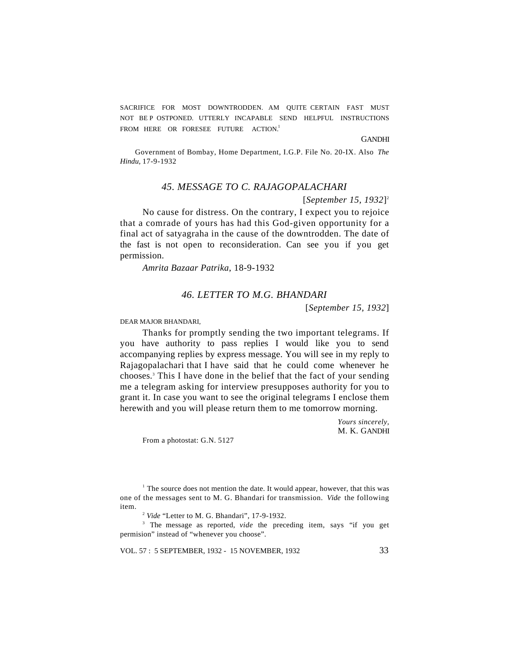SACRIFICE FOR MOST DOWNTRODDEN. AM QUITE CERTAIN FAST MUST NOT BE P OSTPONED. UTTERLY INCAPABLE SEND HELPFUL INSTRUCTIONS FROM HERE OR FORESEE FUTURE ACTION.<sup>1</sup>

**GANDHI** 

Government of Bombay, Home Department, I.G.P. File No. 20-IX. Also *The Hindu,* 17-9-1932

### *45. MESSAGE TO C. RAJAGOPALACHARI*

[*September 15, 1932*] 2

No cause for distress. On the contrary, I expect you to rejoice that a comrade of yours has had this God-given opportunity for a final act of satyagraha in the cause of the downtrodden. The date of the fast is not open to reconsideration. Can see you if you get permission.

*Amrita Bazaar Patrika*, 18-9-1932

## *46. LETTER TO M.G. BHANDARI*

[*September 15, 1932*]

DEAR MAJOR BHANDARI,

Thanks for promptly sending the two important telegrams. If you have authority to pass replies I would like you to send accompanying replies by express message. You will see in my reply to Rajagopalachari that I have said that he could come whenever he chooses.<sup>3</sup> This I have done in the belief that the fact of your sending me a telegram asking for interview presupposes authority for you to grant it. In case you want to see the original telegrams I enclose them herewith and you will please return them to me tomorrow morning.

> *Yours sincerely,* M. K. GANDHI

From a photostat: G.N. 5127

<sup>1</sup> The source does not mention the date. It would appear, however, that this was one of the messages sent to M. G. Bhandari for transmission. *Vide* the following item.

<sup>2</sup> *Vide* "Letter to M. G. Bhandari", 17-9-1932.

<sup>3</sup> The message as reported, *vide* the preceding item, says "if you get permision" instead of "whenever you choose".

VOL. 57 : 5 SEPTEMBER, 1932 - 15 NOVEMBER, 1932 33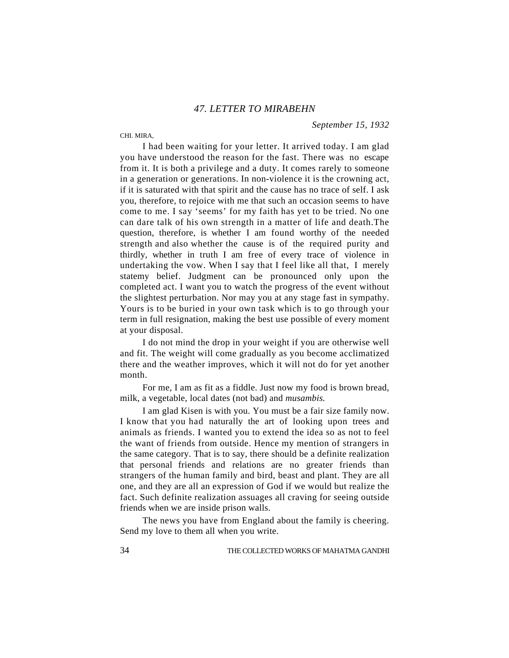*September 15, 1932*

CHI. MIRA,

I had been waiting for your letter. It arrived today. I am glad you have understood the reason for the fast. There was no escape from it. It is both a privilege and a duty. It comes rarely to someone in a generation or generations. In non-violence it is the crowning act, if it is saturated with that spirit and the cause has no trace of self. I ask you, therefore, to rejoice with me that such an occasion seems to have come to me. I say 'seems' for my faith has yet to be tried. No one can dare talk of his own strength in a matter of life and death.The question, therefore, is whether I am found worthy of the needed strength and also whether the cause is of the required purity and thirdly, whether in truth I am free of every trace of violence in undertaking the vow. When I say that I feel like all that, I merely statemy belief. Judgment can be pronounced only upon the completed act. I want you to watch the progress of the event without the slightest perturbation. Nor may you at any stage fast in sympathy. Yours is to be buried in your own task which is to go through your term in full resignation, making the best use possible of every moment at your disposal.

I do not mind the drop in your weight if you are otherwise well and fit. The weight will come gradually as you become acclimatized there and the weather improves, which it will not do for yet another month.

For me, I am as fit as a fiddle. Just now my food is brown bread, milk, a vegetable, local dates (not bad) and *musambis.*

I am glad Kisen is with you. You must be a fair size family now. I know that you had naturally the art of looking upon trees and animals as friends. I wanted you to extend the idea so as not to feel the want of friends from outside. Hence my mention of strangers in the same category. That is to say, there should be a definite realization that personal friends and relations are no greater friends than strangers of the human family and bird, beast and plant. They are all one, and they are all an expression of God if we would but realize the fact. Such definite realization assuages all craving for seeing outside friends when we are inside prison walls.

The news you have from England about the family is cheering. Send my love to them all when you write.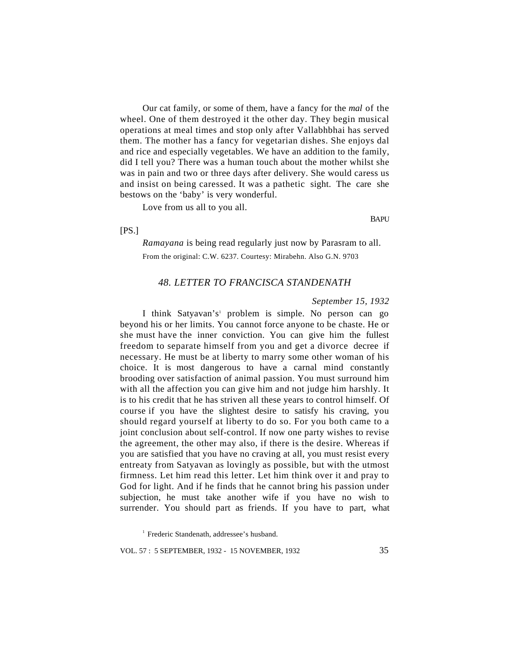Our cat family, or some of them, have a fancy for the *mal* of the wheel. One of them destroyed it the other day. They begin musical operations at meal times and stop only after Vallabhbhai has served them. The mother has a fancy for vegetarian dishes. She enjoys dal and rice and especially vegetables. We have an addition to the family, did I tell you? There was a human touch about the mother whilst she was in pain and two or three days after delivery. She would caress us and insist on being caressed. It was a pathetic sight. The care she bestows on the 'baby' is very wonderful.

Love from us all to you all.

**BAPU** 

 $[PS.]$ 

*Ramayana* is being read regularly just now by Parasram to all. From the original: C.W. 6237. Courtesy: Mirabehn. Also G.N. 9703

## *48. LETTER TO FRANCISCA STANDENATH*

#### *September 15, 1932*

I think Satyavan's<sup>1</sup> problem is simple. No person can go beyond his or her limits. You cannot force anyone to be chaste. He or she must have the inner conviction. You can give him the fullest freedom to separate himself from you and get a divorce decree if necessary. He must be at liberty to marry some other woman of his choice. It is most dangerous to have a carnal mind constantly brooding over satisfaction of animal passion. You must surround him with all the affection you can give him and not judge him harshly. It is to his credit that he has striven all these years to control himself. Of course if you have the slightest desire to satisfy his craving, you should regard yourself at liberty to do so. For you both came to a joint conclusion about self-control. If now one party wishes to revise the agreement, the other may also, if there is the desire. Whereas if you are satisfied that you have no craving at all, you must resist every entreaty from Satyavan as lovingly as possible, but with the utmost firmness. Let him read this letter. Let him think over it and pray to God for light. And if he finds that he cannot bring his passion under subjection, he must take another wife if you have no wish to surrender. You should part as friends. If you have to part, what

<sup>1</sup> Frederic Standenath, addressee's husband.

VOL. 57 : 5 SEPTEMBER, 1932 - 15 NOVEMBER, 1932 35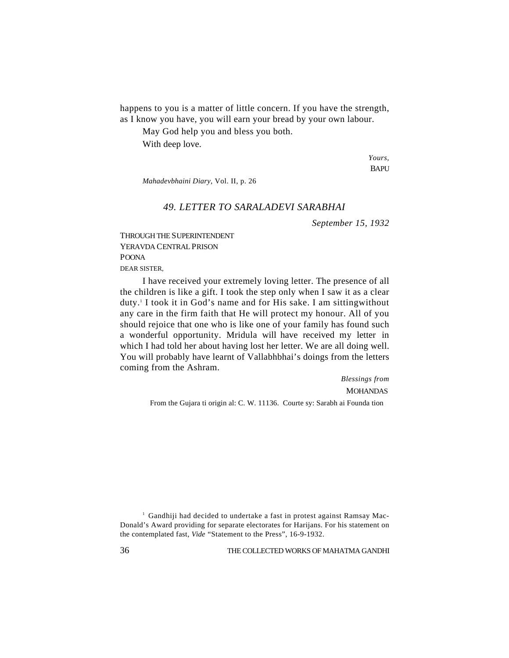happens to you is a matter of little concern. If you have the strength, as I know you have, you will earn your bread by your own labour.

May God help you and bless you both. With deep love.

> *Yours,* BAPU

*Mahadevbhaini Diary*, Vol. II, p. 26

# *49. LETTER TO SARALADEVI SARABHAI*

*September 15, 1932*

THROUGH THE SUPERINTENDENT YERAVDA CENTRAL PRISON **POONA** DEAR SISTER,

I have received your extremely loving letter. The presence of all the children is like a gift. I took the step only when I saw it as a clear duty.<sup>1</sup> I took it in God's name and for His sake. I am sittingwithout any care in the firm faith that He will protect my honour. All of you should rejoice that one who is like one of your family has found such a wonderful opportunity. Mridula will have received my letter in which I had told her about having lost her letter. We are all doing well. You will probably have learnt of Vallabhbhai's doings from the letters coming from the Ashram.

> *Blessings from* **MOHANDAS**

From the Gujara ti origin al: C. W. 11136. Courte sy: Sarabh ai Founda tion

 $1$  Gandhiji had decided to undertake a fast in protest against Ramsay Mac-Donald's Award providing for separate electorates for Harijans. For his statement on the contemplated fast, *Vide* "Statement to the Press", 16-9-1932.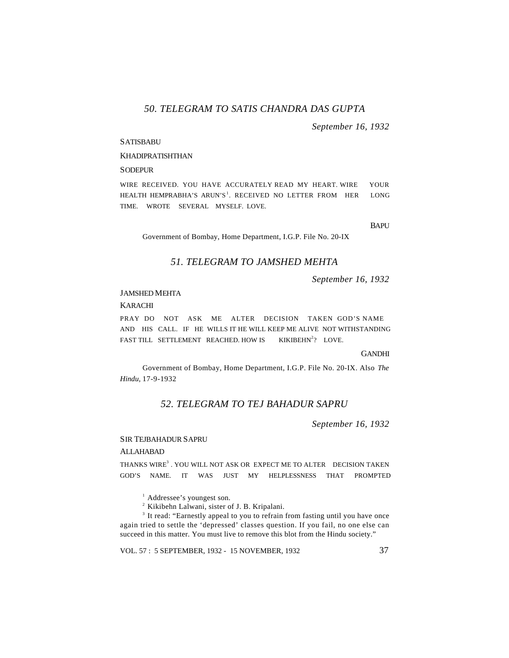### *50. TELEGRAM TO SATIS CHANDRA DAS GUPTA*

*September 16, 1932*

### **SATISBABU**

#### KHADIPRATISHTHAN

#### **SODEPUR**

WIRE RECEIVED. YOU HAVE ACCURATELY READ MY HEART. WIRE YOUR HEALTH HEMPRABHA'S ARUN'S<sup>1</sup>. RECEIVED NO LETTER FROM HER LONG TIME. WROTE SEVERAL MYSELF. LOVE.

BAPU

Government of Bombay, Home Department, I.G.P. File No. 20-IX

### *51. TELEGRAM TO JAMSHED MEHTA*

*September 16, 1932*

#### JAMSHED MEHTA

#### KARACHI

PRAY DO NOT ASK ME ALTER DECISION TAKEN GOD'S NAME AND HIS CALL. IF HE WILLS IT HE WILL KEEP ME ALIVE NOT WITHSTANDING FAST TILL SETTLEMENT REACHED. HOW IS  $KIKIRHIN<sup>2</sup>$ ? LOVE.

#### **GANDHI**

Government of Bombay, Home Department, I.G.P. File No. 20-IX. Also *The Hindu,* 17-9-1932

### *52. TELEGRAM TO TEJ BAHADUR SAPRU*

*September 16, 1932*

### SIR TEIRAHADUR SAPRU

### ALLAHABAD

THANKS WIRE $^3$  . YOU WILL NOT ASK OR EXPECT ME TO ALTER DECISION TAKEN GOD'S NAME. IT WAS JUST MY HELPLESSNESS THAT PROMPTED

<sup>1</sup> Addressee's youngest son.

<sup>2</sup> Kikibehn Lalwani, sister of J. B. Kripalani.

<sup>3</sup> It read: "Earnestly appeal to you to refrain from fasting until you have once again tried to settle the 'depressed' classes question. If you fail, no one else can succeed in this matter. You must live to remove this blot from the Hindu society."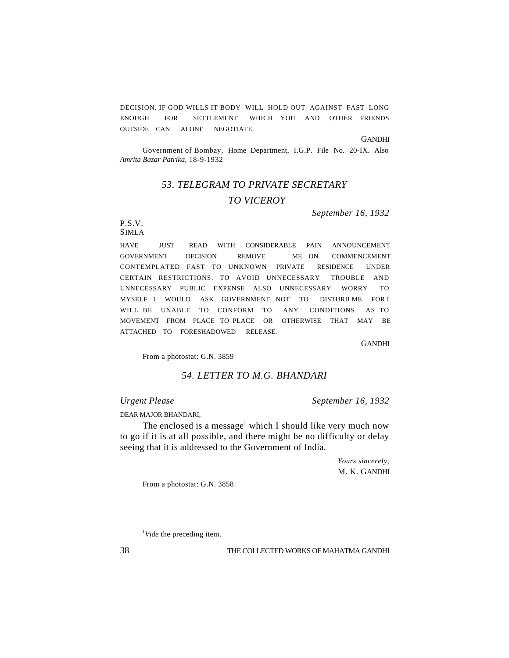DECISION. IF GOD WILLS IT BODY WILL HOLD OUT AGAINST FAST LONG ENOUGH FOR SETTLEMENT WHICH YOU AND OTHER FRIENDS OUTSIDE CAN ALONE NEGOTIATE.

GANDHI

Government of Bombay, Home Department, I.G.P. File No. 20-IX. Also *Amrita Bazar Patrika,* 18-9-1932

### *53. TELEGRAM TO PRIVATE SECRETARY*

## *TO VICEROY*

*September 16, 1932*

#### P.S.V. SIMLA

HAVE JUST READ WITH CONSIDERABLE PAIN ANNOUNCEMENT GOVERNMENT DECISION REMOVE ME ON COMMENCEMENT CONTEMPLATED FAST TO UNKNOWN PRIVATE RESIDENCE UNDER CERTAIN RESTRICTIONS. TO AVOID UNNECESSARY TROUBLE AND UNNECESSARY PUBLIC EXPENSE ALSO UNNECESSARY WORRY TO MYSELF I WOULD ASK GOVERNMENT NOT TO DISTURB ME FOR I WILL BE UNABLE TO CONFORM TO ANY CONDITIONS AS TO MOVEMENT FROM PLACE TO PLACE OR OTHERWISE THAT MAY BE ATTACHED TO FORESHADOWED RELEASE.

**GANDHI** 

From a photostat: G.N. 3859

### *54. LETTER TO M.G. BHANDARI*

*Urgent Please September 16, 1932*

DEAR MAJOR BHANDARI,

The enclosed is a message' which I should like very much now to go if it is at all possible, and there might be no difficulty or delay seeing that it is addressed to the Government of India.

> *Yours sincerely,* M. K. GANDHI

From a photostat: G.N. 3858

<sup>1</sup>*Vide* the preceding item.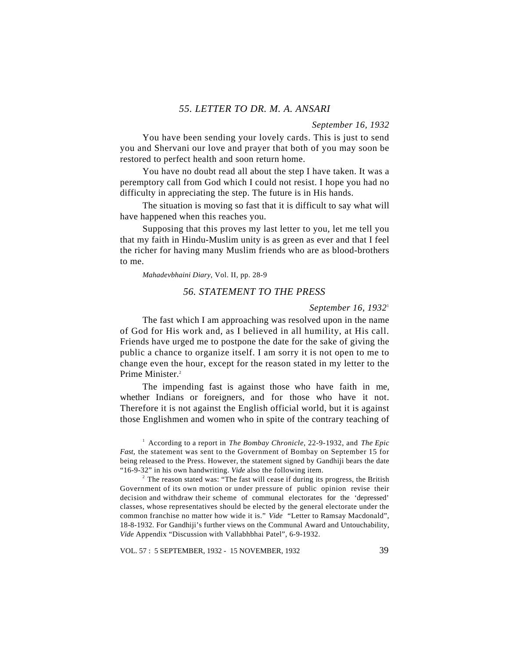# *55. LETTER TO DR. M. A. ANSARI*

*September 16, 1932*

You have been sending your lovely cards. This is just to send you and Shervani our love and prayer that both of you may soon be restored to perfect health and soon return home.

You have no doubt read all about the step I have taken. It was a peremptory call from God which I could not resist. I hope you had no difficulty in appreciating the step. The future is in His hands.

The situation is moving so fast that it is difficult to say what will have happened when this reaches you.

Supposing that this proves my last letter to you, let me tell you that my faith in Hindu-Muslim unity is as green as ever and that I feel the richer for having many Muslim friends who are as blood-brothers to me.

*Mahadevbhaini Diary*, Vol. II, pp. 28-9

# *56. STATEMENT TO THE PRESS*

### *September 16, 1932*<sup>1</sup>

The fast which I am approaching was resolved upon in the name of God for His work and, as I believed in all humility, at His call. Friends have urged me to postpone the date for the sake of giving the public a chance to organize itself. I am sorry it is not open to me to change even the hour, except for the reason stated in my letter to the Prime Minister<sup>2</sup>

The impending fast is against those who have faith in me, whether Indians or foreigners, and for those who have it not. Therefore it is not against the English official world, but it is against those Englishmen and women who in spite of the contrary teaching of

<sup>1</sup> According to a report in *The Bombay Chronicle*, 22-9-1932, and *The Epic Fast,* the statement was sent to the Government of Bombay on September 15 for being released to the Press. However, the statement signed by Gandhiji bears the date "16-9-32" in his own handwriting. *Vide* also the following item.

 $2^2$  The reason stated was: "The fast will cease if during its progress, the British Government of its own motion or under pressure of public opinion revise their decision and withdraw their scheme of communal electorates for the 'depressed' classes, whose representatives should be elected by the general electorate under the common franchise no matter how wide it is." *Vide* "Letter to Ramsay Macdonald", 18-8-1932. For Gandhiji's further views on the Communal Award and Untouchability, *Vide* Appendix "Discussion with Vallabhbhai Patel", 6-9-1932.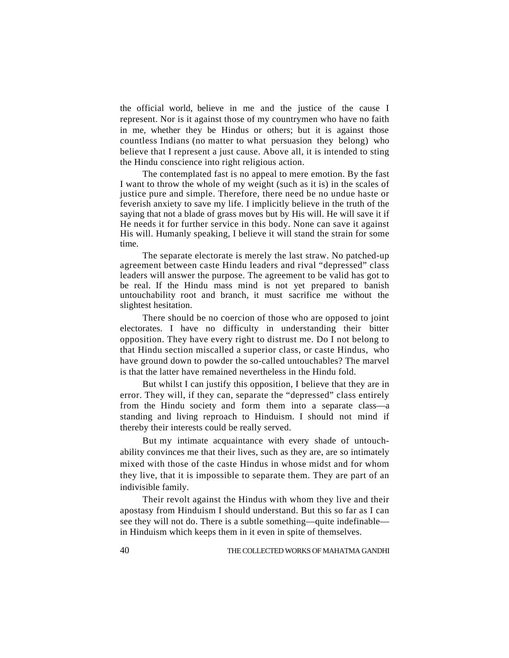the official world, believe in me and the justice of the cause I represent. Nor is it against those of my countrymen who have no faith in me, whether they be Hindus or others; but it is against those countless Indians (no matter to what persuasion they belong) who believe that I represent a just cause. Above all, it is intended to sting the Hindu conscience into right religious action.

The contemplated fast is no appeal to mere emotion. By the fast I want to throw the whole of my weight (such as it is) in the scales of justice pure and simple. Therefore, there need be no undue haste or feverish anxiety to save my life. I implicitly believe in the truth of the saying that not a blade of grass moves but by His will. He will save it if He needs it for further service in this body. None can save it against His will. Humanly speaking, I believe it will stand the strain for some time.

The separate electorate is merely the last straw. No patched-up agreement between caste Hindu leaders and rival "depressed" class leaders will answer the purpose. The agreement to be valid has got to be real. If the Hindu mass mind is not yet prepared to banish untouchability root and branch, it must sacrifice me without the slightest hesitation.

There should be no coercion of those who are opposed to joint electorates. I have no difficulty in understanding their bitter opposition. They have every right to distrust me. Do I not belong to that Hindu section miscalled a superior class, or caste Hindus, who have ground down to powder the so-called untouchables? The marvel is that the latter have remained nevertheless in the Hindu fold.

But whilst I can justify this opposition, I believe that they are in error. They will, if they can, separate the "depressed" class entirely from the Hindu society and form them into a separate class—a standing and living reproach to Hinduism. I should not mind if thereby their interests could be really served.

But my intimate acquaintance with every shade of untouchability convinces me that their lives, such as they are, are so intimately mixed with those of the caste Hindus in whose midst and for whom they live, that it is impossible to separate them. They are part of an indivisible family.

Their revolt against the Hindus with whom they live and their apostasy from Hinduism I should understand. But this so far as I can see they will not do. There is a subtle something—quite indefinable in Hinduism which keeps them in it even in spite of themselves.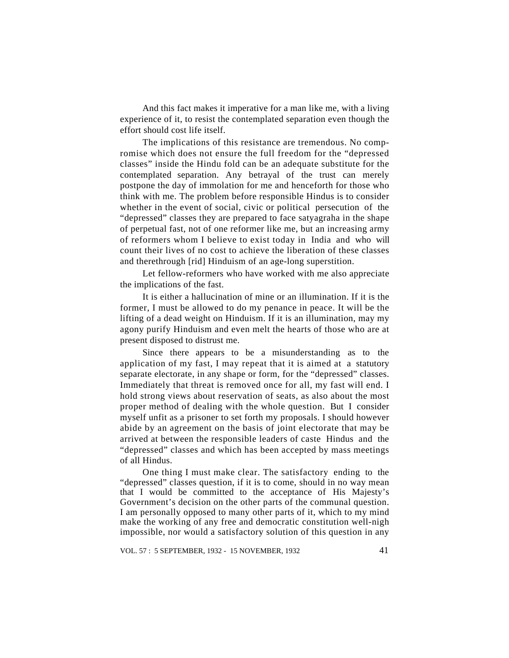And this fact makes it imperative for a man like me, with a living experience of it, to resist the contemplated separation even though the effort should cost life itself.

The implications of this resistance are tremendous. No compromise which does not ensure the full freedom for the "depressed classes" inside the Hindu fold can be an adequate substitute for the contemplated separation. Any betrayal of the trust can merely postpone the day of immolation for me and henceforth for those who think with me. The problem before responsible Hindus is to consider whether in the event of social, civic or political persecution of the "depressed" classes they are prepared to face satyagraha in the shape of perpetual fast, not of one reformer like me, but an increasing army of reformers whom I believe to exist today in India and who will count their lives of no cost to achieve the liberation of these classes and therethrough [rid] Hinduism of an age-long superstition.

Let fellow-reformers who have worked with me also appreciate the implications of the fast.

It is either a hallucination of mine or an illumination. If it is the former, I must be allowed to do my penance in peace. It will be the lifting of a dead weight on Hinduism. If it is an illumination, may my agony purify Hinduism and even melt the hearts of those who are at present disposed to distrust me.

Since there appears to be a misunderstanding as to the application of my fast, I may repeat that it is aimed at a statutory separate electorate, in any shape or form, for the "depressed" classes. Immediately that threat is removed once for all, my fast will end. I hold strong views about reservation of seats, as also about the most proper method of dealing with the whole question. But I consider myself unfit as a prisoner to set forth my proposals. I should however abide by an agreement on the basis of joint electorate that may be arrived at between the responsible leaders of caste Hindus and the "depressed" classes and which has been accepted by mass meetings of all Hindus.

One thing I must make clear. The satisfactory ending to the "depressed" classes question, if it is to come, should in no way mean that I would be committed to the acceptance of His Majesty's Government's decision on the other parts of the communal question. I am personally opposed to many other parts of it, which to my mind make the working of any free and democratic constitution well-nigh impossible, nor would a satisfactory solution of this question in any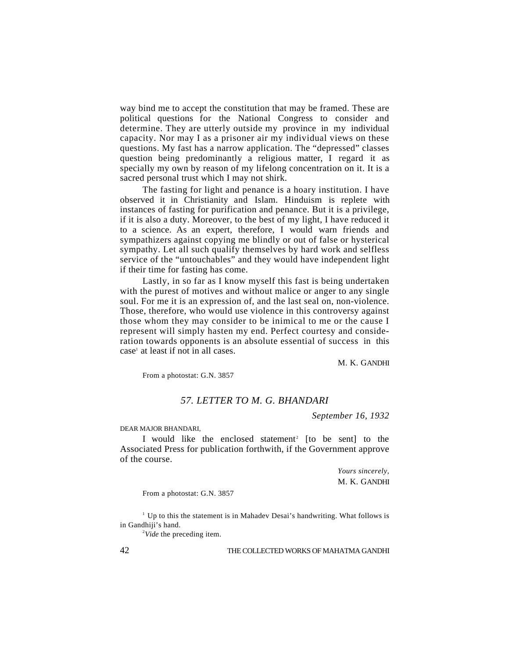way bind me to accept the constitution that may be framed. These are political questions for the National Congress to consider and determine. They are utterly outside my province in my individual capacity. Nor may I as a prisoner air my individual views on these questions. My fast has a narrow application. The "depressed" classes question being predominantly a religious matter, I regard it as specially my own by reason of my lifelong concentration on it. It is a sacred personal trust which I may not shirk.

The fasting for light and penance is a hoary institution. I have observed it in Christianity and Islam. Hinduism is replete with instances of fasting for purification and penance. But it is a privilege, if it is also a duty. Moreover, to the best of my light, I have reduced it to a science. As an expert, therefore, I would warn friends and sympathizers against copying me blindly or out of false or hysterical sympathy. Let all such qualify themselves by hard work and selfless service of the "untouchables" and they would have independent light if their time for fasting has come.

Lastly, in so far as I know myself this fast is being undertaken with the purest of motives and without malice or anger to any single soul. For me it is an expression of, and the last seal on, non-violence. Those, therefore, who would use violence in this controversy against those whom they may consider to be inimical to me or the cause I represent will simply hasten my end. Perfect courtesy and consideration towards opponents is an absolute essential of success in this case<sup>1</sup> at least if not in all cases.

M. K. GANDHI

From a photostat: G.N. 3857

### *57. LETTER TO M. G. BHANDARI*

*September 16, 1932*

DEAR MAJOR BHANDARI,

I would like the enclosed statement<sup>2</sup> [to be sent] to the Associated Press for publication forthwith, if the Government approve of the course.

> *Yours sincerely,* M. K. GANDHI

From a photostat: G.N. 3857

 $1$  Up to this the statement is in Mahadev Desai's handwriting. What follows is in Gandhiji's hand.

<sup>2</sup>*Vide* the preceding item.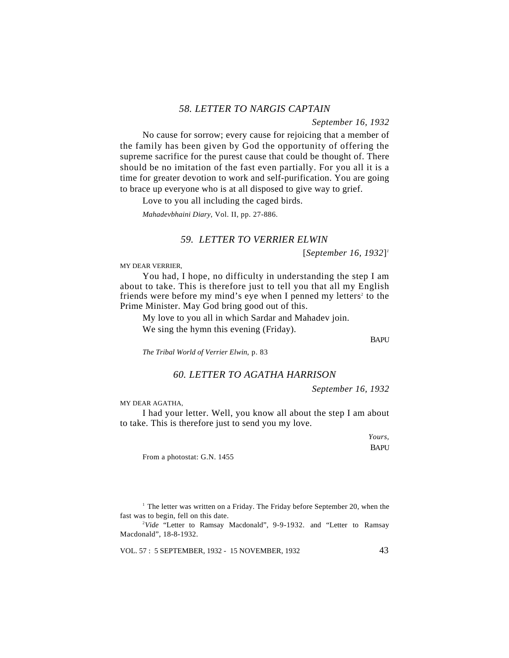# *58. LETTER TO NARGIS CAPTAIN*

### *September 16, 1932*

No cause for sorrow; every cause for rejoicing that a member of the family has been given by God the opportunity of offering the supreme sacrifice for the purest cause that could be thought of. There should be no imitation of the fast even partially. For you all it is a time for greater devotion to work and self-purification. You are going to brace up everyone who is at all disposed to give way to grief.

Love to you all including the caged birds.

*Mahadevbhaini Diary*, Vol. II, pp. 27-886.

### *59. LETTER TO VERRIER ELWIN*

[*September 16, 1932*] *1*

MY DEAR VERRIER,

You had, I hope, no difficulty in understanding the step I am about to take. This is therefore just to tell you that all my English friends were before my mind's eye when I penned my letters<sup>2</sup> to the Prime Minister. May God bring good out of this.

My love to you all in which Sardar and Mahadev join. We sing the hymn this evening (Friday).

**BAPU** 

*The Tribal World of Verrier Elwin*, p. 83

### *60. LETTER TO AGATHA HARRISON*

*September 16, 1932*

MY DEAR AGATHA,

I had your letter. Well, you know all about the step I am about to take. This is therefore just to send you my love.

> *Yours,* **BAPU**

From a photostat: G.N. 1455

 $1$  The letter was written on a Friday. The Friday before September 20, when the fast was to begin, fell on this date.

<sup>2</sup>Vide "Letter to Ramsay Macdonald", 9-9-1932. and "Letter to Ramsay Macdonald", 18-8-1932.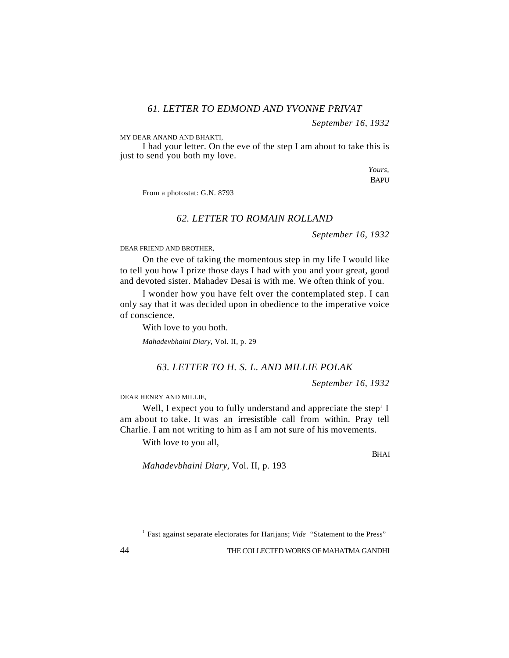# *61. LETTER TO EDMOND AND YVONNE PRIVAT*

*September 16, 1932*

MY DEAR ANAND AND BHAKTI,

I had your letter. On the eve of the step I am about to take this is just to send you both my love.

> *Yours,* **BAPU**

From a photostat: G.N. 8793

### *62. LETTER TO ROMAIN ROLLAND*

*September 16, 1932*

DEAR FRIEND AND BROTHER,

On the eve of taking the momentous step in my life I would like to tell you how I prize those days I had with you and your great, good and devoted sister. Mahadev Desai is with me. We often think of you.

I wonder how you have felt over the contemplated step. I can only say that it was decided upon in obedience to the imperative voice of conscience.

With love to you both. *Mahadevbhaini Diary*, Vol. II, p. 29

### *63. LETTER TO H. S. L. AND MILLIE POLAK*

*September 16, 1932*

DEAR HENRY AND MILLIE,

Well, I expect you to fully understand and appreciate the step $<sup>1</sup>$  I</sup> am about to take. It was an irresistible call from within. Pray tell Charlie. I am not writing to him as I am not sure of his movements.

With love to you all,

BHAI

*Mahadevbhaini Diary*, Vol. II, p. 193

<sup>1</sup> Fast against separate electorates for Harijans; Vide "Statement to the Press"

44 THE COLLECTED WORKS OF MAHATMA GANDHI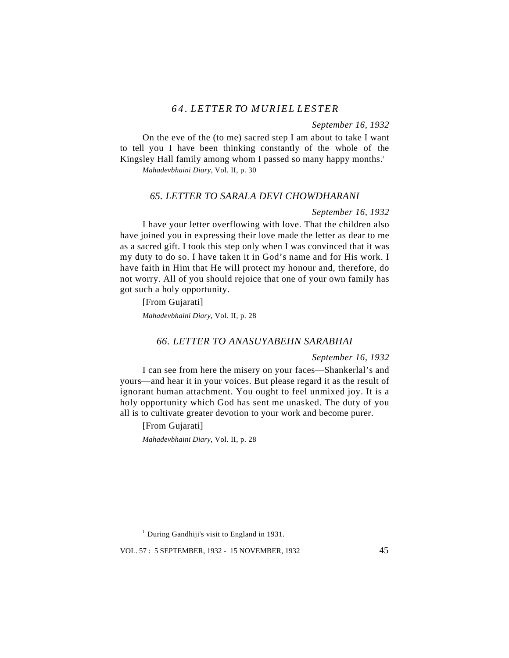# *6 4 . L E T T E R TO M U R I E L L E S T E R*

*September 16, 1932*

On the eve of the (to me) sacred step I am about to take I want to tell you I have been thinking constantly of the whole of the Kingsley Hall family among whom I passed so many happy months.<sup>1</sup> *Mahadevbhaini Diary,* Vol. II, p. 30

### *65. LETTER TO SARALA DEVI CHOWDHARANI*

### *September 16, 1932*

I have your letter overflowing with love. That the children also have joined you in expressing their love made the letter as dear to me as a sacred gift. I took this step only when I was convinced that it was my duty to do so. I have taken it in God's name and for His work. I have faith in Him that He will protect my honour and, therefore, do not worry. All of you should rejoice that one of your own family has got such a holy opportunity.

[From Gujarati]

*Mahadevbhaini Diary*, Vol. II, p. 28

### *66. LETTER TO ANASUYABEHN SARABHAI*

#### *September 16, 1932*

I can see from here the misery on your faces—Shankerlal's and yours—and hear it in your voices. But please regard it as the result of ignorant human attachment. You ought to feel unmixed joy. It is a holy opportunity which God has sent me unasked. The duty of you all is to cultivate greater devotion to your work and become purer.

[From Gujarati]

*Mahadevbhaini Diary*, Vol. II, p. 28

 $<sup>1</sup>$  During Gandhiji's visit to England in 1931.</sup>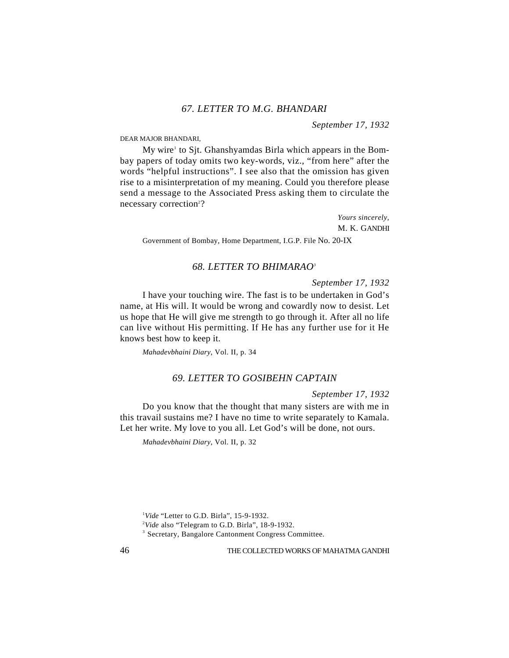# *67. LETTER TO M.G. BHANDARI*

*September 17, 1932*

DEAR MAJOR BHANDARI,

My wire<sup>1</sup> to Sjt. Ghanshyamdas Birla which appears in the Bombay papers of today omits two key-words, viz., "from here" after the words "helpful instructions". I see also that the omission has given rise to a misinterpretation of my meaning. Could you therefore please send a message to the Associated Press asking them to circulate the necessary correction<sup>2</sup>?

> *Yours sincerely,* M. K. GANDHI

Government of Bombay, Home Department, I.G.P. File No. 20-IX

# *68. LETTER TO BHIMARAO<sup>3</sup>*

*September 17, 1932*

I have your touching wire. The fast is to be undertaken in God's name, at His will. It would be wrong and cowardly now to desist. Let us hope that He will give me strength to go through it. After all no life can live without His permitting. If He has any further use for it He knows best how to keep it.

*Mahadevbhaini Diary*, Vol. II, p. 34

# *69. LETTER TO GOSIBEHN CAPTAIN*

*September 17, 1932*

Do you know that the thought that many sisters are with me in this travail sustains me? I have no time to write separately to Kamala. Let her write. My love to you all. Let God's will be done, not ours.

*Mahadevbhaini Diary*, Vol. II, p. 32

<sup>&</sup>lt;sup>1</sup>Vide "Letter to G.D. Birla", 15-9-1932.

<sup>2</sup>*Vide* also "Telegram to G.D. Birla", 18-9-1932.

<sup>&</sup>lt;sup>3</sup> Secretary, Bangalore Cantonment Congress Committee.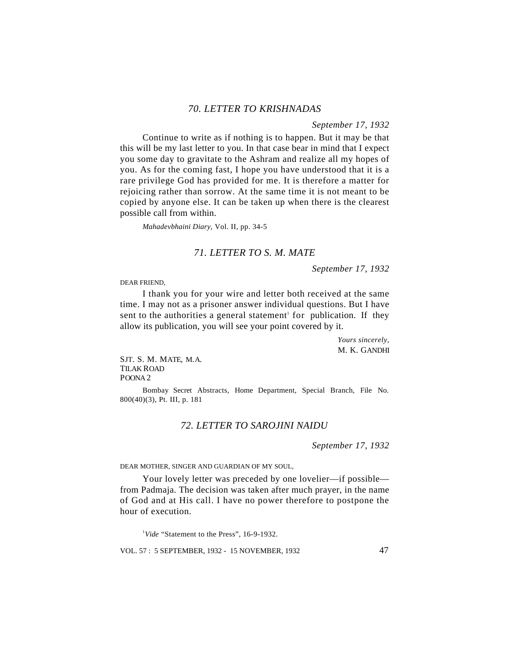# *70. LETTER TO KRISHNADAS*

*September 17, 1932*

Continue to write as if nothing is to happen. But it may be that this will be my last letter to you. In that case bear in mind that I expect you some day to gravitate to the Ashram and realize all my hopes of you. As for the coming fast, I hope you have understood that it is a rare privilege God has provided for me. It is therefore a matter for rejoicing rather than sorrow. At the same time it is not meant to be copied by anyone else. It can be taken up when there is the clearest possible call from within.

*Mahadevbhaini Diary*, Vol. II, pp. 34-5

### *71. LETTER TO S. M. MATE*

*September 17, 1932*

DEAR FRIEND,

I thank you for your wire and letter both received at the same time. I may not as a prisoner answer individual questions. But I have sent to the authorities a general statement<sup>1</sup> for publication. If they allow its publication, you will see your point covered by it.

> *Yours sincerely,* M. K. GANDHI

SJT. S. M. MATE, M.A. TILAK ROAD POONA 2

Bombay Secret Abstracts, Home Department, Special Branch, File No. 800(40)(3), Pt. III, p. 181

### *72. LETTER TO SAROJINI NAIDU*

*September 17, 1932*

DEAR MOTHER, SINGER AND GUARDIAN OF MY SOUL,

Your lovely letter was preceded by one lovelier—if possible from Padmaja. The decision was taken after much prayer, in the name of God and at His call. I have no power therefore to postpone the hour of execution.

<sup>1</sup>Vide "Statement to the Press", 16-9-1932.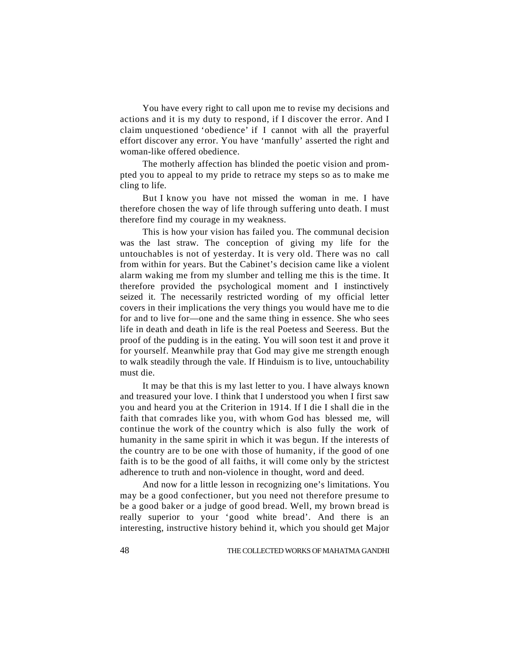You have every right to call upon me to revise my decisions and actions and it is my duty to respond, if I discover the error. And I claim unquestioned 'obedience' if I cannot with all the prayerful effort discover any error. You have 'manfully' asserted the right and woman-like offered obedience.

The motherly affection has blinded the poetic vision and prompted you to appeal to my pride to retrace my steps so as to make me cling to life.

But I know you have not missed the woman in me. I have therefore chosen the way of life through suffering unto death. I must therefore find my courage in my weakness.

This is how your vision has failed you. The communal decision was the last straw. The conception of giving my life for the untouchables is not of yesterday. It is very old. There was no call from within for years. But the Cabinet's decision came like a violent alarm waking me from my slumber and telling me this is the time. It therefore provided the psychological moment and I instinctively seized it. The necessarily restricted wording of my official letter covers in their implications the very things you would have me to die for and to live for—one and the same thing in essence. She who sees life in death and death in life is the real Poetess and Seeress. But the proof of the pudding is in the eating. You will soon test it and prove it for yourself. Meanwhile pray that God may give me strength enough to walk steadily through the vale. If Hinduism is to live, untouchability must die.

It may be that this is my last letter to you. I have always known and treasured your love. I think that I understood you when I first saw you and heard you at the Criterion in 1914. If I die I shall die in the faith that comrades like you, with whom God has blessed me, will continue the work of the country which is also fully the work of humanity in the same spirit in which it was begun. If the interests of the country are to be one with those of humanity, if the good of one faith is to be the good of all faiths, it will come only by the strictest adherence to truth and non-violence in thought, word and deed.

And now for a little lesson in recognizing one's limitations. You may be a good confectioner, but you need not therefore presume to be a good baker or a judge of good bread. Well, my brown bread is really superior to your 'good white bread'. And there is an interesting, instructive history behind it, which you should get Major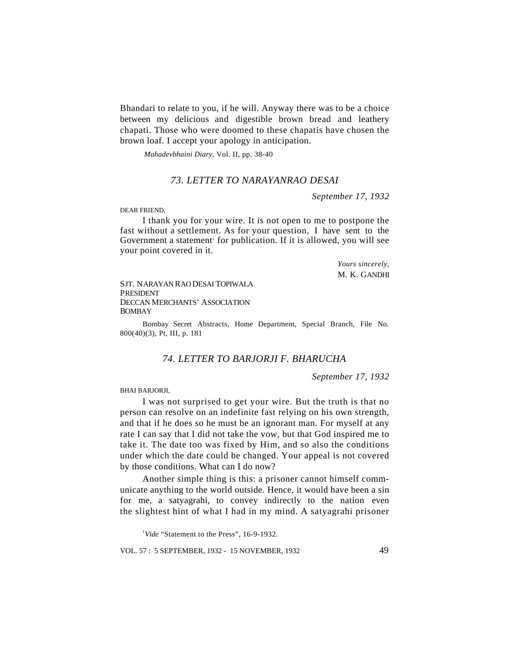Bhandari to relate to you, if he will. Anyway there was to be a choice between my delicious and digestible brown bread and leathery chapati. Those who were doomed to these chapatis have chosen the brown loaf. I accept your apology in anticipation.

*Mahadevbhaini Diary*, Vol. II, pp. 38-40

# *73. LETTER TO NARAYANRAO DESAI*

*September 17, 1932*

DEAR FRIEND,

I thank you for your wire. It is not open to me to postpone the fast without a settlement. As for your question, I have sent to the Government a statement<sup>1</sup> for publication. If it is allowed, you will see your point covered in it.

> *Yours sincerely,* M. K. GANDHI

SJT. NARAYAN RAO DESAI TOPIWALA PRESIDENT DECCAN MERCHANTS' ASSOCIATION BOMBAY

Bombay Secret Abstracts, Home Department, Special Branch, File No. 800(40)(3), Pt, III, p. 181

### *74. LETTER TO BARJORJI F. BHARUCHA*

*September 17, 1932*

BHAI BARJORJI,

I was not surprised to get your wire. But the truth is that no person can resolve on an indefinite fast relying on his own strength, and that if he does so he must be an ignorant man. For myself at any rate I can say that I did not take the vow, but that God inspired me to take it. The date too was fixed by Him, and so also the conditions under which the date could be changed. Your appeal is not covered by those conditions. What can I do now?

Another simple thing is this: a prisoner cannot himself communicate anything to the world outside. Hence, it would have been a sin for me, a satyagrahi, to convey indirectly to the nation even the slightest hint of what I had in my mind. A satyagrahi prisoner

<sup>1</sup>Vide "Statement to the Press", 16-9-1932.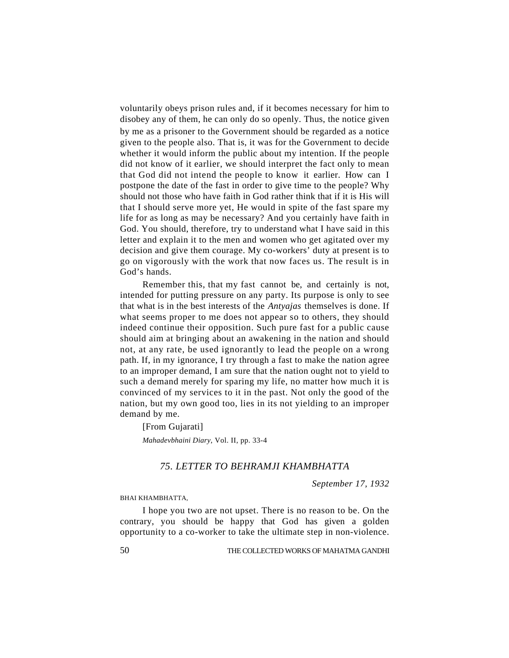voluntarily obeys prison rules and, if it becomes necessary for him to disobey any of them, he can only do so openly. Thus, the notice given by me as a prisoner to the Government should be regarded as a notice given to the people also. That is, it was for the Government to decide whether it would inform the public about my intention. If the people did not know of it earlier, we should interpret the fact only to mean that God did not intend the people to know it earlier. How can I postpone the date of the fast in order to give time to the people? Why should not those who have faith in God rather think that if it is His will that I should serve more yet, He would in spite of the fast spare my life for as long as may be necessary? And you certainly have faith in God. You should, therefore, try to understand what I have said in this letter and explain it to the men and women who get agitated over my decision and give them courage. My co-workers' duty at present is to go on vigorously with the work that now faces us. The result is in God's hands.

Remember this, that my fast cannot be, and certainly is not, intended for putting pressure on any party. Its purpose is only to see that what is in the best interests of the *Antyajas* themselves is done. If what seems proper to me does not appear so to others, they should indeed continue their opposition. Such pure fast for a public cause should aim at bringing about an awakening in the nation and should not, at any rate, be used ignorantly to lead the people on a wrong path. If, in my ignorance, I try through a fast to make the nation agree to an improper demand, I am sure that the nation ought not to yield to such a demand merely for sparing my life, no matter how much it is convinced of my services to it in the past. Not only the good of the nation, but my own good too, lies in its not yielding to an improper demand by me.

[From Gujarati] *Mahadevbhaini Diary*, Vol. II, pp. 33-4

# *75. LETTER TO BEHRAMJI KHAMBHATTA*

*September 17, 1932*

BHAI KHAMBHATTA,

I hope you two are not upset. There is no reason to be. On the contrary, you should be happy that God has given a golden opportunity to a co-worker to take the ultimate step in non-violence.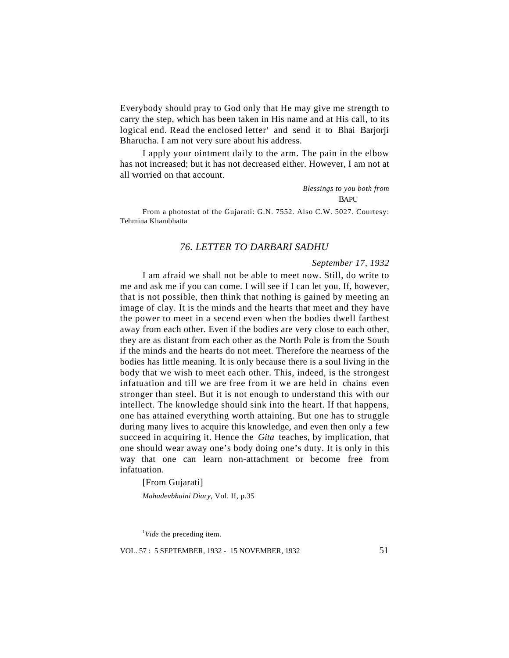Everybody should pray to God only that He may give me strength to carry the step, which has been taken in His name and at His call, to its logical end. Read the enclosed letter<sup>1</sup> and send it to Bhai Barjorji Bharucha. I am not very sure about his address.

I apply your ointment daily to the arm. The pain in the elbow has not increased; but it has not decreased either. However, I am not at all worried on that account.

> *Blessings to you both from* **BAPU**

From a photostat of the Gujarati: G.N. 7552. Also C.W. 5027. Courtesy: Tehmina Khambhatta

### *76. LETTER TO DARBARI SADHU*

# *September 17, 1932*

I am afraid we shall not be able to meet now. Still, do write to me and ask me if you can come. I will see if I can let you. If, however, that is not possible, then think that nothing is gained by meeting an image of clay. It is the minds and the hearts that meet and they have the power to meet in a secend even when the bodies dwell farthest away from each other. Even if the bodies are very close to each other, they are as distant from each other as the North Pole is from the South if the minds and the hearts do not meet. Therefore the nearness of the bodies has little meaning. It is only because there is a soul living in the body that we wish to meet each other. This, indeed, is the strongest infatuation and till we are free from it we are held in chains even stronger than steel. But it is not enough to understand this with our intellect. The knowledge should sink into the heart. If that happens, one has attained everything worth attaining. But one has to struggle during many lives to acquire this knowledge, and even then only a few succeed in acquiring it. Hence the *Gita* teaches, by implication, that one should wear away one's body doing one's duty. It is only in this way that one can learn non-attachment or become free from infatuation.

[From Gujarati]

*Mahadevbhaini Diary*, Vol. II, p.35

<sup>1</sup>*Vide* the preceding item.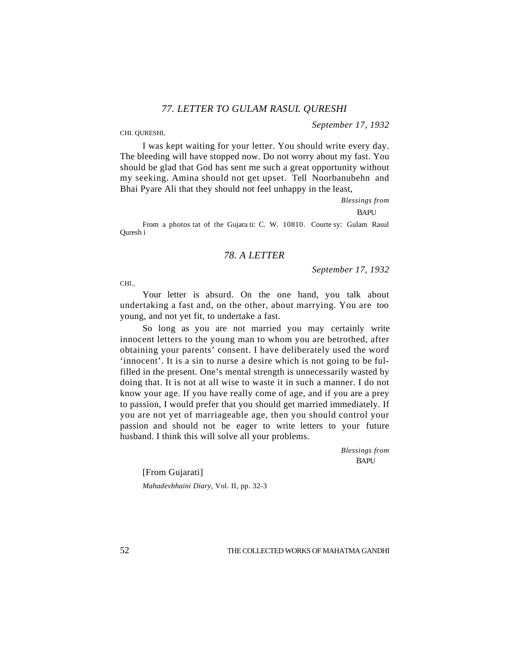*September 17, 1932*

CHI. QURESHI,

I was kept waiting for your letter. You should write every day. The bleeding will have stopped now. Do not worry about my fast. You should be glad that God has sent me such a great opportunity without my seeking. Amina should not get upset. Tell Noorbanubehn and Bhai Pyare Ali that they should not feel unhappy in the least,

*Blessings from*

**BAPU** 

From a photos tat of the Gujara ti: C. W. 10810. Courte sy: Gulam Rasul Quresh i

### *78. A LETTER*

*September 17, 1932*

CHI.,

Your letter is absurd. On the one hand, you talk about undertaking a fast and, on the other, about marrying. You are too young, and not yet fit, to undertake a fast.

So long as you are not married you may certainly write innocent letters to the young man to whom you are betrothed, after obtaining your parents' consent. I have deliberately used the word 'innocent'. It is a sin to nurse a desire which is not going to be fulfilled in the present. One's mental strength is unnecessarily wasted by doing that. It is not at all wise to waste it in such a manner. I do not know your age. If you have really come of age, and if you are a prey to passion, I would prefer that you should get married immediately. If you are not yet of marriageable age, then you should control your passion and should not be eager to write letters to your future husband. I think this will solve all your problems.

> *Blessings from* **BAPU**

[From Gujarati]

*Mahadevbhaini Diary,* Vol. II, pp. 32-3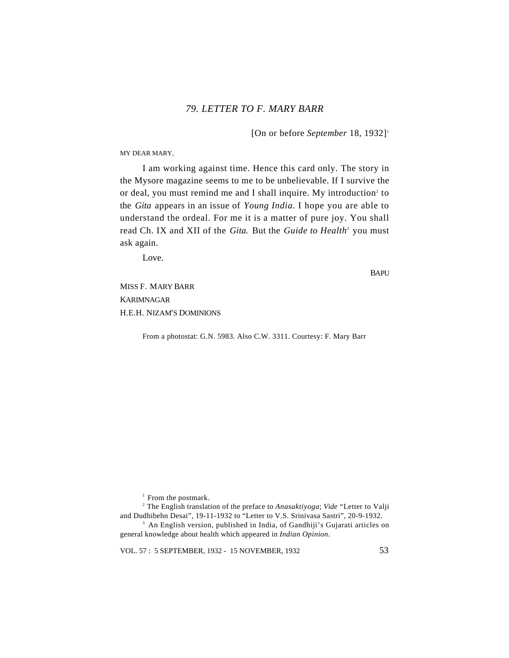# *79. LETTER TO F. MARY BARR*

[On or before *September* 18, 1932]<sup>1</sup>

MY DEAR MARY,

I am working against time. Hence this card only. The story in the Mysore magazine seems to me to be unbelievable. If I survive the or deal, you must remind me and I shall inquire. My introduction<sup>2</sup> to the *Gita* appears in an issue of *Young India.* I hope you are able to understand the ordeal. For me it is a matter of pure joy. You shall read Ch. IX and XII of the *Gita.* But the *Guide to Health<sup>3</sup>* you must ask again.

Love.

BAPU

MISS F. MARY BARR KARIMNAGAR H.E.H. NIZAM'S DOMINIONS

From a photostat: G.N. 5983. Also C.W. 3311. Courtesy: F. Mary Barr

<sup>1</sup> From the postmark.

2 The English translation of the preface to *Anasaktiyoga*; *Vide* "Letter to Valji and Dudhibehn Desai", 19-11-1932 to "Letter to V.S. Srinivasa Sastri", 20-9-1932.

<sup>&</sup>lt;sup>3</sup> An English version, published in India, of Gandhiji's Gujarati articles on general knowledge about health which appeared in *Indian Opinion.*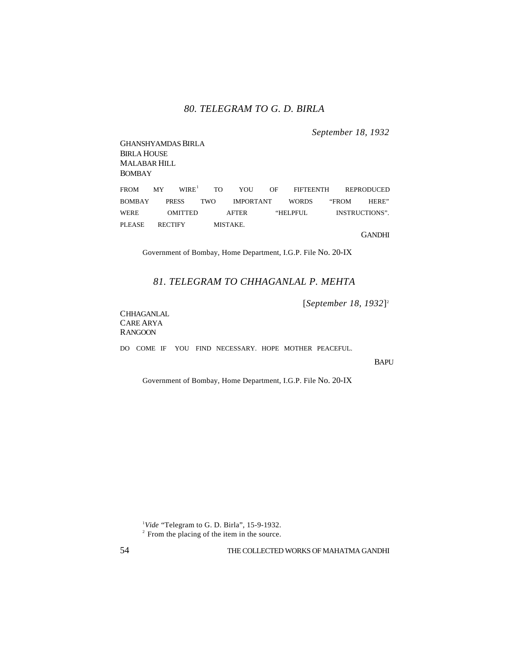# *80. TELEGRAM TO G. D. BIRLA*

*September 18, 1932*

GHANSHYAMDAS BIRLA BIRLA HOUSE MALABAR HILL BOMBAY

 $FROM$   $MY$   $WIRE<sup>1</sup>$  TO YOU OF FIFTEENTH REPRODUCED BOMBAY PRESS TWO IMPORTANT WORDS "FROM HERE" WERE OMITTED AFTER "HELPFUL INSTRUCTIONS". PLEASE RECTIFY MISTAKE.

GANDHI

Government of Bombay, Home Department, I.G.P. File No. 20-IX

# *81. TELEGRAM TO CHHAGANLAL P. MEHTA*

[*September 18, 1932*] 2

CHHAGANLAL CARE ARYA RANGOON

DO COME IF YOU FIND NECESSARY. HOPE MOTHER PEACEFUL.

**BAPU** 

Government of Bombay, Home Department, I.G.P. File No. 20-IX

<sup>1</sup>Vide "Telegram to G. D. Birla", 15-9-1932.

<sup>2</sup> From the placing of the item in the source.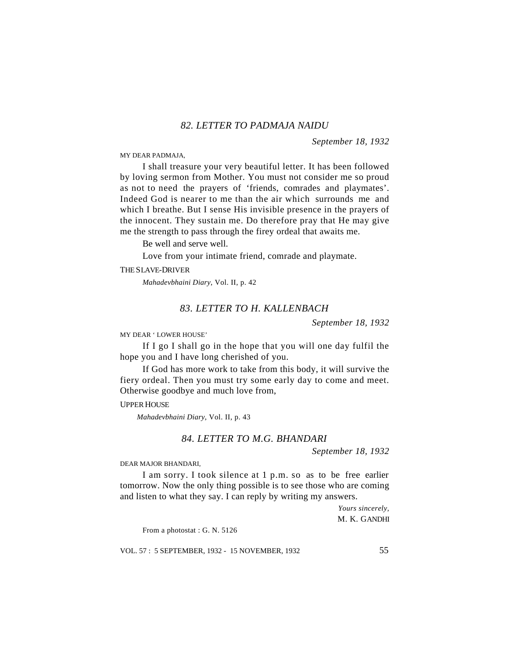*September 18, 1932*

MY DEAR PADMAJA,

I shall treasure your very beautiful letter. It has been followed by loving sermon from Mother. You must not consider me so proud as not to need the prayers of 'friends, comrades and playmates'. Indeed God is nearer to me than the air which surrounds me and which I breathe. But I sense His invisible presence in the prayers of the innocent. They sustain me. Do therefore pray that He may give me the strength to pass through the firey ordeal that awaits me.

Be well and serve well.

Love from your intimate friend, comrade and playmate.

THE SLAVE-DRIVER

*Mahadevbhaini Diary*, Vol. II, p. 42

# *83. LETTER TO H. KALLENBACH*

*September 18, 1932*

MY DEAR ' LOWER HOUSE'

If I go I shall go in the hope that you will one day fulfil the hope you and I have long cherished of you.

If God has more work to take from this body, it will survive the fiery ordeal. Then you must try some early day to come and meet. Otherwise goodbye and much love from,

### UPPER HOUSE

 *Mahadevbhaini Diary*, Vol. II, p. 43

### *84. LETTER TO M.G. BHANDARI*

*September 18, 1932*

DEAR MAJOR BHANDARI,

I am sorry. I took silence at 1 p.m. so as to be free earlier tomorrow. Now the only thing possible is to see those who are coming and listen to what they say. I can reply by writing my answers.

> *Yours sincerely,* M. K. GANDHI

From a photostat : G. N. 5126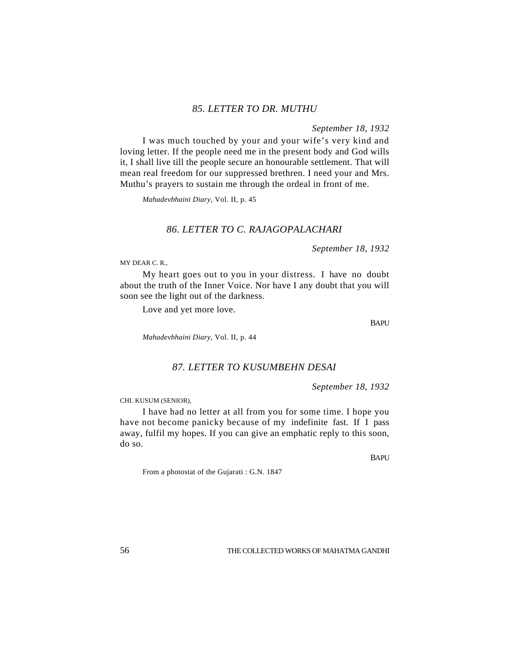# *85. LETTER TO DR. MUTHU*

*September 18, 1932*

I was much touched by your and your wife's very kind and loving letter. If the people need me in the present body and God wills it, I shall live till the people secure an honourable settlement. That will mean real freedom for our suppressed brethren. I need your and Mrs. Muthu's prayers to sustain me through the ordeal in front of me.

*Mahadevbhaini Diary*, Vol. II, p. 45

# *86. LETTER TO C. RAJAGOPALACHARI*

*September 18, 1932*

MY DEAR C. R.,

My heart goes out to you in your distress. I have no doubt about the truth of the Inner Voice. Nor have I any doubt that you will soon see the light out of the darkness.

Love and yet more love.

**BAPU** 

*Mahadevbhaini Diary*, Vol. II, p. 44

# *87. LETTER TO KUSUMBEHN DESAI*

*September 18, 1932*

CHI. KUSUM (SENIOR),

I have had no letter at all from you for some time. I hope you have not become panicky because of my indefinite fast. If I pass away, fulfil my hopes. If you can give an emphatic reply to this soon, do so.

**BAPU** 

From a photostat of the Gujarati : G.N. 1847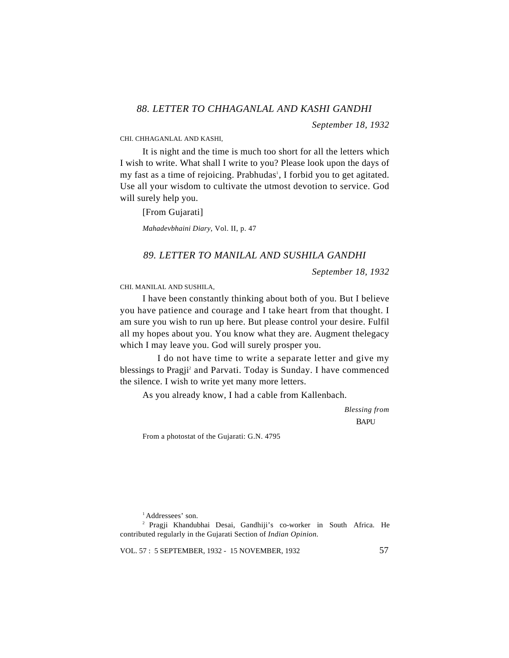# *88. LETTER TO CHHAGANLAL AND KASHI GANDHI*

*September 18, 1932*

CHI. CHHAGANLAL AND KASHI,

It is night and the time is much too short for all the letters which I wish to write. What shall I write to you? Please look upon the days of my fast as a time of rejoicing. Prabhudas<sup>1</sup>, I forbid you to get agitated. Use all your wisdom to cultivate the utmost devotion to service. God will surely help you.

[From Gujarati]

*Mahadevbhaini Diary*, Vol. II, p. 47

### *89. LETTER TO MANILAL AND SUSHILA GANDHI*

*September 18, 1932*

CHI. MANILAL AND SUSHILA,

I have been constantly thinking about both of you. But I believe you have patience and courage and I take heart from that thought. I am sure you wish to run up here. But please control your desire. Fulfil all my hopes about you. You know what they are. Augment thelegacy which I may leave you. God will surely prosper you.

I do not have time to write a separate letter and give my blessings to Pragji<sup>2</sup> and Parvati. Today is Sunday. I have commenced the silence. I wish to write yet many more letters.

As you already know, I had a cable from Kallenbach.

*Blessing from* **BAPU** 

From a photostat of the Gujarati: G.N. 4795

<sup>1</sup>Addressees' son.

<sup>2</sup> Pragji Khandubhai Desai, Gandhiji's co-worker in South Africa. He contributed regularly in the Gujarati Section of *Indian Opinion.*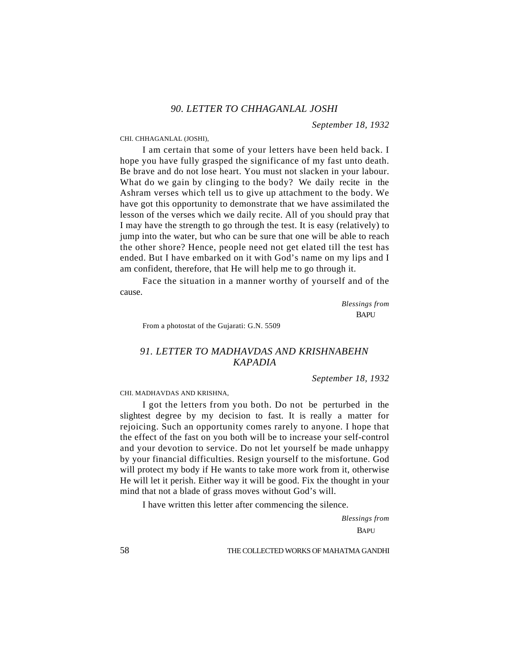*September 18, 1932*

#### CHI. CHHAGANLAL (JOSHI),

I am certain that some of your letters have been held back. I hope you have fully grasped the significance of my fast unto death. Be brave and do not lose heart. You must not slacken in your labour. What do we gain by clinging to the body? We daily recite in the Ashram verses which tell us to give up attachment to the body. We have got this opportunity to demonstrate that we have assimilated the lesson of the verses which we daily recite. All of you should pray that I may have the strength to go through the test. It is easy (relatively) to jump into the water, but who can be sure that one will be able to reach the other shore? Hence, people need not get elated till the test has ended. But I have embarked on it with God's name on my lips and I am confident, therefore, that He will help me to go through it.

Face the situation in a manner worthy of yourself and of the cause.

> *Blessings from* **BAPU**

From a photostat of the Gujarati: G.N. 5509

# *91. LETTER TO MADHAVDAS AND KRISHNABEHN KAPADIA*

*September 18, 1932*

CHI. MADHAVDAS AND KRISHNA,

I got the letters from you both. Do not be perturbed in the slightest degree by my decision to fast. It is really a matter for rejoicing. Such an opportunity comes rarely to anyone. I hope that the effect of the fast on you both will be to increase your self-control and your devotion to service. Do not let yourself be made unhappy by your financial difficulties. Resign yourself to the misfortune. God will protect my body if He wants to take more work from it, otherwise He will let it perish. Either way it will be good. Fix the thought in your mind that not a blade of grass moves without God's will.

I have written this letter after commencing the silence.

 *Blessings from* BAPU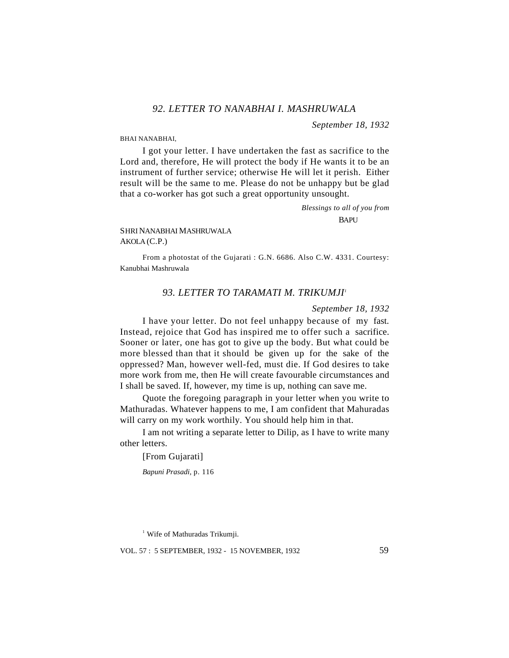### *92. LETTER TO NANABHAI I. MASHRUWALA*

*September 18, 1932*

### BHAI NANABHAI,

I got your letter. I have undertaken the fast as sacrifice to the Lord and, therefore, He will protect the body if He wants it to be an instrument of further service; otherwise He will let it perish. Either result will be the same to me. Please do not be unhappy but be glad that a co-worker has got such a great opportunity unsought.

> *Blessings to all of you from* **BAPU**

### SHRI NANABHAI MASHRUWALA AKOLA (C.P.)

From a photostat of the Gujarati : G.N. 6686. Also C.W. 4331. Courtesy: Kanubhai Mashruwala

# *93. LETTER TO TARAMATI M. TRIKUMJI<sup>1</sup>*

### *September 18, 1932*

I have your letter. Do not feel unhappy because of my fast. Instead, rejoice that God has inspired me to offer such a sacrifice. Sooner or later, one has got to give up the body. But what could be more blessed than that it should be given up for the sake of the oppressed? Man, however well-fed, must die. If God desires to take more work from me, then He will create favourable circumstances and I shall be saved. If, however, my time is up, nothing can save me.

Quote the foregoing paragraph in your letter when you write to Mathuradas. Whatever happens to me, I am confident that Mahuradas will carry on my work worthily. You should help him in that.

I am not writing a separate letter to Dilip, as I have to write many other letters.

[From Gujarati]

*Bapuni Prasadi,* p. 116

<sup>1</sup> Wife of Mathuradas Trikumji.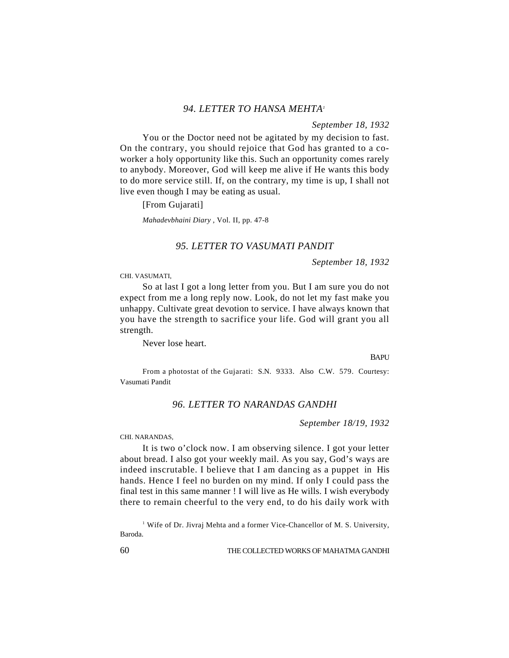# *94. LETTER TO HANSA MEHTA<sup>1</sup>*

### *September 18, 1932*

You or the Doctor need not be agitated by my decision to fast. On the contrary, you should rejoice that God has granted to a coworker a holy opportunity like this. Such an opportunity comes rarely to anybody. Moreover, God will keep me alive if He wants this body to do more service still. If, on the contrary, my time is up, I shall not live even though I may be eating as usual.

[From Gujarati]

*Mahadevbhaini Diary ,* Vol. II, pp. 47-8

### *95. LETTER TO VASUMATI PANDIT*

*September 18, 1932*

CHI. VASUMATI,

So at last I got a long letter from you. But I am sure you do not expect from me a long reply now. Look, do not let my fast make you unhappy. Cultivate great devotion to service. I have always known that you have the strength to sacrifice your life. God will grant you all strength.

Never lose heart.

**BAPU** 

From a photostat of the Gujarati: S.N. 9333. Also C.W. 579. Courtesy: Vasumati Pandit

# *96. LETTER TO NARANDAS GANDHI*

*September 18/19, 1932*

CHI. NARANDAS,

It is two o'clock now. I am observing silence. I got your letter about bread. I also got your weekly mail. As you say, God's ways are indeed inscrutable. I believe that I am dancing as a puppet in His hands. Hence I feel no burden on my mind. If only I could pass the final test in this same manner ! I will live as He wills. I wish everybody there to remain cheerful to the very end, to do his daily work with

<sup>&</sup>lt;sup>1</sup> Wife of Dr. Jivraj Mehta and a former Vice-Chancellor of M. S. University, Baroda.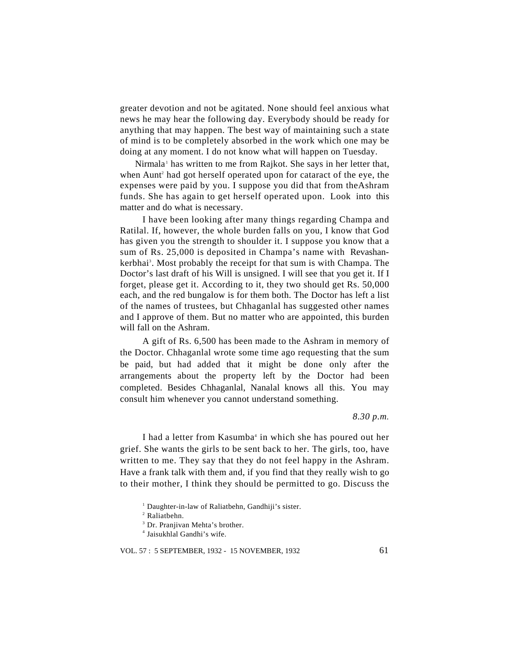greater devotion and not be agitated. None should feel anxious what news he may hear the following day. Everybody should be ready for anything that may happen. The best way of maintaining such a state of mind is to be completely absorbed in the work which one may be doing at any moment. I do not know what will happen on Tuesday.

Nirmala<sup>1</sup> has written to me from Rajkot. She says in her letter that, when Aunt<sup>2</sup> had got herself operated upon for cataract of the eye, the expenses were paid by you. I suppose you did that from theAshram funds. She has again to get herself operated upon. Look into this matter and do what is necessary.

I have been looking after many things regarding Champa and Ratilal. If, however, the whole burden falls on you, I know that God has given you the strength to shoulder it. I suppose you know that a sum of Rs. 25,000 is deposited in Champa's name with Revashankerbhai<sup>3</sup>. Most probably the receipt for that sum is with Champa. The Doctor's last draft of his Will is unsigned. I will see that you get it. If I forget, please get it. According to it, they two should get Rs. 50,000 each, and the red bungalow is for them both. The Doctor has left a list of the names of trustees, but Chhaganlal has suggested other names and I approve of them. But no matter who are appointed, this burden will fall on the Ashram.

A gift of Rs. 6,500 has been made to the Ashram in memory of the Doctor. Chhaganlal wrote some time ago requesting that the sum be paid, but had added that it might be done only after the arrangements about the property left by the Doctor had been completed. Besides Chhaganlal, Nanalal knows all this. You may consult him whenever you cannot understand something.

*8.30 p.m.*

I had a letter from Kasumba<sup>4</sup> in which she has poured out her grief. She wants the girls to be sent back to her. The girls, too, have written to me. They say that they do not feel happy in the Ashram. Have a frank talk with them and, if you find that they really wish to go to their mother, I think they should be permitted to go. Discuss the

<sup>1</sup> Daughter-in-law of Raliatbehn, Gandhiji's sister.

<sup>2</sup> Raliatbehn.

<sup>3</sup> Dr. Pranjivan Mehta's brother.

4 Jaisukhlal Gandhi's wife.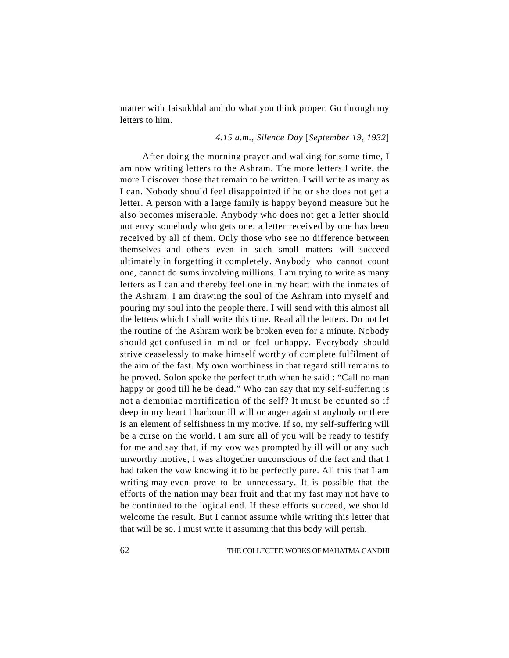matter with Jaisukhlal and do what you think proper. Go through my letters to him.

### *4.15 a.m., Silence Day* [*September 19, 1932*]

After doing the morning prayer and walking for some time, I am now writing letters to the Ashram. The more letters I write, the more I discover those that remain to be written. I will write as many as I can. Nobody should feel disappointed if he or she does not get a letter. A person with a large family is happy beyond measure but he also becomes miserable. Anybody who does not get a letter should not envy somebody who gets one; a letter received by one has been received by all of them. Only those who see no difference between themselves and others even in such small matters will succeed ultimately in forgetting it completely. Anybody who cannot count one, cannot do sums involving millions. I am trying to write as many letters as I can and thereby feel one in my heart with the inmates of the Ashram. I am drawing the soul of the Ashram into myself and pouring my soul into the people there. I will send with this almost all the letters which I shall write this time. Read all the letters. Do not let the routine of the Ashram work be broken even for a minute. Nobody should get confused in mind or feel unhappy. Everybody should strive ceaselessly to make himself worthy of complete fulfilment of the aim of the fast. My own worthiness in that regard still remains to be proved. Solon spoke the perfect truth when he said : "Call no man happy or good till he be dead." Who can say that my self-suffering is not a demoniac mortification of the self? It must be counted so if deep in my heart I harbour ill will or anger against anybody or there is an element of selfishness in my motive. If so, my self-suffering will be a curse on the world. I am sure all of you will be ready to testify for me and say that, if my vow was prompted by ill will or any such unworthy motive, I was altogether unconscious of the fact and that I had taken the vow knowing it to be perfectly pure. All this that I am writing may even prove to be unnecessary. It is possible that the efforts of the nation may bear fruit and that my fast may not have to be continued to the logical end. If these efforts succeed, we should welcome the result. But I cannot assume while writing this letter that that will be so. I must write it assuming that this body will perish.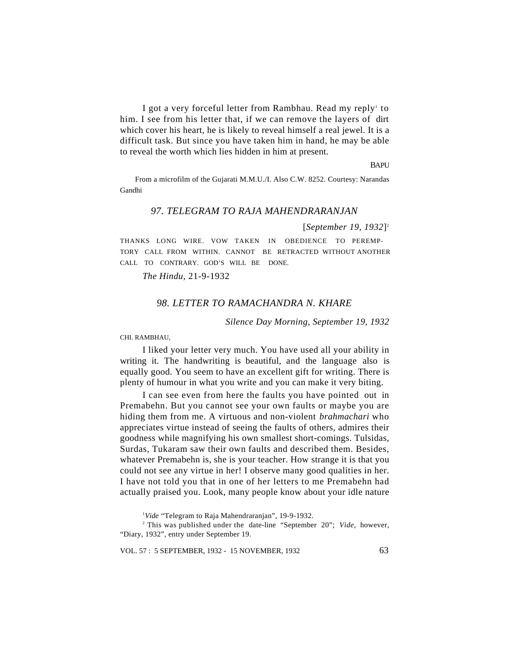I got a very forceful letter from Rambhau. Read my reply<sup>1</sup> to him. I see from his letter that, if we can remove the layers of dirt which cover his heart, he is likely to reveal himself a real jewel. It is a difficult task. But since you have taken him in hand, he may be able to reveal the worth which lies hidden in him at present.

**BAPU** 

From a microfilm of the Gujarati M.M.U./I. Also C.W. 8252. Courtesy: Narandas Gandhi

# *97. TELEGRAM TO RAJA MAHENDRARANJAN*

[*September 19, 1932*] 2

THANKS LONG WIRE. VOW TAKEN IN OBEDIENCE TO PEREMP-TORY CALL FROM WITHIN. CANNOT BE RETRACTED WITHOUT ANOTHER CALL TO CONTRARY. GOD'S WILL BE DONE.

*The Hindu,* 21-9-1932

# *98. LETTER TO RAMACHANDRA N. KHARE*

*Silence Day Morning, September 19, 1932*

CHI. RAMBHAU,

I liked your letter very much. You have used all your ability in writing it. The handwriting is beautiful, and the language also is equally good. You seem to have an excellent gift for writing. There is plenty of humour in what you write and you can make it very biting.

I can see even from here the faults you have pointed out in Premabehn. But you cannot see your own faults or maybe you are hiding them from me. A virtuous and non-violent *brahmachari* who appreciates virtue instead of seeing the faults of others, admires their goodness while magnifying his own smallest short-comings. Tulsidas, Surdas, Tukaram saw their own faults and described them. Besides, whatever Premabehn is, she is your teacher. How strange it is that you could not see any virtue in her! I observe many good qualities in her. I have not told you that in one of her letters to me Premabehn had actually praised you. Look, many people know about your idle nature

<sup>1</sup>Vide "Telegram to Raja Mahendraranjan", 19-9-1932.

2 This was published under the date-line "September 20"; *Vide,* however, "Diary, 1932", entry under September 19.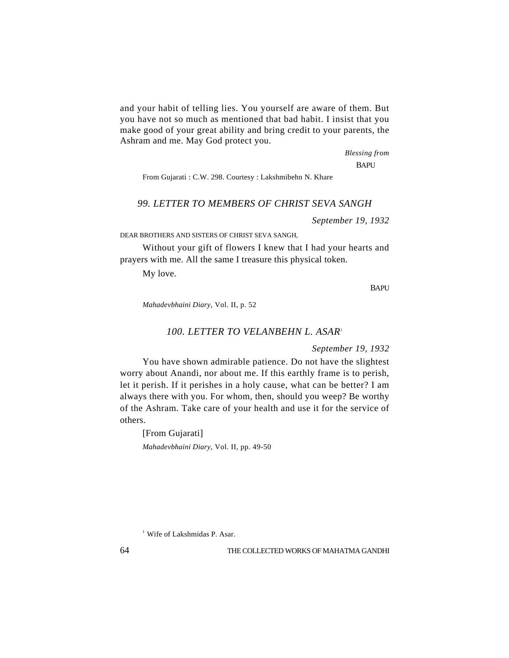and your habit of telling lies. You yourself are aware of them. But you have not so much as mentioned that bad habit. I insist that you make good of your great ability and bring credit to your parents, the Ashram and me. May God protect you.

> *Blessing from* **BAPU**

From Gujarati : C.W. 298. Courtesy : Lakshmibehn N. Khare

# *99. LETTER TO MEMBERS OF CHRIST SEVA SANGH*

*September 19, 1932*

DEAR BROTHERS AND SISTERS OF CHRIST SEVA SANGH,

Without your gift of flowers I knew that I had your hearts and prayers with me. All the same I treasure this physical token.

My love.

**BAPU** 

*Mahadevbhaini Diary*, Vol. II, p. 52

### *100. LETTER TO VELANBEHN L. ASAR*<sup>1</sup>

*September 19, 1932*

You have shown admirable patience. Do not have the slightest worry about Anandi, nor about me. If this earthly frame is to perish, let it perish. If it perishes in a holy cause, what can be better? I am always there with you. For whom, then, should you weep? Be worthy of the Ashram. Take care of your health and use it for the service of others.

[From Gujarati] *Mahadevbhaini Diary*, Vol. II, pp. 49-50

<sup>1</sup> Wife of Lakshmidas P. Asar.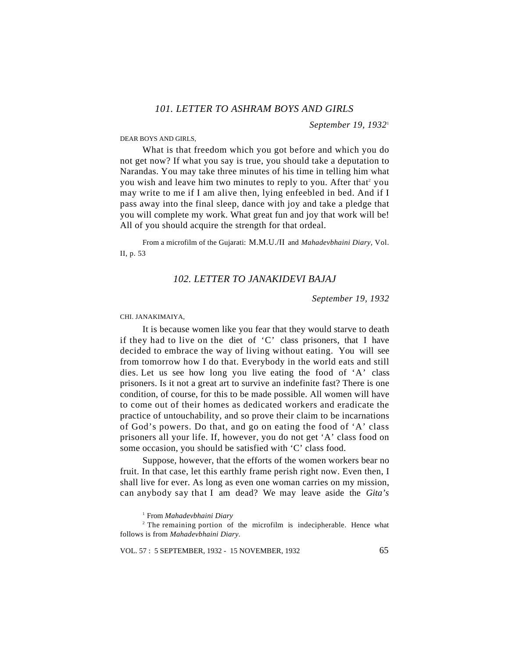*September 19, 1932*<sup>1</sup>

DEAR BOYS AND GIRLS,

What is that freedom which you got before and which you do not get now? If what you say is true, you should take a deputation to Narandas. You may take three minutes of his time in telling him what you wish and leave him two minutes to reply to you. After that<sup>2</sup> you may write to me if I am alive then, lying enfeebled in bed. And if I pass away into the final sleep, dance with joy and take a pledge that you will complete my work. What great fun and joy that work will be! All of you should acquire the strength for that ordeal.

From a microfilm of the Gujarati: M.M.U./II and *Mahadevbhaini Diary,* Vol. II, p. 53

# *102. LETTER TO JANAKIDEVI BAJAJ*

*September 19, 1932*

CHI. JANAKIMAIYA,

It is because women like you fear that they would starve to death if they had to live on the diet of 'C' class prisoners, that I have decided to embrace the way of living without eating. You will see from tomorrow how I do that. Everybody in the world eats and still dies. Let us see how long you live eating the food of 'A' class prisoners. Is it not a great art to survive an indefinite fast? There is one condition, of course, for this to be made possible. All women will have to come out of their homes as dedicated workers and eradicate the practice of untouchability, and so prove their claim to be incarnations of God's powers. Do that, and go on eating the food of 'A' class prisoners all your life. If, however, you do not get 'A' class food on some occasion, you should be satisfied with 'C' class food.

Suppose, however, that the efforts of the women workers bear no fruit. In that case, let this earthly frame perish right now. Even then, I shall live for ever. As long as even one woman carries on my mission, can anybody say that I am dead? We may leave aside the *Gita's*

1 From *Mahadevbhaini Diary*

<sup>2</sup> The remaining portion of the microfilm is indecipherable. Hence what follows is from *Mahadevbhaini Diary.*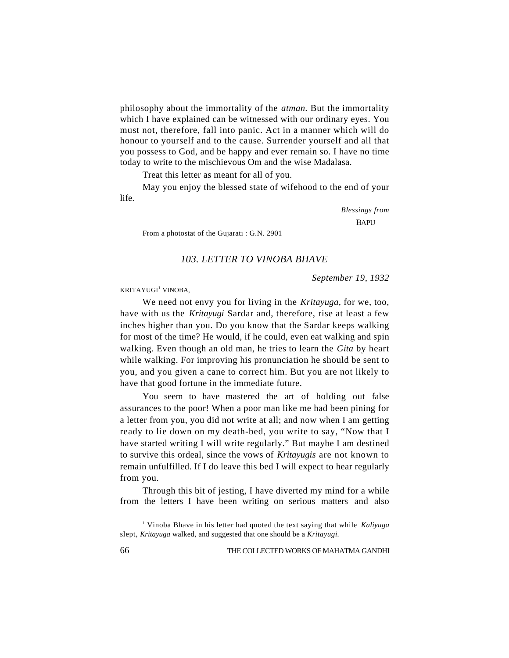philosophy about the immortality of the *atman.* But the immortality which I have explained can be witnessed with our ordinary eyes. You must not, therefore, fall into panic. Act in a manner which will do honour to yourself and to the cause. Surrender yourself and all that you possess to God, and be happy and ever remain so. I have no time today to write to the mischievous Om and the wise Madalasa.

Treat this letter as meant for all of you.

May you enjoy the blessed state of wifehood to the end of your life.

> *Blessings from* **BAPU**

From a photostat of the Gujarati : G.N. 2901

# *103. LETTER TO VINOBA BHAVE*

*September 19, 1932*

 $\rm KRITAYUGI^{1}$  VINOBA,

We need not envy you for living in the *Kritayuga,* for we, too, have with us the *Kritayugi* Sardar and, therefore, rise at least a few inches higher than you. Do you know that the Sardar keeps walking for most of the time? He would, if he could, even eat walking and spin walking. Even though an old man, he tries to learn the *Gita* by heart while walking. For improving his pronunciation he should be sent to you, and you given a cane to correct him. But you are not likely to have that good fortune in the immediate future.

You seem to have mastered the art of holding out false assurances to the poor! When a poor man like me had been pining for a letter from you, you did not write at all; and now when I am getting ready to lie down on my death-bed, you write to say, "Now that I have started writing I will write regularly." But maybe I am destined to survive this ordeal, since the vows of *Kritayugis* are not known to remain unfulfilled. If I do leave this bed I will expect to hear regularly from you.

Through this bit of jesting, I have diverted my mind for a while from the letters I have been writing on serious matters and also

<sup>&</sup>lt;sup>1</sup> Vinoba Bhave in his letter had quoted the text saying that while *Kaliyuga* slept, *Kritayuga* walked, and suggested that one should be a *Kritayugi.*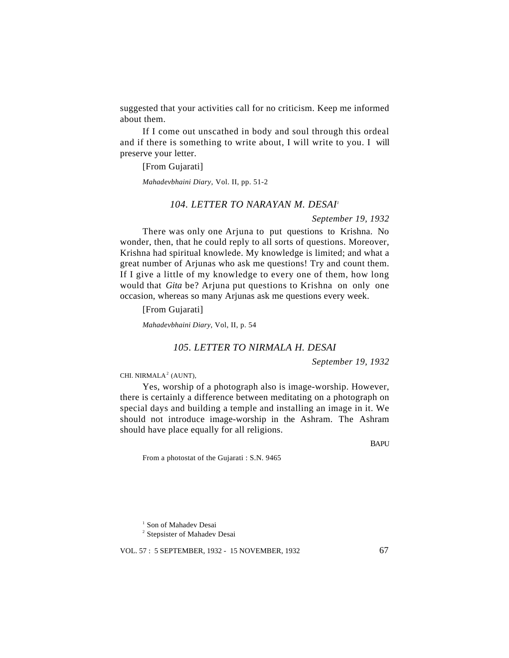suggested that your activities call for no criticism. Keep me informed about them.

If I come out unscathed in body and soul through this ordeal and if there is something to write about, I will write to you. I will preserve your letter.

[From Gujarati]

*Mahadevbhaini Diary,* Vol. II, pp. 51-2

# *104. LETTER TO NARAYAN M. DESAI<sup>1</sup>*

*September 19, 1932*

There was only one Arjuna to put questions to Krishna. No wonder, then, that he could reply to all sorts of questions. Moreover, Krishna had spiritual knowlede. My knowledge is limited; and what a great number of Arjunas who ask me questions! Try and count them. If I give a little of my knowledge to every one of them, how long would that *Gita* be? Arjuna put questions to Krishna on only one occasion, whereas so many Arjunas ask me questions every week.

[From Gujarati]

*Mahadevbhaini Diary*, Vol, II, p. 54

# *105. LETTER TO NIRMALA H. DESAI*

*September 19, 1932*

CHI. NIRMALA $<sup>2</sup>$  (AUNT),</sup>

Yes, worship of a photograph also is image-worship. However, there is certainly a difference between meditating on a photograph on special days and building a temple and installing an image in it. We should not introduce image-worship in the Ashram. The Ashram should have place equally for all religions.

**BAPU** 

From a photostat of the Gujarati : S.N. 9465

<sup>&</sup>lt;sup>1</sup> Son of Mahadev Desai

<sup>&</sup>lt;sup>2</sup> Stepsister of Mahadev Desai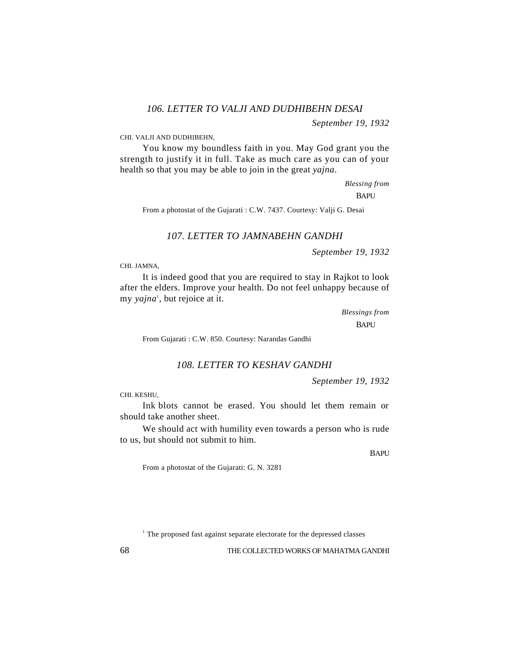# *106. LETTER TO VALJI AND DUDHIBEHN DESAI*

*September 19, 1932*

CHI. VALJI AND DUDHIBEHN,

You know my boundless faith in you. May God grant you the strength to justify it in full. Take as much care as you can of your health so that you may be able to join in the great *yajna*.

> *Blessing from* BAPU

From a photostat of the Gujarati : C.W. 7437. Courtesy: Valji G. Desai

### *107. LETTER TO JAMNABEHN GANDHI*

*September 19, 1932*

CHI. JAMNA,

It is indeed good that you are required to stay in Rajkot to look after the elders. Improve your health. Do not feel unhappy because of my *yajna*<sup>1</sup>, but rejoice at it.

> *Blessings from* **BAPU**

From Gujarati : C.W. 850. Courtesy: Narandas Gandhi

### *108. LETTER TO KESHAV GANDHI*

*September 19, 1932*

CHI. KESHU,

Ink blots cannot be erased. You should let them remain or should take another sheet.

We should act with humility even towards a person who is rude to us, but should not submit to him.

**BAPU** 

From a photostat of the Gujarati: G. N. 3281

<sup>1</sup> The proposed fast against separate electorate for the depressed classes

68 THE COLLECTED WORKS OF MAHATMA GANDHI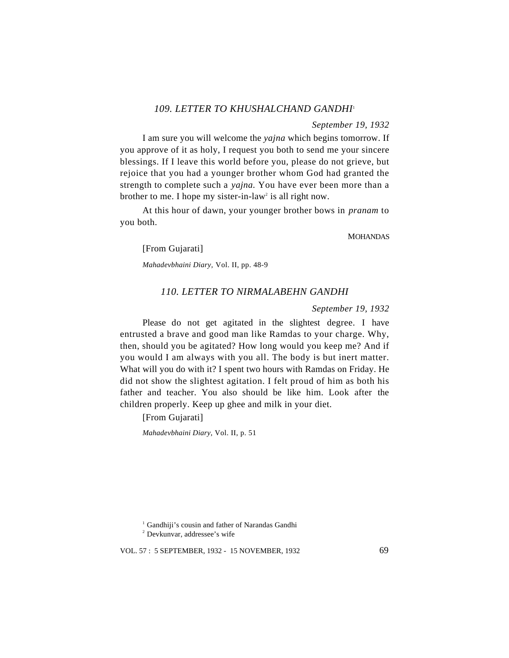### *109. LETTER TO KHUSHALCHAND GANDHI*<sup>1</sup>

### *September 19, 1932*

I am sure you will welcome the *yajna* which begins tomorrow. If you approve of it as holy, I request you both to send me your sincere blessings. If I leave this world before you, please do not grieve, but rejoice that you had a younger brother whom God had granted the strength to complete such a *yajna.* You have ever been more than a brother to me. I hope my sister-in-law<sup>2</sup> is all right now.

At this hour of dawn, your younger brother bows in *pranam* to you both.

**MOHANDAS** 

[From Gujarati]

*Mahadevbhaini Diary,* Vol. II, pp. 48-9

# *110. LETTER TO NIRMALABEHN GANDHI*

### *September 19, 1932*

Please do not get agitated in the slightest degree. I have entrusted a brave and good man like Ramdas to your charge. Why, then, should you be agitated? How long would you keep me? And if you would I am always with you all. The body is but inert matter. What will you do with it? I spent two hours with Ramdas on Friday. He did not show the slightest agitation. I felt proud of him as both his father and teacher. You also should be like him. Look after the children properly. Keep up ghee and milk in your diet.

[From Gujarati]

*Mahadevbhaini Diary*, Vol. II, p. 51

<sup>&</sup>lt;sup>1</sup> Gandhiji's cousin and father of Narandas Gandhi

<sup>2</sup> Devkunvar, addressee's wife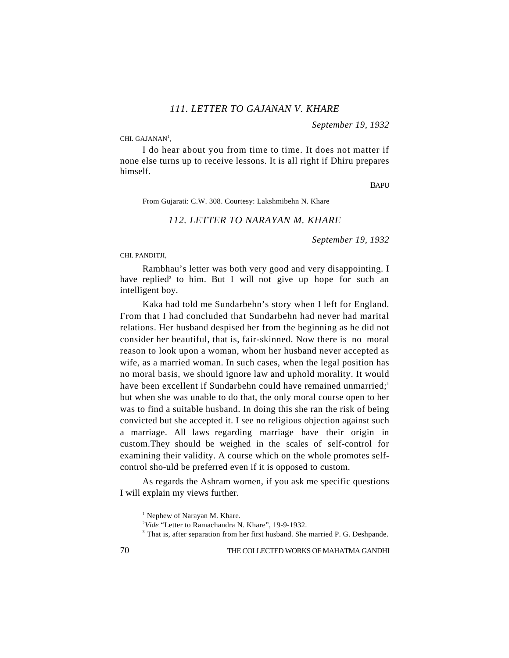*September 19, 1932*

CHI. GAJANAN<sup>1</sup>,

I do hear about you from time to time. It does not matter if none else turns up to receive lessons. It is all right if Dhiru prepares himself.

**BAPU** 

From Gujarati: C.W. 308. Courtesy: Lakshmibehn N. Khare

*112. LETTER TO NARAYAN M. KHARE*

*September 19, 1932*

CHI. PANDITJI,

Rambhau's letter was both very good and very disappointing. I have replied<sup>2</sup> to him. But I will not give up hope for such an intelligent boy.

Kaka had told me Sundarbehn's story when I left for England. From that I had concluded that Sundarbehn had never had marital relations. Her husband despised her from the beginning as he did not consider her beautiful, that is, fair-skinned. Now there is no moral reason to look upon a woman, whom her husband never accepted as wife, as a married woman. In such cases, when the legal position has no moral basis, we should ignore law and uphold morality. It would have been excellent if Sundarbehn could have remained unmarried;<sup>1</sup> but when she was unable to do that, the only moral course open to her was to find a suitable husband. In doing this she ran the risk of being convicted but she accepted it. I see no religious objection against such a marriage. All laws regarding marriage have their origin in custom.They should be weighed in the scales of self-control for examining their validity. A course which on the whole promotes selfcontrol sho-uld be preferred even if it is opposed to custom.

As regards the Ashram women, if you ask me specific questions I will explain my views further.

<sup>&</sup>lt;sup>1</sup> Nephew of Narayan M. Khare.

<sup>2</sup>*Vide* "Letter to Ramachandra N. Khare", 19-9-1932.

<sup>&</sup>lt;sup>3</sup> That is, after separation from her first husband. She married P. G. Deshpande.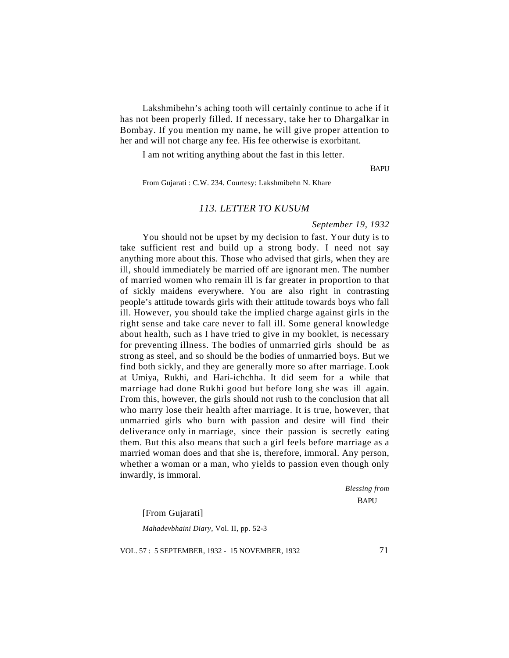Lakshmibehn's aching tooth will certainly continue to ache if it has not been properly filled. If necessary, take her to Dhargalkar in Bombay. If you mention my name, he will give proper attention to her and will not charge any fee. His fee otherwise is exorbitant.

I am not writing anything about the fast in this letter.

BAPU

From Gujarati : C.W. 234. Courtesy: Lakshmibehn N. Khare

# *113. LETTER TO KUSUM*

### *September 19, 1932*

You should not be upset by my decision to fast. Your duty is to take sufficient rest and build up a strong body. I need not say anything more about this. Those who advised that girls, when they are ill, should immediately be married off are ignorant men. The number of married women who remain ill is far greater in proportion to that of sickly maidens everywhere. You are also right in contrasting people's attitude towards girls with their attitude towards boys who fall ill. However, you should take the implied charge against girls in the right sense and take care never to fall ill. Some general knowledge about health, such as I have tried to give in my booklet, is necessary for preventing illness. The bodies of unmarried girls should be as strong as steel, and so should be the bodies of unmarried boys. But we find both sickly, and they are generally more so after marriage. Look at Umiya, Rukhi, and Hari-ichchha. It did seem for a while that marriage had done Rukhi good but before long she was ill again. From this, however, the girls should not rush to the conclusion that all who marry lose their health after marriage. It is true, however, that unmarried girls who burn with passion and desire will find their deliverance only in marriage, since their passion is secretly eating them. But this also means that such a girl feels before marriage as a married woman does and that she is, therefore, immoral. Any person, whether a woman or a man, who yields to passion even though only inwardly, is immoral.

> *Blessing from* BAPU

[From Gujarati]

*Mahadevbhaini Diary,* Vol. II, pp. 52-3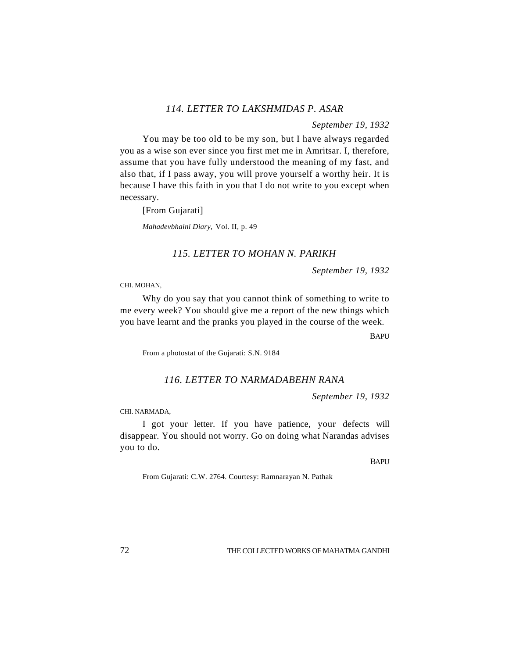# *114. LETTER TO LAKSHMIDAS P. ASAR*

*September 19, 1932*

You may be too old to be my son, but I have always regarded you as a wise son ever since you first met me in Amritsar. I, therefore, assume that you have fully understood the meaning of my fast, and also that, if I pass away, you will prove yourself a worthy heir. It is because I have this faith in you that I do not write to you except when necessary.

[From Gujarati]

*Mahadevbhaini Diary*, Vol. II, p. 49

# *115. LETTER TO MOHAN N. PARIKH*

*September 19, 1932*

CHI. MOHAN,

Why do you say that you cannot think of something to write to me every week? You should give me a report of the new things which you have learnt and the pranks you played in the course of the week.

**BAPU** 

From a photostat of the Gujarati: S.N. 9184

# *116. LETTER TO NARMADABEHN RANA*

*September 19, 1932*

CHI. NARMADA,

I got your letter. If you have patience, your defects will disappear. You should not worry. Go on doing what Narandas advises you to do.

**BAPU** 

From Gujarati: C.W. 2764. Courtesy: Ramnarayan N. Pathak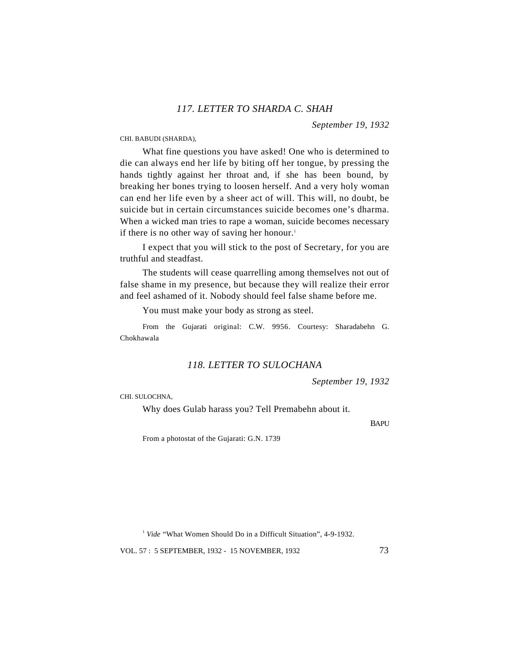*September 19, 1932*

CHI. BABUDI (SHARDA),

What fine questions you have asked! One who is determined to die can always end her life by biting off her tongue, by pressing the hands tightly against her throat and, if she has been bound, by breaking her bones trying to loosen herself. And a very holy woman can end her life even by a sheer act of will. This will, no doubt, be suicide but in certain circumstances suicide becomes one's dharma. When a wicked man tries to rape a woman, suicide becomes necessary if there is no other way of saving her honour.<sup>1</sup>

I expect that you will stick to the post of Secretary, for you are truthful and steadfast.

The students will cease quarrelling among themselves not out of false shame in my presence, but because they will realize their error and feel ashamed of it. Nobody should feel false shame before me.

You must make your body as strong as steel.

From the Gujarati original: C.W. 9956. Courtesy: Sharadabehn G. Chokhawala

#### *118. LETTER TO SULOCHANA*

*September 19, 1932*

CHI. SULOCHNA,

Why does Gulab harass you? Tell Premabehn about it.

BAPU

From a photostat of the Gujarati: G.N. 1739

<sup>1</sup> *Vide* "What Women Should Do in a Difficult Situation", 4-9-1932.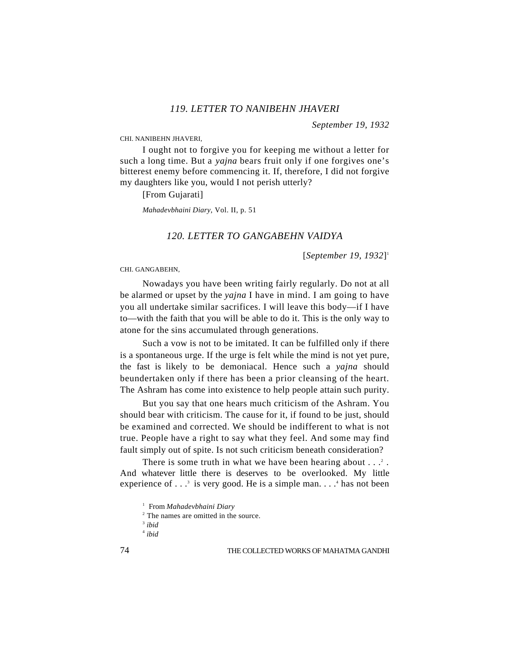*September 19, 1932*

CHI. NANIBEHN JHAVERI,

I ought not to forgive you for keeping me without a letter for such a long time. But a *yajna* bears fruit only if one forgives one's bitterest enemy before commencing it. If, therefore, I did not forgive my daughters like you, would I not perish utterly?

[From Gujarati]

*Mahadevbhaini Diary*, Vol. II, p. 51

# *120. LETTER TO GANGABEHN VAIDYA*

[*September 19, 1932*] 1

CHI. GANGABEHN,

Nowadays you have been writing fairly regularly. Do not at all be alarmed or upset by the *yajna* I have in mind. I am going to have you all undertake similar sacrifices. I will leave this body—if I have to—with the faith that you will be able to do it. This is the only way to atone for the sins accumulated through generations.

Such a vow is not to be imitated. It can be fulfilled only if there is a spontaneous urge. If the urge is felt while the mind is not yet pure, the fast is likely to be demoniacal. Hence such a *yajna* should beundertaken only if there has been a prior cleansing of the heart. The Ashram has come into existence to help people attain such purity.

But you say that one hears much criticism of the Ashram. You should bear with criticism. The cause for it, if found to be just, should be examined and corrected. We should be indifferent to what is not true. People have a right to say what they feel. And some may find fault simply out of spite. Is not such criticism beneath consideration?

There is some truth in what we have been hearing about  $\dots$ ?. And whatever little there is deserves to be overlooked. My little experience of  $\dots$ <sup>3</sup> is very good. He is a simple man.  $\dots$ <sup>4</sup> has not been

<sup>1</sup> From *Mahadevbhaini Diary*

<sup>&</sup>lt;sup>2</sup> The names are omitted in the source.

<sup>3</sup> *ibid*

<sup>4</sup> *ibid*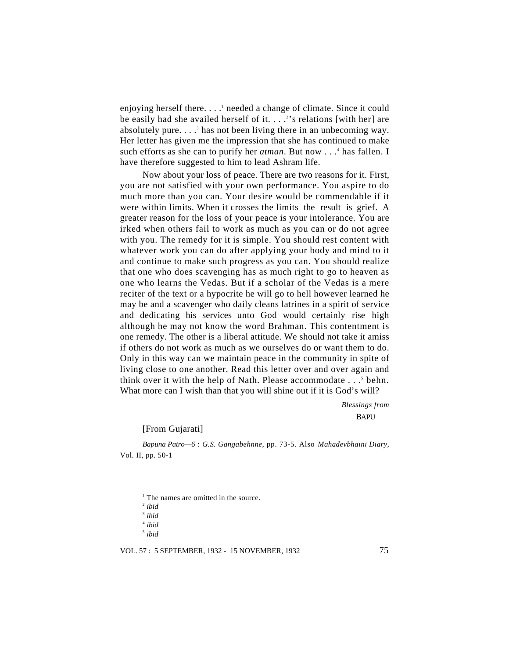enjoying herself there....<sup>1</sup> needed a change of climate. Since it could be easily had she availed herself of it. . . .<sup>2</sup>'s relations [with her] are absolutely pure.  $\ldots$ <sup>3</sup> has not been living there in an unbecoming way. Her letter has given me the impression that she has continued to make such efforts as she can to purify her *atman*. But now . . .<sup>4</sup> has fallen. I have therefore suggested to him to lead Ashram life.

Now about your loss of peace. There are two reasons for it. First, you are not satisfied with your own performance. You aspire to do much more than you can. Your desire would be commendable if it were within limits. When it crosses the limits the result is grief. A greater reason for the loss of your peace is your intolerance. You are irked when others fail to work as much as you can or do not agree with you. The remedy for it is simple. You should rest content with whatever work you can do after applying your body and mind to it and continue to make such progress as you can. You should realize that one who does scavenging has as much right to go to heaven as one who learns the Vedas. But if a scholar of the Vedas is a mere reciter of the text or a hypocrite he will go to hell however learned he may be and a scavenger who daily cleans latrines in a spirit of service and dedicating his services unto God would certainly rise high although he may not know the word Brahman. This contentment is one remedy. The other is a liberal attitude. We should not take it amiss if others do not work as much as we ourselves do or want them to do. Only in this way can we maintain peace in the community in spite of living close to one another. Read this letter over and over again and think over it with the help of Nath. Please accommodate . . .<sup>5</sup> behn. What more can I wish than that you will shine out if it is God's will?

> *Blessings from* **BAPU**

[From Gujarati]

*Bapuna Patro—6* : *G.S. Gangabehnne*, pp. 73-5. Also *Mahadevbhaini Diary,* Vol. II, pp. 50-1

<sup>1</sup> The names are omitted in the source.

2 *ibid*

3 *ibid*

4 *ibid*

5 *ibid*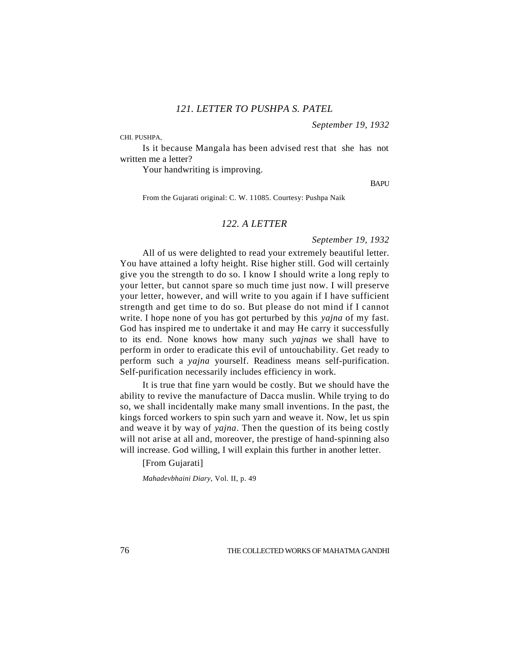*September 19, 1932*

CHI. PUSHPA,

Is it because Mangala has been advised rest that she has not written me a letter?

Your handwriting is improving.

BAPU

From the Gujarati original: C. W. 11085. Courtesy: Pushpa Naik

# *122. A LETTER*

*September 19, 1932*

All of us were delighted to read your extremely beautiful letter. You have attained a lofty height. Rise higher still. God will certainly give you the strength to do so. I know I should write a long reply to your letter, but cannot spare so much time just now. I will preserve your letter, however, and will write to you again if I have sufficient strength and get time to do so. But please do not mind if I cannot write. I hope none of you has got perturbed by this *yajna* of my fast. God has inspired me to undertake it and may He carry it successfully to its end. None knows how many such *yajnas* we shall have to perform in order to eradicate this evil of untouchability. Get ready to perform such a *yajna* yourself. Readiness means self-purification. Self-purification necessarily includes efficiency in work.

It is true that fine yarn would be costly. But we should have the ability to revive the manufacture of Dacca muslin. While trying to do so, we shall incidentally make many small inventions. In the past, the kings forced workers to spin such yarn and weave it. Now, let us spin and weave it by way of *yajna*. Then the question of its being costly will not arise at all and, moreover, the prestige of hand-spinning also will increase. God willing, I will explain this further in another letter.

[From Gujarati]

*Mahadevbhaini Diary*, Vol. II, p. 49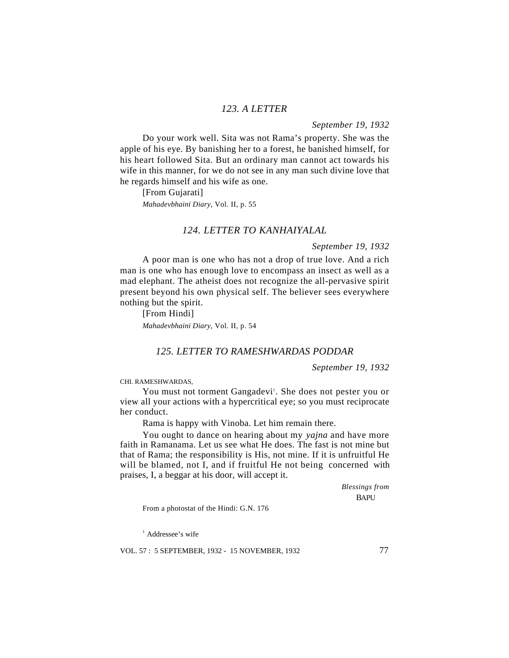# *123. A LETTER*

*September 19, 1932*

Do your work well. Sita was not Rama's property. She was the apple of his eye. By banishing her to a forest, he banished himself, for his heart followed Sita. But an ordinary man cannot act towards his wife in this manner, for we do not see in any man such divine love that he regards himself and his wife as one.

[From Gujarati] *Mahadevbhaini Diary*, Vol. II, p. 55

# *124. LETTER TO KANHAIYALAL*

*September 19, 1932*

A poor man is one who has not a drop of true love. And a rich man is one who has enough love to encompass an insect as well as a mad elephant. The atheist does not recognize the all-pervasive spirit present beyond his own physical self. The believer sees everywhere nothing but the spirit.

[From Hindi] *Mahadevbhaini Diary*, Vol. II, p. 54

#### *125. LETTER TO RAMESHWARDAS PODDAR*

*September 19, 1932*

CHI. RAMESHWARDAS,

You must not torment Gangadevi<sup>1</sup>. She does not pester you or view all your actions with a hypercritical eye; so you must reciprocate her conduct.

Rama is happy with Vinoba. Let him remain there.

You ought to dance on hearing about my *yajna* and have more faith in Ramanama. Let us see what He does. The fast is not mine but that of Rama; the responsibility is His, not mine. If it is unfruitful He will be blamed, not I, and if fruitful He not being concerned with praises, I, a beggar at his door, will accept it.

> *Blessings from* BAPU

From a photostat of the Hindi: G.N. 176

<sup>1</sup> Addressee's wife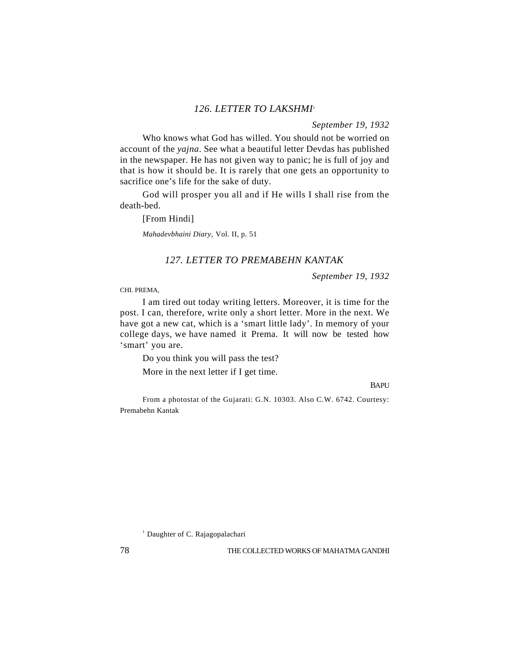# *126. LETTER TO LAKSHMI<sup>1</sup>*

*September 19, 1932*

Who knows what God has willed. You should not be worried on account of the *yajna*. See what a beautiful letter Devdas has published in the newspaper. He has not given way to panic; he is full of joy and that is how it should be. It is rarely that one gets an opportunity to sacrifice one's life for the sake of duty.

God will prosper you all and if He wills I shall rise from the death-bed.

[From Hindi]

*Mahadevbhaini Diary,* Vol. II, p. 51

#### *127. LETTER TO PREMABEHN KANTAK*

*September 19, 1932*

CHI. PREMA,

I am tired out today writing letters. Moreover, it is time for the post. I can, therefore, write only a short letter. More in the next. We have got a new cat, which is a 'smart little lady'. In memory of your college days, we have named it Prema. It will now be tested how 'smart' you are.

Do you think you will pass the test?

More in the next letter if I get time.

**BAPU** 

From a photostat of the Gujarati: G.N. 10303. Also C.W. 6742. Courtesy: Premabehn Kantak

<sup>1</sup> Daughter of C. Rajagopalachari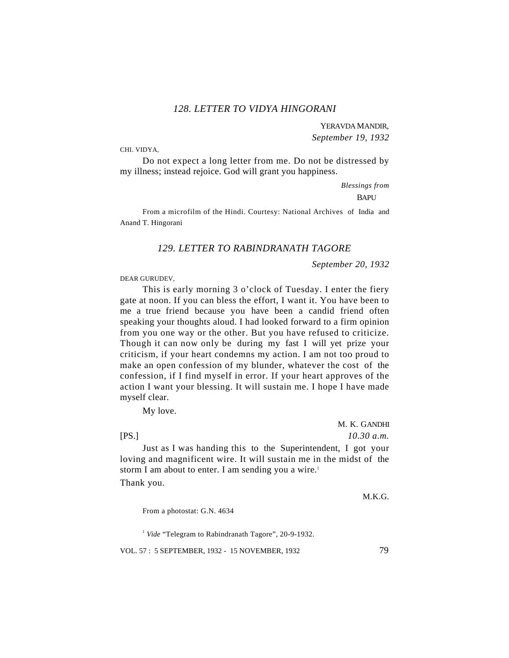# *128. LETTER TO VIDYA HINGORANI*

YERAVDA MANDIR, *September 19, 1932*

CHI. VIDYA,

Do not expect a long letter from me. Do not be distressed by my illness; instead rejoice. God will grant you happiness.

> *Blessings from* **BAPU**

From a microfilm of the Hindi. Courtesy: National Archives of India and Anand T. Hingorani

### *129. LETTER TO RABINDRANATH TAGORE*

*September 20, 1932*

DEAR GURUDEV,

This is early morning 3 o'clock of Tuesday. I enter the fiery gate at noon. If you can bless the effort, I want it. You have been to me a true friend because you have been a candid friend often speaking your thoughts aloud. I had looked forward to a firm opinion from you one way or the other. But you have refused to criticize. Though it can now only be during my fast I will yet prize your criticism, if your heart condemns my action. I am not too proud to make an open confession of my blunder, whatever the cost of the confession, if I find myself in error. If your heart approves of the action I want your blessing. It will sustain me. I hope I have made myself clear.

My love.

M. K. GANDHI [PS.] *10.30 a.m.*

Just as I was handing this to the Superintendent, I got your loving and magnificent wire. It will sustain me in the midst of the storm I am about to enter. I am sending you a wire.<sup>1</sup>

Thank you.

M.K.G.

From a photostat: G.N. 4634

<sup>1</sup> *Vide* "Telegram to Rabindranath Tagore", 20-9-1932.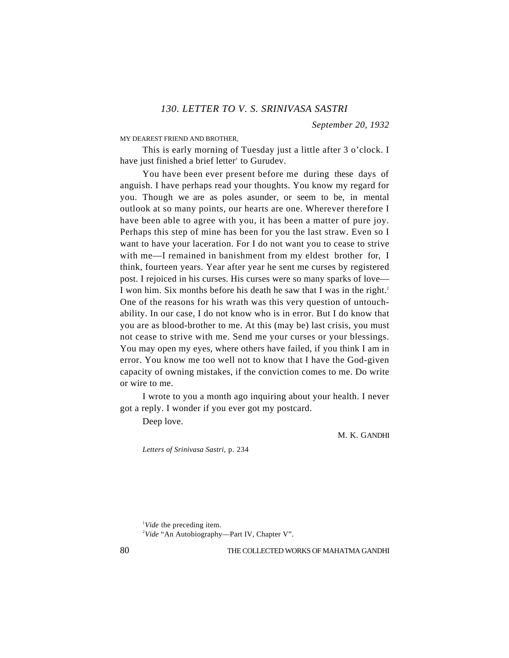*September 20, 1932*

MY DEAREST FRIEND AND BROTHER,

This is early morning of Tuesday just a little after 3 o'clock. I have just finished a brief letter<sup>1</sup> to Gurudev.

You have been ever present before me during these days of anguish. I have perhaps read your thoughts. You know my regard for you. Though we are as poles asunder, or seem to be, in mental outlook at so many points, our hearts are one. Wherever therefore I have been able to agree with you, it has been a matter of pure joy. Perhaps this step of mine has been for you the last straw. Even so I want to have your laceration. For I do not want you to cease to strive with me—I remained in banishment from my eldest brother for, I think, fourteen years. Year after year he sent me curses by registered post. I rejoiced in his curses. His curses were so many sparks of love— I won him. Six months before his death he saw that I was in the right.<sup>2</sup> One of the reasons for his wrath was this very question of untouchability. In our case, I do not know who is in error. But I do know that you are as blood-brother to me. At this (may be) last crisis, you must not cease to strive with me. Send me your curses or your blessings. You may open my eyes, where others have failed, if you think I am in error. You know me too well not to know that I have the God-given capacity of owning mistakes, if the conviction comes to me. Do write or wire to me.

I wrote to you a month ago inquiring about your health. I never got a reply. I wonder if you ever got my postcard.

Deep love.

M. K. GANDHI

*Letters of Srinivasa Sastri*, p. 234

<sup>2</sup>Vide "An Autobiography—Part IV, Chapter V".

<sup>1</sup>*Vide* the preceding item.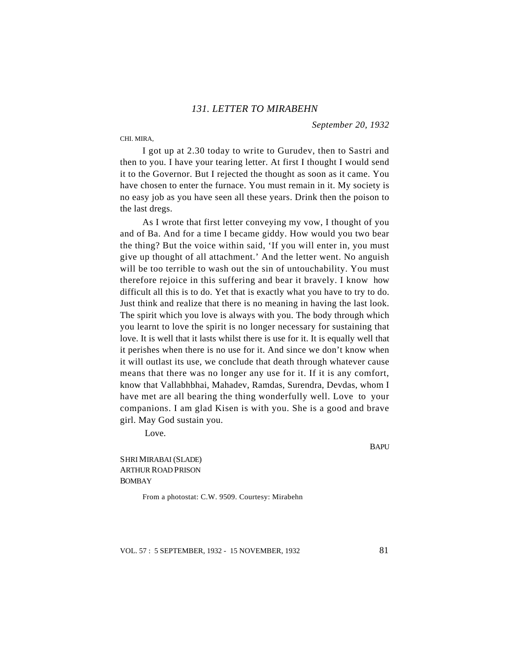*September 20, 1932*

#### CHI. MIRA,

I got up at 2.30 today to write to Gurudev, then to Sastri and then to you. I have your tearing letter. At first I thought I would send it to the Governor. But I rejected the thought as soon as it came. You have chosen to enter the furnace. You must remain in it. My society is no easy job as you have seen all these years. Drink then the poison to the last dregs.

As I wrote that first letter conveying my vow, I thought of you and of Ba. And for a time I became giddy. How would you two bear the thing? But the voice within said, 'If you will enter in, you must give up thought of all attachment.' And the letter went. No anguish will be too terrible to wash out the sin of untouchability. You must therefore rejoice in this suffering and bear it bravely. I know how difficult all this is to do. Yet that is exactly what you have to try to do. Just think and realize that there is no meaning in having the last look. The spirit which you love is always with you. The body through which you learnt to love the spirit is no longer necessary for sustaining that love. It is well that it lasts whilst there is use for it. It is equally well that it perishes when there is no use for it. And since we don't know when it will outlast its use, we conclude that death through whatever cause means that there was no longer any use for it. If it is any comfort, know that Vallabhbhai, Mahadev, Ramdas, Surendra, Devdas, whom I have met are all bearing the thing wonderfully well. Love to your companions. I am glad Kisen is with you. She is a good and brave girl. May God sustain you.

Love.

**BAPU** 

SHRI MIRABAI (SLADE) ARTHUR ROAD PRISON BOMBAY

From a photostat: C.W. 9509. Courtesy: Mirabehn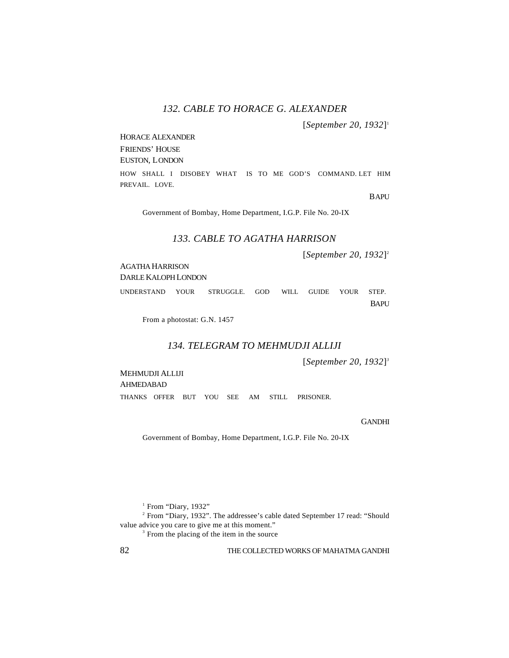# *132. CABLE TO HORACE G. ALEXANDER*

[*September 20, 1932*] 1

HORACE ALEXANDER

FRIENDS' HOUSE EUSTON, LONDON

HOW SHALL I DISOBEY WHAT IS TO ME GOD'S COMMAND. LET HIM PREVAIL. LOVE.

BAPU

Government of Bombay, Home Department, I.G.P. File No. 20-IX

#### *133. CABLE TO AGATHA HARRISON*

[*September 20, 1932*] 2

AGATHA HARRISON DARLE KALOPH LONDON

UNDERSTAND YOUR STRUGGLE. GOD WILL GUIDE YOUR STEP. BAPU

From a photostat: G.N. 1457

# *134. TELEGRAM TO MEHMUDJI ALLIJI*

[*September 20, 1932*] *3*

MEHMUDJI ALLIJI AHMEDABAD THANKS OFFER BUT YOU SEE AM STILL PRISONER.

**GANDHI** 

Government of Bombay, Home Department, I.G.P. File No. 20-IX

<sup>1</sup> From "Diary, 1932"

<sup>2</sup> From "Diary, 1932". The addressee's cable dated September 17 read: "Should value advice you care to give me at this moment."

<sup>3</sup> From the placing of the item in the source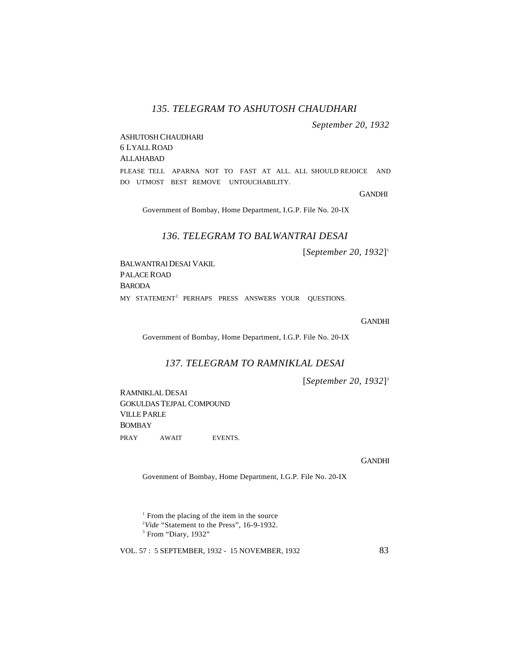# *135. TELEGRAM TO ASHUTOSH CHAUDHARI*

*September 20, 1932*

#### ASHUTOSH CHAUDHARI 6 LYALL ROAD ALLAHABAD

PLEASE TELL APARNA NOT TO FAST AT ALL. ALL SHOULD REJOICE AND DO UTMOST BEST REMOVE UNTOUCHABILITY.

GANDHI

Government of Bombay, Home Department, I.G.P. File No. 20-IX

# *136. TELEGRAM TO BALWANTRAI DESAI*

[*September 20, 1932*] 1

BALWANTRAI DESAI VAKIL PALACE ROAD **BARODA** 

MY STATEMENT<sup>2</sup> PERHAPS PRESS ANSWERS YOUR QUESTIONS.

**GANDHI** 

Government of Bombay, Home Department, I.G.P. File No. 20-IX

# *137. TELEGRAM TO RAMNIKLAL DESAI*

[*September 20, 1932*] 3

RAMNIKLAL DESAI GOKULDAS TEJPAL COMPOUND VILLE PARLE BOMBAY PRAY AWAIT EVENTS.

**GANDHI** 

Govenment of Bombay, Home Department, I.G.P. File No. 20-IX

<sup>1</sup> From the placing of the item in the source

<sup>2</sup>*Vide* "Statement to the Press", 16-9-1932.

<sup>3</sup> From "Diary, 1932"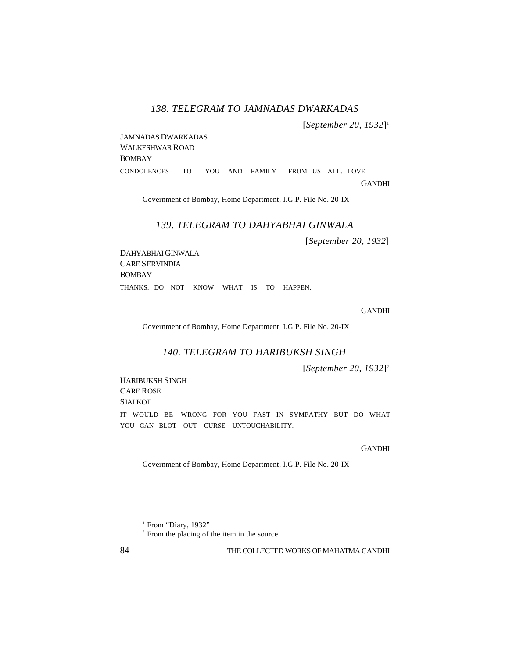### *138. TELEGRAM TO JAMNADAS DWARKADAS*

[*September 20, 1932*] 1

JAMNADAS DWARKADAS WALKESHWAR ROAD BOMBAY CONDOLENCES TO YOU AND FAMILY FROM US ALL. LOVE. **GANDHI** 

Government of Bombay, Home Department, I.G.P. File No. 20-IX

### *139. TELEGRAM TO DAHYABHAI GINWALA*

[*September 20, 1932*]

DAHYABHAI GINWALA CARE SERVINDIA BOMBAY THANKS. DO NOT KNOW WHAT IS TO HAPPEN.

**GANDHI** 

Government of Bombay, Home Department, I.G.P. File No. 20-IX

# *140. TELEGRAM TO HARIBUKSH SINGH*

[*September 20, 1932*] 2

HARIBUKSH SINGH CARE ROSE SIALKOT IT WOULD BE WRONG FOR YOU FAST IN SYMPATHY BUT DO WHAT YOU CAN BLOT OUT CURSE UNTOUCHABILITY.

**GANDHI** 

Government of Bombay, Home Department, I.G.P. File No. 20-IX

<sup>1</sup> From "Diary, 1932"

<sup>2</sup> From the placing of the item in the source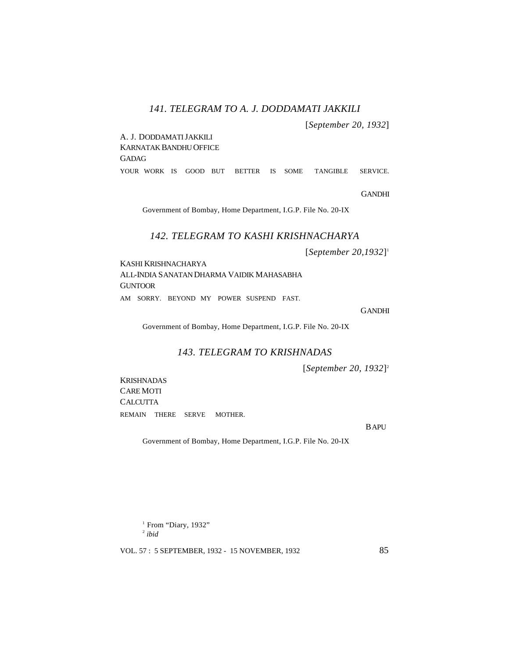# *141. TELEGRAM TO A. J. DODDAMATI JAKKILI*

[*September 20, 1932*]

A. J. DODDAMATI JAKKILI KARNATAK BANDHU OFFICE GADAG YOUR WORK IS GOOD BUT BETTER IS SOME TANGIBLE SERVICE.

**GANDHI** 

Government of Bombay, Home Department, I.G.P. File No. 20-IX

#### *142. TELEGRAM TO KASHI KRISHNACHARYA*

[*September 20,1932*] 1

KASHI KRISHNACHARYA ALL-INDIA SANATAN DHARMA VAIDIK MAHASABHA **GUNTOOR** 

AM SORRY. BEYOND MY POWER SUSPEND FAST.

GANDHI

Government of Bombay, Home Department, I.G.P. File No. 20-IX

# *143. TELEGRAM TO KRISHNADAS*

[*September 20, 1932*] 2

KRISHNADAS CARE MOTI **CALCUTTA** REMAIN THERE SERVE MOTHER.

BAPU

Government of Bombay, Home Department, I.G.P. File No. 20-IX

<sup>1</sup> From "Diary, 1932" 2 *ibid*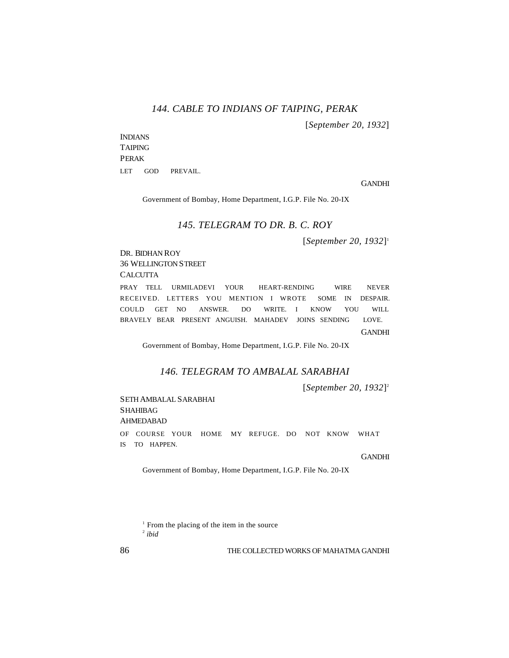## *144. CABLE TO INDIANS OF TAIPING, PERAK*

[*September 20, 1932*]

INDIANS TAIPING PERAK LET GOD PREVAIL.

**GANDHI** 

Government of Bombay, Home Department, I.G.P. File No. 20-IX

# *145. TELEGRAM TO DR. B. C. ROY*

[*September 20, 1932*] 1

DR. BIDHAN ROY 36 WELLINGTON STREET **CALCUTTA** 

PRAY TELL URMILADEVI YOUR HEART-RENDING WIRE NEVER RECEIVED. LETTERS YOU MENTION I WROTE SOME IN DESPAIR. COULD GET NO ANSWER. DO WRITE. I KNOW YOU WILL BRAVELY BEAR PRESENT ANGUISH. MAHADEV JOINS SENDING LOVE. **GANDHI** 

Government of Bombay, Home Department, I.G.P. File No. 20-IX

# *146. TELEGRAM TO AMBALAL SARABHAI*

[*September 20, 1932*] 2

SETH AMBALAL SARABHAI SHAHIBAG AHMEDABAD

OF COURSE YOUR HOME MY REFUGE. DO NOT KNOW WHAT IS TO HAPPEN.

**GANDHI** 

Government of Bombay, Home Department, I.G.P. File No. 20-IX

<sup>1</sup> From the placing of the item in the source 2 *ibid*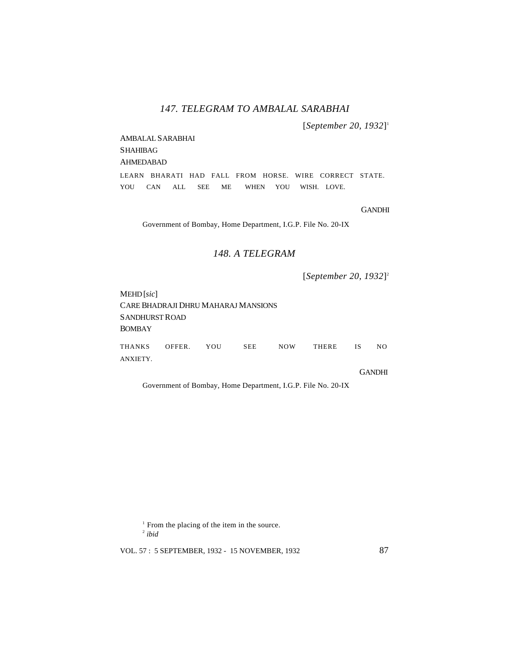### *147. TELEGRAM TO AMBALAL SARABHAI*

[*September 20, 1932*] 1

AMBALAL SARABHAI SHAHIBAG AHMEDABAD

LEARN BHARATI HAD FALL FROM HORSE. WIRE CORRECT STATE. YOU CAN ALL SEE ME WHEN YOU WISH. LOVE.

**GANDHI** 

Government of Bombay, Home Department, I.G.P. File No. 20-IX

# *148. A TELEGRAM*

[*September 20, 1932*] 2

| $MEHD$ [sic]          |                                     |     |            |            |       |           |               |
|-----------------------|-------------------------------------|-----|------------|------------|-------|-----------|---------------|
|                       | CARE BHADRAJI DHRU MAHARAJ MANSIONS |     |            |            |       |           |               |
| <b>SANDHURST ROAD</b> |                                     |     |            |            |       |           |               |
| <b>BOMBAY</b>         |                                     |     |            |            |       |           |               |
| THANKS                | OFFER.                              | YOU | <b>SEE</b> | <b>NOW</b> | THERE | <b>IS</b> | NO.           |
| ANXIETY.              |                                     |     |            |            |       |           |               |
|                       |                                     |     |            |            |       |           | <b>GANDHI</b> |

Government of Bombay, Home Department, I.G.P. File No. 20-IX

<sup>1</sup> From the placing of the item in the source.

2 *ibid*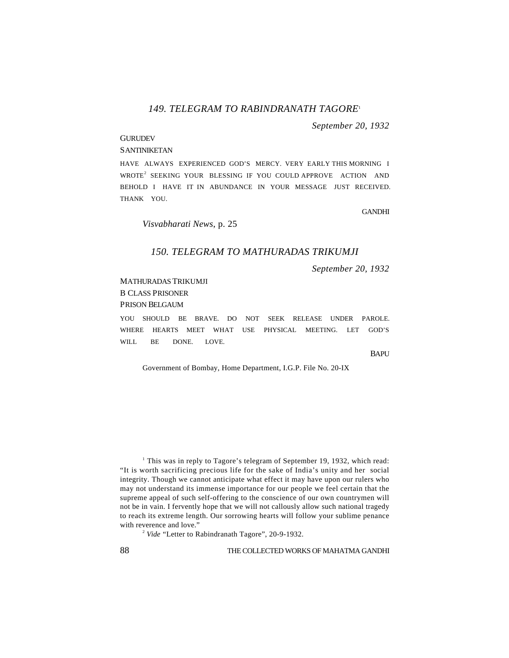### *149. TELEGRAM TO RABINDRANATH TAGORE*<sup>1</sup>

*September 20, 1932*

#### GURUDEV

#### **SANTINIKETAN**

HAVE ALWAYS EXPERIENCED GOD'S MERCY. VERY EARLY THIS MORNING I WROTE<sup>2</sup> SEEKING YOUR BLESSING IF YOU COULD APPROVE ACTION AND BEHOLD I HAVE IT IN ABUNDANCE IN YOUR MESSAGE JUST RECEIVED. THANK YOU.

**GANDHI** 

*Visvabharati News*, p. 25

#### *150. TELEGRAM TO MATHURADAS TRIKUMJI*

*September 20, 1932*

MATHURADAS TRIKUMJI B CLASS PRISONER PRISON BELGAUM

YOU SHOULD BE BRAVE. DO NOT SEEK RELEASE UNDER PAROLE. WHERE HEARTS MEET WHAT USE PHYSICAL MEETING. LET GOD'S WILL BE DONE. LOVE.

**BAPU** 

Government of Bombay, Home Department, I.G.P. File No. 20-IX

<sup>1</sup> This was in reply to Tagore's telegram of September 19, 1932, which read: "It is worth sacrificing precious life for the sake of India's unity and her social integrity. Though we cannot anticipate what effect it may have upon our rulers who may not understand its immense importance for our people we feel certain that the supreme appeal of such self-offering to the conscience of our own countrymen will not be in vain. I fervently hope that we will not callously allow such national tragedy to reach its extreme length. Our sorrowing hearts will follow your sublime penance with reverence and love."

<sup>2</sup> *Vide* "Letter to Rabindranath Tagore", 20-9-1932.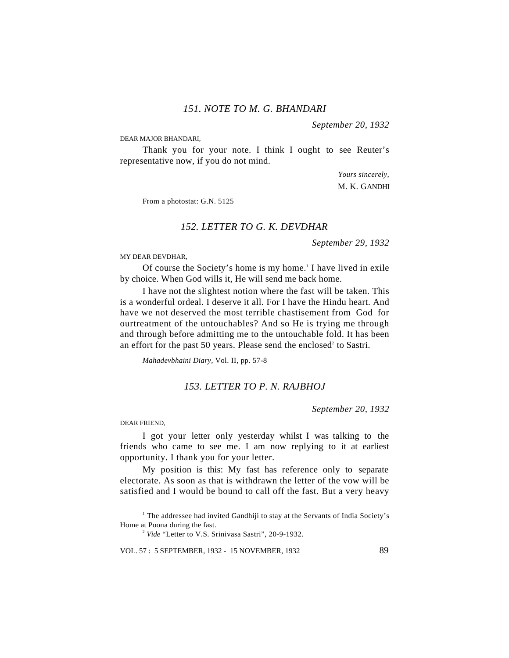*September 20, 1932*

DEAR MAJOR BHANDARI,

Thank you for your note. I think I ought to see Reuter's representative now, if you do not mind.

> *Yours sincerely,* M. K. GANDHI

From a photostat: G.N. 5125

### *152. LETTER TO G. K. DEVDHAR*

*September 29, 1932*

MY DEAR DEVDHAR,

Of course the Society's home is my home.<sup>1</sup> I have lived in exile by choice. When God wills it, He will send me back home.

I have not the slightest notion where the fast will be taken. This is a wonderful ordeal. I deserve it all. For I have the Hindu heart. And have we not deserved the most terrible chastisement from God for ourtreatment of the untouchables? And so He is trying me through and through before admitting me to the untouchable fold. It has been an effort for the past 50 years. Please send the enclosed<sup>2</sup> to Sastri.

*Mahadevbhaini Diary,* Vol. II, pp. 57-8

# *153. LETTER TO P. N. RAJBHOJ*

*September 20, 1932*

DEAR FRIEND,

I got your letter only yesterday whilst I was talking to the friends who came to see me. I am now replying to it at earliest opportunity. I thank you for your letter.

My position is this: My fast has reference only to separate electorate. As soon as that is withdrawn the letter of the vow will be satisfied and I would be bound to call off the fast. But a very heavy

<sup>&</sup>lt;sup>1</sup> The addressee had invited Gandhiji to stay at the Servants of India Society's Home at Poona during the fast.

<sup>&</sup>lt;sup>2</sup> *Vide* "Letter to V.S. Srinivasa Sastri", 20-9-1932.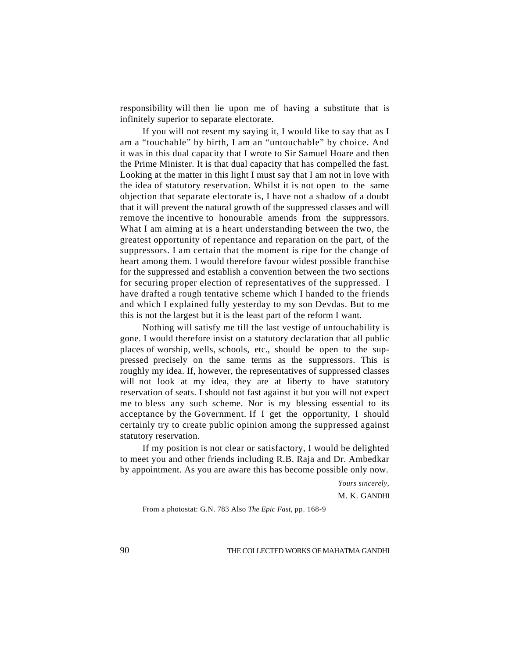responsibility will then lie upon me of having a substitute that is infinitely superior to separate electorate.

If you will not resent my saying it, I would like to say that as I am a "touchable" by birth, I am an "untouchable" by choice. And it was in this dual capacity that I wrote to Sir Samuel Hoare and then the Prime Minister. It is that dual capacity that has compelled the fast. Looking at the matter in this light I must say that I am not in love with the idea of statutory reservation. Whilst it is not open to the same objection that separate electorate is, I have not a shadow of a doubt that it will prevent the natural growth of the suppressed classes and will remove the incentive to honourable amends from the suppressors. What I am aiming at is a heart understanding between the two, the greatest opportunity of repentance and reparation on the part, of the suppressors. I am certain that the moment is ripe for the change of heart among them. I would therefore favour widest possible franchise for the suppressed and establish a convention between the two sections for securing proper election of representatives of the suppressed. I have drafted a rough tentative scheme which I handed to the friends and which I explained fully yesterday to my son Devdas. But to me this is not the largest but it is the least part of the reform I want.

Nothing will satisfy me till the last vestige of untouchability is gone. I would therefore insist on a statutory declaration that all public places of worship, wells, schools, etc., should be open to the suppressed precisely on the same terms as the suppressors. This is roughly my idea. If, however, the representatives of suppressed classes will not look at my idea, they are at liberty to have statutory reservation of seats. I should not fast against it but you will not expect me to bless any such scheme. Nor is my blessing essential to its acceptance by the Government. If I get the opportunity, I should certainly try to create public opinion among the suppressed against statutory reservation.

If my position is not clear or satisfactory, I would be delighted to meet you and other friends including R.B. Raja and Dr. Ambedkar by appointment. As you are aware this has become possible only now.

> *Yours sincerely,* M. K. GANDHI

From a photostat: G.N. 783 Also *The Epic Fast,* pp. 168-9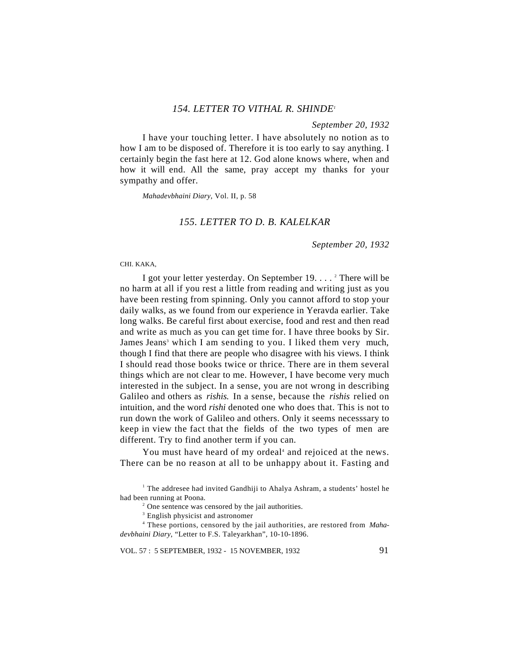# *154. LETTER TO VITHAL R. SHINDE<sup>1</sup>*

*September 20, 1932*

I have your touching letter. I have absolutely no notion as to how I am to be disposed of. Therefore it is too early to say anything. I certainly begin the fast here at 12. God alone knows where, when and how it will end. All the same, pray accept my thanks for your sympathy and offer.

*Mahadevbhaini Diary*, Vol. II, p. 58

### *155. LETTER TO D. B. KALELKAR*

*September 20, 1932*

CHI. KAKA,

I got your letter yesterday. On September 19. . . . <sup>2</sup> There will be no harm at all if you rest a little from reading and writing just as you have been resting from spinning. Only you cannot afford to stop your daily walks, as we found from our experience in Yeravda earlier. Take long walks. Be careful first about exercise, food and rest and then read and write as much as you can get time for. I have three books by Sir. James Jeans<sup>3</sup> which I am sending to you. I liked them very much, though I find that there are people who disagree with his views. I think I should read those books twice or thrice. There are in them several things which are not clear to me. However, I have become very much interested in the subject. In a sense, you are not wrong in describing Galileo and others as *rishis.* In a sense, because the *rishis* relied on intuition, and the word *rishi* denoted one who does that. This is not to run down the work of Galileo and others. Only it seems necesssary to keep in view the fact that the fields of the two types of men are different. Try to find another term if you can.

You must have heard of my ordeal<sup>4</sup> and rejoiced at the news. There can be no reason at all to be unhappy about it. Fasting and

<sup>&</sup>lt;sup>1</sup> The addresee had invited Gandhiji to Ahalya Ashram, a students' hostel he had been running at Poona.

<sup>&</sup>lt;sup>2</sup> One sentence was censored by the jail authorities.

<sup>&</sup>lt;sup>3</sup> English physicist and astronomer

<sup>4</sup> These portions, censored by the jail authorities, are restored from *Mahadevbhaini Diary*, "Letter to F.S. Taleyarkhan", 10-10-1896.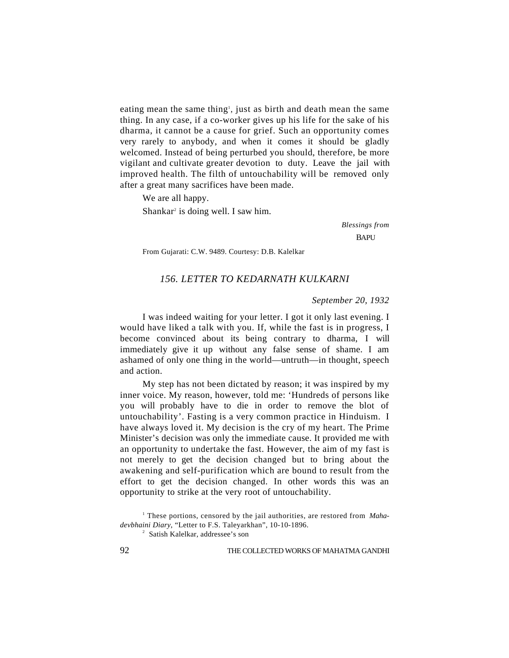eating mean the same thing<sup>1</sup>, just as birth and death mean the same thing. In any case, if a co-worker gives up his life for the sake of his dharma, it cannot be a cause for grief. Such an opportunity comes very rarely to anybody, and when it comes it should be gladly welcomed. Instead of being perturbed you should, therefore, be more vigilant and cultivate greater devotion to duty. Leave the jail with improved health. The filth of untouchability will be removed only after a great many sacrifices have been made.

We are all happy. Shankar<sup>2</sup> is doing well. I saw him.

> *Blessings from* **BAPU**

From Gujarati: C.W. 9489. Courtesy: D.B. Kalelkar

# *156. LETTER TO KEDARNATH KULKARNI*

*September 20, 1932*

I was indeed waiting for your letter. I got it only last evening. I would have liked a talk with you. If, while the fast is in progress, I become convinced about its being contrary to dharma, I will immediately give it up without any false sense of shame. I am ashamed of only one thing in the world—untruth—in thought, speech and action.

My step has not been dictated by reason; it was inspired by my inner voice. My reason, however, told me: 'Hundreds of persons like you will probably have to die in order to remove the blot of untouchability'. Fasting is a very common practice in Hinduism. I have always loved it. My decision is the cry of my heart. The Prime Minister's decision was only the immediate cause. It provided me with an opportunity to undertake the fast. However, the aim of my fast is not merely to get the decision changed but to bring about the awakening and self-purification which are bound to result from the effort to get the decision changed. In other words this was an opportunity to strike at the very root of untouchability.

<sup>&</sup>lt;sup>1</sup> These portions, censored by the jail authorities, are restored from *Mahadevbhaini Diary*, "Letter to F.S. Taleyarkhan", 10-10-1896.

<sup>2</sup> Satish Kalelkar, addressee's son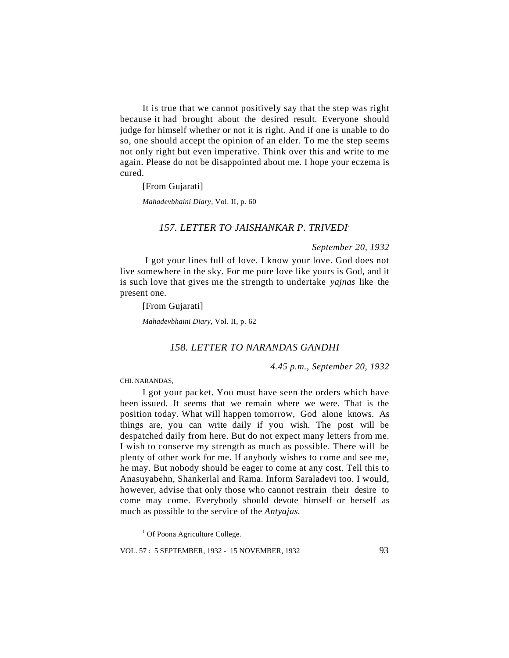It is true that we cannot positively say that the step was right because it had brought about the desired result. Everyone should judge for himself whether or not it is right. And if one is unable to do so, one should accept the opinion of an elder. To me the step seems not only right but even imperative. Think over this and write to me again. Please do not be disappointed about me. I hope your eczema is cured.

[From Gujarati]

*Mahadevbhaini Diary,* Vol. II, p. 60

# *157. LETTER TO JAISHANKAR P. TRIVEDI<sup>1</sup>*

#### *September 20, 1932*

 I got your lines full of love. I know your love. God does not live somewhere in the sky. For me pure love like yours is God, and it is such love that gives me the strength to undertake *yajnas* like the present one.

[From Gujarati]

*Mahadevbhaini Diary*, Vol. II, p. 62

# *158. LETTER TO NARANDAS GANDHI*

*4.45 p.m., September 20, 1932*

CHI. NARANDAS,

I got your packet. You must have seen the orders which have been issued. It seems that we remain where we were. That is the position today. What will happen tomorrow, God alone knows. As things are, you can write daily if you wish. The post will be despatched daily from here. But do not expect many letters from me. I wish to conserve my strength as much as possible. There will be plenty of other work for me. If anybody wishes to come and see me, he may. But nobody should be eager to come at any cost. Tell this to Anasuyabehn, Shankerlal and Rama. Inform Saraladevi too. I would, however, advise that only those who cannot restrain their desire to come may come. Everybody should devote himself or herself as much as possible to the service of the *Antyajas.*

<sup>1</sup> Of Poona Agriculture College.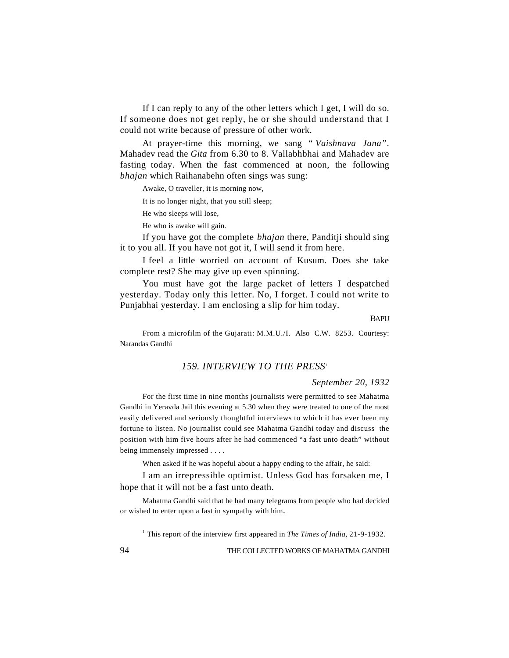If I can reply to any of the other letters which I get, I will do so. If someone does not get reply, he or she should understand that I could not write because of pressure of other work.

At prayer-time this morning, we sang " *Vaishnava Jana"*. Mahadev read the *Gita* from 6.30 to 8. Vallabhbhai and Mahadev are fasting today. When the fast commenced at noon, the following *bhajan* which Raihanabehn often sings was sung:

Awake, O traveller, it is morning now,

It is no longer night, that you still sleep;

He who sleeps will lose,

He who is awake will gain.

If you have got the complete *bhajan* there, Panditji should sing it to you all. If you have not got it, I will send it from here.

I feel a little worried on account of Kusum. Does she take complete rest? She may give up even spinning.

You must have got the large packet of letters I despatched yesterday. Today only this letter. No, I forget. I could not write to Punjabhai yesterday. I am enclosing a slip for him today.

**BAPU** 

From a microfilm of the Gujarati: M.M.U./I. Also C.W. 8253. Courtesy: Narandas Gandhi

#### *159. INTERVIEW TO THE PRESS*<sup>1</sup>

#### *September 20, 1932*

For the first time in nine months journalists were permitted to see Mahatma Gandhi in Yeravda Jail this evening at 5.30 when they were treated to one of the most easily delivered and seriously thoughtful interviews to which it has ever been my fortune to listen. No journalist could see Mahatma Gandhi today and discuss the position with him five hours after he had commenced "a fast unto death" without being immensely impressed . . . .

When asked if he was hopeful about a happy ending to the affair, he said:

I am an irrepressible optimist. Unless God has forsaken me, I hope that it will not be a fast unto death.

Mahatma Gandhi said that he had many telegrams from people who had decided or wished to enter upon a fast in sympathy with him.

<sup>1</sup> This report of the interview first appeared in *The Times of India*, 21-9-1932.

94 THE COLLECTED WORKS OF MAHATMA GANDHI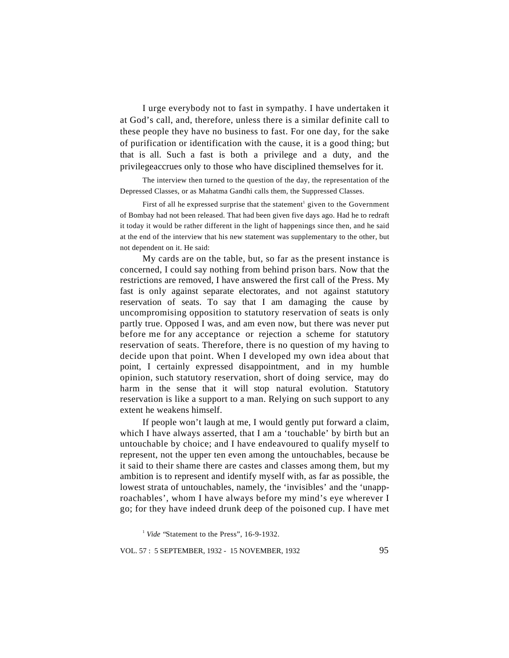I urge everybody not to fast in sympathy. I have undertaken it at God's call, and, therefore, unless there is a similar definite call to these people they have no business to fast. For one day, for the sake of purification or identification with the cause, it is a good thing; but that is all. Such a fast is both a privilege and a duty, and the privilegeaccrues only to those who have disciplined themselves for it.

The interview then turned to the question of the day, the representation of the Depressed Classes, or as Mahatma Gandhi calls them, the Suppressed Classes.

First of all he expressed surprise that the statement<sup>1</sup> given to the Government of Bombay had not been released. That had been given five days ago. Had he to redraft it today it would be rather different in the light of happenings since then, and he said at the end of the interview that his new statement was supplementary to the other, but not dependent on it. He said:

My cards are on the table, but, so far as the present instance is concerned, I could say nothing from behind prison bars. Now that the restrictions are removed, I have answered the first call of the Press. My fast is only against separate electorates, and not against statutory reservation of seats. To say that I am damaging the cause by uncompromising opposition to statutory reservation of seats is only partly true. Opposed I was, and am even now, but there was never put before me for any acceptance or rejection a scheme for statutory reservation of seats. Therefore, there is no question of my having to decide upon that point. When I developed my own idea about that point, I certainly expressed disappointment, and in my humble opinion, such statutory reservation, short of doing service, may do harm in the sense that it will stop natural evolution. Statutory reservation is like a support to a man. Relying on such support to any extent he weakens himself.

If people won't laugh at me, I would gently put forward a claim, which I have always asserted, that I am a 'touchable' by birth but an untouchable by choice; and I have endeavoured to qualify myself to represent, not the upper ten even among the untouchables, because be it said to their shame there are castes and classes among them, but my ambition is to represent and identify myself with, as far as possible, the lowest strata of untouchables, namely, the 'invisibles' and the 'unapproachables', whom I have always before my mind's eye wherever I go; for they have indeed drunk deep of the poisoned cup. I have met

<sup>1</sup> *Vide* "Statement to the Press", 16-9-1932.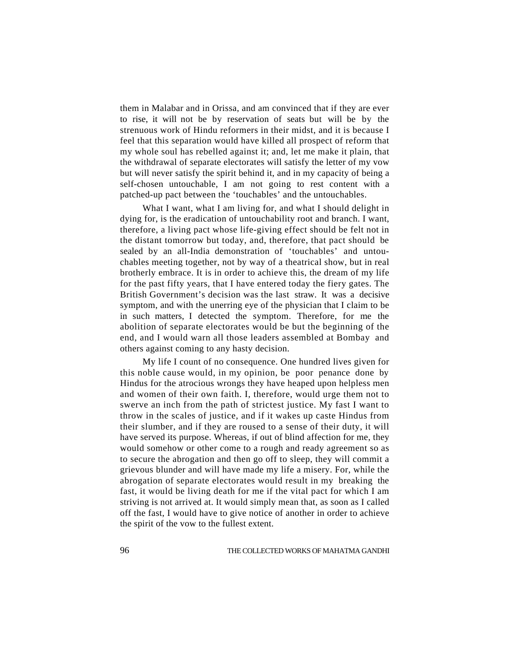them in Malabar and in Orissa, and am convinced that if they are ever to rise, it will not be by reservation of seats but will be by the strenuous work of Hindu reformers in their midst, and it is because I feel that this separation would have killed all prospect of reform that my whole soul has rebelled against it; and, let me make it plain, that the withdrawal of separate electorates will satisfy the letter of my vow but will never satisfy the spirit behind it, and in my capacity of being a self-chosen untouchable, I am not going to rest content with a patched-up pact between the 'touchables' and the untouchables.

What I want, what I am living for, and what I should delight in dying for, is the eradication of untouchability root and branch. I want, therefore, a living pact whose life-giving effect should be felt not in the distant tomorrow but today, and, therefore, that pact should be sealed by an all-India demonstration of 'touchables' and untouchables meeting together, not by way of a theatrical show, but in real brotherly embrace. It is in order to achieve this, the dream of my life for the past fifty years, that I have entered today the fiery gates. The British Government's decision was the last straw. It was a decisive symptom, and with the unerring eye of the physician that I claim to be in such matters, I detected the symptom. Therefore, for me the abolition of separate electorates would be but the beginning of the end, and I would warn all those leaders assembled at Bombay and others against coming to any hasty decision.

My life I count of no consequence. One hundred lives given for this noble cause would, in my opinion, be poor penance done by Hindus for the atrocious wrongs they have heaped upon helpless men and women of their own faith. I, therefore, would urge them not to swerve an inch from the path of strictest justice. My fast I want to throw in the scales of justice, and if it wakes up caste Hindus from their slumber, and if they are roused to a sense of their duty, it will have served its purpose. Whereas, if out of blind affection for me, they would somehow or other come to a rough and ready agreement so as to secure the abrogation and then go off to sleep, they will commit a grievous blunder and will have made my life a misery. For, while the abrogation of separate electorates would result in my breaking the fast, it would be living death for me if the vital pact for which I am striving is not arrived at. It would simply mean that, as soon as I called off the fast, I would have to give notice of another in order to achieve the spirit of the vow to the fullest extent.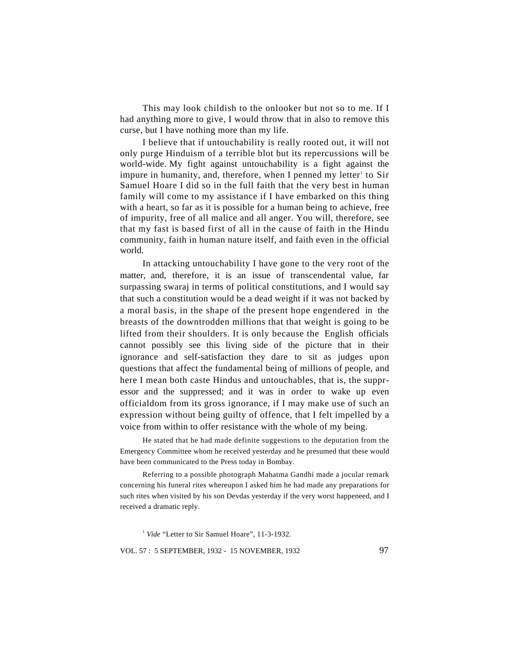This may look childish to the onlooker but not so to me. If I had anything more to give, I would throw that in also to remove this curse, but I have nothing more than my life.

I believe that if untouchability is really rooted out, it will not only purge Hinduism of a terrible blot but its repercussions will be world-wide. My fight against untouchability is a fight against the impure in humanity, and, therefore, when I penned my letter<sup>1</sup> to Sir Samuel Hoare I did so in the full faith that the very best in human family will come to my assistance if I have embarked on this thing with a heart, so far as it is possible for a human being to achieve, free of impurity, free of all malice and all anger. You will, therefore, see that my fast is based first of all in the cause of faith in the Hindu community, faith in human nature itself, and faith even in the official world.

In attacking untouchability I have gone to the very root of the matter, and, therefore, it is an issue of transcendental value, far surpassing swaraj in terms of political constitutions, and I would say that such a constitution would be a dead weight if it was not backed by a moral basis, in the shape of the present hope engendered in the breasts of the downtrodden millions that that weight is going to be lifted from their shoulders. It is only because the English officials cannot possibly see this living side of the picture that in their ignorance and self-satisfaction they dare to sit as judges upon questions that affect the fundamental being of millions of people, and here I mean both caste Hindus and untouchables, that is, the suppressor and the suppressed; and it was in order to wake up even officialdom from its gross ignorance, if I may make use of such an expression without being guilty of offence, that I felt impelled by a voice from within to offer resistance with the whole of my being.

He stated that he had made definite suggestions to the deputation from the Emergency Committee whom he received yesterday and he presumed that these would have been communicated to the Press today in Bombay.

Referring to a possible photograph Mahatma Gandhi made a jocular remark concerning his funeral rites whereupon I asked him he had made any preparations for such rites when visited by his son Devdas yesterday if the very worst happeneed, and I received a dramatic reply.

<sup>1</sup> *Vide* "Letter to Sir Samuel Hoare", 11-3-1932.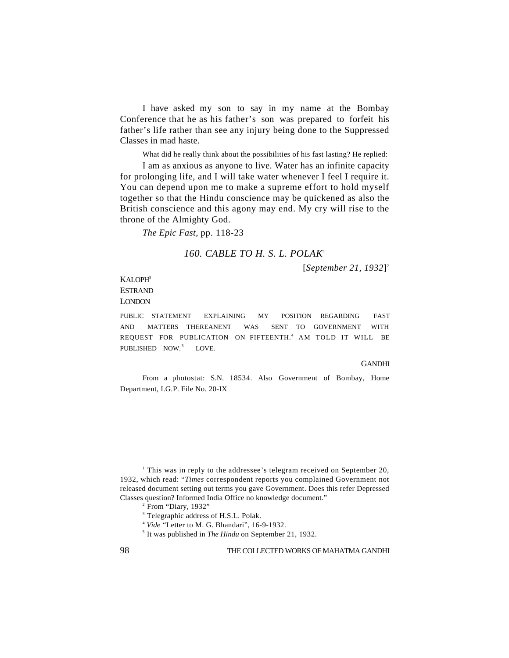I have asked my son to say in my name at the Bombay Conference that he as his father's son was prepared to forfeit his father's life rather than see any injury being done to the Suppressed Classes in mad haste.

What did he really think about the possibilities of his fast lasting? He replied:

I am as anxious as anyone to live. Water has an infinite capacity for prolonging life, and I will take water whenever I feel I require it. You can depend upon me to make a supreme effort to hold myself together so that the Hindu conscience may be quickened as also the British conscience and this agony may end. My cry will rise to the throne of the Almighty God.

*The Epic Fast,* pp. 118-23

# *160. CABLE TO H. S. L. POLAK*<sup>1</sup>

[*September 21, 1932*] 2

### KALOPH<sup>3</sup> ESTRAND LONDON

PUBLIC STATEMENT EXPLAINING MY POSITION REGARDING FAST AND MATTERS THEREANENT WAS SENT TO GOVERNMENT WITH REQUEST FOR PUBLICATION ON FIFTEENTH.<sup>4</sup> AM TOLD IT WILL BE PUBLISHED NOW.<sup>5</sup> LOVE.

#### **GANDHI**

From a photostat: S.N. 18534. Also Government of Bombay, Home Department, I.G.P. File No. 20-IX

<sup>1</sup> This was in reply to the addressee's telegram received on September 20, 1932, which read: "*Times* correspondent reports you complained Government not released document setting out terms you gave Government. Does this refer Depressed Classes question? Informed India Office no knowledge document."

<sup>2</sup> From "Diary, 1932"

<sup>3</sup> Telegraphic address of H.S.L. Polak.

<sup>4</sup> *Vide* "Letter to M. G. Bhandari", 16-9-1932.

5 It was published in *The Hindu* on September 21, 1932.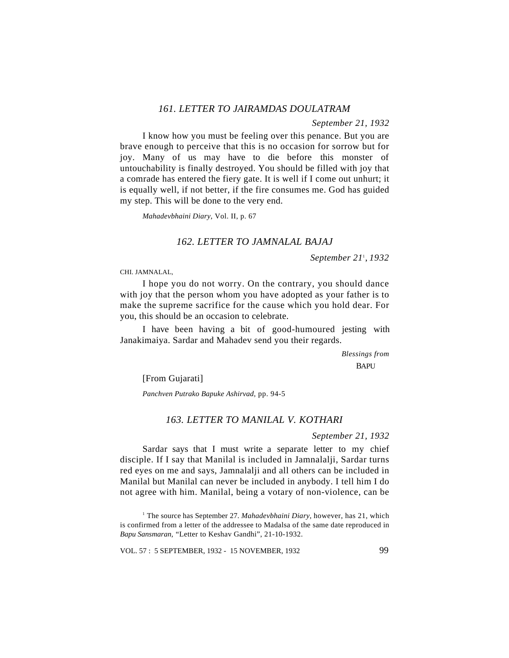#### *161. LETTER TO JAIRAMDAS DOULATRAM*

*September 21, 1932*

I know how you must be feeling over this penance. But you are brave enough to perceive that this is no occasion for sorrow but for joy. Many of us may have to die before this monster of untouchability is finally destroyed. You should be filled with joy that a comrade has entered the fiery gate. It is well if I come out unhurt; it is equally well, if not better, if the fire consumes me. God has guided my step. This will be done to the very end.

*Mahadevbhaini Diary*, Vol. II, p. 67

#### *162. LETTER TO JAMNALAL BAJAJ*

*September 21*<sup>1</sup> , *1932*

CHI. JAMNALAL,

I hope you do not worry. On the contrary, you should dance with joy that the person whom you have adopted as your father is to make the supreme sacrifice for the cause which you hold dear. For you, this should be an occasion to celebrate.

I have been having a bit of good-humoured jesting with Janakimaiya. Sardar and Mahadev send you their regards.

> *Blessings from* BAPU

[From Gujarati]

*Panchven Putrako Bapuke Ashirvad*, pp. 94-5

#### *163. LETTER TO MANILAL V. KOTHARI*

#### *September 21, 1932*

Sardar says that I must write a separate letter to my chief disciple. If I say that Manilal is included in Jamnalalji, Sardar turns red eyes on me and says, Jamnalalji and all others can be included in Manilal but Manilal can never be included in anybody. I tell him I do not agree with him. Manilal, being a votary of non-violence, can be

<sup>1</sup> The source has September 27. *Mahadevbhaini Diary*, however, has 21, which is confirmed from a letter of the addressee to Madalsa of the same date reproduced in *Bapu Sansmaran,* "Letter to Keshav Gandhi", 21-10-1932.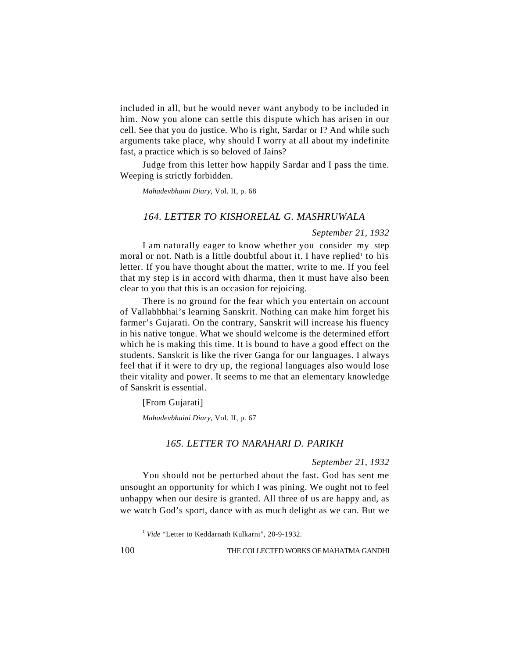included in all, but he would never want anybody to be included in him. Now you alone can settle this dispute which has arisen in our cell. See that you do justice. Who is right, Sardar or I? And while such arguments take place, why should I worry at all about my indefinite fast, a practice which is so beloved of Jains?

Judge from this letter how happily Sardar and I pass the time. Weeping is strictly forbidden.

*Mahadevbhaini Diary*, Vol. II, p. 68

#### *164. LETTER TO KISHORELAL G. MASHRUWALA*

#### *September 21, 1932*

I am naturally eager to know whether you consider my step moral or not. Nath is a little doubtful about it. I have replied to his letter. If you have thought about the matter, write to me. If you feel that my step is in accord with dharma, then it must have also been clear to you that this is an occasion for rejoicing.

There is no ground for the fear which you entertain on account of Vallabhbhai's learning Sanskrit. Nothing can make him forget his farmer's Gujarati. On the contrary, Sanskrit will increase his fluency in his native tongue. What we should welcome is the determined effort which he is making this time. It is bound to have a good effect on the students. Sanskrit is like the river Ganga for our languages. I always feel that if it were to dry up, the regional languages also would lose their vitality and power. It seems to me that an elementary knowledge of Sanskrit is essential.

[From Gujarati]

*Mahadevbhaini Diary*, Vol. II, p. 67

# *165. LETTER TO NARAHARI D. PARIKH*

#### *September 21, 1932*

You should not be perturbed about the fast. God has sent me unsought an opportunity for which I was pining. We ought not to feel unhappy when our desire is granted. All three of us are happy and, as we watch God's sport, dance with as much delight as we can. But we

<sup>1</sup> Vide "Letter to Keddarnath Kulkarni", 20-9-1932.

100 THE COLLECTED WORKS OF MAHATMA GANDHI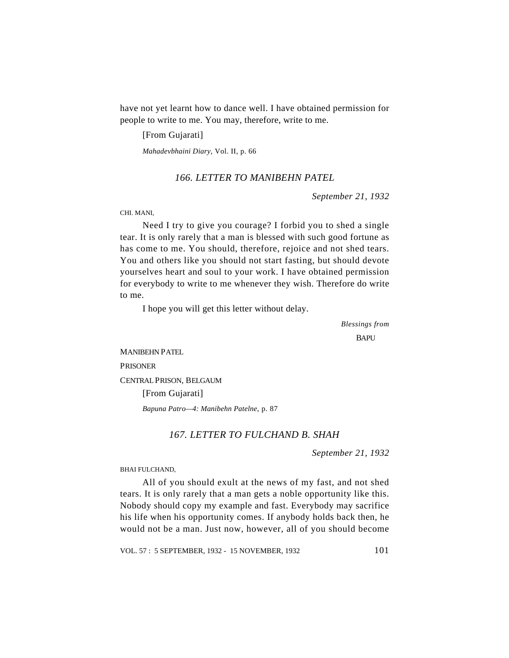have not yet learnt how to dance well. I have obtained permission for people to write to me. You may, therefore, write to me.

[From Gujarati]

*Mahadevbhaini Diary*, Vol. II, p. 66

# *166. LETTER TO MANIBEHN PATEL*

*September 21, 1932*

CHI. MANI,

Need I try to give you courage? I forbid you to shed a single tear. It is only rarely that a man is blessed with such good fortune as has come to me. You should, therefore, rejoice and not shed tears. You and others like you should not start fasting, but should devote yourselves heart and soul to your work. I have obtained permission for everybody to write to me whenever they wish. Therefore do write to me.

I hope you will get this letter without delay.

*Blessings from*

**BAPU** 

MANIBEHN PATEL PRISONER CENTRAL PRISON, BELGAUM [From Gujarati]

*Bapuna Patro—4: Manibehn Patelne*, p. 87

# *167. LETTER TO FULCHAND B. SHAH*

*September 21, 1932*

BHAI FULCHAND,

All of you should exult at the news of my fast, and not shed tears. It is only rarely that a man gets a noble opportunity like this. Nobody should copy my example and fast. Everybody may sacrifice his life when his opportunity comes. If anybody holds back then, he would not be a man. Just now, however, all of you should become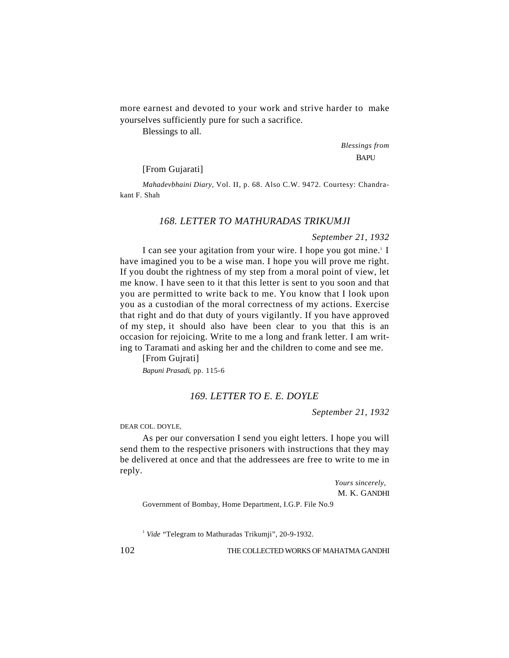more earnest and devoted to your work and strive harder to make yourselves sufficiently pure for such a sacrifice.

Blessings to all.

*Blessings from* **BAPU** 

[From Gujarati]

*Mahadevbhaini Diary,* Vol. II, p. 68. Also C.W. 9472. Courtesy: Chandrakant F. Shah

# *168. LETTER TO MATHURADAS TRIKUMJI*

#### *September 21, 1932*

I can see your agitation from your wire. I hope you got mine.<sup>1</sup> I have imagined you to be a wise man. I hope you will prove me right. If you doubt the rightness of my step from a moral point of view, let me know. I have seen to it that this letter is sent to you soon and that you are permitted to write back to me. You know that I look upon you as a custodian of the moral correctness of my actions. Exercise that right and do that duty of yours vigilantly. If you have approved of my step, it should also have been clear to you that this is an occasion for rejoicing. Write to me a long and frank letter. I am writing to Taramati and asking her and the children to come and see me.

[From Gujrati]

*Bapuni Prasadi*, pp. 115-6

# *169. LETTER TO E. E. DOYLE*

*September 21, 1932*

DEAR COL. DOYLE,

As per our conversation I send you eight letters. I hope you will send them to the respective prisoners with instructions that they may be delivered at once and that the addressees are free to write to me in reply.

> *Yours sincerely,* M. K. GANDHI

Government of Bombay, Home Department, I.G.P. File No.9

<sup>1</sup> *Vide* "Telegram to Mathuradas Trikumji", 20-9-1932.

102 THE COLLECTED WORKS OF MAHATMA GANDHI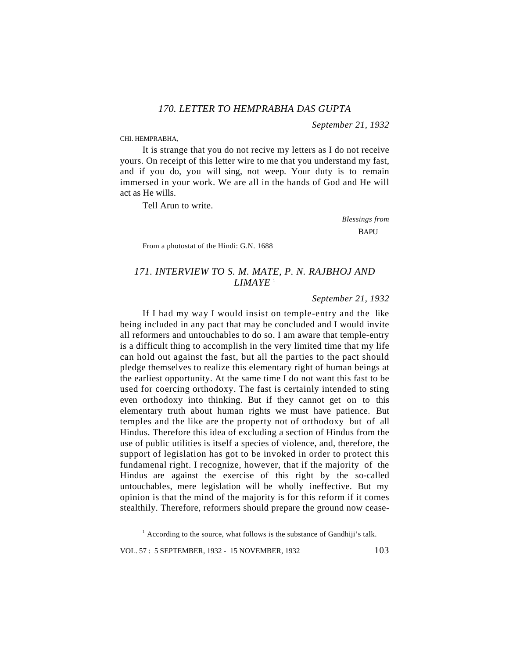*September 21, 1932*

CHI. HEMPRABHA,

It is strange that you do not recive my letters as I do not receive yours. On receipt of this letter wire to me that you understand my fast, and if you do, you will sing, not weep. Your duty is to remain immersed in your work. We are all in the hands of God and He will act as He wills.

Tell Arun to write.

 *Blessings from* BAPU

From a photostat of the Hindi: G.N. 1688

# *171. INTERVIEW TO S. M. MATE, P. N. RAJBHOJ AND LIMAYE* <sup>1</sup>

#### *September 21, 1932*

If I had my way I would insist on temple-entry and the like being included in any pact that may be concluded and I would invite all reformers and untouchables to do so. I am aware that temple-entry is a difficult thing to accomplish in the very limited time that my life can hold out against the fast, but all the parties to the pact should pledge themselves to realize this elementary right of human beings at the earliest opportunity. At the same time I do not want this fast to be used for coercing orthodoxy. The fast is certainly intended to sting even orthodoxy into thinking. But if they cannot get on to this elementary truth about human rights we must have patience. But temples and the like are the property not of orthodoxy but of all Hindus. Therefore this idea of excluding a section of Hindus from the use of public utilities is itself a species of violence, and, therefore, the support of legislation has got to be invoked in order to protect this fundamenal right. I recognize, however, that if the majority of the Hindus are against the exercise of this right by the so-called untouchables, mere legislation will be wholly ineffective. But my opinion is that the mind of the majority is for this reform if it comes stealthily. Therefore, reformers should prepare the ground now cease-

<sup>&</sup>lt;sup>1</sup> According to the source, what follows is the substance of Gandhiji's talk.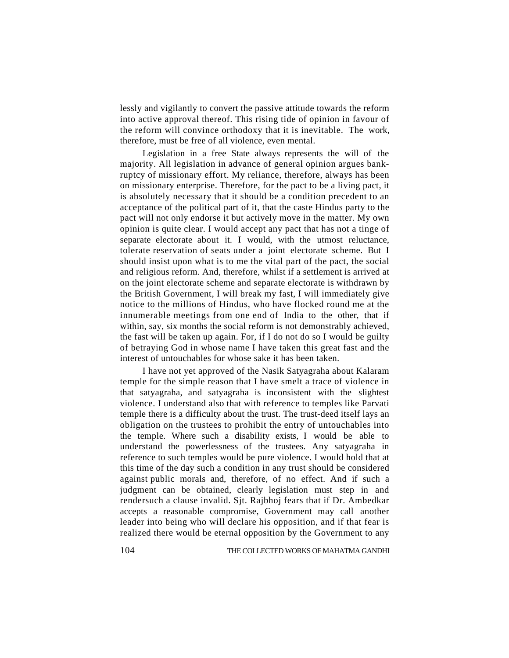lessly and vigilantly to convert the passive attitude towards the reform into active approval thereof. This rising tide of opinion in favour of the reform will convince orthodoxy that it is inevitable. The work, therefore, must be free of all violence, even mental.

Legislation in a free State always represents the will of the majority. All legislation in advance of general opinion argues bankruptcy of missionary effort. My reliance, therefore, always has been on missionary enterprise. Therefore, for the pact to be a living pact, it is absolutely necessary that it should be a condition precedent to an acceptance of the political part of it, that the caste Hindus party to the pact will not only endorse it but actively move in the matter. My own opinion is quite clear. I would accept any pact that has not a tinge of separate electorate about it. I would, with the utmost reluctance, tolerate reservation of seats under a joint electorate scheme. But I should insist upon what is to me the vital part of the pact, the social and religious reform. And, therefore, whilst if a settlement is arrived at on the joint electorate scheme and separate electorate is withdrawn by the British Government, I will break my fast, I will immediately give notice to the millions of Hindus, who have flocked round me at the innumerable meetings from one end of India to the other, that if within, say, six months the social reform is not demonstrably achieved, the fast will be taken up again. For, if I do not do so I would be guilty of betraying God in whose name I have taken this great fast and the interest of untouchables for whose sake it has been taken.

I have not yet approved of the Nasik Satyagraha about Kalaram temple for the simple reason that I have smelt a trace of violence in that satyagraha, and satyagraha is inconsistent with the slightest violence. I understand also that with reference to temples like Parvati temple there is a difficulty about the trust. The trust-deed itself lays an obligation on the trustees to prohibit the entry of untouchables into the temple. Where such a disability exists, I would be able to understand the powerlessness of the trustees. Any satyagraha in reference to such temples would be pure violence. I would hold that at this time of the day such a condition in any trust should be considered against public morals and, therefore, of no effect. And if such a judgment can be obtained, clearly legislation must step in and rendersuch a clause invalid. Sjt. Rajbhoj fears that if Dr. Ambedkar accepts a reasonable compromise, Government may call another leader into being who will declare his opposition, and if that fear is realized there would be eternal opposition by the Government to any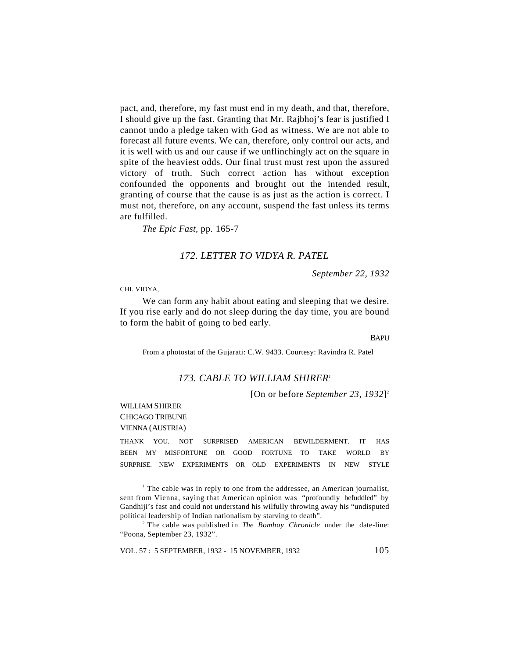pact, and, therefore, my fast must end in my death, and that, therefore, I should give up the fast. Granting that Mr. Rajbhoj's fear is justified I cannot undo a pledge taken with God as witness. We are not able to forecast all future events. We can, therefore, only control our acts, and it is well with us and our cause if we unflinchingly act on the square in spite of the heaviest odds. Our final trust must rest upon the assured victory of truth. Such correct action has without exception confounded the opponents and brought out the intended result, granting of course that the cause is as just as the action is correct. I must not, therefore, on any account, suspend the fast unless its terms are fulfilled.

*The Epic Fast,* pp*.* 165-7

### *172. LETTER TO VIDYA R. PATEL*

*September 22, 1932*

CHI. VIDYA,

We can form any habit about eating and sleeping that we desire. If you rise early and do not sleep during the day time, you are bound to form the habit of going to bed early.

**BAPU** 

From a photostat of the Gujarati: C.W. 9433. Courtesy: Ravindra R. Patel

## *173. CABLE TO WILLIAM SHIRER<sup>1</sup>*

[On or before *September 23, 1932*] 2

WILLIAM SHIRER CHICAGO TRIBUNE

VIENNA (AUSTRIA)

THANK YOU. NOT SURPRISED AMERICAN BEWILDERMENT. IT HAS BEEN MY MISFORTUNE OR GOOD FORTUNE TO TAKE WORLD BY SURPRISE. NEW EXPERIMENTS OR OLD EXPERIMENTS IN NEW STYLE

<sup>1</sup> The cable was in reply to one from the addressee, an American journalist, sent from Vienna, saying that American opinion was "profoundly befuddled" by Gandhiji's fast and could not understand his wilfully throwing away his "undisputed political leadership of Indian nationalism by starving to death".

2 The cable was published in *The Bombay Chronicle* under the date-line: "Poona, September 23, 1932".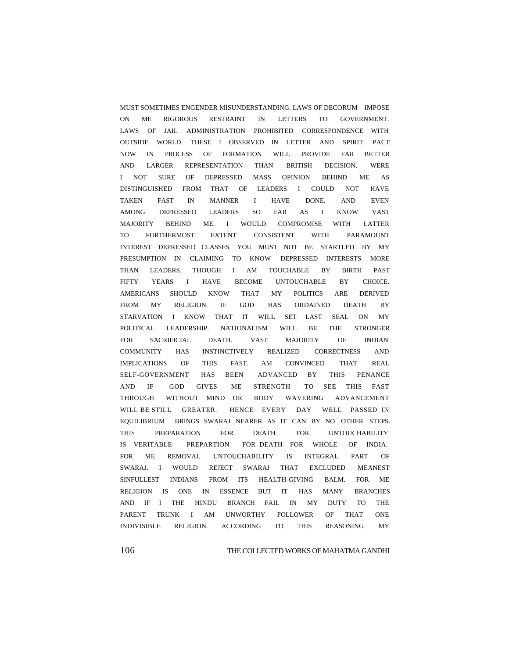MUST SOMETIMES ENGENDER MISUNDERSTANDING. LAWS OF DECORUM IMPOSE ON ME RIGOROUS RESTRAINT IN LETTERS TO GOVERNMENT. LAWS OF JAIL ADMINISTRATION PROHIBITED CORRESPONDENCE WITH OUTSIDE WORLD. THESE I OBSERVED IN LETTER AND SPIRIT. PACT NOW IN PROCESS OF FORMATION WILL PROVIDE FAR BETTER AND LARGER REPRESENTATION THAN BRITISH DECISION. WERE I NOT SURE OF DEPRESSED MASS OPINION BEHIND ME AS DISTINGUISHED FROM THAT OF LEADERS I COULD NOT HAVE TAKEN FAST IN MANNER I HAVE DONE. AND EVEN AMONG DEPRESSED LEADERS SO FAR AS I KNOW VAST MAJORITY BEHIND ME. I WOULD COMPROMISE WITH LATTER TO FURTHERMOST EXTENT CONSISTENT WITH PARAMOUNT INTEREST DEPRESSED CLASSES. YOU MUST NOT BE STARTLED BY MY PRESUMPTION IN CLAIMING TO KNOW DEPRESSED INTERESTS MORE THAN LEADERS. THOUGH I AM TOUCHABLE BY BIRTH PAST FIFTY YEARS I HAVE BECOME UNTOUCHABLE BY CHOICE. AMERICANS SHOULD KNOW THAT MY POLITICS ARE DERIVED FROM MY RELIGION. IF GOD HAS ORDAINED DEATH BY STARVATION I KNOW THAT IT WILL SET LAST SEAL ON MY POLITICAL LEADERSHIP. NATIONALISM WILL BE THE STRONGER FOR SACRIFICIAL DEATH. VAST MAJORITY OF INDIAN COMMUNITY HAS INSTINCTIVELY REALIZED CORRECTNESS AND IMPLICATIONS OF THIS FAST. AM CONVINCED THAT REAL SELF-GOVERNMENT HAS BEEN ADVANCED BY THIS PENANCE AND IF GOD GIVES ME STRENGTH TO SEE THIS FAST THROUGH WITHOUT MIND OR BODY WAVERING ADVANCEMENT WILL BE STILL GREATER. HENCE EVERY DAY WELL PASSED IN EQUILIBRIUM BRINGS SWARAJ NEARER AS IT CAN BY NO OTHER STEPS. THIS PREPARATION FOR DEATH FOR UNTOUCHABILITY IS VERITABLE PREPARTION FOR DEATH FOR WHOLE OF INDIA. FOR ME REMOVAL UNTOUCHABILITY IS INTEGRAL PART OF SWARAJ. I WOULD REJECT SWARAJ THAT EXCLUDED MEANEST SINFULLEST INDIANS FROM ITS HEALTH-GIVING BALM. FOR ME RELIGION IS ONE IN ESSENCE BUT IT HAS MANY BRANCHES AND IF I THE HINDU BRANCH FAIL IN MY DUTY TO THE PARENT TRUNK I AM UNWORTHY FOLLOWER OF THAT ONE INDIVISIBLE RELIGION. ACCORDING TO THIS REASONING MY

#### 106 THE COLLECTED WORKS OF MAHATMA GANDHI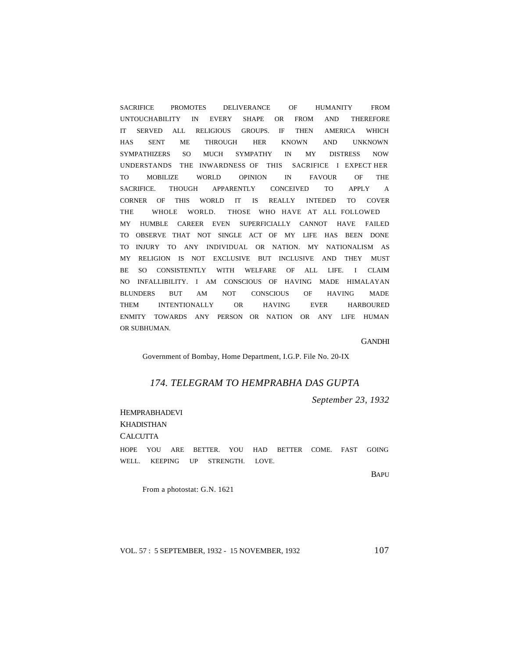SACRIFICE PROMOTES DELIVERANCE OF HUMANITY FROM UNTOUCHABILITY IN EVERY SHAPE OR FROM AND THEREFORE IT SERVED ALL RELIGIOUS GROUPS. IF THEN AMERICA WHICH HAS SENT ME THROUGH HER KNOWN AND UNKNOWN SYMPATHIZERS SO MUCH SYMPATHY IN MY DISTRESS NOW UNDERSTANDS THE INWARDNESS OF THIS SACRIFICE I EXPECT HER TO MOBILIZE WORLD OPINION IN FAVOUR OF THE SACRIFICE. THOUGH APPARENTLY CONCEIVED TO APPLY A CORNER OF THIS WORLD IT IS REALLY INTEDED TO COVER THE WHOLE WORLD. THOSE WHO HAVE AT ALL FOLLOWED MY HUMBLE CAREER EVEN SUPERFICIALLY CANNOT HAVE FAILED TO OBSERVE THAT NOT SINGLE ACT OF MY LIFE HAS BEEN DONE TO INJURY TO ANY INDIVIDUAL OR NATION. MY NATIONALISM AS MY RELIGION IS NOT EXCLUSIVE BUT INCLUSIVE AND THEY MUST BE SO CONSISTENTLY WITH WELFARE OF ALL LIFE. I CLAIM NO INFALLIBILITY. I AM CONSCIOUS OF HAVING MADE HIMALAYAN BLUNDERS BUT AM NOT CONSCIOUS OF HAVING MADE THEM INTENTIONALLY OR HAVING EVER HARBOURED ENMITY TOWARDS ANY PERSON OR NATION OR ANY LIFE HUMAN OR SUBHUMAN.

GANDHI

Government of Bombay, Home Department, I.G.P. File No. 20-IX

## *174. TELEGRAM TO HEMPRABHA DAS GUPTA*

*September 23, 1932*

HEMPRABHADEVI KHADISTHAN **CALCUTTA** HOPE YOU ARE BETTER. YOU HAD BETTER COME. FAST GOING WELL. KEEPING UP STRENGTH. LOVE.

BAPU BAPU

From a photostat: G.N. 1621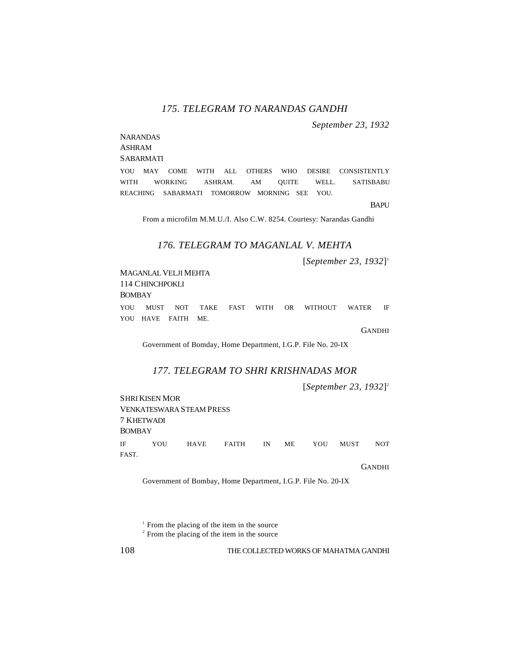# *175. TELEGRAM TO NARANDAS GANDHI*

*September 23, 1932*

# **NARANDAS**

ASHRAM

SABARMATI

YOU MAY COME WITH ALL OTHERS WHO DESIRE CONSISTENTLY WITH WORKING ASHRAM. AM QUITE WELL. SATISBABU REACHING SABARMATI TOMORROW MORNING SEE YOU.

**BAPU** 

From a microfilm M.M.U./I. Also C.W. 8254. Courtesy: Narandas Gandhi

#### *176. TELEGRAM TO MAGANLAL V. MEHTA*

[*September 23, 1932*] 1

MAGANLAL VELJI MEHTA 114 CHINCHPOKLI BOMBAY

YOU MUST NOT TAKE FAST WITH OR WITHOUT WATER IF YOU HAVE FAITH ME.

GANDHI

Government of Bomday, Home Department, I.G.P. File No. 20-IX

### *177. TELEGRAM TO SHRI KRISHNADAS MOR*

[*September 23, 1932*] 2

SHRI KISEN MOR VENKATESWARA STEAM PRESS 7 KHETWADI BOMBAY IF YOU HAVE FAITH IN ME YOU MUST NOT FAST. GANDHI

Government of Bombay, Home Department, I.G.P. File No. 20-IX

<sup>1</sup> From the placing of the item in the source

<sup>2</sup> From the placing of the item in the source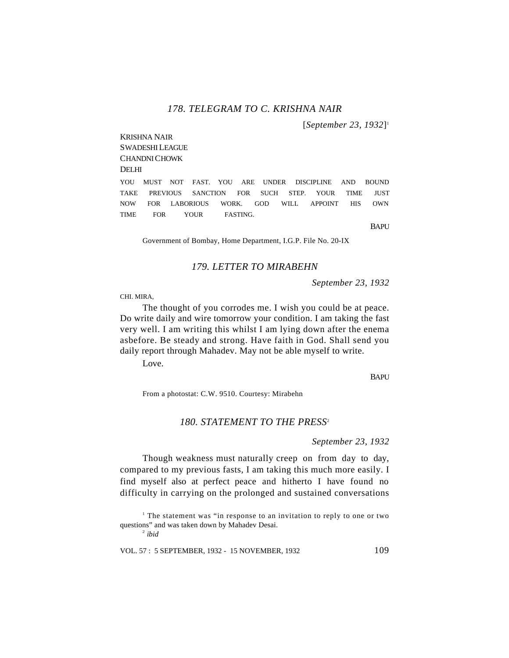### *178. TELEGRAM TO C. KRISHNA NAIR*

[*September 23, 1932*] 1

KRISHNA NAIR SWADESHI LEAGUE CHANDNI CHOWK DELHI

YOU MUST NOT FAST. YOU ARE UNDER DISCIPLINE AND BOUND TAKE PREVIOUS SANCTION FOR SUCH STEP. YOUR TIME JUST NOW FOR LABORIOUS WORK. GOD WILL APPOINT HIS OWN TIME FOR YOUR FASTING.

BAPU

Government of Bombay, Home Department, I.G.P. File No. 20-IX

## *179. LETTER TO MIRABEHN*

*September 23, 1932*

CHI. MIRA,

The thought of you corrodes me. I wish you could be at peace. Do write daily and wire tomorrow your condition. I am taking the fast very well. I am writing this whilst I am lying down after the enema asbefore. Be steady and strong. Have faith in God. Shall send you daily report through Mahadev. May not be able myself to write.

Love.

**BAPU** 

From a photostat: C.W. 9510. Courtesy: Mirabehn

#### 180. STATEMENT TO THE PRESS<sup>2</sup>

*September 23, 1932*

Though weakness must naturally creep on from day to day, compared to my previous fasts, I am taking this much more easily. I find myself also at perfect peace and hitherto I have found no difficulty in carrying on the prolonged and sustained conversations

2  *ibid*

<sup>&</sup>lt;sup>1</sup> The statement was "in response to an invitation to reply to one or two questions" and was taken down by Mahadev Desai.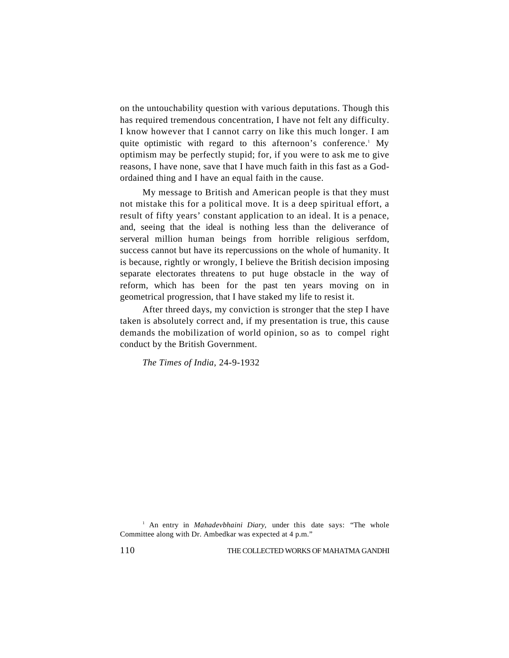on the untouchability question with various deputations. Though this has required tremendous concentration, I have not felt any difficulty. I know however that I cannot carry on like this much longer. I am quite optimistic with regard to this afternoon's conference.<sup>1</sup> My optimism may be perfectly stupid; for, if you were to ask me to give reasons, I have none, save that I have much faith in this fast as a Godordained thing and I have an equal faith in the cause.

My message to British and American people is that they must not mistake this for a political move. It is a deep spiritual effort, a result of fifty years' constant application to an ideal. It is a penace, and, seeing that the ideal is nothing less than the deliverance of serveral million human beings from horrible religious serfdom, success cannot but have its repercussions on the whole of humanity. It is because, rightly or wrongly, I believe the British decision imposing separate electorates threatens to put huge obstacle in the way of reform, which has been for the past ten years moving on in geometrical progression, that I have staked my life to resist it.

After threed days, my conviction is stronger that the step I have taken is absolutely correct and, if my presentation is true, this cause demands the mobilization of world opinion, so as to compel right conduct by the British Government.

*The Times of India*, 24-9-1932

<sup>1</sup> An entry in *Mahadevbhaini Diary*, under this date says: "The whole Committee along with Dr. Ambedkar was expected at 4 p.m."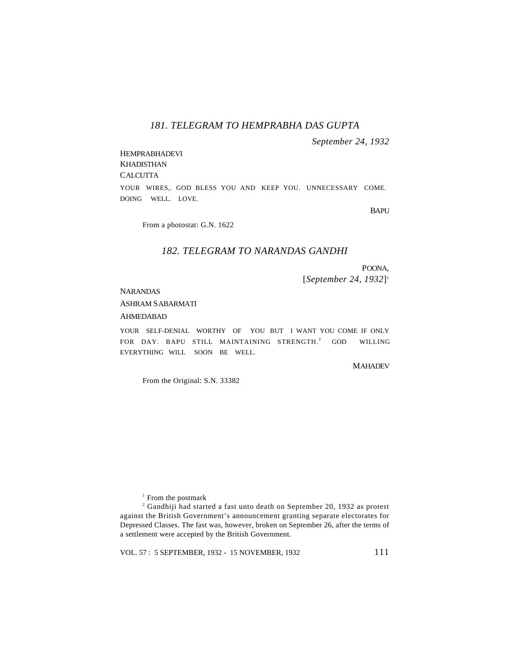### *181. TELEGRAM TO HEMPRABHA DAS GUPTA*

*September 24, 1932*

HEMPRABHADEVI KHADISTHAN **CALCUTTA** YOUR WIRES,. GOD BLESS YOU AND KEEP YOU. UNNECESSARY COME. DOING WELL. LOVE.

**BAPU** 

From a photostat: G.N. 1622

#### *182. TELEGRAM TO NARANDAS GANDHI*

POONA, [*September 24, 1932*] 1

**NARANDAS** 

ASHRAM SABARMATI

AHMEDABAD

YOUR SELF-DENIAL WORTHY OF YOU BUT I WANT YOU COME IF ONLY FOR DAY. BAPU STILL MAINTAINING STRENGTH.<sup>2</sup> GOD WILLING EVERYTHING WILL SOON BE WELL.

#### MAHADEV

From the Original: S.N. 33382

<sup>1</sup> From the postmark

 $2^2$  Gandhiji had started a fast unto death on September 20, 1932 as protest against the British Government's announcement granting separate electorates for Depressed Classes. The fast was, however, broken on September 26, after the terms of a settlement were accepted by the British Government.

VOL. 57 : 5 SEPTEMBER, 1932 - 15 NOVEMBER, 1932 111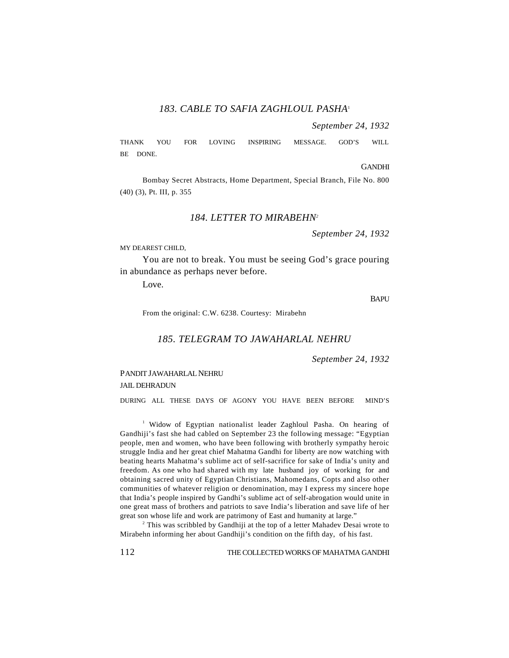### *183. CABLE TO SAFIA ZAGHLOUL PASHA*<sup>1</sup>

*September 24, 1932*

THANK YOU FOR LOVING INSPIRING MESSAGE. GOD'S WILL BE DONE.

**GANDHI** 

Bombay Secret Abstracts, Home Department, Special Branch, File No. 800 (40) (3), Pt. III, p. 355

#### *184. LETTER TO MIRABEHN<sup>2</sup>*

*September 24, 1932*

MY DEAREST CHILD,

You are not to break. You must be seeing God's grace pouring in abundance as perhaps never before.

Love.

**BAPU** 

From the original: C.W. 6238. Courtesy: Mirabehn

## *185. TELEGRAM TO JAWAHARLAL NEHRU*

*September 24, 1932*

PANDIT JAWAHARLAL NEHRU JAIL DEHRADUN

DURING ALL THESE DAYS OF AGONY YOU HAVE BEEN BEFORE MIND'S

<sup>1</sup> Widow of Egyptian nationalist leader Zaghloul Pasha. On hearing of Gandhiji's fast she had cabled on September 23 the following message: "Egyptian people, men and women, who have been following with brotherly sympathy heroic struggle India and her great chief Mahatma Gandhi for liberty are now watching with beating hearts Mahatma's sublime act of self-sacrifice for sake of India's unity and freedom. As one who had shared with my late husband joy of working for and obtaining sacred unity of Egyptian Christians, Mahomedans, Copts and also other communities of whatever religion or denomination, may I express my sincere hope that India's people inspired by Gandhi's sublime act of self-abrogation would unite in one great mass of brothers and patriots to save India's liberation and save life of her great son whose life and work are patrimony of East and humanity at large."

<sup>2</sup> This was scribbled by Gandhiji at the top of a letter Mahadev Desai wrote to Mirabehn informing her about Gandhiji's condition on the fifth day, of his fast.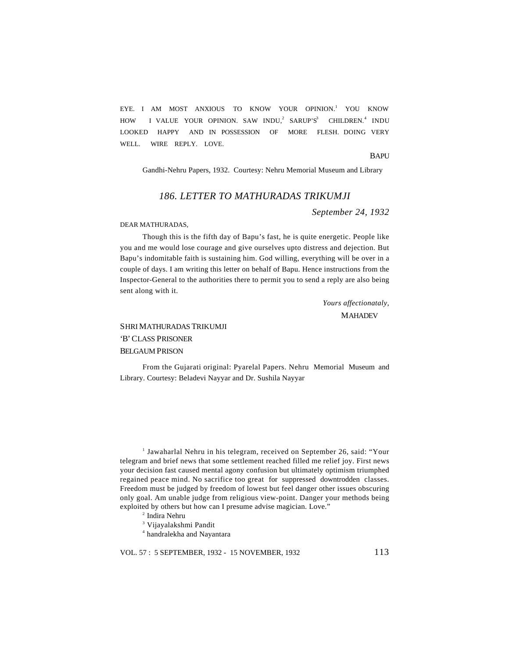EYE. I AM MOST ANXIOUS TO KNOW YOUR OPINION.<sup>1</sup> YOU KNOW HOW I VALUE YOUR OPINION. SAW INDU,<sup>2</sup> SARUP'S<sup>3</sup>  $SARUP'S^3$  CHILDREN.<sup>4</sup> INDU LOOKED HAPPY AND IN POSSESSION OF MORE FLESH. DOING VERY WELL. WIRE REPLY. LOVE.

#### BAPU

Gandhi-Nehru Papers, 1932. Courtesy: Nehru Memorial Museum and Library

#### *186. LETTER TO MATHURADAS TRIKUMJI*

*September 24, 1932*

#### DEAR MATHURADAS,

Though this is the fifth day of Bapu's fast, he is quite energetic. People like you and me would lose courage and give ourselves upto distress and dejection. But Bapu's indomitable faith is sustaining him. God willing, everything will be over in a couple of days. I am writing this letter on behalf of Bapu. Hence instructions from the Inspector-General to the authorities there to permit you to send a reply are also being sent along with it.

> *Yours affectionataly,* **MAHADEV**

## SHRI MATHURADAS TRIKUMJI 'B'CLASS PRISONER BELGAUM PRISON

From the Gujarati original: Pyarelal Papers. Nehru Memorial Museum and Library. Courtesy: Beladevi Nayyar and Dr. Sushila Nayyar

<sup>1</sup> Jawaharlal Nehru in his telegram, received on September 26, said: "Your telegram and brief news that some settlement reached filled me relief joy. First news your decision fast caused mental agony confusion but ultimately optimism triumphed regained peace mind. No sacrifice too great for suppressed downtrodden classes. Freedom must be judged by freedom of lowest but feel danger other issues obscuring only goal. Am unable judge from religious view-point. Danger your methods being exploited by others but how can I presume advise magician. Love."

2 Indira Nehru

3 Vijayalakshmi Pandit

4 handralekha and Nayantara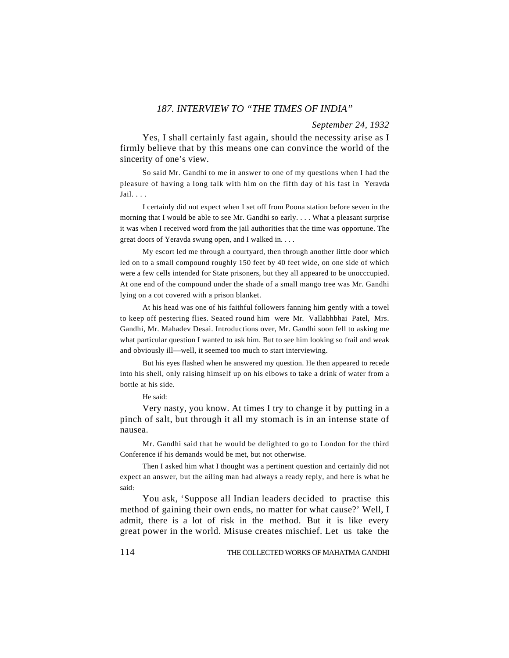### *187. INTERVIEW TO "THE TIMES OF INDIA"*

#### *September 24, 1932*

Yes, I shall certainly fast again, should the necessity arise as I firmly believe that by this means one can convince the world of the sincerity of one's view.

So said Mr. Gandhi to me in answer to one of my questions when I had the pleasure of having a long talk with him on the fifth day of his fast in Yeravda Jail. . . .

I certainly did not expect when I set off from Poona station before seven in the morning that I would be able to see Mr. Gandhi so early. . . . What a pleasant surprise it was when I received word from the jail authorities that the time was opportune. The great doors of Yeravda swung open, and I walked in. . . .

My escort led me through a courtyard, then through another little door which led on to a small compound roughly 150 feet by 40 feet wide, on one side of which were a few cells intended for State prisoners, but they all appeared to be unocccupied. At one end of the compound under the shade of a small mango tree was Mr. Gandhi lying on a cot covered with a prison blanket.

At his head was one of his faithful followers fanning him gently with a towel to keep off pestering flies. Seated round him were Mr. Vallabhbhai Patel, Mrs. Gandhi, Mr. Mahadev Desai. Introductions over, Mr. Gandhi soon fell to asking me what particular question I wanted to ask him. But to see him looking so frail and weak and obviously ill—well, it seemed too much to start interviewing.

But his eyes flashed when he answered my question. He then appeared to recede into his shell, only raising himself up on his elbows to take a drink of water from a bottle at his side.

He said:

Very nasty, you know. At times I try to change it by putting in a pinch of salt, but through it all my stomach is in an intense state of nausea.

Mr. Gandhi said that he would be delighted to go to London for the third Conference if his demands would be met, but not otherwise.

Then I asked him what I thought was a pertinent question and certainly did not expect an answer, but the ailing man had always a ready reply, and here is what he said:

You ask, 'Suppose all Indian leaders decided to practise this method of gaining their own ends, no matter for what cause?' Well, I admit, there is a lot of risk in the method. But it is like every great power in the world. Misuse creates mischief. Let us take the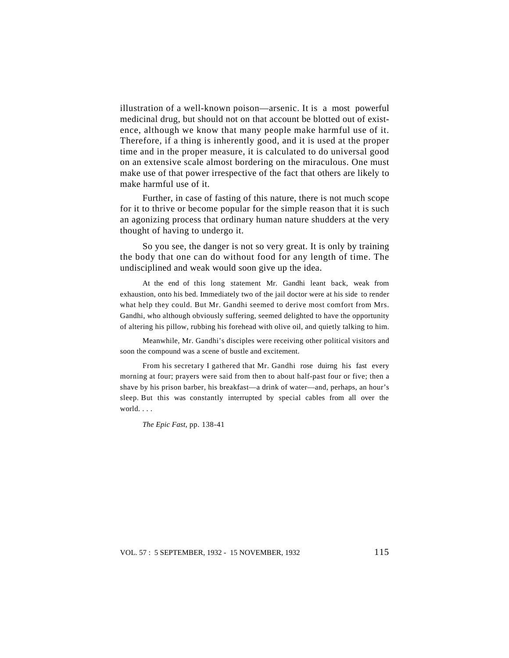illustration of a well-known poison—arsenic. It is a most powerful medicinal drug, but should not on that account be blotted out of existence, although we know that many people make harmful use of it. Therefore, if a thing is inherently good, and it is used at the proper time and in the proper measure, it is calculated to do universal good on an extensive scale almost bordering on the miraculous. One must make use of that power irrespective of the fact that others are likely to make harmful use of it.

Further, in case of fasting of this nature, there is not much scope for it to thrive or become popular for the simple reason that it is such an agonizing process that ordinary human nature shudders at the very thought of having to undergo it.

So you see, the danger is not so very great. It is only by training the body that one can do without food for any length of time. The undisciplined and weak would soon give up the idea.

At the end of this long statement Mr. Gandhi leant back, weak from exhaustion, onto his bed. Immediately two of the jail doctor were at his side to render what help they could. But Mr. Gandhi seemed to derive most comfort from Mrs. Gandhi, who although obviously suffering, seemed delighted to have the opportunity of altering his pillow, rubbing his forehead with olive oil, and quietly talking to him.

Meanwhile, Mr. Gandhi's disciples were receiving other political visitors and soon the compound was a scene of bustle and excitement.

From his secretary I gathered that Mr. Gandhi rose duirng his fast every morning at four; prayers were said from then to about half-past four or five; then a shave by his prison barber, his breakfast—a drink of water—and, perhaps, an hour's sleep. But this was constantly interrupted by special cables from all over the world. . . .

*The Epic Fast,* pp. 138-41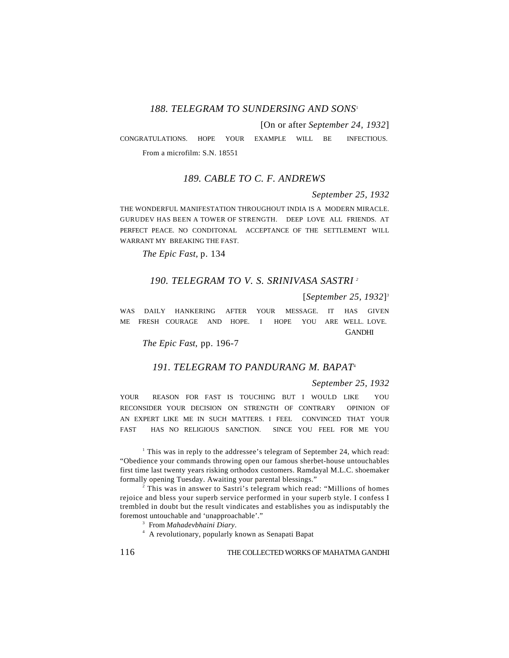#### *188. TELEGRAM TO SUNDERSING AND SONS*<sup>1</sup>

[On or after *September 24, 1932*]

CONGRATULATIONS. HOPE YOUR EXAMPLE WILL BE INFECTIOUS. From a microfilm: S.N. 18551

### *189. CABLE TO C. F. ANDREWS*

*September 25, 1932*

THE WONDERFUL MANIFESTATION THROUGHOUT INDIA IS A MODERN MIRACLE. GURUDEV HAS BEEN A TOWER OF STRENGTH. DEEP LOVE ALL FRIENDS. AT PERFECT PEACE. NO CONDITONAL ACCEPTANCE OF THE SETTLEMENT WILL WARRANT MY BREAKING THE FAST.

*The Epic Fast,* p*.* 134

### *190. TELEGRAM TO V. S. SRINIVASA SASTRI <sup>2</sup>*

[*September 25, 1932*] *3*

WAS DAILY HANKERING AFTER YOUR MESSAGE. IT HAS GIVEN ME FRESH COURAGE AND HOPE. I HOPE YOU ARE WELL. LOVE. **GANDHI** 

*The Epic Fast,* pp. 196-7

#### *191. TELEGRAM TO PANDURANG M. BAPAT*<sup>4</sup>

#### *September 25, 1932*

YOUR REASON FOR FAST IS TOUCHING BUT I WOULD LIKE YOU RECONSIDER YOUR DECISION ON STRENGTH OF CONTRARY OPINION OF AN EXPERT LIKE ME IN SUCH MATTERS. I FEEL CONVINCED THAT YOUR FAST HAS NO RELIGIOUS SANCTION. SINCE YOU FEEL FOR ME YOU

<sup>1</sup> This was in reply to the addressee's telegram of September 24, which read: "Obedience your commands throwing open our famous sherbet-house untouchables first time last twenty years risking orthodox customers. Ramdayal M.L.C. shoemaker formally opening Tuesday. Awaiting your parental blessings."

<sup>2</sup> This was in answer to Sastri's telegram which read: "Millions of homes rejoice and bless your superb service performed in your superb style. I confess I trembled in doubt but the result vindicates and establishes you as indisputably the foremost untouchable and 'unapproachable'."

3 From *Mahadevbhaini Diary*.

4 A revolutionary, popularly known as Senapati Bapat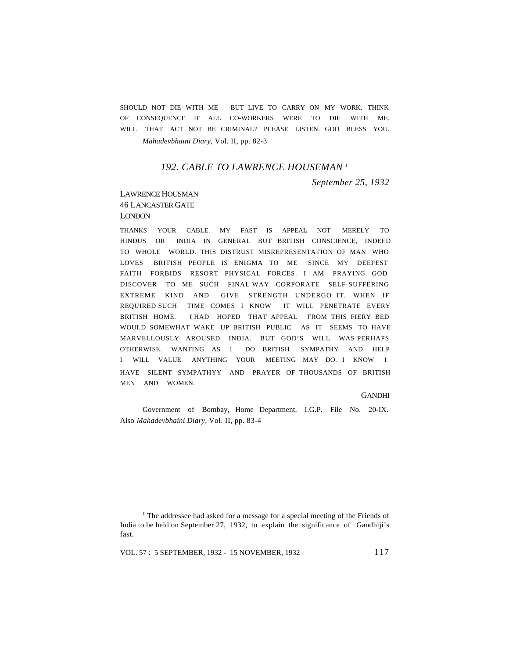SHOULD NOT DIE WITH ME BUT LIVE TO CARRY ON MY WORK. THINK OF CONSEQUENCE IF ALL CO-WORKERS WERE TO DIE WITH ME. WILL THAT ACT NOT BE CRIMINAL? PLEASE LISTEN. GOD BLESS YOU. *Mahadevbhaini Diary*, Vol. II, pp. 82-3

#### *192. CABLE TO LAWRENCE HOUSEMAN* <sup>1</sup>

*September 25, 1932*

## LAWRENCE HOUSMAN 46 LANCASTER GATE

LONDON

THANKS YOUR CABLE. MY FAST IS APPEAL NOT MERELY TO HINDUS OR INDIA IN GENERAL BUT BRITISH CONSCIENCE, INDEED TO WHOLE WORLD. THIS DISTRUST MISREPRESENTATION OF MAN WHO LOVES BRITISH PEOPLE IS ENIGMA TO ME SINCE MY DEEPEST FAITH FORBIDS RESORT PHYSICAL FORCES. I AM PRAYING GOD DISCOVER TO ME SUCH FINAL WAY CORPORATE SELF-SUFFERING EXTREME KIND AND GIVE STRENGTH UNDERGO IT. WHEN IF REQUIRED SUCH TIME COMES I KNOW IT WILL PENETRATE EVERY BRITISH HOME. I HAD HOPED THAT APPEAL FROM THIS FIERY BED WOULD SOMEWHAT WAKE UP BRITISH PUBLIC AS IT SEEMS TO HAVE MARVELLOUSLY AROUSED INDIA. BUT GOD'S WILL WAS PERHAPS OTHERWISE. WANTING AS I DO BRITISH SYMPATHY AND HELP WILL VALUE ANYTHING YOUR MEETING MAY DO. I KNOW I HAVE SILENT SYMPATHYY AND PRAYER OF THOUSANDS OF BRITISH MEN AND WOMEN.

GANDHI

Government of Bombay, Home Department, I.G.P. File No. 20-IX. Also *Mahadevbhaini Diary,* Vol. II, pp. 83-4

<sup>1</sup> The addressee had asked for a message for a special meeting of the Friends of India to be held on September 27, 1932, to explain the significance of Gandhiji's fast.

VOL. 57 : 5 SEPTEMBER, 1932 - 15 NOVEMBER, 1932 117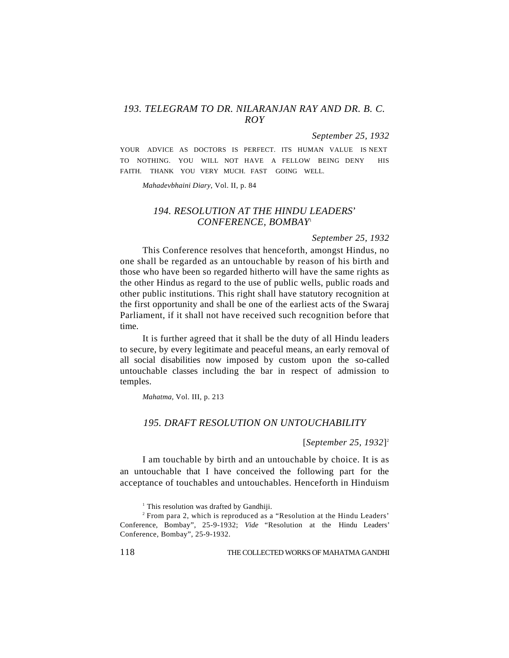## *193. TELEGRAM TO DR. NILARANJAN RAY AND DR. B. C. ROY*

#### *September 25, 1932*

YOUR ADVICE AS DOCTORS IS PERFECT. ITS HUMAN VALUE IS NEXT TO NOTHING. YOU WILL NOT HAVE A FELLOW BEING DENY HIS FAITH. THANK YOU VERY MUCH. FAST GOING WELL.

*Mahadevbhaini Diary*, Vol. II, p. 84

## *194. RESOLUTION AT THE HINDU LEADERS*' *CONFERENCE, BOMBAY*<sup>1</sup>

#### *September 25, 1932*

This Conference resolves that henceforth, amongst Hindus, no one shall be regarded as an untouchable by reason of his birth and those who have been so regarded hitherto will have the same rights as the other Hindus as regard to the use of public wells, public roads and other public institutions. This right shall have statutory recognition at the first opportunity and shall be one of the earliest acts of the Swaraj Parliament, if it shall not have received such recognition before that time.

It is further agreed that it shall be the duty of all Hindu leaders to secure, by every legitimate and peaceful means, an early removal of all social disabilities now imposed by custom upon the so-called untouchable classes including the bar in respect of admission to temples.

*Mahatma,* Vol. III, p. 213

#### *195. DRAFT RESOLUTION ON UNTOUCHABILITY*

[*September 25, 1932*] 2

I am touchable by birth and an untouchable by choice. It is as an untouchable that I have conceived the following part for the acceptance of touchables and untouchables. Henceforth in Hinduism

<sup>&</sup>lt;sup>1</sup> This resolution was drafted by Gandhiji.

 $2^2$  From para 2, which is reproduced as a "Resolution at the Hindu Leaders" Conference, Bombay", 25-9-1932; *Vide* "Resolution at the Hindu Leaders' Conference, Bombay", 25-9-1932.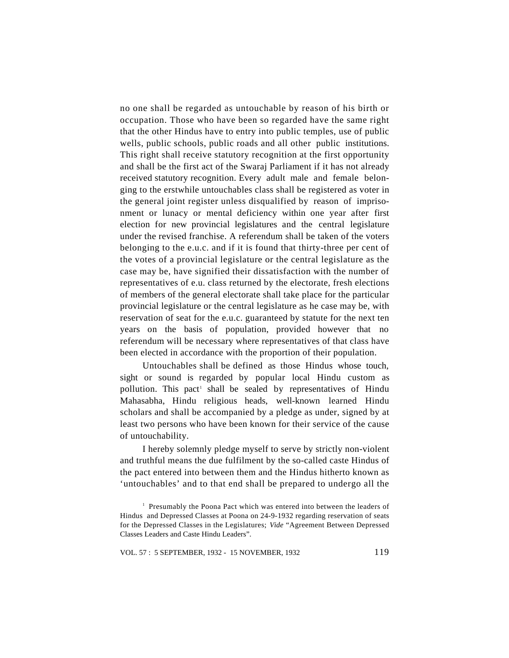no one shall be regarded as untouchable by reason of his birth or occupation. Those who have been so regarded have the same right that the other Hindus have to entry into public temples, use of public wells, public schools, public roads and all other public institutions. This right shall receive statutory recognition at the first opportunity and shall be the first act of the Swaraj Parliament if it has not already received statutory recognition. Every adult male and female belonging to the erstwhile untouchables class shall be registered as voter in the general joint register unless disqualified by reason of imprisonment or lunacy or mental deficiency within one year after first election for new provincial legislatures and the central legislature under the revised franchise. A referendum shall be taken of the voters belonging to the e.u.c. and if it is found that thirty-three per cent of the votes of a provincial legislature or the central legislature as the case may be, have signified their dissatisfaction with the number of representatives of e.u. class returned by the electorate, fresh elections of members of the general electorate shall take place for the particular provincial legislature or the central legislature as he case may be, with reservation of seat for the e.u.c. guaranteed by statute for the next ten years on the basis of population, provided however that no referendum will be necessary where representatives of that class have been elected in accordance with the proportion of their population.

Untouchables shall be defined as those Hindus whose touch, sight or sound is regarded by popular local Hindu custom as pollution. This pact shall be sealed by representatives of Hindu Mahasabha, Hindu religious heads, well-known learned Hindu scholars and shall be accompanied by a pledge as under, signed by at least two persons who have been known for their service of the cause of untouchability.

I hereby solemnly pledge myself to serve by strictly non-violent and truthful means the due fulfilment by the so-called caste Hindus of the pact entered into between them and the Hindus hitherto known as 'untouchables' and to that end shall be prepared to undergo all the

<sup>1</sup> Presumably the Poona Pact which was entered into between the leaders of Hindus and Depressed Classes at Poona on 24-9-1932 regarding reservation of seats for the Depressed Classes in the Legislatures; *Vide* "Agreement Between Depressed Classes Leaders and Caste Hindu Leaders".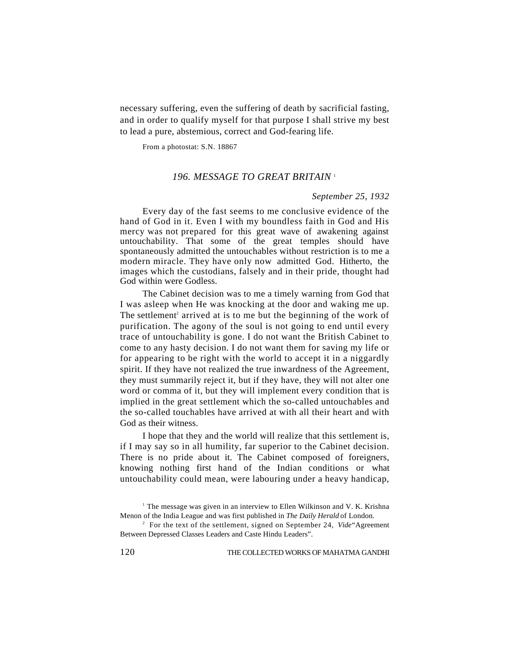necessary suffering, even the suffering of death by sacrificial fasting, and in order to qualify myself for that purpose I shall strive my best to lead a pure, abstemious, correct and God-fearing life.

From a photostat: S.N. 18867

### *196. MESSAGE TO GREAT BRITAIN* <sup>1</sup>

#### *September 25, 1932*

Every day of the fast seems to me conclusive evidence of the hand of God in it. Even I with my boundless faith in God and His mercy was not prepared for this great wave of awakening against untouchability. That some of the great temples should have spontaneously admitted the untouchables without restriction is to me a modern miracle. They have only now admitted God. Hitherto, the images which the custodians, falsely and in their pride, thought had God within were Godless.

The Cabinet decision was to me a timely warning from God that I was asleep when He was knocking at the door and waking me up. The settlement<sup>2</sup> arrived at is to me but the beginning of the work of purification. The agony of the soul is not going to end until every trace of untouchability is gone. I do not want the British Cabinet to come to any hasty decision. I do not want them for saving my life or for appearing to be right with the world to accept it in a niggardly spirit. If they have not realized the true inwardness of the Agreement, they must summarily reject it, but if they have, they will not alter one word or comma of it, but they will implement every condition that is implied in the great settlement which the so-called untouchables and the so-called touchables have arrived at with all their heart and with God as their witness.

I hope that they and the world will realize that this settlement is, if I may say so in all humility, far superior to the Cabinet decision. There is no pride about it. The Cabinet composed of foreigners, knowing nothing first hand of the Indian conditions or what untouchability could mean, were labouring under a heavy handicap,

<sup>&</sup>lt;sup>1</sup> The message was given in an interview to Ellen Wilkinson and V. K. Krishna Menon of the India League and was first published in *The Daily Herald* of London*.*

<sup>&</sup>lt;sup>2</sup> For the text of the settlement, signed on September 24, *Vide* "Agreement Between Depressed Classes Leaders and Caste Hindu Leaders".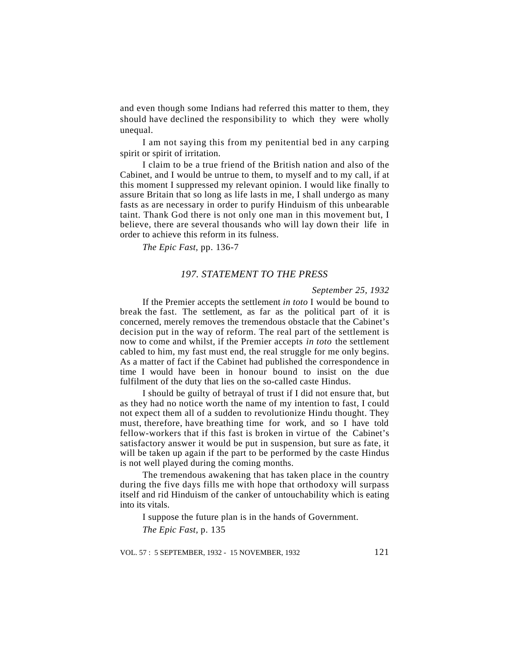and even though some Indians had referred this matter to them, they should have declined the responsibility to which they were wholly unequal.

I am not saying this from my penitential bed in any carping spirit or spirit of irritation.

I claim to be a true friend of the British nation and also of the Cabinet, and I would be untrue to them, to myself and to my call, if at this moment I suppressed my relevant opinion. I would like finally to assure Britain that so long as life lasts in me, I shall undergo as many fasts as are necessary in order to purify Hinduism of this unbearable taint. Thank God there is not only one man in this movement but, I believe, there are several thousands who will lay down their life in order to achieve this reform in its fulness.

*The Epic Fast,* pp. 136-7

#### *197. STATEMENT TO THE PRESS*

#### *September 25, 1932*

If the Premier accepts the settlement *in toto* I would be bound to break the fast. The settlement, as far as the political part of it is concerned, merely removes the tremendous obstacle that the Cabinet's decision put in the way of reform. The real part of the settlement is now to come and whilst, if the Premier accepts *in toto* the settlement cabled to him, my fast must end, the real struggle for me only begins. As a matter of fact if the Cabinet had published the correspondence in time I would have been in honour bound to insist on the due fulfilment of the duty that lies on the so-called caste Hindus.

I should be guilty of betrayal of trust if I did not ensure that, but as they had no notice worth the name of my intention to fast, I could not expect them all of a sudden to revolutionize Hindu thought. They must, therefore, have breathing time for work, and so I have told fellow-workers that if this fast is broken in virtue of the Cabinet's satisfactory answer it would be put in suspension, but sure as fate, it will be taken up again if the part to be performed by the caste Hindus is not well played during the coming months.

The tremendous awakening that has taken place in the country during the five days fills me with hope that orthodoxy will surpass itself and rid Hinduism of the canker of untouchability which is eating into its vitals.

I suppose the future plan is in the hands of Government. *The Epic Fast,* p. 135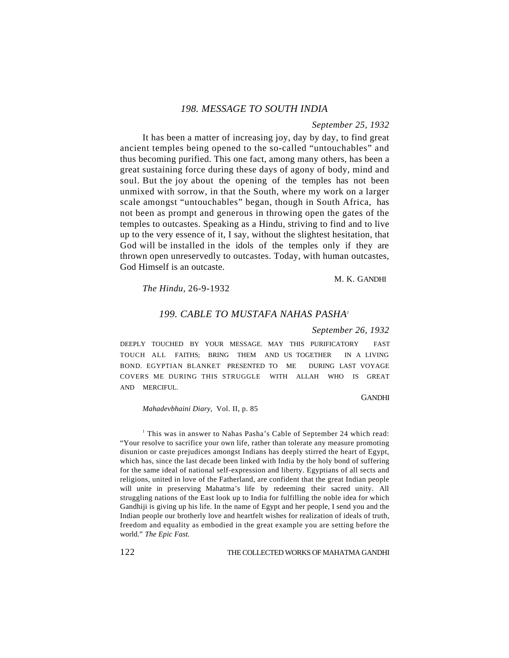## *198. MESSAGE TO SOUTH INDIA*

*September 25, 1932*

It has been a matter of increasing joy, day by day, to find great ancient temples being opened to the so-called "untouchables" and thus becoming purified. This one fact, among many others, has been a great sustaining force during these days of agony of body, mind and soul. But the joy about the opening of the temples has not been unmixed with sorrow, in that the South, where my work on a larger scale amongst "untouchables" began, though in South Africa, has not been as prompt and generous in throwing open the gates of the temples to outcastes. Speaking as a Hindu, striving to find and to live up to the very essence of it, I say, without the slightest hesitation, that God will be installed in the idols of the temples only if they are thrown open unreservedly to outcastes. Today, with human outcastes, God Himself is an outcaste.

M. K. GANDHI

*The Hindu,* 26-9-1932

#### *199. CABLE TO MUSTAFA NAHAS PASHA<sup>1</sup>*

*September 26, 1932*

DEEPLY TOUCHED BY YOUR MESSAGE. MAY THIS PURIFICATORY FAST TOUCH ALL FAITHS; BRING THEM AND US TOGETHER IN A LIVING BOND. EGYPTIAN BLANKET PRESENTED TO ME DURING LAST VOYAGE COVERS ME DURING THIS STRUGGLE WITH ALLAH WHO IS GREAT AND MERCIFUL.

**GANDHI** 

*Mahadevbhaini Diary,* Vol. II, p. 85

<sup>1</sup> This was in answer to Nahas Pasha's Cable of September 24 which read: "Your resolve to sacrifice your own life, rather than tolerate any measure promoting disunion or caste prejudices amongst Indians has deeply stirred the heart of Egypt, which has, since the last decade been linked with India by the holy bond of suffering for the same ideal of national self-expression and liberty. Egyptians of all sects and religions, united in love of the Fatherland, are confident that the great Indian people will unite in preserving Mahatma's life by redeeming their sacred unity. All struggling nations of the East look up to India for fulfilling the noble idea for which Gandhiji is giving up his life. In the name of Egypt and her people, I send you and the Indian people our brotherly love and heartfelt wishes for realization of ideals of truth, freedom and equality as embodied in the great example you are setting before the world." *The Epic Fast.*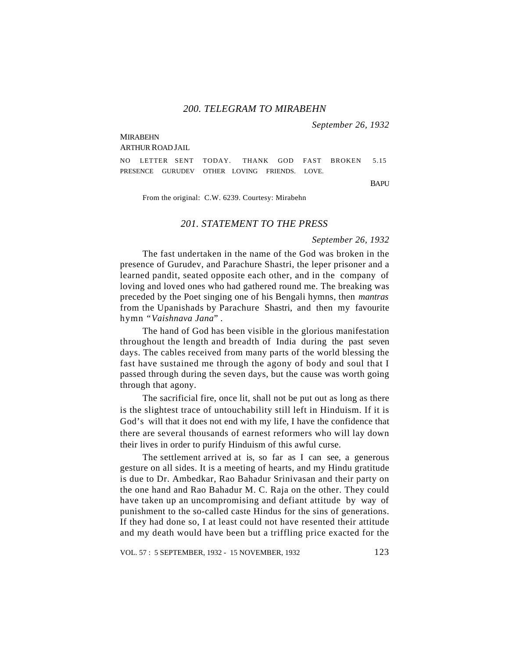## *200. TELEGRAM TO MIRABEHN*

*September 26, 1932*

#### MIRABEHN

#### ARTHUR ROAD JAIL

NO LETTER SENT TODAY. THANK GOD FAST BROKEN 5.15 PRESENCE GURUDEV OTHER LOVING FRIENDS. LOVE.

BAPU

From the original: C.W. 6239. Courtesy: Mirabehn

#### *201. STATEMENT TO THE PRESS*

*September 26, 1932*

The fast undertaken in the name of the God was broken in the presence of Gurudev, and Parachure Shastri, the leper prisoner and a learned pandit, seated opposite each other, and in the company of loving and loved ones who had gathered round me. The breaking was preceded by the Poet singing one of his Bengali hymns, then *mantras* from the Upanishads by Parachure Shastri, and then my favourite hymn "*Vaishnava Jana*" *.*

The hand of God has been visible in the glorious manifestation throughout the length and breadth of India during the past seven days. The cables received from many parts of the world blessing the fast have sustained me through the agony of body and soul that I passed through during the seven days, but the cause was worth going through that agony.

The sacrificial fire, once lit, shall not be put out as long as there is the slightest trace of untouchability still left in Hinduism. If it is God's will that it does not end with my life, I have the confidence that there are several thousands of earnest reformers who will lay down their lives in order to purify Hinduism of this awful curse.

The settlement arrived at is, so far as I can see, a generous gesture on all sides. It is a meeting of hearts, and my Hindu gratitude is due to Dr. Ambedkar, Rao Bahadur Srinivasan and their party on the one hand and Rao Bahadur M. C. Raja on the other. They could have taken up an uncompromising and defiant attitude by way of punishment to the so-called caste Hindus for the sins of generations. If they had done so, I at least could not have resented their attitude and my death would have been but a triffling price exacted for the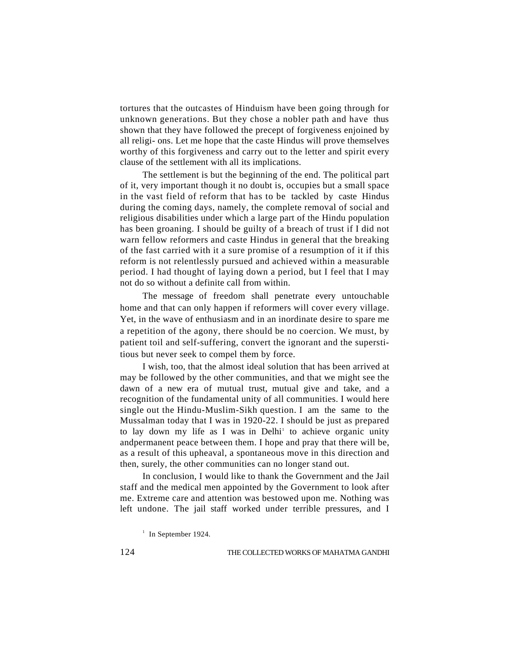tortures that the outcastes of Hinduism have been going through for unknown generations. But they chose a nobler path and have thus shown that they have followed the precept of forgiveness enjoined by all religi- ons. Let me hope that the caste Hindus will prove themselves worthy of this forgiveness and carry out to the letter and spirit every clause of the settlement with all its implications.

The settlement is but the beginning of the end. The political part of it, very important though it no doubt is, occupies but a small space in the vast field of reform that has to be tackled by caste Hindus during the coming days, namely, the complete removal of social and religious disabilities under which a large part of the Hindu population has been groaning. I should be guilty of a breach of trust if I did not warn fellow reformers and caste Hindus in general that the breaking of the fast carried with it a sure promise of a resumption of it if this reform is not relentlessly pursued and achieved within a measurable period. I had thought of laying down a period, but I feel that I may not do so without a definite call from within.

The message of freedom shall penetrate every untouchable home and that can only happen if reformers will cover every village. Yet, in the wave of enthusiasm and in an inordinate desire to spare me a repetition of the agony, there should be no coercion. We must, by patient toil and self-suffering, convert the ignorant and the superstitious but never seek to compel them by force.

I wish, too, that the almost ideal solution that has been arrived at may be followed by the other communities, and that we might see the dawn of a new era of mutual trust, mutual give and take, and a recognition of the fundamental unity of all communities. I would here single out the Hindu-Muslim-Sikh question. I am the same to the Mussalman today that I was in 1920-22. I should be just as prepared to lay down my life as I was in Delhi<sup>1</sup> to achieve organic unity andpermanent peace between them. I hope and pray that there will be, as a result of this upheaval, a spontaneous move in this direction and then, surely, the other communities can no longer stand out.

In conclusion, I would like to thank the Government and the Jail staff and the medical men appointed by the Government to look after me. Extreme care and attention was bestowed upon me. Nothing was left undone. The jail staff worked under terrible pressures, and I

<sup>&</sup>lt;sup>1</sup> In September 1924.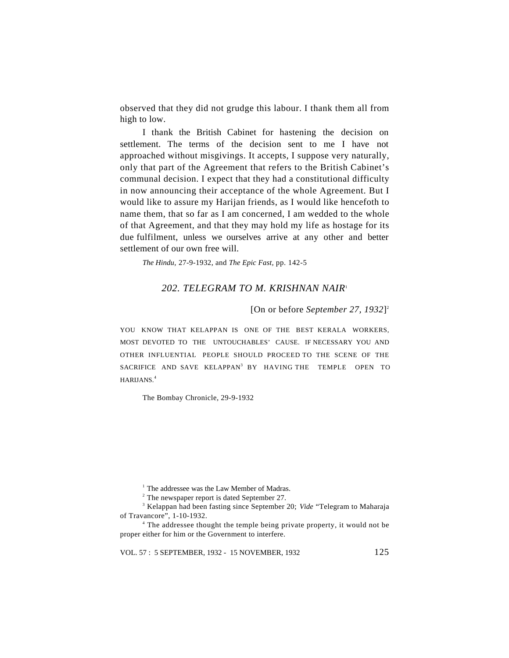observed that they did not grudge this labour. I thank them all from high to low.

I thank the British Cabinet for hastening the decision on settlement. The terms of the decision sent to me I have not approached without misgivings. It accepts, I suppose very naturally, only that part of the Agreement that refers to the British Cabinet's communal decision. I expect that they had a constitutional difficulty in now announcing their acceptance of the whole Agreement. But I would like to assure my Harijan friends, as I would like hencefoth to name them, that so far as I am concerned, I am wedded to the whole of that Agreement, and that they may hold my life as hostage for its due fulfilment, unless we ourselves arrive at any other and better settlement of our own free will.

*The Hindu,* 27-9-1932, and *The Epic Fast,* pp. 142-5

### *202. TELEGRAM TO M. KRISHNAN NAIR*<sup>1</sup>

[On or before *September 27, 1932*] 2

YOU KNOW THAT KELAPPAN IS ONE OF THE BEST KERALA WORKERS. MOST DEVOTED TO THE UNTOUCHABLES' CAUSE. IF NECESSARY YOU AND OTHER INFLUENTIAL PEOPLE SHOULD PROCEED TO THE SCENE OF THE SACRIFICE AND SAVE KELAPPAN<sup>3</sup> BY HAVING THE TEMPLE OPEN TO HARIJANS<sup>4</sup>

The Bombay Chronicle, 29-9-1932

<sup>4</sup> The addressee thought the temple being private property, it would not be proper either for him or the Government to interfere.

<sup>&</sup>lt;sup>1</sup> The addressee was the Law Member of Madras.

<sup>&</sup>lt;sup>2</sup> The newspaper report is dated September 27.

<sup>&</sup>lt;sup>3</sup> Kelappan had been fasting since September 20; Vide "Telegram to Maharaja of Travancore", 1-10-1932.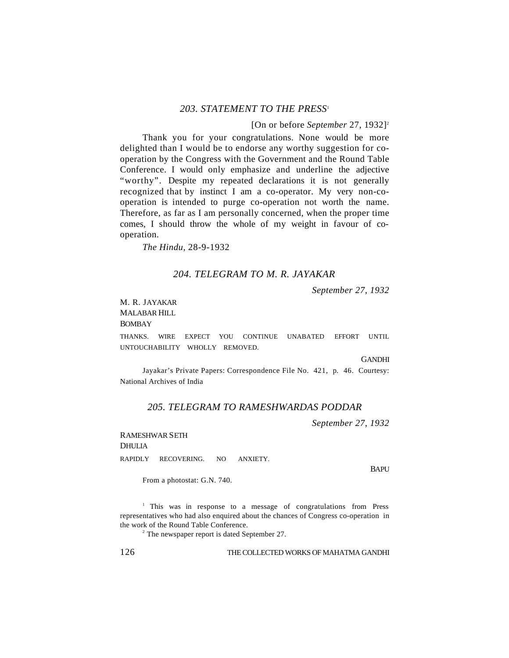### 203. STATEMENT TO THE PRESS<sup>1</sup>

[On or before *September* 27, 1932]<sup>2</sup> Thank you for your congratulations. None would be more delighted than I would be to endorse any worthy suggestion for cooperation by the Congress with the Government and the Round Table Conference. I would only emphasize and underline the adjective "worthy". Despite my repeated declarations it is not generally recognized that by instinct I am a co-operator. My very non-cooperation is intended to purge co-operation not worth the name. Therefore, as far as I am personally concerned, when the proper time comes, I should throw the whole of my weight in favour of cooperation.

*The Hindu,* 28-9-1932

#### *204. TELEGRAM TO M. R. JAYAKAR*

*September 27, 1932*

M. R. JAYAKAR MALABAR HILL BOMBAY

THANKS. WIRE EXPECT YOU CONTINUE UNABATED EFFORT UNTIL UNTOUCHABILITY WHOLLY REMOVED.

**GANDHI** 

Jayakar's Private Papers: Correspondence File No. 421, p. 46. Courtesy: National Archives of India

#### *205. TELEGRAM TO RAMESHWARDAS PODDAR*

*September 27, 1932*

RAMESHWAR SETH **DHULIA** RAPIDLY RECOVERING. NO ANXIETY.

**BAPU** 

From a photostat: G.N. 740.

<sup>1</sup> This was in response to a message of congratulations from Press representatives who had also enquired about the chances of Congress co-operation in the work of the Round Table Conference.

<sup>2</sup> The newspaper report is dated September 27.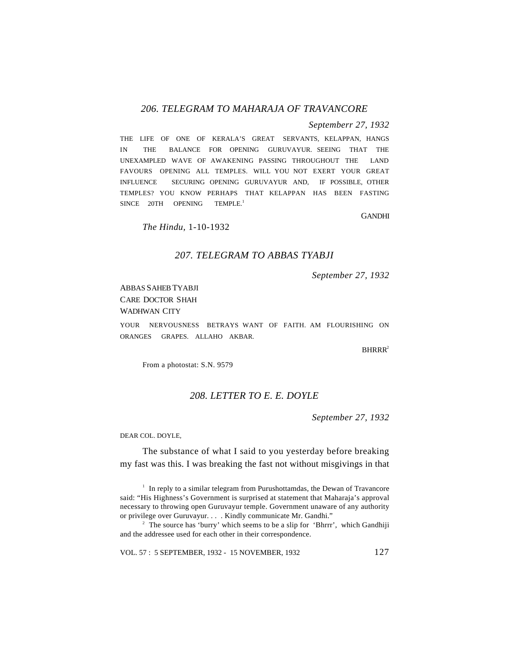#### *206. TELEGRAM TO MAHARAJA OF TRAVANCORE*

*Septemberr 27, 1932*

THE LIFE OF ONE OF KERALA'S GREAT SERVANTS, KELAPPAN, HANGS IN THE BALANCE FOR OPENING GURUVAYUR. SEEING THAT THE UNEXAMPLED WAVE OF AWAKENING PASSING THROUGHOUT THE LAND FAVOURS OPENING ALL TEMPLES. WILL YOU NOT EXERT YOUR GREAT INFLUENCE SECURING OPENING GURUVAYUR AND, IF POSSIBLE, OTHER TEMPLES? YOU KNOW PERHAPS THAT KELAPPAN HAS BEEN FASTING SINCE 20TH OPENING TEMPLE.<sup>1</sup>

GANDHI

*The Hindu,* 1-10-1932

#### *207. TELEGRAM TO ABBAS TYABJI*

*September 27, 1932*

ABBAS SAHEB TYABJI

CARE DOCTOR SHAH

WADHWAN CITY

YOUR NERVOUSNESS BETRAYS WANT OF FAITH. AM FLOURISHING ON ORANGES GRAPES. ALLAHO AKBAR.

 $BHRRR^2$ 

From a photostat: S.N. 9579

### *208. LETTER TO E. E. DOYLE*

*September 27, 1932*

DEAR COL. DOYLE,

The substance of what I said to you yesterday before breaking my fast was this. I was breaking the fast not without misgivings in that

<sup>&</sup>lt;sup>1</sup> In reply to a similar telegram from Purushottamdas, the Dewan of Travancore said: "His Highness's Government is surprised at statement that Maharaja's approval necessary to throwing open Guruvayur temple. Government unaware of any authority or privilege over Guruvayur. . . . Kindly communicate Mr. Gandhi."

<sup>&</sup>lt;sup>2</sup> The source has 'burry' which seems to be a slip for 'Bhrrr', which Gandhiji and the addressee used for each other in their correspondence.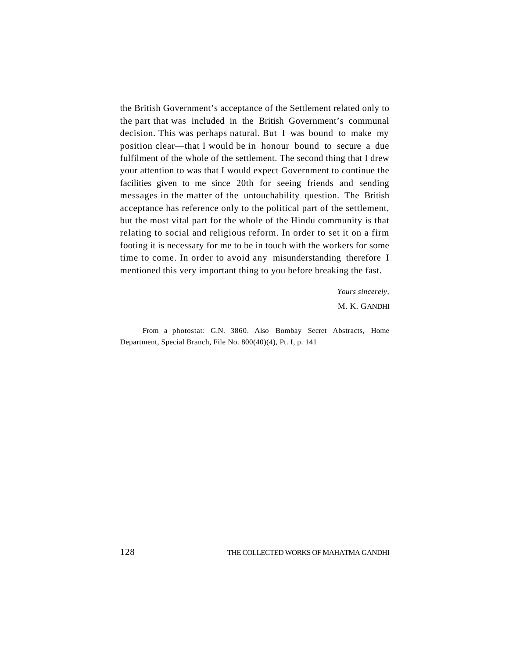the British Government's acceptance of the Settlement related only to the part that was included in the British Government's communal decision. This was perhaps natural. But I was bound to make my position clear—that I would be in honour bound to secure a due fulfilment of the whole of the settlement. The second thing that I drew your attention to was that I would expect Government to continue the facilities given to me since 20th for seeing friends and sending messages in the matter of the untouchability question. The British acceptance has reference only to the political part of the settlement, but the most vital part for the whole of the Hindu community is that relating to social and religious reform. In order to set it on a firm footing it is necessary for me to be in touch with the workers for some time to come. In order to avoid any misunderstanding therefore I mentioned this very important thing to you before breaking the fast.

> *Yours sincerely,* M. K. GANDHI

From a photostat: G.N. 3860. Also Bombay Secret Abstracts, Home Department, Special Branch, File No. 800(40)(4), Pt. I, p. 141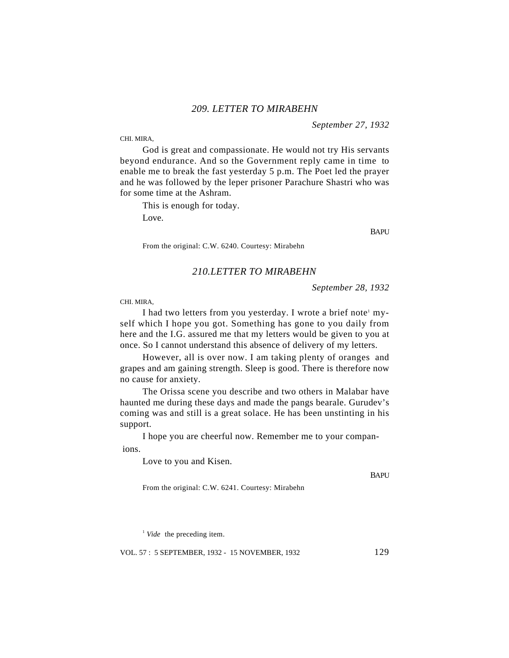*September 27, 1932*

CHI. MIRA,

God is great and compassionate. He would not try His servants beyond endurance. And so the Government reply came in time to enable me to break the fast yesterday 5 p.m. The Poet led the prayer and he was followed by the leper prisoner Parachure Shastri who was for some time at the Ashram.

This is enough for today. Love.

BAPU

From the original: C.W. 6240. Courtesy: Mirabehn

#### *210.LETTER TO MIRABEHN*

*September 28, 1932*

CHI. MIRA,

I had two letters from you yesterday. I wrote a brief note<sup>1</sup> myself which I hope you got. Something has gone to you daily from here and the I.G. assured me that my letters would be given to you at once. So I cannot understand this absence of delivery of my letters.

However, all is over now. I am taking plenty of oranges and grapes and am gaining strength. Sleep is good. There is therefore now no cause for anxiety.

The Orissa scene you describe and two others in Malabar have haunted me during these days and made the pangs bearale. Gurudev's coming was and still is a great solace. He has been unstinting in his support.

I hope you are cheerful now. Remember me to your compan ions.

Love to you and Kisen.

**BAPU** 

From the original: C.W. 6241. Courtesy: Mirabehn

<sup>1</sup> *Vide* the preceding item.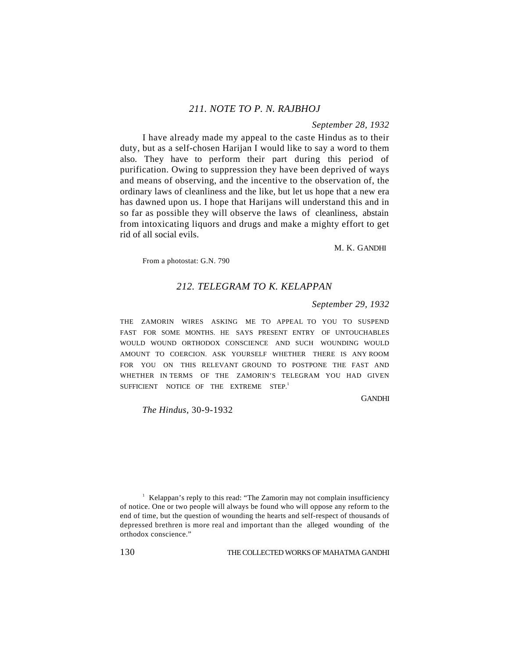### *211. NOTE TO P. N. RAJBHOJ*

*September 28, 1932*

I have already made my appeal to the caste Hindus as to their duty, but as a self-chosen Harijan I would like to say a word to them also. They have to perform their part during this period of purification. Owing to suppression they have been deprived of ways and means of observing, and the incentive to the observation of, the ordinary laws of cleanliness and the like, but let us hope that a new era has dawned upon us. I hope that Harijans will understand this and in so far as possible they will observe the laws of cleanliness, abstain from intoxicating liquors and drugs and make a mighty effort to get rid of all social evils.

M. K. GANDHI

From a photostat: G.N. 790

#### *212. TELEGRAM TO K. KELAPPAN*

*September 29, 1932*

THE ZAMORIN WIRES ASKING ME TO APPEAL TO YOU TO SUSPEND FAST FOR SOME MONTHS. HE SAYS PRESENT ENTRY OF UNTOUCHABLES WOULD WOUND ORTHODOX CONSCIENCE AND SUCH WOUNDING WOULD AMOUNT TO COERCION. ASK YOURSELF WHETHER THERE IS ANY ROOM FOR YOU ON THIS RELEVANT GROUND TO POSTPONE THE FAST AND WHETHER IN TERMS OF THE ZAMORIN'S TELEGRAM YOU HAD GIVEN SUFFICIENT NOTICE OF THE EXTREME STEP.<sup>1</sup>

GANDHI

 *The Hindus,* 30-9-1932

<sup>1</sup> Kelappan's reply to this read: "The Zamorin may not complain insufficiency of notice. One or two people will always be found who will oppose any reform to the end of time, but the question of wounding the hearts and self-respect of thousands of depressed brethren is more real and important than the alleged wounding of the orthodox conscience."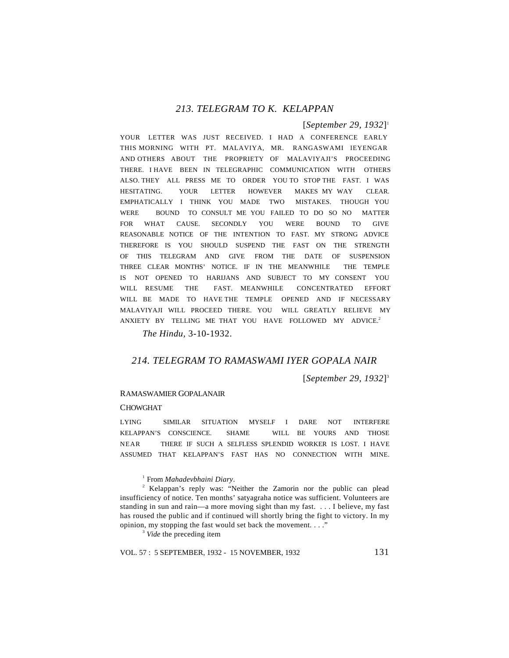### *213. TELEGRAM TO K. KELAPPAN*

[*September 29, 1932*] 1

YOUR LETTER WAS JUST RECEIVED. I HAD A CONFERENCE EARLY THIS MORNING WITH PT. MALAVIYA, MR. RANGASWAMI IEYENGAR AND OTHERS ABOUT THE PROPRIETY OF MALAVIYAJI'S PROCEEDING THERE. I HAVE BEEN IN TELEGRAPHIC COMMUNICATION WITH OTHERS ALSO. THEY ALL PRESS ME TO ORDER YOU TO STOP THE FAST. I WAS HESITATING. YOUR LETTER HOWEVER MAKES MY WAY CLEAR. EMPHATICALLY I THINK YOU MADE TWO MISTAKES. THOUGH YOU WERE BOUND TO CONSULT ME YOU FAILED TO DO SO NO MATTER FOR WHAT CAUSE. SECONDLY YOU WERE BOUND TO GIVE REASONABLE NOTICE OF THE INTENTION TO FAST. MY STRONG ADVICE THEREFORE IS YOU SHOULD SUSPEND THE FAST ON THE STRENGTH OF THIS TELEGRAM AND GIVE FROM THE DATE OF SUSPENSION THREE CLEAR MONTHS' NOTICE. IF IN THE MEANWHILE THE TEMPLE IS NOT OPENED TO HARIJANS AND SUBJECT TO MY CONSENT YOU WILL RESUME THE FAST. MEANWHILE CONCENTRATED EFFORT WILL BE MADE TO HAVE THE TEMPLE OPENED AND IF NECESSARY MALAVIYAJI WILL PROCEED THERE. YOU WILL GREATLY RELIEVE MY ANXIETY BY TELLING ME THAT YOU HAVE FOLLOWED MY ADVICE.<sup>2</sup>

*The Hindu,* 3-10-1932.

## *214. TELEGRAM TO RAMASWAMI IYER GOPALA NAIR*

[*September 29, 1932*] 3

#### RAMASWAMIER GOPALANAIR

#### CHOWGHAT

LYING SIMILAR SITUATION MYSELF I DARE NOT INTERFERE KELAPPAN'S CONSCIENCE. SHAME WILL BE YOURS AND THOSE NEAR THERE IF SUCH A SELFLESS SPLENDID WORKER IS LOST. I HAVE ASSUMED THAT KELAPPAN'S FAST HAS NO CONNECTION WITH MINE.

1 From *Mahadevbhaini Diary*.

 $2^2$  Kelappan's reply was: "Neither the Zamorin nor the public can plead insufficiency of notice. Ten months' satyagraha notice was sufficient. Volunteers are standing in sun and rain—a more moving sight than my fast. . . . I believe, my fast has roused the public and if continued will shortly bring the fight to victory. In my opinion, my stopping the fast would set back the movement. . . ."

<sup>3</sup> *Vide* the preceding item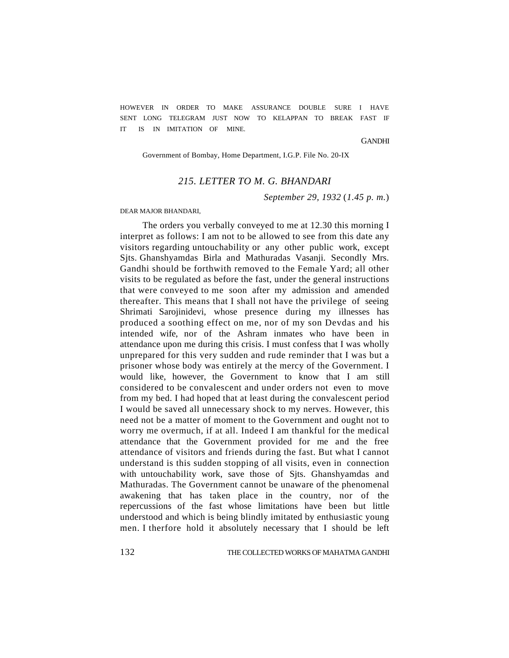HOWEVER IN ORDER TO MAKE ASSURANCE DOUBLE SURE I HAVE SENT LONG TELEGRAM JUST NOW TO KELAPPAN TO BREAK FAST IF IT IS IN IMITATION OF MINE.

GANDHI

Government of Bombay, Home Department, I.G.P. File No. 20-IX

### *215. LETTER TO M. G. BHANDARI*

*September 29, 1932* (*1.45 p. m.*)

DEAR MAJOR BHANDARI,

The orders you verbally conveyed to me at 12.30 this morning I interpret as follows: I am not to be allowed to see from this date any visitors regarding untouchability or any other public work, except Sjts. Ghanshyamdas Birla and Mathuradas Vasanji. Secondly Mrs. Gandhi should be forthwith removed to the Female Yard; all other visits to be regulated as before the fast, under the general instructions that were conveyed to me soon after my admission and amended thereafter. This means that I shall not have the privilege of seeing Shrimati Sarojinidevi, whose presence during my illnesses has produced a soothing effect on me, nor of my son Devdas and his intended wife, nor of the Ashram inmates who have been in attendance upon me during this crisis. I must confess that I was wholly unprepared for this very sudden and rude reminder that I was but a prisoner whose body was entirely at the mercy of the Government. I would like, however, the Government to know that I am still considered to be convalescent and under orders not even to move from my bed. I had hoped that at least during the convalescent period I would be saved all unnecessary shock to my nerves. However, this need not be a matter of moment to the Government and ought not to worry me overmuch, if at all. Indeed I am thankful for the medical attendance that the Government provided for me and the free attendance of visitors and friends during the fast. But what I cannot understand is this sudden stopping of all visits, even in connection with untouchability work, save those of Sjts. Ghanshyamdas and Mathuradas. The Government cannot be unaware of the phenomenal awakening that has taken place in the country, nor of the repercussions of the fast whose limitations have been but little understood and which is being blindly imitated by enthusiastic young men. I therfore hold it absolutely necessary that I should be left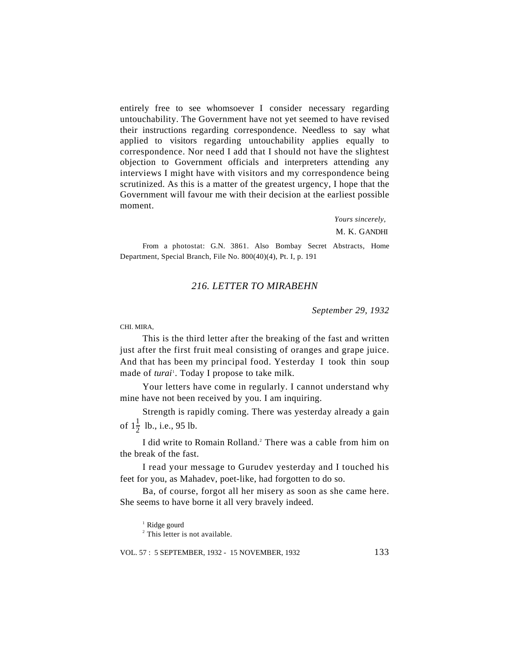entirely free to see whomsoever I consider necessary regarding untouchability. The Government have not yet seemed to have revised their instructions regarding correspondence. Needless to say what applied to visitors regarding untouchability applies equally to correspondence. Nor need I add that I should not have the slightest objection to Government officials and interpreters attending any interviews I might have with visitors and my correspondence being scrutinized. As this is a matter of the greatest urgency, I hope that the Government will favour me with their decision at the earliest possible moment.

> *Yours sincerely,* M. K. GANDHI

From a photostat: G.N. 3861. Also Bombay Secret Abstracts, Home Department, Special Branch, File No. 800(40)(4), Pt. I, p. 191

### *216. LETTER TO MIRABEHN*

*September 29, 1932*

CHI. MIRA,

This is the third letter after the breaking of the fast and written just after the first fruit meal consisting of oranges and grape juice. And that has been my principal food. Yesterday I took thin soup made of *turai*<sup>1</sup>. Today I propose to take milk.

Your letters have come in regularly. I cannot understand why mine have not been received by you. I am inquiring.

Strength is rapidly coming. There was yesterday already a gain of  $1\frac{1}{2}$  lb., i.e., 95 lb.

I did write to Romain Rolland.<sup>2</sup> There was a cable from him on the break of the fast.

I read your message to Gurudev yesterday and I touched his feet for you, as Mahadev, poet-like, had forgotten to do so.

Ba, of course, forgot all her misery as soon as she came here. She seems to have borne it all very bravely indeed.

<sup>1</sup> Ridge gourd <sup>2</sup> This letter is not available.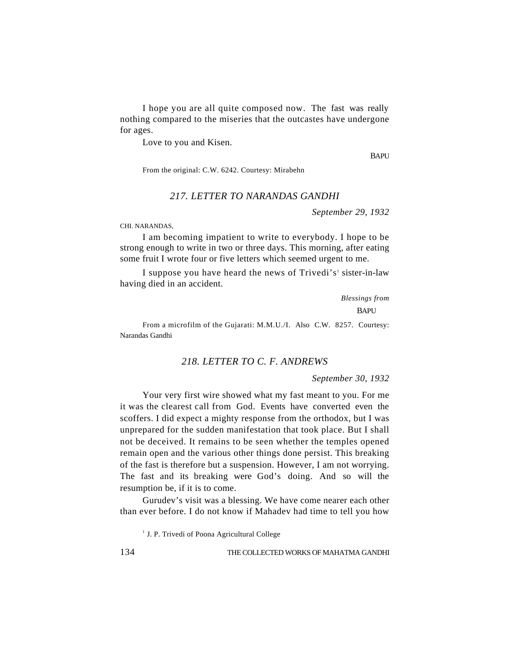I hope you are all quite composed now. The fast was really nothing compared to the miseries that the outcastes have undergone for ages.

Love to you and Kisen.

BAPU

From the original: C.W. 6242. Courtesy: Mirabehn

### *217. LETTER TO NARANDAS GANDHI*

*September 29, 1932*

#### CHI. NARANDAS,

I am becoming impatient to write to everybody. I hope to be strong enough to write in two or three days. This morning, after eating some fruit I wrote four or five letters which seemed urgent to me.

I suppose you have heard the news of Trivedi's' sister-in-law having died in an accident.

> *Blessings from* BAPU

From a microfilm of the Gujarati: M.M.U./I. Also C.W. 8257. Courtesy: Narandas Gandhi

#### *218. LETTER TO C. F. ANDREWS*

*September 30, 1932*

Your very first wire showed what my fast meant to you. For me it was the clearest call from God. Events have converted even the scoffers. I did expect a mighty response from the orthodox, but I was unprepared for the sudden manifestation that took place. But I shall not be deceived. It remains to be seen whether the temples opened remain open and the various other things done persist. This breaking of the fast is therefore but a suspension. However, I am not worrying. The fast and its breaking were God's doing. And so will the resumption be, if it is to come.

Gurudev's visit was a blessing. We have come nearer each other than ever before. I do not know if Mahadev had time to tell you how

<sup>1</sup> J. P. Trivedi of Poona Agricultural College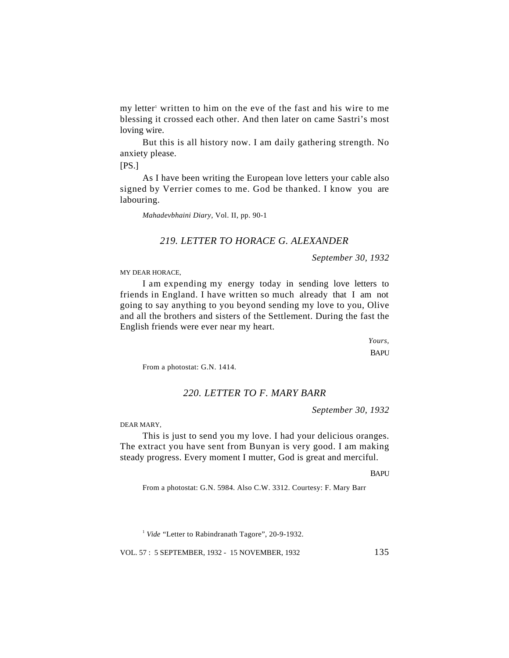my letter' written to him on the eve of the fast and his wire to me blessing it crossed each other. And then later on came Sastri's most loving wire.

But this is all history now. I am daily gathering strength. No anxiety please.

 $[PS.]$ 

As I have been writing the European love letters your cable also signed by Verrier comes to me. God be thanked. I know you are labouring.

*Mahadevbhaini Diary,* Vol. II, pp. 90-1

## *219. LETTER TO HORACE G. ALEXANDER*

*September 30, 1932*

MY DEAR HORACE,

I am expending my energy today in sending love letters to friends in England. I have written so much already that I am not going to say anything to you beyond sending my love to you, Olive and all the brothers and sisters of the Settlement. During the fast the English friends were ever near my heart.

> *Yours,* **BAPU**

From a photostat: G.N. 1414.

## *220. LETTER TO F. MARY BARR*

*September 30, 1932*

DEAR MARY

This is just to send you my love. I had your delicious oranges. The extract you have sent from Bunyan is very good. I am making steady progress. Every moment I mutter, God is great and merciful.

**BAPU** 

From a photostat: G.N. 5984. Also C.W. 3312. Courtesy: F. Mary Barr

<sup>1</sup> *Vide* "Letter to Rabindranath Tagore", 20-9-1932.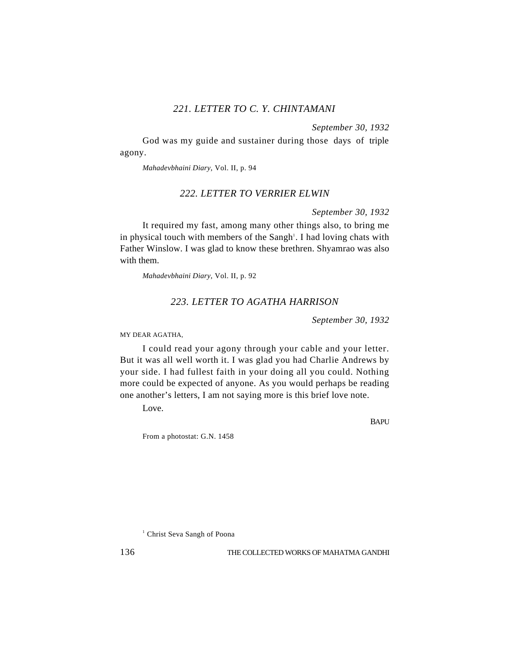## *221. LETTER TO C. Y. CHINTAMANI*

*September 30, 1932*

God was my guide and sustainer during those days of triple agony.

*Mahadevbhaini Diary*, Vol. II, p. 94

### *222. LETTER TO VERRIER ELWIN*

*September 30, 1932*

It required my fast, among many other things also, to bring me in physical touch with members of the Sangh<sup>1</sup>. I had loving chats with Father Winslow. I was glad to know these brethren. Shyamrao was also with them.

*Mahadevbhaini Diary*, Vol. II, p. 92

## *223. LETTER TO AGATHA HARRISON*

*September 30, 1932*

MY DEAR AGATHA,

I could read your agony through your cable and your letter. But it was all well worth it. I was glad you had Charlie Andrews by your side. I had fullest faith in your doing all you could. Nothing more could be expected of anyone. As you would perhaps be reading one another's letters, I am not saying more is this brief love note.

Love.

**BAPU** 

From a photostat: G.N. 1458

<sup>1</sup> Christ Seva Sangh of Poona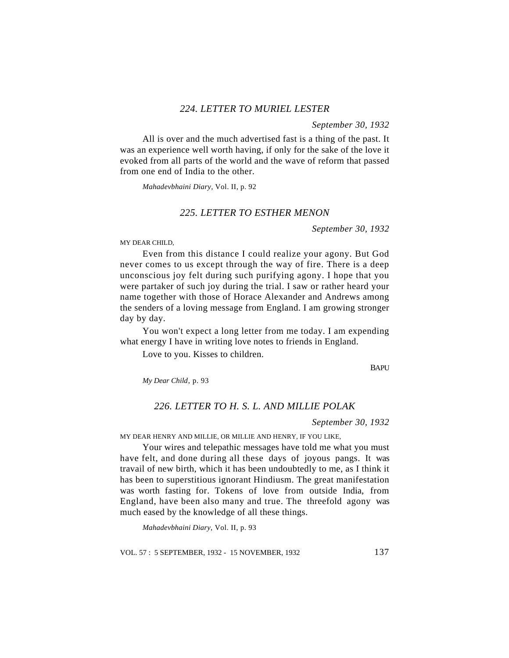#### *224. LETTER TO MURIEL LESTER*

*September 30, 1932*

All is over and the much advertised fast is a thing of the past. It was an experience well worth having, if only for the sake of the love it evoked from all parts of the world and the wave of reform that passed from one end of India to the other.

*Mahadevbhaini Diary,* Vol. II, p. 92

### *225. LETTER TO ESTHER MENON*

*September 30, 1932*

MY DEAR CHILD,

Even from this distance I could realize your agony. But God never comes to us except through the way of fire. There is a deep unconscious joy felt during such purifying agony. I hope that you were partaker of such joy during the trial. I saw or rather heard your name together with those of Horace Alexander and Andrews among the senders of a loving message from England. I am growing stronger day by day.

You won't expect a long letter from me today. I am expending what energy I have in writing love notes to friends in England.

Love to you. Kisses to children.

**BAPU** 

*My Dear Child*, p. 93

#### *226. LETTER TO H. S. L. AND MILLIE POLAK*

*September 30, 1932*

MY DEAR HENRY AND MILLIE, OR MILLIE AND HENRY, IF YOU LIKE,

Your wires and telepathic messages have told me what you must have felt, and done during all these days of joyous pangs. It was travail of new birth, which it has been undoubtedly to me, as I think it has been to superstitious ignorant Hindiusm. The great manifestation was worth fasting for. Tokens of love from outside India, from England, have been also many and true. The threefold agony was much eased by the knowledge of all these things.

*Mahadevbhaini Diary*, Vol. II, p. 93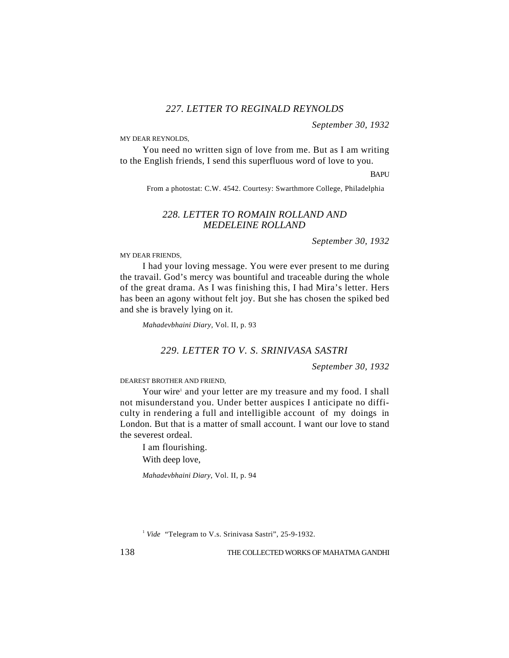### *227. LETTER TO REGINALD REYNOLDS*

*September 30, 1932*

MY DEAR REYNOLDS,

You need no written sign of love from me. But as I am writing to the English friends, I send this superfluous word of love to you.

**BAPU** 

From a photostat: C.W. 4542. Courtesy: Swarthmore College, Philadelphia

## *228. LETTER TO ROMAIN ROLLAND AND MEDELEINE ROLLAND*

*September 30, 1932*

MY DEAR FRIENDS,

I had your loving message. You were ever present to me during the travail. God's mercy was bountiful and traceable during the whole of the great drama. As I was finishing this, I had Mira's letter. Hers has been an agony without felt joy. But she has chosen the spiked bed and she is bravely lying on it.

*Mahadevbhaini Diary,* Vol. II, p. 93

### *229. LETTER TO V. S. SRINIVASA SASTRI*

*September 30, 1932*

DEAREST BROTHER AND FRIEND,

Your wire<sup>1</sup> and your letter are my treasure and my food. I shall not misunderstand you. Under better auspices I anticipate no difficulty in rendering a full and intelligible account of my doings in London. But that is a matter of small account. I want our love to stand the severest ordeal.

I am flourishing.

With deep love,

*Mahadevbhaini Diary*, Vol. II, p. 94

<sup>1</sup> *Vide* "Telegram to V.s. Srinivasa Sastri", 25-9-1932.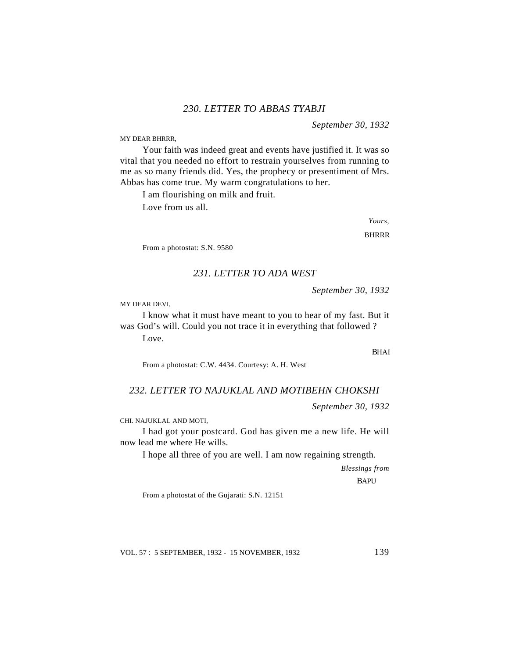*September 30, 1932*

MY DEAR BHRRR,

Your faith was indeed great and events have justified it. It was so vital that you needed no effort to restrain yourselves from running to me as so many friends did. Yes, the prophecy or presentiment of Mrs. Abbas has come true. My warm congratulations to her.

I am flourishing on milk and fruit.

Love from us all.

*Yours,*

**BHRRR** 

From a photostat: S.N. 9580

#### *231. LETTER TO ADA WEST*

*September 30, 1932*

MY DEAR DEVI,

I know what it must have meant to you to hear of my fast. But it was God's will. Could you not trace it in everything that followed ?

Love.

BHAI

From a photostat: C.W. 4434. Courtesy: A. H. West

#### *232. LETTER TO NAJUKLAL AND MOTIBEHN CHOKSHI*

*September 30, 1932*

CHI. NAJUKLAL AND MOTI,

I had got your postcard. God has given me a new life. He will now lead me where He wills.

I hope all three of you are well. I am now regaining strength.

*Blessings from*

BAPU

From a photostat of the Gujarati: S.N. 12151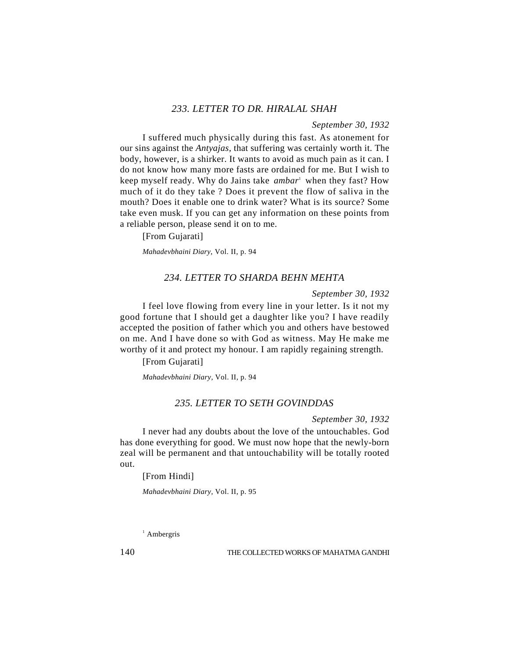## *233. LETTER TO DR. HIRALAL SHAH*

#### *September 30, 1932*

I suffered much physically during this fast. As atonement for our sins against the *Antyajas,* that suffering was certainly worth it. The body, however, is a shirker. It wants to avoid as much pain as it can. I do not know how many more fasts are ordained for me. But I wish to keep myself ready. Why do Jains take *ambar*<sup>1</sup> when they fast? How much of it do they take ? Does it prevent the flow of saliva in the mouth? Does it enable one to drink water? What is its source? Some take even musk. If you can get any information on these points from a reliable person, please send it on to me.

[From Gujarati]

*Mahadevbhaini Diary*, Vol. II, p. 94

#### *234. LETTER TO SHARDA BEHN MEHTA*

*September 30, 1932*

I feel love flowing from every line in your letter. Is it not my good fortune that I should get a daughter like you? I have readily accepted the position of father which you and others have bestowed on me. And I have done so with God as witness. May He make me worthy of it and protect my honour. I am rapidly regaining strength.

[From Gujarati]

*Mahadevbhaini Diary,* Vol. II, p. 94

#### *235. LETTER TO SETH GOVINDDAS*

*September 30, 1932*

I never had any doubts about the love of the untouchables. God has done everything for good. We must now hope that the newly-born zeal will be permanent and that untouchability will be totally rooted out.

[From Hindi]

*Mahadevbhaini Diary,* Vol. II, p. 95

<sup>1</sup> Ambergris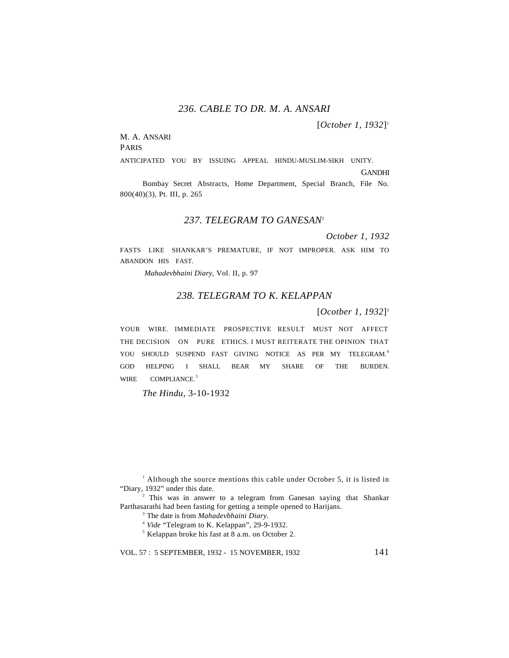#### *236. CABLE TO DR. M. A. ANSARI*

[*October 1, 1932*] 1

### M. A. ANSARI PARIS

ANTICIPATED YOU BY ISSUING APPEAL HINDU-MUSLIM-SIKH UNITY.

GANDHI

Bombay Secret Abstracts, Home Department, Special Branch, File No. 800(40)(3), Pt. III, p. 265

#### *237. TELEGRAM TO GANESAN*<sup>2</sup>

*October 1, 1932*

FASTS LIKE SHANKAR'S PREMATURE, IF NOT IMPROPER. ASK HIM TO ABANDON HIS FAST.

 *Mahadevbhaini Diary*, Vol. II, p. 97

#### *238. TELEGRAM TO K. KELAPPAN*

[*Ocotber 1, 1932*] 3

YOUR WIRE. IMMEDIATE PROSPECTIVE RESULT MUST NOT AFFECT THE DECISION ON PURE ETHICS. I MUST REITERATE THE OPINION THAT YOU SHOULD SUSPEND FAST GIVING NOTICE AS PER MY TELEGRAM.<sup>4</sup> GOD HELPING I SHALL BEAR MY SHARE OF THE BURDEN. WIRE COMPLIANCE.<sup>5</sup>

*The Hindu,* 3-10-1932

VOL. 57 : 5 SEPTEMBER, 1932 - 15 NOVEMBER, 1932 141

<sup>&</sup>lt;sup>1</sup> Although the source mentions this cable under October 5, it is listed in "Diary, 1932" under this date.

<sup>&</sup>lt;sup>2</sup> This was in answer to a telegram from Ganesan saying that Shankar Parthasarathi had been fasting for getting a temple opened to Harijans.

<sup>3</sup> The date is from *Mahadevbhaini Diary.*

<sup>&</sup>lt;sup>4</sup> Vide "Telegram to K. Kelappan", 29-9-1932.

<sup>5</sup> Kelappan broke his fast at 8 a.m. on October 2.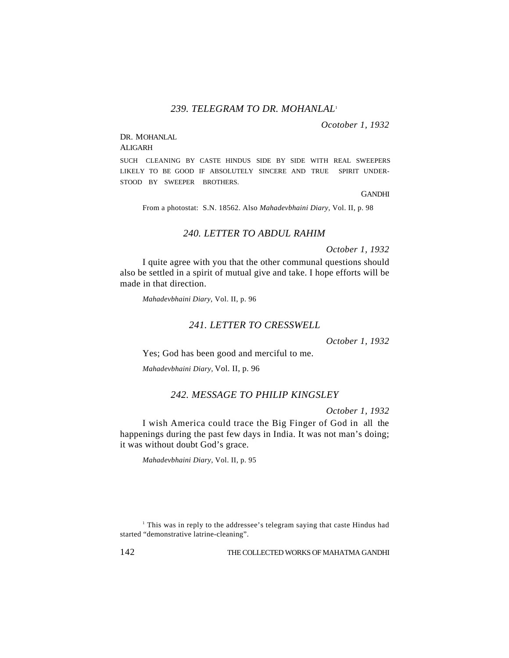### *239. TELEGRAM TO DR. MOHANLAL*<sup>1</sup>

*Ocotober 1, 1932*

# DR. MOHANLAL

ALIGARH

SUCH CLEANING BY CASTE HINDUS SIDE BY SIDE WITH REAL SWEEPERS LIKELY TO BE GOOD IF ABSOLUTELY SINCERE AND TRUE SPIRIT UNDER-STOOD BY SWEEPER BROTHERS.

**GANDHI** 

From a photostat: S.N. 18562. Also *Mahadevbhaini Diary,* Vol. II, p. 98

### *240. LETTER TO ABDUL RAHIM*

*October 1, 1932*

I quite agree with you that the other communal questions should also be settled in a spirit of mutual give and take. I hope efforts will be made in that direction.

*Mahadevbhaini Diary*, Vol. II, p. 96

#### *241. LETTER TO CRESSWELL*

*October 1, 1932*

Yes; God has been good and merciful to me.

*Mahadevbhaini Diary,* Vol. II, p. 96

### *242. MESSAGE TO PHILIP KINGSLEY*

*October 1, 1932*

I wish America could trace the Big Finger of God in all the happenings during the past few days in India. It was not man's doing; it was without doubt God's grace.

*Mahadevbhaini Diary,* Vol. II, p. 95

<sup>&</sup>lt;sup>1</sup> This was in reply to the addressee's telegram saying that caste Hindus had started "demonstrative latrine-cleaning".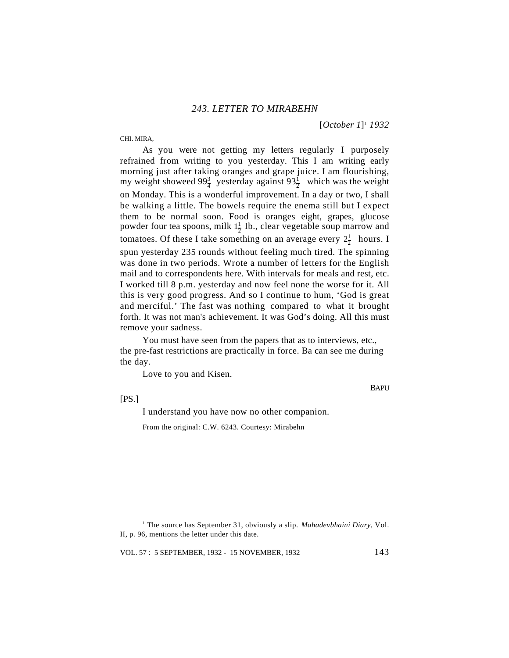[*October 1*] 1  *1932*

CHI. MIRA,

As you were not getting my letters regularly I purposely refrained from writing to you yesterday. This I am writing early morning just after taking oranges and grape juice. I am flourishing, my weight showeed  $99\frac{3}{4}$  yesterday against  $93\frac{1}{2}$  which was the weight on Monday. This is a wonderful improvement. In a day or two, I shall be walking a little. The bowels require the enema still but I expect them to be normal soon. Food is oranges eight, grapes, glucose powder four tea spoons, milk  $1\frac{1}{2}$  $\frac{1}{2}$  Ib., clear vegetable soup marrow and tomatoes. Of these I take something on an average every  $2\frac{1}{2}$  $\frac{1}{2}$  hours. I spun yesterday 235 rounds without feeling much tired. The spinning was done in two periods. Wrote a number of letters for the English mail and to correspondents here. With intervals for meals and rest, etc. I worked till 8 p.m. yesterday and now feel none the worse for it. All this is very good progress. And so I continue to hum, 'God is great and merciful.' The fast was nothing compared to what it brought forth. It was not man's achievement. It was God's doing. All this must remove your sadness.

You must have seen from the papers that as to interviews, etc., the pre-fast restrictions are practically in force. Ba can see me during the day.

Love to you and Kisen.

**BAPU** 

 $[PS.]$ 

I understand you have now no other companion.

From the original: C.W. 6243. Courtesy: Mirabehn

<sup>1</sup> The source has September 31, obviously a slip. *Mahadevbhaini Diary*, Vol. II, p. 96, mentions the letter under this date.

VOL. 57 : 5 SEPTEMBER, 1932 - 15 NOVEMBER, 1932 143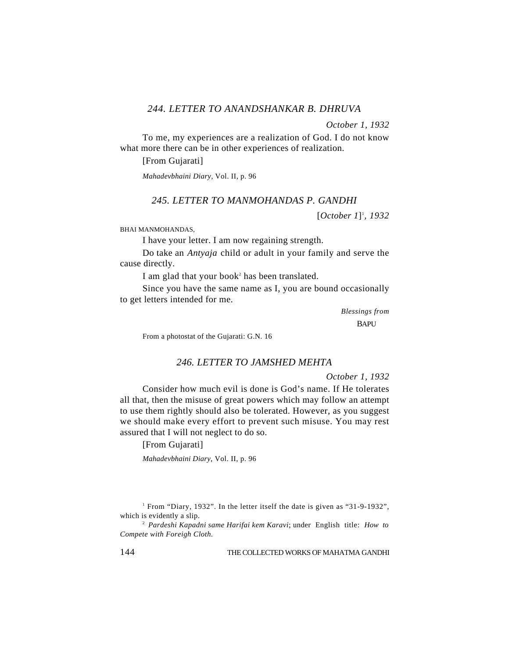#### *244. LETTER TO ANANDSHANKAR B. DHRUVA*

*October 1, 1932*

To me, my experiences are a realization of God. I do not know what more there can be in other experiences of realization.

[From Gujarati]

*Mahadevbhaini Diary,* Vol. II, p. 96

#### *245. LETTER TO MANMOHANDAS P. GANDHI*

[*October 1*] 1 *, 1932*

BHAI MANMOHANDAS,

I have your letter. I am now regaining strength.

Do take an *Antyaja* child or adult in your family and serve the cause directly.

I am glad that your book<sup>2</sup> has been translated.

Since you have the same name as I, you are bound occasionally to get letters intended for me.

> *Blessings from* **BAPU**

From a photostat of the Gujarati: G.N. 16

#### *246. LETTER TO JAMSHED MEHTA*

*October 1, 1932*

Consider how much evil is done is God's name. If He tolerates all that, then the misuse of great powers which may follow an attempt to use them rightly should also be tolerated. However, as you suggest we should make every effort to prevent such misuse. You may rest assured that I will not neglect to do so.

[From Gujarati] *Mahadevbhaini Diary*, Vol. II, p. 96

<sup>1</sup> From "Diary, 1932". In the letter itself the date is given as "31-9-1932", which is evidently a slip.

<sup>2</sup> *Pardeshi Kapadni same Harifai kem Karavi*; under English title: *How to Compete with Foreigh Cloth.*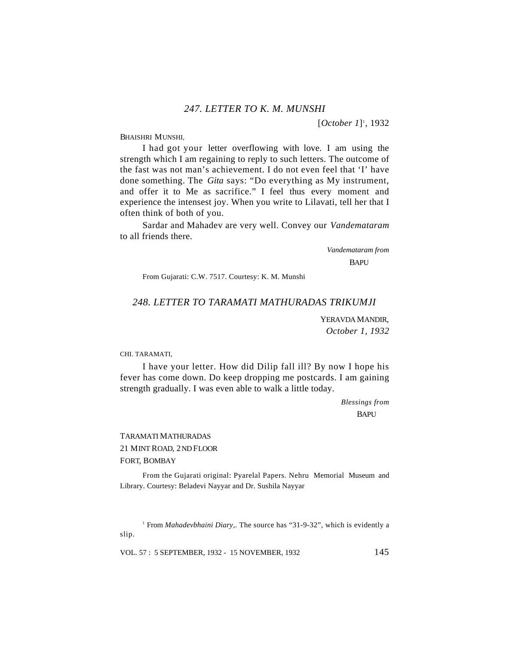[*October 1*] 1 , 1932

BHAISHRI MUNSHI,

I had got your letter overflowing with love. I am using the strength which I am regaining to reply to such letters. The outcome of the fast was not man's achievement. I do not even feel that 'I' have done something. The *Gita* says: "Do everything as My instrument, and offer it to Me as sacrifice." I feel thus every moment and experience the intensest joy. When you write to Lilavati, tell her that I often think of both of you.

Sardar and Mahadev are very well. Convey our *Vandemataram* to all friends there.

> *Vandemataram from* **BAPU**

From Gujarati: C.W. 7517. Courtesy: K. M. Munshi

### *248. LETTER TO TARAMATI MATHURADAS TRIKUMJI*

YERAVDA MANDIR, *October 1, 1932*

#### CHI. TARAMATI,

I have your letter. How did Dilip fall ill? By now I hope his fever has come down. Do keep dropping me postcards. I am gaining strength gradually. I was even able to walk a little today.

> *Blessings from* **BAPU**

# TARAMATI MATHURADAS 21 MINT ROAD, 2ND FLOOR

#### FORT, BOMBAY

From the Gujarati original: Pyarelal Papers. Nehru Memorial Museum and Library. Courtesy: Beladevi Nayyar and Dr. Sushila Nayyar

<sup>1</sup> From *Mahadevbhaini Diary*,. The source has "31-9-32", which is evidently a slip.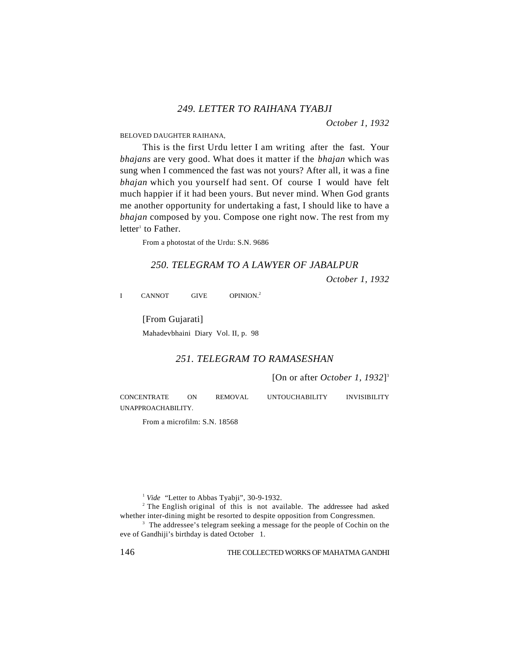*October 1, 1932*

BELOVED DAUGHTER RAIHANA,

This is the first Urdu letter I am writing after the fast. Your *bhajans* are very good. What does it matter if the *bhajan* which was sung when I commenced the fast was not yours? After all, it was a fine *bhajan* which you yourself had sent. Of course I would have felt much happier if it had been yours. But never mind. When God grants me another opportunity for undertaking a fast, I should like to have a *bhajan* composed by you. Compose one right now. The rest from my letter<sup>1</sup> to Father.

From a photostat of the Urdu: S.N. 9686

#### *250. TELEGRAM TO A LAWYER OF JABALPUR*

*October 1, 1932*

I CANNOT GIVE OPINION.<sup>2</sup>

[From Gujarati]

Mahadevbhaini Diary Vol. II, p. 98

### *251. TELEGRAM TO RAMASESHAN*

[On or after *October 1, 1932*] 3

CONCENTRATE ON REMOVAL UNTOUCHABILITY INVISIBILITY UNAPPROACHABILITY.

From a microfilm: S.N. 18568

<sup>1</sup> *Vide* "Letter to Abbas Tyabji", 30-9-1932.

<sup>2</sup> The English original of this is not available. The addressee had asked whether inter-dining might be resorted to despite opposition from Congressmen.

<sup>3</sup> The addressee's telegram seeking a message for the people of Cochin on the eve of Gandhiji's birthday is dated October 1.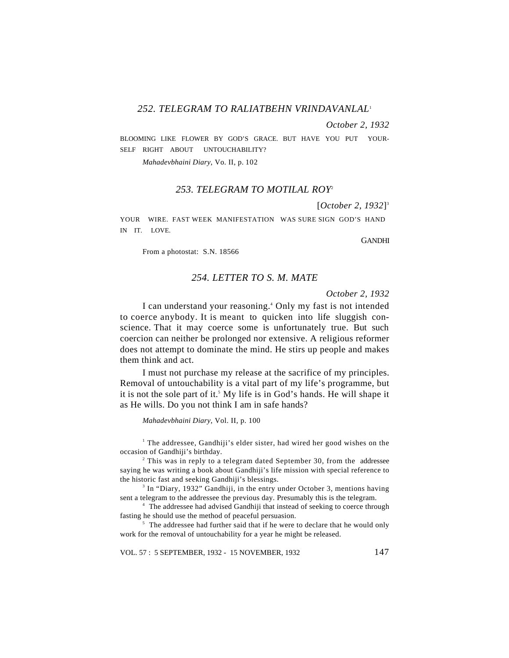#### *252. TELEGRAM TO RALIATBEHN VRINDAVANLAL*<sup>1</sup>

*October 2, 1932*

BLOOMING LIKE FLOWER BY GOD'S GRACE. BUT HAVE YOU PUT YOUR-SELF RIGHT ABOUT UNTOUCHABILITY?

*Mahadevbhaini Diary*, Vo. II, p. 102

### *253. TELEGRAM TO MOTILAL ROY*<sup>2</sup>

[*October 2, 1932*] 3

YOUR WIRE. FAST WEEK MANIFESTATION WAS SURE SIGN GOD'S HAND IN IT. LOVE.

**GANDHI** 

From a photostat: S.N. 18566

#### *254. LETTER TO S. M. MATE*

*October 2, 1932*

I can understand your reasoning.<sup>4</sup> Only my fast is not intended to coerce anybody. It is meant to quicken into life sluggish conscience. That it may coerce some is unfortunately true. But such coercion can neither be prolonged nor extensive. A religious reformer does not attempt to dominate the mind. He stirs up people and makes them think and act.

I must not purchase my release at the sacrifice of my principles. Removal of untouchability is a vital part of my life's programme, but it is not the sole part of it.<sup>5</sup> My life is in God's hands. He will shape it as He wills. Do you not think I am in safe hands?

*Mahadevbhaini Diary*, Vol. II, p. 100

<sup>1</sup> The addressee, Gandhiji's elder sister, had wired her good wishes on the occasion of Gandhiji's birthday.

 $2$  This was in reply to a telegram dated September 30, from the addressee saying he was writing a book about Gandhiji's life mission with special reference to the historic fast and seeking Gandhiji's blessings.

<sup>3</sup> In "Diary, 1932" Gandhiji, in the entry under October 3, mentions having sent a telegram to the addressee the previous day. Presumably this is the telegram.

<sup>4</sup> The addressee had advised Gandhiji that instead of seeking to coerce through fasting he should use the method of peaceful persuasion.

<sup>5</sup> The addressee had further said that if he were to declare that he would only work for the removal of untouchability for a year he might be released.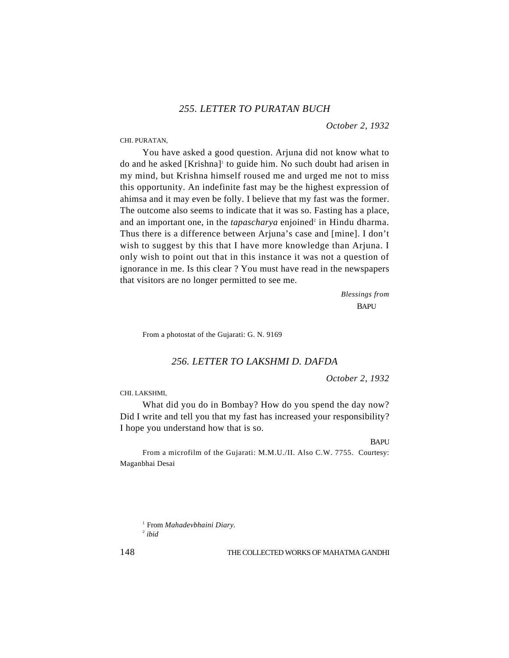#### CHI. PURATAN,

You have asked a good question. Arjuna did not know what to do and he asked [Krishna]<sup>1</sup> to guide him. No such doubt had arisen in my mind, but Krishna himself roused me and urged me not to miss this opportunity. An indefinite fast may be the highest expression of ahimsa and it may even be folly. I believe that my fast was the former. The outcome also seems to indicate that it was so. Fasting has a place, and an important one, in the *tapascharya* enjoined<sup>2</sup> in Hindu dharma. Thus there is a difference between Arjuna's case and [mine]. I don't wish to suggest by this that I have more knowledge than Arjuna. I only wish to point out that in this instance it was not a question of ignorance in me. Is this clear ? You must have read in the newspapers that visitors are no longer permitted to see me.

> *Blessings from* **BAPU**

From a photostat of the Gujarati: G. N. 9169

# *256. LETTER TO LAKSHMI D. DAFDA*

*October 2, 1932*

CHI. LAKSHMI,

What did you do in Bombay? How do you spend the day now? Did I write and tell you that my fast has increased your responsibility? I hope you understand how that is so.

**BAPU** 

From a microfilm of the Gujarati: M.M.U./II. Also C.W. 7755. Courtesy: Maganbhai Desai

2 *ibid*

<sup>1</sup> From *Mahadevbhaini Diary.*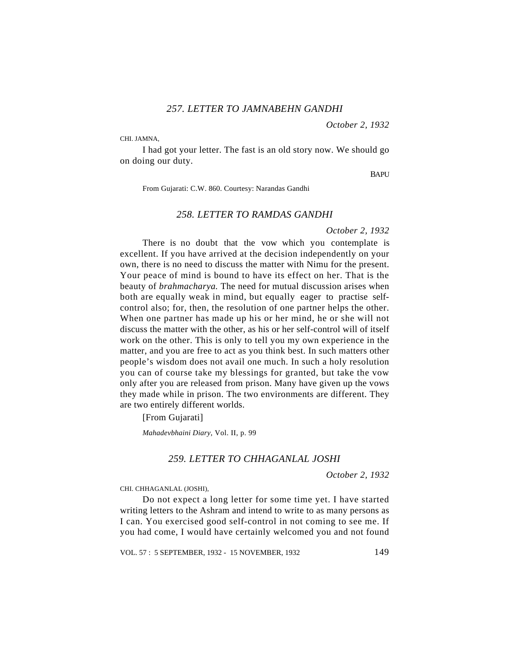CHI. JAMNA,

I had got your letter. The fast is an old story now. We should go on doing our duty.

**BAPU** 

From Gujarati: C.W. 860. Courtesy: Narandas Gandhi

### *258. LETTER TO RAMDAS GANDHI*

#### *October 2, 1932*

There is no doubt that the vow which you contemplate is excellent. If you have arrived at the decision independently on your own, there is no need to discuss the matter with Nimu for the present. Your peace of mind is bound to have its effect on her. That is the beauty of *brahmacharya.* The need for mutual discussion arises when both are equally weak in mind, but equally eager to practise selfcontrol also; for, then, the resolution of one partner helps the other. When one partner has made up his or her mind, he or she will not discuss the matter with the other, as his or her self-control will of itself work on the other. This is only to tell you my own experience in the matter, and you are free to act as you think best. In such matters other people's wisdom does not avail one much. In such a holy resolution you can of course take my blessings for granted, but take the vow only after you are released from prison. Many have given up the vows they made while in prison. The two environments are different. They are two entirely different worlds.

[From Gujarati]

*Mahadevbhaini Diary*, Vol. II, p. 99

### *259. LETTER TO CHHAGANLAL JOSHI*

*October 2, 1932*

CHI. CHHAGANLAL (JOSHI),

Do not expect a long letter for some time yet. I have started writing letters to the Ashram and intend to write to as many persons as I can. You exercised good self-control in not coming to see me. If you had come, I would have certainly welcomed you and not found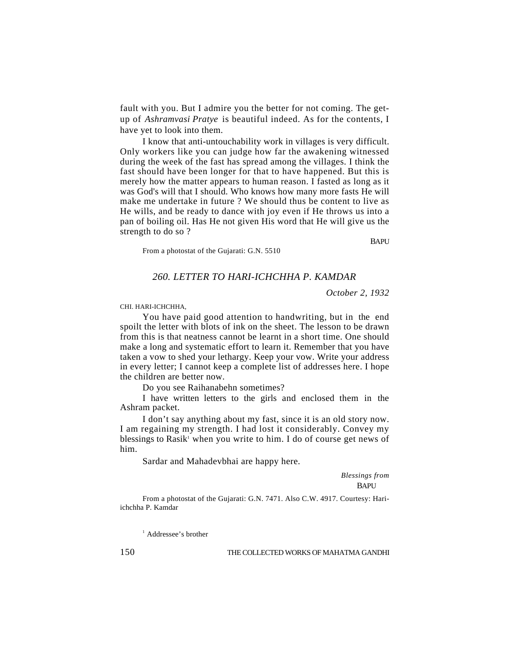fault with you. But I admire you the better for not coming. The getup of *Ashramvasi Pratye* is beautiful indeed. As for the contents, I have yet to look into them.

I know that anti-untouchability work in villages is very difficult. Only workers like you can judge how far the awakening witnessed during the week of the fast has spread among the villages. I think the fast should have been longer for that to have happened. But this is merely how the matter appears to human reason. I fasted as long as it was God's will that I should. Who knows how many more fasts He will make me undertake in future ? We should thus be content to live as He wills, and be ready to dance with joy even if He throws us into a pan of boiling oil. Has He not given His word that He will give us the strength to do so ?

From a photostat of the Gujarati: G.N. 5510

#### *260. LETTER TO HARI-ICHCHHA P. KAMDAR*

*October 2, 1932*

**BAPU** 

CHI. HARI-ICHCHHA,

You have paid good attention to handwriting, but in the end spoilt the letter with blots of ink on the sheet. The lesson to be drawn from this is that neatness cannot be learnt in a short time. One should make a long and systematic effort to learn it. Remember that you have taken a vow to shed your lethargy. Keep your vow. Write your address in every letter; I cannot keep a complete list of addresses here. I hope the children are better now.

Do you see Raihanabehn sometimes?

I have written letters to the girls and enclosed them in the Ashram packet.

I don't say anything about my fast, since it is an old story now. I am regaining my strength. I had lost it considerably. Convey my blessings to Rasik<sup>1</sup> when you write to him. I do of course get news of him.

Sardar and Mahadevbhai are happy here.

*Blessings from* **BAPU** 

From a photostat of the Gujarati: G.N. 7471. Also C.W. 4917. Courtesy: Hariichchha P. Kamdar

<sup>1</sup> Addressee's brother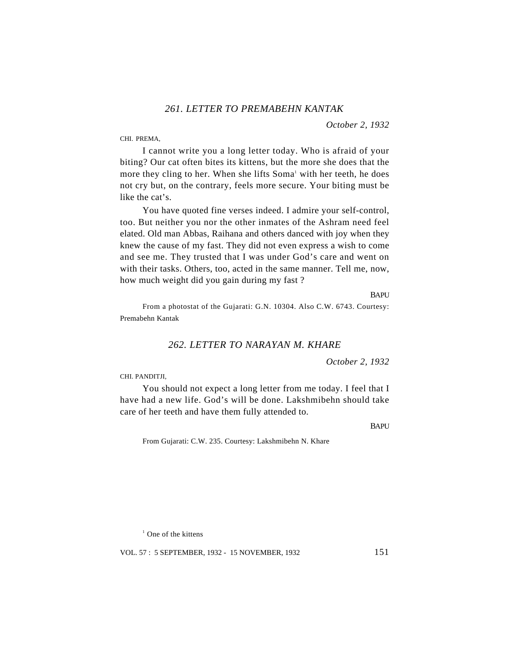#### CHI. PREMA,

I cannot write you a long letter today. Who is afraid of your biting? Our cat often bites its kittens, but the more she does that the more they cling to her. When she lifts Soma' with her teeth, he does not cry but, on the contrary, feels more secure. Your biting must be like the cat's.

You have quoted fine verses indeed. I admire your self-control, too. But neither you nor the other inmates of the Ashram need feel elated. Old man Abbas, Raihana and others danced with joy when they knew the cause of my fast. They did not even express a wish to come and see me. They trusted that I was under God's care and went on with their tasks. Others, too, acted in the same manner. Tell me, now, how much weight did you gain during my fast ?

**BAPU** 

From a photostat of the Gujarati: G.N. 10304. Also C.W. 6743. Courtesy: Premabehn Kantak

# *262. LETTER TO NARAYAN M. KHARE*

*October 2, 1932*

CHI. PANDITJI,

You should not expect a long letter from me today. I feel that I have had a new life. God's will be done. Lakshmibehn should take care of her teeth and have them fully attended to.

**BAPU** 

From Gujarati: C.W. 235. Courtesy: Lakshmibehn N. Khare

<sup>1</sup> One of the kittens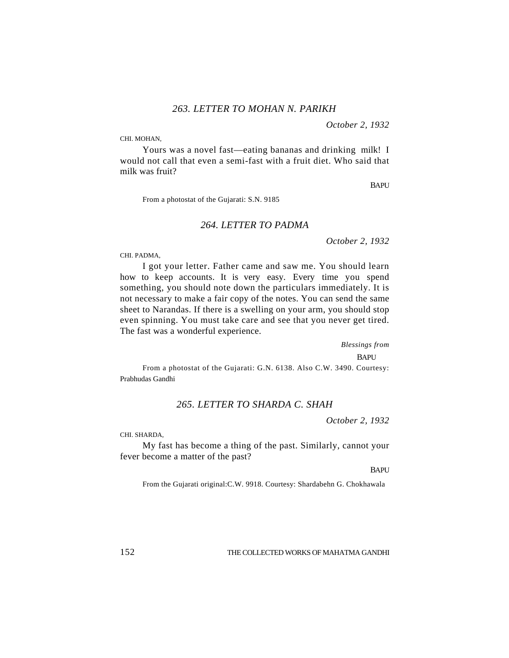CHI. MOHAN,

Yours was a novel fast—eating bananas and drinking milk! I would not call that even a semi-fast with a fruit diet. Who said that milk was fruit?

**BAPU** 

From a photostat of the Gujarati: S.N. 9185

# *264. LETTER TO PADMA*

*October 2, 1932*

CHI. PADMA,

I got your letter. Father came and saw me. You should learn how to keep accounts. It is very easy. Every time you spend something, you should note down the particulars immediately. It is not necessary to make a fair copy of the notes. You can send the same sheet to Narandas. If there is a swelling on your arm, you should stop even spinning. You must take care and see that you never get tired. The fast was a wonderful experience.

*Blessings from*

**BAPU** 

From a photostat of the Gujarati: G.N. 6138. Also C.W. 3490. Courtesy: Prabhudas Gandhi

# *265. LETTER TO SHARDA C. SHAH*

*October 2, 1932*

CHI. SHARDA,

My fast has become a thing of the past. Similarly, cannot your fever become a matter of the past?

BAPU

From the Gujarati original:C.W. 9918. Courtesy: Shardabehn G. Chokhawala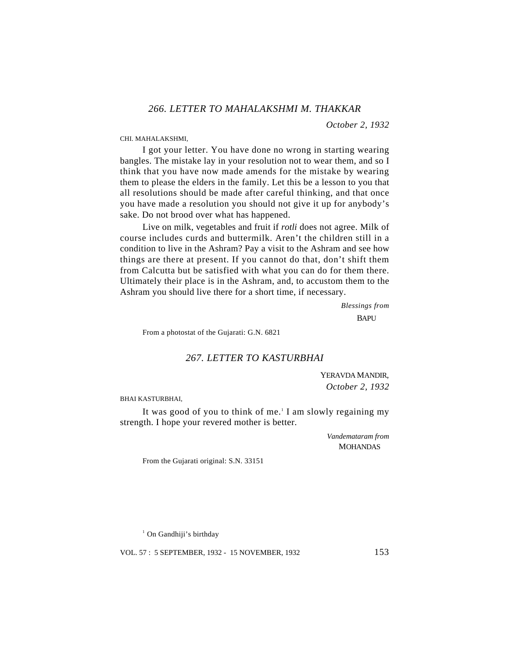CHI. MAHALAKSHMI,

I got your letter. You have done no wrong in starting wearing bangles. The mistake lay in your resolution not to wear them, and so I think that you have now made amends for the mistake by wearing them to please the elders in the family. Let this be a lesson to you that all resolutions should be made after careful thinking, and that once you have made a resolution you should not give it up for anybody's sake. Do not brood over what has happened.

Live on milk, vegetables and fruit if *rotli* does not agree. Milk of course includes curds and buttermilk. Aren't the children still in a condition to live in the Ashram? Pay a visit to the Ashram and see how things are there at present. If you cannot do that, don't shift them from Calcutta but be satisfied with what you can do for them there. Ultimately their place is in the Ashram, and, to accustom them to the Ashram you should live there for a short time, if necessary.

> *Blessings from* BAPU

From a photostat of the Gujarati: G.N. 6821

#### *267. LETTER TO KASTURBHAI*

YERAVDA MANDIR, *October 2, 1932*

BHAI KASTURBHAI,

It was good of you to think of me.<sup>1</sup> I am slowly regaining my strength. I hope your revered mother is better.

> *Vandemataram from* **MOHANDAS**

From the Gujarati original: S.N. 33151

<sup>1</sup> On Gandhiji's birthday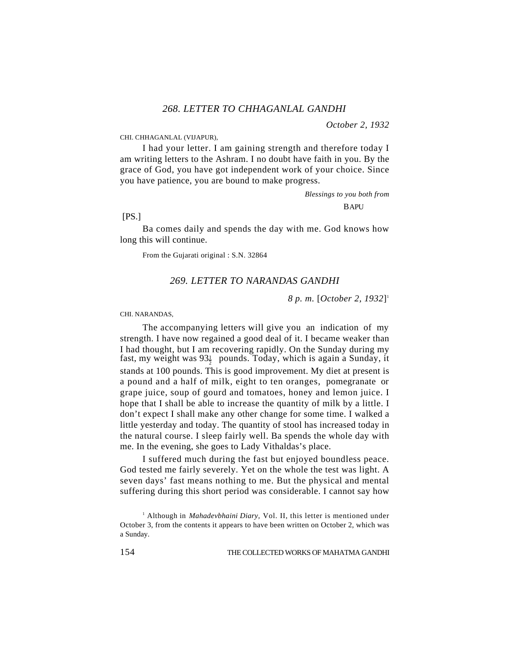CHI. CHHAGANLAL (VIJAPUR),

I had your letter. I am gaining strength and therefore today I am writing letters to the Ashram. I no doubt have faith in you. By the grace of God, you have got independent work of your choice. Since you have patience, you are bound to make progress.

> *Blessings to you both from* **BAPU**

 $[PS.]$ 

Ba comes daily and spends the day with me. God knows how long this will continue.

From the Gujarati original : S.N. 32864

# *269. LETTER TO NARANDAS GANDHI*

*8 p. m.* [*October 2, 1932*] 1

CHI. NARANDAS,

The accompanying letters will give you an indication of my strength. I have now regained a good deal of it. I became weaker than I had thought, but I am recovering rapidly. On the Sunday during my fast, my weight was  $93\frac{1}{2}$  pounds. Today, which is again a Sunday, it stands at 100 pounds. This is good improvement. My diet at present is a pound and a half of milk, eight to ten oranges, pomegranate or grape juice, soup of gourd and tomatoes, honey and lemon juice. I hope that I shall be able to increase the quantity of milk by a little. I don't expect I shall make any other change for some time. I walked a little yesterday and today. The quantity of stool has increased today in the natural course. I sleep fairly well. Ba spends the whole day with me. In the evening, she goes to Lady Vithaldas's place.

I suffered much during the fast but enjoyed boundless peace. God tested me fairly severely. Yet on the whole the test was light. A seven days' fast means nothing to me. But the physical and mental suffering during this short period was considerable. I cannot say how

<sup>&</sup>lt;sup>1</sup> Although in *Mahadevbhaini Diary*, Vol. II, this letter is mentioned under October 3, from the contents it appears to have been written on October 2, which was a Sunday.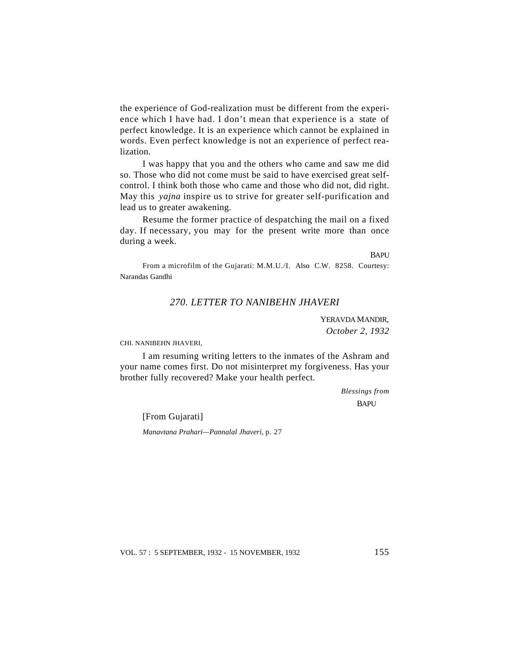the experience of God-realization must be different from the experience which I have had. I don't mean that experience is a state of perfect knowledge. It is an experience which cannot be explained in words. Even perfect knowledge is not an experience of perfect realization.

I was happy that you and the others who came and saw me did so. Those who did not come must be said to have exercised great selfcontrol. I think both those who came and those who did not, did right. May this *yajna* inspire us to strive for greater self-purification and lead us to greater awakening.

Resume the former practice of despatching the mail on a fixed day. If necessary, you may for the present write more than once during a week.

**BAPU** 

From a microfilm of the Gujarati: M.M.U./I. Also C.W. 8258. Courtesy: Narandas Gandhi

# *270. LETTER TO NANIBEHN JHAVERI*

YERAVDA MANDIR, *October 2, 1932*

CHI. NANIBEHN JHAVERI,

I am resuming writing letters to the inmates of the Ashram and your name comes first. Do not misinterpret my forgiveness. Has your brother fully recovered? Make your health perfect.

> *Blessings from* **BAPU**

[From Gujarati] *Manavtana Prahari—Pannalal Jhaveri,* p. 27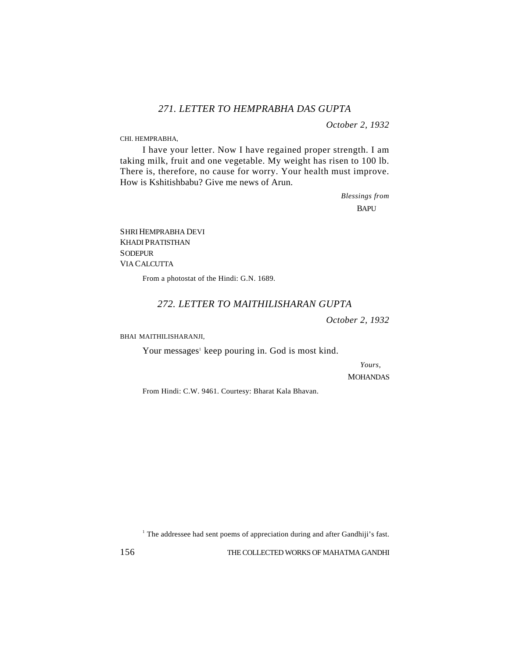# *271. LETTER TO HEMPRABHA DAS GUPTA*

*October 2, 1932*

CHI. HEMPRABHA,

I have your letter. Now I have regained proper strength. I am taking milk, fruit and one vegetable. My weight has risen to 100 lb. There is, therefore, no cause for worry. Your health must improve. How is Kshitishbabu? Give me news of Arun.

> *Blessings from* **BAPU**

SHRI HEMPRABHA DEVI KHADI PRATISTHAN **SODEPUR** VIA CALCUTTA

From a photostat of the Hindi: G.N. 1689.

# *272. LETTER TO MAITHILISHARAN GUPTA*

*October 2, 1932*

BHAI MAITHILISHARANJI,

Your messages<sup>1</sup> keep pouring in. God is most kind.

*Yours,*

**MOHANDAS** 

From Hindi: C.W. 9461. Courtesy: Bharat Kala Bhavan.

<sup>1</sup> The addressee had sent poems of appreciation during and after Gandhiji's fast.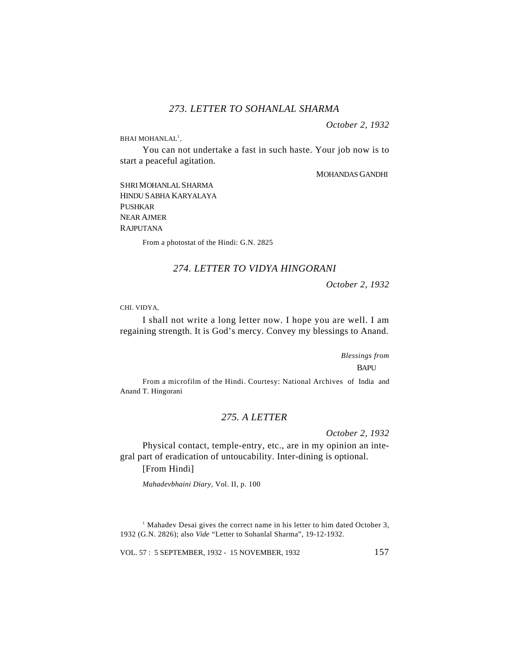# *273. LETTER TO SOHANLAL SHARMA*

*October 2, 1932*

 $BHAI$  MOHANLAL<sup>1</sup>,

You can not undertake a fast in such haste. Your job now is to start a peaceful agitation.

#### MOHANDAS GANDHI

SHRI MOHANLAL SHARMA HINDU SABHA KARYALAYA **PUSHKAR** NEAR AJMER RAJPUTANA

From a photostat of the Hindi: G.N. 2825

#### *274. LETTER TO VIDYA HINGORANI*

*October 2, 1932*

CHI. VIDYA,

I shall not write a long letter now. I hope you are well. I am regaining strength. It is God's mercy. Convey my blessings to Anand.

*Blessings from*

**BAPU** 

From a microfilm of the Hindi. Courtesy: National Archives of India and Anand T. Hingorani

#### *275. A LETTER*

*October 2, 1932*

Physical contact, temple-entry, etc., are in my opinion an integral part of eradication of untoucability. Inter-dining is optional.

#### [From Hindi]

*Mahadevbhaini Diary,* Vol. II, p. 100

<sup>&</sup>lt;sup>1</sup> Mahadev Desai gives the correct name in his letter to him dated October 3, 1932 (G.N. 2826); also *Vide* "Letter to Sohanlal Sharma", 19-12-1932.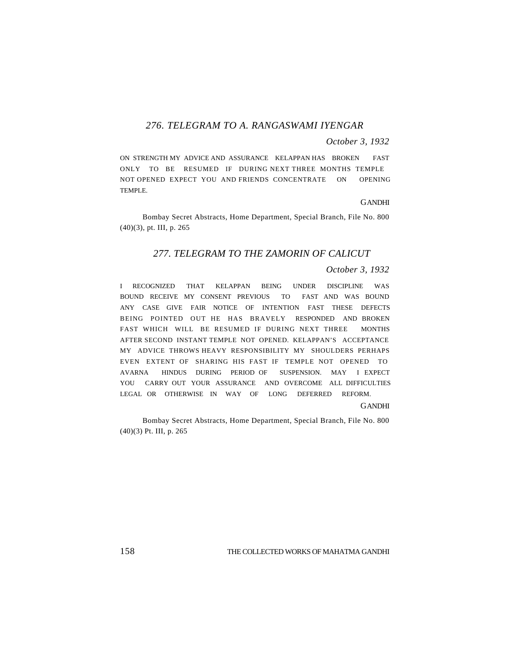### *276. TELEGRAM TO A. RANGASWAMI IYENGAR*

#### *October 3, 1932*

ON STRENGTH MY ADVICE AND ASSURANCE KELAPPAN HAS BROKEN FAST ONLY TO BE RESUMED IF DURING NEXT THREE MONTHS TEMPLE NOT OPENED EXPECT YOU AND FRIENDS CONCENTRATE ON OPENING TEMPLE.

#### GANDHI

Bombay Secret Abstracts, Home Department, Special Branch, File No. 800 (40)(3), pt. III, p. 265

# *277. TELEGRAM TO THE ZAMORIN OF CALICUT*

#### *October 3, 1932*

I RECOGNIZED THAT KELAPPAN BEING UNDER DISCIPLINE WAS BOUND RECEIVE MY CONSENT PREVIOUS TO FAST AND WAS BOUND ANY CASE GIVE FAIR NOTICE OF INTENTION FAST THESE DEFECTS BEING POINTED OUT HE HAS BRAVELY RESPONDED AND BROKEN FAST WHICH WILL BE RESUMED IF DURING NEXT THREE MONTHS AFTER SECOND INSTANT TEMPLE NOT OPENED. KELAPPAN'S ACCEPTANCE MY ADVICE THROWS HEAVY RESPONSIBILITY MY SHOULDERS PERHAPS EVEN EXTENT OF SHARING HIS FAST IF TEMPLE NOT OPENED TO AVARNA HINDUS DURING PERIOD OF SUSPENSION. MAY I EXPECT YOU CARRY OUT YOUR ASSURANCE AND OVERCOME ALL DIFFICULTIES LEGAL OR OTHERWISE IN WAY OF LONG DEFERRED REFORM.

#### GANDHI

Bombay Secret Abstracts, Home Department, Special Branch, File No. 800 (40)(3) Pt. III, p. 265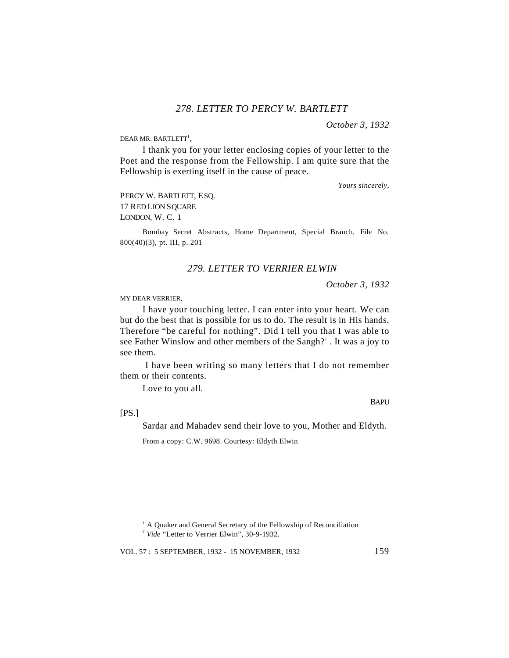$DEAR$  MR.  $BARTLETT^1$ ,

I thank you for your letter enclosing copies of your letter to the Poet and the response from the Fellowship. I am quite sure that the Fellowship is exerting itself in the cause of peace.

 *Yours sincerely,*

PERCY W. BARTLETT, ESQ. 17 RED LION SQUARE LONDON, W. C. 1

Bombay Secret Abstracts, Home Department, Special Branch, File No. 800(40)(3), pt. III, p. 201

#### *279. LETTER TO VERRIER ELWIN*

*October 3, 1932*

MY DEAR VERRIER,

I have your touching letter. I can enter into your heart. We can but do the best that is possible for us to do. The result is in His hands. Therefore "be careful for nothing". Did I tell you that I was able to see Father Winslow and other members of the Sangh?<sup>2</sup>. It was a joy to see them.

 I have been writing so many letters that I do not remember them or their contents.

Love to you all.

 $[PS.]$ 

Sardar and Mahadev send their love to you, Mother and Eldyth.

From a copy: C.W. 9698. Courtesy: Eldyth Elwin

VOL. 57 : 5 SEPTEMBER, 1932 - 15 NOVEMBER, 1932 159

**BAPU** 

<sup>&</sup>lt;sup>1</sup> A Quaker and General Secretary of the Fellowship of Reconciliation <sup>2</sup> *Vide* "Letter to Verrier Elwin", 30-9-1932.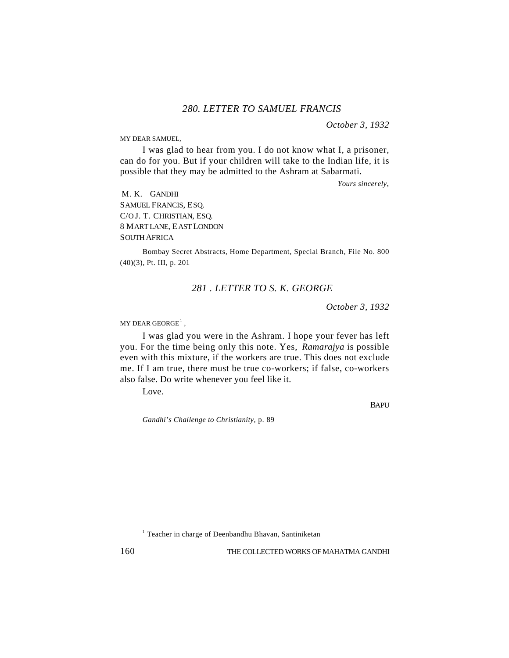MY DEAR SAMUEL,

I was glad to hear from you. I do not know what I, a prisoner, can do for you. But if your children will take to the Indian life, it is possible that they may be admitted to the Ashram at Sabarmati.

*Yours sincerely*,

M. K. GANDHI SAMUEL FRANCIS, ESQ. C/O J. T. CHRISTIAN, ESQ. 8 MART LANE, EAST LONDON SOUTH AFRICA

Bombay Secret Abstracts, Home Department, Special Branch, File No. 800 (40)(3), Pt. III, p. 201

# *281 . LETTER TO S. K. GEORGE*

*October 3, 1932*

 $MY$  DEAR GEORGE<sup>1</sup>,

I was glad you were in the Ashram. I hope your fever has left you. For the time being only this note. Yes, *Ramarajya* is possible even with this mixture, if the workers are true. This does not exclude me. If I am true, there must be true co-workers; if false, co-workers also false. Do write whenever you feel like it.

Love.

BAPU

*Gandhi's Challenge to Christianity*, p. 89

<sup>1</sup> Teacher in charge of Deenbandhu Bhavan, Santiniketan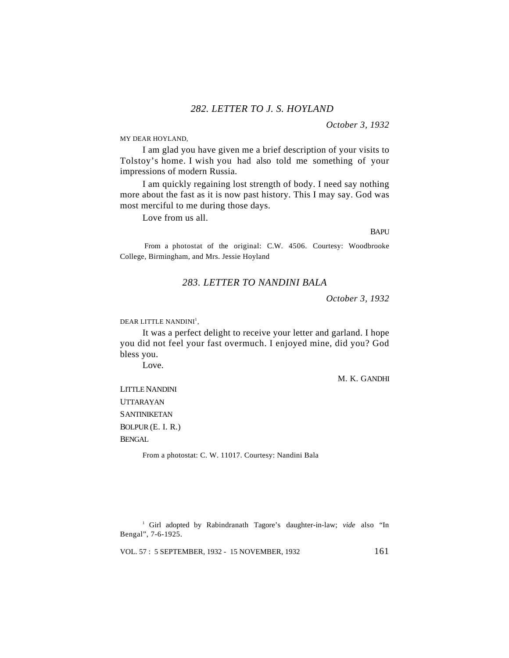MY DEAR HOYLAND,

I am glad you have given me a brief description of your visits to Tolstoy's home. I wish you had also told me something of your impressions of modern Russia.

I am quickly regaining lost strength of body. I need say nothing more about the fast as it is now past history. This I may say. God was most merciful to me during those days.

Love from us all.

BAPU

 From a photostat of the original: C.W. 4506. Courtesy: Woodbrooke College, Birmingham, and Mrs. Jessie Hoyland

### *283. LETTER TO NANDINI BALA*

*October 3, 1932*

DEAR LITTLE NANDINI $^{\rm l}$ ,

It was a perfect delight to receive your letter and garland. I hope you did not feel your fast overmuch. I enjoyed mine, did you? God bless you.

Love.

M. K. GANDHI

LITTLE NANDINI **UTTARAYAN SANTINIKETAN** BOLPUR (E. I. R.) BENGAL

From a photostat: C. W. 11017. Courtesy: Nandini Bala

<sup>1</sup> Girl adopted by Rabindranath Tagore's daughter-in-law; *vide* also "In Bengal", 7-6-1925.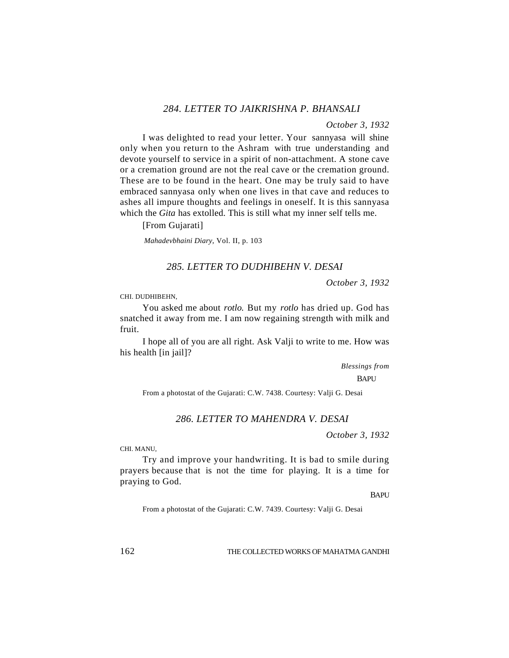# *284. LETTER TO JAIKRISHNA P. BHANSALI*

*October 3, 1932*

I was delighted to read your letter. Your sannyasa will shine only when you return to the Ashram with true understanding and devote yourself to service in a spirit of non-attachment. A stone cave or a cremation ground are not the real cave or the cremation ground. These are to be found in the heart. One may be truly said to have embraced sannyasa only when one lives in that cave and reduces to ashes all impure thoughts and feelings in oneself. It is this sannyasa which the *Gita* has extolled. This is still what my inner self tells me.

[From Gujarati]

*Mahadevbhaini Diary*, Vol. II, p. 103

#### *285. LETTER TO DUDHIBEHN V. DESAI*

*October 3, 1932*

CHI. DUDHIBEHN,

You asked me about *rotlo.* But my *rotlo* has dried up. God has snatched it away from me. I am now regaining strength with milk and fruit.

I hope all of you are all right. Ask Valji to write to me. How was his health [in jail]?

*Blessings from*

BAPU

From a photostat of the Gujarati: C.W. 7438. Courtesy: Valji G. Desai

#### *286. LETTER TO MAHENDRA V. DESAI*

*October 3, 1932*

CHI. MANU,

Try and improve your handwriting. It is bad to smile during prayers because that is not the time for playing. It is a time for praying to God.

**BAPU** 

From a photostat of the Gujarati: C.W. 7439. Courtesy: Valji G. Desai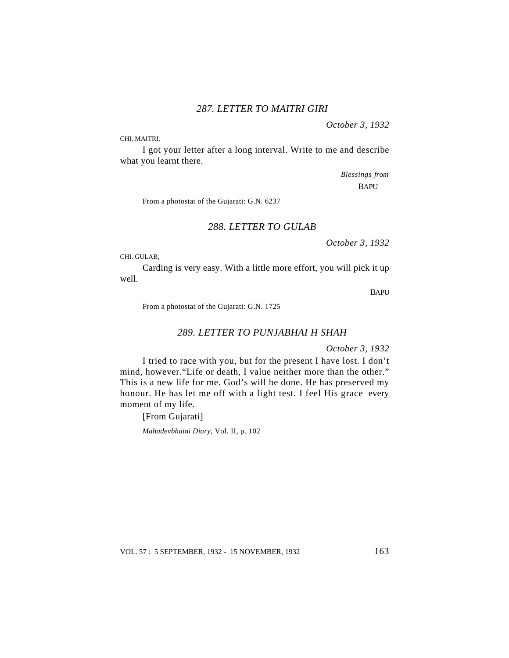CHI. MAITRI,

I got your letter after a long interval. Write to me and describe what you learnt there.

> *Blessings from* BAPU

From a photostat of the Gujarati: G.N. 6237

### *288. LETTER TO GULAB*

*October 3, 1932*

CHI. GULAB,

Carding is very easy. With a little more effort, you will pick it up well.

**BAPU** 

From a photostat of the Gujarati: G.N. 1725

# *289. LETTER TO PUNJABHAI H SHAH*

*October 3, 1932*

I tried to race with you, but for the present I have lost. I don't mind, however."Life or death, I value neither more than the other." This is a new life for me. God's will be done. He has preserved my honour. He has let me off with a light test. I feel His grace every moment of my life.

[From Gujarati] *Mahadevbhaini Diary*, Vol. II, p. 102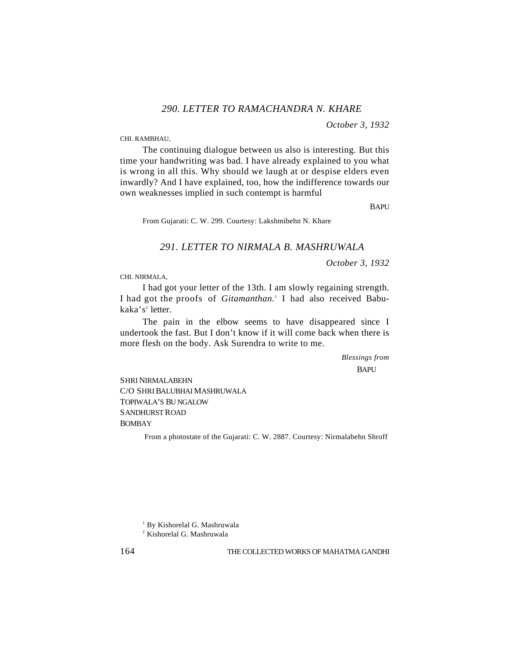# *290. LETTER TO RAMACHANDRA N. KHARE*

*October 3, 1932*

CHI. RAMBHAU,

The continuing dialogue between us also is interesting. But this time your handwriting was bad. I have already explained to you what is wrong in all this. Why should we laugh at or despise elders even inwardly? And I have explained, too, how the indifference towards our own weaknesses implied in such contempt is harmful

**BAPU** 

From Gujarati: C. W. 299. Courtesy: Lakshmibehn N. Khare

### *291. LETTER TO NIRMALA B. MASHRUWALA*

*October 3, 1932*

CHI. NIRMALA,

I had got your letter of the 13th. I am slowly regaining strength. I had got the proofs of *Gitamanthan*.<sup>1</sup> I had also received Babukaka's<sup>2</sup> letter.

The pain in the elbow seems to have disappeared since I undertook the fast. But I don't know if it will come back when there is more flesh on the body. Ask Surendra to write to me.

> *Blessings from* **BAPU**

SHRI NIRMALABEHN C/O SHRI BALUBHAI MASHRUWALA TOPIWALA'S BU NGALOW SANDHURST ROAD BOMBAY

From a photostate of the Gujarati: C. W. 2887. Courtesy: Nirmalabehn Shroff

<sup>1</sup> By Kishorelal G. Mashruwala

<sup>2</sup> Kishorelal G. Mashruwala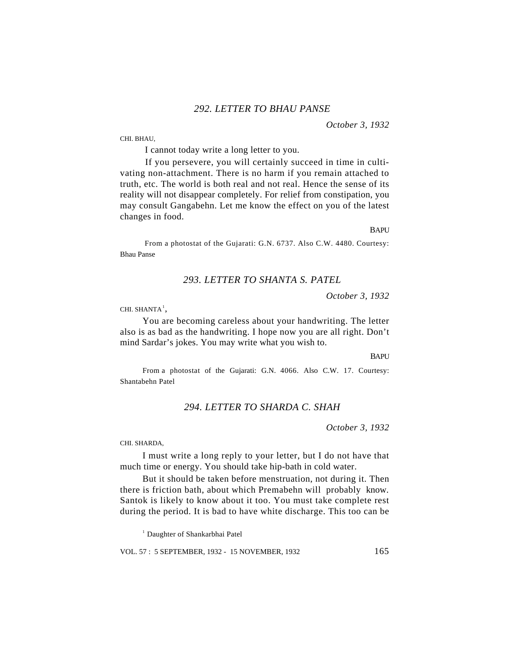CHI. BHAU,

I cannot today write a long letter to you.

 If you persevere, you will certainly succeed in time in cultivating non-attachment. There is no harm if you remain attached to truth, etc. The world is both real and not real. Hence the sense of its reality will not disappear completely. For relief from constipation, you may consult Gangabehn. Let me know the effect on you of the latest changes in food.

**BAPU** 

 From a photostat of the Gujarati: G.N. 6737. Also C.W. 4480. Courtesy: Bhau Panse

#### *293. LETTER TO SHANTA S. PATEL*

*October 3, 1932*

CHI. SHANTA $^1,$ 

You are becoming careless about your handwriting. The letter also is as bad as the handwriting. I hope now you are all right. Don't mind Sardar's jokes. You may write what you wish to.

**BAPU** 

From a photostat of the Gujarati: G.N. 4066. Also C.W. 17. Courtesy: Shantabehn Patel

### *294. LETTER TO SHARDA C. SHAH*

*October 3, 1932*

CHI. SHARDA,

I must write a long reply to your letter, but I do not have that much time or energy. You should take hip-bath in cold water.

But it should be taken before menstruation, not during it. Then there is friction bath, about which Premabehn will probably know. Santok is likely to know about it too. You must take complete rest during the period. It is bad to have white discharge. This too can be

<sup>1</sup> Daughter of Shankarbhai Patel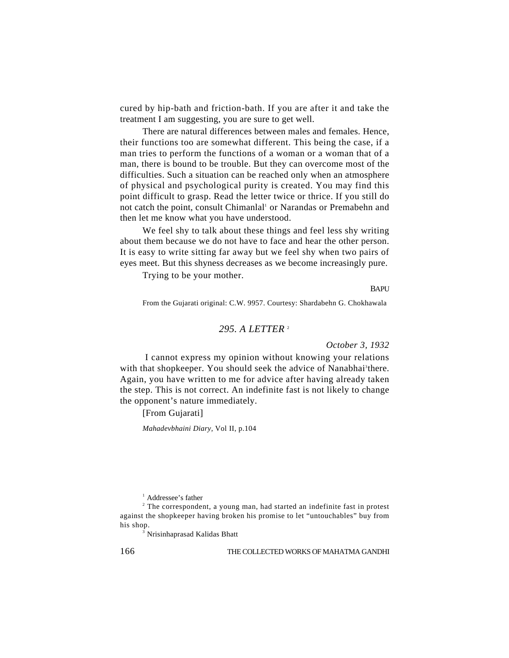cured by hip-bath and friction-bath. If you are after it and take the treatment I am suggesting, you are sure to get well.

There are natural differences between males and females. Hence, their functions too are somewhat different. This being the case, if a man tries to perform the functions of a woman or a woman that of a man, there is bound to be trouble. But they can overcome most of the difficulties. Such a situation can be reached only when an atmosphere of physical and psychological purity is created. You may find this point difficult to grasp. Read the letter twice or thrice. If you still do not catch the point, consult Chimanlal<sup>1</sup> or Narandas or Premabehn and then let me know what you have understood.

We feel shy to talk about these things and feel less shy writing about them because we do not have to face and hear the other person. It is easy to write sitting far away but we feel shy when two pairs of eyes meet. But this shyness decreases as we become increasingly pure.

Trying to be your mother.

BAPU

From the Gujarati original: C.W. 9957. Courtesy: Shardabehn G. Chokhawala

# *295. A LETTER* <sup>2</sup>

*October 3, 1932*

 I cannot express my opinion without knowing your relations with that shopkeeper. You should seek the advice of Nanabhai<sup>3</sup>there. Again, you have written to me for advice after having already taken the step. This is not correct. An indefinite fast is not likely to change the opponent's nature immediately.

[From Gujarati]

*Mahadevbhaini Diary,* Vol II, p.104

1 Addressee's father

 $2$  The correspondent, a young man, had started an indefinite fast in protest against the shopkeeper having broken his promise to let "untouchables" buy from his shop.

3 Nrisinhaprasad Kalidas Bhatt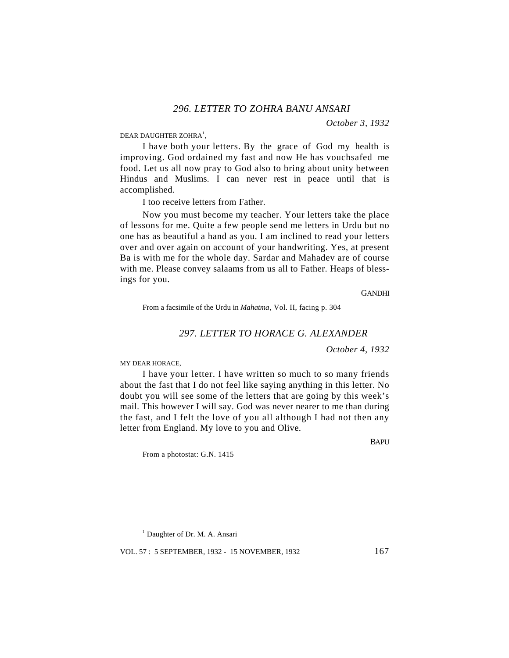DEAR DAUGHTER ZOHRA $^{\rm l}$ ,

I have both your letters. By the grace of God my health is improving. God ordained my fast and now He has vouchsafed me food. Let us all now pray to God also to bring about unity between Hindus and Muslims. I can never rest in peace until that is accomplished.

I too receive letters from Father.

Now you must become my teacher. Your letters take the place of lessons for me. Quite a few people send me letters in Urdu but no one has as beautiful a hand as you. I am inclined to read your letters over and over again on account of your handwriting. Yes, at present Ba is with me for the whole day. Sardar and Mahadev are of course with me. Please convey salaams from us all to Father. Heaps of blessings for you.

**GANDHI** 

From a facsimile of the Urdu in *Mahatma*, Vol. II, facing p. 304

### *297. LETTER TO HORACE G. ALEXANDER*

*October 4, 1932*

MY DEAR HORACE,

I have your letter. I have written so much to so many friends about the fast that I do not feel like saying anything in this letter. No doubt you will see some of the letters that are going by this week's mail. This however I will say. God was never nearer to me than during the fast, and I felt the love of you all although I had not then any letter from England. My love to you and Olive.

**BAPU** 

From a photostat: G.N. 1415

<sup>1</sup> Daughter of Dr. M. A. Ansari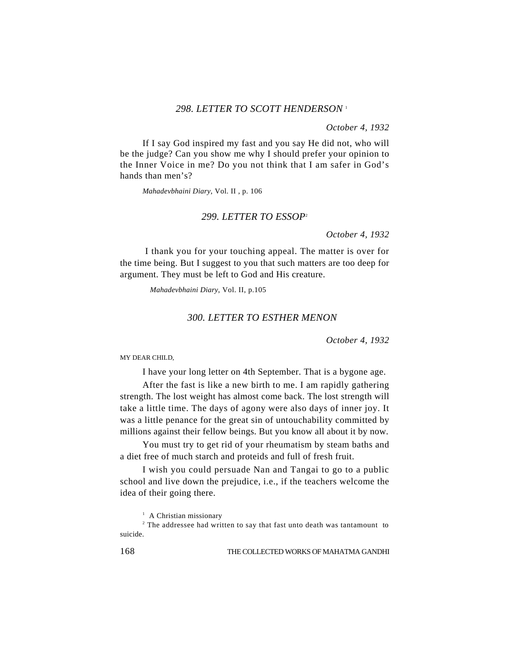### *298. LETTER TO SCOTT HENDERSON* <sup>1</sup>

*October 4, 1932*

If I say God inspired my fast and you say He did not, who will be the judge? Can you show me why I should prefer your opinion to the Inner Voice in me? Do you not think that I am safer in God's hands than men's?

*Mahadevbhaini Diary*, Vol. II , p. 106

### *299. LETTER TO ESSOP*<sup>2</sup>

*October 4, 1932*

 I thank you for your touching appeal. The matter is over for the time being. But I suggest to you that such matters are too deep for argument. They must be left to God and His creature.

*Mahadevbhaini Diary*, Vol. II, p.105

#### *300. LETTER TO ESTHER MENON*

*October 4, 1932*

MY DEAR CHILD,

I have your long letter on 4th September. That is a bygone age.

After the fast is like a new birth to me. I am rapidly gathering strength. The lost weight has almost come back. The lost strength will take a little time. The days of agony were also days of inner joy. It was a little penance for the great sin of untouchability committed by millions against their fellow beings. But you know all about it by now.

You must try to get rid of your rheumatism by steam baths and a diet free of much starch and proteids and full of fresh fruit.

I wish you could persuade Nan and Tangai to go to a public school and live down the prejudice, i.e., if the teachers welcome the idea of their going there.

<sup>1</sup> A Christian missionary

<sup>2</sup> The addressee had written to say that fast unto death was tantamount to suicide.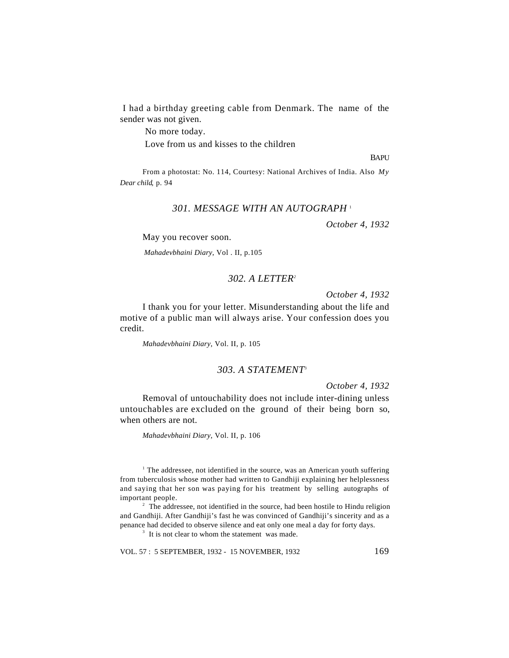I had a birthday greeting cable from Denmark. The name of the sender was not given.

No more today.

Love from us and kisses to the children

**BAPU** 

From a photostat: No. 114, Courtesy: National Archives of India. Also *My Dear child*, p. 94

### *301. MESSAGE WITH AN AUTOGRAPH* <sup>1</sup>

*October 4, 1932*

May you recover soon.

*Mahadevbhaini Diary*, Vol . II, p.105

### *302. A LETTER<sup>2</sup>*

*October 4, 1932*

I thank you for your letter. Misunderstanding about the life and motive of a public man will always arise. Your confession does you credit.

*Mahadevbhaini Diary*, Vol. II, p. 105

#### *303. A STATEMENT*<sup>3</sup>

*October 4, 1932*

Removal of untouchability does not include inter-dining unless untouchables are excluded on the ground of their being born so, when others are not.

*Mahadevbhaini Diary*, Vol. II, p. 106

<sup>1</sup> The addressee, not identified in the source, was an American youth suffering from tuberculosis whose mother had written to Gandhiji explaining her helplessness and saying that her son was paying for his treatment by selling autographs of important people.

 $2$  The addressee, not identified in the source, had been hostile to Hindu religion and Gandhiji. After Gandhiji's fast he was convinced of Gandhiji's sincerity and as a penance had decided to observe silence and eat only one meal a day for forty days.

<sup>3</sup> It is not clear to whom the statement was made.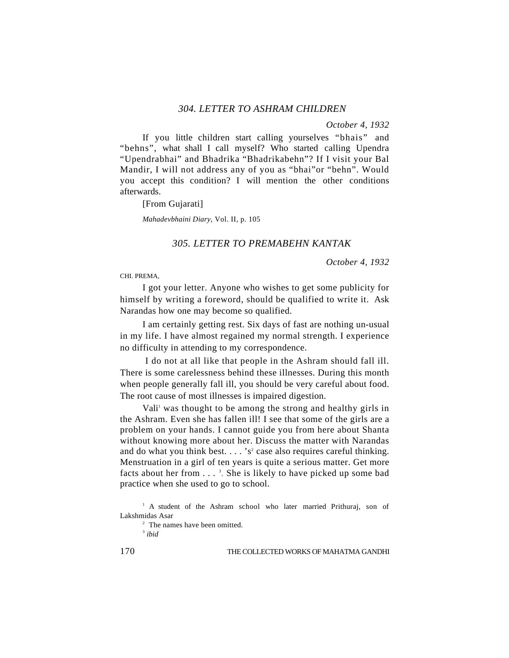# *304. LETTER TO ASHRAM CHILDREN*

*October 4, 1932*

If you little children start calling yourselves "bhais" and "behns", what shall I call myself? Who started calling Upendra "Upendrabhai" and Bhadrika "Bhadrikabehn"? If I visit your Bal Mandir, I will not address any of you as "bhai"or "behn". Would you accept this condition? I will mention the other conditions afterwards.

[From Gujarati]

*Mahadevbhaini Diary*, Vol. II, p. 105

### *305. LETTER TO PREMABEHN KANTAK*

*October 4, 1932*

CHI. PREMA,

I got your letter. Anyone who wishes to get some publicity for himself by writing a foreword, should be qualified to write it. Ask Narandas how one may become so qualified.

I am certainly getting rest. Six days of fast are nothing un-usual in my life. I have almost regained my normal strength. I experience no difficulty in attending to my correspondence.

 I do not at all like that people in the Ashram should fall ill. There is some carelessness behind these illnesses. During this month when people generally fall ill, you should be very careful about food. The root cause of most illnesses is impaired digestion.

Vali<sup>1</sup> was thought to be among the strong and healthy girls in the Ashram. Even she has fallen ill! I see that some of the girls are a problem on your hands. I cannot guide you from here about Shanta without knowing more about her. Discuss the matter with Narandas and do what you think best.  $\ldots$  's<sup>2</sup> case also requires careful thinking. Menstruation in a girl of ten years is quite a serious matter. Get more facts about her from  $\ldots$ <sup>3</sup>. She is likely to have picked up some bad practice when she used to go to school.

<sup>1</sup> A student of the Ashram school who later married Prithuraj, son of Lakshmidas Asar

<sup>2</sup> The names have been omitted.

3 *ibid*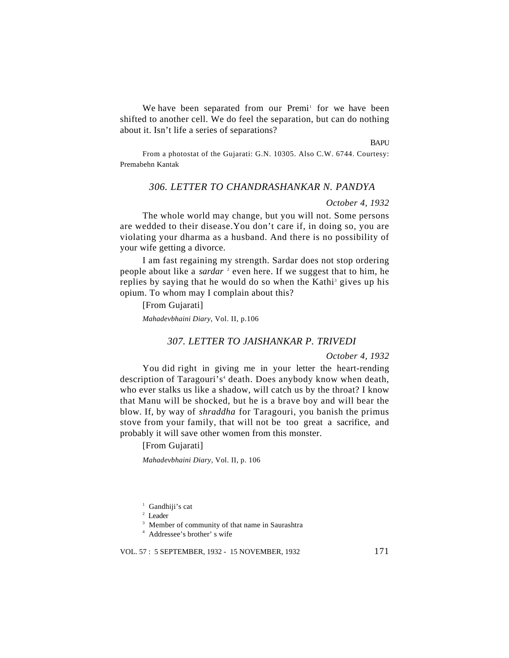We have been separated from our Premi<sup>1</sup> for we have been shifted to another cell. We do feel the separation, but can do nothing about it. Isn't life a series of separations?

**BAPU** 

From a photostat of the Gujarati: G.N. 10305. Also C.W. 6744. Courtesy: Premabehn Kantak

# *306. LETTER TO CHANDRASHANKAR N. PANDYA*

#### *October 4, 1932*

The whole world may change, but you will not. Some persons are wedded to their disease.You don't care if, in doing so, you are violating your dharma as a husband. And there is no possibility of your wife getting a divorce.

I am fast regaining my strength. Sardar does not stop ordering people about like a *sardar* <sup>2</sup> even here. If we suggest that to him, he replies by saying that he would do so when the Kathi<sup>3</sup> gives up his opium. To whom may I complain about this?

[From Gujarati] *Mahadevbhaini Diary*, Vol. II, p.106

# *307. LETTER TO JAISHANKAR P. TRIVEDI*

#### *October 4, 1932*

You did right in giving me in your letter the heart-rending description of Taragouri's<sup>4</sup> death. Does anybody know when death, who ever stalks us like a shadow, will catch us by the throat? I know that Manu will be shocked, but he is a brave boy and will bear the blow. If, by way of *shraddha* for Taragouri, you banish the primus stove from your family, that will not be too great a sacrifice, and probably it will save other women from this monster.

[From Gujarati]

*Mahadevbhaini Diary,* Vol. II, p. 106

<sup>1</sup> Gandhiji's cat

2 Leader

<sup>3</sup> Member of community of that name in Saurashtra

<sup>4</sup> Addressee's brother' s wife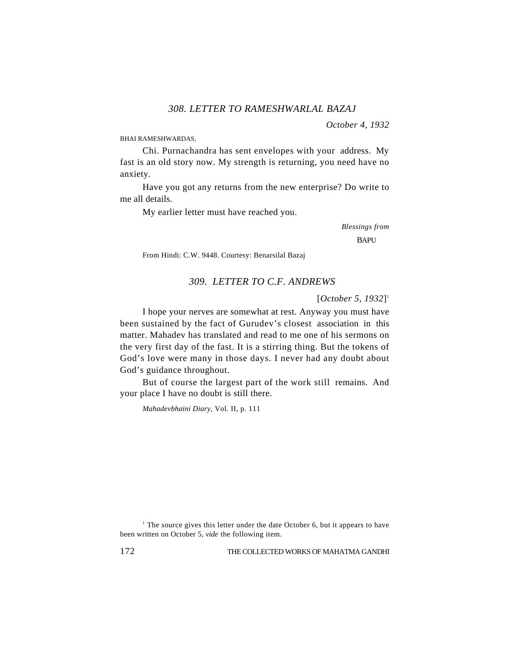*October 4, 1932*

BHAI RAMESHWARDAS,

Chi. Purnachandra has sent envelopes with your address. My fast is an old story now. My strength is returning, you need have no anxiety.

Have you got any returns from the new enterprise? Do write to me all details.

My earlier letter must have reached you.

 *Blessings from* **BAPU** 

From Hindi: C.W. 9448. Courtesy: Benarsilal Bazaj

# *309. LETTER TO C.F. ANDREWS*

[*October 5, 1932*] 1

I hope your nerves are somewhat at rest. Anyway you must have been sustained by the fact of Gurudev's closest association in this matter. Mahadev has translated and read to me one of his sermons on the very first day of the fast. It is a stirring thing. But the tokens of God's love were many in those days. I never had any doubt about God's guidance throughout.

But of course the largest part of the work still remains. And your place I have no doubt is still there.

*Mahadevbhaini Diary*, Vol. II, p. 111

<sup>1</sup> The source gives this letter under the date October 6, but it appears to have been written on October 5, *vide* the following item.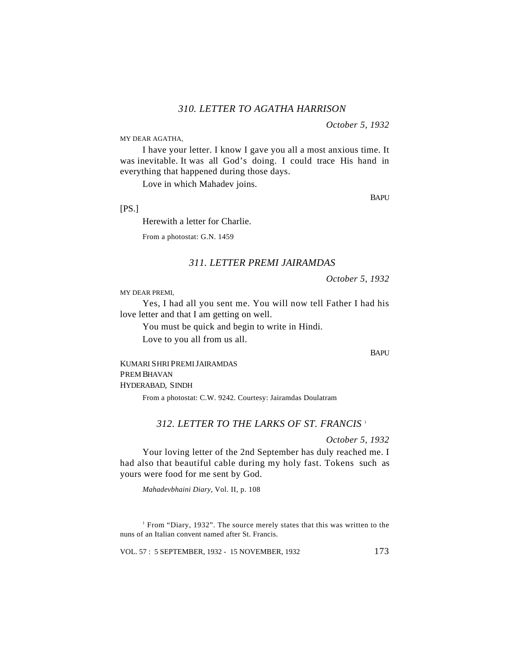*October 5, 1932*

MY DEAR AGATHA,

I have your letter. I know I gave you all a most anxious time. It was inevitable. It was all God's doing. I could trace His hand in everything that happened during those days.

Love in which Mahadev joins.

**BAPU** 

 $[PS.]$ 

Herewith a letter for Charlie.

From a photostat: G.N. 1459

#### *311. LETTER PREMI JAIRAMDAS*

*October 5, 1932*

MY DEAR PREMI,

Yes, I had all you sent me. You will now tell Father I had his love letter and that I am getting on well.

You must be quick and begin to write in Hindi. Love to you all from us all.

**BAPU** 

KUMARI SHRI PREMI JAIRAMDAS PREM BHAVAN HYDERABAD, SINDH

From a photostat: C.W. 9242. Courtesy: Jairamdas Doulatram

# *312. LETTER TO THE LARKS OF ST. FRANCIS* <sup>1</sup>

*October 5, 1932*

Your loving letter of the 2nd September has duly reached me. I had also that beautiful cable during my holy fast. Tokens such as yours were food for me sent by God.

*Mahadevbhaini Diary,* Vol. II, p. 108

<sup>1</sup> From "Diary, 1932". The source merely states that this was written to the nuns of an Italian convent named after St. Francis.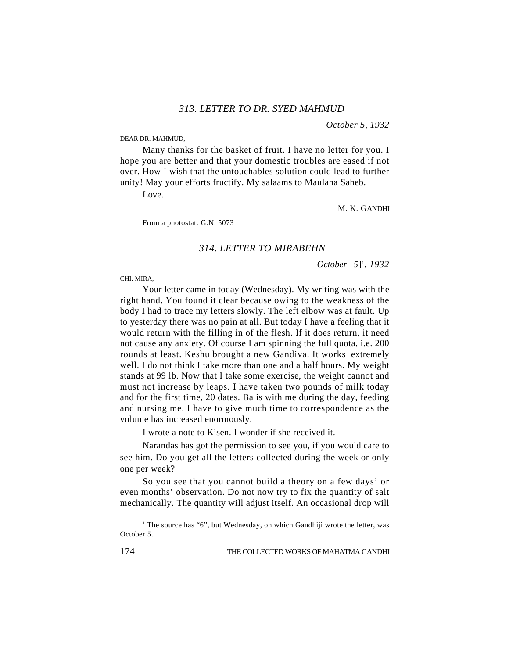*October 5, 1932*

DEAR DR. MAHMUD,

Many thanks for the basket of fruit. I have no letter for you. I hope you are better and that your domestic troubles are eased if not over. How I wish that the untouchables solution could lead to further unity! May your efforts fructify. My salaams to Maulana Saheb.

Love.

M. K. GANDHI

From a photostat: G.N. 5073

#### *314. LETTER TO MIRABEHN*

*October* [*5*] 1 *, 1932*

CHI. MIRA,

Your letter came in today (Wednesday). My writing was with the right hand. You found it clear because owing to the weakness of the body I had to trace my letters slowly. The left elbow was at fault. Up to yesterday there was no pain at all. But today I have a feeling that it would return with the filling in of the flesh. If it does return, it need not cause any anxiety. Of course I am spinning the full quota, i.e. 200 rounds at least. Keshu brought a new Gandiva. It works extremely well. I do not think I take more than one and a half hours. My weight stands at 99 lb. Now that I take some exercise, the weight cannot and must not increase by leaps. I have taken two pounds of milk today and for the first time, 20 dates. Ba is with me during the day, feeding and nursing me. I have to give much time to correspondence as the volume has increased enormously.

I wrote a note to Kisen. I wonder if she received it.

Narandas has got the permission to see you, if you would care to see him. Do you get all the letters collected during the week or only one per week?

So you see that you cannot build a theory on a few days' or even months' observation. Do not now try to fix the quantity of salt mechanically. The quantity will adjust itself. An occasional drop will

<sup>&</sup>lt;sup>1</sup> The source has "6", but Wednesday, on which Gandhiji wrote the letter, was October 5.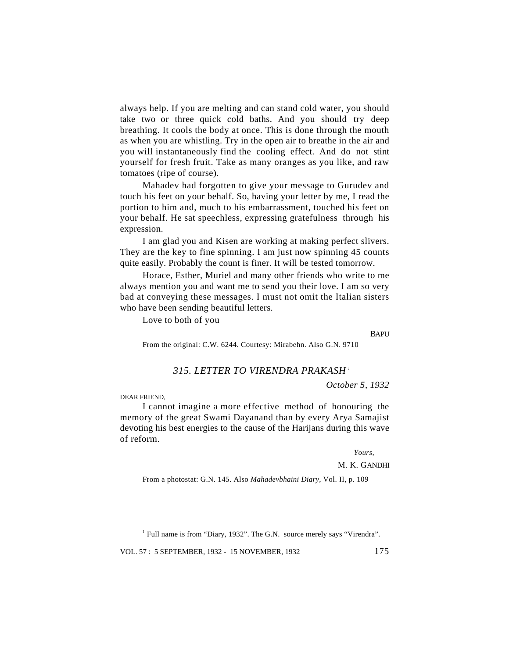always help. If you are melting and can stand cold water, you should take two or three quick cold baths. And you should try deep breathing. It cools the body at once. This is done through the mouth as when you are whistling. Try in the open air to breathe in the air and you will instantaneously find the cooling effect. And do not stint yourself for fresh fruit. Take as many oranges as you like, and raw tomatoes (ripe of course).

Mahadev had forgotten to give your message to Gurudev and touch his feet on your behalf. So, having your letter by me, I read the portion to him and, much to his embarrassment, touched his feet on your behalf. He sat speechless, expressing gratefulness through his expression.

I am glad you and Kisen are working at making perfect slivers. They are the key to fine spinning. I am just now spinning 45 counts quite easily. Probably the count is finer. It will be tested tomorrow.

Horace, Esther, Muriel and many other friends who write to me always mention you and want me to send you their love. I am so very bad at conveying these messages. I must not omit the Italian sisters who have been sending beautiful letters.

Love to both of you

BAPU

From the original: C.W. 6244. Courtesy: Mirabehn. Also G.N. 9710

#### *315. LETTER TO VIRENDRA PRAKASH <sup>1</sup>*

*October 5, 1932*

DEAR FRIEND,

I cannot imagine a more effective method of honouring the memory of the great Swami Dayanand than by every Arya Samajist devoting his best energies to the cause of the Harijans during this wave of reform.

 *Yours,*

M. K. GANDHI

From a photostat: G.N. 145. Also *Mahadevbhaini Diary,* Vol. II, p. 109

<sup>1</sup> Full name is from "Diary, 1932". The G.N. source merely says "Virendra".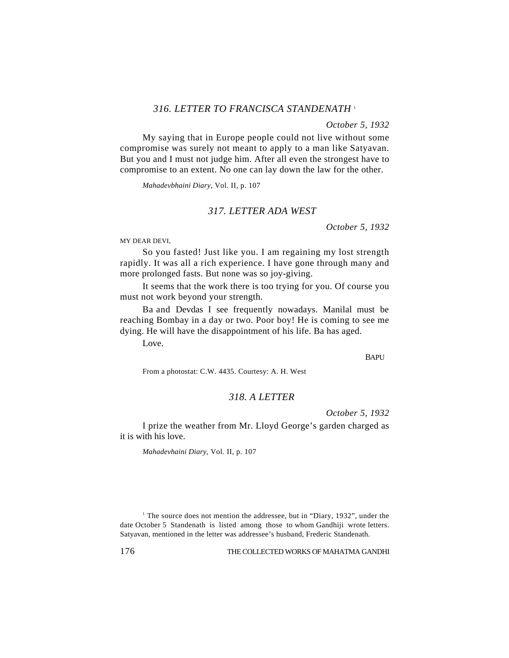# *316. LETTER TO FRANCISCA STANDENATH* <sup>1</sup>

*October 5, 1932*

My saying that in Europe people could not live without some compromise was surely not meant to apply to a man like Satyavan. But you and I must not judge him. After all even the strongest have to compromise to an extent. No one can lay down the law for the other.

*Mahadevbhaini Diary*, Vol. II, p. 107

### *317. LETTER ADA WEST*

*October 5, 1932*

MY DEAR DEVI,

So you fasted! Just like you. I am regaining my lost strength rapidly. It was all a rich experience. I have gone through many and more prolonged fasts. But none was so joy-giving.

It seems that the work there is too trying for you. Of course you must not work beyond your strength.

Ba and Devdas I see frequently nowadays. Manilal must be reaching Bombay in a day or two. Poor boy! He is coming to see me dying. He will have the disappointment of his life. Ba has aged.

Love.

**BAPU** 

From a photostat: C.W. 4435. Courtesy: A. H. West

# *318. A LETTER*

*October 5, 1932*

I prize the weather from Mr. Lloyd George's garden charged as it is with his love.

*Mahadevhaini Diary*, Vol. II, p. 107

<sup>1</sup> The source does not mention the addressee, but in "Diary, 1932", under the date October 5 Standenath is listed among those to whom Gandhiji wrote letters. Satyavan, mentioned in the letter was addressee's husband, Frederic Standenath.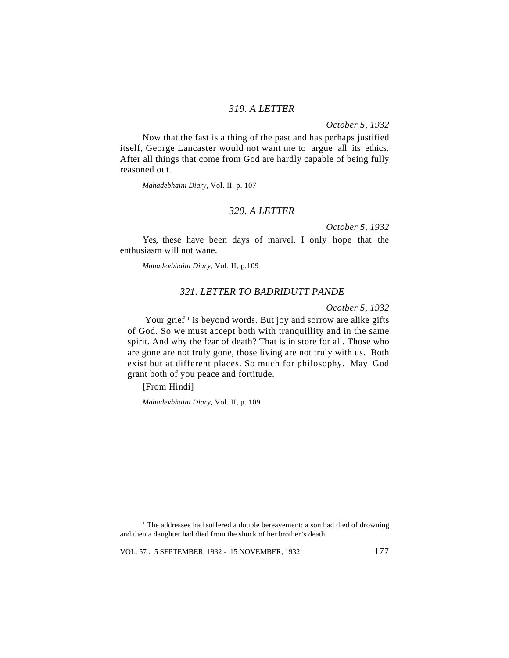# *319. A LETTER*

*October 5, 1932*

Now that the fast is a thing of the past and has perhaps justified itself, George Lancaster would not want me to argue all its ethics. After all things that come from God are hardly capable of being fully reasoned out.

*Mahadebhaini Diary*, Vol. II, p. 107

### *320. A LETTER*

*October 5, 1932*

Yes, these have been days of marvel. I only hope that the enthusiasm will not wane.

*Mahadevbhaini Diary*, Vol. II, p.109

# *321. LETTER TO BADRIDUTT PANDE*

*Ocotber 5, 1932*

Your grief <sup>1</sup> is beyond words. But joy and sorrow are alike gifts of God. So we must accept both with tranquillity and in the same spirit. And why the fear of death? That is in store for all. Those who are gone are not truly gone, those living are not truly with us. Both exist but at different places. So much for philosophy. May God grant both of you peace and fortitude.

[From Hindi]

*Mahadevbhaini Diary*, Vol. II, p. 109

<sup>&</sup>lt;sup>1</sup> The addressee had suffered a double bereavement: a son had died of drowning and then a daughter had died from the shock of her brother's death.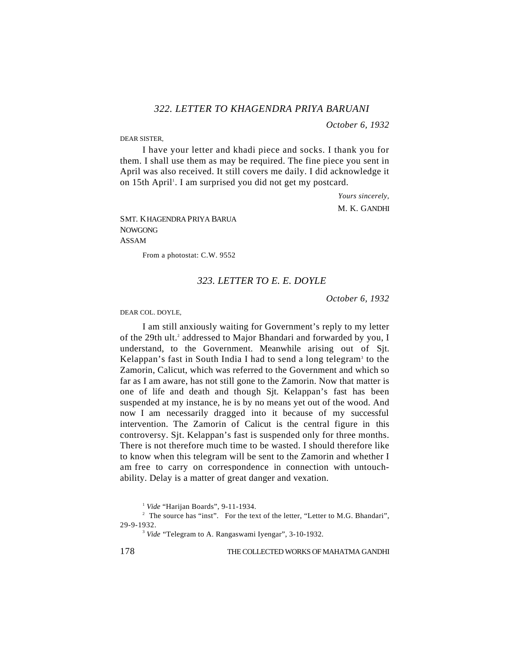# *322. LETTER TO KHAGENDRA PRIYA BARUANI*

*October 6, 1932*

DEAR SISTER,

I have your letter and khadi piece and socks. I thank you for them. I shall use them as may be required. The fine piece you sent in April was also received. It still covers me daily. I did acknowledge it on 15th April<sup>1</sup>. I am surprised you did not get my postcard.

> *Yours sincerely,* M. K. GANDHI

SMT. KHAGENDRA PRIYA BARUA NOWGONG ASSAM

From a photostat: C.W. 9552

#### *323. LETTER TO E. E. DOYLE*

*October 6, 1932*

DEAR COL. DOYLE,

I am still anxiously waiting for Government's reply to my letter of the 29th ult.<sup>2</sup> addressed to Major Bhandari and forwarded by you, I understand, to the Government. Meanwhile arising out of Sjt. Kelappan's fast in South India I had to send a long telegram<sup>3</sup> to the Zamorin, Calicut, which was referred to the Government and which so far as I am aware, has not still gone to the Zamorin. Now that matter is one of life and death and though Sjt. Kelappan's fast has been suspended at my instance, he is by no means yet out of the wood. And now I am necessarily dragged into it because of my successful intervention. The Zamorin of Calicut is the central figure in this controversy. Sjt. Kelappan's fast is suspended only for three months. There is not therefore much time to be wasted. I should therefore like to know when this telegram will be sent to the Zamorin and whether I am free to carry on correspondence in connection with untouchability. Delay is a matter of great danger and vexation.

<sup>1</sup> *Vide* "Harijan Boards", 9-11-1934.

<sup>2</sup> The source has "inst". For the text of the letter, "Letter to M.G. Bhandari", 29-9-1932.

<sup>3</sup> *Vide* "Telegram to A. Rangaswami Iyengar", 3-10-1932.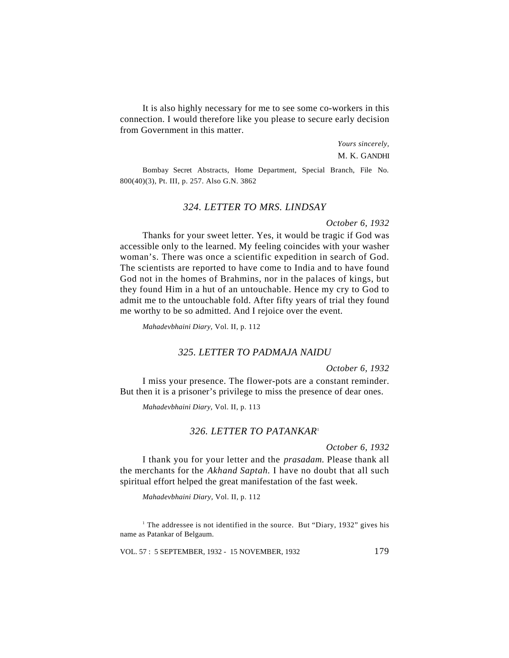It is also highly necessary for me to see some co-workers in this connection. I would therefore like you please to secure early decision from Government in this matter.

> *Yours sincerely,* M. K. GANDHI

Bombay Secret Abstracts, Home Department, Special Branch, File No. 800(40)(3), Pt. III, p. 257. Also G.N. 3862

# *324. LETTER TO MRS. LINDSAY*

#### *October 6, 1932*

Thanks for your sweet letter. Yes, it would be tragic if God was accessible only to the learned. My feeling coincides with your washer woman's. There was once a scientific expedition in search of God. The scientists are reported to have come to India and to have found God not in the homes of Brahmins, nor in the palaces of kings, but they found Him in a hut of an untouchable. Hence my cry to God to admit me to the untouchable fold. After fifty years of trial they found me worthy to be so admitted. And I rejoice over the event.

*Mahadevbhaini Diary*, Vol. II, p. 112

# *325. LETTER TO PADMAJA NAIDU*

#### *October 6, 1932*

I miss your presence. The flower-pots are a constant reminder. But then it is a prisoner's privilege to miss the presence of dear ones.

*Mahadevbhaini Diary*, Vol. II, p. 113

# *326. LETTER TO PATANKAR*<sup>1</sup>

#### *October 6, 1932*

I thank you for your letter and the *prasadam.* Please thank all the merchants for the *Akhand Saptah.* I have no doubt that all such spiritual effort helped the great manifestation of the fast week.

*Mahadevbhaini Diary,* Vol. II, p. 112

<sup>1</sup> The addressee is not identified in the source. But "Diary, 1932" gives his name as Patankar of Belgaum.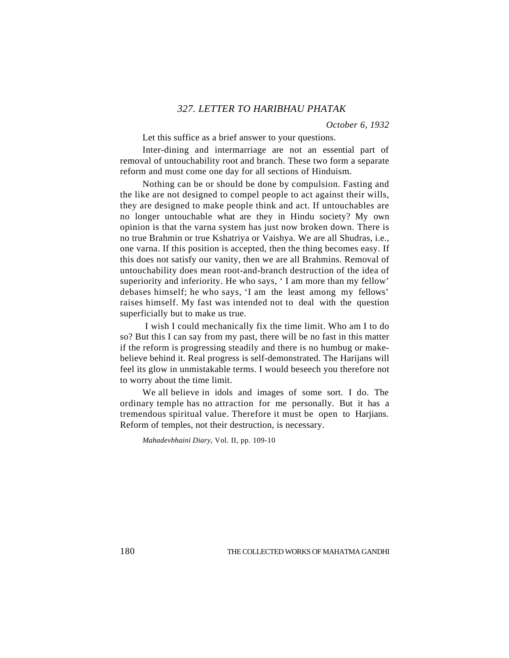# *327. LETTER TO HARIBHAU PHATAK*

*October 6, 1932*

Let this suffice as a brief answer to your questions.

Inter-dining and intermarriage are not an essential part of removal of untouchability root and branch. These two form a separate reform and must come one day for all sections of Hinduism.

Nothing can be or should be done by compulsion. Fasting and the like are not designed to compel people to act against their wills, they are designed to make people think and act. If untouchables are no longer untouchable what are they in Hindu society? My own opinion is that the varna system has just now broken down. There is no true Brahmin or true Kshatriya or Vaishya. We are all Shudras, i.e., one varna. If this position is accepted, then the thing becomes easy. If this does not satisfy our vanity, then we are all Brahmins. Removal of untouchability does mean root-and-branch destruction of the idea of superiority and inferiority. He who says, ' I am more than my fellow' debases himself; he who says, 'I am the least among my fellows' raises himself. My fast was intended not to deal with the question superficially but to make us true.

 I wish I could mechanically fix the time limit. Who am I to do so? But this I can say from my past, there will be no fast in this matter if the reform is progressing steadily and there is no humbug or makebelieve behind it. Real progress is self-demonstrated. The Harijans will feel its glow in unmistakable terms. I would beseech you therefore not to worry about the time limit.

We all believe in idols and images of some sort. I do. The ordinary temple has no attraction for me personally. But it has a tremendous spiritual value. Therefore it must be open to Harjians. Reform of temples, not their destruction, is necessary.

*Mahadevbhaini Diary*, Vol. II, pp. 109-10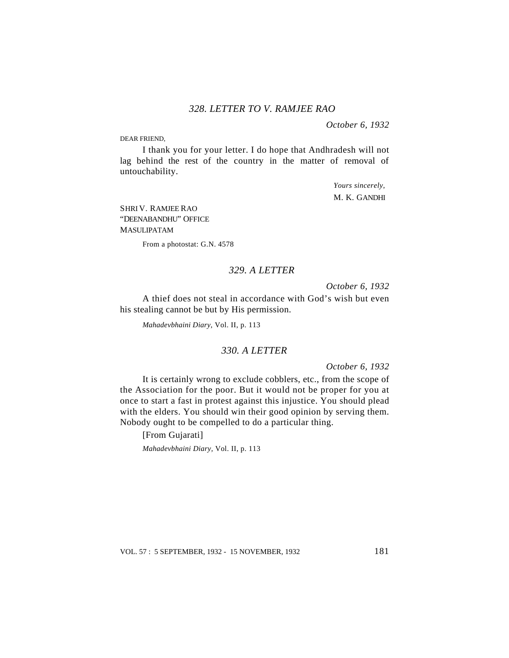*October 6, 1932*

DEAR FRIEND,

I thank you for your letter. I do hope that Andhradesh will not lag behind the rest of the country in the matter of removal of untouchability.

> *Yours sincerely,* M. K. GANDHI

SHRI V. RAMJEE RAO "DEENABANDHU" OFFICE MASULIPATAM

From a photostat: G.N. 4578

# *329. A LETTER*

*October 6, 1932*

A thief does not steal in accordance with God's wish but even his stealing cannot be but by His permission.

*Mahadevbhaini Diary*, Vol. II, p. 113

# *330. A LETTER*

*October 6, 1932*

It is certainly wrong to exclude cobblers, etc., from the scope of the Association for the poor. But it would not be proper for you at once to start a fast in protest against this injustice. You should plead with the elders. You should win their good opinion by serving them. Nobody ought to be compelled to do a particular thing.

[From Gujarati] *Mahadevbhaini Diary,* Vol. II, p. 113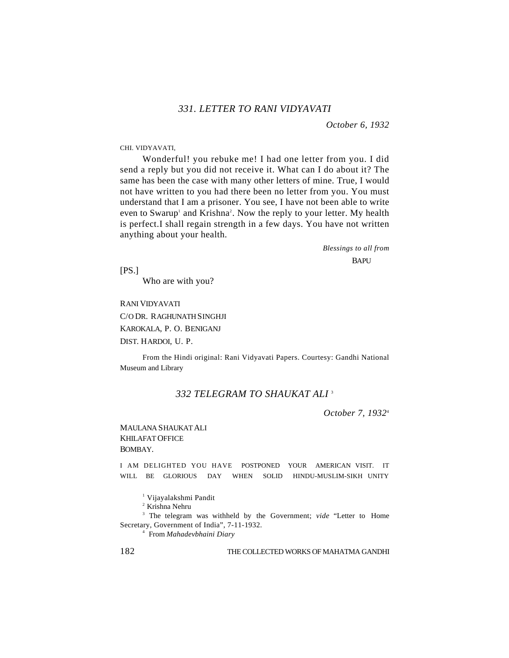# *331. LETTER TO RANI VIDYAVATI*

*October 6, 1932*

CHI. VIDYAVATI,

Wonderful! you rebuke me! I had one letter from you. I did send a reply but you did not receive it. What can I do about it? The same has been the case with many other letters of mine. True, I would not have written to you had there been no letter from you. You must understand that I am a prisoner. You see, I have not been able to write even to Swarup<sup>1</sup> and Krishna<sup>2</sup>. Now the reply to your letter. My health is perfect.I shall regain strength in a few days. You have not written anything about your health.

> *Blessings to all from* **BAPU**

 $[PS.]$ 

Who are with you?

RANI VIDYAVATI C/O DR. RAGHUNATH SINGHJI KAROKALA, P. O. BENIGANJ DIST. HARDOI, U. P.

From the Hindi original: Rani Vidyavati Papers. Courtesy: Gandhi National Museum and Library

# *332 TELEGRAM TO SHAUKAT ALI* <sup>3</sup>

*October 7, 1932*<sup>4</sup>

MAULANA SHAUKAT ALI KHILAFAT OFFICE **BOMBAY** 

I AM DELIGHTED YOU HAVE POSTPONED YOUR AMERICAN VISIT. IT WILL BE GLORIOUS DAY WHEN SOLID HINDU-MUSLIM-SIKH UNITY

1 Vijayalakshmi Pandit

2 Krishna Nehru

<sup>3</sup> The telegram was withheld by the Government; *vide* "Letter to Home Secretary, Government of India", 7-11-1932.

4 From *Mahadevbhaini Diary*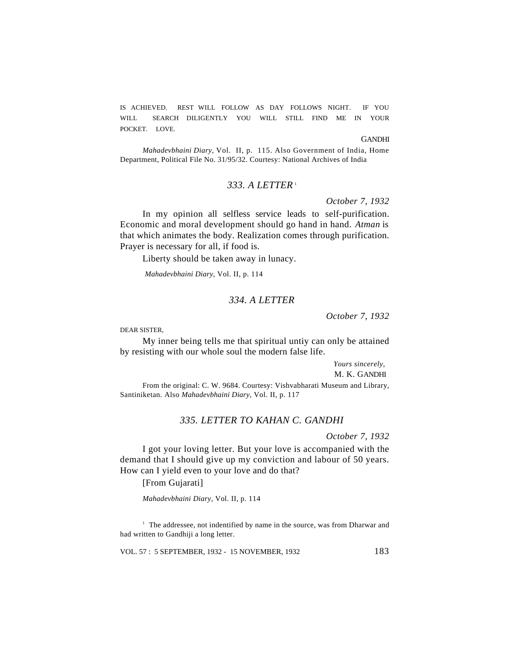IS ACHIEVED. REST WILL FOLLOW AS DAY FOLLOWS NIGHT. IF YOU WILL SEARCH DILIGENTLY YOU WILL STILL FIND ME IN YOUR POCKET. LOVE.

**GANDHI** 

*Mahadevbhaini Diary,* Vol. II, p. 115. Also Government of India, Home Department, Political File No. 31/95/32. Courtesy: National Archives of India

## *333. A LETTER* <sup>1</sup>

*October 7, 1932*

In my opinion all selfless service leads to self-purification. Economic and moral development should go hand in hand. *Atman* is that which animates the body. Realization comes through purification. Prayer is necessary for all, if food is.

Liberty should be taken away in lunacy.

*Mahadevbhaini Diary*, Vol. II, p. 114

# *334. A LETTER*

*October 7, 1932*

DEAR SISTER,

My inner being tells me that spiritual untiy can only be attained by resisting with our whole soul the modern false life.

> *Yours sincerely,* M. K. GANDHI

From the original: C. W. 9684. Courtesy: Vishvabharati Museum and Library, Santiniketan. Also *Mahadevbhaini Diary*, Vol. II, p. 117

### *335. LETTER TO KAHAN C. GANDHI*

*October 7, 1932*

I got your loving letter. But your love is accompanied with the demand that I should give up my conviction and labour of 50 years. How can I yield even to your love and do that?

[From Gujarati]

*Mahadevbhaini Diary,* Vol. II, p. 114

<sup>1</sup> The addressee, not indentified by name in the source, was from Dharwar and had written to Gandhiji a long letter.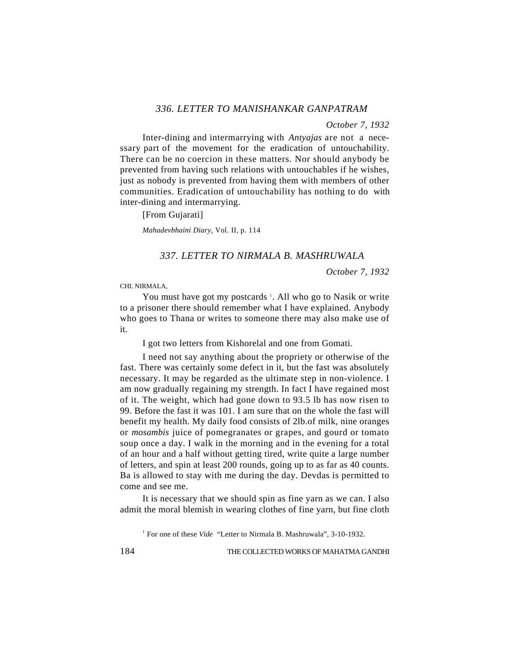# *336. LETTER TO MANISHANKAR GANPATRAM*

## *October 7, 1932*

Inter-dining and intermarrying with *Antyajas* are not a necessary part of the movement for the eradication of untouchability. There can be no coercion in these matters. Nor should anybody be prevented from having such relations with untouchables if he wishes, just as nobody is prevented from having them with members of other communities. Eradication of untouchability has nothing to do with inter-dining and intermarrying.

[From Gujarati]

*Mahadevbhaini Diary,* Vol. II, p. 114

## *337. LETTER TO NIRMALA B. MASHRUWALA*

*October 7, 1932*

CHI. NIRMALA,

You must have got my postcards<sup>1</sup>. All who go to Nasik or write to a prisoner there should remember what I have explained. Anybody who goes to Thana or writes to someone there may also make use of it.

I got two letters from Kishorelal and one from Gomati.

I need not say anything about the propriety or otherwise of the fast. There was certainly some defect in it, but the fast was absolutely necessary. It may be regarded as the ultimate step in non-violence. I am now gradually regaining my strength. In fact I have regained most of it. The weight, which had gone down to 93.5 lb has now risen to 99. Before the fast it was 101. I am sure that on the whole the fast will benefit my health. My daily food consists of 2lb.of milk, nine oranges or *mosambis* juice of pomegranates or grapes, and gourd or tomato soup once a day. I walk in the morning and in the evening for a total of an hour and a half without getting tired, write quite a large number of letters, and spin at least 200 rounds, going up to as far as 40 counts. Ba is allowed to stay with me during the day. Devdas is permitted to come and see me.

It is necessary that we should spin as fine yarn as we can. I also admit the moral blemish in wearing clothes of fine yarn, but fine cloth

<sup>1</sup> For one of these *Vide* "Letter to Nirmala B. Mashruwala", 3-10-1932.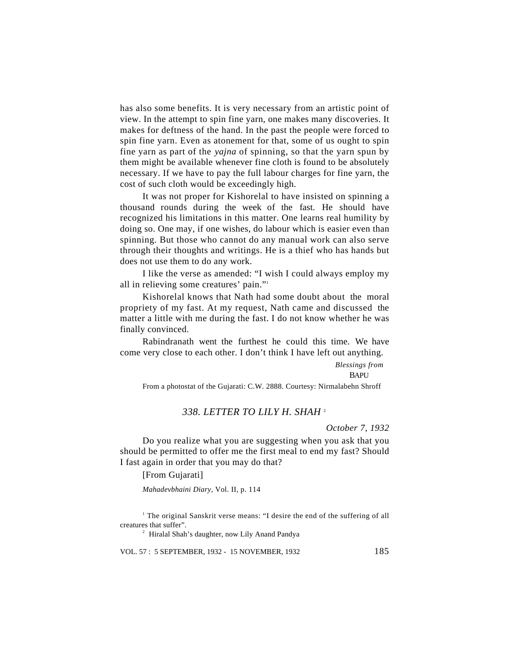has also some benefits. It is very necessary from an artistic point of view. In the attempt to spin fine yarn, one makes many discoveries. It makes for deftness of the hand. In the past the people were forced to spin fine yarn. Even as atonement for that, some of us ought to spin fine yarn as part of the *yajna* of spinning, so that the yarn spun by them might be available whenever fine cloth is found to be absolutely necessary. If we have to pay the full labour charges for fine yarn, the cost of such cloth would be exceedingly high.

It was not proper for Kishorelal to have insisted on spinning a thousand rounds during the week of the fast. He should have recognized his limitations in this matter. One learns real humility by doing so. One may, if one wishes, do labour which is easier even than spinning. But those who cannot do any manual work can also serve through their thoughts and writings. He is a thief who has hands but does not use them to do any work.

I like the verse as amended: "I wish I could always employ my all in relieving some creatures' pain."<sup>1</sup>

Kishorelal knows that Nath had some doubt about the moral propriety of my fast. At my request, Nath came and discussed the matter a little with me during the fast. I do not know whether he was finally convinced.

Rabindranath went the furthest he could this time. We have come very close to each other. I don't think I have left out anything.

*Blessings from*

**BAPU** 

From a photostat of the Gujarati: C.W. 2888. Courtesy: Nirmalabehn Shroff

## *338. LETTER TO LILY H. SHAH* <sup>2</sup>

#### *October 7, 1932*

Do you realize what you are suggesting when you ask that you should be permitted to offer me the first meal to end my fast? Should I fast again in order that you may do that?

#### [From Gujarati]

*Mahadevbhaini Diary,* Vol. II, p. 114

<sup>1</sup> The original Sanskrit verse means: "I desire the end of the suffering of all creatures that suffer".

<sup>2</sup> Hiralal Shah's daughter, now Lily Anand Pandya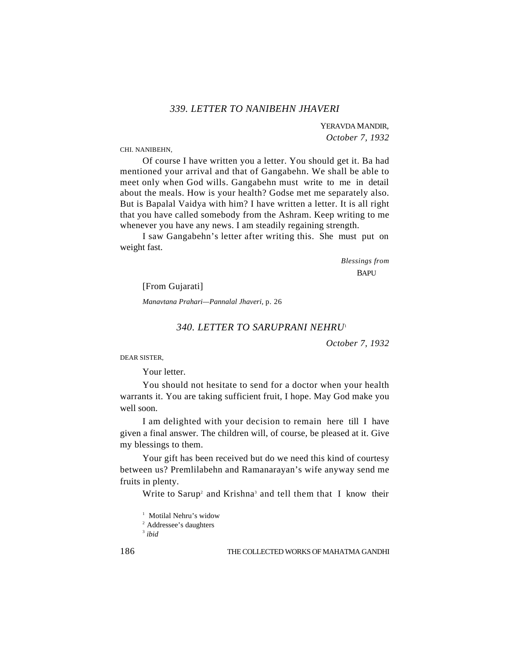# *339. LETTER TO NANIBEHN JHAVERI*

YERAVDA MANDIR, *October 7, 1932*

CHI. NANIBEHN,

Of course I have written you a letter. You should get it. Ba had mentioned your arrival and that of Gangabehn. We shall be able to meet only when God wills. Gangabehn must write to me in detail about the meals. How is your health? Godse met me separately also. But is Bapalal Vaidya with him? I have written a letter. It is all right that you have called somebody from the Ashram. Keep writing to me whenever you have any news. I am steadily regaining strength.

I saw Gangabehn's letter after writing this. She must put on weight fast.

> *Blessings from* **BAPU**

[From Gujarati]

*Manavtana Prahari—Pannalal Jhaveri,* p. 26

### *340. LETTER TO SARUPRANI NEHRU*<sup>1</sup>

 *October 7, 1932*

DEAR SISTER,

Your letter.

You should not hesitate to send for a doctor when your health warrants it. You are taking sufficient fruit, I hope. May God make you well soon.

I am delighted with your decision to remain here till I have given a final answer. The children will, of course, be pleased at it. Give my blessings to them.

Your gift has been received but do we need this kind of courtesy between us? Premlilabehn and Ramanarayan's wife anyway send me fruits in plenty.

Write to Sarup<sup>2</sup> and Krishna<sup>3</sup> and tell them that I know their

<sup>1</sup> Motilal Nehru's widow

<sup>2</sup> Addressee's daughters

3 *ibid*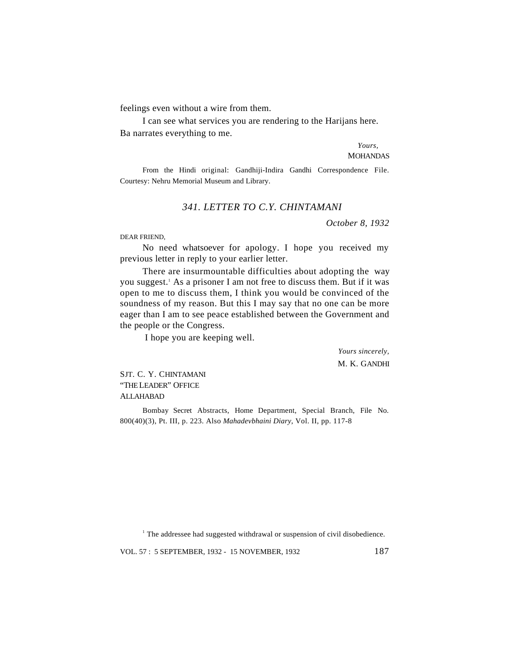feelings even without a wire from them.

I can see what services you are rendering to the Harijans here. Ba narrates everything to me.

> *Yours,* **MOHANDAS**

From the Hindi original: Gandhiji-Indira Gandhi Correspondence File. Courtesy: Nehru Memorial Museum and Library.

# *341. LETTER TO C.Y. CHINTAMANI*

*October 8, 1932*

DEAR FRIEND,

No need whatsoever for apology. I hope you received my previous letter in reply to your earlier letter.

There are insurmountable difficulties about adopting the way you suggest.<sup>1</sup> As a prisoner I am not free to discuss them. But if it was open to me to discuss them, I think you would be convinced of the soundness of my reason. But this I may say that no one can be more eager than I am to see peace established between the Government and the people or the Congress.

I hope you are keeping well.

 *Yours sincerely,* M. K. GANDHI

SJT. C. Y. CHINTAMANI "THE LEADER" OFFICE ALLAHABAD

Bombay Secret Abstracts, Home Department, Special Branch, File No. 800(40)(3), Pt. III, p. 223. Also *Mahadevbhaini Diary*, Vol. II, pp. 117-8

<sup>1</sup> The addressee had suggested withdrawal or suspension of civil disobedience.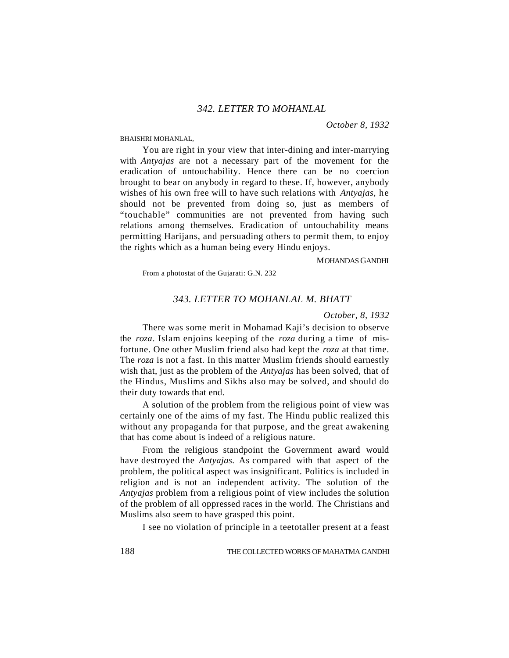*October 8, 1932*

BHAISHRI MOHANLAL,

You are right in your view that inter-dining and inter-marrying with *Antyajas* are not a necessary part of the movement for the eradication of untouchability. Hence there can be no coercion brought to bear on anybody in regard to these. If, however, anybody wishes of his own free will to have such relations with *Antyajas,* he should not be prevented from doing so, just as members of "touchable" communities are not prevented from having such relations among themselves. Eradication of untouchability means permitting Harijans, and persuading others to permit them, to enjoy the rights which as a human being every Hindu enjoys.

MOHANDAS GANDHI

From a photostat of the Gujarati: G.N. 232

# *343. LETTER TO MOHANLAL M. BHATT*

*October, 8, 1932*

There was some merit in Mohamad Kaji's decision to observe the *roza*. Islam enjoins keeping of the *roza* during a time of misfortune. One other Muslim friend also had kept the *roza* at that time. The *roza* is not a fast. In this matter Muslim friends should earnestly wish that, just as the problem of the *Antyajas* has been solved, that of the Hindus, Muslims and Sikhs also may be solved, and should do their duty towards that end.

A solution of the problem from the religious point of view was certainly one of the aims of my fast. The Hindu public realized this without any propaganda for that purpose, and the great awakening that has come about is indeed of a religious nature.

From the religious standpoint the Government award would have destroyed the *Antyajas.* As compared with that aspect of the problem, the political aspect was insignificant. Politics is included in religion and is not an independent activity. The solution of the *Antyajas* problem from a religious point of view includes the solution of the problem of all oppressed races in the world. The Christians and Muslims also seem to have grasped this point.

I see no violation of principle in a teetotaller present at a feast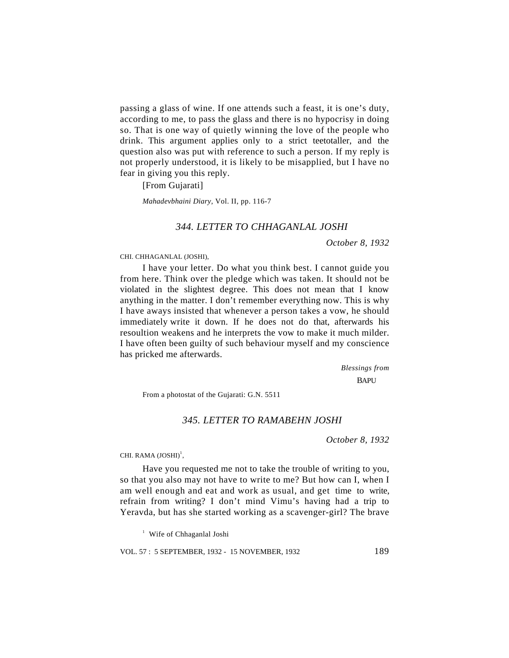passing a glass of wine. If one attends such a feast, it is one's duty, according to me, to pass the glass and there is no hypocrisy in doing so. That is one way of quietly winning the love of the people who drink. This argument applies only to a strict teetotaller, and the question also was put with reference to such a person. If my reply is not properly understood, it is likely to be misapplied, but I have no fear in giving you this reply.

[From Gujarati]

*Mahadevbhaini Diary,* Vol. II, pp. 116-7

# *344. LETTER TO CHHAGANLAL JOSHI*

*October 8, 1932*

#### CHI. CHHAGANLAL (JOSHI),

I have your letter. Do what you think best. I cannot guide you from here. Think over the pledge which was taken. It should not be violated in the slightest degree. This does not mean that I know anything in the matter. I don't remember everything now. This is why I have aways insisted that whenever a person takes a vow, he should immediately write it down. If he does not do that, afterwards his resoultion weakens and he interprets the vow to make it much milder. I have often been guilty of such behaviour myself and my conscience has pricked me afterwards.

> *Blessings from* BAPU

From a photostat of the Gujarati: G.N. 5511

#### *345. LETTER TO RAMABEHN JOSHI*

*October 8, 1932*

CHI. RAMA  $(JOSHI)^1$ ,

Have you requested me not to take the trouble of writing to you, so that you also may not have to write to me? But how can I, when I am well enough and eat and work as usual, and get time to write, refrain from writing? I don't mind Vimu's having had a trip to Yeravda, but has she started working as a scavenger-girl? The brave

<sup>1</sup> Wife of Chhaganlal Joshi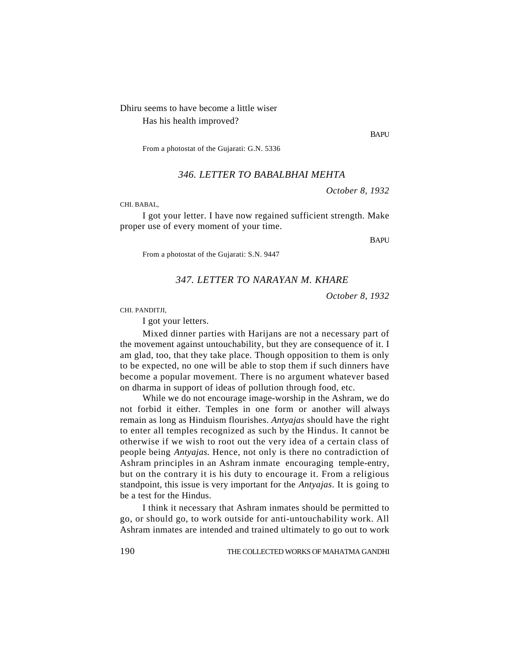# Dhiru seems to have become a little wiser Has his health improved?

**BAPU** 

From a photostat of the Gujarati: G.N. 5336

### *346. LETTER TO BABALBHAI MEHTA*

*October 8, 1932*

CHI. BABAL,

I got your letter. I have now regained sufficient strength. Make proper use of every moment of your time.

**BAPU** 

From a photostat of the Gujarati: S.N. 9447

# *347. LETTER TO NARAYAN M. KHARE*

*October 8, 1932*

CHI. PANDITJI,

I got your letters.

Mixed dinner parties with Harijans are not a necessary part of the movement against untouchability, but they are consequence of it. I am glad, too, that they take place. Though opposition to them is only to be expected, no one will be able to stop them if such dinners have become a popular movement. There is no argument whatever based on dharma in support of ideas of pollution through food, etc.

While we do not encourage image-worship in the Ashram, we do not forbid it either. Temples in one form or another will always remain as long as Hinduism flourishes. *Antyajas* should have the right to enter all temples recognized as such by the Hindus. It cannot be otherwise if we wish to root out the very idea of a certain class of people being *Antyajas.* Hence, not only is there no contradiction of Ashram principles in an Ashram inmate encouraging temple-entry, but on the contrary it is his duty to encourage it. From a religious standpoint, this issue is very important for the *Antyajas*. It is going to be a test for the Hindus.

I think it necessary that Ashram inmates should be permitted to go, or should go, to work outside for anti-untouchability work. All Ashram inmates are intended and trained ultimately to go out to work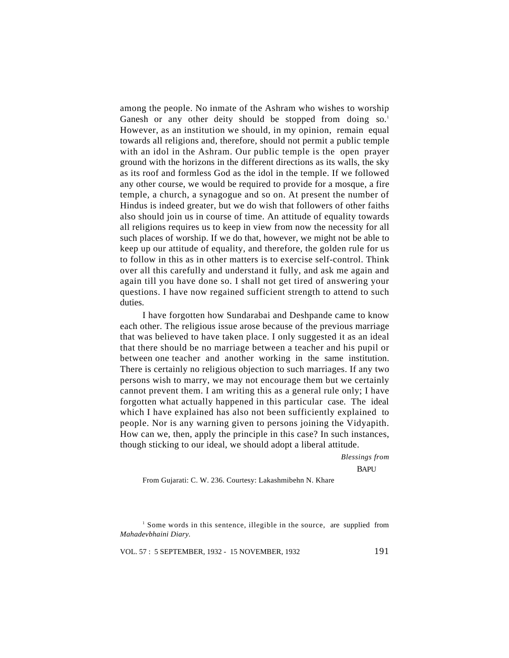among the people. No inmate of the Ashram who wishes to worship Ganesh or any other deity should be stopped from doing so.<sup>1</sup> However, as an institution we should, in my opinion, remain equal towards all religions and, therefore, should not permit a public temple with an idol in the Ashram. Our public temple is the open prayer ground with the horizons in the different directions as its walls, the sky as its roof and formless God as the idol in the temple. If we followed any other course, we would be required to provide for a mosque, a fire temple, a church, a synagogue and so on. At present the number of Hindus is indeed greater, but we do wish that followers of other faiths also should join us in course of time. An attitude of equality towards all religions requires us to keep in view from now the necessity for all such places of worship. If we do that, however, we might not be able to keep up our attitude of equality, and therefore, the golden rule for us to follow in this as in other matters is to exercise self-control. Think over all this carefully and understand it fully, and ask me again and again till you have done so. I shall not get tired of answering your questions. I have now regained sufficient strength to attend to such duties.

I have forgotten how Sundarabai and Deshpande came to know each other. The religious issue arose because of the previous marriage that was believed to have taken place. I only suggested it as an ideal that there should be no marriage between a teacher and his pupil or between one teacher and another working in the same institution. There is certainly no religious objection to such marriages. If any two persons wish to marry, we may not encourage them but we certainly cannot prevent them. I am writing this as a general rule only; I have forgotten what actually happened in this particular case. The ideal which I have explained has also not been sufficiently explained to people. Nor is any warning given to persons joining the Vidyapith. How can we, then, apply the principle in this case? In such instances, though sticking to our ideal, we should adopt a liberal attitude.

*Blessings from*

**BAPU** 

From Gujarati: C. W. 236. Courtesy: Lakashmibehn N. Khare

<sup>1</sup> Some words in this sentence, illegible in the source, are supplied from *Mahadevbhaini Diary.*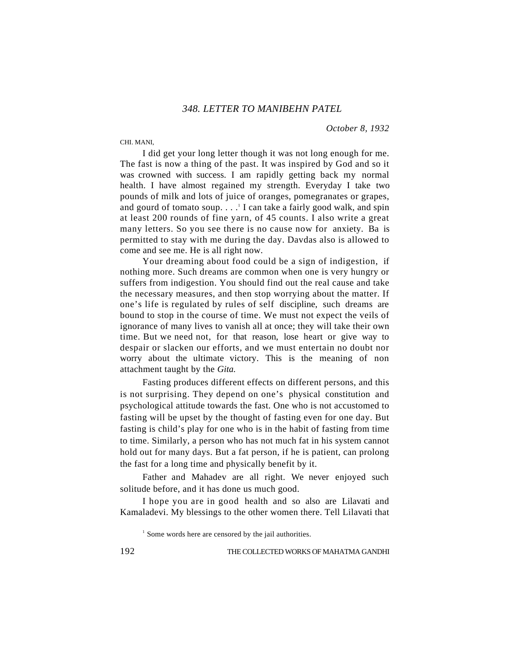*October 8, 1932*

CHI. MANI,

I did get your long letter though it was not long enough for me. The fast is now a thing of the past. It was inspired by God and so it was crowned with success. I am rapidly getting back my normal health. I have almost regained my strength. Everyday I take two pounds of milk and lots of juice of oranges, pomegranates or grapes, and gourd of tomato soup. . . .<sup>1</sup> I can take a fairly good walk, and spin at least 200 rounds of fine yarn, of 45 counts. I also write a great many letters. So you see there is no cause now for anxiety. Ba is permitted to stay with me during the day. Davdas also is allowed to come and see me. He is all right now.

Your dreaming about food could be a sign of indigestion, if nothing more. Such dreams are common when one is very hungry or suffers from indigestion. You should find out the real cause and take the necessary measures, and then stop worrying about the matter. If one's life is regulated by rules of self discipline, such dreams are bound to stop in the course of time. We must not expect the veils of ignorance of many lives to vanish all at once; they will take their own time. But we need not, for that reason, lose heart or give way to despair or slacken our efforts, and we must entertain no doubt nor worry about the ultimate victory. This is the meaning of non attachment taught by the *Gita.*

Fasting produces different effects on different persons, and this is not surprising. They depend on one's physical constitution and psychological attitude towards the fast. One who is not accustomed to fasting will be upset by the thought of fasting even for one day. But fasting is child's play for one who is in the habit of fasting from time to time. Similarly, a person who has not much fat in his system cannot hold out for many days. But a fat person, if he is patient, can prolong the fast for a long time and physically benefit by it.

Father and Mahadev are all right. We never enjoyed such solitude before, and it has done us much good.

I hope you are in good health and so also are Lilavati and Kamaladevi. My blessings to the other women there. Tell Lilavati that

<sup>&</sup>lt;sup>1</sup> Some words here are censored by the jail authorities.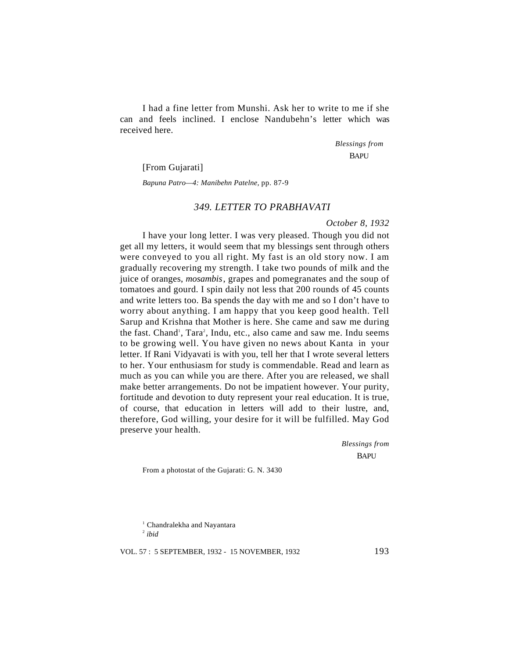I had a fine letter from Munshi. Ask her to write to me if she can and feels inclined. I enclose Nandubehn's letter which was received here.

> *Blessings from* BAPU

[From Gujarati]

*Bapuna Patro—4: Manibehn Patelne,* pp. 87-9

# *349. LETTER TO PRABHAVATI*

*October 8, 1932*

I have your long letter. I was very pleased. Though you did not get all my letters, it would seem that my blessings sent through others were conveyed to you all right. My fast is an old story now. I am gradually recovering my strength. I take two pounds of milk and the juice of oranges, *mosambis*, grapes and pomegranates and the soup of tomatoes and gourd. I spin daily not less that 200 rounds of 45 counts and write letters too. Ba spends the day with me and so I don't have to worry about anything. I am happy that you keep good health. Tell Sarup and Krishna that Mother is here. She came and saw me during the fast. Chand<sup>1</sup>, Tara<sup>2</sup>, Indu, etc., also came and saw me. Indu seems to be growing well. You have given no news about Kanta in your letter. If Rani Vidyavati is with you, tell her that I wrote several letters to her. Your enthusiasm for study is commendable. Read and learn as much as you can while you are there. After you are released, we shall make better arrangements. Do not be impatient however. Your purity, fortitude and devotion to duty represent your real education. It is true, of course, that education in letters will add to their lustre, and, therefore, God willing, your desire for it will be fulfilled. May God preserve your health.

> *Blessings from* BAPU

From a photostat of the Gujarati: G. N. 3430

<sup>1</sup> Chandralekha and Nayantara 2 *ibid*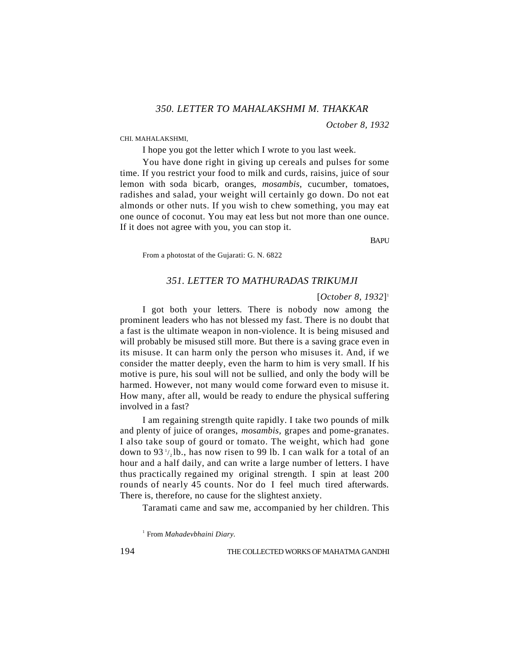*October 8, 1932*

CHI. MAHALAKSHMI,

I hope you got the letter which I wrote to you last week.

You have done right in giving up cereals and pulses for some time. If you restrict your food to milk and curds, raisins, juice of sour lemon with soda bicarb, oranges, *mosambis,* cucumber, tomatoes, radishes and salad, your weight will certainly go down. Do not eat almonds or other nuts. If you wish to chew something, you may eat one ounce of coconut. You may eat less but not more than one ounce. If it does not agree with you, you can stop it.

**BAPU** 

From a photostat of the Gujarati: G. N. 6822

### *351. LETTER TO MATHURADAS TRIKUMJI*

### [*October 8, 1932*] 1

I got both your letters. There is nobody now among the prominent leaders who has not blessed my fast. There is no doubt that a fast is the ultimate weapon in non-violence. It is being misused and will probably be misused still more. But there is a saving grace even in its misuse. It can harm only the person who misuses it. And, if we consider the matter deeply, even the harm to him is very small. If his motive is pure, his soul will not be sullied, and only the body will be harmed. However, not many would come forward even to misuse it. How many, after all, would be ready to endure the physical suffering involved in a fast?

I am regaining strength quite rapidly. I take two pounds of milk and plenty of juice of oranges, *mosambis,* grapes and pome-granates. I also take soup of gourd or tomato. The weight, which had gone down to 93 $\frac{1}{2}$ lb., has now risen to 99 lb. I can walk for a total of an hour and a half daily, and can write a large number of letters. I have thus practically regained my original strength. I spin at least 200 rounds of nearly 45 counts. Nor do I feel much tired afterwards. There is, therefore, no cause for the slightest anxiety.

Taramati came and saw me, accompanied by her children. This

1 From *Mahadevbhaini Diary.*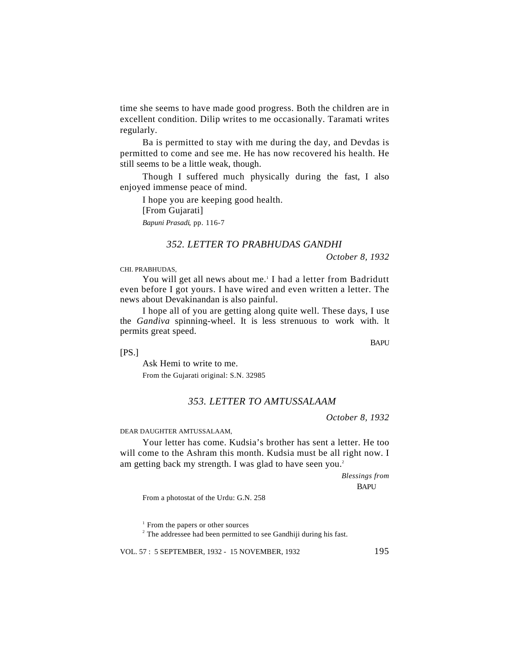time she seems to have made good progress. Both the children are in excellent condition. Dilip writes to me occasionally. Taramati writes regularly.

Ba is permitted to stay with me during the day, and Devdas is permitted to come and see me. He has now recovered his health. He still seems to be a little weak, though.

Though I suffered much physically during the fast, I also enjoyed immense peace of mind.

I hope you are keeping good health.

[From Gujarati]

*Bapuni Prasadi*, pp. 116-7

# *352. LETTER TO PRABHUDAS GANDHI*

*October 8, 1932*

CHI. PRABHUDAS,

You will get all news about me.<sup>1</sup> I had a letter from Badridutt even before I got yours. I have wired and even written a letter. The news about Devakinandan is also painful.

I hope all of you are getting along quite well. These days, I use the *Gandiva* spinning-wheel. It is less strenuous to work with. lt permits great speed.

 $[PS.]$ 

Ask Hemi to write to me. From the Gujarati original: S.N. 32985

# *353. LETTER TO AMTUSSALAAM*

*October 8, 1932*

**BAPU** 

DEAR DAUGHTER AMTUSSALAAM,

Your letter has come. Kudsia's brother has sent a letter. He too will come to the Ashram this month. Kudsia must be all right now. I am getting back my strength. I was glad to have seen you.<sup>2</sup>

> *Blessings from* **BAPU**

From a photostat of the Urdu: G.N. 258

<sup>1</sup> From the papers or other sources

 $2^2$  The addressee had been permitted to see Gandhiji during his fast.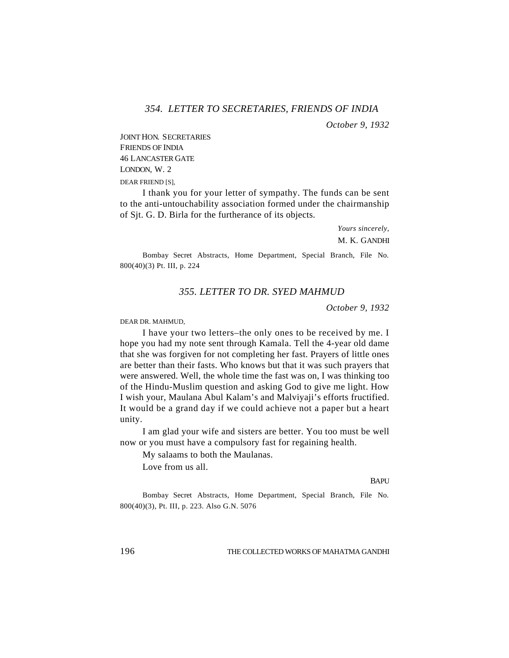## *354. LETTER TO SECRETARIES, FRIENDS OF INDIA*

*October 9, 1932*

JOINT HON. SECRETARIES FRIENDS OF INDIA 46 LANCASTER GATE LONDON, W. 2

#### DEAR FRIEND [S],

I thank you for your letter of sympathy. The funds can be sent to the anti-untouchability association formed under the chairmanship of Sjt. G. D. Birla for the furtherance of its objects.

> *Yours sincerely,* M. K. GANDHI

Bombay Secret Abstracts, Home Department, Special Branch, File No. 800(40)(3) Pt. III, p. 224

# *355. LETTER TO DR. SYED MAHMUD*

*October 9, 1932*

DEAR DR. MAHMUD,

I have your two letters–the only ones to be received by me. I hope you had my note sent through Kamala. Tell the 4-year old dame that she was forgiven for not completing her fast. Prayers of little ones are better than their fasts. Who knows but that it was such prayers that were answered. Well, the whole time the fast was on, I was thinking too of the Hindu-Muslim question and asking God to give me light. How I wish your, Maulana Abul Kalam's and Malviyaji's efforts fructified. It would be a grand day if we could achieve not a paper but a heart unity.

I am glad your wife and sisters are better. You too must be well now or you must have a compulsory fast for regaining health.

My salaams to both the Maulanas.

Love from us all.

**BAPU** 

Bombay Secret Abstracts, Home Department, Special Branch, File No. 800(40)(3), Pt. III, p. 223. Also G.N. 5076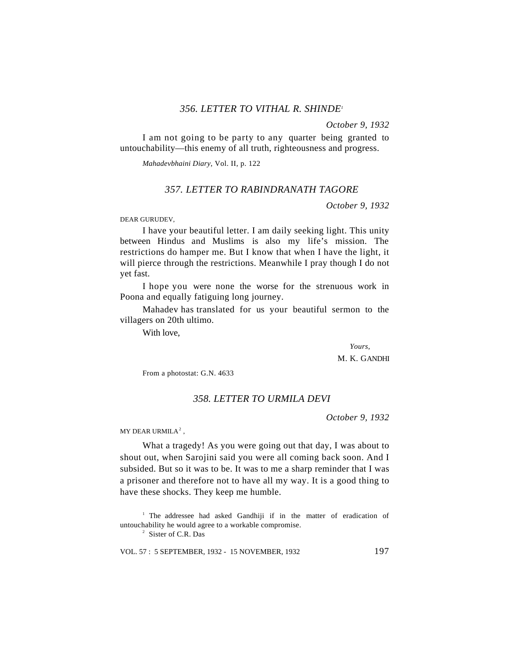# *356. LETTER TO VITHAL R. SHINDE<sup>1</sup>*

*October 9, 1932*

I am not going to be party to any quarter being granted to untouchability—this enemy of all truth, righteousness and progress.

*Mahadevbhaini Diary*, Vol. II, p. 122

# *357. LETTER TO RABINDRANATH TAGORE*

*October 9, 1932*

DEAR GURUDEV,

I have your beautiful letter. I am daily seeking light. This unity between Hindus and Muslims is also my life's mission. The restrictions do hamper me. But I know that when I have the light, it will pierce through the restrictions. Meanwhile I pray though I do not yet fast.

I hope you were none the worse for the strenuous work in Poona and equally fatiguing long journey.

Mahadev has translated for us your beautiful sermon to the villagers on 20th ultimo.

With love,

 *Yours,* M. K. GANDHI

From a photostat: G.N. 4633

### *358. LETTER TO URMILA DEVI*

*October 9, 1932*

MY DEAR URMILA $^2$  ,

What a tragedy! As you were going out that day, I was about to shout out, when Sarojini said you were all coming back soon. And I subsided. But so it was to be. It was to me a sharp reminder that I was a prisoner and therefore not to have all my way. It is a good thing to have these shocks. They keep me humble.

<sup>1</sup> The addressee had asked Gandhiji if in the matter of eradication of untouchability he would agree to a workable compromise.

2 Sister of C.R. Das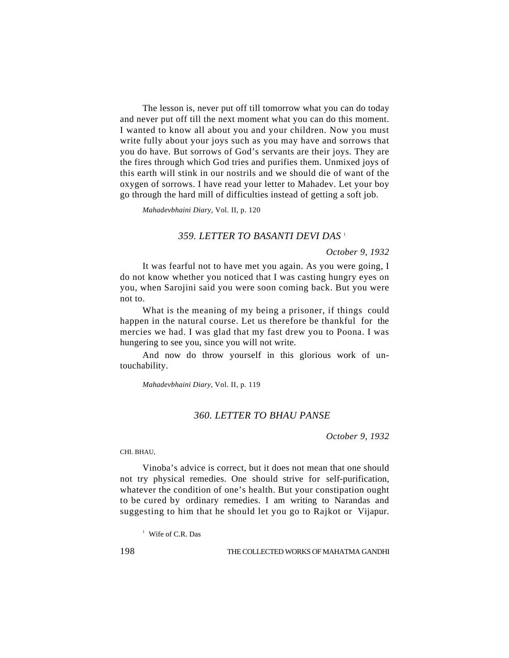The lesson is, never put off till tomorrow what you can do today and never put off till the next moment what you can do this moment. I wanted to know all about you and your children. Now you must write fully about your joys such as you may have and sorrows that you do have. But sorrows of God's servants are their joys. They are the fires through which God tries and purifies them. Unmixed joys of this earth will stink in our nostrils and we should die of want of the oxygen of sorrows. I have read your letter to Mahadev. Let your boy go through the hard mill of difficulties instead of getting a soft job.

*Mahadevbhaini Diary,* Vol. II, p. 120

## *359. LETTER TO BASANTI DEVI DAS* <sup>1</sup>

*October 9, 1932*

It was fearful not to have met you again. As you were going, I do not know whether you noticed that I was casting hungry eyes on you, when Sarojini said you were soon coming back. But you were not to.

What is the meaning of my being a prisoner, if things could happen in the natural course. Let us therefore be thankful for the mercies we had. I was glad that my fast drew you to Poona. I was hungering to see you, since you will not write.

And now do throw yourself in this glorious work of untouchability.

*Mahadevbhaini Diary,* Vol. II, p. 119

### *360. LETTER TO BHAU PANSE*

*October 9, 1932*

CHI RHAU

Vinoba's advice is correct, but it does not mean that one should not try physical remedies. One should strive for self-purification, whatever the condition of one's health. But your constipation ought to be cured by ordinary remedies. I am writing to Narandas and suggesting to him that he should let you go to Rajkot or Vijapur.

<sup>1</sup> Wife of C.R. Das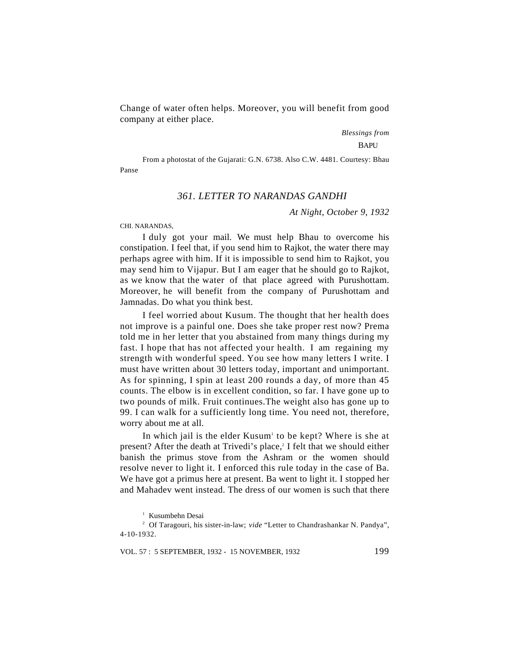Change of water often helps. Moreover, you will benefit from good company at either place.

 *Blessings from*

**BAPU** 

From a photostat of the Gujarati: G.N. 6738. Also C.W. 4481. Courtesy: Bhau Panse

# *361. LETTER TO NARANDAS GANDHI*

*At Night, October 9, 1932*

#### CHI. NARANDAS,

I duly got your mail. We must help Bhau to overcome his constipation. I feel that, if you send him to Rajkot, the water there may perhaps agree with him. If it is impossible to send him to Rajkot, you may send him to Vijapur. But I am eager that he should go to Rajkot, as we know that the water of that place agreed with Purushottam. Moreover, he will benefit from the company of Purushottam and Jamnadas. Do what you think best.

I feel worried about Kusum. The thought that her health does not improve is a painful one. Does she take proper rest now? Prema told me in her letter that you abstained from many things during my fast. I hope that has not affected your health. I am regaining my strength with wonderful speed. You see how many letters I write. I must have written about 30 letters today, important and unimportant. As for spinning, I spin at least 200 rounds a day, of more than 45 counts. The elbow is in excellent condition, so far. I have gone up to two pounds of milk. Fruit continues.The weight also has gone up to 99. I can walk for a sufficiently long time. You need not, therefore, worry about me at all.

In which jail is the elder Kusum<sup>1</sup> to be kept? Where is she at present? After the death at Trivedi's place,<sup>2</sup> I felt that we should either banish the primus stove from the Ashram or the women should resolve never to light it. I enforced this rule today in the case of Ba. We have got a primus here at present. Ba went to light it. I stopped her and Mahadev went instead. The dress of our women is such that there

1 Kusumbehn Desai

<sup>&</sup>lt;sup>2</sup> Of Taragouri, his sister-in-law; *vide* "Letter to Chandrashankar N. Pandya", 4-10-1932.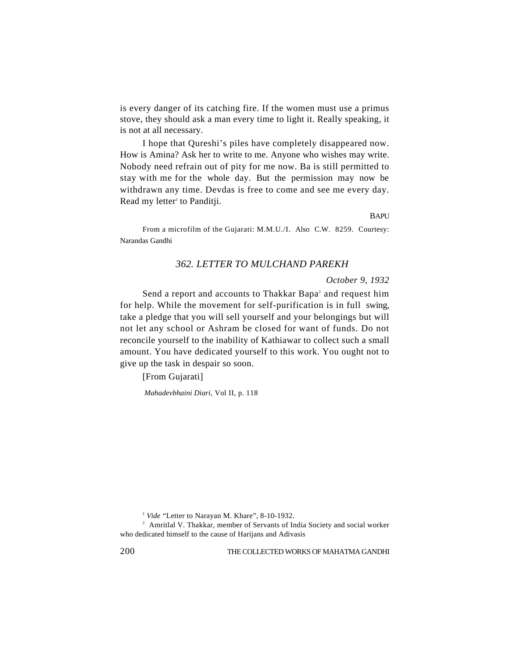is every danger of its catching fire. If the women must use a primus stove, they should ask a man every time to light it. Really speaking, it is not at all necessary.

I hope that Qureshi's piles have completely disappeared now. How is Amina? Ask her to write to me. Anyone who wishes may write. Nobody need refrain out of pity for me now. Ba is still permitted to stay with me for the whole day. But the permission may now be withdrawn any time. Devdas is free to come and see me every day. Read my letter<sup>1</sup> to Panditji.

**BAPU** 

From a microfilm of the Gujarati: M.M.U./I. Also C.W. 8259. Courtesy: Narandas Gandhi

# *362. LETTER TO MULCHAND PAREKH*

## *October 9, 1932*

Send a report and accounts to Thakkar Bapa<sup>2</sup> and request him for help. While the movement for self-purification is in full swing, take a pledge that you will sell yourself and your belongings but will not let any school or Ashram be closed for want of funds. Do not reconcile yourself to the inability of Kathiawar to collect such a small amount. You have dedicated yourself to this work. You ought not to give up the task in despair so soon.

[From Gujarati]

 *Mahadevbhaini Diari*, Vol II, p. 118

<sup>&</sup>lt;sup>1</sup> *Vide* "Letter to Narayan M. Khare", 8-10-1932.

<sup>&</sup>lt;sup>2</sup> Amritlal V. Thakkar, member of Servants of India Society and social worker who dedicated himself to the cause of Harijans and Adivasis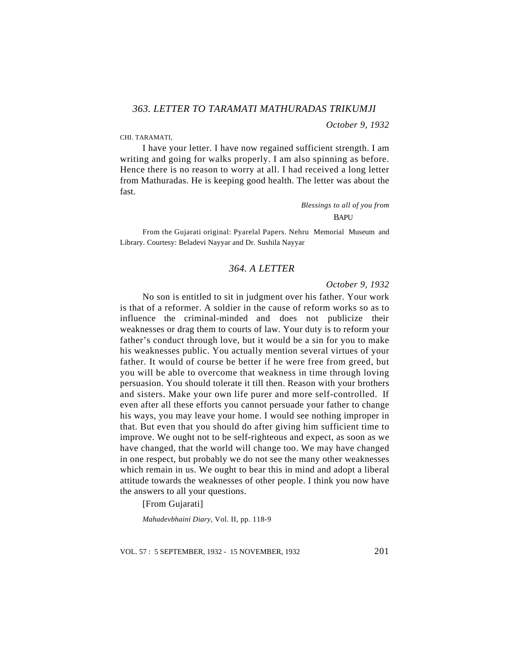*October 9, 1932*

#### CHI. TARAMATI,

I have your letter. I have now regained sufficient strength. I am writing and going for walks properly. I am also spinning as before. Hence there is no reason to worry at all. I had received a long letter from Mathuradas. He is keeping good health. The letter was about the fast.

> *Blessings to all of you from* **BAPU**

From the Gujarati original: Pyarelal Papers. Nehru Memorial Museum and Library. Courtesy: Beladevi Nayyar and Dr. Sushila Nayyar

# *364. A LETTER*

### *October 9, 1932*

No son is entitled to sit in judgment over his father. Your work is that of a reformer. A soldier in the cause of reform works so as to influence the criminal-minded and does not publicize their weaknesses or drag them to courts of law. Your duty is to reform your father's conduct through love, but it would be a sin for you to make his weaknesses public. You actually mention several virtues of your father. It would of course be better if he were free from greed, but you will be able to overcome that weakness in time through loving persuasion. You should tolerate it till then. Reason with your brothers and sisters. Make your own life purer and more self-controlled. If even after all these efforts you cannot persuade your father to change his ways, you may leave your home. I would see nothing improper in that. But even that you should do after giving him sufficient time to improve. We ought not to be self-righteous and expect, as soon as we have changed, that the world will change too. We may have changed in one respect, but probably we do not see the many other weaknesses which remain in us. We ought to bear this in mind and adopt a liberal attitude towards the weaknesses of other people. I think you now have the answers to all your questions.

[From Gujarati]

*Mahadevbhaini Diary*, Vol. II, pp. 118-9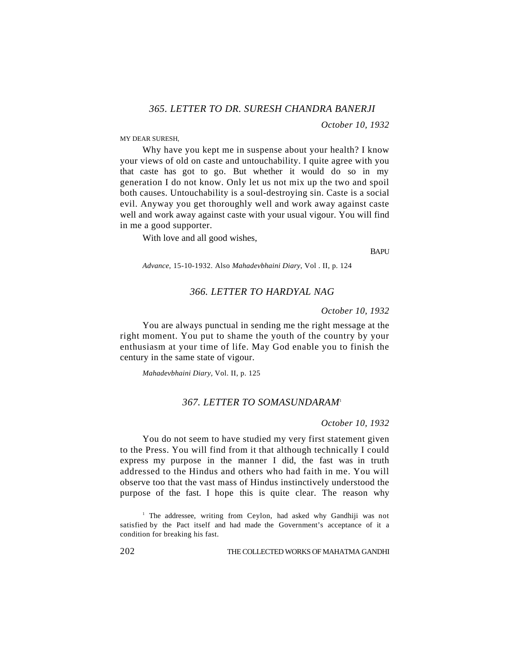*October 10, 1932*

MY DEAR SURESH,

Why have you kept me in suspense about your health? I know your views of old on caste and untouchability. I quite agree with you that caste has got to go. But whether it would do so in my generation I do not know. Only let us not mix up the two and spoil both causes. Untouchability is a soul-destroying sin. Caste is a social evil. Anyway you get thoroughly well and work away against caste well and work away against caste with your usual vigour. You will find in me a good supporter.

With love and all good wishes,

**BAPU** 

*Advance*, 15-10-1932. Also *Mahadevbhaini Diary*, Vol . II, p. 124

# *366. LETTER TO HARDYAL NAG*

*October 10, 1932*

You are always punctual in sending me the right message at the right moment. You put to shame the youth of the country by your enthusiasm at your time of life. May God enable you to finish the century in the same state of vigour.

*Mahadevbhaini Diary,* Vol. II, p. 125

# *367. LETTER TO SOMASUNDARAM*<sup>1</sup>

*October 10, 1932*

You do not seem to have studied my very first statement given to the Press. You will find from it that although technically I could express my purpose in the manner I did, the fast was in truth addressed to the Hindus and others who had faith in me. You will observe too that the vast mass of Hindus instinctively understood the purpose of the fast. I hope this is quite clear. The reason why

<sup>&</sup>lt;sup>1</sup> The addressee, writing from Ceylon, had asked why Gandhiji was not satisfied by the Pact itself and had made the Government's acceptance of it a condition for breaking his fast.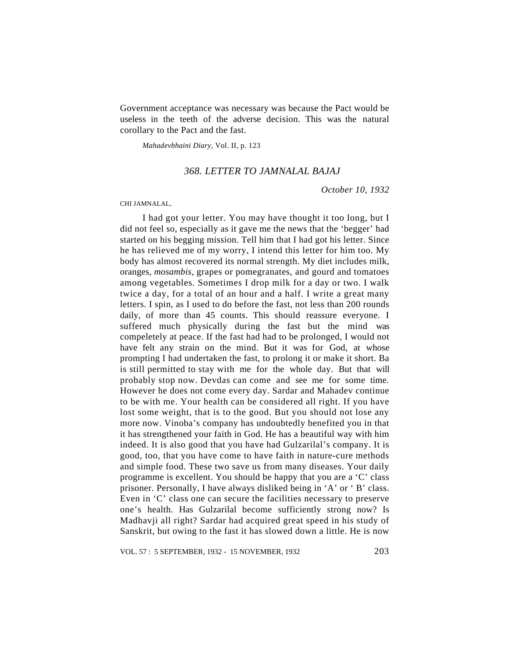Government acceptance was necessary was because the Pact would be useless in the teeth of the adverse decision. This was the natural corollary to the Pact and the fast.

*Mahadevbhaini Diary,* Vol. II, p. 123

## *368. LETTER TO JAMNALAL BAJAJ*

*October 10, 1932*

#### CHI JAMNALAL,

I had got your letter. You may have thought it too long, but I did not feel so, especially as it gave me the news that the 'begger' had started on his begging mission. Tell him that I had got his letter. Since he has relieved me of my worry, I intend this letter for him too. My body has almost recovered its normal strength. My diet includes milk, oranges, *mosambis,* grapes or pomegranates, and gourd and tomatoes among vegetables. Sometimes I drop milk for a day or two. I walk twice a day, for a total of an hour and a half. I write a great many letters. I spin, as I used to do before the fast, not less than 200 rounds daily, of more than 45 counts. This should reassure everyone. I suffered much physically during the fast but the mind was compeletely at peace. If the fast had had to be prolonged, I would not have felt any strain on the mind. But it was for God, at whose prompting I had undertaken the fast, to prolong it or make it short. Ba is still permitted to stay with me for the whole day. But that will probably stop now. Devdas can come and see me for some time. However he does not come every day. Sardar and Mahadev continue to be with me. Your health can be considered all right. If you have lost some weight, that is to the good. But you should not lose any more now. Vinoba's company has undoubtedly benefited you in that it has strengthened your faith in God. He has a beautiful way with him indeed. It is also good that you have had Gulzarilal's company. It is good, too, that you have come to have faith in nature-cure methods and simple food. These two save us from many diseases. Your daily programme is excellent. You should be happy that you are a 'C' class prisoner. Personally, I have always disliked being in 'A' or ' B' class. Even in 'C' class one can secure the facilities necessary to preserve one's health. Has Gulzarilal become sufficiently strong now? Is Madhavji all right? Sardar had acquired great speed in his study of Sanskrit, but owing to the fast it has slowed down a little. He is now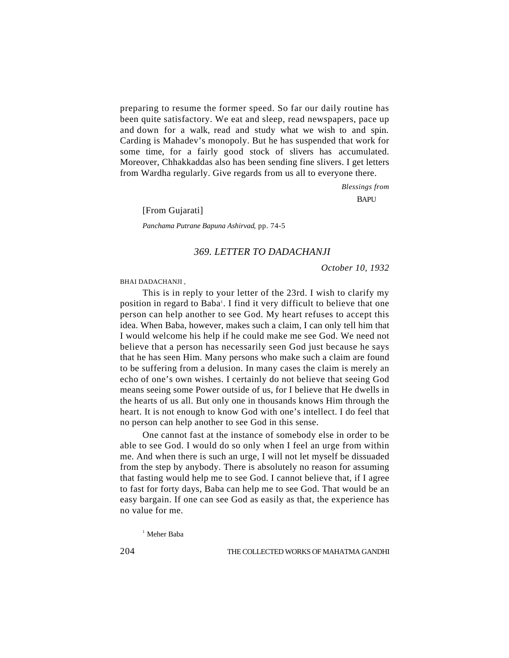preparing to resume the former speed. So far our daily routine has been quite satisfactory. We eat and sleep, read newspapers, pace up and down for a walk, read and study what we wish to and spin. Carding is Mahadev's monopoly. But he has suspended that work for some time, for a fairly good stock of slivers has accumulated. Moreover, Chhakkaddas also has been sending fine slivers. I get letters from Wardha regularly. Give regards from us all to everyone there.

> *Blessings from* BAPU

[From Gujarati]

*Panchama Putrane Bapuna Ashirvad*, pp. 74-5

## *369. LETTER TO DADACHANJI*

*October 10, 1932*

BHAI DADACHANJI ,

This is in reply to your letter of the 23rd. I wish to clarify my position in regard to Baba<sup>1</sup>. I find it very difficult to believe that one person can help another to see God. My heart refuses to accept this idea. When Baba, however, makes such a claim, I can only tell him that I would welcome his help if he could make me see God. We need not believe that a person has necessarily seen God just because he says that he has seen Him. Many persons who make such a claim are found to be suffering from a delusion. In many cases the claim is merely an echo of one's own wishes. I certainly do not believe that seeing God means seeing some Power outside of us, for I believe that He dwells in the hearts of us all. But only one in thousands knows Him through the heart. It is not enough to know God with one's intellect. I do feel that no person can help another to see God in this sense.

One cannot fast at the instance of somebody else in order to be able to see God. I would do so only when I feel an urge from within me. And when there is such an urge, I will not let myself be dissuaded from the step by anybody. There is absolutely no reason for assuming that fasting would help me to see God. I cannot believe that, if I agree to fast for forty days, Baba can help me to see God. That would be an easy bargain. If one can see God as easily as that, the experience has no value for me.

1 Meher Baba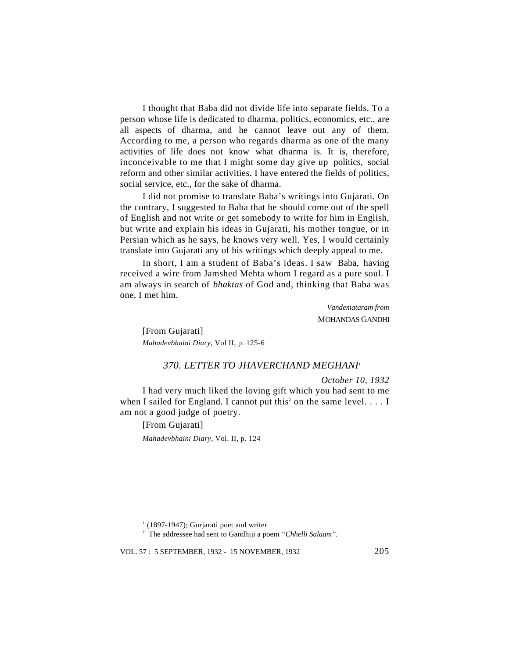I thought that Baba did not divide life into separate fields. To a person whose life is dedicated to dharma, politics, economics, etc., are all aspects of dharma, and he cannot leave out any of them. According to me, a person who regards dharma as one of the many activities of life does not know what dharma is. It is, therefore, inconceivable to me that I might some day give up politics, social reform and other similar activities. I have entered the fields of politics, social service, etc., for the sake of dharma.

I did not promise to translate Baba's writings into Gujarati. On the contrary, I suggested to Baba that he should come out of the spell of English and not write or get somebody to write for him in English, but write and explain his ideas in Gujarati, his mother tongue, or in Persian which as he says, he knows very well. Yes, I would certainly translate into Gujarati any of his writings which deeply appeal to me.

In short, I am a student of Baba's ideas. I saw Baba, having received a wire from Jamshed Mehta whom I regard as a pure soul. I am always in search of *bhaktas* of God and, thinking that Baba was one, I met him.

> *Vandemataram from* MOHANDAS GANDHI

[From Gujarati] *Mahadevbhaini Diary*, Vol II, p. 125-6

# *370. LETTER TO JHAVERCHAND MEGHANI*<sup>1</sup>

### *October 10, 1932*

I had very much liked the loving gift which you had sent to me when I sailed for England. I cannot put this<sup>2</sup> on the same level.  $\dots$  I am not a good judge of poetry.

[From Gujarati]

*Mahadevbhaini Diary,* Vol. II, p. 124

2 The addressee had sent to Gandhiji a poem *"Chhelli Salaam".*

 $1$  (1897-1947); Gurjarati poet and writer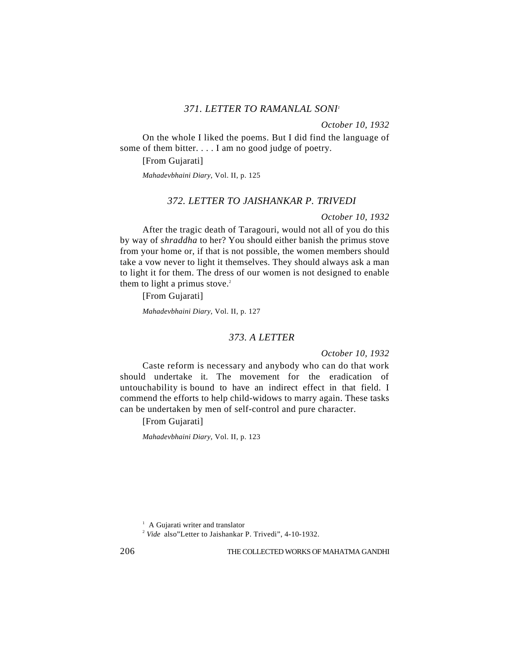# *371. LETTER TO RAMANLAL SONI<sup>1</sup>*

*October 10, 1932*

On the whole I liked the poems. But I did find the language of some of them bitter. . . . I am no good judge of poetry.

[From Gujarati]

*Mahadevbhaini Diary*, Vol. II, p. 125

# *372. LETTER TO JAISHANKAR P. TRIVEDI*

#### *October 10, 1932*

After the tragic death of Taragouri, would not all of you do this by way of *shraddha* to her? You should either banish the primus stove from your home or, if that is not possible, the women members should take a vow never to light it themselves. They should always ask a man to light it for them. The dress of our women is not designed to enable them to light a primus stove.<sup>2</sup>

[From Gujarati]

*Mahadevbhaini Diary*, Vol. II, p. 127

# *373. A LETTER*

*October 10, 1932*

Caste reform is necessary and anybody who can do that work should undertake it. The movement for the eradication of untouchability is bound to have an indirect effect in that field. I commend the efforts to help child-widows to marry again. These tasks can be undertaken by men of self-control and pure character.

[From Gujarati]

*Mahadevbhaini Diary*, Vol. II, p. 123

<sup>&</sup>lt;sup>1</sup> A Gujarati writer and translator

<sup>2</sup> *Vide* also"Letter to Jaishankar P. Trivedi", 4-10-1932.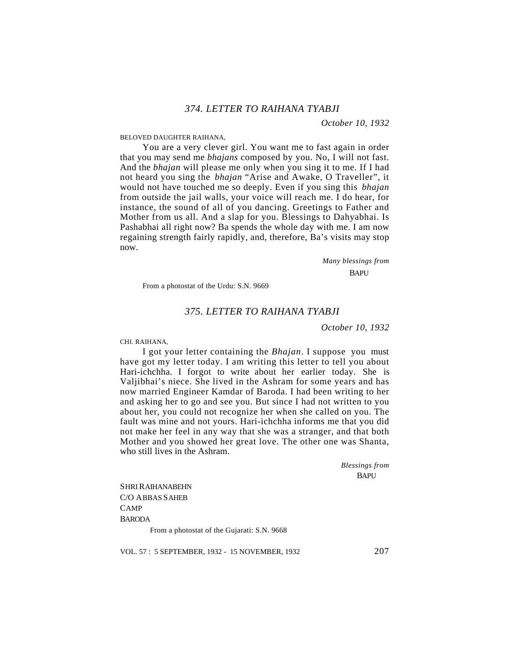*October 10, 1932*

#### BELOVED DAUGHTER RAIHANA,

You are a very clever girl. You want me to fast again in order that you may send me *bhajans* composed by you. No, I will not fast. And the *bhajan* will please me only when you sing it to me. If I had not heard you sing the *bhajan* "Arise and Awake, O Traveller", it would not have touched me so deeply. Even if you sing this *bhajan* from outside the jail walls, your voice will reach me. I do hear, for instance, the sound of all of you dancing. Greetings to Father and Mother from us all. And a slap for you. Blessings to Dahyabhai. Is Pashabhai all right now? Ba spends the whole day with me. I am now regaining strength fairly rapidly, and, therefore, Ba's visits may stop now.

 *Many blessings from*

BAPU

From a photostat of the Urdu: S.N. 9669

## *375. LETTER TO RAIHANA TYABJI*

*October 10, 1932*

#### CHI. RAIHANA,

I got your letter containing the *Bhajan*. I suppose you must have got my letter today. I am writing this letter to tell you about Hari-ichchha. I forgot to write about her earlier today. She is Valjibhai's niece. She lived in the Ashram for some years and has now married Engineer Kamdar of Baroda. I had been writing to her and asking her to go and see you. But since I had not written to you about her, you could not recognize her when she called on you. The fault was mine and not yours. Hari-ichchha informs me that you did not make her feel in any way that she was a stranger, and that both Mother and you showed her great love. The other one was Shanta, who still lives in the Ashram.

> *Blessings from* **BAPU**

SHRI RAIHANABEHN C/O ABBAS SAHEB CAMP **BARODA** 

From a photostat of the Gujarati: S.N. 9668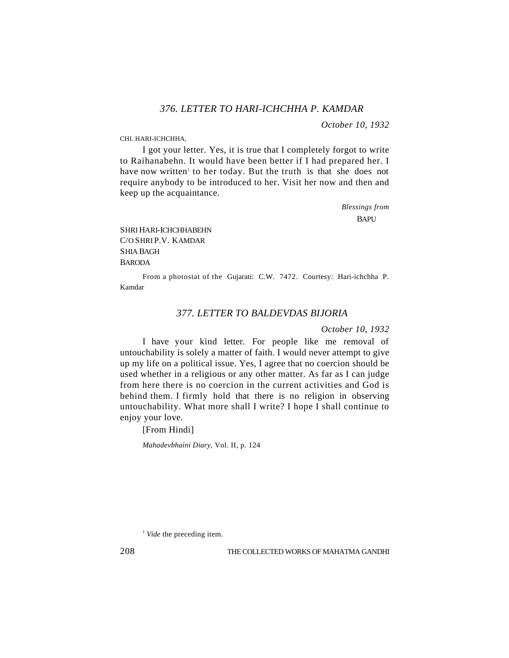# *376. LETTER TO HARI-ICHCHHA P. KAMDAR*

*October 10, 1932*

CHI. HARI-ICHCHHA,

I got your letter. Yes, it is true that I completely forgot to write to Raihanabehn. It would have been better if I had prepared her. I have now written<sup>1</sup> to her today. But the truth is that she does not require anybody to be introduced to her. Visit her now and then and keep up the acquaintance.

> *Blessings from* **BAPU**

# SHRI HARI-ICHCHHABEHN C/O SHRI P.V. KAMDAR SHIA BAGH BARODA

From a photostat of the Gujarati: C.W. 7472. Courtesy: Hari-ichchha P. Kamdar

### *377. LETTER TO BALDEVDAS BIJORIA*

*October 10, 1932*

I have your kind letter. For people like me removal of untouchability is solely a matter of faith. I would never attempt to give up my life on a political issue. Yes, I agree that no coercion should be used whether in a religious or any other matter. As far as I can judge from here there is no coercion in the current activities and God is behind them. I firmly hold that there is no religion in observing untouchability. What more shall I write? I hope I shall continue to enjoy your love.

[From Hindi]

*Mahadevbhaini Diary*, Vol. II, p. 124

<sup>&</sup>lt;sup>1</sup> *Vide* the preceding item.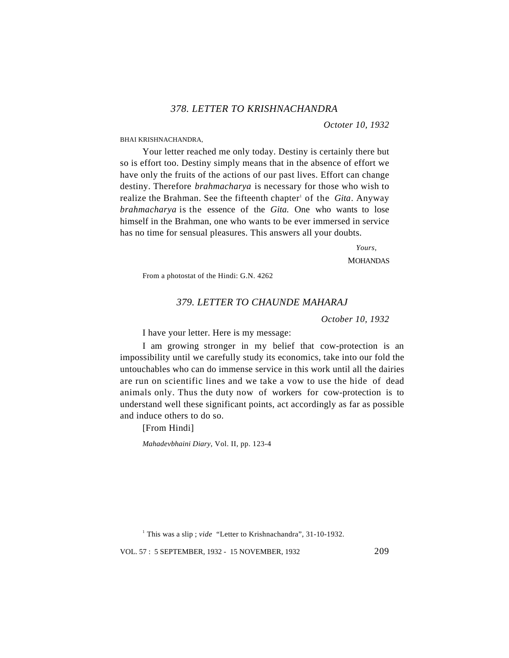*Octoter 10, 1932*

#### BHAI KRISHNACHANDRA,

Your letter reached me only today. Destiny is certainly there but so is effort too. Destiny simply means that in the absence of effort we have only the fruits of the actions of our past lives. Effort can change destiny. Therefore *brahmacharya* is necessary for those who wish to realize the Brahman. See the fifteenth chapter<sup>1</sup> of the *Gita*. Anyway *brahmacharya* is the essence of the *Gita.* One who wants to lose himself in the Brahman, one who wants to be ever immersed in service has no time for sensual pleasures. This answers all your doubts.

*Yours,*

**MOHANDAS** 

From a photostat of the Hindi: G.N. 4262

# *379. LETTER TO CHAUNDE MAHARAJ*

*October 10, 1932*

I have your letter. Here is my message:

I am growing stronger in my belief that cow-protection is an impossibility until we carefully study its economics, take into our fold the untouchables who can do immense service in this work until all the dairies are run on scientific lines and we take a vow to use the hide of dead animals only. Thus the duty now of workers for cow-protection is to understand well these significant points, act accordingly as far as possible and induce others to do so.

[From Hindi]

*Mahadevbhaini Diary*, Vol. II, pp. 123-4

<sup>1</sup> This was a slip; *vide* "Letter to Krishnachandra", 31-10-1932.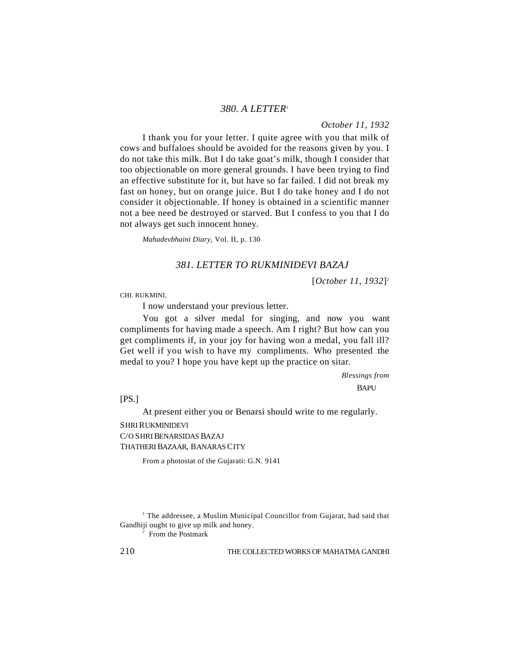*October 11, 1932*

I thank you for your letter. I quite agree with you that milk of cows and buffaloes should be avoided for the reasons given by you. I do not take this milk. But I do take goat's milk, though I consider that too objectionable on more general grounds. I have been trying to find an effective substitute for it, but have so far failed. I did not break my fast on honey, but on orange juice. But I do take honey and I do not consider it objectionable. If honey is obtained in a scientific manner not a bee need be destroyed or starved. But I confess to you that I do not always get such innocent honey.

*Mahadevbhaini Diary*, Vol. II, p. 130

# *381. LETTER TO RUKMINIDEVI BAZAJ*

[*October 11, 1932*] 2

CHI. RUKMINI,

I now understand your previous letter.

You got a silver medal for singing, and now you want compliments for having made a speech. Am I right? But how can you get compliments if, in your joy for having won a medal, you fall ill? Get well if you wish to have my compliments. Who presented the medal to you? I hope you have kept up the practice on sitar*.*

> *Blessings from* **BAPU**

 $[PS.]$ 

At present either you or Benarsi should write to me regularly.

SHRI RUKMINIDEVI C/O SHRI BENARSIDAS BAZAJ THATHERI BAZAAR, BANARAS CITY

From a photostat of the Gujarati: G.N. 9141

<sup>1</sup> The addressee, a Muslim Municipal Councillor from Gujarat, had said that Gandhiji ought to give up milk and honey.

2 From the Postmark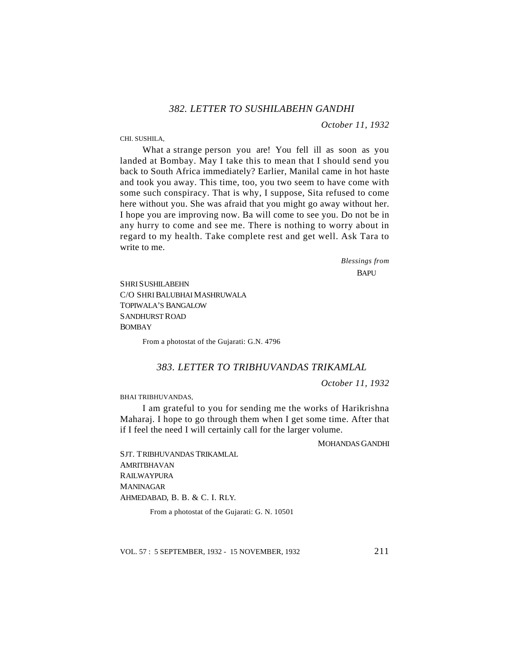*October 11, 1932*

#### CHI. SUSHILA,

What a strange person you are! You fell ill as soon as you landed at Bombay. May I take this to mean that I should send you back to South Africa immediately? Earlier, Manilal came in hot haste and took you away. This time, too, you two seem to have come with some such conspiracy. That is why, I suppose, Sita refused to come here without you. She was afraid that you might go away without her. I hope you are improving now. Ba will come to see you. Do not be in any hurry to come and see me. There is nothing to worry about in regard to my health. Take complete rest and get well. Ask Tara to write to me.

> *Blessings from* BAPU

SHRI SUSHILABEHN C/O SHRI BALUBHAI MASHRUWALA TOPIWALA'S BANGALOW SANDHURST ROAD **BOMBAY** 

From a photostat of the Gujarati: G.N. 4796

# *383. LETTER TO TRIBHUVANDAS TRIKAMLAL*

*October 11, 1932*

BHAI TRIBHUVANDAS,

I am grateful to you for sending me the works of Harikrishna Maharaj. I hope to go through them when I get some time. After that if I feel the need I will certainly call for the larger volume.

#### MOHANDAS GANDHI

SJT. TRIBHUVANDAS TRIKAMLAL AMRITBHAVAN RAILWAYPURA MANINAGAR AHMEDABAD, B. B. & C. I. RLY.

From a photostat of the Gujarati: G. N. 10501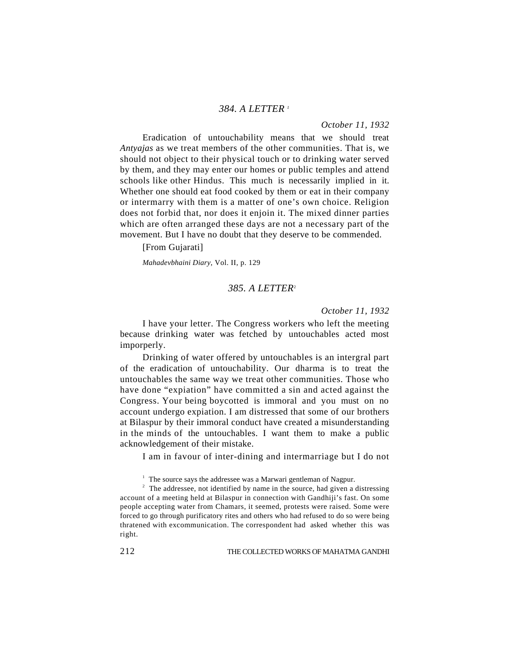*October 11, 1932*

Eradication of untouchability means that we should treat *Antyajas* as we treat members of the other communities. That is, we should not object to their physical touch or to drinking water served by them, and they may enter our homes or public temples and attend schools like other Hindus. This much is necessarily implied in it. Whether one should eat food cooked by them or eat in their company or intermarry with them is a matter of one's own choice. Religion does not forbid that, nor does it enjoin it. The mixed dinner parties which are often arranged these days are not a necessary part of the movement. But I have no doubt that they deserve to be commended.

[From Gujarati]

*Mahadevbhaini Diary*, Vol. II, p. 129

# *385. A LETTER*<sup>2</sup>

*October 11, 1932*

I have your letter. The Congress workers who left the meeting because drinking water was fetched by untouchables acted most imporperly.

Drinking of water offered by untouchables is an intergral part of the eradication of untouchability. Our dharma is to treat the untouchables the same way we treat other communities. Those who have done "expiation" have committed a sin and acted against the Congress. Your being boycotted is immoral and you must on no account undergo expiation. I am distressed that some of our brothers at Bilaspur by their immoral conduct have created a misunderstanding in the minds of the untouchables. I want them to make a public acknowledgement of their mistake.

I am in favour of inter-dining and intermarriage but I do not

 $1$  The source says the addressee was a Marwari gentleman of Nagpur.

 $2$  The addressee, not identified by name in the source, had given a distressing account of a meeting held at Bilaspur in connection with Gandhiji's fast. On some people accepting water from Chamars, it seemed, protests were raised. Some were forced to go through purificatory rites and others who had refused to do so were being thratened with excommunication. The correspondent had asked whether this was right.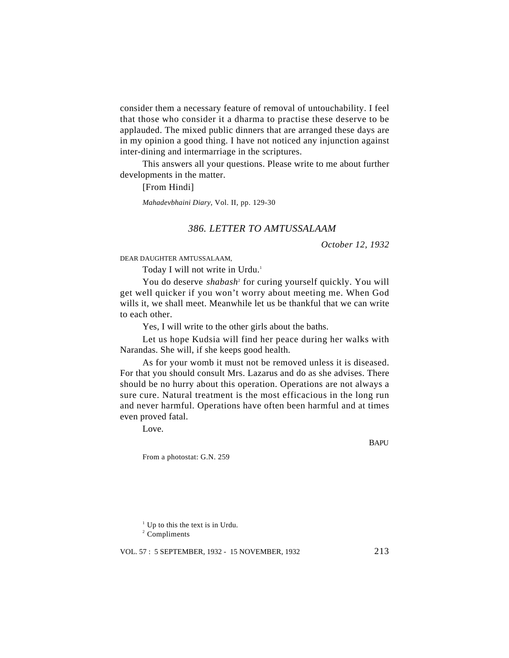consider them a necessary feature of removal of untouchability. I feel that those who consider it a dharma to practise these deserve to be applauded. The mixed public dinners that are arranged these days are in my opinion a good thing. I have not noticed any injunction against inter-dining and intermarriage in the scriptures.

This answers all your questions. Please write to me about further developments in the matter.

[From Hindi]

*Mahadevbhaini Diary*, Vol. II, pp. 129-30

# *386. LETTER TO AMTUSSALAAM*

*October 12, 1932*

DEAR DAUGHTER AMTUSSALAAM,

Today I will not write in Urdu.<sup>1</sup>

You do deserve *shabash<sup>2</sup>* for curing yourself quickly. You will get well quicker if you won't worry about meeting me. When God wills it, we shall meet. Meanwhile let us be thankful that we can write to each other.

Yes, I will write to the other girls about the baths.

Let us hope Kudsia will find her peace during her walks with Narandas. She will, if she keeps good health.

As for your womb it must not be removed unless it is diseased. For that you should consult Mrs. Lazarus and do as she advises. There should be no hurry about this operation. Operations are not always a sure cure. Natural treatment is the most efficacious in the long run and never harmful. Operations have often been harmful and at times even proved fatal.

Love.

**BAPU** 

From a photostat: G.N. 259

<sup>2</sup> Compliments

<sup>&</sup>lt;sup>1</sup> Up to this the text is in Urdu.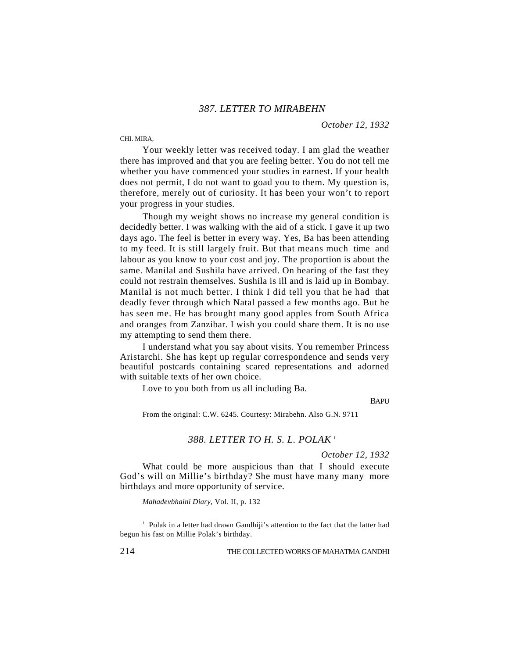*October 12, 1932*

#### CHI. MIRA,

Your weekly letter was received today. I am glad the weather there has improved and that you are feeling better. You do not tell me whether you have commenced your studies in earnest. If your health does not permit, I do not want to goad you to them. My question is, therefore, merely out of curiosity. It has been your won't to report your progress in your studies.

Though my weight shows no increase my general condition is decidedly better. I was walking with the aid of a stick. I gave it up two days ago. The feel is better in every way. Yes, Ba has been attending to my feed. It is still largely fruit. But that means much time and labour as you know to your cost and joy. The proportion is about the same. Manilal and Sushila have arrived. On hearing of the fast they could not restrain themselves. Sushila is ill and is laid up in Bombay. Manilal is not much better. I think I did tell you that he had that deadly fever through which Natal passed a few months ago. But he has seen me. He has brought many good apples from South Africa and oranges from Zanzibar. I wish you could share them. It is no use my attempting to send them there.

I understand what you say about visits. You remember Princess Aristarchi. She has kept up regular correspondence and sends very beautiful postcards containing scared representations and adorned with suitable texts of her own choice.

Love to you both from us all including Ba.

**BAPU** 

From the original: C.W. 6245. Courtesy: Mirabehn. Also G.N. 9711

## *388. LETTER TO H. S. L. POLAK* <sup>1</sup>

*October 12, 1932*

What could be more auspicious than that I should execute God's will on Millie's birthday? She must have many many more birthdays and more opportunity of service.

*Mahadevbhaini Diary*, Vol. II, p. 132

<sup>1</sup> Polak in a letter had drawn Gandhiji's attention to the fact that the latter had begun his fast on Millie Polak's birthday.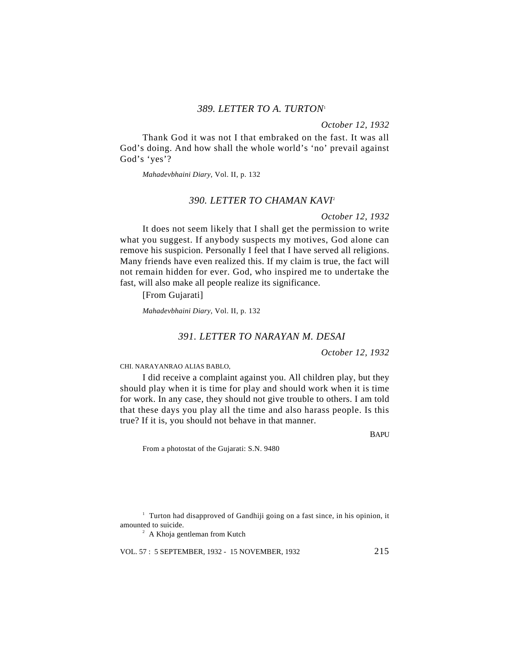# *389. LETTER TO A. TURTON*<sup>1</sup>

*October 12, 1932*

Thank God it was not I that embraked on the fast. It was all God's doing. And how shall the whole world's 'no' prevail against God's 'yes'?

*Mahadevbhaini Diary*, Vol. II, p. 132

# *390. LETTER TO CHAMAN KAVI*<sup>2</sup>

#### *October 12, 1932*

It does not seem likely that I shall get the permission to write what you suggest. If anybody suspects my motives, God alone can remove his suspicion. Personally I feel that I have served all religions. Many friends have even realized this. If my claim is true, the fact will not remain hidden for ever. God, who inspired me to undertake the fast, will also make all people realize its significance.

[From Gujarati]

*Mahadevbhaini Diary*, Vol. II, p. 132

### *391. LETTER TO NARAYAN M. DESAI*

*October 12, 1932*

#### CHI. NARAYANRAO ALIAS BABLO,

I did receive a complaint against you. All children play, but they should play when it is time for play and should work when it is time for work. In any case, they should not give trouble to others. I am told that these days you play all the time and also harass people. Is this true? If it is, you should not behave in that manner.

**BAPU** 

From a photostat of the Gujarati: S.N. 9480

<sup>1</sup> Turton had disapproved of Gandhiji going on a fast since, in his opinion, it amounted to suicide.

 $2$  A Khoja gentleman from Kutch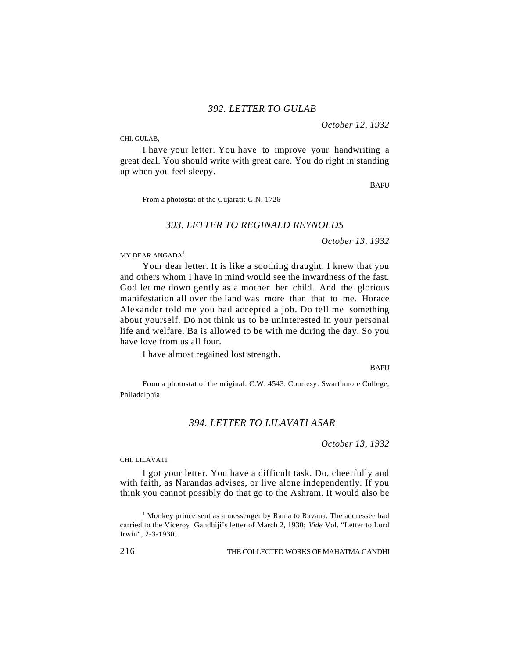*October 12, 1932*

CHI. GULAB,

I have your letter. You have to improve your handwriting a great deal. You should write with great care. You do right in standing up when you feel sleepy.

**BAPU** 

From a photostat of the Gujarati: G.N. 1726

## *393. LETTER TO REGINALD REYNOLDS*

*October 13, 1932*

MY DEAR ANGADA $^{\rm l}$ ,

Your dear letter. It is like a soothing draught. I knew that you and others whom I have in mind would see the inwardness of the fast. God let me down gently as a mother her child. And the glorious manifestation all over the land was more than that to me. Horace Alexander told me you had accepted a job. Do tell me something about yourself. Do not think us to be uninterested in your personal life and welfare. Ba is allowed to be with me during the day. So you have love from us all four.

I have almost regained lost strength.

**BAPU** 

From a photostat of the original: C.W. 4543. Courtesy: Swarthmore College, Philadelphia

## *394. LETTER TO LILAVATI ASAR*

*October 13, 1932*

CHI. LILAVATI,

I got your letter. You have a difficult task. Do, cheerfully and with faith, as Narandas advises, or live alone independently. If you think you cannot possibly do that go to the Ashram. It would also be

<sup>&</sup>lt;sup>1</sup> Monkey prince sent as a messenger by Rama to Ravana. The addressee had carried to the Viceroy Gandhiji's letter of March 2, 1930; *Vide* Vol. "Letter to Lord Irwin", 2-3-1930.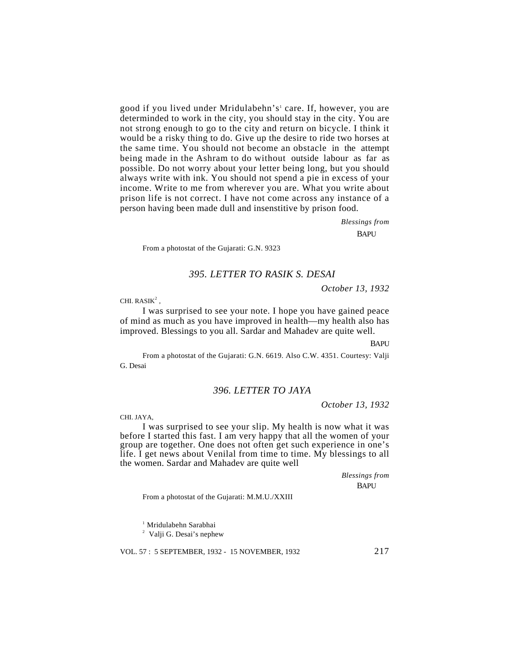good if you lived under Mridulabehn's' care. If, however, you are determinded to work in the city, you should stay in the city. You are not strong enough to go to the city and return on bicycle. I think it would be a risky thing to do. Give up the desire to ride two horses at the same time. You should not become an obstacle in the attempt being made in the Ashram to do without outside labour as far as possible. Do not worry about your letter being long, but you should always write with ink. You should not spend a pie in excess of your income. Write to me from wherever you are. What you write about prison life is not correct. I have not come across any instance of a person having been made dull and insenstitive by prison food.

> *Blessings from* **BAPU**

From a photostat of the Gujarati: G.N. 9323

# *395. LETTER TO RASIK S. DESAI*

*October 13, 1932*

CHI. RASI $K^2$ ,

I was surprised to see your note. I hope you have gained peace of mind as much as you have improved in health—my health also has improved. Blessings to you all. Sardar and Mahadev are quite well.

**BAPU** 

From a photostat of the Gujarati: G.N. 6619. Also C.W. 4351. Courtesy: Valji G. Desai

# *396. LETTER TO JAYA*

*October 13, 1932*

CHI. JAYA,

I was surprised to see your slip. My health is now what it was before I started this fast. I am very happy that all the women of your group are together. One does not often get such experience in one's life. I get news about Venilal from time to time. My blessings to all the women. Sardar and Mahadev are quite well

> *Blessings from* **BAPU**

From a photostat of the Gujarati: M.M.U./XXIII

1 Mridulabehn Sarabhai <sup>2</sup> Valji G. Desai's nephew

VOL. 57 : 5 SEPTEMBER, 1932 - 15 NOVEMBER, 1932 217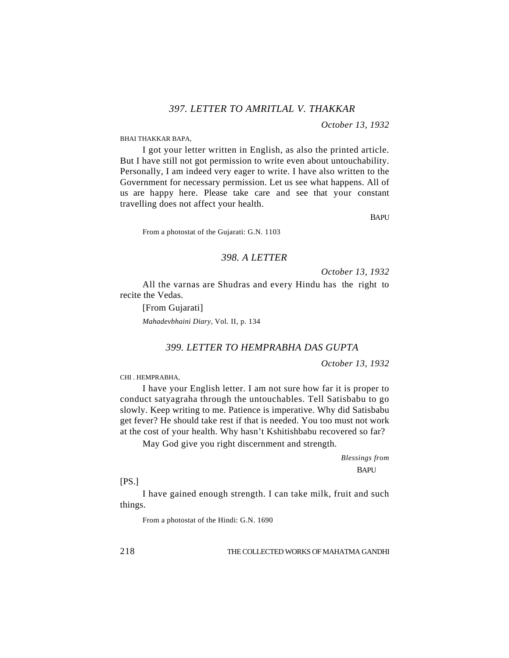*October 13, 1932*

#### BHAI THAKKAR BAPA,

I got your letter written in English, as also the printed article. But I have still not got permission to write even about untouchability. Personally, I am indeed very eager to write. I have also written to the Government for necessary permission. Let us see what happens. All of us are happy here. Please take care and see that your constant travelling does not affect your health.

**BAPU** 

From a photostat of the Gujarati: G.N. 1103

# *398. A LETTER*

*October 13, 1932*

All the varnas are Shudras and every Hindu has the right to recite the Vedas.

[From Gujarati]

*Mahadevbhaini Diary,* Vol. II, p. 134

# *399. LETTER TO HEMPRABHA DAS GUPTA*

*October 13, 1932*

CHI . HEMPRABHA,

I have your English letter. I am not sure how far it is proper to conduct satyagraha through the untouchables. Tell Satisbabu to go slowly. Keep writing to me. Patience is imperative. Why did Satisbabu get fever? He should take rest if that is needed. You too must not work at the cost of your health. Why hasn't Kshitishbabu recovered so far?

May God give you right discernment and strength.

*Blessings from* BAPU

#### [PS.]

I have gained enough strength. I can take milk, fruit and such things.

From a photostat of the Hindi: G.N. 1690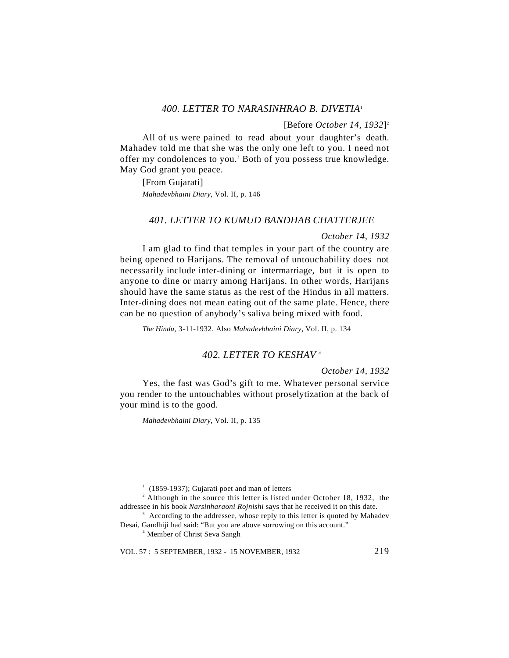# *400. LETTER TO NARASINHRAO B. DIVETIA*<sup>1</sup>

[Before *October 14, 1932*] 2

All of us were pained to read about your daughter's death. Mahadev told me that she was the only one left to you. I need not offer my condolences to you.<sup>3</sup> Both of you possess true knowledge. May God grant you peace.

[From Gujarati] *Mahadevbhaini Diary*, Vol. II, p. 146

#### *401. LETTER TO KUMUD BANDHAB CHATTERJEE*

#### *October 14, 1932*

I am glad to find that temples in your part of the country are being opened to Harijans. The removal of untouchability does not necessarily include inter-dining or intermarriage, but it is open to anyone to dine or marry among Harijans. In other words, Harijans should have the same status as the rest of the Hindus in all matters. Inter-dining does not mean eating out of the same plate. Hence, there can be no question of anybody's saliva being mixed with food.

*The Hindu,* 3-11-1932. Also *Mahadevbhaini Diary,* Vol. II, p. 134

# *402. LETTER TO KESHAV <sup>4</sup>*

#### *October 14, 1932*

Yes, the fast was God's gift to me. Whatever personal service you render to the untouchables without proselytization at the back of your mind is to the good.

*Mahadevbhaini Diary*, Vol. II, p. 135

VOL. 57 : 5 SEPTEMBER, 1932 - 15 NOVEMBER, 1932 219

 $1$  (1859-1937); Gujarati poet and man of letters

<sup>&</sup>lt;sup>2</sup> Although in the source this letter is listed under October 18, 1932, the addressee in his book *Narsinharaoni Rojnishi* says that he received it on this date.

<sup>&</sup>lt;sup>3</sup> According to the addressee, whose reply to this letter is quoted by Mahadev Desai, Gandhiji had said: "But you are above sorrowing on this account."

<sup>4</sup> Member of Christ Seva Sangh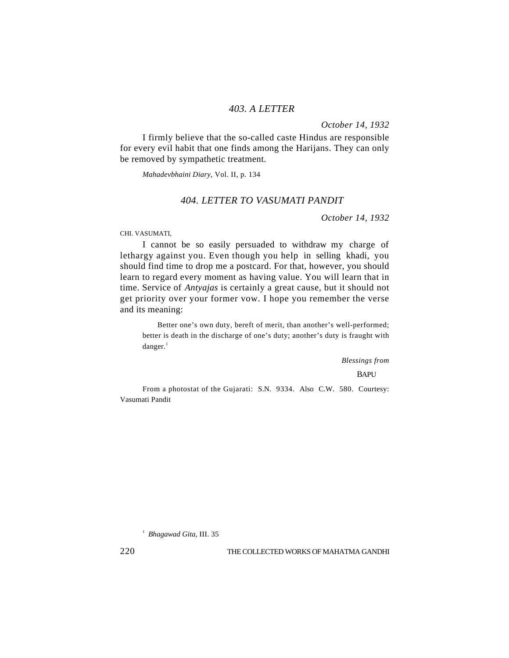# *403. A LETTER*

*October 14, 1932*

I firmly believe that the so-called caste Hindus are responsible for every evil habit that one finds among the Harijans. They can only be removed by sympathetic treatment.

*Mahadevbhaini Diary*, Vol. II, p. 134

# *404. LETTER TO VASUMATI PANDIT*

*October 14, 1932*

CHI. VASUMATI,

I cannot be so easily persuaded to withdraw my charge of lethargy against you. Even though you help in selling khadi, you should find time to drop me a postcard. For that, however, you should learn to regard every moment as having value. You will learn that in time. Service of *Antyajas* is certainly a great cause, but it should not get priority over your former vow. I hope you remember the verse and its meaning:

Better one's own duty, bereft of merit, than another's well-performed; better is death in the discharge of one's duty; another's duty is fraught with  $d$ anger.<sup>1</sup>

 *Blessings from*

**BAPU** 

From a photostat of the Gujarati: S.N. 9334. Also C.W. 580. Courtesy: Vasumati Pandit

1 *Bhagawad Gita,* III. 35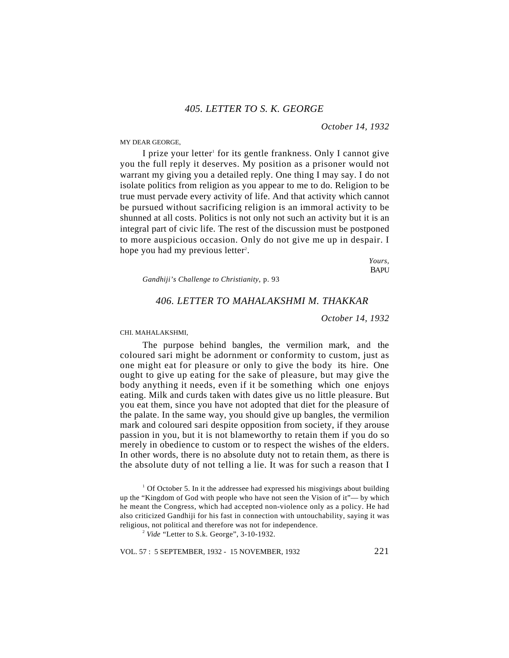*October 14, 1932*

#### MY DEAR GEORGE,

I prize your letter<sup>1</sup> for its gentle frankness. Only I cannot give you the full reply it deserves. My position as a prisoner would not warrant my giving you a detailed reply. One thing I may say. I do not isolate politics from religion as you appear to me to do. Religion to be true must pervade every activity of life. And that activity which cannot be pursued without sacrificing religion is an immoral activity to be shunned at all costs. Politics is not only not such an activity but it is an integral part of civic life. The rest of the discussion must be postponed to more auspicious occasion. Only do not give me up in despair. I hope you had my previous letter<sup>2</sup>.

> *Yours,* **BAPU**

*Gandhiji's Challenge to Christianity*, p. 93

## *406. LETTER TO MAHALAKSHMI M. THAKKAR*

*October 14, 1932*

CHI. MAHALAKSHMI,

The purpose behind bangles, the vermilion mark, and the coloured sari might be adornment or conformity to custom, just as one might eat for pleasure or only to give the body its hire. One ought to give up eating for the sake of pleasure, but may give the body anything it needs, even if it be something which one enjoys eating. Milk and curds taken with dates give us no little pleasure. But you eat them, since you have not adopted that diet for the pleasure of the palate. In the same way, you should give up bangles, the vermilion mark and coloured sari despite opposition from society, if they arouse passion in you, but it is not blameworthy to retain them if you do so merely in obedience to custom or to respect the wishes of the elders. In other words, there is no absolute duty not to retain them, as there is the absolute duty of not telling a lie. It was for such a reason that I

 $1$  Of October 5. In it the addressee had expressed his misgivings about building up the "Kingdom of God with people who have not seen the Vision of it"— by which he meant the Congress, which had accepted non-violence only as a policy. He had also criticized Gandhiji for his fast in connection with untouchability, saying it was religious, not political and therefore was not for independence.

<sup>2</sup> *Vide* "Letter to S.k. George", 3-10-1932.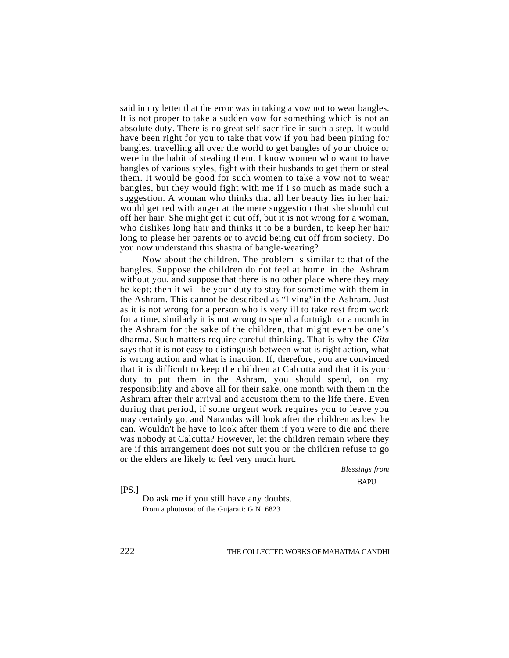said in my letter that the error was in taking a vow not to wear bangles. It is not proper to take a sudden vow for something which is not an absolute duty. There is no great self-sacrifice in such a step. It would have been right for you to take that vow if you had been pining for bangles, travelling all over the world to get bangles of your choice or were in the habit of stealing them. I know women who want to have bangles of various styles, fight with their husbands to get them or steal them. It would be good for such women to take a vow not to wear bangles, but they would fight with me if I so much as made such a suggestion. A woman who thinks that all her beauty lies in her hair would get red with anger at the mere suggestion that she should cut off her hair. She might get it cut off, but it is not wrong for a woman, who dislikes long hair and thinks it to be a burden, to keep her hair long to please her parents or to avoid being cut off from society. Do you now understand this shastra of bangle-wearing?

Now about the children. The problem is similar to that of the bangles. Suppose the children do not feel at home in the Ashram without you, and suppose that there is no other place where they may be kept; then it will be your duty to stay for sometime with them in the Ashram. This cannot be described as "living"in the Ashram. Just as it is not wrong for a person who is very ill to take rest from work for a time, similarly it is not wrong to spend a fortnight or a month in the Ashram for the sake of the children, that might even be one's dharma. Such matters require careful thinking. That is why the *Gita* says that it is not easy to distinguish between what is right action, what is wrong action and what is inaction. If, therefore, you are convinced that it is difficult to keep the children at Calcutta and that it is your duty to put them in the Ashram, you should spend, on my responsibility and above all for their sake, one month with them in the Ashram after their arrival and accustom them to the life there. Even during that period, if some urgent work requires you to leave you may certainly go, and Narandas will look after the children as best he can. Wouldn't he have to look after them if you were to die and there was nobody at Calcutta? However, let the children remain where they are if this arrangement does not suit you or the children refuse to go or the elders are likely to feel very much hurt.

*Blessings from*

**BAPU** 

[PS.]

Do ask me if you still have any doubts. From a photostat of the Gujarati: G.N. 6823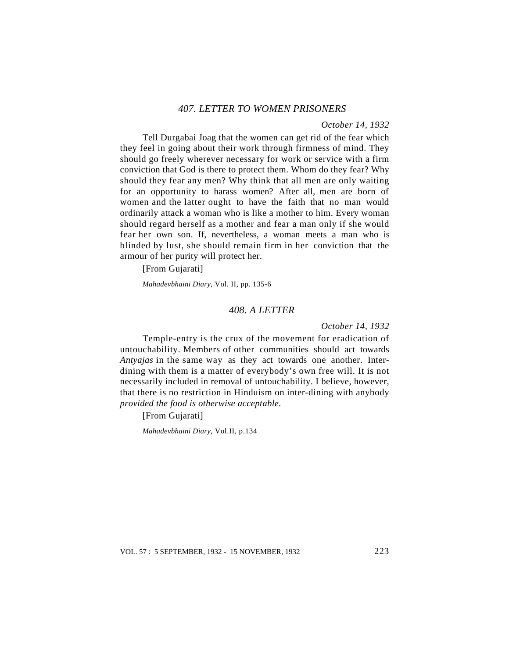# *407. LETTER TO WOMEN PRISONERS*

### *October 14, 1932*

Tell Durgabai Joag that the women can get rid of the fear which they feel in going about their work through firmness of mind. They should go freely wherever necessary for work or service with a firm conviction that God is there to protect them. Whom do they fear? Why should they fear any men? Why think that all men are only waiting for an opportunity to harass women? After all, men are born of women and the latter ought to have the faith that no man would ordinarily attack a woman who is like a mother to him. Every woman should regard herself as a mother and fear a man only if she would fear her own son. If, nevertheless, a woman meets a man who is blinded by lust, she should remain firm in her conviction that the armour of her purity will protect her.

[From Gujarati]

*Mahadevbhaini Diary*, Vol. II, pp. 135-6

# *408. A LETTER*

*October 14, 1932*

Temple-entry is the crux of the movement for eradication of untouchability. Members of other communities should act towards *Antyajas* in the same way as they act towards one another. Interdining with them is a matter of everybody's own free will. It is not necessarily included in removal of untouchability. I believe, however, that there is no restriction in Hinduism on inter-dining with anybody *provided the food is otherwise acceptable.*

[From Gujarati]

*Mahadevbhaini Diary*, Vol.II, p.134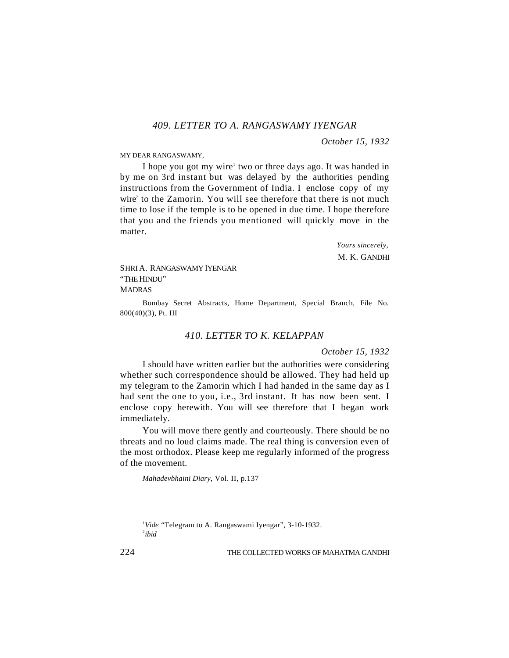*October 15, 1932*

MY DEAR RANGASWAMY

I hope you got my wire<sup>1</sup> two or three days ago. It was handed in by me on 3rd instant but was delayed by the authorities pending instructions from the Government of India. I enclose copy of my wire<sup>2</sup> to the Zamorin. You will see therefore that there is not much time to lose if the temple is to be opened in due time. I hope therefore that you and the friends you mentioned will quickly move in the matter.

> *Yours sincerely,* M. K. GANDHI

SHRI A. RANGASWAMY IYENGAR "THE HINDU" MADRAS

Bombay Secret Abstracts, Home Department, Special Branch, File No. 800(40)(3), Pt. III

# *410. LETTER TO K. KELAPPAN*

*October 15, 1932*

I should have written earlier but the authorities were considering whether such correspondence should be allowed. They had held up my telegram to the Zamorin which I had handed in the same day as I had sent the one to you, i.e., 3rd instant. It has now been sent. I enclose copy herewith. You will see therefore that I began work immediately.

You will move there gently and courteously. There should be no threats and no loud claims made. The real thing is conversion even of the most orthodox. Please keep me regularly informed of the progress of the movement.

*Mahadevbhaini Diary*, Vol. II, p.137

<sup>1</sup>Vide "Telegram to A. Rangaswami Iyengar", 3-10-1932. 2 *ibid*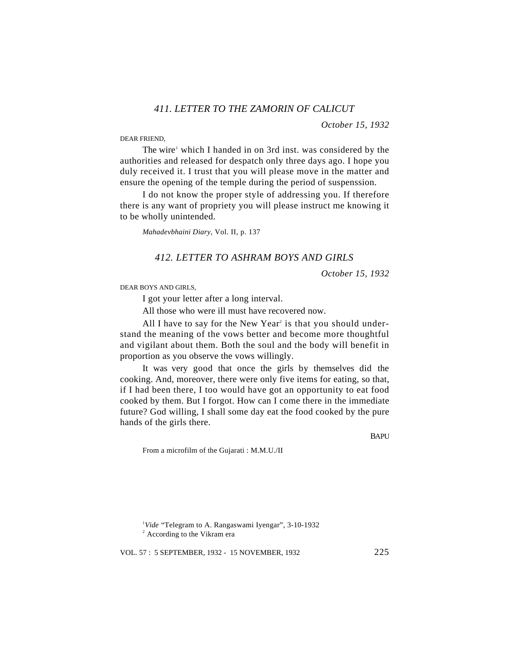*October 15, 1932*

DEAR FRIEND,

The wire<sup>1</sup> which I handed in on 3rd inst. was considered by the authorities and released for despatch only three days ago. I hope you duly received it. I trust that you will please move in the matter and ensure the opening of the temple during the period of suspenssion.

I do not know the proper style of addressing you. If therefore there is any want of propriety you will please instruct me knowing it to be wholly unintended.

*Mahadevbhaini Diary*, Vol. II, p. 137

# *412. LETTER TO ASHRAM BOYS AND GIRLS*

*October 15, 1932*

DEAR BOYS AND GIRLS,

I got your letter after a long interval.

All those who were ill must have recovered now.

All I have to say for the New Year<sup>2</sup> is that you should understand the meaning of the vows better and become more thoughtful and vigilant about them. Both the soul and the body will benefit in proportion as you observe the vows willingly.

It was very good that once the girls by themselves did the cooking. And, moreover, there were only five items for eating, so that, if I had been there, I too would have got an opportunity to eat food cooked by them. But I forgot. How can I come there in the immediate future? God willing, I shall some day eat the food cooked by the pure hands of the girls there.

BAPU

From a microfilm of the Gujarati : M.M.U./II

<sup>1</sup>*Vide* "Telegram to A. Rangaswami Iyengar", 3-10-1932

<sup>&</sup>lt;sup>2</sup> According to the Vikram era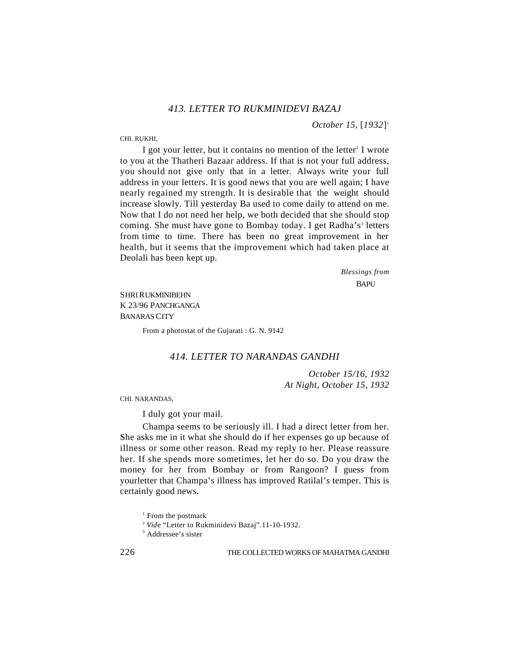*October 15,* [*1932*] 1

CHI. RUKHI,

I got your letter, but it contains no mention of the letter<sup>2</sup> I wrote to you at the Thatheri Bazaar address. If that is not your full address, you should not give only that in a letter. Always write your full address in your letters. It is good news that you are well again; I have nearly regained my strength. It is desirable that the weight should increase slowly. Till yesterday Ba used to come daily to attend on me. Now that I do not need her help, we both decided that she should stop coming. She must have gone to Bombay today. I get Radha's<sup>3</sup> letters from time to time. There has been no great improvement in her health, but it seems that the improvement which had taken place at Deolali has been kept up.

> *Blessings from* **BAPU**

SHRI RUKMINIBEHN K 23/96 PANCHGANGA BANARAS CITY

From a photostat of the Gujarati : G. N. 9142

# *414. LETTER TO NARANDAS GANDHI*

*October 15/16, 1932 At Night, October 15, 1932*

CHI. NARANDAS,

I duly got your mail.

Champa seems to be seriously ill. I had a direct letter from her. She asks me in it what she should do if her expenses go up because of illness or some other reason. Read my reply to her. Please reassure her. If she spends more sometimes, let her do so. Do you draw the money for her from Bombay or from Rangoon? I guess from yourletter that Champa's illness has improved Ratilal's temper. This is certainly good news.

<sup>1</sup> From the postmark

<sup>2</sup> *Vid*e "Letter to Rukminidevi Bazaj".11-10-1932.

<sup>3</sup> Addressee's sister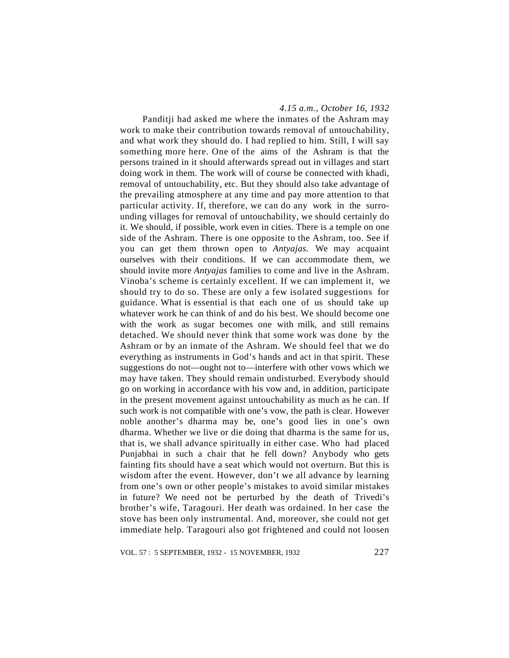#### *4.15 a.m., October 16, 1932*

Panditji had asked me where the inmates of the Ashram may work to make their contribution towards removal of untouchability, and what work they should do. I had replied to him. Still, I will say something more here. One of the aims of the Ashram is that the persons trained in it should afterwards spread out in villages and start doing work in them. The work will of course be connected with khadi, removal of untouchability, etc. But they should also take advantage of the prevailing atmosphere at any time and pay more attention to that particular activity. If, therefore, we can do any work in the surrounding villages for removal of untouchability, we should certainly do it. We should, if possible, work even in cities. There is a temple on one side of the Ashram. There is one opposite to the Ashram, too. See if you can get them thrown open to *Antyajas.* We may acquaint ourselves with their conditions. If we can accommodate them, we should invite more *Antyajas* families to come and live in the Ashram. Vinoba's scheme is certainly excellent. If we can implement it, we should try to do so. These are only a few isolated suggestions for guidance. What is essential is that each one of us should take up whatever work he can think of and do his best. We should become one with the work as sugar becomes one with milk, and still remains detached. We should never think that some work was done by the Ashram or by an inmate of the Ashram. We should feel that we do everything as instruments in God's hands and act in that spirit. These suggestions do not—ought not to—interfere with other vows which we may have taken. They should remain undisturbed. Everybody should go on working in accordance with his vow and, in addition, participate in the present movement against untouchability as much as he can. If such work is not compatible with one's vow, the path is clear. However noble another's dharma may be, one's good lies in one's own dharma. Whether we live or die doing that dharma is the same for us, that is, we shall advance spiritually in either case. Who had placed Punjabhai in such a chair that he fell down? Anybody who gets fainting fits should have a seat which would not overturn. But this is wisdom after the event. However, don't we all advance by learning from one's own or other people's mistakes to avoid similar mistakes in future? We need not be perturbed by the death of Trivedi's brother's wife, Taragouri. Her death was ordained. In her case the stove has been only instrumental. And, moreover, she could not get immediate help. Taragouri also got frightened and could not loosen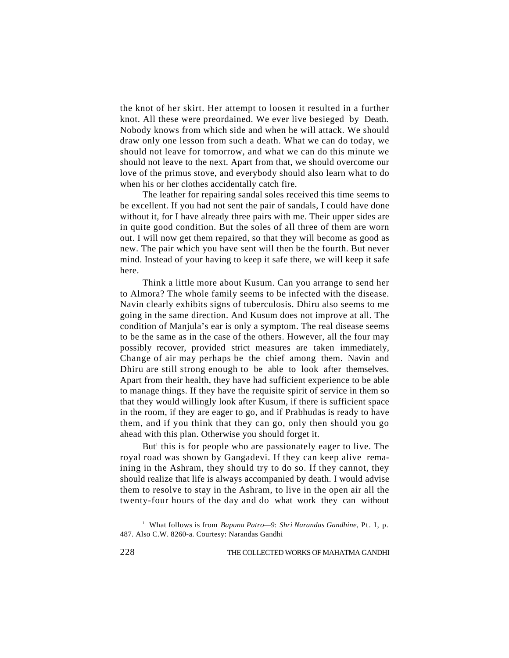the knot of her skirt. Her attempt to loosen it resulted in a further knot. All these were preordained. We ever live besieged by Death. Nobody knows from which side and when he will attack. We should draw only one lesson from such a death. What we can do today, we should not leave for tomorrow, and what we can do this minute we should not leave to the next. Apart from that, we should overcome our love of the primus stove, and everybody should also learn what to do when his or her clothes accidentally catch fire.

The leather for repairing sandal soles received this time seems to be excellent. If you had not sent the pair of sandals, I could have done without it, for I have already three pairs with me. Their upper sides are in quite good condition. But the soles of all three of them are worn out. I will now get them repaired, so that they will become as good as new. The pair which you have sent will then be the fourth. But never mind. Instead of your having to keep it safe there, we will keep it safe here.

Think a little more about Kusum. Can you arrange to send her to Almora? The whole family seems to be infected with the disease. Navin clearly exhibits signs of tuberculosis. Dhiru also seems to me going in the same direction. And Kusum does not improve at all. The condition of Manjula's ear is only a symptom. The real disease seems to be the same as in the case of the others. However, all the four may possibly recover, provided strict measures are taken immediately, Change of air may perhaps be the chief among them. Navin and Dhiru are still strong enough to be able to look after themselves. Apart from their health, they have had sufficient experience to be able to manage things. If they have the requisite spirit of service in them so that they would willingly look after Kusum, if there is sufficient space in the room, if they are eager to go, and if Prabhudas is ready to have them, and if you think that they can go, only then should you go ahead with this plan. Otherwise you should forget it.

But<sup>1</sup> this is for people who are passionately eager to live. The royal road was shown by Gangadevi. If they can keep alive remaining in the Ashram, they should try to do so. If they cannot, they should realize that life is always accompanied by death. I would advise them to resolve to stay in the Ashram, to live in the open air all the twenty-four hours of the day and do what work they can without

<sup>&</sup>lt;sup>1</sup> What follows is from *Bapuna Patro*—9: *Shri Narandas Gandhine*, Pt. I, p. 487. Also C.W. 8260-a. Courtesy: Narandas Gandhi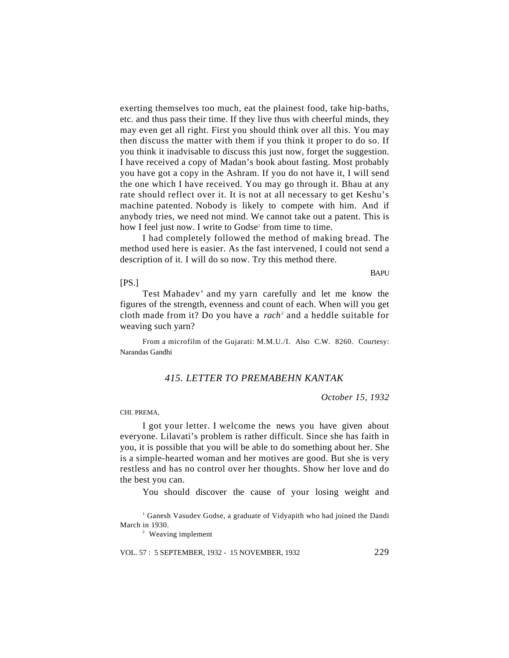exerting themselves too much, eat the plainest food, take hip-baths, etc. and thus pass their time. If they live thus with cheerful minds, they may even get all right. First you should think over all this. You may then discuss the matter with them if you think it proper to do so. If you think it inadvisable to discuss this just now, forget the suggestion. I have received a copy of Madan's book about fasting. Most probably you have got a copy in the Ashram. If you do not have it, I will send the one which I have received. You may go through it. Bhau at any rate should reflect over it. It is not at all necessary to get Keshu's machine patented. Nobody is likely to compete with him. And if anybody tries, we need not mind. We cannot take out a patent. This is how I feel just now. I write to Godse<sup>1</sup> from time to time.

I had completely followed the method of making bread. The method used here is easier. As the fast intervened, I could not send a description of it. I will do so now. Try this method there.

[PS.]

Test Mahadev' and my yarn carefully and let me know the figures of the strength, evenness and count of each. When will you get cloth made from it? Do you have a *rach*<sup>2</sup> and a heddle suitable for weaving such yarn?

From a microfilm of the Gujarati: M.M.U./I. Also C.W. 8260. Courtesy: Narandas Gandhi

# *415. LETTER TO PREMABEHN KANTAK*

*October 15, 1932*

CHI. PREMA,

I got your letter. I welcome the news you have given about everyone. Lilavati's problem is rather difficult. Since she has faith in you, it is possible that you will be able to do something about her. She is a simple-hearted woman and her motives are good. But she is very restless and has no control over her thoughts. Show her love and do the best you can.

You should discover the cause of your losing weight and

<sup>1</sup> Ganesh Vasudev Godse, a graduate of Vidyapith who had joined the Dandi March in 1930.

<sup>2</sup> Weaving implement

BAPU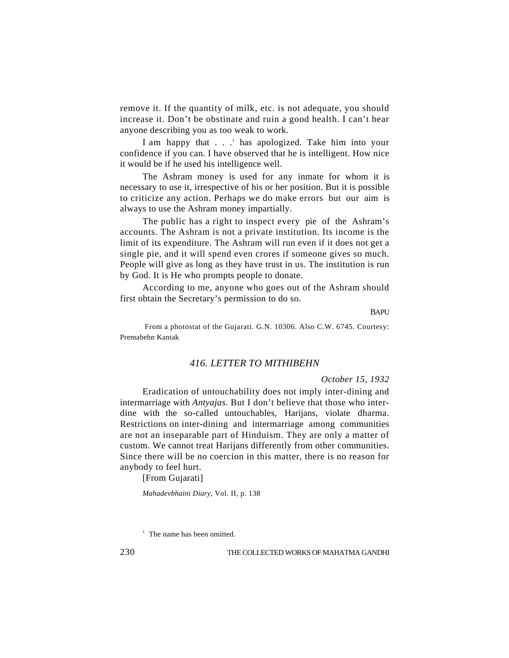remove it. If the quantity of milk, etc. is not adequate, you should increase it. Don't be obstinate and ruin a good health. I can't bear anyone describing you as too weak to work.

I am happy that . . .<sup>1</sup> has apologized. Take him into your confidence if you can. I have observed that he is intelligent. How nice it would be if he used his intelligence well.

The Ashram money is used for any inmate for whom it is necessary to use it, irrespective of his or her position. But it is possible to criticize any action. Perhaps we do make errors but our aim is always to use the Ashram money impartially.

The public has a right to inspect every pie of the Ashram's accounts. The Ashram is not a private institution. Its income is the limit of its expenditure. The Ashram will run even if it does not get a single pie, and it will spend even crores if someone gives so much. People will give as long as they have trust in us. The institution is run by God. It is He who prompts people to donate.

According to me, anyone who goes out of the Ashram should first obtain the Secretary's permission to do so.

**BAPU** 

 From a photostat of the Gujarati. G.N. 10306. Also C.W. 6745. Courtesy: Premabehn Kantak

# *416. LETTER TO MITHIBEHN*

# *October 15, 1932*

Eradication of untouchability does not imply inter-dining and intermarriage with *Antyajas*. But I don't believe that those who interdine with the so-called untouchables, Harijans, violate dharma. Restrictions on inter-dining and intermarriage among communities are not an inseparable part of Hinduism. They are only a matter of custom. We cannot treat Harijans differently from other communities. Since there will be no coercion in this matter, there is no reason for anybody to feel hurt.

[From Gujarati]

*Mahadevbhaini Diary*, Vol. II, p. 138

<sup>&</sup>lt;sup>1</sup> The name has been omitted.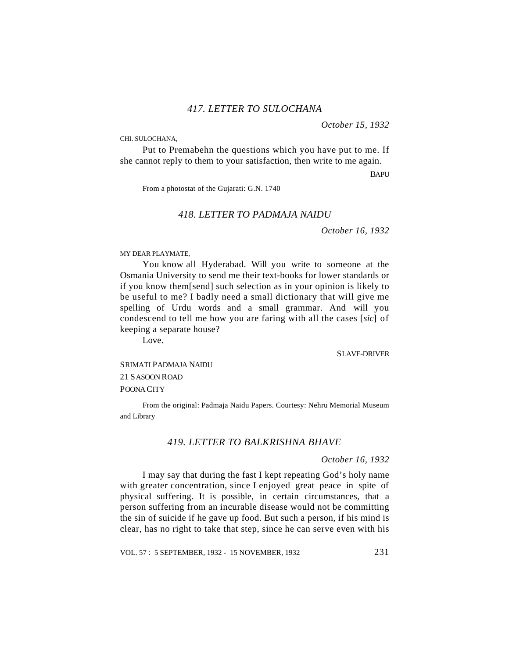*October 15, 1932*

#### CHI. SULOCHANA,

Put to Premabehn the questions which you have put to me. If she cannot reply to them to your satisfaction, then write to me again.

**BAPU** 

From a photostat of the Gujarati: G.N. 1740

# *418. LETTER TO PADMAJA NAIDU*

*October 16, 1932*

#### MY DEAR PLAYMATE,

You know all Hyderabad. Will you write to someone at the Osmania University to send me their text-books for lower standards or if you know them[send] such selection as in your opinion is likely to be useful to me? I badly need a small dictionary that will give me spelling of Urdu words and a small grammar. And will you condescend to tell me how you are faring with all the cases [*sic*] of keeping a separate house?

Love.

SLAVE-DRIVER

SRIMATI PADMAJA NAIDU 21 SASOON ROAD

#### POONA CITY

From the original: Padmaja Naidu Papers. Courtesy: Nehru Memorial Museum and Library

### *419. LETTER TO BALKRISHNA BHAVE*

#### *October 16, 1932*

I may say that during the fast I kept repeating God's holy name with greater concentration, since I enjoyed great peace in spite of physical suffering. It is possible, in certain circumstances, that a person suffering from an incurable disease would not be committing the sin of suicide if he gave up food. But such a person, if his mind is clear, has no right to take that step, since he can serve even with his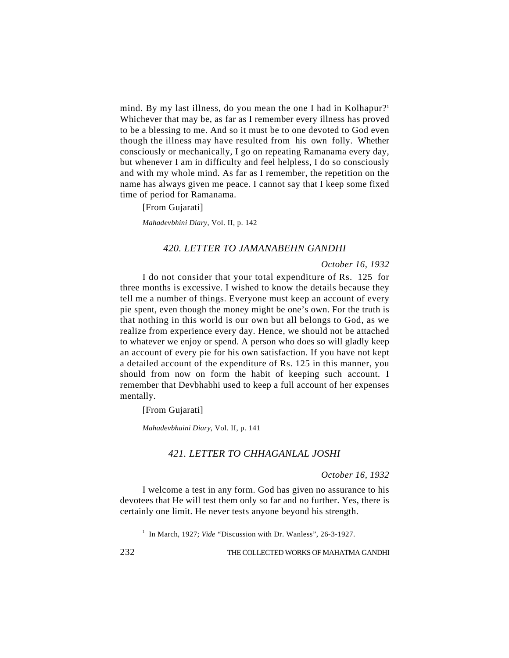mind. By my last illness, do you mean the one I had in Kolhapur?<sup>1</sup> Whichever that may be, as far as I remember every illness has proved to be a blessing to me. And so it must be to one devoted to God even though the illness may have resulted from his own folly. Whether consciously or mechanically, I go on repeating Ramanama every day, but whenever I am in difficulty and feel helpless, I do so consciously and with my whole mind. As far as I remember, the repetition on the name has always given me peace. I cannot say that I keep some fixed time of period for Ramanama.

[From Gujarati]

*Mahadevbhini Diary*, Vol. II, p. 142

# *420. LETTER TO JAMANABEHN GANDHI*

# *October 16, 1932*

I do not consider that your total expenditure of Rs. 125 for three months is excessive. I wished to know the details because they tell me a number of things. Everyone must keep an account of every pie spent, even though the money might be one's own. For the truth is that nothing in this world is our own but all belongs to God, as we realize from experience every day. Hence, we should not be attached to whatever we enjoy or spend. A person who does so will gladly keep an account of every pie for his own satisfaction. If you have not kept a detailed account of the expenditure of Rs. 125 in this manner, you should from now on form the habit of keeping such account. I remember that Devbhabhi used to keep a full account of her expenses mentally.

[From Gujarati]

*Mahadevbhaini Diary*, Vol. II, p. 141

# *421. LETTER TO CHHAGANLAL JOSHI*

*October 16, 1932*

I welcome a test in any form. God has given no assurance to his devotees that He will test them only so far and no further. Yes, there is certainly one limit. He never tests anyone beyond his strength.

<sup>1</sup> In March, 1927; *Vide* "Discussion with Dr. Wanless", 26-3-1927.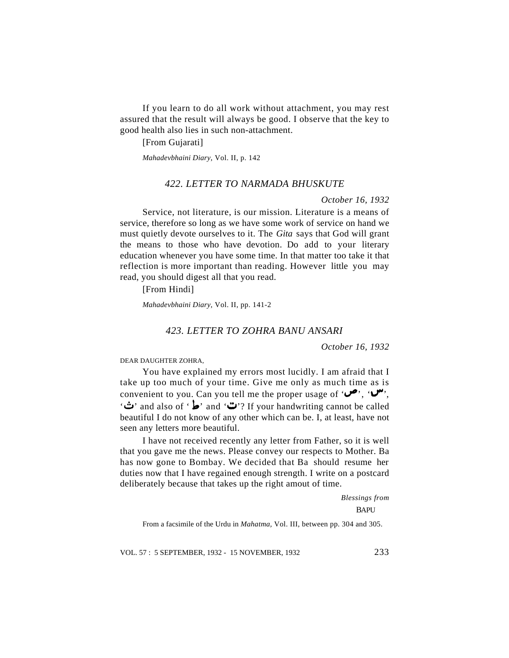If you learn to do all work without attachment, you may rest assured that the result will always be good. I observe that the key to good health also lies in such non-attachment.

[From Gujarati]

*Mahadevbhaini Diary*, Vol. II, p. 142

# *422. LETTER TO NARMADA BHUSKUTE*

### *October 16, 1932*

Service, not literature, is our mission. Literature is a means of service, therefore so long as we have some work of service on hand we must quietly devote ourselves to it. The *Gita* says that God will grant the means to those who have devotion. Do add to your literary education whenever you have some time. In that matter too take it that reflection is more important than reading. However little you may read, you should digest all that you read.

[From Hindi]

*Mahadevbhaini Diary*, Vol. II, pp. 141-2

### *423. LETTER TO ZOHRA BANU ANSARI*

*October 16, 1932*

DEAR DAUGHTER ZOHRA,

You have explained my errors most lucidly. I am afraid that I take up too much of your time. Give me only as much time as is convenient to you. Can you tell me the proper usage of ' $\mathbf{w}$ ', ' $\mathbf{w}$ ',  $\cdot \mathbf{\dot{\omega}}$  and also of  $\cdot \mathbf{b}$  and  $\cdot \mathbf{\dot{\omega}}$ ? If your handwriting cannot be called beautiful I do not know of any other which can be. I, at least, have not seen any letters more beautiful.

I have not received recently any letter from Father, so it is well that you gave me the news. Please convey our respects to Mother. Ba has now gone to Bombay. We decided that Ba should resume her duties now that I have regained enough strength. I write on a postcard deliberately because that takes up the right amout of time.

> *Blessings from* BAPU

From a facsimile of the Urdu in *Mahatma,* Vol. III, between pp. 304 and 305.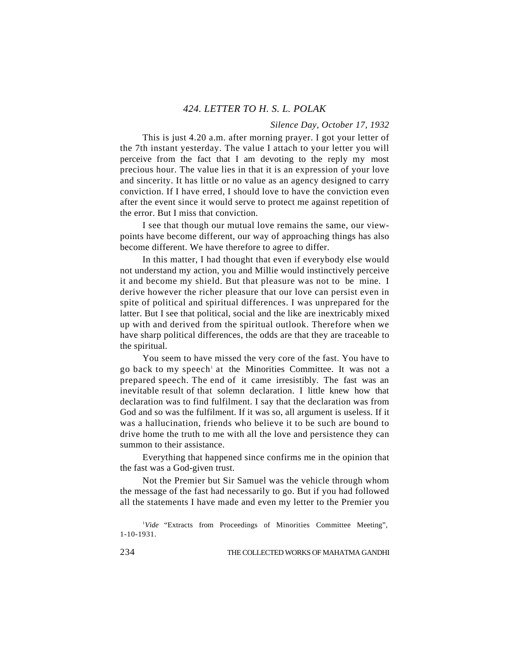# *424. LETTER TO H. S. L. POLAK*

### *Silence Day, October 17, 1932*

This is just 4.20 a.m. after morning prayer. I got your letter of the 7th instant yesterday. The value I attach to your letter you will perceive from the fact that I am devoting to the reply my most precious hour. The value lies in that it is an expression of your love and sincerity. It has little or no value as an agency designed to carry conviction. If I have erred, I should love to have the conviction even after the event since it would serve to protect me against repetition of the error. But I miss that conviction.

I see that though our mutual love remains the same, our viewpoints have become different, our way of approaching things has also become different. We have therefore to agree to differ.

In this matter, I had thought that even if everybody else would not understand my action, you and Millie would instinctively perceive it and become my shield. But that pleasure was not to be mine. I derive however the richer pleasure that our love can persist even in spite of political and spiritual differences. I was unprepared for the latter. But I see that political, social and the like are inextricably mixed up with and derived from the spiritual outlook. Therefore when we have sharp political differences, the odds are that they are traceable to the spiritual.

You seem to have missed the very core of the fast. You have to go back to my speech<sup>1</sup> at the Minorities Committee. It was not a prepared speech. The end of it came irresistibly. The fast was an inevitable result of that solemn declaration. I little knew how that declaration was to find fulfilment. I say that the declaration was from God and so was the fulfilment. If it was so, all argument is useless. If it was a hallucination, friends who believe it to be such are bound to drive home the truth to me with all the love and persistence they can summon to their assistance.

Everything that happened since confirms me in the opinion that the fast was a God-given trust.

Not the Premier but Sir Samuel was the vehicle through whom the message of the fast had necessarily to go. But if you had followed all the statements I have made and even my letter to the Premier you

<sup>&</sup>lt;sup>1</sup>Vide "Extracts from Proceedings of Minorities Committee Meeting", 1-10-1931.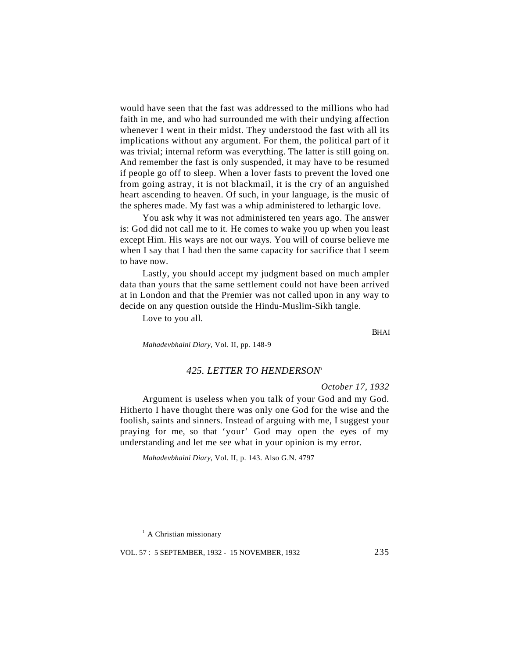would have seen that the fast was addressed to the millions who had faith in me, and who had surrounded me with their undying affection whenever I went in their midst. They understood the fast with all its implications without any argument. For them, the political part of it was trivial; internal reform was everything. The latter is still going on. And remember the fast is only suspended, it may have to be resumed if people go off to sleep. When a lover fasts to prevent the loved one from going astray, it is not blackmail, it is the cry of an anguished heart ascending to heaven. Of such, in your language, is the music of the spheres made. My fast was a whip administered to lethargic love.

You ask why it was not administered ten years ago. The answer is: God did not call me to it. He comes to wake you up when you least except Him. His ways are not our ways. You will of course believe me when I say that I had then the same capacity for sacrifice that I seem to have now.

Lastly, you should accept my judgment based on much ampler data than yours that the same settlement could not have been arrived at in London and that the Premier was not called upon in any way to decide on any question outside the Hindu-Muslim-Sikh tangle.

Love to you all.

BHAI

*Mahadevbhaini Diary*, Vol. II, pp. 148-9

### *425. LETTER TO HENDERSON<sup>1</sup>*

*October 17, 1932*

Argument is useless when you talk of your God and my God. Hitherto I have thought there was only one God for the wise and the foolish, saints and sinners. Instead of arguing with me, I suggest your praying for me, so that 'your' God may open the eyes of my understanding and let me see what in your opinion is my error.

*Mahadevbhaini Diary*, Vol. II, p. 143. Also G.N. 4797

 $<sup>1</sup>$  A Christian missionary</sup>

VOL. 57 : 5 SEPTEMBER, 1932 - 15 NOVEMBER, 1932 235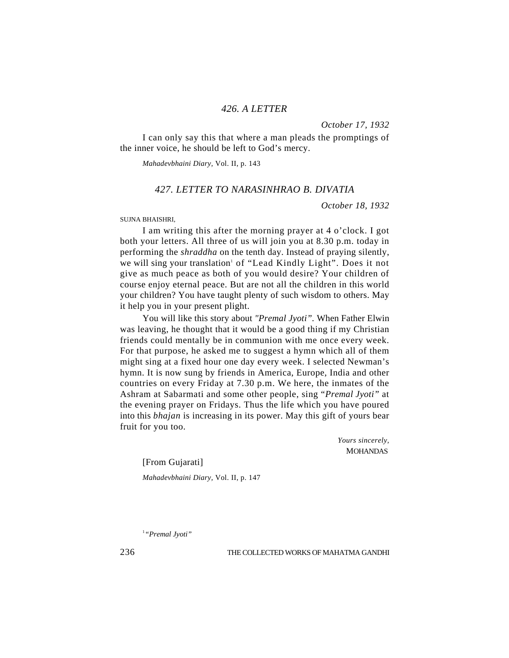# *426. A LETTER*

*October 17, 1932*

I can only say this that where a man pleads the promptings of the inner voice, he should be left to God's mercy.

*Mahadevbhaini Diary,* Vol. II, p. 143

# *427. LETTER TO NARASINHRAO B. DIVATIA*

*October 18, 1932*

SUJNA BHAISHRI,

I am writing this after the morning prayer at 4 o'clock. I got both your letters. All three of us will join you at 8.30 p.m. today in performing the *shraddha* on the tenth day. Instead of praying silently, we will sing your translation<sup>1</sup> of "Lead Kindly Light". Does it not give as much peace as both of you would desire? Your children of course enjoy eternal peace. But are not all the children in this world your children? You have taught plenty of such wisdom to others. May it help you in your present plight.

You will like this story about *"Premal Jyoti".* When Father Elwin was leaving, he thought that it would be a good thing if my Christian friends could mentally be in communion with me once every week. For that purpose, he asked me to suggest a hymn which all of them might sing at a fixed hour one day every week. I selected Newman's hymn. It is now sung by friends in America, Europe, India and other countries on every Friday at 7.30 p.m. We here, the inmates of the Ashram at Sabarmati and some other people, sing "*Premal Jyoti"* at the evening prayer on Fridays. Thus the life which you have poured into this *bhajan* is increasing in its power. May this gift of yours bear fruit for you too.

> *Yours sincerely,* **MOHANDAS**

[From Gujarati]

*Mahadevbhaini Diary,* Vol. II, p. 147

1 *"Premal Jyoti"*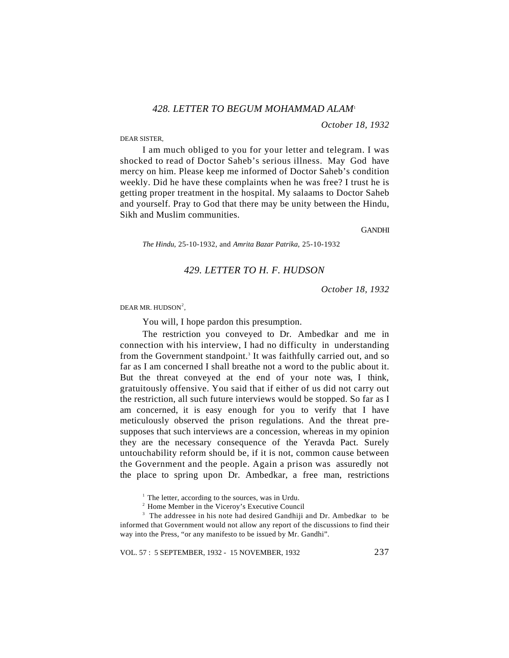*October 18, 1932*

DEAR SISTER,

I am much obliged to you for your letter and telegram. I was shocked to read of Doctor Saheb's serious illness. May God have mercy on him. Please keep me informed of Doctor Saheb's condition weekly. Did he have these complaints when he was free? I trust he is getting proper treatment in the hospital. My salaams to Doctor Saheb and yourself. Pray to God that there may be unity between the Hindu, Sikh and Muslim communities.

**GANDHI** 

*The Hindu*, 25-10-1932, and *Amrita Bazar Patrika*, 25-10-1932

## *429. LETTER TO H. F. HUDSON*

*October 18, 1932*

DEAR MR. HUDSON<sup>2</sup>,

You will, I hope pardon this presumption.

The restriction you conveyed to Dr. Ambedkar and me in connection with his interview, I had no difficulty in understanding from the Government standpoint.<sup>3</sup> It was faithfully carried out, and so far as I am concerned I shall breathe not a word to the public about it. But the threat conveyed at the end of your note was, I think, gratuitously offensive. You said that if either of us did not carry out the restriction, all such future interviews would be stopped. So far as I am concerned, it is easy enough for you to verify that I have meticulously observed the prison regulations. And the threat presupposes that such interviews are a concession, whereas in my opinion they are the necessary consequence of the Yeravda Pact. Surely untouchability reform should be, if it is not, common cause between the Government and the people. Again a prison was assuredly not the place to spring upon Dr. Ambedkar, a free man, restrictions

<sup>1</sup> The letter, according to the sources, was in Urdu.

<sup>3</sup> The addressee in his note had desired Gandhiji and Dr. Ambedkar to be informed that Government would not allow any report of the discussions to find their way into the Press, "or any manifesto to be issued by Mr. Gandhi".

VOL. 57 : 5 SEPTEMBER, 1932 - 15 NOVEMBER, 1932 237

<sup>2</sup> Home Member in the Viceroy's Executive Council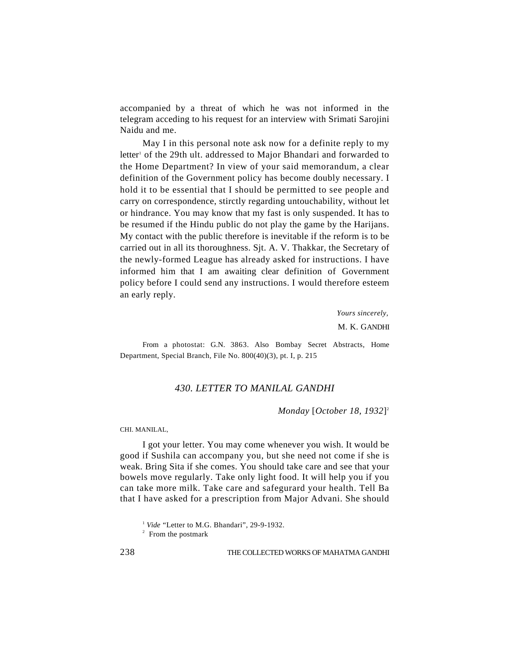accompanied by a threat of which he was not informed in the telegram acceding to his request for an interview with Srimati Sarojini Naidu and me.

May I in this personal note ask now for a definite reply to my letter<sup>1</sup> of the 29th ult. addressed to Major Bhandari and forwarded to the Home Department? In view of your said memorandum, a clear definition of the Government policy has become doubly necessary. I hold it to be essential that I should be permitted to see people and carry on correspondence, stirctly regarding untouchability, without let or hindrance. You may know that my fast is only suspended. It has to be resumed if the Hindu public do not play the game by the Harijans. My contact with the public therefore is inevitable if the reform is to be carried out in all its thoroughness. Sjt. A. V. Thakkar, the Secretary of the newly-formed League has already asked for instructions. I have informed him that I am awaiting clear definition of Government policy before I could send any instructions. I would therefore esteem an early reply.

> *Yours sincerely,* M. K. GANDHI

From a photostat: G.N. 3863. Also Bombay Secret Abstracts, Home Department, Special Branch, File No. 800(40)(3), pt. I, p. 215

# *430. LETTER TO MANILAL GANDHI*

*Monday* [*October 18, 1932*] 2

CHI. MANILAL,

I got your letter. You may come whenever you wish. It would be good if Sushila can accompany you, but she need not come if she is weak. Bring Sita if she comes. You should take care and see that your bowels move regularly. Take only light food. It will help you if you can take more milk. Take care and safegurard your health. Tell Ba that I have asked for a prescription from Major Advani. She should

<sup>2</sup> From the postmark

<sup>&</sup>lt;sup>1</sup> *Vide* "Letter to M.G. Bhandari", 29-9-1932.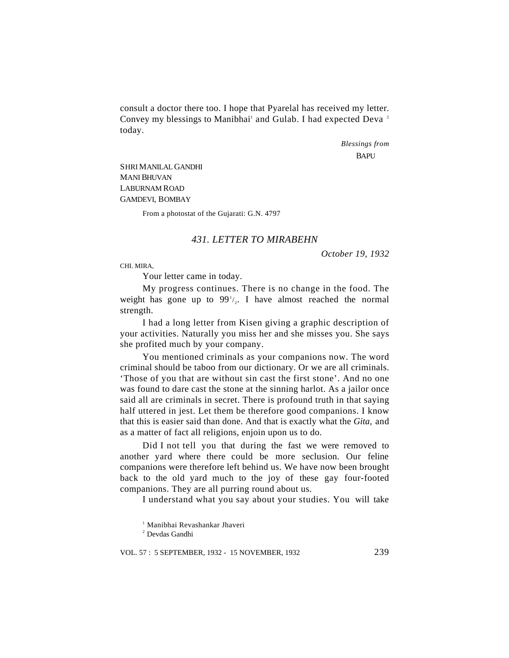consult a doctor there too. I hope that Pyarelal has received my letter. Convey my blessings to Manibhai<sup>1</sup> and Gulab. I had expected Deva<sup>2</sup> today.

> *Blessings from* BAPU

SHRI MANILAL GANDHI MANI RHI IVAN LABURNAM ROAD GAMDEVI, BOMBAY

From a photostat of the Gujarati: G.N. 4797

# *431. LETTER TO MIRABEHN*

*October 19, 1932*

CHI. MIRA,

Your letter came in today.

My progress continues. There is no change in the food. The weight has gone up to  $99<sup>1</sup>/<sub>2</sub>$ . I have almost reached the normal strength.

I had a long letter from Kisen giving a graphic description of your activities. Naturally you miss her and she misses you. She says she profited much by your company.

You mentioned criminals as your companions now. The word criminal should be taboo from our dictionary. Or we are all criminals. 'Those of you that are without sin cast the first stone'. And no one was found to dare cast the stone at the sinning harlot. As a jailor once said all are criminals in secret. There is profound truth in that saying half uttered in jest. Let them be therefore good companions. I know that this is easier said than done. And that is exactly what the *Gita,* and as a matter of fact all religions, enjoin upon us to do.

Did I not tell you that during the fast we were removed to another yard where there could be more seclusion. Our feline companions were therefore left behind us. We have now been brought back to the old yard much to the joy of these gay four-footed companions. They are all purring round about us.

I understand what you say about your studies. You will take

<sup>1</sup> Manibhai Revashankar Jhaveri

<sup>2</sup> Devdas Gandhi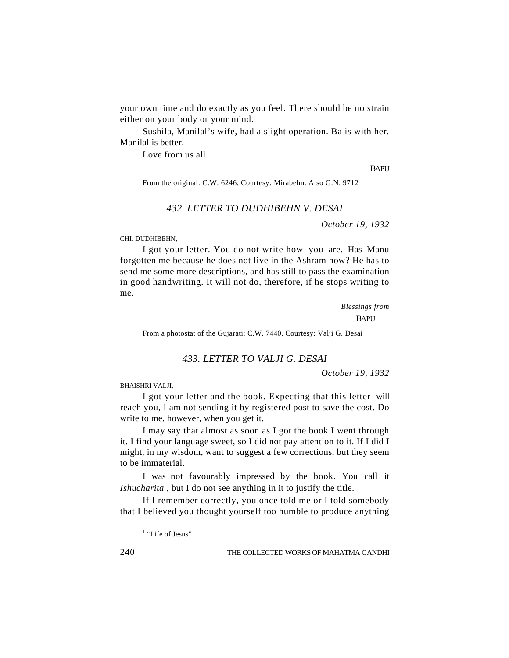your own time and do exactly as you feel. There should be no strain either on your body or your mind.

Sushila, Manilal's wife, had a slight operation. Ba is with her. Manilal is better.

Love from us all.

BAPU

From the original: C.W. 6246. Courtesy: Mirabehn. Also G.N. 9712

# *432. LETTER TO DUDHIBEHN V. DESAI*

*October 19, 1932*

CHI. DUDHIBEHN,

I got your letter. You do not write how you are. Has Manu forgotten me because he does not live in the Ashram now? He has to send me some more descriptions, and has still to pass the examination in good handwriting. It will not do, therefore, if he stops writing to me.

> *Blessings from* **BAPU**

From a photostat of the Gujarati: C.W. 7440. Courtesy: Valji G. Desai

# *433. LETTER TO VALJI G. DESAI*

*October 19, 1932*

BHAISHRI VALJI,

I got your letter and the book. Expecting that this letter will reach you, I am not sending it by registered post to save the cost. Do write to me, however, when you get it.

I may say that almost as soon as I got the book I went through it. I find your language sweet, so I did not pay attention to it. If I did I might, in my wisdom, want to suggest a few corrections, but they seem to be immaterial.

I was not favourably impressed by the book. You call it Ishucharita<sup>1</sup>, but I do not see anything in it to justify the title.

If I remember correctly, you once told me or I told somebody that I believed you thought yourself too humble to produce anything

<sup>1</sup> "Life of Jesus"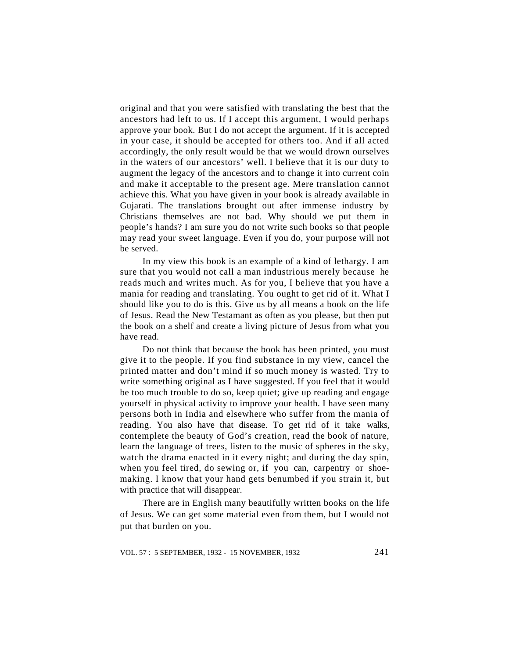original and that you were satisfied with translating the best that the ancestors had left to us. If I accept this argument, I would perhaps approve your book. But I do not accept the argument. If it is accepted in your case, it should be accepted for others too. And if all acted accordingly, the only result would be that we would drown ourselves in the waters of our ancestors' well. I believe that it is our duty to augment the legacy of the ancestors and to change it into current coin and make it acceptable to the present age. Mere translation cannot achieve this. What you have given in your book is already available in Gujarati. The translations brought out after immense industry by Christians themselves are not bad. Why should we put them in people's hands? I am sure you do not write such books so that people may read your sweet language. Even if you do, your purpose will not be served.

In my view this book is an example of a kind of lethargy. I am sure that you would not call a man industrious merely because he reads much and writes much. As for you, I believe that you have a mania for reading and translating. You ought to get rid of it. What I should like you to do is this. Give us by all means a book on the life of Jesus. Read the New Testamant as often as you please, but then put the book on a shelf and create a living picture of Jesus from what you have read.

Do not think that because the book has been printed, you must give it to the people. If you find substance in my view, cancel the printed matter and don't mind if so much money is wasted. Try to write something original as I have suggested. If you feel that it would be too much trouble to do so, keep quiet; give up reading and engage yourself in physical activity to improve your health. I have seen many persons both in India and elsewhere who suffer from the mania of reading. You also have that disease. To get rid of it take walks, contemplete the beauty of God's creation, read the book of nature, learn the language of trees, listen to the music of spheres in the sky, watch the drama enacted in it every night; and during the day spin, when you feel tired, do sewing or, if you can, carpentry or shoemaking. I know that your hand gets benumbed if you strain it, but with practice that will disappear.

There are in English many beautifully written books on the life of Jesus. We can get some material even from them, but I would not put that burden on you.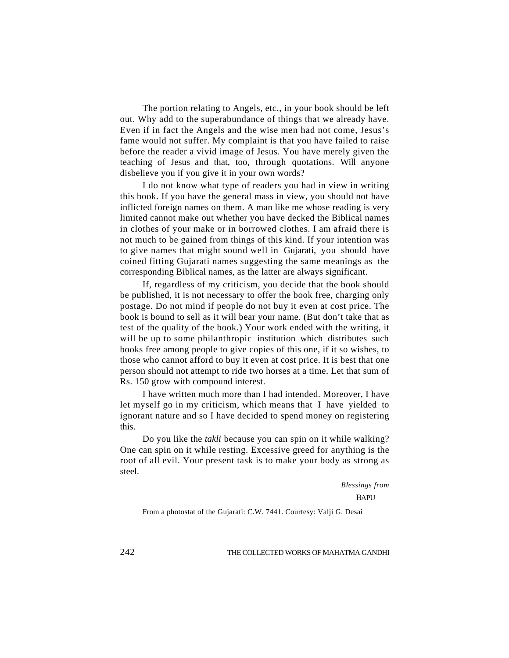The portion relating to Angels, etc., in your book should be left out. Why add to the superabundance of things that we already have. Even if in fact the Angels and the wise men had not come, Jesus's fame would not suffer. My complaint is that you have failed to raise before the reader a vivid image of Jesus. You have merely given the teaching of Jesus and that, too, through quotations. Will anyone disbelieve you if you give it in your own words?

I do not know what type of readers you had in view in writing this book. If you have the general mass in view, you should not have inflicted foreign names on them. A man like me whose reading is very limited cannot make out whether you have decked the Biblical names in clothes of your make or in borrowed clothes. I am afraid there is not much to be gained from things of this kind. If your intention was to give names that might sound well in Gujarati, you should have coined fitting Gujarati names suggesting the same meanings as the corresponding Biblical names, as the latter are always significant.

If, regardless of my criticism, you decide that the book should be published, it is not necessary to offer the book free, charging only postage. Do not mind if people do not buy it even at cost price. The book is bound to sell as it will bear your name. (But don't take that as test of the quality of the book.) Your work ended with the writing, it will be up to some philanthropic institution which distributes such books free among people to give copies of this one, if it so wishes, to those who cannot afford to buy it even at cost price. It is best that one person should not attempt to ride two horses at a time. Let that sum of Rs. 150 grow with compound interest.

I have written much more than I had intended. Moreover, I have let myself go in my criticism, which means that I have yielded to ignorant nature and so I have decided to spend money on registering this.

Do you like the *takli* because you can spin on it while walking? One can spin on it while resting. Excessive greed for anything is the root of all evil. Your present task is to make your body as strong as steel.

> *Blessings from* BAPU

From a photostat of the Gujarati: C.W. 7441. Courtesy: Valji G. Desai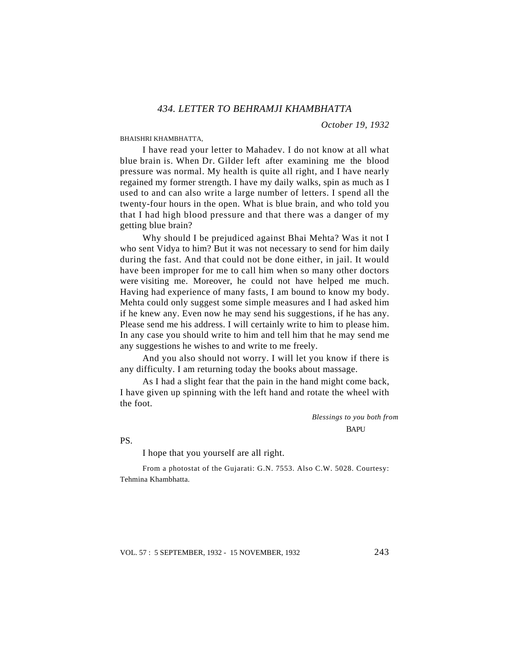*October 19, 1932*

BHAISHRI KHAMBHATTA,

I have read your letter to Mahadev. I do not know at all what blue brain is. When Dr. Gilder left after examining me the blood pressure was normal. My health is quite all right, and I have nearly regained my former strength. I have my daily walks, spin as much as I used to and can also write a large number of letters. I spend all the twenty-four hours in the open. What is blue brain, and who told you that I had high blood pressure and that there was a danger of my getting blue brain?

Why should I be prejudiced against Bhai Mehta? Was it not I who sent Vidya to him? But it was not necessary to send for him daily during the fast. And that could not be done either, in jail. It would have been improper for me to call him when so many other doctors were visiting me. Moreover, he could not have helped me much. Having had experience of many fasts, I am bound to know my body. Mehta could only suggest some simple measures and I had asked him if he knew any. Even now he may send his suggestions, if he has any. Please send me his address. I will certainly write to him to please him. In any case you should write to him and tell him that he may send me any suggestions he wishes to and write to me freely.

And you also should not worry. I will let you know if there is any difficulty. I am returning today the books about massage.

As I had a slight fear that the pain in the hand might come back, I have given up spinning with the left hand and rotate the wheel with the foot.

> *Blessings to you both from* **BAPU**

PS.

I hope that you yourself are all right.

From a photostat of the Gujarati: G.N. 7553. Also C.W. 5028. Courtesy: Tehmina Khambhatta.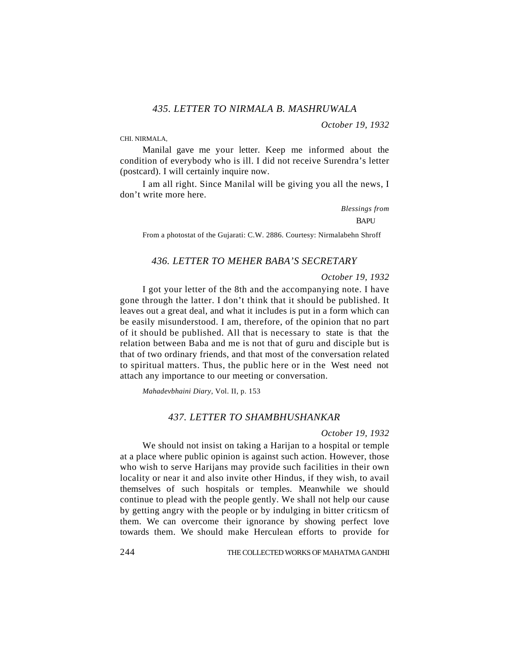*October 19, 1932*

CHI. NIRMALA,

Manilal gave me your letter. Keep me informed about the condition of everybody who is ill. I did not receive Surendra's letter (postcard). I will certainly inquire now.

I am all right. Since Manilal will be giving you all the news, I don't write more here.

> *Blessings from* BAPU

From a photostat of the Gujarati: C.W. 2886. Courtesy: Nirmalabehn Shroff

# *436. LETTER TO MEHER BABA'S SECRETARY*

#### *October 19, 1932*

I got your letter of the 8th and the accompanying note. I have gone through the latter. I don't think that it should be published. It leaves out a great deal, and what it includes is put in a form which can be easily misunderstood. I am, therefore, of the opinion that no part of it should be published. All that is necessary to state is that the relation between Baba and me is not that of guru and disciple but is that of two ordinary friends, and that most of the conversation related to spiritual matters. Thus, the public here or in the West need not attach any importance to our meeting or conversation.

*Mahadevbhaini Diary,* Vol. II, p. 153

#### *437. LETTER TO SHAMBHUSHANKAR*

#### *October 19, 1932*

We should not insist on taking a Harijan to a hospital or temple at a place where public opinion is against such action. However, those who wish to serve Harijans may provide such facilities in their own locality or near it and also invite other Hindus, if they wish, to avail themselves of such hospitals or temples. Meanwhile we should continue to plead with the people gently. We shall not help our cause by getting angry with the people or by indulging in bitter criticsm of them. We can overcome their ignorance by showing perfect love towards them. We should make Herculean efforts to provide for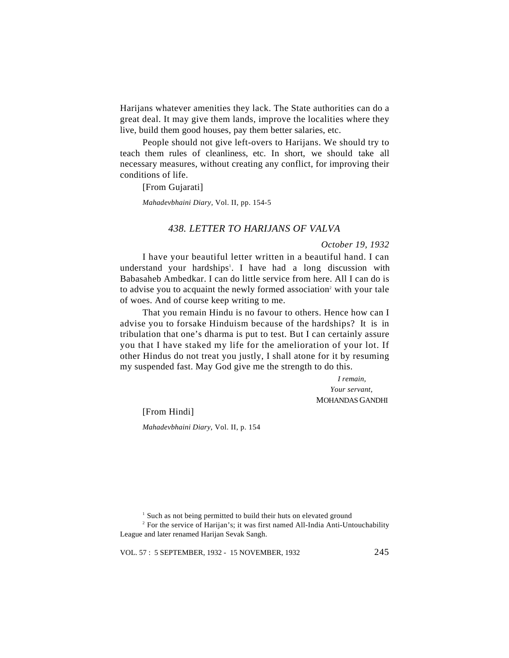Harijans whatever amenities they lack. The State authorities can do a great deal. It may give them lands, improve the localities where they live, build them good houses, pay them better salaries, etc.

People should not give left-overs to Harijans. We should try to teach them rules of cleanliness, etc. In short, we should take all necessary measures, without creating any conflict, for improving their conditions of life.

[From Gujarati]

*Mahadevbhaini Diary,* Vol. II, pp. 154-5

# *438. LETTER TO HARIJANS OF VALVA*

*October 19, 1932*

I have your beautiful letter written in a beautiful hand. I can understand your hardships<sup>1</sup>. I have had a long discussion with Babasaheb Ambedkar. I can do little service from here. All I can do is to advise you to acquaint the newly formed association<sup>2</sup> with your tale of woes. And of course keep writing to me.

That you remain Hindu is no favour to others. Hence how can I advise you to forsake Hinduism because of the hardships? It is in tribulation that one's dharma is put to test. But I can certainly assure you that I have staked my life for the amelioration of your lot. If other Hindus do not treat you justly, I shall atone for it by resuming my suspended fast. May God give me the strength to do this.

> *I remain, Your servant,* MOHANDAS GANDHI

[From Hindi]

*Mahadevbhaini Diary*, Vol. II, p. 154

<sup>&</sup>lt;sup>1</sup> Such as not being permitted to build their huts on elevated ground

 $2^2$  For the service of Harijan's; it was first named All-India Anti-Untouchability League and later renamed Harijan Sevak Sangh.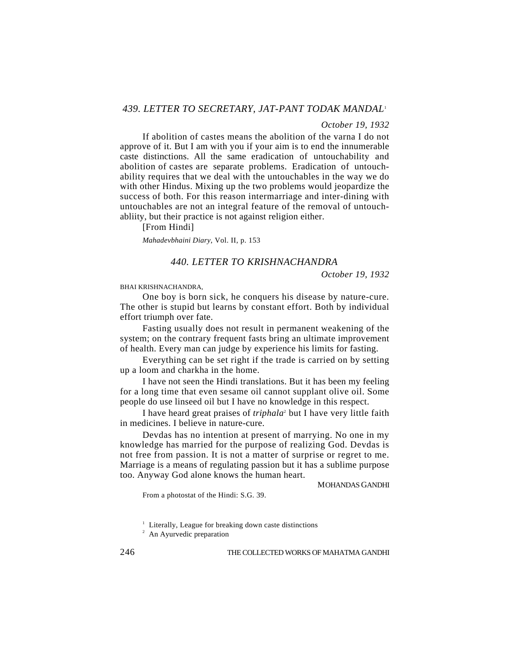## *439. LETTER TO SECRETARY, JAT-PANT TODAK MANDAL*<sup>1</sup>

### *October 19, 1932*

If abolition of castes means the abolition of the varna I do not approve of it. But I am with you if your aim is to end the innumerable caste distinctions. All the same eradication of untouchability and abolition of castes are separate problems. Eradication of untouchability requires that we deal with the untouchables in the way we do with other Hindus. Mixing up the two problems would jeopardize the success of both. For this reason intermarriage and inter-dining with untouchables are not an integral feature of the removal of untouchabliity, but their practice is not against religion either.

[From Hindi]

*Mahadevbhaini Diary*, Vol. II, p. 153

### *440. LETTER TO KRISHNACHANDRA*

*October 19, 1932*

BHAI KRISHNACHANDRA,

One boy is born sick, he conquers his disease by nature-cure. The other is stupid but learns by constant effort. Both by individual effort triumph over fate.

Fasting usually does not result in permanent weakening of the system; on the contrary frequent fasts bring an ultimate improvement of health. Every man can judge by experience his limits for fasting.

Everything can be set right if the trade is carried on by setting up a loom and charkha in the home.

I have not seen the Hindi translations. But it has been my feeling for a long time that even sesame oil cannot supplant olive oil. Some people do use linseed oil but I have no knowledge in this respect.

I have heard great praises of *triphala*<sup>2</sup> but I have very little faith in medicines. I believe in nature-cure.

Devdas has no intention at present of marrying. No one in my knowledge has married for the purpose of realizing God. Devdas is not free from passion. It is not a matter of surprise or regret to me. Marriage is a means of regulating passion but it has a sublime purpose too. Anyway God alone knows the human heart.

MOHANDAS GANDHI

From a photostat of the Hindi: S.G. 39.

<sup>1</sup> Literally, League for breaking down caste distinctions

<sup>2</sup> An Ayurvedic preparation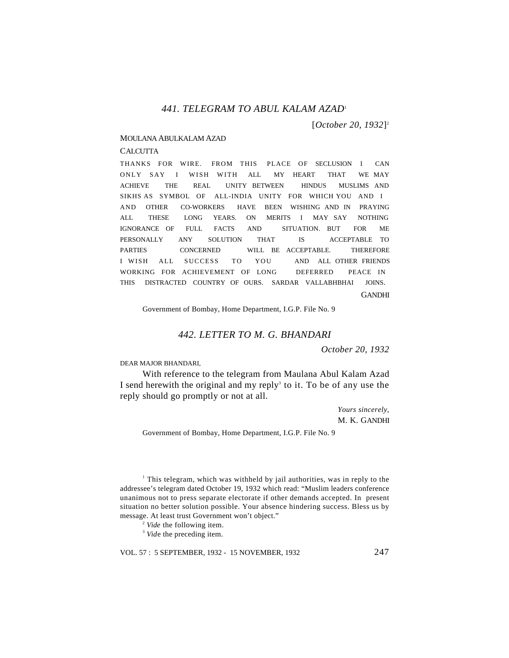# *441. TELEGRAM TO ABUL KALAM AZAD*<sup>1</sup>

[*October 20, 1932*] 2

#### MOULANA ABULKALAM AZAD

#### CALCUTTA

THANKS FOR WIRE. FROM THIS PLACE OF SECLUSION I CAN ONLY SAY I WISH WITH ALL MY HEART THAT WE MAY ACHIEVE THE REAL UNITY BETWEEN HINDUS MUSLIMS AND SIKHS AS SYMBOL OF ALL-INDIA UNITY FOR WHICH YOU AND I AND OTHER CO-WORKERS HAVE BEEN WISHING AND IN PRAYING ALL THESE LONG YEARS. ON MERITS I MAY SAY NOTHING IGNORANCE OF FULL FACTS AND SITUATION. BUT FOR ME PERSONALLY ANY SOLUTION THAT IS ACCEPTABLE TO PARTIES CONCERNED WILL BE ACCEPTABLE. THEREFORE I WISH ALL SUCCESS TO YOU AND ALL OTHER FRIENDS WORKING FOR ACHIEVEMENT OF LONG DEFERRED PEACE IN THIS DISTRACTED COUNTRY OF OURS. SARDAR VALLABHBHAI JOINS. **GANDHI** 

Government of Bombay, Home Department, I.G.P. File No. 9

### *442. LETTER TO M. G. BHANDARI*

*October 20, 1932*

DEAR MAJOR BHANDARI,

With reference to the telegram from Maulana Abul Kalam Azad I send herewith the original and my reply<sup>3</sup> to it. To be of any use the reply should go promptly or not at all.

> *Yours sincerely,* M. K. GANDHI

Government of Bombay, Home Department, I.G.P. File No. 9

<sup>1</sup> This telegram, which was withheld by jail authorities, was in reply to the addressee's telegram dated October 19, 1932 which read: "Muslim leaders conference unanimous not to press separate electorate if other demands accepted. In present situation no better solution possible. Your absence hindering success. Bless us by message. At least trust Government won't object."

<sup>2</sup> *Vide* the following item.

<sup>3</sup> *Vide* the preceding item.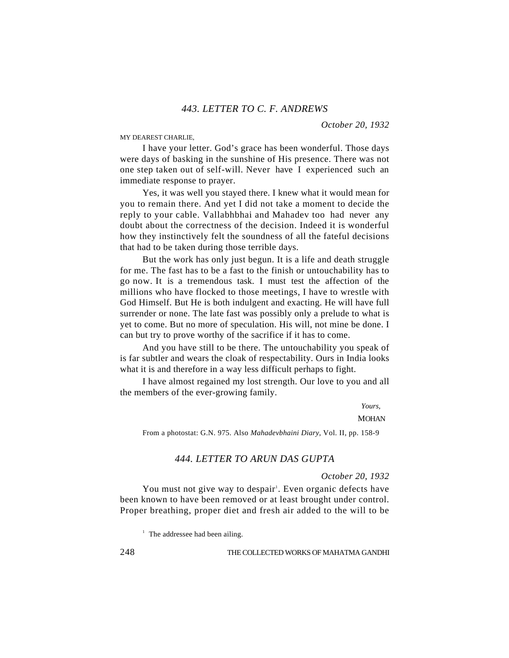MY DEAREST CHARLIE,

I have your letter. God's grace has been wonderful. Those days were days of basking in the sunshine of His presence. There was not one step taken out of self-will. Never have I experienced such an immediate response to prayer.

Yes, it was well you stayed there. I knew what it would mean for you to remain there. And yet I did not take a moment to decide the reply to your cable. Vallabhbhai and Mahadev too had never any doubt about the correctness of the decision. Indeed it is wonderful how they instinctively felt the soundness of all the fateful decisions that had to be taken during those terrible days.

But the work has only just begun. It is a life and death struggle for me. The fast has to be a fast to the finish or untouchability has to go now. It is a tremendous task. I must test the affection of the millions who have flocked to those meetings, I have to wrestle with God Himself. But He is both indulgent and exacting. He will have full surrender or none. The late fast was possibly only a prelude to what is yet to come. But no more of speculation. His will, not mine be done. I can but try to prove worthy of the sacrifice if it has to come.

And you have still to be there. The untouchability you speak of is far subtler and wears the cloak of respectability. Ours in India looks what it is and therefore in a way less difficult perhaps to fight.

I have almost regained my lost strength. Our love to you and all the members of the ever-growing family.

> *Yours,* **MOHAN**

From a photostat: G.N. 975. Also *Mahadevbhaini Diary,* Vol. II, pp. 158-9

# *444. LETTER TO ARUN DAS GUPTA*

*October 20, 1932*

You must not give way to despair<sup>1</sup>. Even organic defects have been known to have been removed or at least brought under control. Proper breathing, proper diet and fresh air added to the will to be

<sup>1</sup> The addressee had been ailing.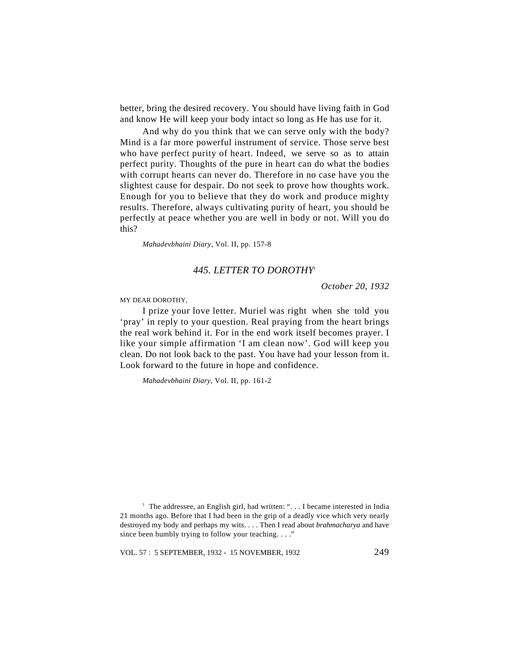better, bring the desired recovery. You should have living faith in God and know He will keep your body intact so long as He has use for it.

And why do you think that we can serve only with the body? Mind is a far more powerful instrument of service. Those serve best who have perfect purity of heart. Indeed, we serve so as to attain perfect purity. Thoughts of the pure in heart can do what the bodies with corrupt hearts can never do. Therefore in no case have you the slightest cause for despair. Do not seek to prove how thoughts work. Enough for you to believe that they do work and produce mighty results. Therefore, always cultivating purity of heart, you should be perfectly at peace whether you are well in body or not. Will you do this?

*Mahadevbhaini Diary,* Vol. II, pp. 157-8

### *445. LETTER TO DOROTHY<sup>1</sup>*

*October 20, 1932*

MY DEAR DOROTHY,

I prize your love letter. Muriel was right when she told you 'pray' in reply to your question. Real praying from the heart brings the real work behind it. For in the end work itself becomes prayer. I like your simple affirmation 'I am clean now'. God will keep you clean. Do not look back to the past. You have had your lesson from it. Look forward to the future in hope and confidence.

*Mahadevbhaini Diary*, Vol. II, pp. 161-2

<sup>1</sup> The addressee, an English girl, had written: ". . . I became interested in India 21 months ago. Before that I had been in the grip of a deadly vice which very nearly destroyed my body and perhaps my wits. . . . Then I read about *brahmacharya* and have since been humbly trying to follow your teaching. . . ."

VOL. 57 : 5 SEPTEMBER, 1932 - 15 NOVEMBER, 1932 249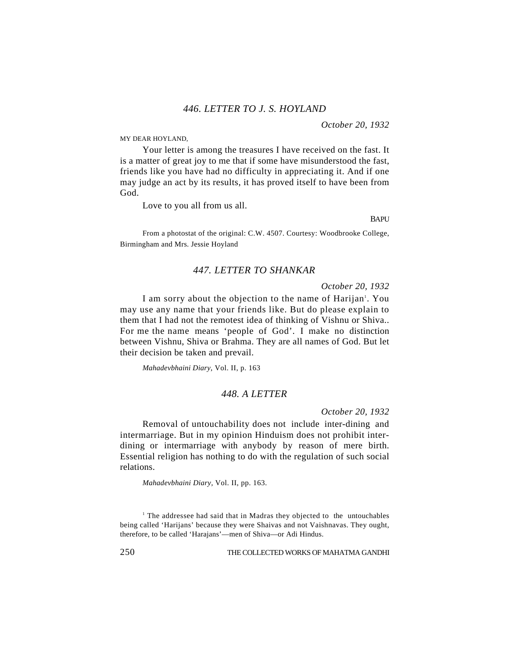*October 20, 1932*

MY DEAR HOYLAND,

Your letter is among the treasures I have received on the fast. It is a matter of great joy to me that if some have misunderstood the fast, friends like you have had no difficulty in appreciating it. And if one may judge an act by its results, it has proved itself to have been from God.

Love to you all from us all.

**BAPU** 

From a photostat of the original: C.W. 4507. Courtesy: Woodbrooke College, Birmingham and Mrs. Jessie Hoyland

# *447. LETTER TO SHANKAR*

#### *October 20, 1932*

I am sorry about the objection to the name of Harijan<sup>1</sup>. You may use any name that your friends like. But do please explain to them that I had not the remotest idea of thinking of Vishnu or Shiva.. For me the name means 'people of God'. I make no distinction between Vishnu, Shiva or Brahma. They are all names of God. But let their decision be taken and prevail.

*Mahadevbhaini Diary*, Vol. II, p. 163

# *448. A LETTER*

*October 20, 1932*

Removal of untouchability does not include inter-dining and intermarriage. But in my opinion Hinduism does not prohibit interdining or intermarriage with anybody by reason of mere birth. Essential religion has nothing to do with the regulation of such social relations.

*Mahadevbhaini Diary,* Vol. II, pp. 163.

<sup>1</sup> The addressee had said that in Madras they objected to the untouchables being called 'Harijans' because they were Shaivas and not Vaishnavas. They ought, therefore, to be called 'Harajans'—men of Shiva—or Adi Hindus.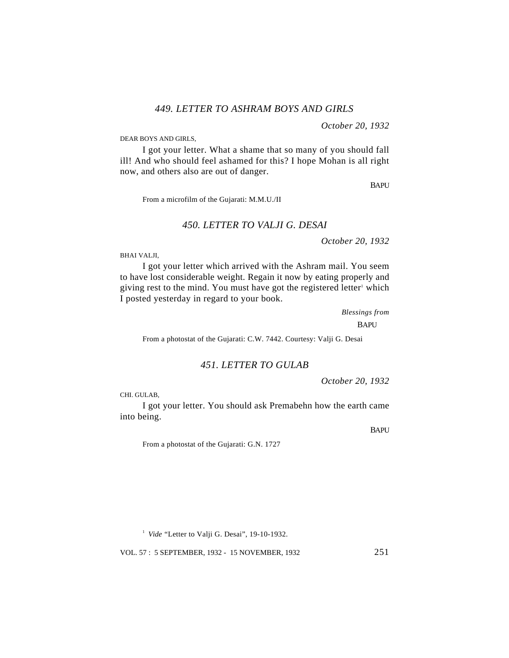*October 20, 1932*

DEAR BOYS AND GIRLS,

I got your letter. What a shame that so many of you should fall ill! And who should feel ashamed for this? I hope Mohan is all right now, and others also are out of danger.

**BAPU** 

From a microfilm of the Gujarati: M.M.U./II

# *450. LETTER TO VALJI G. DESAI*

*October 20, 1932*

BHAI VALJI,

I got your letter which arrived with the Ashram mail. You seem to have lost considerable weight. Regain it now by eating properly and giving rest to the mind. You must have got the registered letter' which I posted yesterday in regard to your book.

> *Blessings from* **BAPU**

From a photostat of the Gujarati: C.W. 7442. Courtesy: Valji G. Desai

### *451. LETTER TO GULAB*

*October 20, 1932*

CHI. GULAB,

I got your letter. You should ask Premabehn how the earth came into being.

BAPU

From a photostat of the Gujarati: G.N. 1727

<sup>1</sup> Vide "Letter to Valji G. Desai", 19-10-1932.

VOL. 57 : 5 SEPTEMBER, 1932 - 15 NOVEMBER, 1932 251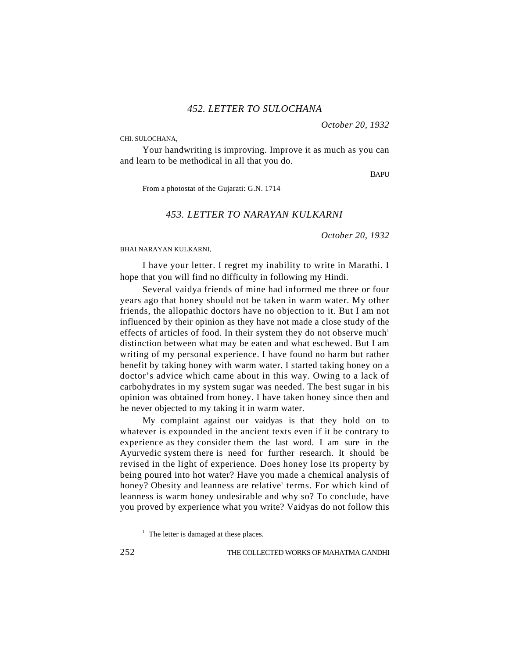*October 20, 1932*

CHI. SULOCHANA,

Your handwriting is improving. Improve it as much as you can and learn to be methodical in all that you do.

**BAPU** 

From a photostat of the Gujarati: G.N. 1714

# *453. LETTER TO NARAYAN KULKARNI*

*October 20, 1932*

BHAI NARAYAN KULKARNI,

I have your letter. I regret my inability to write in Marathi. I hope that you will find no difficulty in following my Hindi.

Several vaidya friends of mine had informed me three or four years ago that honey should not be taken in warm water. My other friends, the allopathic doctors have no objection to it. But I am not influenced by their opinion as they have not made a close study of the effects of articles of food. In their system they do not observe much<sup>1</sup> distinction between what may be eaten and what eschewed. But I am writing of my personal experience. I have found no harm but rather benefit by taking honey with warm water. I started taking honey on a doctor's advice which came about in this way. Owing to a lack of carbohydrates in my system sugar was needed. The best sugar in his opinion was obtained from honey. I have taken honey since then and he never objected to my taking it in warm water.

My complaint against our vaidyas is that they hold on to whatever is expounded in the ancient texts even if it be contrary to experience as they consider them the last word. I am sure in the Ayurvedic system there is need for further research. It should be revised in the light of experience. Does honey lose its property by being poured into hot water? Have you made a chemical analysis of honey? Obesity and leanness are relative<sup>2</sup> terms. For which kind of leanness is warm honey undesirable and why so? To conclude, have you proved by experience what you write? Vaidyas do not follow this

<sup>1</sup> The letter is damaged at these places.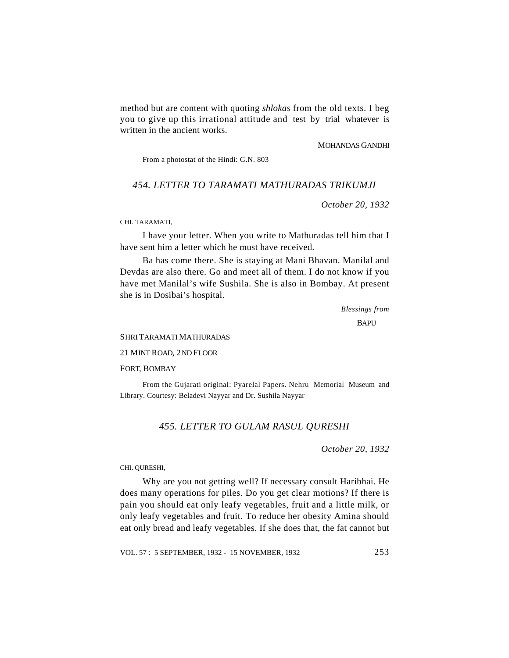method but are content with quoting *shlokas* from the old texts. I beg you to give up this irrational attitude and test by trial whatever is written in the ancient works.

MOHANDAS GANDHI

From a photostat of the Hindi: G.N. 803

### *454. LETTER TO TARAMATI MATHURADAS TRIKUMJI*

*October 20, 1932*

CHI. TARAMATI,

I have your letter. When you write to Mathuradas tell him that I have sent him a letter which he must have received.

Ba has come there. She is staying at Mani Bhavan. Manilal and Devdas are also there. Go and meet all of them. I do not know if you have met Manilal's wife Sushila. She is also in Bombay. At present she is in Dosibai's hospital.

> *Blessings from* **BAPU**

SHRI TARAMATI MATHURADAS

21 MINT ROAD, 2ND FLOOR

#### FORT, BOMBAY

From the Gujarati original: Pyarelal Papers. Nehru Memorial Museum and Library. Courtesy: Beladevi Nayyar and Dr. Sushila Nayyar

### *455. LETTER TO GULAM RASUL QURESHI*

*October 20, 1932*

CHI. QURESHI,

Why are you not getting well? If necessary consult Haribhai. He does many operations for piles. Do you get clear motions? If there is pain you should eat only leafy vegetables, fruit and a little milk, or only leafy vegetables and fruit. To reduce her obesity Amina should eat only bread and leafy vegetables. If she does that, the fat cannot but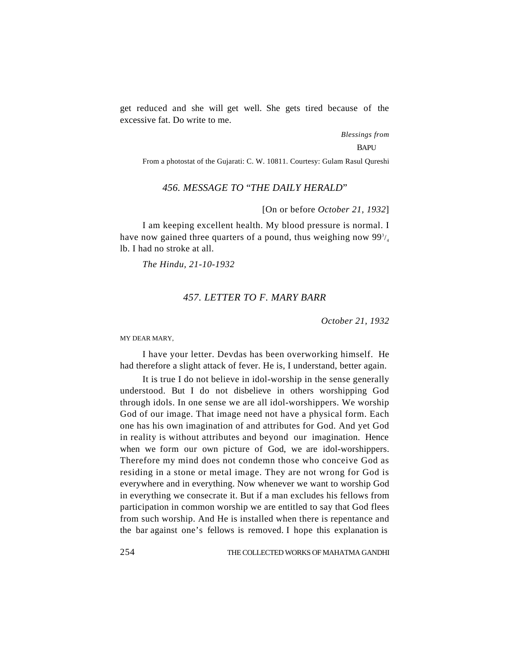get reduced and she will get well. She gets tired because of the excessive fat. Do write to me.

*Blessings from*

**BAPU** 

From a photostat of the Gujarati: C. W. 10811. Courtesy: Gulam Rasul Qureshi

# *456. MESSAGE TO* "*THE DAILY HERALD*"

[On or before *October 21, 1932*]

I am keeping excellent health. My blood pressure is normal. I have now gained three quarters of a pound, thus weighing now  $99^{\frac{3}{4}}$ lb. I had no stroke at all.

*The Hindu, 21-10-1932*

# *457. LETTER TO F. MARY BARR*

*October 21, 1932*

MY DEAR MARY,

I have your letter. Devdas has been overworking himself. He had therefore a slight attack of fever. He is, I understand, better again.

It is true I do not believe in idol-worship in the sense generally understood. But I do not disbelieve in others worshipping God through idols. In one sense we are all idol-worshippers. We worship God of our image. That image need not have a physical form. Each one has his own imagination of and attributes for God. And yet God in reality is without attributes and beyond our imagination. Hence when we form our own picture of God, we are idol-worshippers. Therefore my mind does not condemn those who conceive God as residing in a stone or metal image. They are not wrong for God is everywhere and in everything. Now whenever we want to worship God in everything we consecrate it. But if a man excludes his fellows from participation in common worship we are entitled to say that God flees from such worship. And He is installed when there is repentance and the bar against one's fellows is removed. I hope this explanation is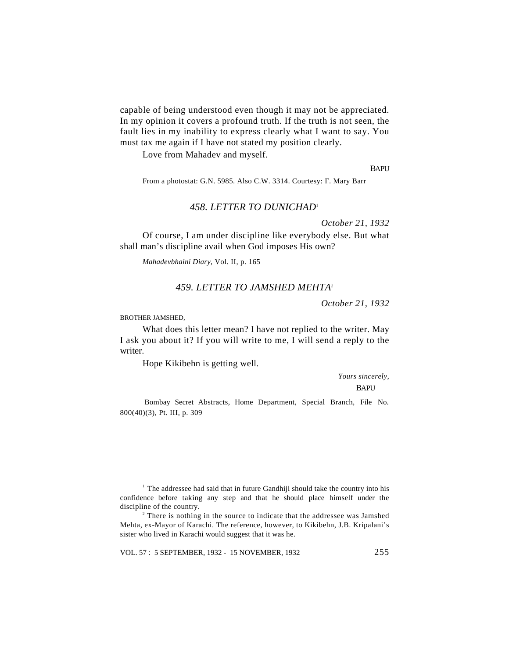capable of being understood even though it may not be appreciated. In my opinion it covers a profound truth. If the truth is not seen, the fault lies in my inability to express clearly what I want to say. You must tax me again if I have not stated my position clearly.

Love from Mahadev and myself.

**BAPU** 

From a photostat: G.N. 5985. Also C.W. 3314. Courtesy: F. Mary Barr

# *458. LETTER TO DUNICHAD*<sup>1</sup>

*October 21, 1932*

Of course, I am under discipline like everybody else. But what shall man's discipline avail when God imposes His own?

*Mahadevbhaini Diary*, Vol. II, p. 165

### *459. LETTER TO JAMSHED MEHTA<sup>2</sup>*

*October 21, 1932*

BROTHER JAMSHED,

What does this letter mean? I have not replied to the writer. May I ask you about it? If you will write to me, I will send a reply to the writer.

Hope Kikibehn is getting well.

 *Yours sincerely,* **BAPU** 

 Bombay Secret Abstracts, Home Department, Special Branch, File No. 800(40)(3), Pt. III, p. 309

 $1$  The addressee had said that in future Gandhiji should take the country into his confidence before taking any step and that he should place himself under the discipline of the country.

<sup>2</sup> There is nothing in the source to indicate that the addressee was Jamshed Mehta, ex-Mayor of Karachi. The reference, however, to Kikibehn, J.B. Kripalani's sister who lived in Karachi would suggest that it was he.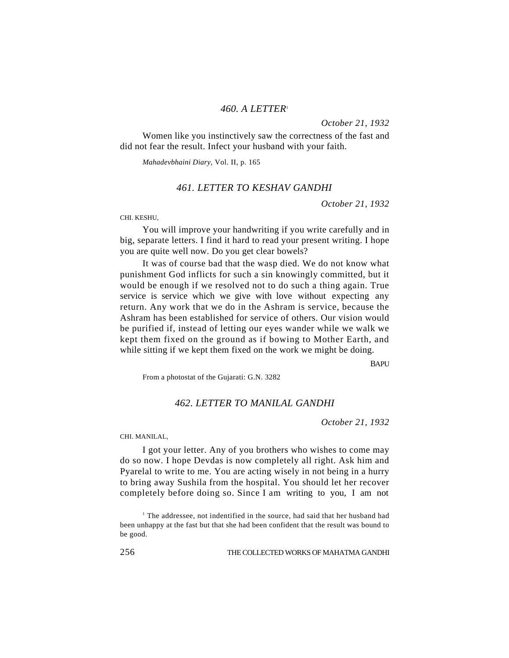# *460. A LETTER*<sup>1</sup>

*October 21, 1932*

Women like you instinctively saw the correctness of the fast and did not fear the result. Infect your husband with your faith.

*Mahadevbhaini Diary*, Vol. II, p. 165

### *461. LETTER TO KESHAV GANDHI*

*October 21, 1932*

CHI. KESHU,

You will improve your handwriting if you write carefully and in big, separate letters. I find it hard to read your present writing. I hope you are quite well now. Do you get clear bowels?

It was of course bad that the wasp died. We do not know what punishment God inflicts for such a sin knowingly committed, but it would be enough if we resolved not to do such a thing again. True service is service which we give with love without expecting any return. Any work that we do in the Ashram is service, because the Ashram has been established for service of others. Our vision would be purified if, instead of letting our eyes wander while we walk we kept them fixed on the ground as if bowing to Mother Earth, and while sitting if we kept them fixed on the work we might be doing.

**BAPU** 

From a photostat of the Gujarati: G.N. 3282

### *462. LETTER TO MANILAL GANDHI*

*October 21, 1932*

CHI. MANILAL,

I got your letter. Any of you brothers who wishes to come may do so now. I hope Devdas is now completely all right. Ask him and Pyarelal to write to me. You are acting wisely in not being in a hurry to bring away Sushila from the hospital. You should let her recover completely before doing so. Since I am writing to you, I am not

<sup>&</sup>lt;sup>1</sup> The addressee, not indentified in the source, had said that her husband had been unhappy at the fast but that she had been confident that the result was bound to be good.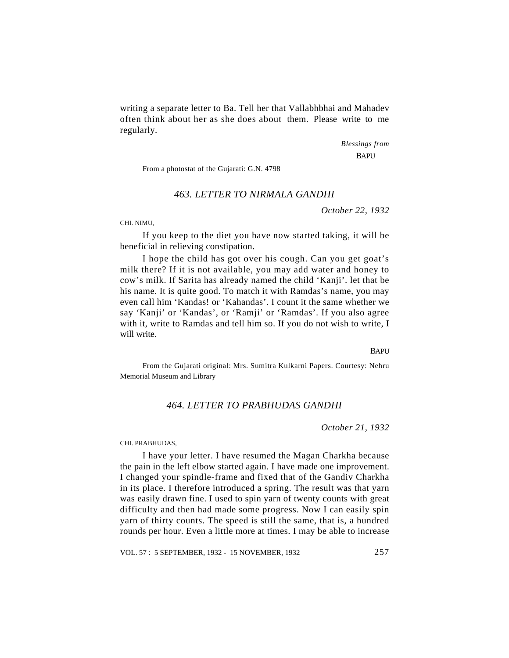writing a separate letter to Ba. Tell her that Vallabhbhai and Mahadev often think about her as she does about them. Please write to me regularly.

> *Blessings from* BAPU

From a photostat of the Gujarati: G.N. 4798

# *463. LETTER TO NIRMALA GANDHI*

*October 22, 1932*

CHI. NIMU,

If you keep to the diet you have now started taking, it will be beneficial in relieving constipation.

I hope the child has got over his cough. Can you get goat's milk there? If it is not available, you may add water and honey to cow's milk. If Sarita has already named the child 'Kanji'. let that be his name. It is quite good. To match it with Ramdas's name, you may even call him 'Kandas! or 'Kahandas'. I count it the same whether we say 'Kanji' or 'Kandas', or 'Ramji' or 'Ramdas'. If you also agree with it, write to Ramdas and tell him so. If you do not wish to write, I will write

**BAPU** 

From the Gujarati original: Mrs. Sumitra Kulkarni Papers. Courtesy: Nehru Memorial Museum and Library

## *464. LETTER TO PRABHUDAS GANDHI*

*October 21, 1932*

CHI. PRABHUDAS,

I have your letter. I have resumed the Magan Charkha because the pain in the left elbow started again. I have made one improvement. I changed your spindle-frame and fixed that of the Gandiv Charkha in its place. I therefore introduced a spring. The result was that yarn was easily drawn fine. I used to spin yarn of twenty counts with great difficulty and then had made some progress. Now I can easily spin yarn of thirty counts. The speed is still the same, that is, a hundred rounds per hour. Even a little more at times. I may be able to increase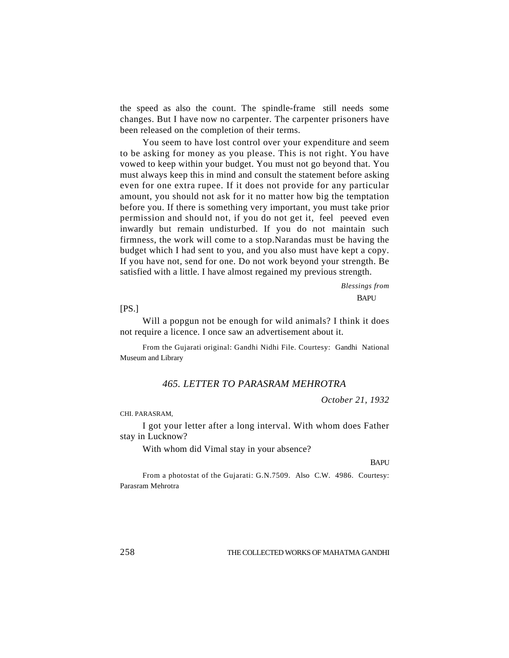the speed as also the count. The spindle-frame still needs some changes. But I have now no carpenter. The carpenter prisoners have been released on the completion of their terms.

You seem to have lost control over your expenditure and seem to be asking for money as you please. This is not right. You have vowed to keep within your budget. You must not go beyond that. You must always keep this in mind and consult the statement before asking even for one extra rupee. If it does not provide for any particular amount, you should not ask for it no matter how big the temptation before you. If there is something very important, you must take prior permission and should not, if you do not get it, feel peeved even inwardly but remain undisturbed. If you do not maintain such firmness, the work will come to a stop.Narandas must be having the budget which I had sent to you, and you also must have kept a copy. If you have not, send for one. Do not work beyond your strength. Be satisfied with a little. I have almost regained my previous strength.

> *Blessings from* BAPU

 $[PS.]$ 

Will a popgun not be enough for wild animals? I think it does not require a licence. I once saw an advertisement about it.

From the Gujarati original: Gandhi Nidhi File. Courtesy: Gandhi National Museum and Library

### *465. LETTER TO PARASRAM MEHROTRA*

*October 21, 1932*

CHI. PARASRAM,

I got your letter after a long interval. With whom does Father stay in Lucknow?

With whom did Vimal stay in your absence?

**BAPU** 

From a photostat of the Gujarati: G.N.7509. Also C.W. 4986. Courtesy: Parasram Mehrotra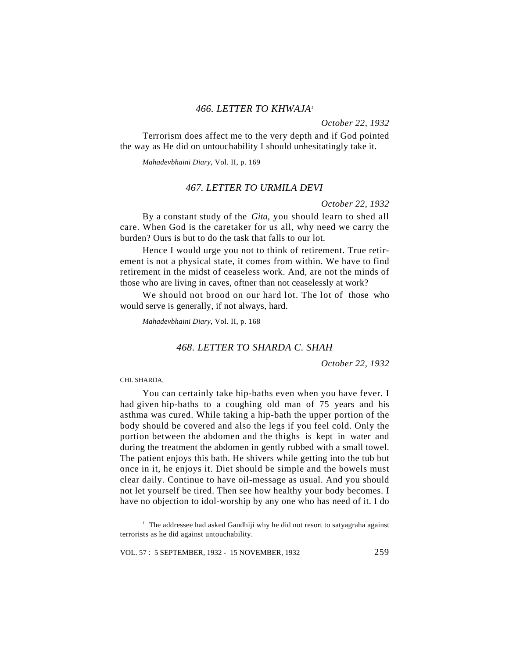# *466. LETTER TO KHWAJA<sup>1</sup>*

*October 22, 1932*

Terrorism does affect me to the very depth and if God pointed the way as He did on untouchability I should unhesitatingly take it.

*Mahadevbhaini Diary*, Vol. II, p. 169

### *467. LETTER TO URMILA DEVI*

*October 22, 1932*

By a constant study of the *Gita,* you should learn to shed all care. When God is the caretaker for us all, why need we carry the burden? Ours is but to do the task that falls to our lot.

Hence I would urge you not to think of retirement. True retirement is not a physical state, it comes from within. We have to find retirement in the midst of ceaseless work. And, are not the minds of those who are living in caves, oftner than not ceaselessly at work?

We should not brood on our hard lot. The lot of those who would serve is generally, if not always, hard.

*Mahadevbhaini Diary*, Vol. II, p. 168

### *468. LETTER TO SHARDA C. SHAH*

*October 22, 1932*

CHI. SHARDA,

You can certainly take hip-baths even when you have fever. I had given hip-baths to a coughing old man of 75 years and his asthma was cured. While taking a hip-bath the upper portion of the body should be covered and also the legs if you feel cold. Only the portion between the abdomen and the thighs is kept in water and during the treatment the abdomen in gently rubbed with a small towel. The patient enjoys this bath. He shivers while getting into the tub but once in it, he enjoys it. Diet should be simple and the bowels must clear daily. Continue to have oil-message as usual. And you should not let yourself be tired. Then see how healthy your body becomes. I have no objection to idol-worship by any one who has need of it. I do

<sup>&</sup>lt;sup>1</sup> The addressee had asked Gandhiji why he did not resort to satyagraha against terrorists as he did against untouchability.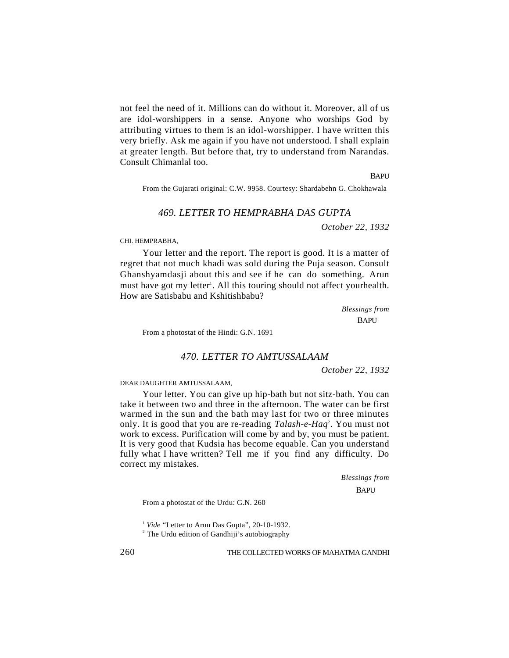not feel the need of it. Millions can do without it. Moreover, all of us are idol-worshippers in a sense. Anyone who worships God by attributing virtues to them is an idol-worshipper. I have written this very briefly. Ask me again if you have not understood. I shall explain at greater length. But before that, try to understand from Narandas. Consult Chimanlal too.

**BAPU** 

From the Gujarati original: C.W. 9958. Courtesy: Shardabehn G. Chokhawala

### *469. LETTER TO HEMPRABHA DAS GUPTA*

*October 22, 1932*

CHI. HEMPRABHA,

Your letter and the report. The report is good. It is a matter of regret that not much khadi was sold during the Puja season. Consult Ghanshyamdasji about this and see if he can do something. Arun must have got my letter<sup>1</sup>. All this touring should not affect yourhealth. How are Satisbabu and Kshitishbabu?

> *Blessings from* **BAPU**

From a photostat of the Hindi: G.N. 1691

### *470. LETTER TO AMTUSSALAAM*

*October 22, 1932*

### DEAR DAUGHTER AMTUSSALAAM,

Your letter. You can give up hip-bath but not sitz-bath. You can take it between two and three in the afternoon. The water can be first warmed in the sun and the bath may last for two or three minutes only. It is good that you are re-reading *Talash-e-Haq*<sup>2</sup>. You must not work to excess. Purification will come by and by, you must be patient. It is very good that Kudsia has become equable. Can you understand fully what I have written? Tell me if you find any difficulty. Do correct my mistakes.

> *Blessings from* **BAPU**

From a photostat of the Urdu: G.N. 260

<sup>1</sup> *Vide* "Letter to Arun Das Gupta", 20-10-1932.

<sup>2</sup> The Urdu edition of Gandhiji's autobiography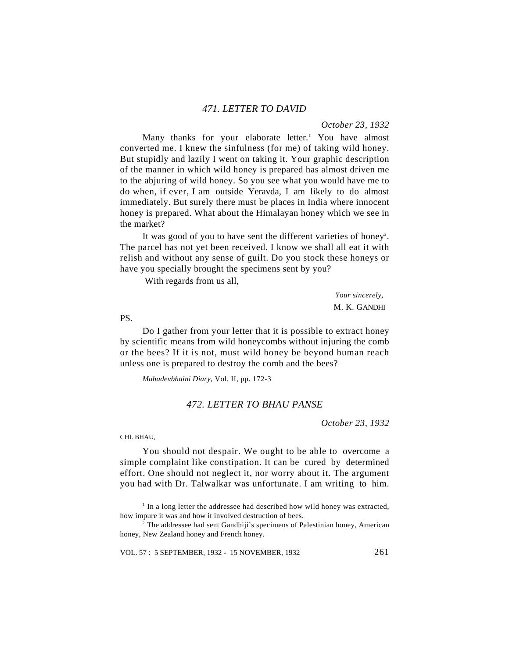*October 23, 1932*

Many thanks for your elaborate letter.<sup>1</sup> You have almost converted me. I knew the sinfulness (for me) of taking wild honey. But stupidly and lazily I went on taking it. Your graphic description of the manner in which wild honey is prepared has almost driven me to the abjuring of wild honey. So you see what you would have me to do when, if ever, I am outside Yeravda, I am likely to do almost immediately. But surely there must be places in India where innocent honey is prepared. What about the Himalayan honey which we see in the market?

It was good of you to have sent the different varieties of honey<sup>2</sup>. The parcel has not yet been received. I know we shall all eat it with relish and without any sense of guilt. Do you stock these honeys or have you specially brought the specimens sent by you?

With regards from us all,

*Your sincerely,* M. K. GANDHI

PS.

Do I gather from your letter that it is possible to extract honey by scientific means from wild honeycombs without injuring the comb or the bees? If it is not, must wild honey be beyond human reach unless one is prepared to destroy the comb and the bees?

*Mahadevbhaini Diary*, Vol. II, pp. 172-3

# *472. LETTER TO BHAU PANSE*

*October 23, 1932*

CHI. BHAU,

You should not despair. We ought to be able to overcome a simple complaint like constipation. It can be cured by determined effort. One should not neglect it, nor worry about it. The argument you had with Dr. Talwalkar was unfortunate. I am writing to him.

<sup>&</sup>lt;sup>1</sup> In a long letter the addressee had described how wild honey was extracted, how impure it was and how it involved destruction of bees.

<sup>&</sup>lt;sup>2</sup> The addressee had sent Gandhiji's specimens of Palestinian honey, American honey, New Zealand honey and French honey.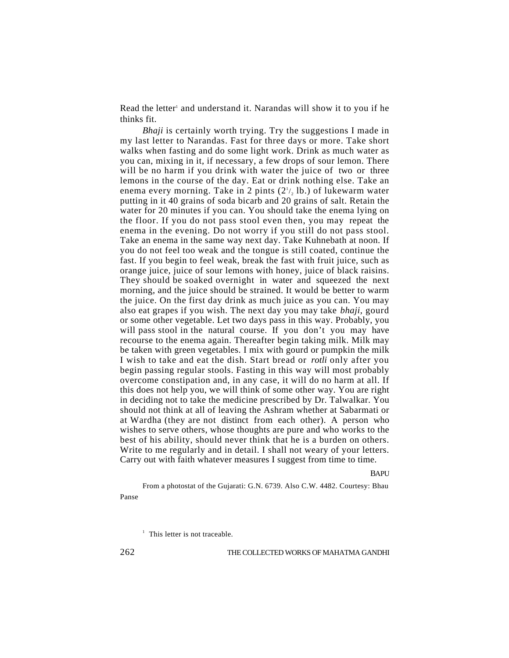Read the letter<sup>1</sup> and understand it. Narandas will show it to you if he thinks fit.

*Bhaji* is certainly worth trying. Try the suggestions I made in my last letter to Narandas. Fast for three days or more. Take short walks when fasting and do some light work. Drink as much water as you can, mixing in it, if necessary, a few drops of sour lemon. There will be no harm if you drink with water the juice of two or three lemons in the course of the day. Eat or drink nothing else. Take an enema every morning. Take in 2 pints  $(2^{\iota}/_2 1b)$  of lukewarm water putting in it 40 grains of soda bicarb and 20 grains of salt. Retain the water for 20 minutes if you can. You should take the enema lying on the floor. If you do not pass stool even then, you may repeat the enema in the evening. Do not worry if you still do not pass stool. Take an enema in the same way next day. Take Kuhnebath at noon. If you do not feel too weak and the tongue is still coated, continue the fast. If you begin to feel weak, break the fast with fruit juice, such as orange juice, juice of sour lemons with honey, juice of black raisins. They should be soaked overnight in water and squeezed the next morning, and the juice should be strained. It would be better to warm the juice. On the first day drink as much juice as you can. You may also eat grapes if you wish. The next day you may take *bhaji,* gourd or some other vegetable. Let two days pass in this way. Probably, you will pass stool in the natural course. If you don't you may have recourse to the enema again. Thereafter begin taking milk. Milk may be taken with green vegetables. I mix with gourd or pumpkin the milk I wish to take and eat the dish. Start bread or *rotli* only after you begin passing regular stools. Fasting in this way will most probably overcome constipation and, in any case, it will do no harm at all. If this does not help you, we will think of some other way. You are right in deciding not to take the medicine prescribed by Dr. Talwalkar. You should not think at all of leaving the Ashram whether at Sabarmati or at Wardha (they are not distinct from each other). A person who wishes to serve others, whose thoughts are pure and who works to the best of his ability, should never think that he is a burden on others. Write to me regularly and in detail. I shall not weary of your letters. Carry out with faith whatever measures I suggest from time to time.

**BAPU** 

From a photostat of the Gujarati: G.N. 6739. Also C.W. 4482. Courtesy: Bhau Panse

<sup>&</sup>lt;sup>1</sup> This letter is not traceable.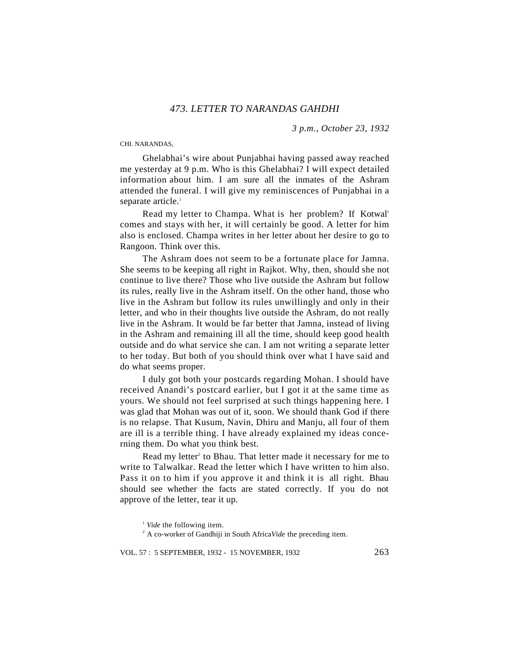*3 p.m., October 23, 1932*

#### CHI. NARANDAS,

Ghelabhai's wire about Punjabhai having passed away reached me yesterday at 9 p.m. Who is this Ghelabhai? I will expect detailed information about him. I am sure all the inmates of the Ashram attended the funeral. I will give my reminiscences of Punjabhai in a separate article.<sup>1</sup>

Read my letter to Champa. What is her problem? If Kotwal<sup>1</sup> comes and stays with her, it will certainly be good. A letter for him also is enclosed. Champa writes in her letter about her desire to go to Rangoon. Think over this.

The Ashram does not seem to be a fortunate place for Jamna. She seems to be keeping all right in Rajkot. Why, then, should she not continue to live there? Those who live outside the Ashram but follow its rules, really live in the Ashram itself. On the other hand, those who live in the Ashram but follow its rules unwillingly and only in their letter, and who in their thoughts live outside the Ashram, do not really live in the Ashram. It would be far better that Jamna, instead of living in the Ashram and remaining ill all the time, should keep good health outside and do what service she can. I am not writing a separate letter to her today. But both of you should think over what I have said and do what seems proper.

I duly got both your postcards regarding Mohan. I should have received Anandi's postcard earlier, but I got it at the same time as yours. We should not feel surprised at such things happening here. I was glad that Mohan was out of it, soon. We should thank God if there is no relapse. That Kusum, Navin, Dhiru and Manju, all four of them are ill is a terrible thing. I have already explained my ideas concerning them. Do what you think best.

Read my letter<sup>2</sup> to Bhau. That letter made it necessary for me to write to Talwalkar. Read the letter which I have written to him also. Pass it on to him if you approve it and think it is all right. Bhau should see whether the facts are stated correctly. If you do not approve of the letter, tear it up.

<sup>&</sup>lt;sup>1</sup> *Vide* the following item.

<sup>&</sup>lt;sup>2</sup> A co-worker of Gandhiji in South AfricaVide the preceding item.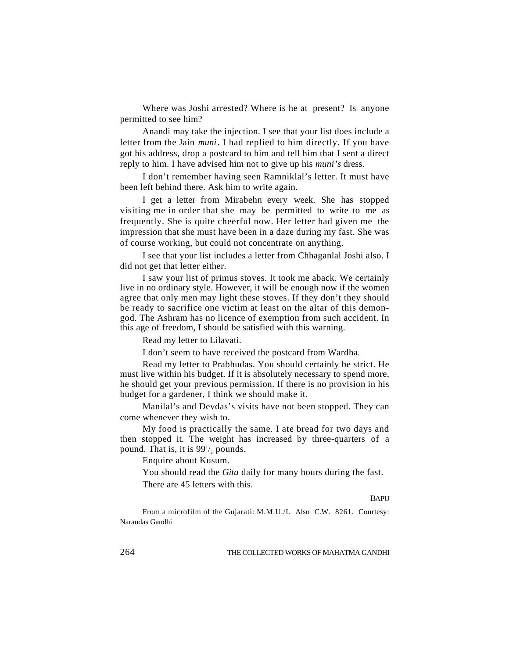Where was Joshi arrested? Where is he at present? Is anyone permitted to see him?

Anandi may take the injection. I see that your list does include a letter from the Jain *muni*. I had replied to him directly. If you have got his address, drop a postcard to him and tell him that I sent a direct reply to him. I have advised him not to give up his *muni's* dress.

I don't remember having seen Ramniklal's letter. It must have been left behind there. Ask him to write again.

I get a letter from Mirabehn every week. She has stopped visiting me in order that she may be permitted to write to me as frequently. She is quite cheerful now. Her letter had given me the impression that she must have been in a daze during my fast. She was of course working, but could not concentrate on anything.

I see that your list includes a letter from Chhaganlal Joshi also. I did not get that letter either.

I saw your list of primus stoves. It took me aback. We certainly live in no ordinary style. However, it will be enough now if the women agree that only men may light these stoves. If they don't they should be ready to sacrifice one victim at least on the altar of this demongod. The Ashram has no licence of exemption from such accident. In this age of freedom, I should be satisfied with this warning.

Read my letter to Lilavati.

I don't seem to have received the postcard from Wardha.

Read my letter to Prabhudas. You should certainly be strict. He must live within his budget. If it is absolutely necessary to spend more, he should get your previous permission. If there is no provision in his budget for a gardener, I think we should make it.

Manilal's and Devdas's visits have not been stopped. They can come whenever they wish to.

My food is practically the same. I ate bread for two days and then stopped it. The weight has increased by three-quarters of a pound. That is, it is  $99<sup>1</sup>/<sub>2</sub>$  pounds.

Enquire about Kusum.

You should read the *Gita* daily for many hours during the fast.

There are 45 letters with this.

**BAPU** 

From a microfilm of the Gujarati: M.M.U./I. Also C.W. 8261. Courtesy: Narandas Gandhi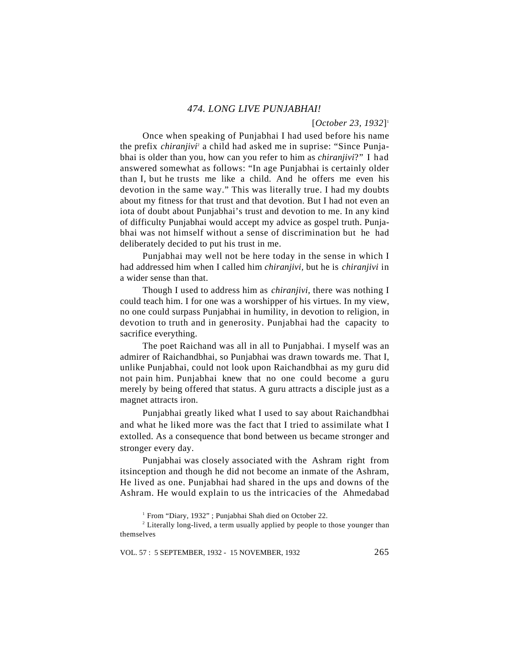# *474. LONG LIVE PUNJABHAI!*

### [*October 23, 1932*] 1

Once when speaking of Punjabhai I had used before his name the prefix *chiranjivi*<sup>2</sup> a child had asked me in suprise: "Since Punjabhai is older than you, how can you refer to him as *chiranjivi*?" I had answered somewhat as follows: "In age Punjabhai is certainly older than I, but he trusts me like a child. And he offers me even his devotion in the same way." This was literally true. I had my doubts about my fitness for that trust and that devotion. But I had not even an iota of doubt about Punjabhai's trust and devotion to me. In any kind of difficulty Punjabhai would accept my advice as gospel truth. Punjabhai was not himself without a sense of discrimination but he had deliberately decided to put his trust in me.

Punjabhai may well not be here today in the sense in which I had addressed him when I called him *chiranjivi,* but he is *chiranjivi* in a wider sense than that.

Though I used to address him as *chiranjivi,* there was nothing I could teach him. I for one was a worshipper of his virtues. In my view, no one could surpass Punjabhai in humility, in devotion to religion, in devotion to truth and in generosity. Punjabhai had the capacity to sacrifice everything.

The poet Raichand was all in all to Punjabhai. I myself was an admirer of Raichandbhai, so Punjabhai was drawn towards me. That I, unlike Punjabhai, could not look upon Raichandbhai as my guru did not pain him. Punjabhai knew that no one could become a guru merely by being offered that status. A guru attracts a disciple just as a magnet attracts iron.

Punjabhai greatly liked what I used to say about Raichandbhai and what he liked more was the fact that I tried to assimilate what I extolled. As a consequence that bond between us became stronger and stronger every day.

Punjabhai was closely associated with the Ashram right from itsinception and though he did not become an inmate of the Ashram, He lived as one. Punjabhai had shared in the ups and downs of the Ashram. He would explain to us the intricacies of the Ahmedabad

<sup>&</sup>lt;sup>1</sup> From "Diary, 1932"; Punjabhai Shah died on October 22.

<sup>&</sup>lt;sup>2</sup> Literally long-lived, a term usually applied by people to those younger than themselves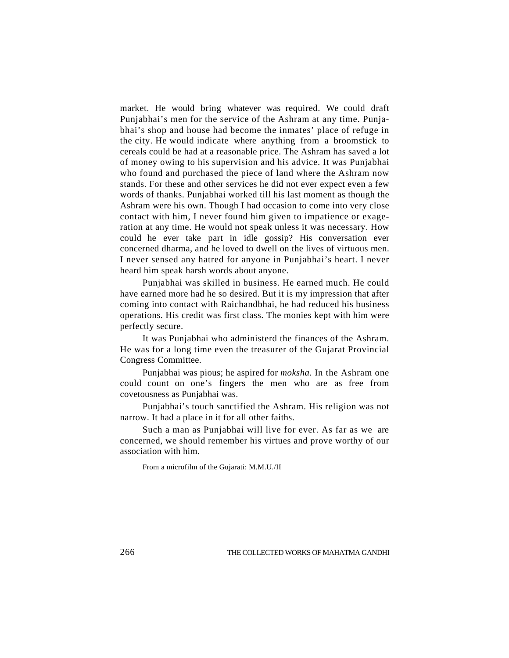market. He would bring whatever was required. We could draft Punjabhai's men for the service of the Ashram at any time. Punjabhai's shop and house had become the inmates' place of refuge in the city. He would indicate where anything from a broomstick to cereals could be had at a reasonable price. The Ashram has saved a lot of money owing to his supervision and his advice. It was Punjabhai who found and purchased the piece of land where the Ashram now stands. For these and other services he did not ever expect even a few words of thanks. Punjabhai worked till his last moment as though the Ashram were his own. Though I had occasion to come into very close contact with him, I never found him given to impatience or exageration at any time. He would not speak unless it was necessary. How could he ever take part in idle gossip? His conversation ever concerned dharma, and he loved to dwell on the lives of virtuous men. I never sensed any hatred for anyone in Punjabhai's heart. I never heard him speak harsh words about anyone.

Punjabhai was skilled in business. He earned much. He could have earned more had he so desired. But it is my impression that after coming into contact with Raichandbhai, he had reduced his business operations. His credit was first class. The monies kept with him were perfectly secure.

It was Punjabhai who administerd the finances of the Ashram. He was for a long time even the treasurer of the Gujarat Provincial Congress Committee.

Punjabhai was pious; he aspired for *moksha.* In the Ashram one could count on one's fingers the men who are as free from covetousness as Punjabhai was.

Punjabhai's touch sanctified the Ashram. His religion was not narrow. It had a place in it for all other faiths.

Such a man as Punjabhai will live for ever. As far as we are concerned, we should remember his virtues and prove worthy of our association with him.

From a microfilm of the Gujarati: M.M.U./II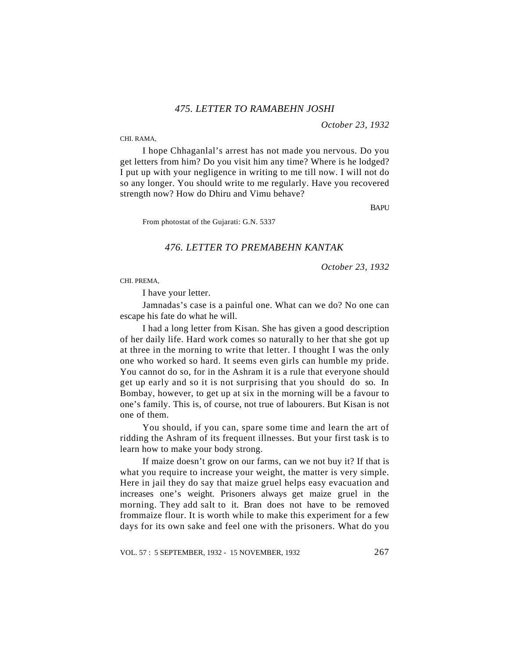*October 23, 1932*

CHI. RAMA,

I hope Chhaganlal's arrest has not made you nervous. Do you get letters from him? Do you visit him any time? Where is he lodged? I put up with your negligence in writing to me till now. I will not do so any longer. You should write to me regularly. Have you recovered strength now? How do Dhiru and Vimu behave?

**BAPU** 

From photostat of the Gujarati: G.N. 5337

# *476. LETTER TO PREMABEHN KANTAK*

*October 23, 1932*

CHI. PREMA,

I have your letter.

Jamnadas's case is a painful one. What can we do? No one can escape his fate do what he will.

I had a long letter from Kisan. She has given a good description of her daily life. Hard work comes so naturally to her that she got up at three in the morning to write that letter. I thought I was the only one who worked so hard. It seems even girls can humble my pride. You cannot do so, for in the Ashram it is a rule that everyone should get up early and so it is not surprising that you should do so. In Bombay, however, to get up at six in the morning will be a favour to one's family. This is, of course, not true of labourers. But Kisan is not one of them.

You should, if you can, spare some time and learn the art of ridding the Ashram of its frequent illnesses. But your first task is to learn how to make your body strong.

If maize doesn't grow on our farms, can we not buy it? If that is what you require to increase your weight, the matter is very simple. Here in jail they do say that maize gruel helps easy evacuation and increases one's weight. Prisoners always get maize gruel in the morning. They add salt to it. Bran does not have to be removed frommaize flour. It is worth while to make this experiment for a few days for its own sake and feel one with the prisoners. What do you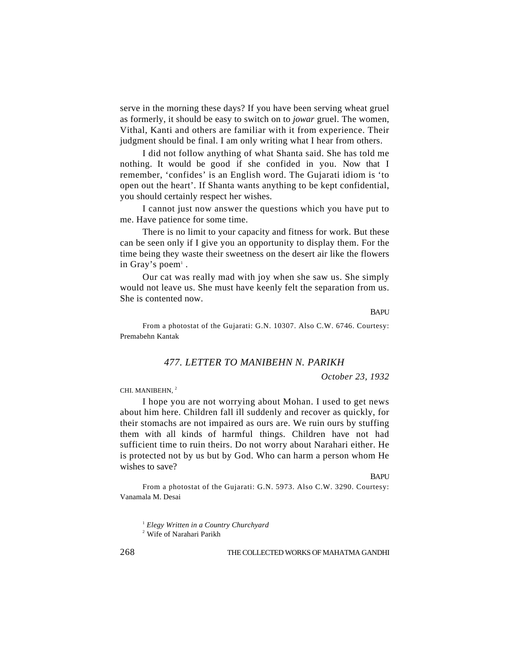serve in the morning these days? If you have been serving wheat gruel as formerly, it should be easy to switch on to *jowar* gruel. The women, Vithal, Kanti and others are familiar with it from experience. Their judgment should be final. I am only writing what I hear from others.

I did not follow anything of what Shanta said. She has told me nothing. It would be good if she confided in you. Now that I remember, 'confides' is an English word. The Gujarati idiom is 'to open out the heart'. If Shanta wants anything to be kept confidential, you should certainly respect her wishes.

I cannot just now answer the questions which you have put to me. Have patience for some time.

There is no limit to your capacity and fitness for work. But these can be seen only if I give you an opportunity to display them. For the time being they waste their sweetness on the desert air like the flowers in Gray's poem<sup>1</sup>.

Our cat was really mad with joy when she saw us. She simply would not leave us. She must have keenly felt the separation from us. She is contented now.

**BAPU** 

From a photostat of the Gujarati: G.N. 10307. Also C.W. 6746. Courtesy: Premabehn Kantak

# *477. LETTER TO MANIBEHN N. PARIKH*

*October 23, 1932*

CHI. MANIBEHN, <sup>2</sup>

I hope you are not worrying about Mohan. I used to get news about him here. Children fall ill suddenly and recover as quickly, for their stomachs are not impaired as ours are. We ruin ours by stuffing them with all kinds of harmful things. Children have not had sufficient time to ruin theirs. Do not worry about Narahari either. He is protected not by us but by God. Who can harm a person whom He wishes to save?

**BAPU** 

From a photostat of the Gujarati: G.N. 5973. Also C.W. 3290. Courtesy: Vanamala M. Desai

<sup>1</sup> *Elegy Written in a Country Churchyard*

<sup>2</sup> Wife of Narahari Parikh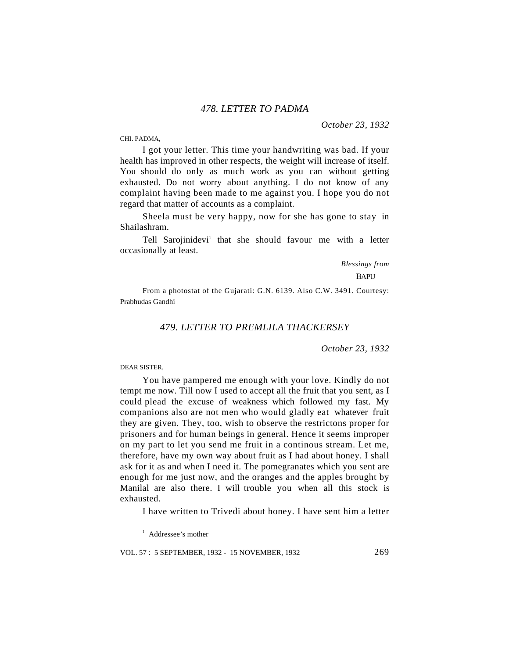*October 23, 1932*

CHI. PADMA,

I got your letter. This time your handwriting was bad. If your health has improved in other respects, the weight will increase of itself. You should do only as much work as you can without getting exhausted. Do not worry about anything. I do not know of any complaint having been made to me against you. I hope you do not regard that matter of accounts as a complaint.

Sheela must be very happy, now for she has gone to stay in Shailashram.

Tell Sarojinidevi<sup>1</sup> that she should favour me with a letter occasionally at least.

> *Blessings from* BAPU

From a photostat of the Gujarati: G.N. 6139. Also C.W. 3491. Courtesy: Prabhudas Gandhi

# *479. LETTER TO PREMLILA THACKERSEY*

*October 23, 1932*

DEAR SISTER,

You have pampered me enough with your love. Kindly do not tempt me now. Till now I used to accept all the fruit that you sent, as I could plead the excuse of weakness which followed my fast. My companions also are not men who would gladly eat whatever fruit they are given. They, too, wish to observe the restrictons proper for prisoners and for human beings in general. Hence it seems improper on my part to let you send me fruit in a continous stream. Let me, therefore, have my own way about fruit as I had about honey. I shall ask for it as and when I need it. The pomegranates which you sent are enough for me just now, and the oranges and the apples brought by Manilal are also there. I will trouble you when all this stock is exhausted.

I have written to Trivedi about honey. I have sent him a letter

<sup>1</sup> Addressee's mother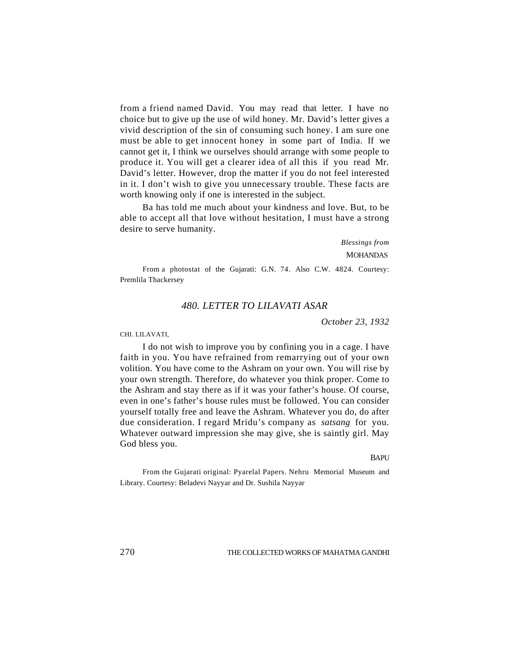from a friend named David. You may read that letter. I have no choice but to give up the use of wild honey. Mr. David's letter gives a vivid description of the sin of consuming such honey. I am sure one must be able to get innocent honey in some part of India. If we cannot get it, I think we ourselves should arrange with some people to produce it. You will get a clearer idea of all this if you read Mr. David's letter. However, drop the matter if you do not feel interested in it. I don't wish to give you unnecessary trouble. These facts are worth knowing only if one is interested in the subject.

Ba has told me much about your kindness and love. But, to be able to accept all that love without hesitation, I must have a strong desire to serve humanity.

> *Blessings from* **MOHANDAS**

From a photostat of the Gujarati: G.N. 74. Also C.W. 4824. Courtesy: Premlila Thackersey

# *480. LETTER TO LILAVATI ASAR*

*October 23, 1932*

CHI. LILAVATI,

I do not wish to improve you by confining you in a cage. I have faith in you. You have refrained from remarrying out of your own volition. You have come to the Ashram on your own. You will rise by your own strength. Therefore, do whatever you think proper. Come to the Ashram and stay there as if it was your father's house. Of course, even in one's father's house rules must be followed. You can consider yourself totally free and leave the Ashram. Whatever you do, do after due consideration. I regard Mridu's company as *satsang* for you. Whatever outward impression she may give, she is saintly girl. May God bless you.

**BAPU** 

From the Gujarati original: Pyarelal Papers. Nehru Memorial Museum and Library. Courtesy: Beladevi Nayyar and Dr. Sushila Nayyar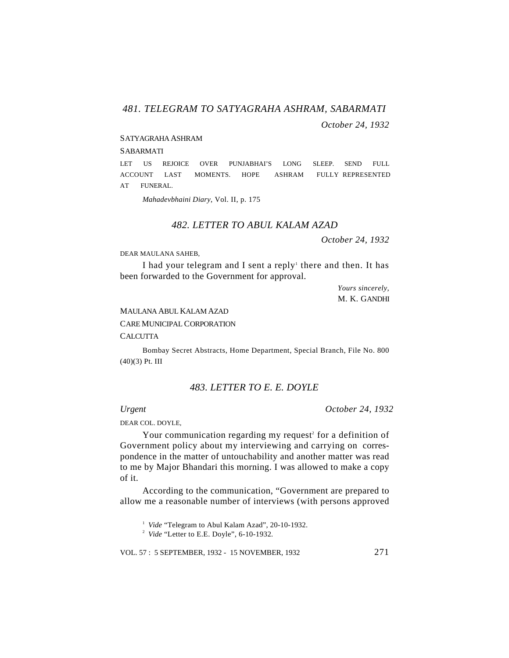*481. TELEGRAM TO SATYAGRAHA ASHRAM, SABARMATI*

*October 24, 1932*

### SATYAGRAHA ASHRAM

### SABARMATI

LET US REJOICE OVER PUNJABHAI'S LONG SLEEP. SEND FULL ACCOUNT LAST MOMENTS. HOPE ASHRAM FULLY REPRESENTED AT FUNERAL.

*Mahadevbhaini Diary*, Vol. II, p. 175

## *482. LETTER TO ABUL KALAM AZAD*

*October 24, 1932*

#### DEAR MAULANA SAHEB,

I had your telegram and I sent a reply<sup>1</sup> there and then. It has been forwarded to the Government for approval.

> *Yours sincerely,* M. K. GANDHI

MAULANA ABUL KALAM AZAD CARE MUNICIPAL CORPORATION **CALCUTTA** 

Bombay Secret Abstracts, Home Department, Special Branch, File No. 800 (40)(3) Pt. III

### *483. LETTER TO E. E. DOYLE*

*Urgent October 24, 1932*

DEAR COL. DOYLE,

Your communication regarding my request<sup>2</sup> for a definition of Government policy about my interviewing and carrying on correspondence in the matter of untouchability and another matter was read to me by Major Bhandari this morning. I was allowed to make a copy of it.

According to the communication, "Government are prepared to allow me a reasonable number of interviews (with persons approved

<sup>1</sup> Vide "Telegram to Abul Kalam Azad", 20-10-1932.

2 *Vide* "Letter to E.E. Doyle", 6-10-1932*.*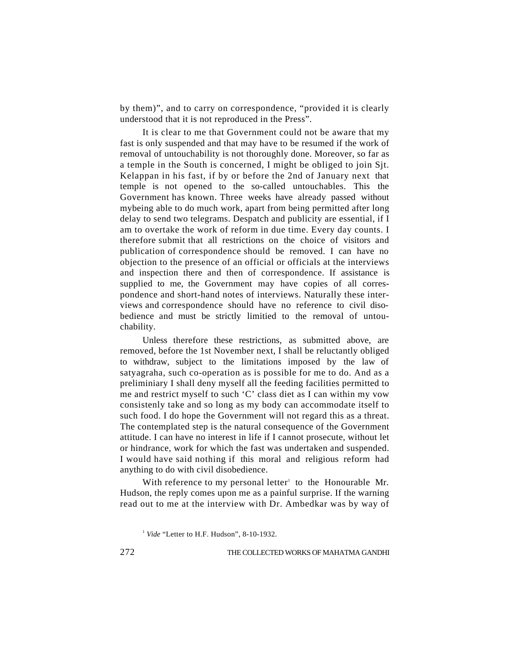by them)", and to carry on correspondence, "provided it is clearly understood that it is not reproduced in the Press".

It is clear to me that Government could not be aware that my fast is only suspended and that may have to be resumed if the work of removal of untouchability is not thoroughly done. Moreover, so far as a temple in the South is concerned, I might be obliged to join Sjt. Kelappan in his fast, if by or before the 2nd of January next that temple is not opened to the so-called untouchables. This the Government has known. Three weeks have already passed without mybeing able to do much work, apart from being permitted after long delay to send two telegrams. Despatch and publicity are essential, if I am to overtake the work of reform in due time. Every day counts. I therefore submit that all restrictions on the choice of visitors and publication of correspondence should be removed. I can have no objection to the presence of an official or officials at the interviews and inspection there and then of correspondence. If assistance is supplied to me, the Government may have copies of all correspondence and short-hand notes of interviews. Naturally these interviews and correspondence should have no reference to civil disobedience and must be strictly limitied to the removal of untouchability.

Unless therefore these restrictions, as submitted above, are removed, before the 1st November next, I shall be reluctantly obliged to withdraw, subject to the limitations imposed by the law of satyagraha, such co-operation as is possible for me to do. And as a preliminiary I shall deny myself all the feeding facilities permitted to me and restrict myself to such 'C' class diet as I can within my vow consistenly take and so long as my body can accommodate itself to such food. I do hope the Government will not regard this as a threat. The contemplated step is the natural consequence of the Government attitude. I can have no interest in life if I cannot prosecute, without let or hindrance, work for which the fast was undertaken and suspended. I would have said nothing if this moral and religious reform had anything to do with civil disobedience.

With reference to my personal letter<sup>1</sup> to the Honourable Mr. Hudson, the reply comes upon me as a painful surprise. If the warning read out to me at the interview with Dr. Ambedkar was by way of

<sup>&</sup>lt;sup>1</sup> *Vide* "Letter to H.F. Hudson", 8-10-1932.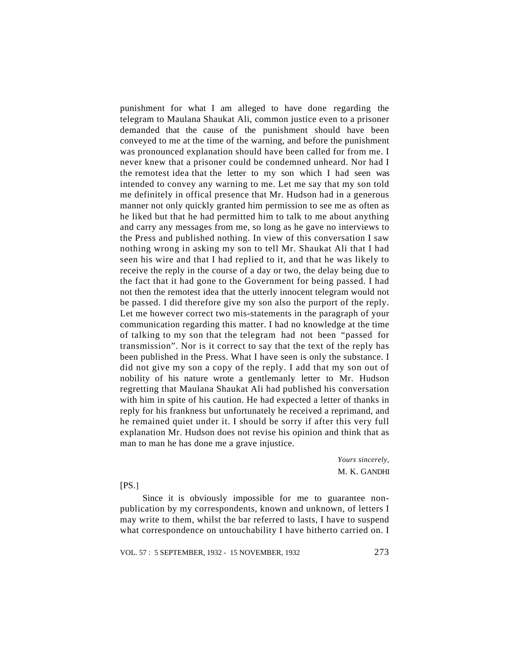punishment for what I am alleged to have done regarding the telegram to Maulana Shaukat Ali, common justice even to a prisoner demanded that the cause of the punishment should have been conveyed to me at the time of the warning, and before the punishment was pronounced explanation should have been called for from me. I never knew that a prisoner could be condemned unheard. Nor had I the remotest idea that the letter to my son which I had seen was intended to convey any warning to me. Let me say that my son told me definitely in offical presence that Mr. Hudson had in a generous manner not only quickly granted him permission to see me as often as he liked but that he had permitted him to talk to me about anything and carry any messages from me, so long as he gave no interviews to the Press and published nothing. In view of this conversation I saw nothing wrong in asking my son to tell Mr. Shaukat Ali that I had seen his wire and that I had replied to it, and that he was likely to receive the reply in the course of a day or two, the delay being due to the fact that it had gone to the Government for being passed. I had not then the remotest idea that the utterly innocent telegram would not be passed. I did therefore give my son also the purport of the reply. Let me however correct two mis-statements in the paragraph of your communication regarding this matter. I had no knowledge at the time of talking to my son that the telegram had not been "passed for transmission". Nor is it correct to say that the text of the reply has been published in the Press. What I have seen is only the substance. I did not give my son a copy of the reply. I add that my son out of nobility of his nature wrote a gentlemanly letter to Mr. Hudson regretting that Maulana Shaukat Ali had published his conversation with him in spite of his caution. He had expected a letter of thanks in reply for his frankness but unfortunately he received a reprimand, and he remained quiet under it. I should be sorry if after this very full explanation Mr. Hudson does not revise his opinion and think that as man to man he has done me a grave injustice.

> *Yours sincerely,* M. K. GANDHI

 $[PS.]$ 

Since it is obviously impossible for me to guarantee nonpublication by my correspondents, known and unknown, of letters I may write to them, whilst the bar referred to lasts, I have to suspend what correspondence on untouchability I have hitherto carried on. I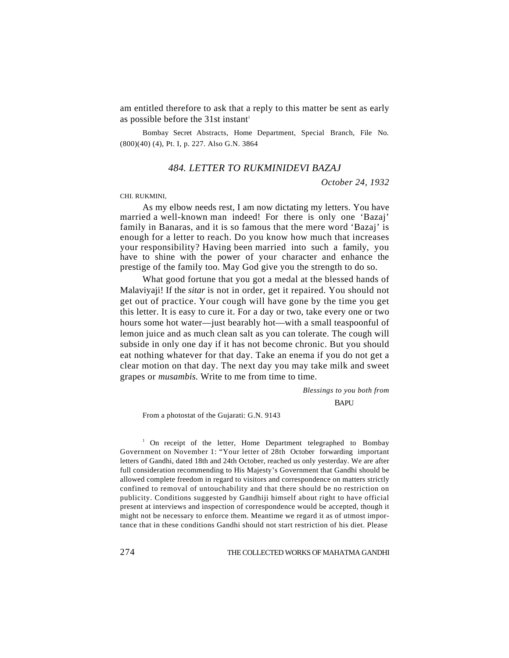am entitled therefore to ask that a reply to this matter be sent as early as possible before the  $31st$  instant<sup>1</sup>

Bombay Secret Abstracts, Home Department, Special Branch, File No. (800)(40) (4), Pt. I, p. 227. Also G.N. 3864

### *484. LETTER TO RUKMINIDEVI BAZAJ*

*October 24, 1932*

CHI. RUKMINI,

As my elbow needs rest, I am now dictating my letters. You have married a well-known man indeed! For there is only one 'Bazaj' family in Banaras, and it is so famous that the mere word 'Bazaj' is enough for a letter to reach. Do you know how much that increases your responsibility? Having been married into such a family, you have to shine with the power of your character and enhance the prestige of the family too. May God give you the strength to do so.

What good fortune that you got a medal at the blessed hands of Malaviyaji! If the *sitar* is not in order, get it repaired. You should not get out of practice. Your cough will have gone by the time you get this letter. It is easy to cure it. For a day or two, take every one or two hours some hot water—just bearably hot—with a small teaspoonful of lemon juice and as much clean salt as you can tolerate. The cough will subside in only one day if it has not become chronic. But you should eat nothing whatever for that day. Take an enema if you do not get a clear motion on that day. The next day you may take milk and sweet grapes or *musambis.* Write to me from time to time.

*Blessings to you both from*

**BAPU** 

From a photostat of the Gujarati: G.N. 9143

<sup>1</sup> On receipt of the letter, Home Department telegraphed to Bombay Government on November 1: "Your letter of 28th October forwarding important letters of Gandhi, dated 18th and 24th October, reached us only yesterday. We are after full consideration recommending to His Majesty's Government that Gandhi should be allowed complete freedom in regard to visitors and correspondence on matters strictly confined to removal of untouchability and that there should be no restriction on publicity. Conditions suggested by Gandhiji himself about right to have official present at interviews and inspection of correspondence would be accepted, though it might not be necessary to enforce them. Meantime we regard it as of utmost importance that in these conditions Gandhi should not start restriction of his diet. Please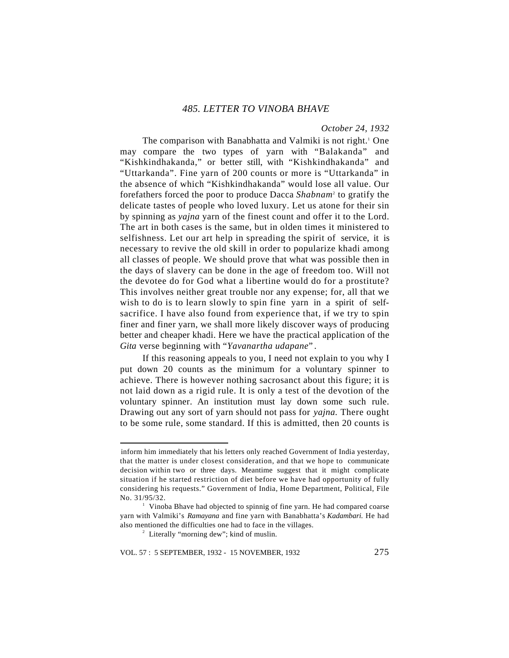### *October 24, 1932*

The comparison with Banabhatta and Valmiki is not right.<sup>1</sup> One may compare the two types of yarn with "Balakanda" and "Kishkindhakanda," or better still, with "Kishkindhakanda" and "Uttarkanda". Fine yarn of 200 counts or more is "Uttarkanda" in the absence of which "Kishkindhakanda" would lose all value. Our forefathers forced the poor to produce Dacca *Shabnam*<sup>2</sup> to gratify the delicate tastes of people who loved luxury. Let us atone for their sin by spinning as *yajna* yarn of the finest count and offer it to the Lord. The art in both cases is the same, but in olden times it ministered to selfishness. Let our art help in spreading the spirit of service, it is necessary to revive the old skill in order to popularize khadi among all classes of people. We should prove that what was possible then in the days of slavery can be done in the age of freedom too. Will not the devotee do for God what a libertine would do for a prostitute? This involves neither great trouble nor any expense; for, all that we wish to do is to learn slowly to spin fine yarn in a spirit of selfsacrifice. I have also found from experience that, if we try to spin finer and finer yarn, we shall more likely discover ways of producing better and cheaper khadi. Here we have the practical application of the *Gita* verse beginning with "*Yavanartha udapane*" .

If this reasoning appeals to you, I need not explain to you why I put down 20 counts as the minimum for a voluntary spinner to achieve. There is however nothing sacrosanct about this figure; it is not laid down as a rigid rule. It is only a test of the devotion of the voluntary spinner. An institution must lay down some such rule. Drawing out any sort of yarn should not pass for *yajna.* There ought to be some rule, some standard. If this is admitted, then 20 counts is

<sup>.</sup> inform him immediately that his letters only reached Government of India yesterday, that the matter is under closest consideration, and that we hope to communicate decision within two or three days. Meantime suggest that it might complicate situation if he started restriction of diet before we have had opportunity of fully considering his requests." Government of India, Home Department, Political, File No. 31/95/32.

<sup>&</sup>lt;sup>1</sup> Vinoba Bhave had objected to spinnig of fine yarn. He had compared coarse yarn with Valmiki's *Ramayana* and fine yarn with Banabhatta's *Kadambari*. He had also mentioned the difficulties one had to face in the villages.

<sup>&</sup>lt;sup>2</sup> Literally "morning dew"; kind of muslin.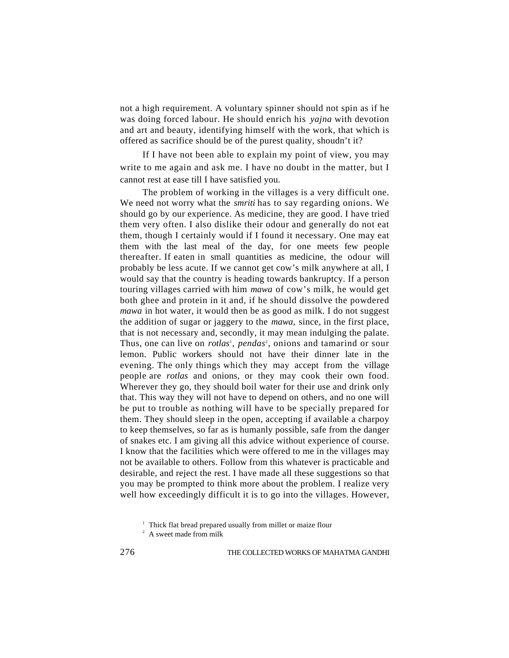not a high requirement. A voluntary spinner should not spin as if he was doing forced labour. He should enrich his *yajna* with devotion and art and beauty, identifying himself with the work, that which is offered as sacrifice should be of the purest quality, shoudn't it?

If I have not been able to explain my point of view, you may write to me again and ask me. I have no doubt in the matter, but I cannot rest at ease till I have satisfied you.

The problem of working in the villages is a very difficult one. We need not worry what the *smriti* has to say regarding onions. We should go by our experience. As medicine, they are good. I have tried them very often. I also dislike their odour and generally do not eat them, though I certainly would if I found it necessary. One may eat them with the last meal of the day, for one meets few people thereafter. If eaten in small quantities as medicine, the odour will probably be less acute. If we cannot get cow's milk anywhere at all, I would say that the country is heading towards bankruptcy. If a person touring villages carried with him *mawa* of cow's milk, he would get both ghee and protein in it and, if he should dissolve the powdered *mawa* in hot water, it would then be as good as milk. I do not suggest the addition of sugar or jaggery to the *mawa,* since, in the first place, that is not necessary and, secondly, it may mean indulging the palate. Thus, one can live on *rotlas<sup>1</sup>*, *pendas<sup>2</sup>*, onions and tamarind or sour lemon. Public workers should not have their dinner late in the evening. The only things which they may accept from the village people are *rotlas* and onions, or they may cook their own food. Wherever they go, they should boil water for their use and drink only that. This way they will not have to depend on others, and no one will be put to trouble as nothing will have to be specially prepared for them. They should sleep in the open, accepting if available a charpoy to keep themselves, so far as is humanly possible, safe from the danger of snakes etc. I am giving all this advice without experience of course. I know that the facilities which were offered to me in the villages may not be available to others. Follow from this whatever is practicable and desirable, and reject the rest. I have made all these suggestions so that you may be prompted to think more about the problem. I realize very well how exceedingly difficult it is to go into the villages. However,

<sup>&</sup>lt;sup>1</sup> Thick flat bread prepared usually from millet or maize flour

<sup>&</sup>lt;sup>2</sup> A sweet made from milk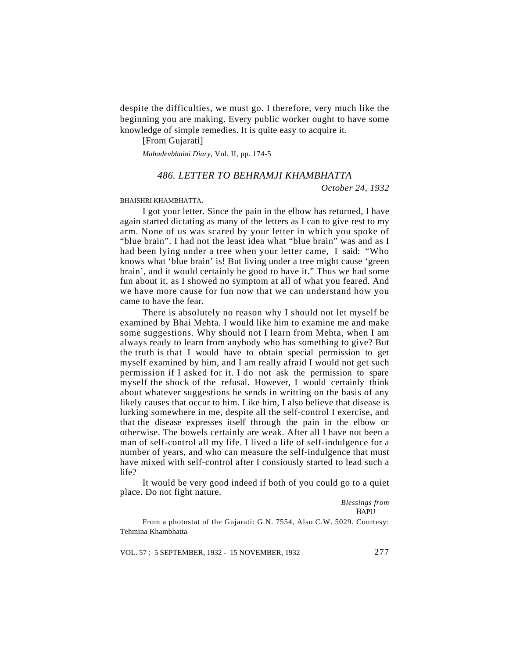despite the difficulties, we must go. I therefore, very much like the beginning you are making. Every public worker ought to have some knowledge of simple remedies. It is quite easy to acquire it.

[From Gujarati]

*Mahadevbhaini Diary*, Vol. II, pp. 174-5

### *486. LETTER TO BEHRAMJI KHAMBHATTA*

*October 24, 1932*

### BHAISHRI KHAMBHATTA,

I got your letter. Since the pain in the elbow has returned, I have again started dictating as many of the letters as I can to give rest to my arm. None of us was scared by your letter in which you spoke of "blue brain". I had not the least idea what "blue brain" was and as I had been lying under a tree when your letter came, I said: "Who knows what 'blue brain' is! But living under a tree might cause 'green brain', and it would certainly be good to have it." Thus we had some fun about it, as I showed no symptom at all of what you feared. And we have more cause for fun now that we can understand how you came to have the fear.

There is absolutely no reason why I should not let myself be examined by Bhai Mehta. I would like him to examine me and make some suggestions. Why should not I learn from Mehta, when I am always ready to learn from anybody who has something to give? But the truth is that I would have to obtain special permission to get myself examined by him, and I am really afraid I would not get such permission if I asked for it. I do not ask the permission to spare myself the shock of the refusal. However, I would certainly think about whatever suggestions he sends in writting on the basis of any likely causes that occur to him. Like him, I also believe that disease is lurking somewhere in me, despite all the self-control I exercise, and that the disease expresses itself through the pain in the elbow or otherwise. The bowels certainly are weak. After all I have not been a man of self-control all my life. I lived a life of self-indulgence for a number of years, and who can measure the self-indulgence that must have mixed with self-control after I consiously started to lead such a life?

It would be very good indeed if both of you could go to a quiet place. Do not fight nature.

> *Blessings from* **BAPU**

From a photostat of the Gujarati: G.N. 7554, Also C.W. 5029. Courtesy: Tehmina Khambhatta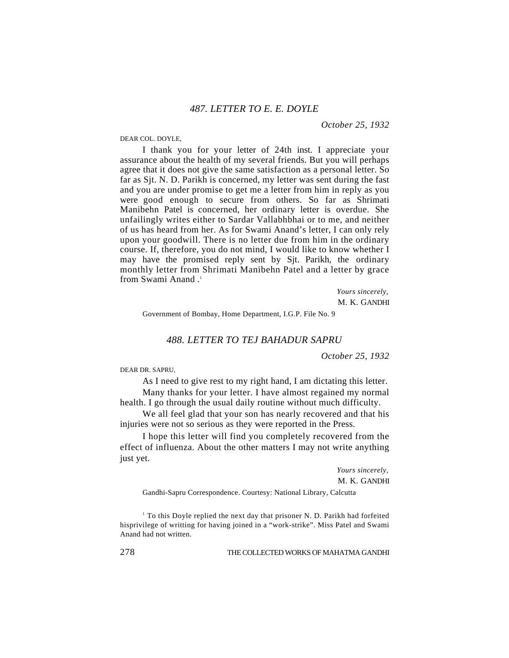*October 25, 1932*

DEAR COL. DOYLE,

I thank you for your letter of 24th inst. I appreciate your assurance about the health of my several friends. But you will perhaps agree that it does not give the same satisfaction as a personal letter. So far as Sjt. N. D. Parikh is concerned, my letter was sent during the fast and you are under promise to get me a letter from him in reply as you were good enough to secure from others. So far as Shrimati Manibehn Patel is concerned, her ordinary letter is overdue. She unfailingly writes either to Sardar Vallabhbhai or to me, and neither of us has heard from her. As for Swami Anand's letter, I can only rely upon your goodwill. There is no letter due from him in the ordinary course. If, therefore, you do not mind, I would like to know whether I may have the promised reply sent by Sjt. Parikh, the ordinary monthly letter from Shrimati Manibehn Patel and a letter by grace from Swami Anand<sup>1</sup>

> *Yours sincerely,* M. K. GANDHI

Government of Bombay, Home Department, I.G.P. File No. 9

### *488. LETTER TO TEJ BAHADUR SAPRU*

*October 25, 1932*

DEAR DR. SAPRU,

As I need to give rest to my right hand, I am dictating this letter.

Many thanks for your letter. I have almost regained my normal health. I go through the usual daily routine without much difficulty.

We all feel glad that your son has nearly recovered and that his injuries were not so serious as they were reported in the Press.

I hope this letter will find you completely recovered from the effect of influenza. About the other matters I may not write anything just yet.

> *Yours sincerely,* M. K. GANDHI

Gandhi-Sapru Correspondence. Courtesy: National Library, Calcutta

<sup>1</sup> To this Doyle replied the next day that prisoner N. D. Parikh had forfeited hisprivilege of writting for having joined in a "work-strike". Miss Patel and Swami Anand had not written.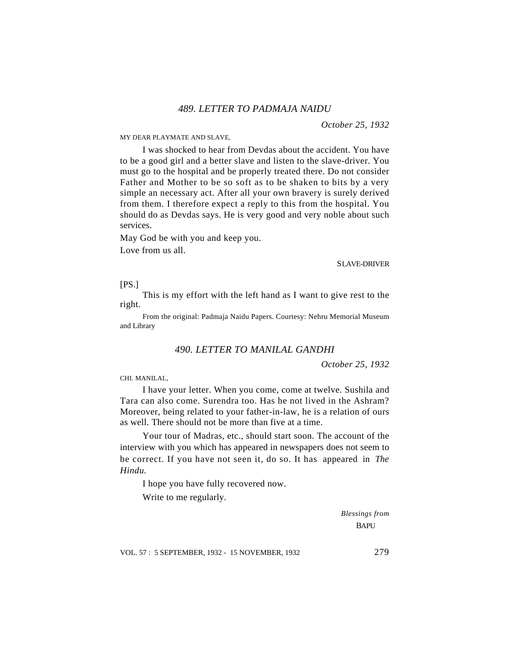# *489. LETTER TO PADMAJA NAIDU*

*October 25, 1932*

MY DEAR PLAYMATE AND SLAVE,

I was shocked to hear from Devdas about the accident. You have to be a good girl and a better slave and listen to the slave-driver. You must go to the hospital and be properly treated there. Do not consider Father and Mother to be so soft as to be shaken to bits by a very simple an necessary act. After all your own bravery is surely derived from them. I therefore expect a reply to this from the hospital. You should do as Devdas says. He is very good and very noble about such services.

May God be with you and keep you.

Love from us all.

### SLAVE-DRIVER

[PS.]

This is my effort with the left hand as I want to give rest to the right.

From the original: Padmaja Naidu Papers. Courtesy: Nehru Memorial Museum and Library

# *490. LETTER TO MANILAL GANDHI*

*October 25, 1932*

CHI. MANILAL,

I have your letter. When you come, come at twelve. Sushila and Tara can also come. Surendra too. Has he not lived in the Ashram? Moreover, being related to your father-in-law, he is a relation of ours as well. There should not be more than five at a time.

Your tour of Madras, etc., should start soon. The account of the interview with you which has appeared in newspapers does not seem to be correct. If you have not seen it, do so. It has appeared in *The Hindu.*

I hope you have fully recovered now.

Write to me regularly.

*Blessings from* BAPU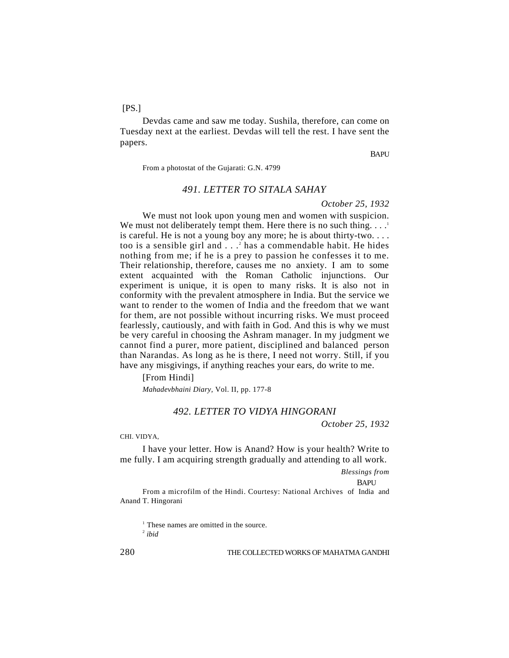$[PS.]$ 

Devdas came and saw me today. Sushila, therefore, can come on Tuesday next at the earliest. Devdas will tell the rest. I have sent the papers.

BAPU

From a photostat of the Gujarati: G.N. 4799

## *491. LETTER TO SITALA SAHAY*

### *October 25, 1932*

We must not look upon young men and women with suspicion. We must not deliberately tempt them. Here there is no such thing.  $\dots$ <sup>1</sup> is careful. He is not a young boy any more; he is about thirty-two. . . . too is a sensible girl and . . .<sup>2</sup> has a commendable habit. He hides nothing from me; if he is a prey to passion he confesses it to me. Their relationship, therefore, causes me no anxiety. I am to some extent acquainted with the Roman Catholic injunctions. Our experiment is unique, it is open to many risks. It is also not in conformity with the prevalent atmosphere in India. But the service we want to render to the women of India and the freedom that we want for them, are not possible without incurring risks. We must proceed fearlessly, cautiously, and with faith in God. And this is why we must be very careful in choosing the Ashram manager. In my judgment we cannot find a purer, more patient, disciplined and balanced person than Narandas. As long as he is there, I need not worry. Still, if you have any misgivings, if anything reaches your ears, do write to me.

[From Hindi]

*Mahadevbhaini Diary,* Vol. II, pp. 177-8

### *492. LETTER TO VIDYA HINGORANI*

*October 25, 1932*

CHI. VIDYA,

I have your letter. How is Anand? How is your health? Write to me fully. I am acquiring strength gradually and attending to all work.

*Blessings from*

BAPU

From a microfilm of the Hindi. Courtesy: National Archives of India and Anand T. Hingorani

<sup>1</sup> These names are omitted in the source. 2 *ibid*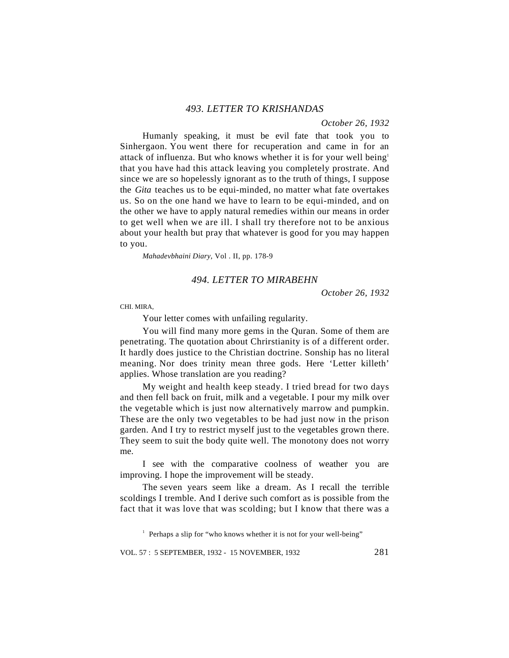# *493. LETTER TO KRISHANDAS*

*October 26, 1932*

Humanly speaking, it must be evil fate that took you to Sinhergaon. You went there for recuperation and came in for an attack of influenza. But who knows whether it is for your well being<sup>1</sup> that you have had this attack leaving you completely prostrate. And since we are so hopelessly ignorant as to the truth of things, I suppose the *Gita* teaches us to be equi-minded, no matter what fate overtakes us. So on the one hand we have to learn to be equi-minded, and on the other we have to apply natural remedies within our means in order to get well when we are ill. I shall try therefore not to be anxious about your health but pray that whatever is good for you may happen to you.

*Mahadevbhaini Diary*, Vol . II, pp. 178-9

### *494. LETTER TO MIRABEHN*

*October 26, 1932*

CHI. MIRA,

Your letter comes with unfailing regularity.

You will find many more gems in the Quran. Some of them are penetrating. The quotation about Chrirstianity is of a different order. It hardly does justice to the Christian doctrine. Sonship has no literal meaning. Nor does trinity mean three gods. Here 'Letter killeth' applies. Whose translation are you reading?

My weight and health keep steady. I tried bread for two days and then fell back on fruit, milk and a vegetable. I pour my milk over the vegetable which is just now alternatively marrow and pumpkin. These are the only two vegetables to be had just now in the prison garden. And I try to restrict myself just to the vegetables grown there. They seem to suit the body quite well. The monotony does not worry me.

I see with the comparative coolness of weather you are improving. I hope the improvement will be steady.

The seven years seem like a dream. As I recall the terrible scoldings I tremble. And I derive such comfort as is possible from the fact that it was love that was scolding; but I know that there was a

<sup>1</sup> Perhaps a slip for "who knows whether it is not for your well-being"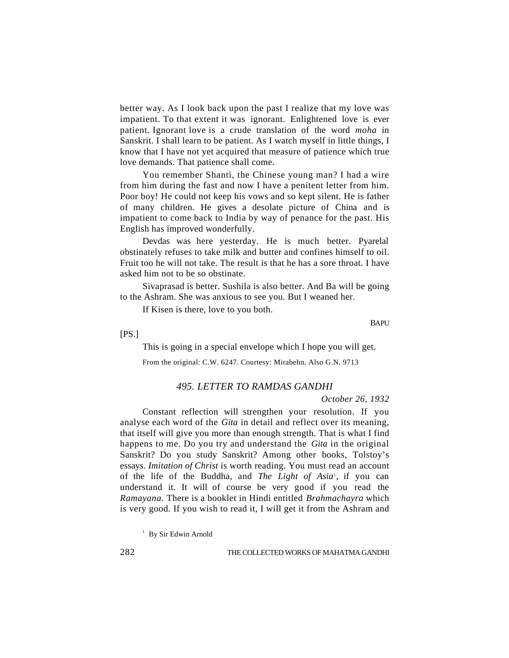better way. As I look back upon the past I realize that my love was impatient. To that extent it was ignorant. Enlightened love is ever patient. Ignorant love is a crude translation of the word *moha* in Sanskrit. I shall learn to be patient. As I watch myself in little things, I know that I have not yet acquired that measure of patience which true love demands. That patience shall come.

You remember Shanti, the Chinese young man? I had a wire from him during the fast and now I have a penitent letter from him. Poor boy! He could not keep his vows and so kept silent. He is father of many children. He gives a desolate picture of China and is impatient to come back to India by way of penance for the past. His English has improved wonderfully.

Devdas was here yesterday. He is much better. Pyarelal obstinately refuses to take milk and butter and confines himself to oil. Fruit too he will not take. The result is that he has a sore throat. I have asked him not to be so obstinate.

Sivaprasad is better. Sushila is also better. And Ba will be going to the Ashram. She was anxious to see you. But I weaned her.

If Kisen is there, love to you both.

**BAPU** 

[PS.]

This is going in a special envelope which I hope you will get.

From the original: C.W. 6247. Courtesy: Mirabehn. Also G.N. 9713

# *495. LETTER TO RAMDAS GANDHI*

# *October 26, 1932*

Constant reflection will strengthen your resolution. If you analyse each word of the *Gita* in detail and reflect over its meaning, that itself will give you more than enough strength. That is what I find happens to me. Do you try and understand the *Gita* in the original Sanskrit? Do you study Sanskrit? Among other books, Tolstoy's essays. *Imitation of Christ* is worth reading. You must read an account of the life of the Buddha, and *The Light of Asia*<sup>1</sup>, if you can understand it. It will of course be very good if you read the *Ramayana.* There is a booklet in Hindi entitled *Brahmachayra* which is very good. If you wish to read it, I will get it from the Ashram and

<sup>1</sup> By Sir Edwin Arnold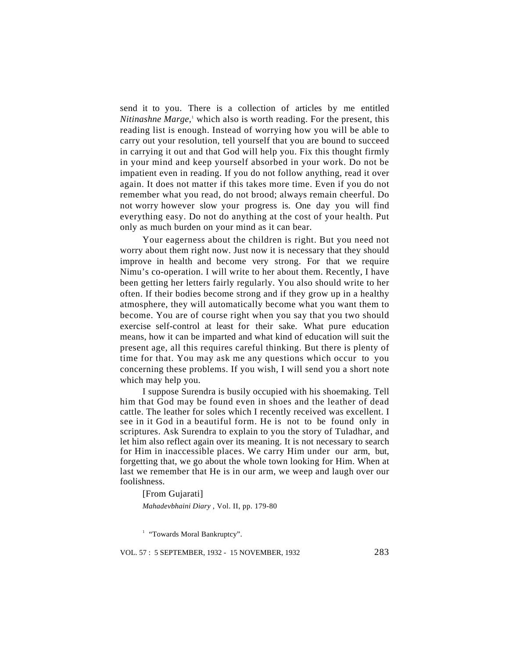send it to you. There is a collection of articles by me entitled Nitinashne Marge,<sup>1</sup> which also is worth reading. For the present, this reading list is enough. Instead of worrying how you will be able to carry out your resolution, tell yourself that you are bound to succeed in carrying it out and that God will help you. Fix this thought firmly in your mind and keep yourself absorbed in your work. Do not be impatient even in reading. If you do not follow anything, read it over again. It does not matter if this takes more time. Even if you do not remember what you read, do not brood; always remain cheerful. Do not worry however slow your progress is. One day you will find everything easy. Do not do anything at the cost of your health. Put only as much burden on your mind as it can bear.

Your eagerness about the children is right. But you need not worry about them right now. Just now it is necessary that they should improve in health and become very strong. For that we require Nimu's co-operation. I will write to her about them. Recently, I have been getting her letters fairly regularly. You also should write to her often. If their bodies become strong and if they grow up in a healthy atmosphere, they will automatically become what you want them to become. You are of course right when you say that you two should exercise self-control at least for their sake. What pure education means, how it can be imparted and what kind of education will suit the present age, all this requires careful thinking. But there is plenty of time for that. You may ask me any questions which occur to you concerning these problems. If you wish, I will send you a short note which may help you.

I suppose Surendra is busily occupied with his shoemaking. Tell him that God may be found even in shoes and the leather of dead cattle. The leather for soles which I recently received was excellent. I see in it God in a beautiful form. He is not to be found only in scriptures. Ask Surendra to explain to you the story of Tuladhar, and let him also reflect again over its meaning. It is not necessary to search for Him in inaccessible places. We carry Him under our arm, but, forgetting that, we go about the whole town looking for Him. When at last we remember that He is in our arm, we weep and laugh over our foolishness.

[From Gujarati] *Mahadevbhaini Diary* , Vol. II, pp. 179-80

<sup>1</sup> "Towards Moral Bankruptcy".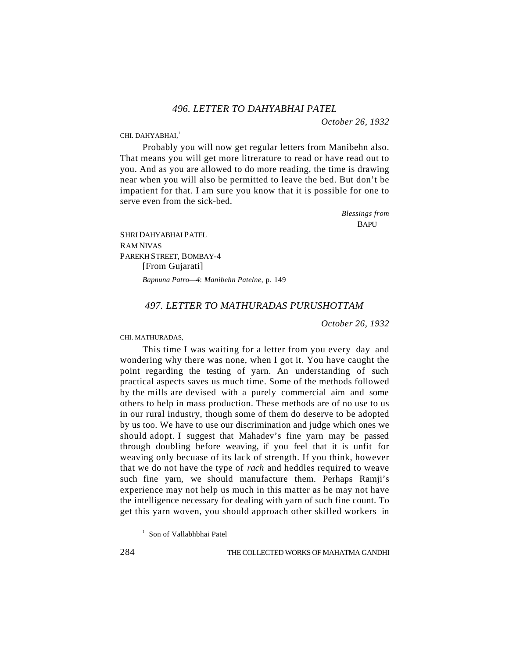*October 26, 1932*

CHI. DAHYABHAI.<sup>1</sup>

Probably you will now get regular letters from Manibehn also. That means you will get more litrerature to read or have read out to you. And as you are allowed to do more reading, the time is drawing near when you will also be permitted to leave the bed. But don't be impatient for that. I am sure you know that it is possible for one to serve even from the sick-bed.

> *Blessings from* **BAPU**

SHRI DAHYABHAI PATEL RAM NIVAS PAREKH STREET, BOMBAY-4 [From Gujarati] *Bapnuna Patro—4*: *Manibehn Patelne*, p. 149

# *497. LETTER TO MATHURADAS PURUSHOTTAM*

*October 26, 1932*

CHI. MATHURADAS,

This time I was waiting for a letter from you every day and wondering why there was none, when I got it. You have caught the point regarding the testing of yarn. An understanding of such practical aspects saves us much time. Some of the methods followed by the mills are devised with a purely commercial aim and some others to help in mass production. These methods are of no use to us in our rural industry, though some of them do deserve to be adopted by us too. We have to use our discrimination and judge which ones we should adopt. I suggest that Mahadev's fine yarn may be passed through doubling before weaving, if you feel that it is unfit for weaving only becuase of its lack of strength. If you think, however that we do not have the type of *rach* and heddles required to weave such fine yarn, we should manufacture them. Perhaps Ramji's experience may not help us much in this matter as he may not have the intelligence necessary for dealing with yarn of such fine count. To get this yarn woven, you should approach other skilled workers in

<sup>1</sup> Son of Vallabhbhai Patel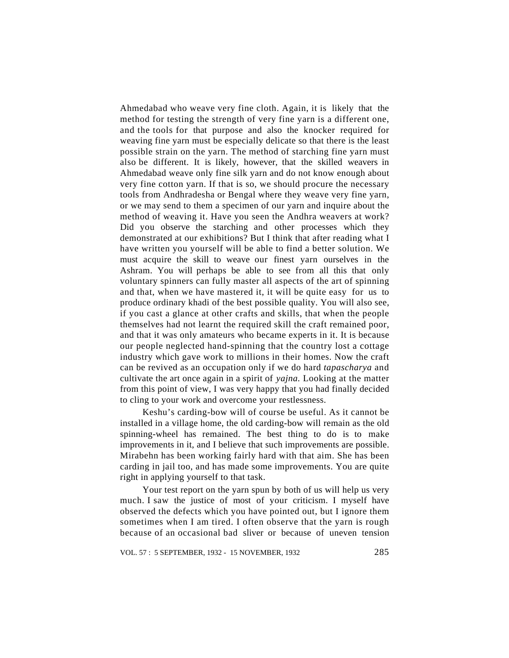Ahmedabad who weave very fine cloth. Again, it is likely that the method for testing the strength of very fine yarn is a different one, and the tools for that purpose and also the knocker required for weaving fine yarn must be especially delicate so that there is the least possible strain on the yarn. The method of starching fine yarn must also be different. It is likely, however, that the skilled weavers in Ahmedabad weave only fine silk yarn and do not know enough about very fine cotton yarn. If that is so, we should procure the necessary tools from Andhradesha or Bengal where they weave very fine yarn, or we may send to them a specimen of our yarn and inquire about the method of weaving it. Have you seen the Andhra weavers at work? Did you observe the starching and other processes which they demonstrated at our exhibitions? But I think that after reading what I have written you yourself will be able to find a better solution. We must acquire the skill to weave our finest yarn ourselves in the Ashram. You will perhaps be able to see from all this that only voluntary spinners can fully master all aspects of the art of spinning and that, when we have mastered it, it will be quite easy for us to produce ordinary khadi of the best possible quality. You will also see, if you cast a glance at other crafts and skills, that when the people themselves had not learnt the required skill the craft remained poor, and that it was only amateurs who became experts in it. It is because our people neglected hand-spinning that the country lost a cottage industry which gave work to millions in their homes. Now the craft can be revived as an occupation only if we do hard *tapascharya* and cultivate the art once again in a spirit of *yajna.* Looking at the matter from this point of view, I was very happy that you had finally decided to cling to your work and overcome your restlessness.

Keshu's carding-bow will of course be useful. As it cannot be installed in a village home, the old carding-bow will remain as the old spinning-wheel has remained. The best thing to do is to make improvements in it, and I believe that such improvements are possible. Mirabehn has been working fairly hard with that aim. She has been carding in jail too, and has made some improvements. You are quite right in applying yourself to that task.

Your test report on the yarn spun by both of us will help us very much. I saw the justice of most of your criticism. I myself have observed the defects which you have pointed out, but I ignore them sometimes when I am tired. I often observe that the yarn is rough because of an occasional bad sliver or because of uneven tension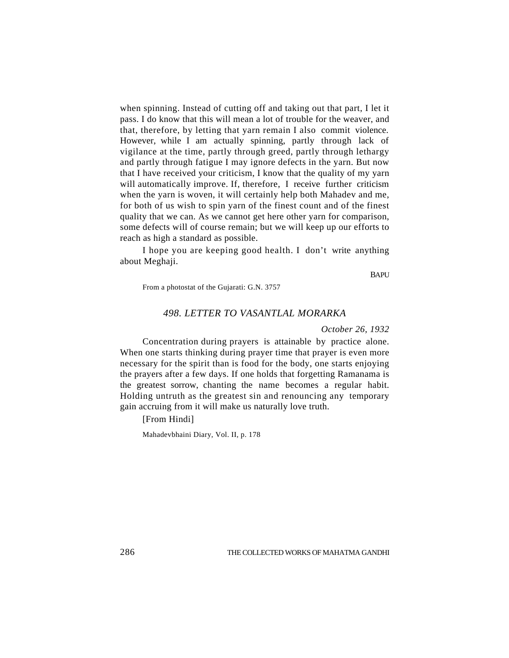when spinning. Instead of cutting off and taking out that part, I let it pass. I do know that this will mean a lot of trouble for the weaver, and that, therefore, by letting that yarn remain I also commit violence. However, while I am actually spinning, partly through lack of vigilance at the time, partly through greed, partly through lethargy and partly through fatigue I may ignore defects in the yarn. But now that I have received your criticism, I know that the quality of my yarn will automatically improve. If, therefore, I receive further criticism when the yarn is woven, it will certainly help both Mahadev and me, for both of us wish to spin yarn of the finest count and of the finest quality that we can. As we cannot get here other yarn for comparison, some defects will of course remain; but we will keep up our efforts to reach as high a standard as possible.

I hope you are keeping good health. I don't write anything about Meghaji.

**BAPU** 

From a photostat of the Gujarati: G.N. 3757

### *498. LETTER TO VASANTLAL MORARKA*

*October 26, 1932*

Concentration during prayers is attainable by practice alone. When one starts thinking during prayer time that prayer is even more necessary for the spirit than is food for the body, one starts enjoying the prayers after a few days. If one holds that forgetting Ramanama is the greatest sorrow, chanting the name becomes a regular habit. Holding untruth as the greatest sin and renouncing any temporary gain accruing from it will make us naturally love truth.

[From Hindi]

Mahadevbhaini Diary, Vol. II, p. 178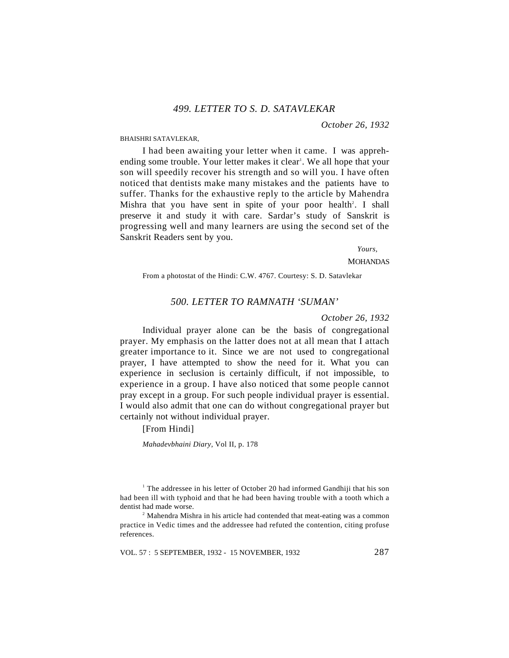*October 26, 1932*

#### BHAISHRI SATAVLEKAR,

I had been awaiting your letter when it came. I was apprehending some trouble. Your letter makes it clear<sup>1</sup>. We all hope that your son will speedily recover his strength and so will you. I have often noticed that dentists make many mistakes and the patients have to suffer. Thanks for the exhaustive reply to the article by Mahendra Mishra that you have sent in spite of your poor health<sup>2</sup>. I shall preserve it and study it with care. Sardar's study of Sanskrit is progressing well and many learners are using the second set of the Sanskrit Readers sent by you.

 *Yours,*

**MOHANDAS** 

From a photostat of the Hindi: C.W. 4767. Courtesy: S. D. Satavlekar

# *500. LETTER TO RAMNATH 'SUMAN'*

### *October 26, 1932*

Individual prayer alone can be the basis of congregational prayer. My emphasis on the latter does not at all mean that I attach greater importance to it. Since we are not used to congregational prayer, I have attempted to show the need for it. What you can experience in seclusion is certainly difficult, if not impossible, to experience in a group. I have also noticed that some people cannot pray except in a group. For such people individual prayer is essential. I would also admit that one can do without congregational prayer but certainly not without individual prayer.

[From Hindi]

*Mahadevbhaini Diary,* Vol II, p. 178

<sup>1</sup> The addressee in his letter of October 20 had informed Gandhiji that his son had been ill with typhoid and that he had been having trouble with a tooth which a dentist had made worse.

<sup>2</sup> Mahendra Mishra in his article had contended that meat-eating was a common practice in Vedic times and the addressee had refuted the contention, citing profuse references.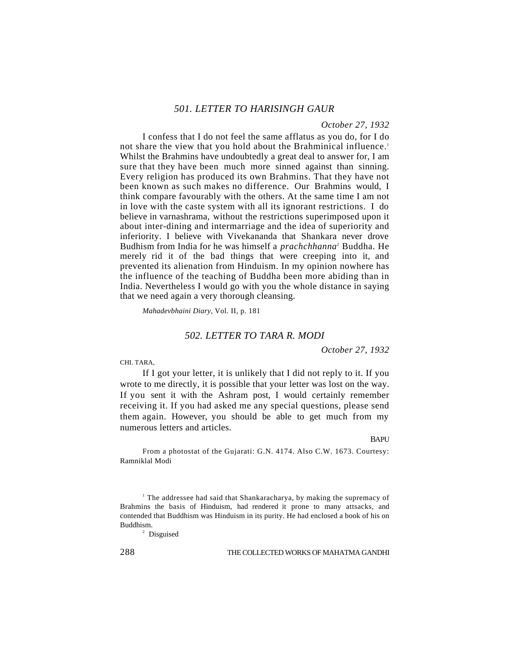# *501. LETTER TO HARISINGH GAUR*

### *October 27, 1932*

I confess that I do not feel the same afflatus as you do, for I do not share the view that you hold about the Brahminical influence.<sup>1</sup> Whilst the Brahmins have undoubtedly a great deal to answer for, I am sure that they have been much more sinned against than sinning. Every religion has produced its own Brahmins. That they have not been known as such makes no difference. Our Brahmins would, I think compare favourably with the others. At the same time I am not in love with the caste system with all its ignorant restrictions. I do believe in varnashrama*,* without the restrictions superimposed upon it about inter-dining and intermarriage and the idea of superiority and inferiority. I believe with Vivekananda that Shankara never drove Budhism from India for he was himself a *prachchhanna*<sup>2</sup> Buddha. He merely rid it of the bad things that were creeping into it, and prevented its alienation from Hinduism. In my opinion nowhere has the influence of the teaching of Buddha been more abiding than in India. Nevertheless I would go with you the whole distance in saying that we need again a very thorough cleansing.

*Mahadevbhaini Diary,* Vol. II, p. 181

# *502. LETTER TO TARA R. MODI*

*October 27, 1932*

CHI. TARA

If I got your letter, it is unlikely that I did not reply to it. If you wrote to me directly, it is possible that your letter was lost on the way. If you sent it with the Ashram post, I would certainly remember receiving it. If you had asked me any special questions, please send them again. However, you should be able to get much from my numerous letters and articles.

**BAPU** 

From a photostat of the Gujarati: G.N. 4174. Also C.W. 1673. Courtesy: Ramniklal Modi

<sup>1</sup> The addressee had said that Shankaracharya, by making the supremacy of Brahmins the basis of Hinduism, had rendered it prone to many attsacks, and contended that Buddhism was Hinduism in its purity. He had enclosed a book of his on Buddhism.

<sup>&</sup>lt;sup>2</sup> Disguised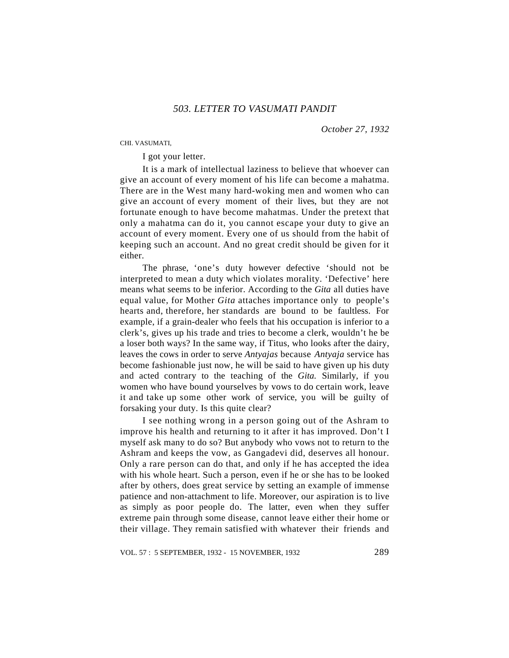## *503. LETTER TO VASUMATI PANDIT*

*October 27, 1932*

#### CHI. VASUMATI,

I got your letter.

It is a mark of intellectual laziness to believe that whoever can give an account of every moment of his life can become a mahatma. There are in the West many hard-woking men and women who can give an account of every moment of their lives, but they are not fortunate enough to have become mahatmas. Under the pretext that only a mahatma can do it, you cannot escape your duty to give an account of every moment. Every one of us should from the habit of keeping such an account. And no great credit should be given for it either.

The phrase, 'one's duty however defective 'should not be interpreted to mean a duty which violates morality. 'Defective' here means what seems to be inferior. According to the *Gita* all duties have equal value, for Mother *Gita* attaches importance only to people's hearts and, therefore, her standards are bound to be faultless. For example, if a grain-dealer who feels that his occupation is inferior to a clerk's, gives up his trade and tries to become a clerk, wouldn't he be a loser both ways? In the same way, if Titus, who looks after the dairy, leaves the cows in order to serve *Antyajas* because *Antyaja* service has become fashionable just now, he will be said to have given up his duty and acted contrary to the teaching of the *Gita.* Similarly, if you women who have bound yourselves by vows to do certain work, leave it and take up some other work of service, you will be guilty of forsaking your duty. Is this quite clear?

I see nothing wrong in a person going out of the Ashram to improve his health and returning to it after it has improved. Don't I myself ask many to do so? But anybody who vows not to return to the Ashram and keeps the vow, as Gangadevi did, deserves all honour. Only a rare person can do that, and only if he has accepted the idea with his whole heart. Such a person, even if he or she has to be looked after by others, does great service by setting an example of immense patience and non-attachment to life. Moreover, our aspiration is to live as simply as poor people do. The latter, even when they suffer extreme pain through some disease, cannot leave either their home or their village. They remain satisfied with whatever their friends and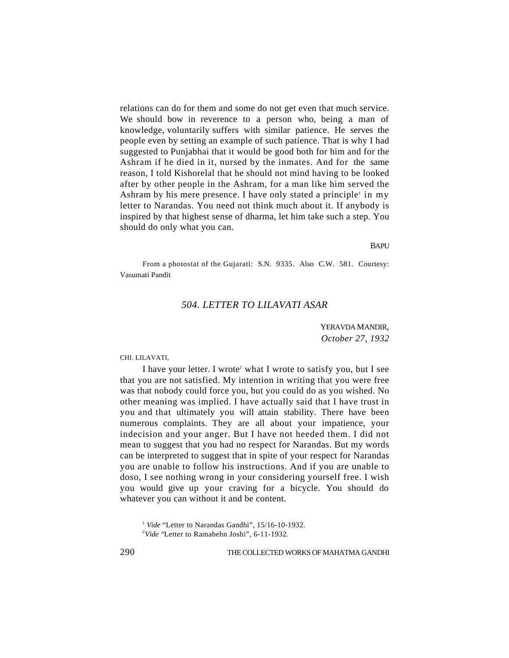relations can do for them and some do not get even that much service. We should bow in reverence to a person who, being a man of knowledge, voluntarily suffers with similar patience. He serves the people even by setting an example of such patience. That is why I had suggested to Punjabhai that it would be good both for him and for the Ashram if he died in it, nursed by the inmates. And for the same reason, I told Kishorelal that he should not mind having to be looked after by other people in the Ashram, for a man like him served the Ashram by his mere presence. I have only stated a principle<sup>1</sup> in my letter to Narandas. You need not think much about it. If anybody is inspired by that highest sense of dharma, let him take such a step. You should do only what you can.

BAPU

From a photostat of the Gujarati: S.N. 9335. Also C.W. 581. Courtesy: Vasumati Pandit

# *504. LETTER TO LILAVATI ASAR*

YERAVDA MANDIR, *October 27, 1932*

#### CHI. LILAVATI,

I have your letter. I wrote<sup>2</sup> what I wrote to satisfy you, but I see that you are not satisfied. My intention in writing that you were free was that nobody could force you, but you could do as you wished. No other meaning was implied. I have actually said that I have trust in you and that ultimately you will attain stability. There have been numerous complaints. They are all about your impatience, your indecision and your anger. But I have not heeded them. I did not mean to suggest that you had no respect for Narandas. But my words can be interpreted to suggest that in spite of your respect for Narandas you are unable to follow his instructions. And if you are unable to doso, I see nothing wrong in your considering yourself free. I wish you would give up your craving for a bicycle. You should do whatever you can without it and be content.

<sup>&</sup>lt;sup>1</sup> *Vide* "Letter to Narandas Gandhi", 15/16-10-1932.

<sup>2</sup>*Vide "*Letter to Ramabehn Joshi", 6-11-1932.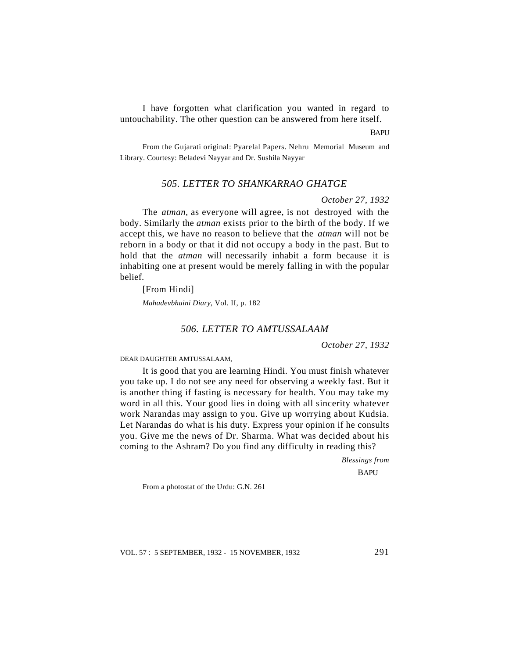I have forgotten what clarification you wanted in regard to untouchability. The other question can be answered from here itself.

**BAPU** 

From the Gujarati original: Pyarelal Papers. Nehru Memorial Museum and Library. Courtesy: Beladevi Nayyar and Dr. Sushila Nayyar

## *505. LETTER TO SHANKARRAO GHATGE*

#### *October 27, 1932*

The *atman,* as everyone will agree, is not destroyed with the body. Similarly the *atman* exists prior to the birth of the body. If we accept this, we have no reason to believe that the *atman* will not be reborn in a body or that it did not occupy a body in the past. But to hold that the *atman* will necessarily inhabit a form because it is inhabiting one at present would be merely falling in with the popular belief.

[From Hindi]

*Mahadevbhaini Diary*, Vol. II, p. 182

#### *506. LETTER TO AMTUSSALAAM*

*October 27, 1932*

#### DEAR DAUGHTER AMTUSSALAAM,

It is good that you are learning Hindi. You must finish whatever you take up. I do not see any need for observing a weekly fast. But it is another thing if fasting is necessary for health. You may take my word in all this. Your good lies in doing with all sincerity whatever work Narandas may assign to you. Give up worrying about Kudsia. Let Narandas do what is his duty. Express your opinion if he consults you. Give me the news of Dr. Sharma. What was decided about his coming to the Ashram? Do you find any difficulty in reading this?

> *Blessings from* **BAPU**

From a photostat of the Urdu: G.N. 261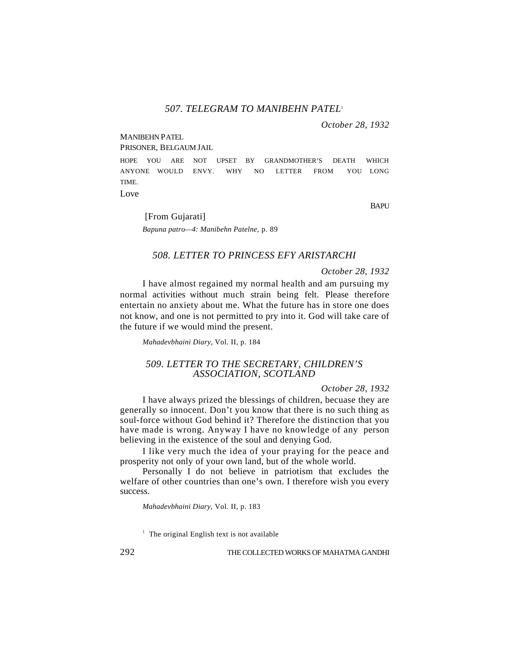*October 28, 1932*

#### MANIBEHN PATEL

PRISONER, BELGAUM JAIL

HOPE YOU ARE NOT UPSET BY GRANDMOTHER'S DEATH WHICH ANYONE WOULD ENVY. WHY NO LETTER FROM YOU LONG TIME.

Love

BAPU

[From Gujarati]

*Bapuna patro—4: Manibehn Patelne*, p. 89

## *508. LETTER TO PRINCESS EFY ARISTARCHI*

*October 28, 1932*

I have almost regained my normal health and am pursuing my normal activities without much strain being felt. Please therefore entertain no anxiety about me. What the future has in store one does not know, and one is not permitted to pry into it. God will take care of the future if we would mind the present.

*Mahadevbhaini Diary,* Vol. II, p. 184

# *509. LETTER TO THE SECRETARY, CHILDREN'S ASSOCIATION, SCOTLAND*

#### *October 28, 1932*

I have always prized the blessings of children, becuase they are generally so innocent. Don't you know that there is no such thing as soul-force without God behind it? Therefore the distinction that you have made is wrong. Anyway I have no knowledge of any person believing in the existence of the soul and denying God.

I like very much the idea of your praying for the peace and prosperity not only of your own land, but of the whole world.

Personally I do not believe in patriotism that excludes the welfare of other countries than one's own. I therefore wish you every success.

*Mahadevbhaini Diary*, Vol. II, p. 183

<sup>1</sup> The original English text is not available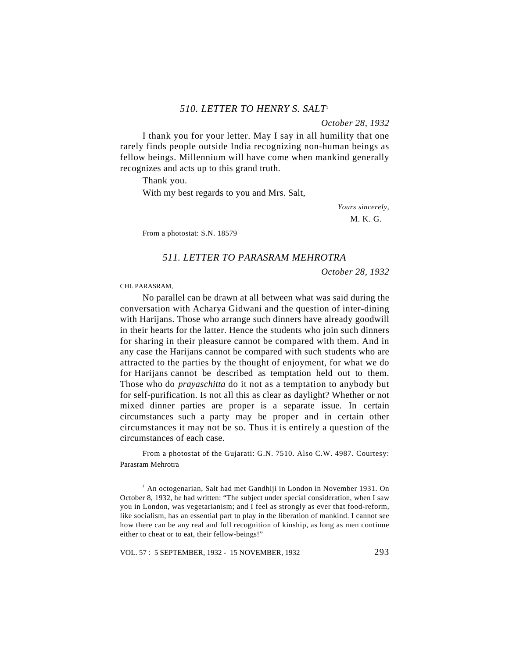## *510. LETTER TO HENRY S. SALT*<sup>1</sup>

*October 28, 1932*

I thank you for your letter. May I say in all humility that one rarely finds people outside India recognizing non-human beings as fellow beings. Millennium will have come when mankind generally recognizes and acts up to this grand truth.

Thank you.

With my best regards to you and Mrs. Salt,

*Yours sincerely,* M. K. G.

From a photostat: S.N. 18579

#### *511. LETTER TO PARASRAM MEHROTRA*

*October 28, 1932*

#### CHI. PARASRAM,

No parallel can be drawn at all between what was said during the conversation with Acharya Gidwani and the question of inter-dining with Harijans. Those who arrange such dinners have already goodwill in their hearts for the latter. Hence the students who join such dinners for sharing in their pleasure cannot be compared with them. And in any case the Harijans cannot be compared with such students who are attracted to the parties by the thought of enjoyment, for what we do for Harijans cannot be described as temptation held out to them. Those who do *prayaschitta* do it not as a temptation to anybody but for self-purification. Is not all this as clear as daylight? Whether or not mixed dinner parties are proper is a separate issue. In certain circumstances such a party may be proper and in certain other circumstances it may not be so. Thus it is entirely a question of the circumstances of each case.

From a photostat of the Gujarati: G.N. 7510. Also C.W. 4987. Courtesy: Parasram Mehrotra

<sup>1</sup> An octogenarian, Salt had met Gandhiji in London in November 1931. On October 8, 1932, he had written: "The subject under special consideration, when I saw you in London, was vegetarianism; and I feel as strongly as ever that food-reform, like socialism, has an essential part to play in the liberation of mankind. I cannot see how there can be any real and full recognition of kinship, as long as men continue either to cheat or to eat, their fellow-beings!"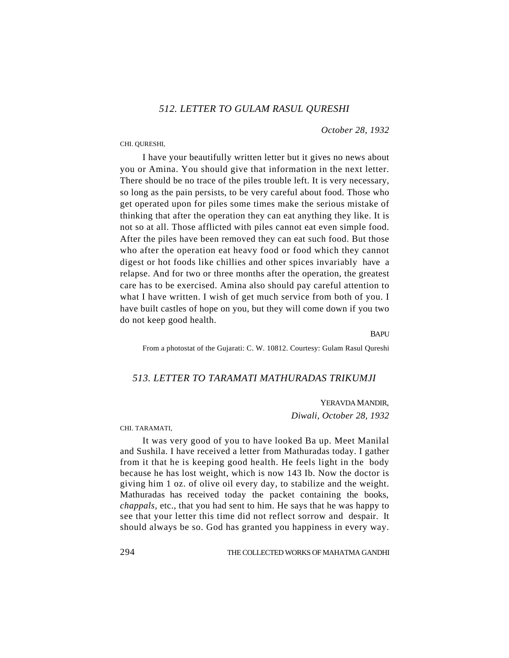## *512. LETTER TO GULAM RASUL QURESHI*

*October 28, 1932*

#### CHI. QURESHI,

I have your beautifully written letter but it gives no news about you or Amina. You should give that information in the next letter. There should be no trace of the piles trouble left. It is very necessary, so long as the pain persists, to be very careful about food. Those who get operated upon for piles some times make the serious mistake of thinking that after the operation they can eat anything they like. It is not so at all. Those afflicted with piles cannot eat even simple food. After the piles have been removed they can eat such food. But those who after the operation eat heavy food or food which they cannot digest or hot foods like chillies and other spices invariably have a relapse. And for two or three months after the operation, the greatest care has to be exercised. Amina also should pay careful attention to what I have written. I wish of get much service from both of you. I have built castles of hope on you, but they will come down if you two do not keep good health.

BAPU

From a photostat of the Gujarati: C. W. 10812. Courtesy: Gulam Rasul Qureshi

# *513. LETTER TO TARAMATI MATHURADAS TRIKUMJI*

YERAVDA MANDIR, *Diwali, October 28, 1932*

CHI. TARAMATI,

It was very good of you to have looked Ba up. Meet Manilal and Sushila. I have received a letter from Mathuradas today. I gather from it that he is keeping good health. He feels light in the body because he has lost weight, which is now 143 Ib. Now the doctor is giving him 1 oz. of olive oil every day, to stabilize and the weight. Mathuradas has received today the packet containing the books, *chappals,* etc., that you had sent to him. He says that he was happy to see that your letter this time did not reflect sorrow and despair. It should always be so. God has granted you happiness in every way.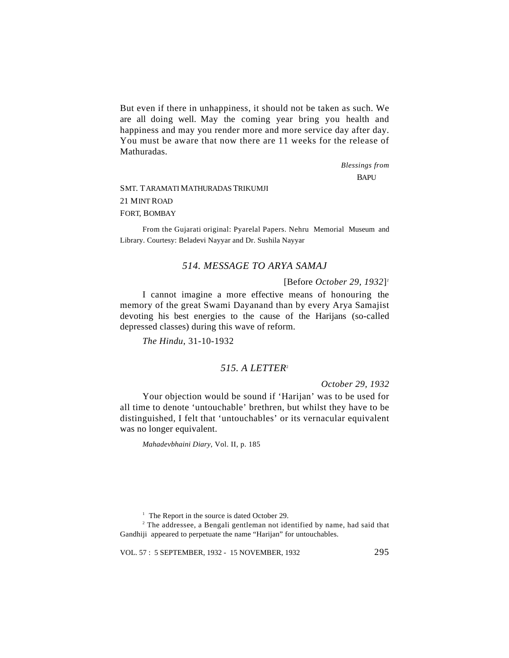But even if there in unhappiness, it should not be taken as such. We are all doing well. May the coming year bring you health and happiness and may you render more and more service day after day. You must be aware that now there are 11 weeks for the release of Mathuradas.

> *Blessings from* **BAPU**

# SMT. TARAMATI MATHURADAS TRIKUMJI 21 MINT ROAD FORT, BOMBAY

From the Gujarati original: Pyarelal Papers. Nehru Memorial Museum and Library. Courtesy: Beladevi Nayyar and Dr. Sushila Nayyar

# *514. MESSAGE TO ARYA SAMAJ*

[Before *October 29, 1932*] *1*

I cannot imagine a more effective means of honouring the memory of the great Swami Dayanand than by every Arya Samajist devoting his best energies to the cause of the Harijans (so-called depressed classes) during this wave of reform.

*The Hindu*, 31-10-1932

# *515. A LETTER*<sup>2</sup>

*October 29, 1932*

Your objection would be sound if 'Harijan' was to be used for all time to denote 'untouchable' brethren, but whilst they have to be distinguished, I felt that 'untouchables' or its vernacular equivalent was no longer equivalent.

*Mahadevbhaini Diary*, Vol. II, p. 185

<sup>1</sup> The Report in the source is dated October 29.

<sup>2</sup> The addressee, a Bengali gentleman not identified by name, had said that Gandhiji appeared to perpetuate the name "Harijan" for untouchables.

VOL. 57 : 5 SEPTEMBER, 1932 - 15 NOVEMBER, 1932 295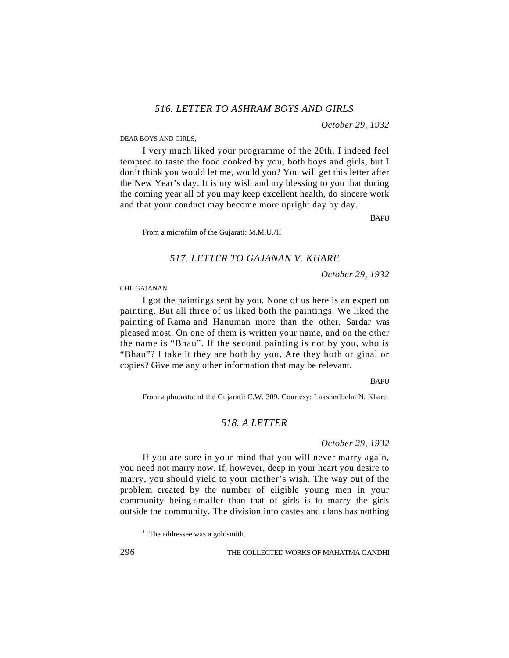*October 29, 1932*

#### DEAR BOYS AND GIRLS,

I very much liked your programme of the 20th. I indeed feel tempted to taste the food cooked by you, both boys and girls, but I don't think you would let me, would you? You will get this letter after the New Year's day. It is my wish and my blessing to you that during the coming year all of you may keep excellent health, do sincere work and that your conduct may become more upright day by day.

**BAPU** 

From a microfilm of the Gujarati: M.M.U./II

#### *517. LETTER TO GAJANAN V. KHARE*

*October 29, 1932*

#### CHI. GAJANAN,

I got the paintings sent by you. None of us here is an expert on painting. But all three of us liked both the paintings. We liked the painting of Rama and Hanuman more than the other. Sardar was pleased most. On one of them is written your name, and on the other the name is "Bhau". If the second painting is not by you, who is "Bhau"? I take it they are both by you. Are they both original or copies? Give me any other information that may be relevant.

#### **BAPU**

From a photostat of the Gujarati: C.W. 309. Courtesy: Lakshmibehn N. Khare

# *518. A LETTER*

#### *October 29, 1932*

If you are sure in your mind that you will never marry again, you need not marry now. If, however, deep in your heart you desire to marry, you should yield to your mother's wish. The way out of the problem created by the number of eligible young men in your community being smaller than that of girls is to marry the girls outside the community. The division into castes and clans has nothing

<sup>&</sup>lt;sup>1</sup> The addressee was a goldsmith.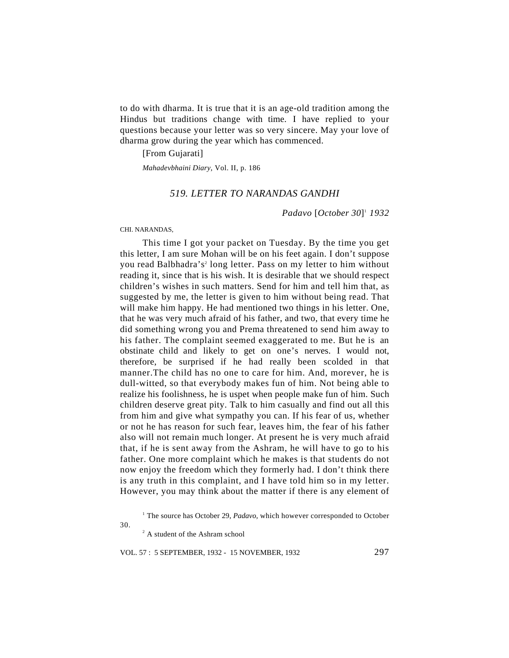to do with dharma. It is true that it is an age-old tradition among the Hindus but traditions change with time. I have replied to your questions because your letter was so very sincere. May your love of dharma grow during the year which has commenced.

[From Gujarati]

*Mahadevbhaini Diary*, Vol. II, p. 186

## *519. LETTER TO NARANDAS GANDHI*

*Padavo* [*October 30*] 1  *1932*

CHI. NARANDAS,

This time I got your packet on Tuesday. By the time you get this letter, I am sure Mohan will be on his feet again. I don't suppose you read Balbhadra's<sup>2</sup> long letter. Pass on my letter to him without reading it, since that is his wish. It is desirable that we should respect children's wishes in such matters. Send for him and tell him that, as suggested by me, the letter is given to him without being read. That will make him happy. He had mentioned two things in his letter. One, that he was very much afraid of his father, and two, that every time he did something wrong you and Prema threatened to send him away to his father. The complaint seemed exaggerated to me. But he is an obstinate child and likely to get on one's nerves. I would not, therefore, be surprised if he had really been scolded in that manner.The child has no one to care for him. And, morever, he is dull-witted, so that everybody makes fun of him. Not being able to realize his foolishness, he is uspet when people make fun of him. Such children deserve great pity. Talk to him casually and find out all this from him and give what sympathy you can. If his fear of us, whether or not he has reason for such fear, leaves him, the fear of his father also will not remain much longer. At present he is very much afraid that, if he is sent away from the Ashram, he will have to go to his father. One more complaint which he makes is that students do not now enjoy the freedom which they formerly had. I don't think there is any truth in this complaint, and I have told him so in my letter. However, you may think about the matter if there is any element of

# <sup>1</sup> The source has October 29, Padavo, which however corresponded to October

<sup>2</sup> A student of the Ashram school

30.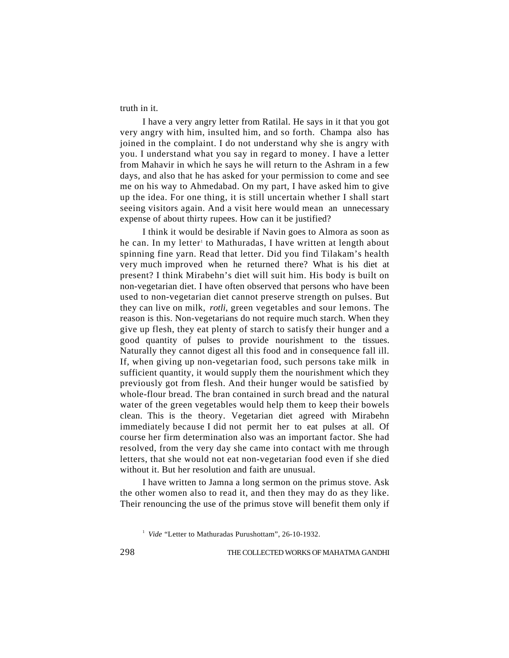truth in it.

I have a very angry letter from Ratilal. He says in it that you got very angry with him, insulted him, and so forth. Champa also has joined in the complaint. I do not understand why she is angry with you. I understand what you say in regard to money. I have a letter from Mahavir in which he says he will return to the Ashram in a few days, and also that he has asked for your permission to come and see me on his way to Ahmedabad. On my part, I have asked him to give up the idea. For one thing, it is still uncertain whether I shall start seeing visitors again. And a visit here would mean an unnecessary expense of about thirty rupees. How can it be justified?

I think it would be desirable if Navin goes to Almora as soon as he can. In my letter<sup>1</sup> to Mathuradas, I have written at length about spinning fine yarn. Read that letter. Did you find Tilakam's health very much improved when he returned there? What is his diet at present? I think Mirabehn's diet will suit him. His body is built on non-vegetarian diet. I have often observed that persons who have been used to non-vegetarian diet cannot preserve strength on pulses. But they can live on milk, *rotli,* green vegetables and sour lemons. The reason is this. Non-vegetarians do not require much starch. When they give up flesh, they eat plenty of starch to satisfy their hunger and a good quantity of pulses to provide nourishment to the tissues. Naturally they cannot digest all this food and in consequence fall ill. If, when giving up non-vegetarian food, such persons take milk in sufficient quantity, it would supply them the nourishment which they previously got from flesh. And their hunger would be satisfied by whole-flour bread. The bran contained in surch bread and the natural water of the green vegetables would help them to keep their bowels clean. This is the theory. Vegetarian diet agreed with Mirabehn immediately because I did not permit her to eat pulses at all. Of course her firm determination also was an important factor. She had resolved, from the very day she came into contact with me through letters, that she would not eat non-vegetarian food even if she died without it. But her resolution and faith are unusual.

I have written to Jamna a long sermon on the primus stove. Ask the other women also to read it, and then they may do as they like. Their renouncing the use of the primus stove will benefit them only if

<sup>&</sup>lt;sup>1</sup> Vide "Letter to Mathuradas Purushottam", 26-10-1932.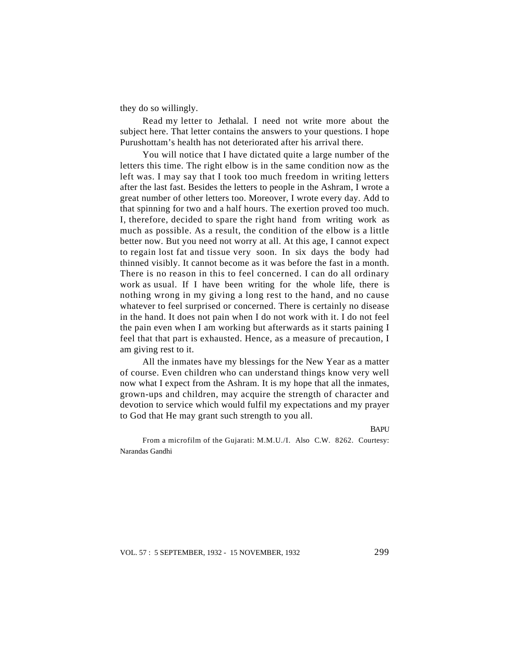they do so willingly.

Read my letter to Jethalal. I need not write more about the subject here. That letter contains the answers to your questions. I hope Purushottam's health has not deteriorated after his arrival there.

You will notice that I have dictated quite a large number of the letters this time. The right elbow is in the same condition now as the left was. I may say that I took too much freedom in writing letters after the last fast. Besides the letters to people in the Ashram, I wrote a great number of other letters too. Moreover, I wrote every day. Add to that spinning for two and a half hours. The exertion proved too much. I, therefore, decided to spare the right hand from writing work as much as possible. As a result, the condition of the elbow is a little better now. But you need not worry at all. At this age, I cannot expect to regain lost fat and tissue very soon. In six days the body had thinned visibly. It cannot become as it was before the fast in a month. There is no reason in this to feel concerned. I can do all ordinary work as usual. If I have been writing for the whole life, there is nothing wrong in my giving a long rest to the hand, and no cause whatever to feel surprised or concerned. There is certainly no disease in the hand. It does not pain when I do not work with it. I do not feel the pain even when I am working but afterwards as it starts paining I feel that that part is exhausted. Hence, as a measure of precaution, I am giving rest to it.

All the inmates have my blessings for the New Year as a matter of course. Even children who can understand things know very well now what I expect from the Ashram. It is my hope that all the inmates, grown-ups and children, may acquire the strength of character and devotion to service which would fulfil my expectations and my prayer to God that He may grant such strength to you all.

**BAPU** 

From a microfilm of the Gujarati: M.M.U./I. Also C.W. 8262. Courtesy: Narandas Gandhi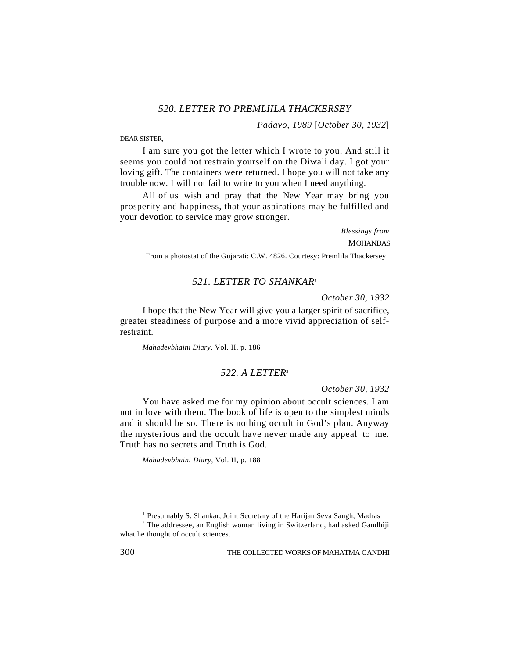# *520. LETTER TO PREMLIILA THACKERSEY*

*Padavo, 1989* [*October 30, 1932*]

DEAR SISTER,

I am sure you got the letter which I wrote to you. And still it seems you could not restrain yourself on the Diwali day. I got your loving gift. The containers were returned. I hope you will not take any trouble now. I will not fail to write to you when I need anything.

All of us wish and pray that the New Year may bring you prosperity and happiness, that your aspirations may be fulfilled and your devotion to service may grow stronger.

> *Blessings from* **MOHANDAS**

From a photostat of the Gujarati: C.W. 4826. Courtesy: Premlila Thackersey

#### *521. LETTER TO SHANKAR<sup>1</sup>*

*October 30, 1932*

I hope that the New Year will give you a larger spirit of sacrifice, greater steadiness of purpose and a more vivid appreciation of selfrestraint.

*Mahadevbhaini Diary*, Vol. II, p. 186

## *522. A LETTER*<sup>2</sup>

*October 30, 1932*

You have asked me for my opinion about occult sciences. I am not in love with them. The book of life is open to the simplest minds and it should be so. There is nothing occult in God's plan. Anyway the mysterious and the occult have never made any appeal to me. Truth has no secrets and Truth is God.

*Mahadevbhaini Diary,* Vol. II, p. 188

<sup>1</sup> Presumably S. Shankar, Joint Secretary of the Harijan Seva Sangh, Madras

<sup>2</sup> The addressee, an English woman living in Switzerland, had asked Gandhiji what he thought of occult sciences.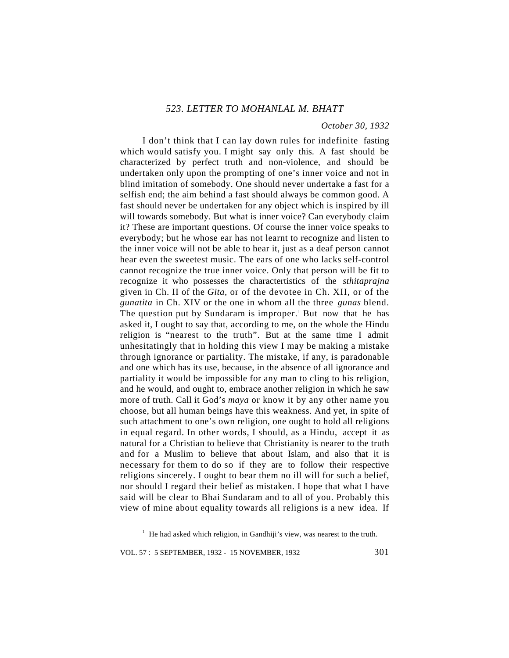#### *October 30, 1932*

I don't think that I can lay down rules for indefinite fasting which would satisfy you. I might say only this. A fast should be characterized by perfect truth and non-violence, and should be undertaken only upon the prompting of one's inner voice and not in blind imitation of somebody. One should never undertake a fast for a selfish end; the aim behind a fast should always be common good. A fast should never be undertaken for any object which is inspired by ill will towards somebody. But what is inner voice? Can everybody claim it? These are important questions. Of course the inner voice speaks to everybody; but he whose ear has not learnt to recognize and listen to the inner voice will not be able to hear it, just as a deaf person cannot hear even the sweetest music. The ears of one who lacks self-control cannot recognize the true inner voice. Only that person will be fit to recognize it who possesses the charactertistics of the *sthitaprajna* given in Ch. II of the *Gita,* or of the devotee in Ch. XII, or of the *gunatita* in Ch. XIV or the one in whom all the three *gunas* blend. The question put by Sundaram is improper.<sup>1</sup> But now that he has asked it, I ought to say that, according to me, on the whole the Hindu religion is "nearest to the truth". But at the same time I admit unhesitatingly that in holding this view I may be making a mistake through ignorance or partiality. The mistake, if any, is paradonable and one which has its use, because, in the absence of all ignorance and partiality it would be impossible for any man to cling to his religion, and he would, and ought to, embrace another religion in which he saw more of truth. Call it God's *maya* or know it by any other name you choose, but all human beings have this weakness. And yet, in spite of such attachment to one's own religion, one ought to hold all religions in equal regard. In other words, I should, as a Hindu, accept it as natural for a Christian to believe that Christianity is nearer to the truth and for a Muslim to believe that about Islam, and also that it is necessary for them to do so if they are to follow their respective religions sincerely. I ought to bear them no ill will for such a belief, nor should I regard their belief as mistaken. I hope that what I have said will be clear to Bhai Sundaram and to all of you. Probably this view of mine about equality towards all religions is a new idea. If

<sup>&</sup>lt;sup>1</sup> He had asked which religion, in Gandhiji's view, was nearest to the truth.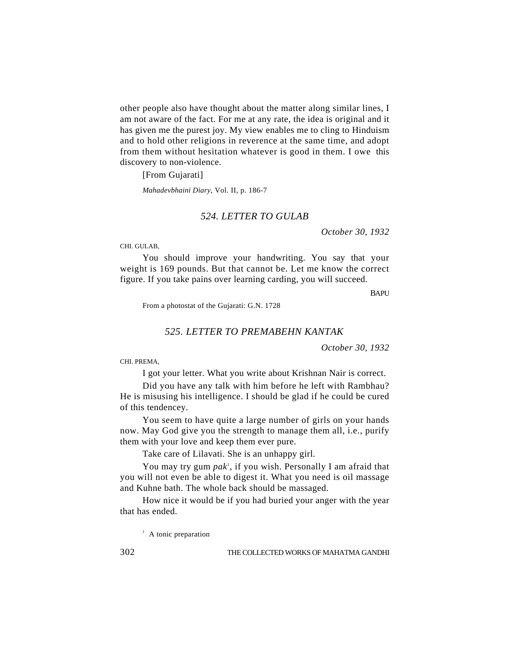other people also have thought about the matter along similar lines, I am not aware of the fact. For me at any rate, the idea is original and it has given me the purest joy. My view enables me to cling to Hinduism and to hold other religions in reverence at the same time, and adopt from them without hesitation whatever is good in them. I owe this discovery to non-violence.

[From Gujarati]

*Mahadevbhaini Diary*, Vol. II, p. 186-7

# *524. LETTER TO GULAB*

*October 30, 1932*

CHI. GULAB,

You should improve your handwriting. You say that your weight is 169 pounds. But that cannot be. Let me know the correct figure. If you take pains over learning carding, you will succeed.

**BAPU** 

From a photostat of the Gujarati: G.N. 1728

# *525. LETTER TO PREMABEHN KANTAK*

*October 30, 1932*

CHI. PREMA,

I got your letter. What you write about Krishnan Nair is correct.

Did you have any talk with him before he left with Rambhau? He is misusing his intelligence. I should be glad if he could be cured of this tendencey.

You seem to have quite a large number of girls on your hands now. May God give you the strength to manage them all, i.e., purify them with your love and keep them ever pure.

Take care of Lilavati. She is an unhappy girl.

You may try gum pak<sup>1</sup>, if you wish. Personally I am afraid that you will not even be able to digest it. What you need is oil massage and Kuhne bath. The whole back should be massaged.

How nice it would be if you had buried your anger with the year that has ended.

<sup>1</sup> A tonic preparation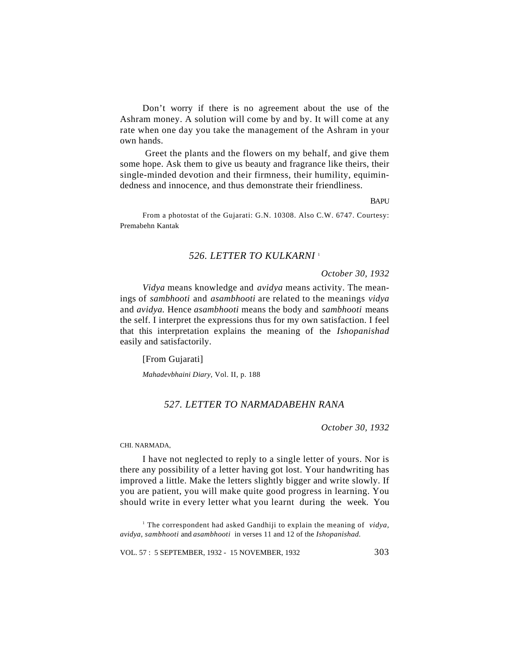Don't worry if there is no agreement about the use of the Ashram money. A solution will come by and by. It will come at any rate when one day you take the management of the Ashram in your own hands.

 Greet the plants and the flowers on my behalf, and give them some hope. Ask them to give us beauty and fragrance like theirs, their single-minded devotion and their firmness, their humility, equimindedness and innocence, and thus demonstrate their friendliness.

BAPU

From a photostat of the Gujarati: G.N. 10308. Also C.W. 6747. Courtesy: Premabehn Kantak

## *526. LETTER TO KULKARNI* <sup>1</sup>

*October 30, 1932*

*Vidya* means knowledge and *avidya* means activity. The meanings of *sambhooti* and *asambhooti* are related to the meanings *vidya* and *avidya.* Hence *asambhooti* means the body and *sambhooti* means the self. I interpret the expressions thus for my own satisfaction. I feel that this interpretation explains the meaning of the *Ishopanishad* easily and satisfactorily.

[From Gujarati]

*Mahadevbhaini Diary*, Vol. II, p. 188

## *527. LETTER TO NARMADABEHN RANA*

*October 30, 1932*

CHI. NARMADA,

I have not neglected to reply to a single letter of yours. Nor is there any possibility of a letter having got lost. Your handwriting has improved a little. Make the letters slightly bigger and write slowly. If you are patient, you will make quite good progress in learning. You should write in every letter what you learnt during the week. You

<sup>&</sup>lt;sup>1</sup> The correspondent had asked Gandhiji to explain the meaning of *vidya*, *avidya*, *sambhooti* and *asambhooti* in verses 11 and 12 of the *Ishopanishad.*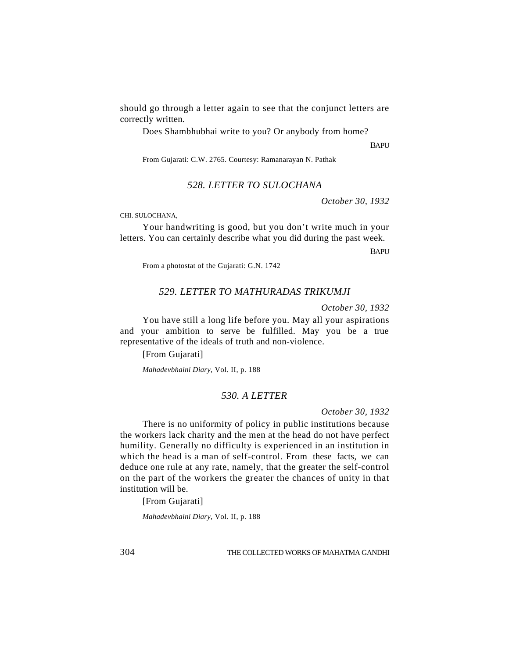should go through a letter again to see that the conjunct letters are correctly written.

Does Shambhubhai write to you? Or anybody from home?

**BAPU** 

From Gujarati: C.W. 2765. Courtesy: Ramanarayan N. Pathak

## *528. LETTER TO SULOCHANA*

*October 30, 1932*

CHI. SULOCHANA,

Your handwriting is good, but you don't write much in your letters. You can certainly describe what you did during the past week.

**BAPU** 

From a photostat of the Gujarati: G.N. 1742

#### *529. LETTER TO MATHURADAS TRIKUMJI*

*October 30, 1932*

You have still a long life before you. May all your aspirations and your ambition to serve be fulfilled. May you be a true representative of the ideals of truth and non-violence.

[From Gujarati]

*Mahadevbhaini Diary*, Vol. II, p. 188

## *530. A LETTER*

*October 30, 1932*

There is no uniformity of policy in public institutions because the workers lack charity and the men at the head do not have perfect humility. Generally no difficulty is experienced in an institution in which the head is a man of self-control. From these facts, we can deduce one rule at any rate, namely, that the greater the self-control on the part of the workers the greater the chances of unity in that institution will be.

[From Gujarati]

*Mahadevbhaini Diary*, Vol. II, p. 188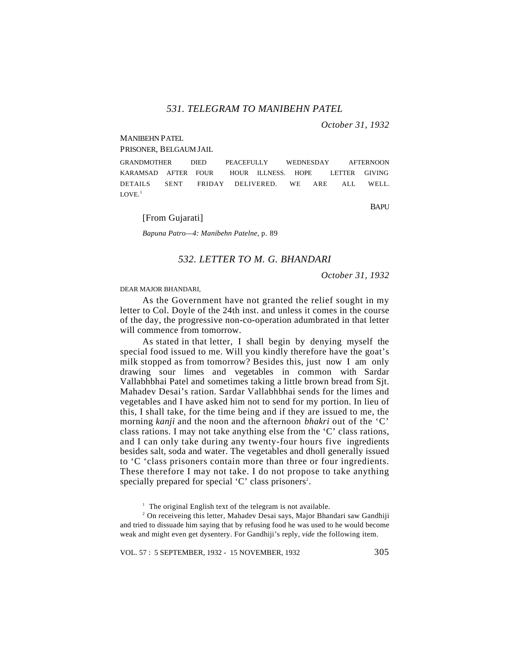*October 31, 1932*

#### MANIBEHN PATEL

PRISONER, BELGAUM JAIL

GRANDMOTHER DIED PEACEFULLY WEDNESDAY AFTERNOON KARAMSAD AFTER FOUR HOUR ILLNESS. HOPE LETTER GIVING DETAILS SENT FRIDAY DELIVERED. WE ARE ALL WELL.  $LOVE<sup>-1</sup>$ 

**BAPU** 

[From Gujarati]

*Bapuna Patro—4: Manibehn Patelne,* p. 89

## *532. LETTER TO M. G. BHANDARI*

*October 31, 1932*

DEAR MAJOR BHANDARI,

As the Government have not granted the relief sought in my letter to Col. Doyle of the 24th inst. and unless it comes in the course of the day, the progressive non-co-operation adumbrated in that letter will commence from tomorrow.

As stated in that letter, I shall begin by denying myself the special food issued to me. Will you kindly therefore have the goat's milk stopped as from tomorrow? Besides this, just now I am only drawing sour limes and vegetables in common with Sardar Vallabhbhai Patel and sometimes taking a little brown bread from Sjt. Mahadev Desai's ration. Sardar Vallabhbhai sends for the limes and vegetables and I have asked him not to send for my portion. In lieu of this, I shall take, for the time being and if they are issued to me, the morning *kanji* and the noon and the afternoon *bhakri* out of the 'C' class rations. I may not take anything else from the 'C' class rations, and I can only take during any twenty-four hours five ingredients besides salt, soda and water. The vegetables and dholl generally issued to 'C 'class prisoners contain more than three or four ingredients. These therefore I may not take. I do not propose to take anything specially prepared for special 'C' class prisoners<sup>2</sup>.

 $1$  The original English text of the telegram is not available.

<sup>2</sup> On receiveing this letter, Mahadev Desai says, Major Bhandari saw Gandhiji and tried to dissuade him saying that by refusing food he was used to he would become weak and might even get dysentery. For Gandhiji's reply, *vide* the following item.

VOL. 57 : 5 SEPTEMBER, 1932 - 15 NOVEMBER, 1932 305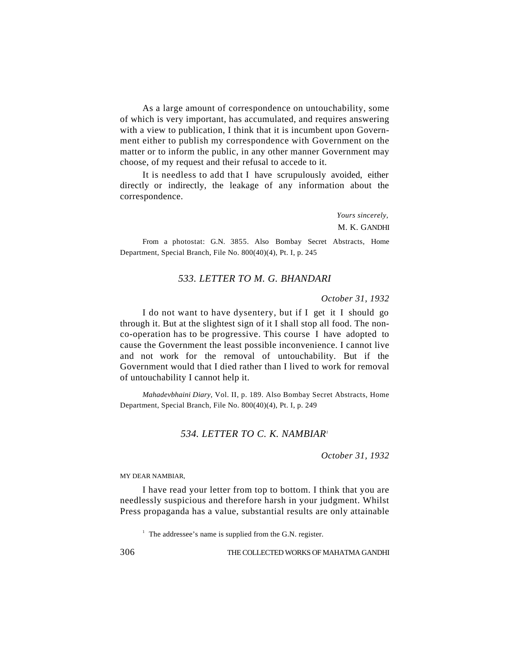As a large amount of correspondence on untouchability, some of which is very important, has accumulated, and requires answering with a view to publication, I think that it is incumbent upon Government either to publish my correspondence with Government on the matter or to inform the public, in any other manner Government may choose, of my request and their refusal to accede to it.

It is needless to add that I have scrupulously avoided, either directly or indirectly, the leakage of any information about the correspondence.

> *Yours sincerely,* M. K. GANDHI

From a photostat: G.N. 3855. Also Bombay Secret Abstracts, Home Department, Special Branch, File No. 800(40)(4), Pt. I, p. 245

## *533. LETTER TO M. G. BHANDARI*

#### *October 31, 1932*

I do not want to have dysentery, but if I get it I should go through it. But at the slightest sign of it I shall stop all food. The nonco-operation has to be progressive. This course I have adopted to cause the Government the least possible inconvenience. I cannot live and not work for the removal of untouchability. But if the Government would that I died rather than I lived to work for removal of untouchability I cannot help it.

*Mahadevbhaini Diary*, Vol. II, p. 189. Also Bombay Secret Abstracts, Home Department, Special Branch, File No. 800(40)(4), Pt. I, p. 249

## *534. LETTER TO C. K. NAMBIAR<sup>1</sup>*

*October 31, 1932*

MY DEAR NAMBIAR,

I have read your letter from top to bottom. I think that you are needlessly suspicious and therefore harsh in your judgment. Whilst Press propaganda has a value, substantial results are only attainable

<sup>1</sup> The addressee's name is supplied from the G.N. register.

306 THE COLLECTED WORKS OF MAHATMA GANDHI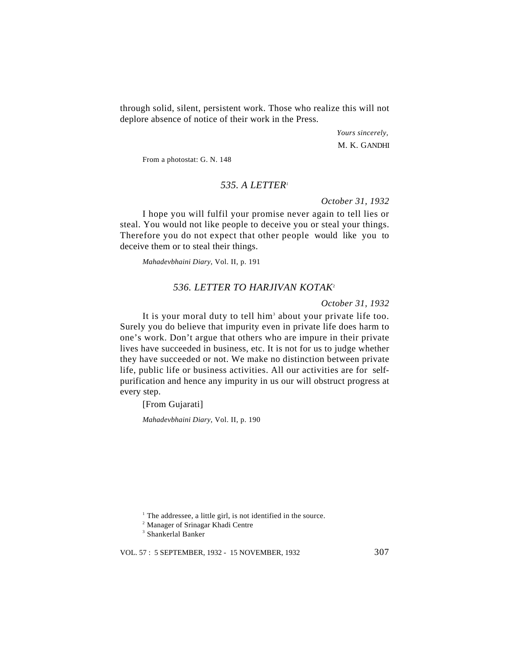through solid, silent, persistent work. Those who realize this will not deplore absence of notice of their work in the Press.

> *Yours sincerely,* M. K. GANDHI

From a photostat: G. N. 148

#### *535. A LETTER<sup>1</sup>*

*October 31, 1932*

I hope you will fulfil your promise never again to tell lies or steal. You would not like people to deceive you or steal your things. Therefore you do not expect that other people would like you to deceive them or to steal their things.

*Mahadevbhaini Diary*, Vol. II, p. 191

#### *536. LETTER TO HARJIVAN KOTAK*<sup>2</sup>

*October 31, 1932*

It is your moral duty to tell him<sup>3</sup> about your private life too. Surely you do believe that impurity even in private life does harm to one's work. Don't argue that others who are impure in their private lives have succeeded in business, etc. It is not for us to judge whether they have succeeded or not. We make no distinction between private life, public life or business activities. All our activities are for selfpurification and hence any impurity in us our will obstruct progress at every step.

[From Gujarati]

*Mahadevbhaini Diary*, Vol. II, p. 190

<sup>&</sup>lt;sup>1</sup> The addressee, a little girl, is not identified in the source.

<sup>2</sup> Manager of Srinagar Khadi Centre

<sup>3</sup> Shankerlal Banker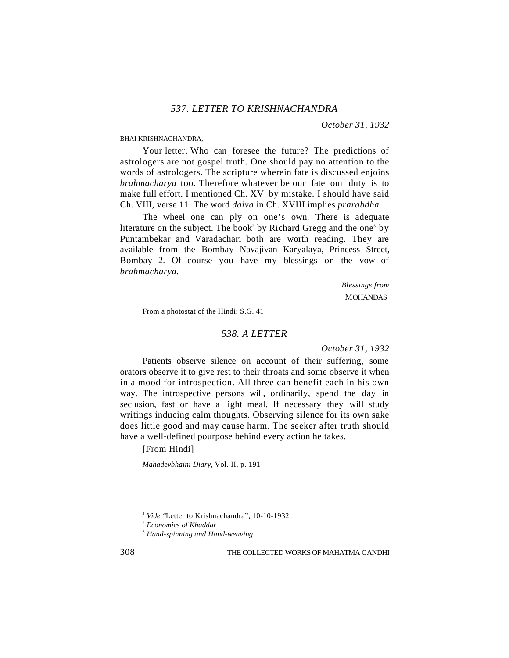*October 31, 1932*

#### BHAI KRISHNACHANDRA,

Your letter. Who can foresee the future? The predictions of astrologers are not gospel truth. One should pay no attention to the words of astrologers. The scripture wherein fate is discussed enjoins *brahmacharya* too. Therefore whatever be our fate our duty is to make full effort. I mentioned Ch. XV<sup>1</sup> by mistake. I should have said Ch. VIII, verse 11. The word *daiva* in Ch. XVIII implies *prarabdha.*

The wheel one can ply on one's own. There is adequate literature on the subject. The book<sup>2</sup> by Richard Gregg and the one<sup>3</sup> by Puntambekar and Varadachari both are worth reading. They are available from the Bombay Navajivan Karyalaya, Princess Street, Bombay 2. Of course you have my blessings on the vow of *brahmacharya.*

> *Blessings from* **MOHANDAS**

From a photostat of the Hindi: S.G. 41

#### *538. A LETTER*

*October 31, 1932*

Patients observe silence on account of their suffering, some orators observe it to give rest to their throats and some observe it when in a mood for introspection. All three can benefit each in his own way. The introspective persons will, ordinarily, spend the day in seclusion, fast or have a light meal. If necessary they will study writings inducing calm thoughts. Observing silence for its own sake does little good and may cause harm. The seeker after truth should have a well-defined pourpose behind every action he takes.

[From Hindi]

*Mahadevbhaini Diary,* Vol. II, p. 191

<sup>1</sup> *Vide* "Letter to Krishnachandra", 10-10-1932.

<sup>2</sup> *Economics of Khaddar*

<sup>3</sup> *Hand-spinning and Hand-weaving*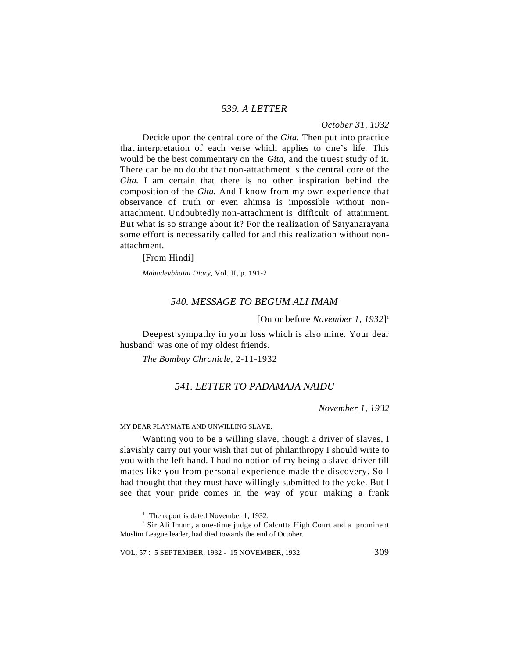## *539. A LETTER*

*October 31, 1932*

Decide upon the central core of the *Gita.* Then put into practice that interpretation of each verse which applies to one's life. This would be the best commentary on the *Gita,* and the truest study of it. There can be no doubt that non-attachment is the central core of the *Gita.* I am certain that there is no other inspiration behind the composition of the *Gita.* And I know from my own experience that observance of truth or even ahimsa is impossible without nonattachment. Undoubtedly non-attachment is difficult of attainment. But what is so strange about it? For the realization of Satyanarayana some effort is necessarily called for and this realization without nonattachment.

[From Hindi]

*Mahadevbhaini Diary*, Vol. II, p. 191-2

# *540. MESSAGE TO BEGUM ALI IMAM*

[On or before *November 1, 1932*] 1

Deepest sympathy in your loss which is also mine. Your dear husband<sup>2</sup> was one of my oldest friends.

*The Bombay Chronicle,* 2-11-1932

# *541. LETTER TO PADAMAJA NAIDU*

*November 1, 1932*

#### MY DEAR PLAYMATE AND UNWILLING SLAVE,

Wanting you to be a willing slave, though a driver of slaves, I slavishly carry out your wish that out of philanthropy I should write to you with the left hand. I had no notion of my being a slave-driver till mates like you from personal experience made the discovery. So I had thought that they must have willingly submitted to the yoke. But I see that your pride comes in the way of your making a frank

<sup>1</sup> The report is dated November 1, 1932.

<sup>2</sup> Sir Ali Imam, a one-time judge of Calcutta High Court and a prominent Muslim League leader, had died towards the end of October.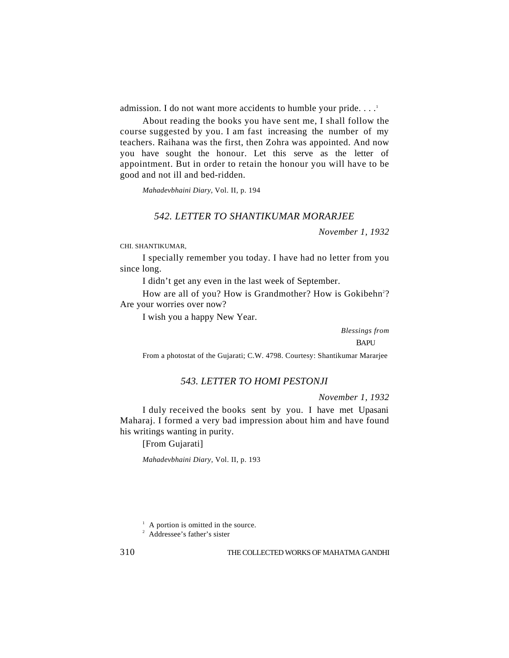admission. I do not want more accidents to humble your pride... $\cdot$ 

About reading the books you have sent me, I shall follow the course suggested by you. I am fast increasing the number of my teachers. Raihana was the first, then Zohra was appointed. And now you have sought the honour. Let this serve as the letter of appointment. But in order to retain the honour you will have to be good and not ill and bed-ridden.

*Mahadevbhaini Diary,* Vol. II, p. 194

# *542. LETTER TO SHANTIKUMAR MORARJEE*

*November 1, 1932*

CHI. SHANTIKUMAR,

I specially remember you today. I have had no letter from you since long.

I didn't get any even in the last week of September.

How are all of you? How is Grandmother? How is Gokibehn<sup>2</sup>? Are your worries over now?

I wish you a happy New Year.

*Blessings from* **BAPU** 

From a photostat of the Gujarati; C.W. 4798. Courtesy: Shantikumar Mararjee

## *543. LETTER TO HOMI PESTONJI*

*November 1, 1932*

I duly received the books sent by you. I have met Upasani Maharaj. I formed a very bad impression about him and have found his writings wanting in purity.

[From Gujarati]

*Mahadevbhaini Diary,* Vol. II, p. 193

2 Addressee's father's sister

<sup>&</sup>lt;sup>1</sup> A portion is omitted in the source.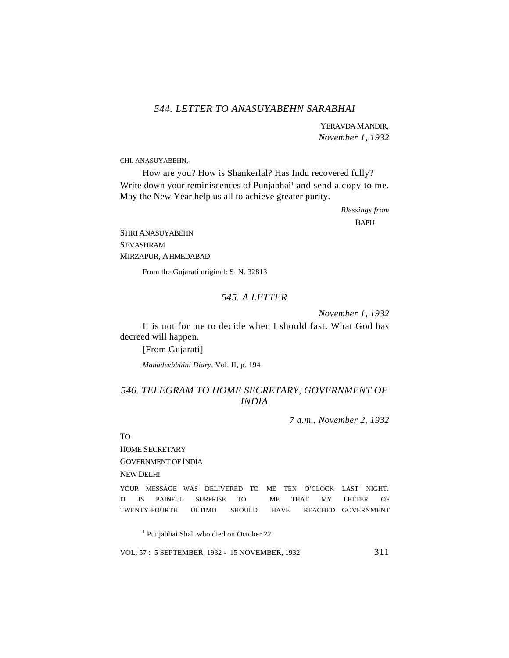## *544. LETTER TO ANASUYABEHN SARABHAI*

YERAVDA MANDIR, *November 1, 1932*

CHI. ANASUYABEHN,

How are you? How is Shankerlal? Has Indu recovered fully? Write down your reminiscences of Punjabhai<sup>1</sup> and send a copy to me. May the New Year help us all to achieve greater purity.

> *Blessings from* **BAPU**

SHRI ANASUYABEHN SEVASHRAM MIRZAPUR, AHMEDABAD

From the Gujarati original: S. N. 32813

## *545. A LETTER*

*November 1, 1932*

It is not for me to decide when I should fast. What God has decreed will happen.

[From Gujarati]

*Mahadevbhaini Diary,* Vol. II, p. 194

# *546. TELEGRAM TO HOME SECRETARY, GOVERNMENT OF INDIA*

*7 a.m., November 2, 1932*

TO

HOME SECRETARY

GOVERNMENT OF INDIA

NEW DELHI

YOUR MESSAGE WAS DELIVERED TO ME TEN O'CLOCK LAST NIGHT. IT IS PAINFUL SURPRISE TO ME THAT MY LETTER OF TWENTY-FOURTH ULTIMO SHOULD HAVE REACHED GOVERNMENT

<sup>1</sup> Punjabhai Shah who died on October 22

VOL. 57 : 5 SEPTEMBER, 1932 - 15 NOVEMBER, 1932 311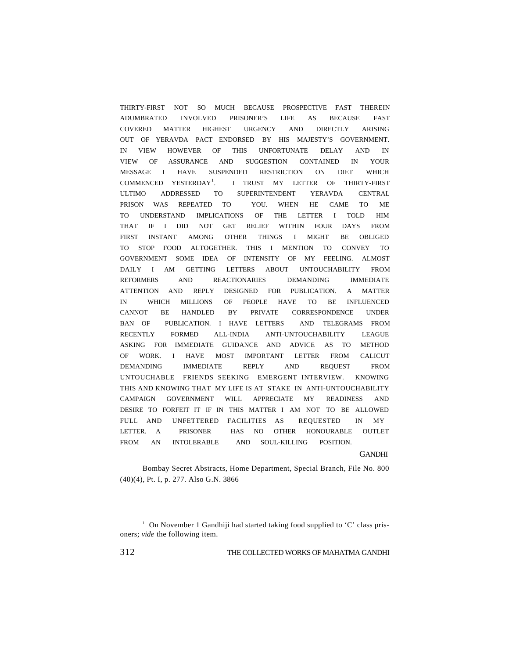THIRTY-FIRST NOT SO MUCH BECAUSE PROSPECTIVE FAST THEREIN ADUMBRATED INVOLVED PRISONER'S LIFE AS BECAUSE FAST COVERED MATTER HIGHEST URGENCY AND DIRECTLY ARISING OUT OF YERAVDA PACT ENDORSED BY HIS MAJESTY'S GOVERNMENT. IN VIEW HOWEVER OF THIS UNFORTUNATE DELAY AND IN VIEW OF ASSURANCE AND SUGGESTION CONTAINED IN YOUR MESSAGE I HAVE SUSPENDED RESTRICTION ON DIET WHICH COMMENCED YESTERDAY<sup>1</sup>. . I TRUST MY LETTER OF THIRTY-FIRST ULTIMO ADDRESSED TO SUPERINTENDENT YERAVDA CENTRAL PRISON WAS REPEATED TO YOU. WHEN HE CAME TO ME TO UNDERSTAND IMPLICATIONS OF THE LETTER I TOLD HIM THAT IF I DID NOT GET RELIEF WITHIN FOUR DAYS FROM FIRST INSTANT AMONG OTHER THINGS I MIGHT BE OBLIGED TO STOP FOOD ALTOGETHER. THIS I MENTION TO CONVEY TO GOVERNMENT SOME IDEA OF INTENSITY OF MY FEELING. ALMOST DAILY I AM GETTING LETTERS ABOUT UNTOUCHABILITY FROM REFORMERS AND REACTIONARIES DEMANDING IMMEDIATE ATTENTION AND REPLY DESIGNED FOR PUBLICATION. A MATTER IN WHICH MILLIONS OF PEOPLE HAVE TO BE INFLUENCED CANNOT BE HANDLED BY PRIVATE CORRESPONDENCE UNDER BAN OF PUBLICATION. I HAVE LETTERS AND TELEGRAMS FROM RECENTLY FORMED ALL-INDIA ANTI-UNTOUCHABILITY LEAGUE ASKING FOR IMMEDIATE GUIDANCE AND ADVICE AS TO METHOD OF WORK. I HAVE MOST IMPORTANT LETTER FROM CALICUT DEMANDING IMMEDIATE REPLY AND REQUEST FROM UNTOUCHABLE FRIENDS SEEKING EMERGENT INTERVIEW. KNOWING THIS AND KNOWING THAT MY LIFE IS AT STAKE IN ANTI-UNTOUCHABILITY CAMPAIGN GOVERNMENT WILL APPRECIATE MY READINESS AND DESIRE TO FORFEIT IT IF IN THIS MATTER I AM NOT TO BE ALLOWED FULL AND UNFETTERED FACILITIES AS REQUESTED IN MY LETTER. A PRISONER HAS NO OTHER HONOURABLE OUTLET FROM AN INTOLERABLE AND SOUL-KILLING POSITION.

#### GANDHI

Bombay Secret Abstracts, Home Department, Special Branch, File No. 800 (40)(4), Pt. I, p. 277. Also G.N. 3866

<sup>&</sup>lt;sup>1</sup> On November 1 Gandhiji had started taking food supplied to 'C' class prisoners; *vide* the following item.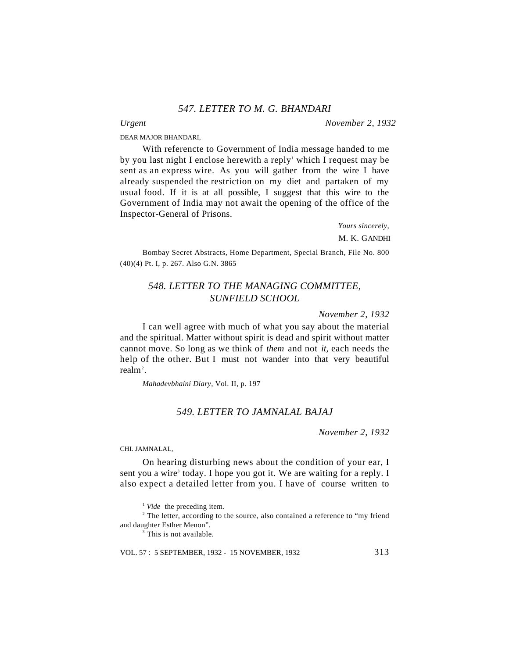*Urgent November 2, 1932*

DEAR MAJOR BHANDARI,

With referencte to Government of India message handed to me by you last night I enclose herewith a reply<sup>1</sup> which I request may be sent as an express wire. As you will gather from the wire I have already suspended the restriction on my diet and partaken of my usual food. If it is at all possible, I suggest that this wire to the Government of India may not await the opening of the office of the Inspector-General of Prisons.

> *Yours sincerely,* M. K. GANDHI

Bombay Secret Abstracts, Home Department, Special Branch, File No. 800 (40)(4) Pt. I, p. 267. Also G.N. 3865

# *548. LETTER TO THE MANAGING COMMITTEE, SUNFIELD SCHOOL*

*November 2, 1932*

I can well agree with much of what you say about the material and the spiritual. Matter without spirit is dead and spirit without matter cannot move. So long as we think of *them* and not *it,* each needs the help of the other. But I must not wander into that very beautiful realm<sup>2</sup>.

*Mahadevbhaini Diary,* Vol. II, p. 197

## *549. LETTER TO JAMNALAL BAJAJ*

*November 2, 1932*

CHI. JAMNALAL,

On hearing disturbing news about the condition of your ear, I sent you a wire<sup>3</sup> today. I hope you got it. We are waiting for a reply. I also expect a detailed letter from you. I have of course written to

<sup>1</sup> *Vide* the preceding item.

<sup>2</sup> The letter, according to the source, also contained a reference to "my friend and daughter Esther Menon".

<sup>3</sup> This is not available.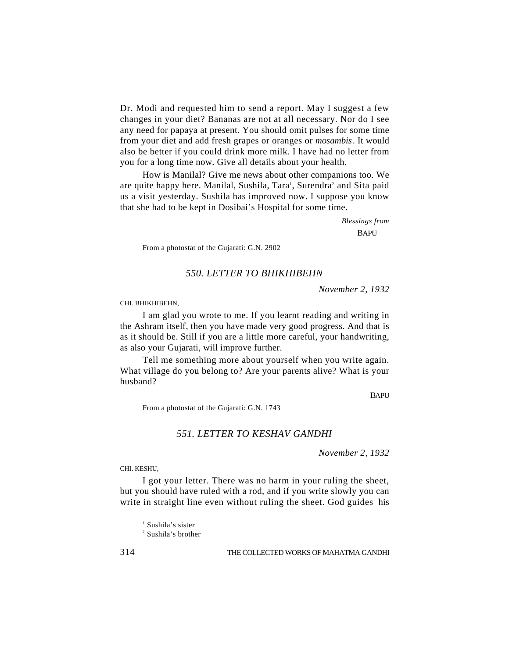Dr. Modi and requested him to send a report. May I suggest a few changes in your diet? Bananas are not at all necessary. Nor do I see any need for papaya at present. You should omit pulses for some time from your diet and add fresh grapes or oranges or *mosambis*. It would also be better if you could drink more milk. I have had no letter from you for a long time now. Give all details about your health.

How is Manilal? Give me news about other companions too. We are quite happy here. Manilal, Sushila, Tara<sup>1</sup>, Surendra<sup>2</sup> and Sita paid us a visit yesterday. Sushila has improved now. I suppose you know that she had to be kept in Dosibai's Hospital for some time.

> *Blessings from* **BAPU**

From a photostat of the Gujarati: G.N. 2902

## *550. LETTER TO BHIKHIBEHN*

*November 2, 1932*

CHI. BHIKHIBEHN,

I am glad you wrote to me. If you learnt reading and writing in the Ashram itself, then you have made very good progress. And that is as it should be. Still if you are a little more careful, your handwriting, as also your Gujarati, will improve further.

Tell me something more about yourself when you write again. What village do you belong to? Are your parents alive? What is your husband?

**BAPU** 

From a photostat of the Gujarati: G.N. 1743

## *551. LETTER TO KESHAV GANDHI*

*November 2, 1932*

CHI. KESHU,

I got your letter. There was no harm in your ruling the sheet, but you should have ruled with a rod, and if you write slowly you can write in straight line even without ruling the sheet. God guides his

<sup>1</sup> Sushila's sister 2 Sushila's brother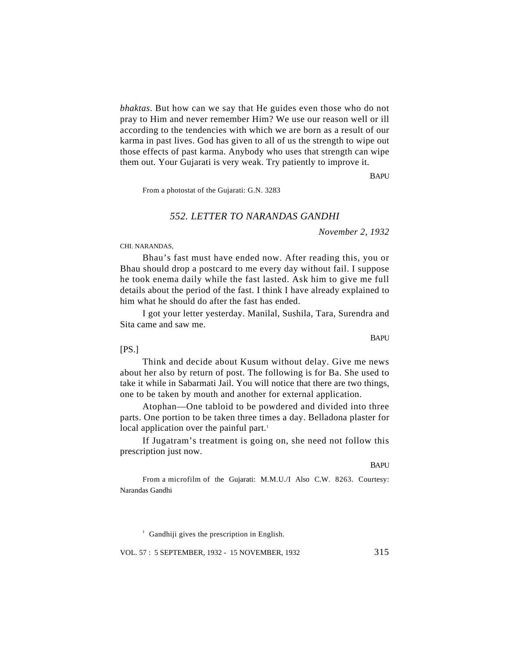*bhaktas*. But how can we say that He guides even those who do not pray to Him and never remember Him? We use our reason well or ill according to the tendencies with which we are born as a result of our karma in past lives. God has given to all of us the strength to wipe out those effects of past karma. Anybody who uses that strength can wipe them out. Your Gujarati is very weak. Try patiently to improve it.

**BAPU** 

From a photostat of the Gujarati: G.N. 3283

## *552. LETTER TO NARANDAS GANDHI*

*November 2, 1932*

#### CHI. NARANDAS,

Bhau's fast must have ended now. After reading this, you or Bhau should drop a postcard to me every day without fail. I suppose he took enema daily while the fast lasted. Ask him to give me full details about the period of the fast. I think I have already explained to him what he should do after the fast has ended.

I got your letter yesterday. Manilal, Sushila, Tara, Surendra and Sita came and saw me.

[PS.]

Think and decide about Kusum without delay. Give me news about her also by return of post. The following is for Ba. She used to take it while in Sabarmati Jail. You will notice that there are two things, one to be taken by mouth and another for external application.

Atophan—One tabloid to be powdered and divided into three parts. One portion to be taken three times a day. Belladona plaster for local application over the painful part. $<sup>1</sup>$ </sup>

If Jugatram's treatment is going on, she need not follow this prescription just now.

BAPU

From a microfilm of the Gujarati: M.M.U./I Also C.W. 8263. Courtesy: Narandas Gandhi

<sup>1</sup> Gandhiji gives the prescription in English.

VOL. 57 : 5 SEPTEMBER, 1932 - 15 NOVEMBER, 1932 315

**BAPU**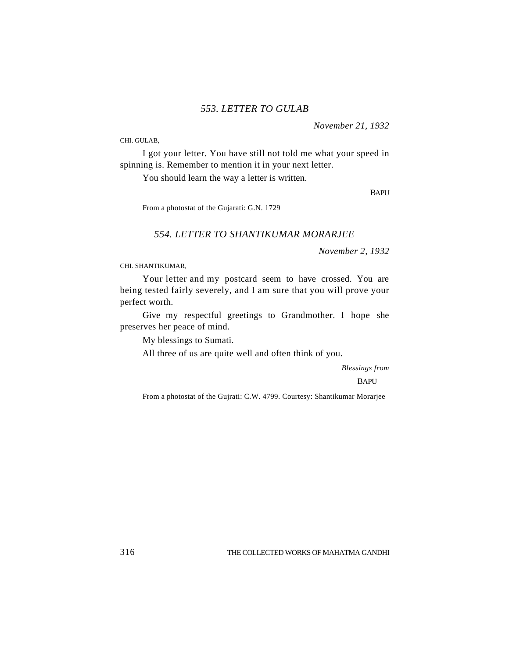*November 21, 1932*

CHI. GULAB,

I got your letter. You have still not told me what your speed in spinning is. Remember to mention it in your next letter.

You should learn the way a letter is written.

**BAPU** 

From a photostat of the Gujarati: G.N. 1729

#### *554. LETTER TO SHANTIKUMAR MORARJEE*

*November 2, 1932*

CHI. SHANTIKUMAR,

Your letter and my postcard seem to have crossed. You are being tested fairly severely, and I am sure that you will prove your perfect worth.

Give my respectful greetings to Grandmother. I hope she preserves her peace of mind.

My blessings to Sumati.

All three of us are quite well and often think of you.

 *Blessings from*

**BAPU** 

From a photostat of the Gujrati: C.W. 4799. Courtesy: Shantikumar Morarjee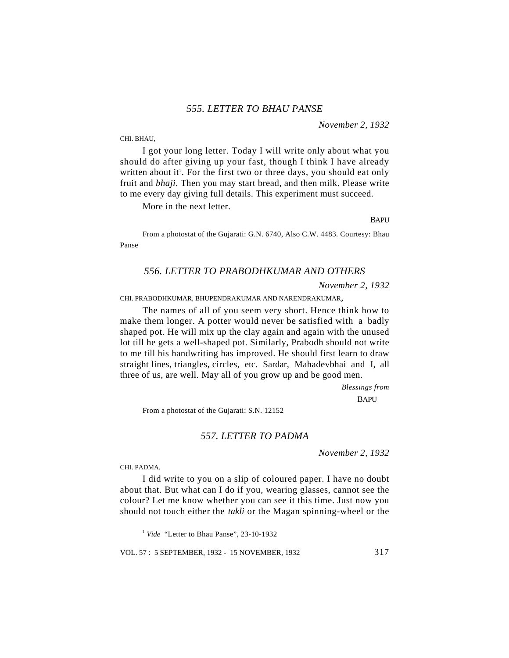*November 2, 1932*

CHI. BHAU,

I got your long letter. Today I will write only about what you should do after giving up your fast, though I think I have already written about it<sup>1</sup>. For the first two or three days, you should eat only fruit and *bhaji.* Then you may start bread, and then milk. Please write to me every day giving full details. This experiment must succeed.

More in the next letter.

**BAPU** 

From a photostat of the Gujarati: G.N. 6740, Also C.W. 4483. Courtesy: Bhau Panse

#### *556. LETTER TO PRABODHKUMAR AND OTHERS*

*November 2, 1932*

CHI. PRABODHKUMAR, BHUPENDRAKUMAR AND NARENDRAKUMAR,

The names of all of you seem very short. Hence think how to make them longer. A potter would never be satisfied with a badly shaped pot. He will mix up the clay again and again with the unused lot till he gets a well-shaped pot. Similarly, Prabodh should not write to me till his handwriting has improved. He should first learn to draw straight lines, triangles, circles, etc. Sardar, Mahadevbhai and I, all three of us, are well. May all of you grow up and be good men.

 *Blessings from*

**BAPU** 

From a photostat of the Gujarati: S.N. 12152

#### *557. LETTER TO PADMA*

*November 2, 1932*

CHI. PADMA,

I did write to you on a slip of coloured paper. I have no doubt about that. But what can I do if you, wearing glasses, cannot see the colour? Let me know whether you can see it this time. Just now you should not touch either the *takli* or the Magan spinning-wheel or the

<sup>1</sup> *Vide* "Letter to Bhau Panse", 23-10-1932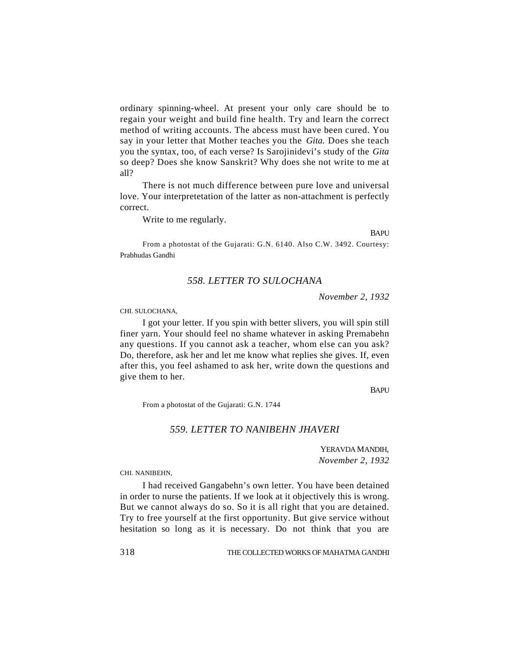ordinary spinning-wheel. At present your only care should be to regain your weight and build fine health. Try and learn the correct method of writing accounts. The abcess must have been cured. You say in your letter that Mother teaches you the *Gita.* Does she teach you the syntax, too, of each verse? Is Sarojinidevi's study of the *Gita* so deep? Does she know Sanskrit? Why does she not write to me at all?

There is not much difference between pure love and universal love. Your interpretetation of the latter as non-attachment is perfectly correct.

Write to me regularly.

**BAPU** 

From a photostat of the Gujarati: G.N. 6140. Also C.W. 3492. Courtesy: Prabhudas Gandhi

#### *558. LETTER TO SULOCHANA*

*November 2, 1932*

CHI. SULOCHANA,

I got your letter. If you spin with better slivers, you will spin still finer yarn. Your should feel no shame whatever in asking Premabehn any questions. If you cannot ask a teacher, whom else can you ask? Do, therefore, ask her and let me know what replies she gives. If, even after this, you feel ashamed to ask her, write down the questions and give them to her.

**BAPU** 

From a photostat of the Gujarati: G.N. 1744

#### *559. LETTER TO NANIBEHN JHAVERI*

YERAVDA MANDIH, *November 2, 1932*

CHI. NANIBEHN,

I had received Gangabehn's own letter. You have been detained in order to nurse the patients. If we look at it objectively this is wrong. But we cannot always do so. So it is all right that you are detained. Try to free yourself at the first opportunity. But give service without hesitation so long as it is necessary. Do not think that you are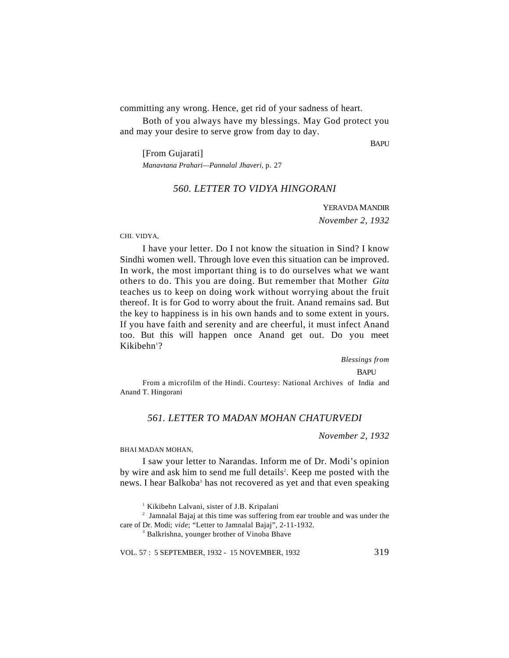committing any wrong. Hence, get rid of your sadness of heart.

Both of you always have my blessings. May God protect you and may your desire to serve grow from day to day.

**BAPU** 

[From Gujarati] *Manavtana Prahari—Pannalal Jhaveri,* p. 27

# *560. LETTER TO VIDYA HINGORANI*

YERAVDA MANDIR *November 2, 1932*

#### CHI. VIDYA,

I have your letter. Do I not know the situation in Sind? I know Sindhi women well. Through love even this situation can be improved. In work, the most important thing is to do ourselves what we want others to do. This you are doing. But remember that Mother *Gita* teaches us to keep on doing work without worrying about the fruit thereof. It is for God to worry about the fruit. Anand remains sad. But the key to happiness is in his own hands and to some extent in yours. If you have faith and serenity and are cheerful, it must infect Anand too. But this will happen once Anand get out. Do you meet Kikibehn<sup>1</sup>?

*Blessings from*

**BAPU** 

From a microfilm of the Hindi. Courtesy: National Archives of India and Anand T. Hingorani

#### *561. LETTER TO MADAN MOHAN CHATURVEDI*

*November 2, 1932*

BHAI MADAN MOHAN,

I saw your letter to Narandas. Inform me of Dr. Modi's opinion by wire and ask him to send me full details<sup>2</sup>. Keep me posted with the news. I hear Balkoba<sup>3</sup> has not recovered as yet and that even speaking

1 Kikibehn Lalvani, sister of J.B. Kripalani

 $2$  Jamnalal Bajaj at this time was suffering from ear trouble and was under the care of Dr. Modi; *vide*; "Letter to Jamnalal Bajaj", 2-11-1932.

<sup>3</sup> Balkrishna, younger brother of Vinoba Bhave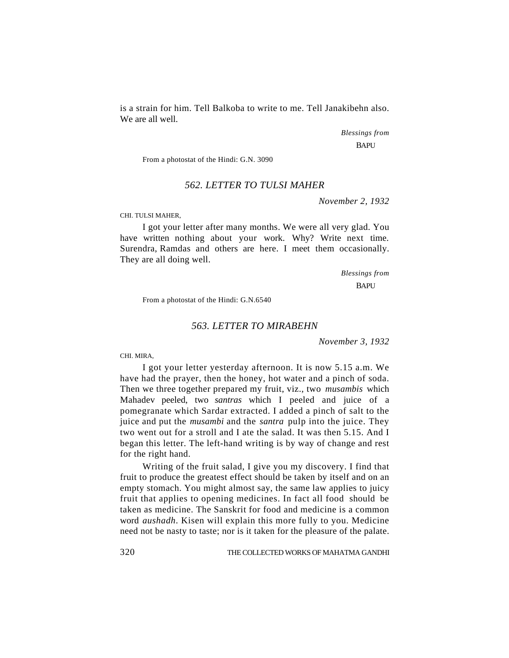is a strain for him. Tell Balkoba to write to me. Tell Janakibehn also. We are all well.

> *Blessings from* **BAPU**

From a photostat of the Hindi: G.N. 3090

#### *562. LETTER TO TULSI MAHER*

*November 2, 1932*

CHI. TULSI MAHER,

I got your letter after many months. We were all very glad. You have written nothing about your work. Why? Write next time. Surendra, Ramdas and others are here. I meet them occasionally. They are all doing well.

> *Blessings from* BAPU

From a photostat of the Hindi: G.N.6540

#### *563. LETTER TO MIRABEHN*

*November 3, 1932*

CHI. MIRA,

I got your letter yesterday afternoon. It is now 5.15 a.m. We have had the prayer, then the honey, hot water and a pinch of soda. Then we three together prepared my fruit, viz., two *musambis* which Mahadev peeled, two *santras* which I peeled and juice of a pomegranate which Sardar extracted. I added a pinch of salt to the juice and put the *musambi* and the *santra* pulp into the juice. They two went out for a stroll and I ate the salad. It was then 5.15. And I began this letter. The left-hand writing is by way of change and rest for the right hand.

Writing of the fruit salad, I give you my discovery. I find that fruit to produce the greatest effect should be taken by itself and on an empty stomach. You might almost say, the same law applies to juicy fruit that applies to opening medicines. In fact all food should be taken as medicine. The Sanskrit for food and medicine is a common word *aushadh*. Kisen will explain this more fully to you. Medicine need not be nasty to taste; nor is it taken for the pleasure of the palate.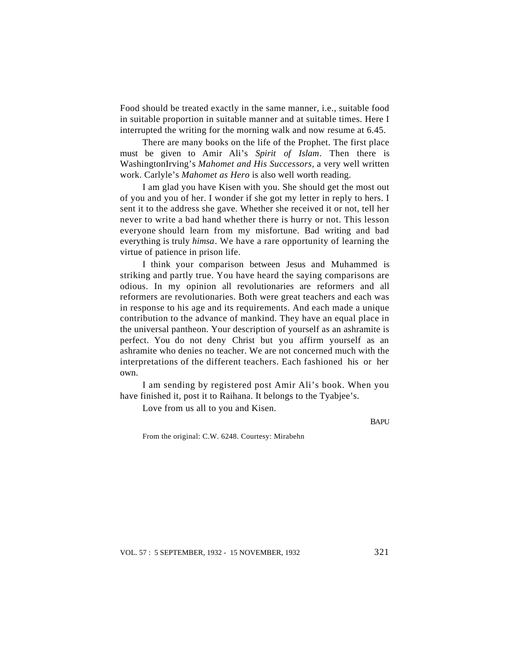Food should be treated exactly in the same manner, i.e., suitable food in suitable proportion in suitable manner and at suitable times. Here I interrupted the writing for the morning walk and now resume at 6.45.

There are many books on the life of the Prophet. The first place must be given to Amir Ali's *Spirit of Islam*. Then there is WashingtonIrving's *Mahomet and His Successors,* a very well written work. Carlyle's *Mahomet as Hero* is also well worth reading.

I am glad you have Kisen with you. She should get the most out of you and you of her. I wonder if she got my letter in reply to hers. I sent it to the address she gave. Whether she received it or not, tell her never to write a bad hand whether there is hurry or not. This lesson everyone should learn from my misfortune. Bad writing and bad everything is truly *himsa*. We have a rare opportunity of learning the virtue of patience in prison life.

I think your comparison between Jesus and Muhammed is striking and partly true. You have heard the saying comparisons are odious. In my opinion all revolutionaries are reformers and all reformers are revolutionaries. Both were great teachers and each was in response to his age and its requirements. And each made a unique contribution to the advance of mankind. They have an equal place in the universal pantheon. Your description of yourself as an ashramite is perfect. You do not deny Christ but you affirm yourself as an ashramite who denies no teacher. We are not concerned much with the interpretations of the different teachers. Each fashioned his or her own.

I am sending by registered post Amir Ali's book. When you have finished it, post it to Raihana. It belongs to the Tyabjee's.

Love from us all to you and Kisen.

**BAPU** 

From the original: C.W. 6248. Courtesy: Mirabehn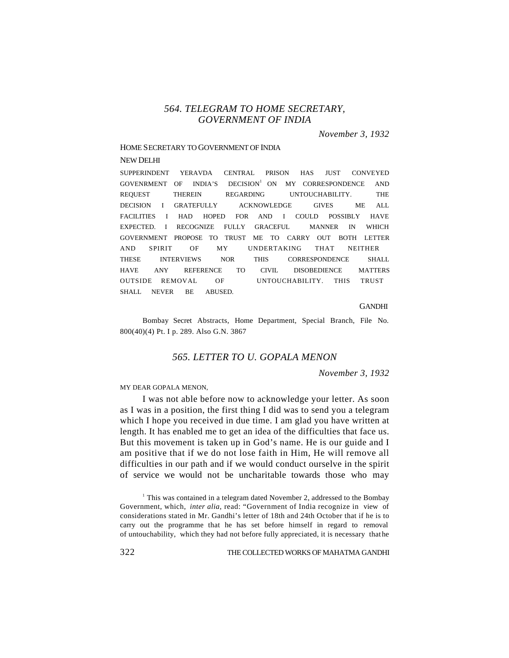# *564. TELEGRAM TO HOME SECRETARY, GOVERNMENT OF INDIA*

*November 3, 1932*

#### HOME SECRETARY TO GOVERNMENT OF INDIA

#### NEW DELHI

SUPPERINDENT YERAVDA CENTRAL PRISON HAS JUST CONVEYED GOVENRMENT OF INDIA'S  $DECISION<sup>1</sup>$  ON MY CORRESPONDENCE AND REQUEST THEREIN REGARDING UNTOUCHABILITY. THE DECISION I GRATEFULLY ACKNOWLEDGE GIVES ME ALL FACILITIES I HAD HOPED FOR AND I COULD POSSIBLY HAVE EXPECTED. I RECOGNIZE FULLY GRACEFUL MANNER IN WHICH GOVERNMENT PROPOSE TO TRUST ME TO CARRY OUT BOTH LETTER AND SPIRIT OF MY UNDERTAKING THAT NEITHER THESE INTERVIEWS NOR THIS CORRESPONDENCE SHALL HAVE ANY REFERENCE TO CIVIL DISOBEDIENCE MATTERS OUTSIDE REMOVAL OF UNTOUCHABILITY. THIS TRUST SHALL NEVER BE ABUSED.

**GANDHI** 

Bombay Secret Abstracts, Home Department, Special Branch, File No. 800(40)(4) Pt. I p. 289. Also G.N. 3867

#### *565. LETTER TO U. GOPALA MENON*

 *November 3, 1932*

#### MY DEAR GOPALA MENON,

I was not able before now to acknowledge your letter. As soon as I was in a position, the first thing I did was to send you a telegram which I hope you received in due time. I am glad you have written at length. It has enabled me to get an idea of the difficulties that face us. But this movement is taken up in God's name. He is our guide and I am positive that if we do not lose faith in Him, He will remove all difficulties in our path and if we would conduct ourselve in the spirit of service we would not be uncharitable towards those who may

<sup>1</sup> This was contained in a telegram dated November 2, addressed to the Bombay Government, which, *inter alia*, read: "Government of India recognize in view of considerations stated in Mr. Gandhi's letter of 18th and 24th October that if he is to carry out the programme that he has set before himself in regard to removal of untouchability, which they had not before fully appreciated, it is necessary that he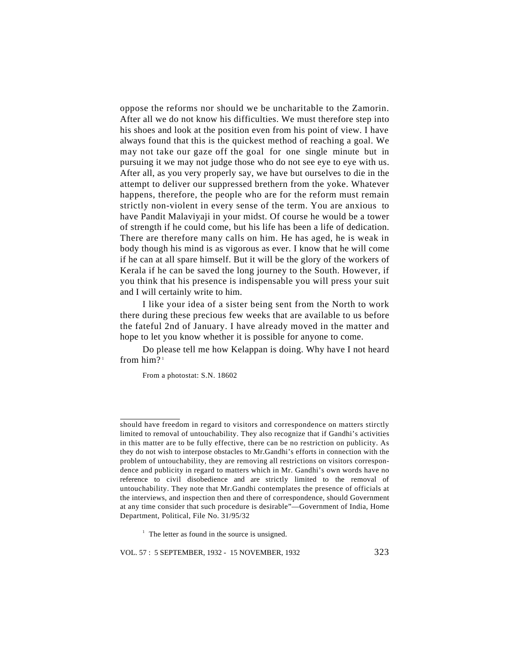oppose the reforms nor should we be uncharitable to the Zamorin. After all we do not know his difficulties. We must therefore step into his shoes and look at the position even from his point of view. I have. always. found that this is the quickest method of reaching a goal. We may not take our gaze off the goal for one single minute but in pursuing it we may not judge those who do not see eye to eye with us. After all, as you very properly say, we have but ourselves to die in the attempt to deliver our suppressed brethern from the yoke. Whatever happens, therefore, the people who are for the reform must remain strictly non-violent in every sense of the term. You are anxious to have Pandit Malaviyaji in your midst. Of course he would be a tower of strength if he could come, but his life has been a life of dedication. There are therefore many calls on him. He has aged, he is weak in body though his mind is as vigorous as ever. I know that he will come if he can at all spare himself. But it will be the glory of the workers of Kerala if he can be saved the long journey to the South. However, if you think that his presence is indispensable you will press your suit and I will certainly write to him.

I like your idea of a sister being sent from the North to work there during these precious few weeks that are available to us before the fateful 2nd of January. I have already moved in the matter and hope to let you know whether it is possible for anyone to come.

Do please tell me how Kelappan is doing. Why have I not heard from  $him<sup>91</sup>$ </sup>

From a photostat: S.N. 18602

should have freedom in regard to visitors and correspondence on matters stirctly limited to removal of untouchability. They also recognize that if Gandhi's activities in this matter are to be fully effective, there can be no restriction on publicity. As they do not wish to interpose obstacles to Mr.Gandhi's efforts in connection with the problem of untouchability, they are removing all restrictions on visitors correspondence and publicity in regard to matters which in Mr. Gandhi's own words have no reference to civil disobedience and are strictly limited to the removal of untouchability. They note that Mr.Gandhi contemplates the presence of officials at the interviews, and inspection then and there of correspondence, should Government at any time consider that such procedure is desirable"—Government of India, Home Department, Political, File No. 31/95/32

<sup>&</sup>lt;sup>1</sup> The letter as found in the source is unsigned.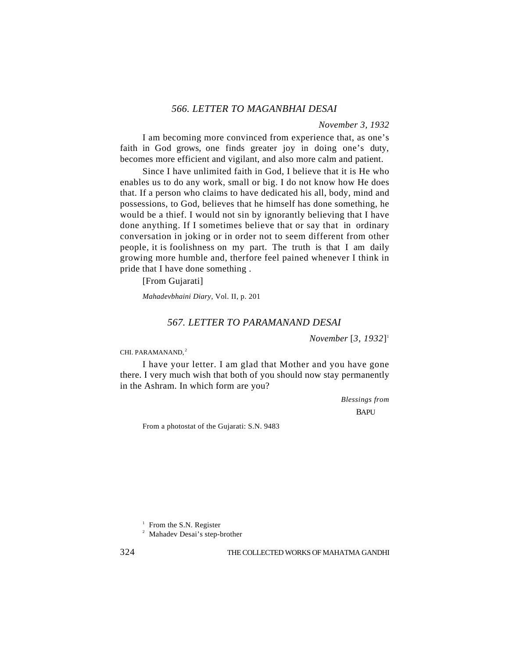# *566. LETTER TO MAGANBHAI DESAI*

*November 3, 1932*

I am becoming more convinced from experience that, as one's faith in God grows, one finds greater joy in doing one's duty, becomes more efficient and vigilant, and also more calm and patient.

Since I have unlimited faith in God, I believe that it is He who enables us to do any work, small or big. I do not know how He does that. If a person who claims to have dedicated his all, body, mind and possessions, to God, believes that he himself has done something, he would be a thief. I would not sin by ignorantly believing that I have done anything. If I sometimes believe that or say that in ordinary conversation in joking or in order not to seem different from other people, it is foolishness on my part. The truth is that I am daily growing more humble and, therfore feel pained whenever I think in pride that I have done something .

[From Gujarati]

*Mahadevbhaini Diary,* Vol. II, p. 201

#### *567. LETTER TO PARAMANAND DESAI*

*November* [*3, 1932*] 1

CHI. PARAMANAND.<sup>2</sup>

I have your letter. I am glad that Mother and you have gone there. I very much wish that both of you should now stay permanently in the Ashram. In which form are you?

> *Blessings from* **BAPU**

From a photostat of the Gujarati: S.N. 9483

<sup>&</sup>lt;sup>1</sup> From the S.N. Register

<sup>&</sup>lt;sup>2</sup> Mahadev Desai's step-brother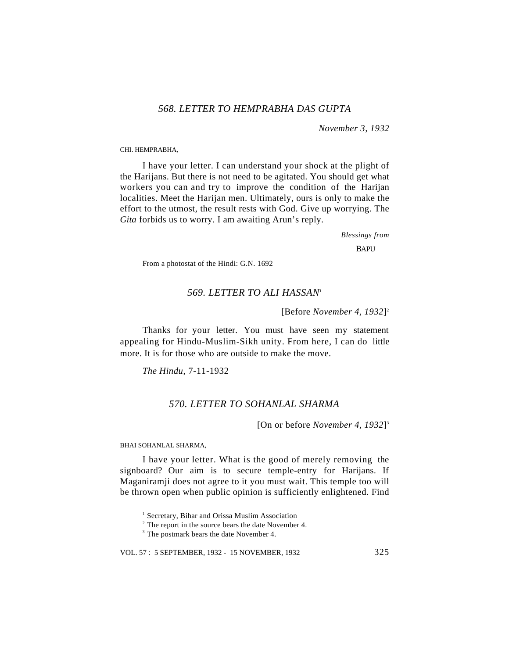# *568. LETTER TO HEMPRABHA DAS GUPTA*

*November 3, 1932*

CHI. HEMPRABHA,

I have your letter. I can understand your shock at the plight of the Harijans. But there is not need to be agitated. You should get what workers you can and try to improve the condition of the Harijan localities. Meet the Harijan men. Ultimately, ours is only to make the effort to the utmost, the result rests with God. Give up worrying. The *Gita* forbids us to worry. I am awaiting Arun's reply.

*Blessings from*

**BAPU** 

From a photostat of the Hindi: G.N. 1692

## *569. LETTER TO ALI HASSAN*<sup>1</sup>

[Before *November 4, 1932*] 2

Thanks for your letter. You must have seen my statement appealing for Hindu-Muslim-Sikh unity. From here, I can do little more. It is for those who are outside to make the move.

*The Hindu*, 7-11-1932

### *570. LETTER TO SOHANLAL SHARMA*

[On or before *November 4, 1932*] 3

BHAI SOHANLAL SHARMA,

I have your letter. What is the good of merely removing the signboard? Our aim is to secure temple-entry for Harijans. If Maganiramji does not agree to it you must wait. This temple too will be thrown open when public opinion is sufficiently enlightened. Find

<sup>&</sup>lt;sup>1</sup> Secretary, Bihar and Orissa Muslim Association

<sup>&</sup>lt;sup>2</sup> The report in the source bears the date November 4.

<sup>&</sup>lt;sup>3</sup> The postmark bears the date November 4.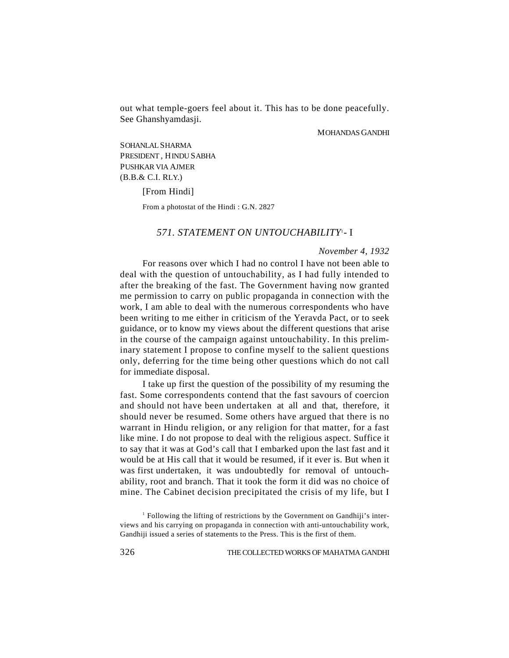out what temple-goers feel about it. This has to be done peacefully. See Ghanshyamdasji.

#### MOHANDAS GANDHI

SOHANLAL SHARMA PRESIDENT , HINDU SABHA PUSHKAR VIA AJMER (B.B.& C.I. RLY.)

[From Hindi]

From a photostat of the Hindi : G.N. 2827

# *571. STATEMENT ON UNTOUCHABILITY*<sup>1</sup> *-* I

### *November 4, 1932*

For reasons over which I had no control I have not been able to deal with the question of untouchability, as I had fully intended to after the breaking of the fast. The Government having now granted me permission to carry on public propaganda in connection with the work, I am able to deal with the numerous correspondents who have been writing to me either in criticism of the Yeravda Pact, or to seek guidance, or to know my views about the different questions that arise in the course of the campaign against untouchability. In this preliminary statement I propose to confine myself to the salient questions only, deferring for the time being other questions which do not call for immediate disposal.

I take up first the question of the possibility of my resuming the fast. Some correspondents contend that the fast savours of coercion and should not have been undertaken at all and that, therefore, it should never be resumed. Some others have argued that there is no warrant in Hindu religion, or any religion for that matter, for a fast like mine. I do not propose to deal with the religious aspect. Suffice it to say that it was at God's call that I embarked upon the last fast and it would be at His call that it would be resumed, if it ever is. But when it was first undertaken, it was undoubtedly for removal of untouchability, root and branch. That it took the form it did was no choice of mine. The Cabinet decision precipitated the crisis of my life, but I

<sup>&</sup>lt;sup>1</sup> Following the lifting of restrictions by the Government on Gandhiji's interviews and his carrying on propaganda in connection with anti-untouchability work, Gandhiji issued a series of statements to the Press. This is the first of them.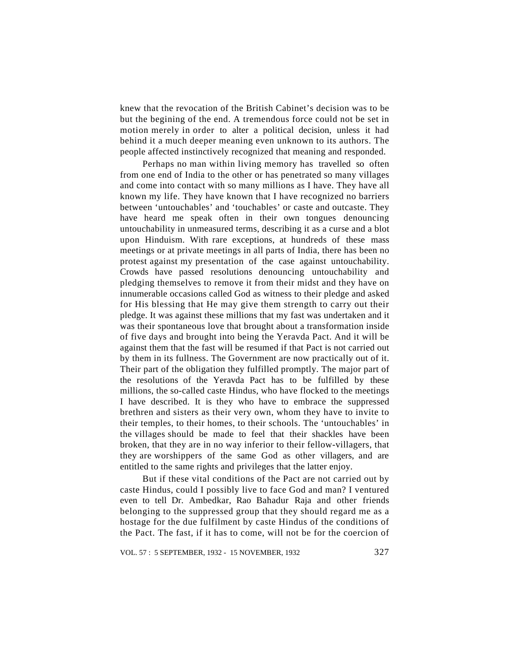knew that the revocation of the British Cabinet's decision was to be but the begining of the end. A tremendous force could not be set in motion merely in order to alter a political decision, unless it had behind it a much deeper meaning even unknown to its authors. The people affected instinctively recognized that meaning and responded.

Perhaps no man within living memory has travelled so often from one end of India to the other or has penetrated so many villages and come into contact with so many millions as I have. They have all known my life. They have known that I have recognized no barriers between 'untouchables' and 'touchables' or caste and outcaste. They have heard me speak often in their own tongues denouncing untouchability in unmeasured terms, describing it as a curse and a blot upon Hinduism. With rare exceptions, at hundreds of these mass meetings or at private meetings in all parts of India, there has been no protest against my presentation of the case against untouchability. Crowds have passed resolutions denouncing untouchability and pledging themselves to remove it from their midst and they have on innumerable occasions called God as witness to their pledge and asked for His blessing that He may give them strength to carry out their pledge. It was against these millions that my fast was undertaken and it was their spontaneous love that brought about a transformation inside of five days and brought into being the Yeravda Pact. And it will be against them that the fast will be resumed if that Pact is not carried out by them in its fullness. The Government are now practically out of it. Their part of the obligation they fulfilled promptly. The major part of the resolutions of the Yeravda Pact has to be fulfilled by these millions, the so-called caste Hindus, who have flocked to the meetings I have described. It is they who have to embrace the suppressed brethren and sisters as their very own, whom they have to invite to their temples, to their homes, to their schools. The 'untouchables' in the villages should be made to feel that their shackles have been broken, that they are in no way inferior to their fellow-villagers, that they are worshippers of the same God as other villagers, and are entitled to the same rights and privileges that the latter enjoy.

But if these vital conditions of the Pact are not carried out by caste Hindus, could I possibly live to face God and man? I ventured even to tell Dr. Ambedkar, Rao Bahadur Raja and other friends belonging to the suppressed group that they should regard me as a hostage for the due fulfilment by caste Hindus of the conditions of the Pact. The fast, if it has to come, will not be for the coercion of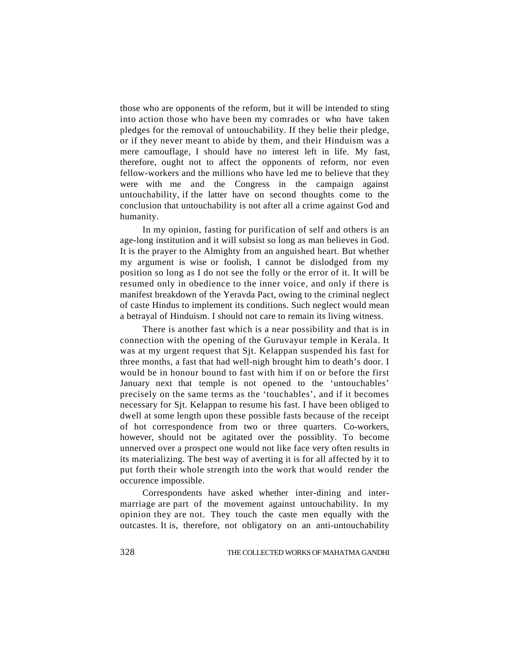those who are opponents of the reform, but it will be intended to sting into action those who have been my comrades or who have taken pledges for the removal of untouchability. If they belie their pledge, or if they never meant to abide by them, and their Hinduism was a mere camouflage, I should have no interest left in life. My fast, therefore, ought not to affect the opponents of reform, nor even fellow-workers and the millions who have led me to believe that they were with me and the Congress in the campaign against untouchability, if the latter have on second thoughts come to the conclusion that untouchability is not after all a crime against God and humanity.

In my opinion, fasting for purification of self and others is an age-long institution and it will subsist so long as man believes in God. It is the prayer to the Almighty from an anguished heart. But whether my argument is wise or foolish, I cannot be dislodged from my position so long as I do not see the folly or the error of it. It will be resumed only in obedience to the inner voice, and only if there is manifest breakdown of the Yeravda Pact, owing to the criminal neglect of caste Hindus to implement its conditions. Such neglect would mean a betrayal of Hinduism. I should not care to remain its living witness.

There is another fast which is a near possibility and that is in connection with the opening of the Guruvayur temple in Kerala. It was at my urgent request that Sjt. Kelappan suspended his fast for three months, a fast that had well-nigh brought him to death's door. I would be in honour bound to fast with him if on or before the first January next that temple is not opened to the 'untouchables' precisely on the same terms as the 'touchables', and if it becomes necessary for Sjt. Kelappan to resume his fast. I have been obliged to dwell at some length upon these possible fasts because of the receipt of hot correspondence from two or three quarters. Co-workers, however, should not be agitated over the possiblity. To become unnerved over a prospect one would not like face very often results in its materializing. The best way of averting it is for all affected by it to put forth their whole strength into the work that would render the occurence impossible.

Correspondents have asked whether inter-dining and intermarriage are part of the movement against untouchability. In my opinion they are not. They touch the caste men equally with the outcastes. It is, therefore, not obligatory on an anti-untouchability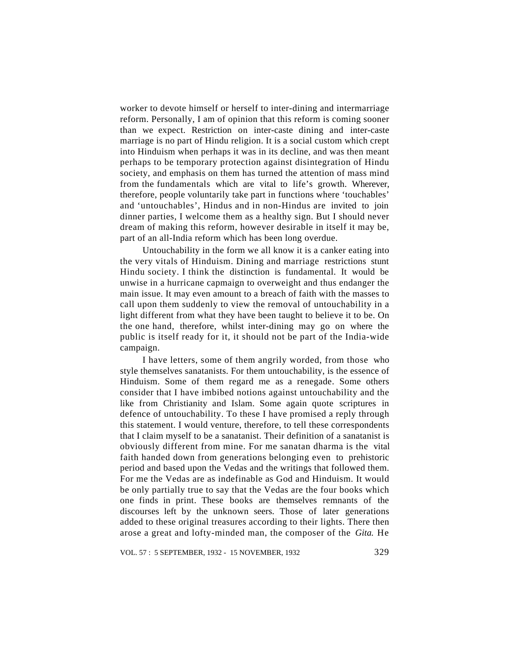worker to devote himself or herself to inter-dining and intermarriage reform. Personally, I am of opinion that this reform is coming sooner than we expect. Restriction on inter-caste dining and inter-caste marriage is no part of Hindu religion. It is a social custom which crept into Hinduism when perhaps it was in its decline, and was then meant perhaps to be temporary protection against disintegration of Hindu society, and emphasis on them has turned the attention of mass mind from the fundamentals which are vital to life's growth. Wherever, therefore, people voluntarily take part in functions where 'touchables' and 'untouchables', Hindus and in non-Hindus are invited to join dinner parties, I welcome them as a healthy sign. But I should never dream of making this reform, however desirable in itself it may be, part of an all-India reform which has been long overdue.

Untouchability in the form we all know it is a canker eating into the very vitals of Hinduism. Dining and marriage restrictions stunt Hindu society. I think the distinction is fundamental. It would be unwise in a hurricane capmaign to overweight and thus endanger the main issue. It may even amount to a breach of faith with the masses to call upon them suddenly to view the removal of untouchability in a light different from what they have been taught to believe it to be. On the one hand, therefore, whilst inter-dining may go on where the public is itself ready for it, it should not be part of the India-wide campaign.

I have letters, some of them angrily worded, from those who style themselves sanatanists. For them untouchability, is the essence of Hinduism. Some of them regard me as a renegade. Some others consider that I have imbibed notions against untouchability and the like from Christianity and Islam. Some again quote scriptures in defence of untouchability. To these I have promised a reply through this statement. I would venture, therefore, to tell these correspondents that I claim myself to be a sanatanist. Their definition of a sanatanist is obviously different from mine. For me sanatan dharma is the vital faith handed down from generations belonging even to prehistoric period and based upon the Vedas and the writings that followed them. For me the Vedas are as indefinable as God and Hinduism. It would be only partially true to say that the Vedas are the four books which one finds in print. These books are themselves remnants of the discourses left by the unknown seers. Those of later generations added to these original treasures according to their lights. There then arose a great and lofty-minded man, the composer of the *Gita.* He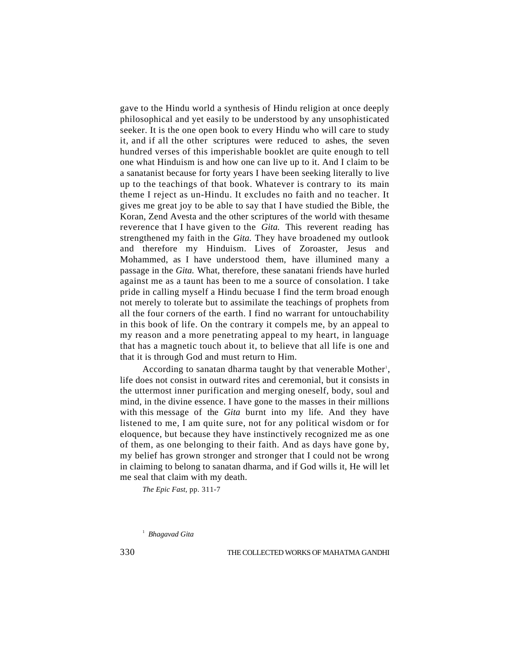gave to the Hindu world a synthesis of Hindu religion at once deeply philosophical and yet easily to be understood by any unsophisticated seeker. It is the one open book to every Hindu who will care to study it, and if all the other scriptures were reduced to ashes, the seven hundred verses of this imperishable booklet are quite enough to tell one what Hinduism is and how one can live up to it. And I claim to be a sanatanist because for forty years I have been seeking literally to live up to the teachings of that book. Whatever is contrary to its main theme I reject as un-Hindu. It excludes no faith and no teacher. It gives me great joy to be able to say that I have studied the Bible, the Koran, Zend Avesta and the other scriptures of the world with thesame reverence that I have given to the *Gita.* This reverent reading has strengthened my faith in the *Gita.* They have broadened my outlook and therefore my Hinduism. Lives of Zoroaster, Jesus and Mohammed, as I have understood them, have illumined many a passage in the *Gita.* What, therefore, these sanatani friends have hurled against me as a taunt has been to me a source of consolation. I take pride in calling myself a Hindu becuase I find the term broad enough not merely to tolerate but to assimilate the teachings of prophets from all the four corners of the earth. I find no warrant for untouchability in this book of life. On the contrary it compels me, by an appeal to my reason and a more penetrating appeal to my heart, in language that has a magnetic touch about it, to believe that all life is one and that it is through God and must return to Him.

According to sanatan dharma taught by that venerable Mother<sup>1</sup>, life does not consist in outward rites and ceremonial, but it consists in the uttermost inner purification and merging oneself, body, soul and mind, in the divine essence. I have gone to the masses in their millions with this message of the *Gita* burnt into my life. And they have listened to me, I am quite sure, not for any political wisdom or for eloquence, but because they have instinctively recognized me as one of them, as one belonging to their faith. And as days have gone by, my belief has grown stronger and stronger that I could not be wrong in claiming to belong to sanatan dharma, and if God wills it, He will let me seal that claim with my death.

*The Epic Fast,* pp. 311-7

1 *Bhagavad Gita*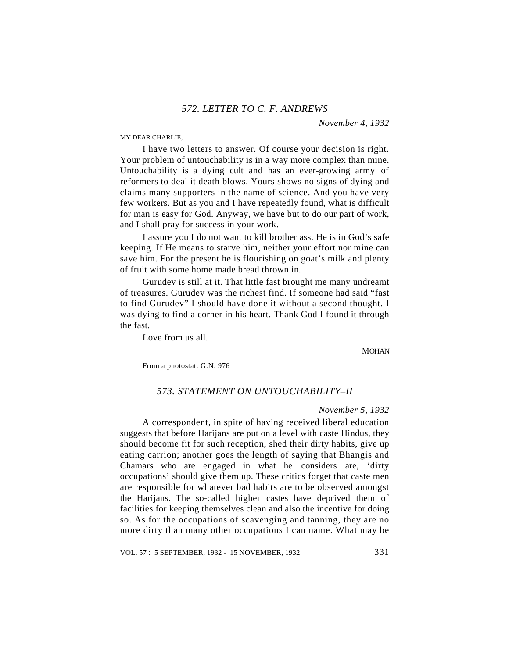MY DEAR CHARLIE,

I have two letters to answer. Of course your decision is right. Your problem of untouchability is in a way more complex than mine. Untouchability is a dying cult and has an ever-growing army of reformers to deal it death blows. Yours shows no signs of dying and claims many supporters in the name of science. And you have very few workers. But as you and I have repeatedly found, what is difficult for man is easy for God. Anyway, we have but to do our part of work, and I shall pray for success in your work.

I assure you I do not want to kill brother ass. He is in God's safe keeping. If He means to starve him, neither your effort nor mine can save him. For the present he is flourishing on goat's milk and plenty of fruit with some home made bread thrown in.

Gurudev is still at it. That little fast brought me many undreamt of treasures. Gurudev was the richest find. If someone had said "fast to find Gurudev" I should have done it without a second thought. I was dying to find a corner in his heart. Thank God I found it through the fast.

Love from us all.

**MOHAN** 

From a photostat: G.N. 976

# *573. STATEMENT ON UNTOUCHABILITY–II*

### *November 5, 1932*

A correspondent, in spite of having received liberal education suggests that before Harijans are put on a level with caste Hindus, they should become fit for such reception, shed their dirty habits, give up eating carrion; another goes the length of saying that Bhangis and Chamars who are engaged in what he considers are, 'dirty occupations' should give them up. These critics forget that caste men are responsible for whatever bad habits are to be observed amongst the Harijans. The so-called higher castes have deprived them of facilities for keeping themselves clean and also the incentive for doing so. As for the occupations of scavenging and tanning, they are no more dirty than many other occupations I can name. What may be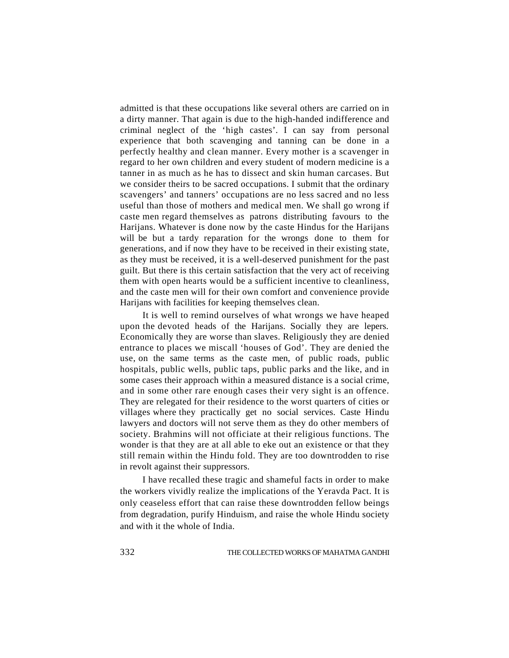admitted is that these occupations like several others are carried on in a dirty manner. That again is due to the high-handed indifference and criminal neglect of the 'high castes'. I can say from personal experience that both scavenging and tanning can be done in a perfectly healthy and clean manner. Every mother is a scavenger in regard to her own children and every student of modern medicine is a tanner in as much as he has to dissect and skin human carcases. But we consider theirs to be sacred occupations. I submit that the ordinary scavengers' and tanners' occupations are no less sacred and no less useful than those of mothers and medical men. We shall go wrong if caste men regard themselves as patrons distributing favours to the Harijans. Whatever is done now by the caste Hindus for the Harijans will be but a tardy reparation for the wrongs done to them for generations, and if now they have to be received in their existing state, as they must be received, it is a well-deserved punishment for the past guilt. But there is this certain satisfaction that the very act of receiving them with open hearts would be a sufficient incentive to cleanliness, and the caste men will for their own comfort and convenience provide Harijans with facilities for keeping themselves clean.

It is well to remind ourselves of what wrongs we have heaped upon the devoted heads of the Harijans. Socially they are lepers. Economically they are worse than slaves. Religiously they are denied entrance to places we miscall 'houses of God'. They are denied the use, on the same terms as the caste men, of public roads, public hospitals, public wells, public taps, public parks and the like, and in some cases their approach within a measured distance is a social crime, and in some other rare enough cases their very sight is an offence. They are relegated for their residence to the worst quarters of cities or villages where they practically get no social services. Caste Hindu lawyers and doctors will not serve them as they do other members of society. Brahmins will not officiate at their religious functions. The wonder is that they are at all able to eke out an existence or that they still remain within the Hindu fold. They are too downtrodden to rise in revolt against their suppressors.

I have recalled these tragic and shameful facts in order to make the workers vividly realize the implications of the Yeravda Pact. It is only ceaseless effort that can raise these downtrodden fellow beings from degradation, purify Hinduism, and raise the whole Hindu society and with it the whole of India.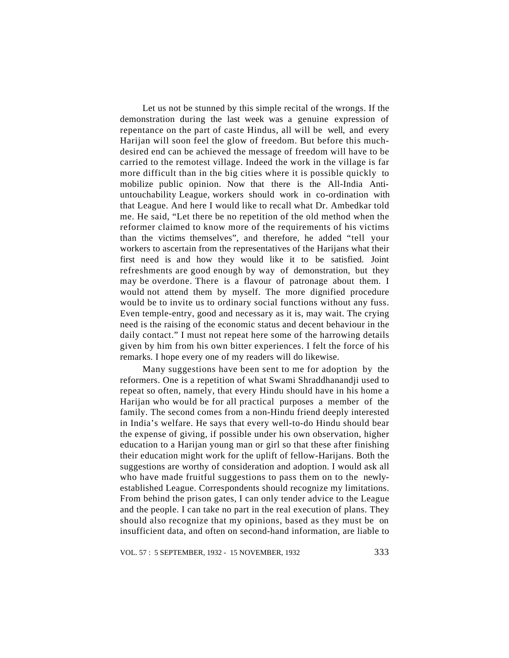Let us not be stunned by this simple recital of the wrongs. If the demonstration during the last week was a genuine expression of repentance on the part of caste Hindus, all will be well, and every Harijan will soon feel the glow of freedom. But before this muchdesired end can be achieved the message of freedom will have to be carried to the remotest village. Indeed the work in the village is far more difficult than in the big cities where it is possible quickly to mobilize public opinion. Now that there is the All-India Antiuntouchability League, workers should work in co-ordination with that League. And here I would like to recall what Dr. Ambedkar told me. He said, "Let there be no repetition of the old method when the reformer claimed to know more of the requirements of his victims than the victims themselves", and therefore, he added "tell your workers to ascertain from the representatives of the Harijans what their first need is and how they would like it to be satisfied. Joint refreshments are good enough by way of demonstration, but they may be overdone. There is a flavour of patronage about them. I would not attend them by myself. The more dignified procedure would be to invite us to ordinary social functions without any fuss. Even temple-entry, good and necessary as it is, may wait. The crying need is the raising of the economic status and decent behaviour in the daily contact." I must not repeat here some of the harrowing details given by him from his own bitter experiences. I felt the force of his remarks. I hope every one of my readers will do likewise.

Many suggestions have been sent to me for adoption by the reformers. One is a repetition of what Swami Shraddhanandji used to repeat so often, namely, that every Hindu should have in his home a Harijan who would be for all practical purposes a member of the family. The second comes from a non-Hindu friend deeply interested in India's welfare. He says that every well-to-do Hindu should bear the expense of giving, if possible under his own observation, higher education to a Harijan young man or girl so that these after finishing their education might work for the uplift of fellow-Harijans. Both the suggestions are worthy of consideration and adoption. I would ask all who have made fruitful suggestions to pass them on to the newlyestablished League. Correspondents should recognize my limitations. From behind the prison gates, I can only tender advice to the League and the people. I can take no part in the real execution of plans. They should also recognize that my opinions, based as they must be on insufficient data, and often on second-hand information, are liable to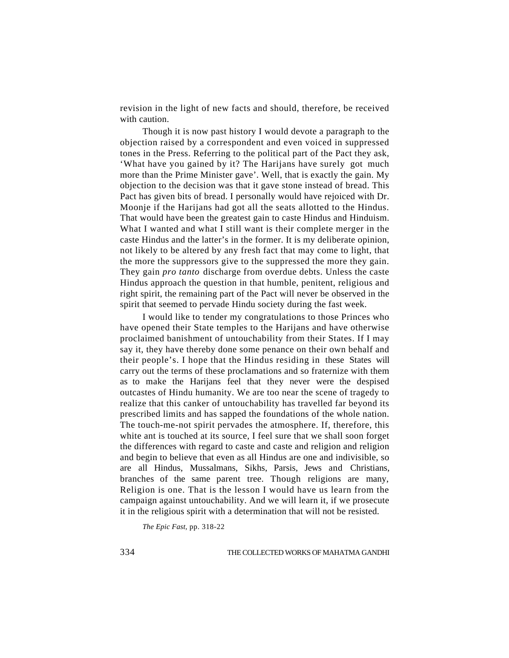revision in the light of new facts and should, therefore, be received with caution.

Though it is now past history I would devote a paragraph to the objection raised by a correspondent and even voiced in suppressed tones in the Press. Referring to the political part of the Pact they ask, 'What have you gained by it? The Harijans have surely got much more than the Prime Minister gave'. Well, that is exactly the gain. My objection to the decision was that it gave stone instead of bread. This Pact has given bits of bread. I personally would have rejoiced with Dr. Moonje if the Harijans had got all the seats allotted to the Hindus. That would have been the greatest gain to caste Hindus and Hinduism. What I wanted and what I still want is their complete merger in the caste Hindus and the latter's in the former. It is my deliberate opinion, not likely to be altered by any fresh fact that may come to light, that the more the suppressors give to the suppressed the more they gain. They gain *pro tanto* discharge from overdue debts. Unless the caste Hindus approach the question in that humble, penitent, religious and right spirit, the remaining part of the Pact will never be observed in the spirit that seemed to pervade Hindu society during the fast week.

I would like to tender my congratulations to those Princes who have opened their State temples to the Harijans and have otherwise proclaimed banishment of untouchability from their States. If I may say it, they have thereby done some penance on their own behalf and their people's. I hope that the Hindus residing in these States will carry out the terms of these proclamations and so fraternize with them as to make the Harijans feel that they never were the despised outcastes of Hindu humanity. We are too near the scene of tragedy to realize that this canker of untouchability has travelled far beyond its prescribed limits and has sapped the foundations of the whole nation. The touch-me-not spirit pervades the atmosphere. If, therefore, this white ant is touched at its source, I feel sure that we shall soon forget the differences with regard to caste and caste and religion and religion and begin to believe that even as all Hindus are one and indivisible, so are all Hindus, Mussalmans, Sikhs, Parsis, Jews and Christians, branches of the same parent tree. Though religions are many, Religion is one. That is the lesson I would have us learn from the campaign against untouchability. And we will learn it, if we prosecute it in the religious spirit with a determination that will not be resisted.

*The Epic Fast,* pp. 318-22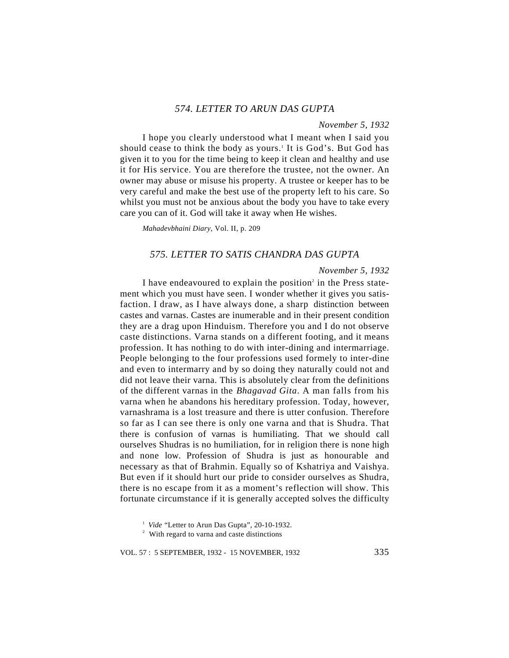# *574. LETTER TO ARUN DAS GUPTA*

### *November 5, 1932*

I hope you clearly understood what I meant when I said you should cease to think the body as yours.<sup>1</sup> It is God's. But God has given it to you for the time being to keep it clean and healthy and use it for His service. You are therefore the trustee, not the owner. An owner may abuse or misuse his property. A trustee or keeper has to be very careful and make the best use of the property left to his care. So whilst you must not be anxious about the body you have to take every care you can of it. God will take it away when He wishes.

*Mahadevbhaini Diary*, Vol. II, p. 209

### *575. LETTER TO SATIS CHANDRA DAS GUPTA*

### *November 5, 1932*

I have endeavoured to explain the position<sup>2</sup> in the Press statement which you must have seen. I wonder whether it gives you satisfaction. I draw, as I have always done, a sharp distinction between castes and varnas. Castes are inumerable and in their present condition they are a drag upon Hinduism. Therefore you and I do not observe caste distinctions. Varna stands on a different footing, and it means profession. It has nothing to do with inter-dining and intermarriage. People belonging to the four professions used formely to inter-dine and even to intermarry and by so doing they naturally could not and did not leave their varna. This is absolutely clear from the definitions of the different varnas in the *Bhagavad Gita*. A man falls from his varna when he abandons his hereditary profession. Today, however, varnashrama is a lost treasure and there is utter confusion. Therefore so far as I can see there is only one varna and that is Shudra. That there is confusion of varnas is humiliating. That we should call ourselves Shudras is no humiliation, for in religion there is none high and none low. Profession of Shudra is just as honourable and necessary as that of Brahmin. Equally so of Kshatriya and Vaishya. But even if it should hurt our pride to consider ourselves as Shudra, there is no escape from it as a moment's reflection will show. This fortunate circumstance if it is generally accepted solves the difficulty

<sup>&</sup>lt;sup>1</sup> Vide "Letter to Arun Das Gupta", 20-10-1932.

<sup>&</sup>lt;sup>2</sup> With regard to varna and caste distinctions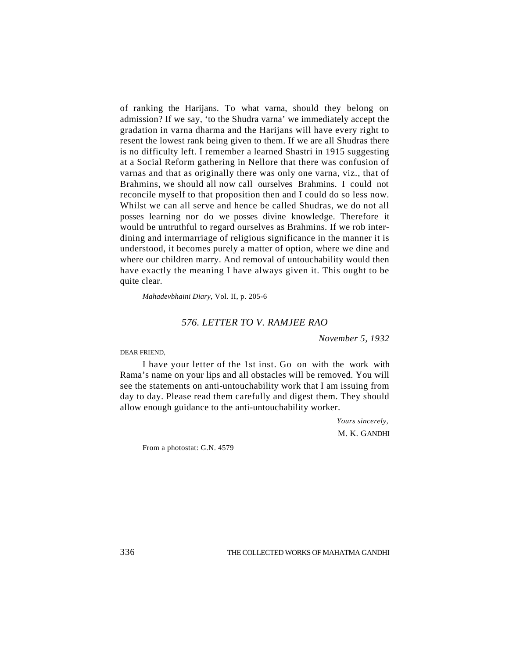of ranking the Harijans. To what varna, should they belong on admission? If we say, 'to the Shudra varna' we immediately accept the gradation in varna dharma and the Harijans will have every right to resent the lowest rank being given to them. If we are all Shudras there is no difficulty left. I remember a learned Shastri in 1915 suggesting at a Social Reform gathering in Nellore that there was confusion of varnas and that as originally there was only one varna, viz., that of Brahmins, we should all now call ourselves Brahmins. I could not reconcile myself to that proposition then and I could do so less now. Whilst we can all serve and hence be called Shudras, we do not all posses learning nor do we posses divine knowledge. Therefore it would be untruthful to regard ourselves as Brahmins. If we rob interdining and intermarriage of religious significance in the manner it is understood, it becomes purely a matter of option, where we dine and where our children marry. And removal of untouchability would then have exactly the meaning I have always given it. This ought to be quite clear.

*Mahadevbhaini Diary*, Vol. II, p. 205-6

### *576. LETTER TO V. RAMJEE RAO*

*November 5, 1932*

DEAR FRIEND,

I have your letter of the 1st inst. Go on with the work with Rama's name on your lips and all obstacles will be removed. You will see the statements on anti-untouchability work that I am issuing from day to day. Please read them carefully and digest them. They should allow enough guidance to the anti-untouchability worker.

> *Yours sincerely,* M. K. GANDHI

From a photostat: G.N. 4579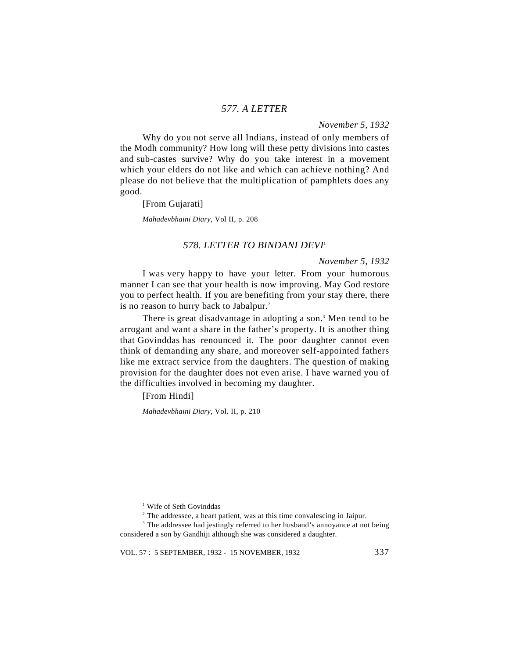# *577. A LETTER*

*November 5, 1932*

Why do you not serve all Indians, instead of only members of the Modh community? How long will these petty divisions into castes and sub-castes survive? Why do you take interest in a movement which your elders do not like and which can achieve nothing? And please do not believe that the multiplication of pamphlets does any good.

[From Gujarati]

*Mahadevbhaini Diary*, Vol II, p. 208

### *578. LETTER TO BINDANI DEVI*<sup>1</sup>

*November 5, 1932*

I was very happy to have your letter. From your humorous manner I can see that your health is now improving. May God restore you to perfect health. If you are benefiting from your stay there, there is no reason to hurry back to Jabalpur.<sup>2</sup>

There is great disadvantage in adopting a son.<sup>3</sup> Men tend to be arrogant and want a share in the father's property. It is another thing that Govinddas has renounced it. The poor daughter cannot even think of demanding any share, and moreover self-appointed fathers like me extract service from the daughters. The question of making provision for the daughter does not even arise. I have warned you of the difficulties involved in becoming my daughter.

[From Hindi]

*Mahadevbhaini Diary*, Vol. II, p. 210

<sup>1</sup> Wife of Seth Govinddas

 $2$  The addressee, a heart patient, was at this time convalescing in Jaipur.

<sup>3</sup> The addressee had jestingly referred to her husband's annoyance at not being considered a son by Gandhiji although she was considered a daughter.

VOL. 57 : 5 SEPTEMBER, 1932 - 15 NOVEMBER, 1932 337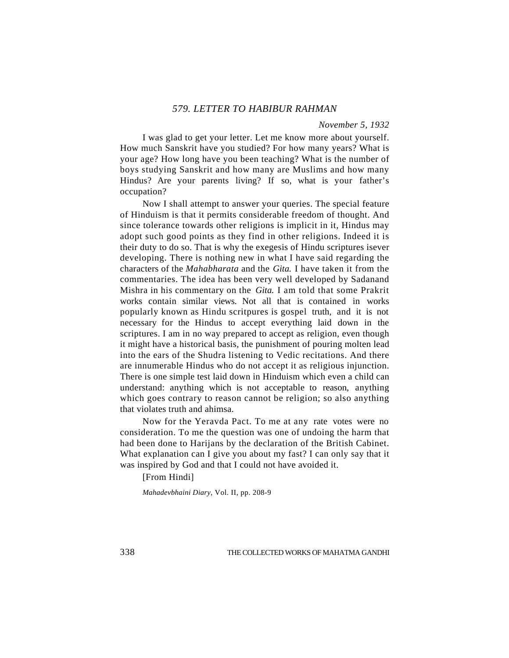# *579. LETTER TO HABIBUR RAHMAN*

### *November 5, 1932*

I was glad to get your letter. Let me know more about yourself. How much Sanskrit have you studied? For how many years? What is your age? How long have you been teaching? What is the number of boys studying Sanskrit and how many are Muslims and how many Hindus? Are your parents living? If so, what is your father's occupation?

Now I shall attempt to answer your queries. The special feature of Hinduism is that it permits considerable freedom of thought. And since tolerance towards other religions is implicit in it, Hindus may adopt such good points as they find in other religions. Indeed it is their duty to do so. That is why the exegesis of Hindu scriptures isever developing. There is nothing new in what I have said regarding the characters of the *Mahabharata* and the *Gita.* I have taken it from the commentaries. The idea has been very well developed by Sadanand Mishra in his commentary on the *Gita.* I am told that some Prakrit works contain similar views. Not all that is contained in works popularly known as Hindu scritpures is gospel truth, and it is not necessary for the Hindus to accept everything laid down in the scriptures. I am in no way prepared to accept as religion, even though it might have a historical basis, the punishment of pouring molten lead into the ears of the Shudra listening to Vedic recitations. And there are innumerable Hindus who do not accept it as religious injunction. There is one simple test laid down in Hinduism which even a child can understand: anything which is not acceptable to reason, anything which goes contrary to reason cannot be religion; so also anything that violates truth and ahimsa.

Now for the Yeravda Pact. To me at any rate votes were no consideration. To me the question was one of undoing the harm that had been done to Harijans by the declaration of the British Cabinet. What explanation can I give you about my fast? I can only say that it was inspired by God and that I could not have avoided it.

[From Hindi]

*Mahadevbhaini Diary*, Vol. II, pp. 208-9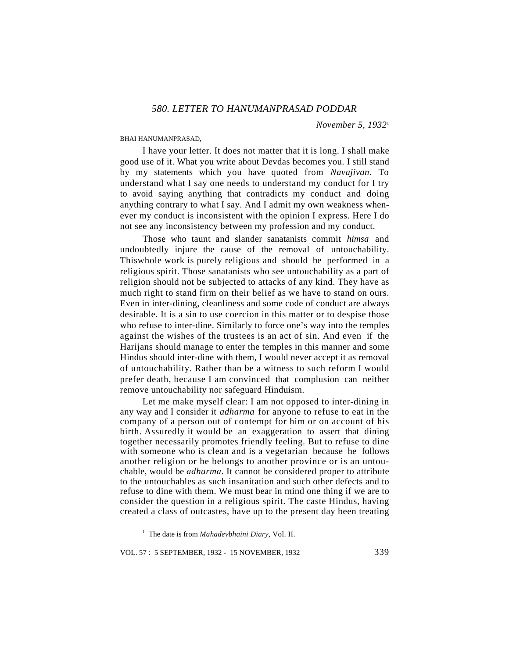#### BHAI HANUMANPRASAD,

I have your letter. It does not matter that it is long. I shall make good use of it. What you write about Devdas becomes you. I still stand by my statements which you have quoted from *Navajivan.* To understand what I say one needs to understand my conduct for I try to avoid saying anything that contradicts my conduct and doing anything contrary to what I say. And I admit my own weakness whenever my conduct is inconsistent with the opinion I express. Here I do not see any inconsistency between my profession and my conduct.

Those who taunt and slander sanatanists commit *himsa* and undoubtedly injure the cause of the removal of untouchability. Thiswhole work is purely religious and should be performed in a religious spirit. Those sanatanists who see untouchability as a part of religion should not be subjected to attacks of any kind. They have as much right to stand firm on their belief as we have to stand on ours. Even in inter-dining, cleanliness and some code of conduct are always desirable. It is a sin to use coercion in this matter or to despise those who refuse to inter-dine. Similarly to force one's way into the temples against the wishes of the trustees is an act of sin. And even if the Harijans should manage to enter the temples in this manner and some Hindus should inter-dine with them, I would never accept it as removal of untouchability. Rather than be a witness to such reform I would prefer death, because I am convinced that complusion can neither remove untouchability nor safeguard Hinduism.

Let me make myself clear: I am not opposed to inter-dining in any way and I consider it *adharma* for anyone to refuse to eat in the company of a person out of contempt for him or on account of his birth. Assuredly it would be an exaggeration to assert that dining together necessarily promotes friendly feeling. But to refuse to dine with someone who is clean and is a vegetarian because he follows another religion or he belongs to another province or is an untouchable, would be *adharma*. It cannot be considered proper to attribute to the untouchables as such insanitation and such other defects and to refuse to dine with them. We must bear in mind one thing if we are to consider the question in a religious spirit. The caste Hindus, having created a class of outcastes, have up to the present day been treating

1 The date is from *Mahadevbhaini Diary,* Vol. II.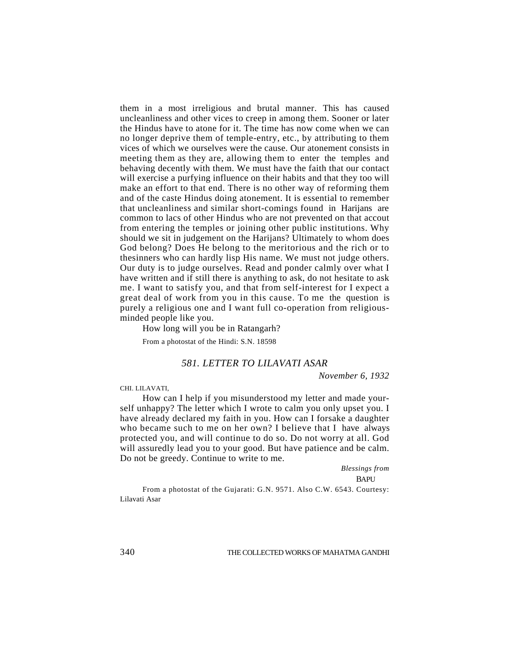them in a most irreligious and brutal manner. This has caused uncleanliness and other vices to creep in among them. Sooner or later the Hindus have to atone for it. The time has now come when we can no longer deprive them of temple-entry, etc., by attributing to them vices of which we ourselves were the cause. Our atonement consists in meeting them as they are, allowing them to enter the temples and behaving decently with them. We must have the faith that our contact will exercise a purfying influence on their habits and that they too will make an effort to that end. There is no other way of reforming them and of the caste Hindus doing atonement. It is essential to remember that uncleanliness and similar short-comings found in Harijans are common to lacs of other Hindus who are not prevented on that accout from entering the temples or joining other public institutions. Why should we sit in judgement on the Harijans? Ultimately to whom does God belong? Does He belong to the meritorious and the rich or to thesinners who can hardly lisp His name. We must not judge others. Our duty is to judge ourselves. Read and ponder calmly over what I have written and if still there is anything to ask, do not hesitate to ask me. I want to satisfy you, and that from self-interest for I expect a great deal of work from you in this cause. To me the question is purely a religious one and I want full co-operation from religiousminded people like you.

How long will you be in Ratangarh?

From a photostat of the Hindi: S.N. 18598

# *581. LETTER TO LILAVATI ASAR*

*November 6, 1932*

CHI. LILAVATI,

How can I help if you misunderstood my letter and made yourself unhappy? The letter which I wrote to calm you only upset you. I have already declared my faith in you. How can I forsake a daughter who became such to me on her own? I believe that I have always protected you, and will continue to do so. Do not worry at all. God will assuredly lead you to your good. But have patience and be calm. Do not be greedy. Continue to write to me.

> *Blessings from* **BAPU**

From a photostat of the Gujarati: G.N. 9571. Also C.W. 6543. Courtesy: Lilavati Asar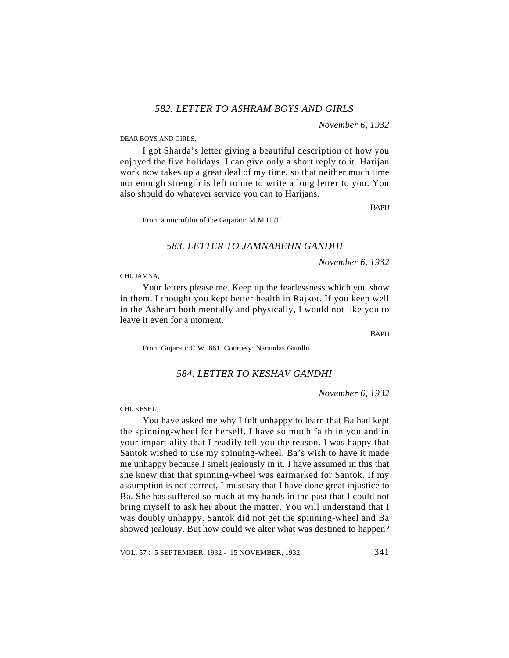DEAR BOYS AND GIRLS,

I got Sharda's letter giving a beautiful description of how you enjoyed the five holidays. I can give only a short reply to it. Harijan work now takes up a great deal of my time, so that neither much time nor enough strength is left to me to write a long letter to you. You also should do whatever service you can to Harijans.

**BAPU** 

From a microfilm of the Gujarati: M.M.U./II

*583. LETTER TO JAMNABEHN GANDHI*

*November 6, 1932*

CHI. JAMNA,

Your letters please me. Keep up the fearlessness which you show in them. I thought you kept better health in Rajkot. If you keep well in the Ashram both mentally and physically, I would not like you to leave it even for a moment.

BAPU

From Gujarati: C.W. 861. Courtesy: Narandas Gandhi

## *584. LETTER TO KESHAV GANDHI*

*November 6, 1932*

CHI. KESHU,

You have asked me why I felt unhappy to learn that Ba had kept the spinning-wheel for herself. I have so much faith in you and in your impartiality that I readily tell you the reason. I was happy that Santok wished to use my spinning-wheel. Ba's wish to have it made me unhappy because I smelt jealously in it. I have assumed in this that she knew that that spinning-wheel was earmarked for Santok. If my assumption is not correct, I must say that I have done great injustice to Ba. She has suffered so much at my hands in the past that I could not bring myself to ask her about the matter. You will understand that I was doubly unhappy. Santok did not get the spinning-wheel and Ba showed jealousy. But how could we alter what was destined to happen?

VOL. 57 : 5 SEPTEMBER, 1932 - 15 NOVEMBER, 1932 341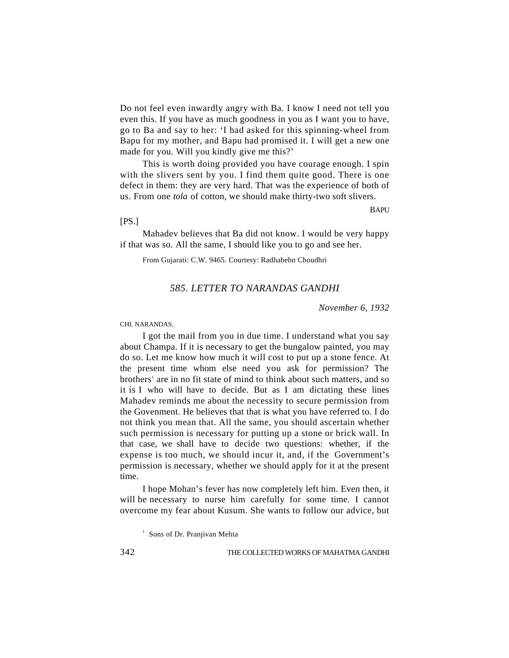Do not feel even inwardly angry with Ba. I know I need not tell you even this. If you have as much goodness in you as I want you to have, go to Ba and say to her: 'I had asked for this spinning-wheel from Bapu for my mother, and Bapu had promised it. I will get a new one made for you. Will you kindly give me this?'

This is worth doing provided you have courage enough. I spin with the slivers sent by you. I find them quite good. There is one defect in them: they are very hard. That was the experience of both of us. From one *tola* of cotton, we should make thirty-two soft slivers.

**BAPU** 

### $[PS.]$

Mahadev believes that Ba did not know. I would be very happy if that was so. All the same, I should like you to go and see her.

From Gujarati: C.W. 9465. Courtesy: Radhabehn Choudhri

# *585. LETTER TO NARANDAS GANDHI*

*November 6, 1932*

#### CHI. NARANDAS,

I got the mail from you in due time. I understand what you say about Champa. If it is necessary to get the bungalow painted, you may do so. Let me know how much it will cost to put up a stone fence. At the present time whom else need you ask for permission? The brothers<sup>1</sup> are in no fit state of mind to think about such matters, and so it is I who will have to decide. But as I am dictating these lines Mahadev reminds me about the necessity to secure permission from the Govenment. He believes that that is what you have referred to. I do not think you mean that. All the same, you should ascertain whether such permission is necessary for putting up a stone or brick wall. In that case, we shall have to decide two questions: whether, if the expense is too much, we should incur it, and, if the Government's permission is necessary, whether we should apply for it at the present time.

I hope Mohan's fever has now completely left him. Even then, it will be necessary to nurse him carefully for some time. I cannot overcome my fear about Kusum. She wants to follow our advice, but

<sup>1</sup> Sons of Dr. Pranjivan Mehta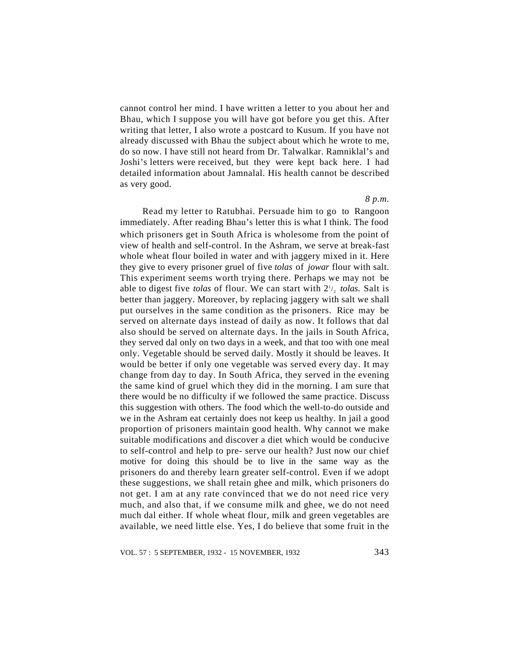cannot control her mind. I have written a letter to you about her and Bhau, which I suppose you will have got before you get this. After writing that letter, I also wrote a postcard to Kusum. If you have not already discussed with Bhau the subject about which he wrote to me, do so now. I have still not heard from Dr. Talwalkar. Ramniklal's and Joshi's letters were received, but they were kept back here. I had detailed information about Jamnalal. His health cannot be described as very good.

*8 p.m.*

Read my letter to Ratubhai. Persuade him to go to Rangoon immediately. After reading Bhau's letter this is what I think. The food which prisoners get in South Africa is wholesome from the point of view of health and self-control. In the Ashram, we serve at break-fast whole wheat flour boiled in water and with jaggery mixed in it. Here they give to every prisoner gruel of five *tolas* of *jowar* flour with salt. This experiment seems worth trying there. Perhaps we may not be able to digest five *tolas* of flour. We can start with  $2^{\frac{1}{2}}$  *tolas*. Salt is better than jaggery. Moreover, by replacing jaggery with salt we shall put ourselves in the same condition as the prisoners. Rice may be served on alternate days instead of daily as now. It follows that dal also should be served on alternate days. In the jails in South Africa, they served dal only on two days in a week, and that too with one meal only. Vegetable should be served daily. Mostly it should be leaves. It would be better if only one vegetable was served every day. It may change from day to day. In South Africa, they served in the evening the same kind of gruel which they did in the morning. I am sure that there would be no difficulty if we followed the same practice. Discuss this suggestion with others. The food which the well-to-do outside and we in the Ashram eat certainly does not keep us healthy. In jail a good proportion of prisoners maintain good health. Why cannot we make suitable modifications and discover a diet which would be conducive to self-control and help to pre- serve our health? Just now our chief motive for doing this should be to live in the same way as the prisoners do and thereby learn greater self-control. Even if we adopt these suggestions, we shall retain ghee and milk, which prisoners do not get. I am at any rate convinced that we do not need rice very much, and also that, if we consume milk and ghee, we do not need much dal either. If whole wheat flour, milk and green vegetables are available, we need little else. Yes, I do believe that some fruit in the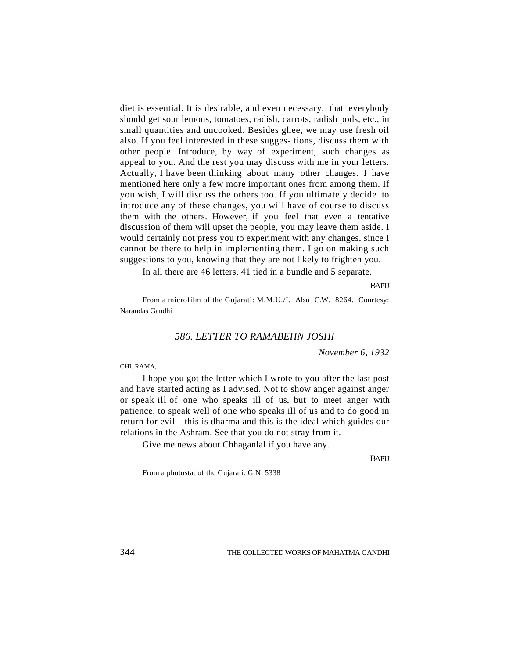diet is essential. It is desirable, and even necessary, that everybody should get sour lemons, tomatoes, radish, carrots, radish pods, etc., in small quantities and uncooked. Besides ghee, we may use fresh oil also. If you feel interested in these sugges- tions, discuss them with other people. Introduce, by way of experiment, such changes as appeal to you. And the rest you may discuss with me in your letters. Actually, I have been thinking about many other changes. I have mentioned here only a few more important ones from among them. If you wish, I will discuss the others too. If you ultimately decide to introduce any of these changes, you will have of course to discuss them with the others. However, if you feel that even a tentative discussion of them will upset the people, you may leave them aside. I would certainly not press you to experiment with any changes, since I cannot be there to help in implementing them. I go on making such suggestions to you, knowing that they are not likely to frighten you.

In all there are 46 letters, 41 tied in a bundle and 5 separate.

BAPU

From a microfilm of the Gujarati: M.M.U./I. Also C.W. 8264. Courtesy: Narandas Gandhi

# *586. LETTER TO RAMABEHN JOSHI*

*November 6, 1932*

CHI. RAMA,

I hope you got the letter which I wrote to you after the last post and have started acting as I advised. Not to show anger against anger or speak ill of one who speaks ill of us, but to meet anger with patience, to speak well of one who speaks ill of us and to do good in return for evil—this is dharma and this is the ideal which guides our relations in the Ashram. See that you do not stray from it.

Give me news about Chhaganlal if you have any.

**BAPU** 

From a photostat of the Gujarati: G.N. 5338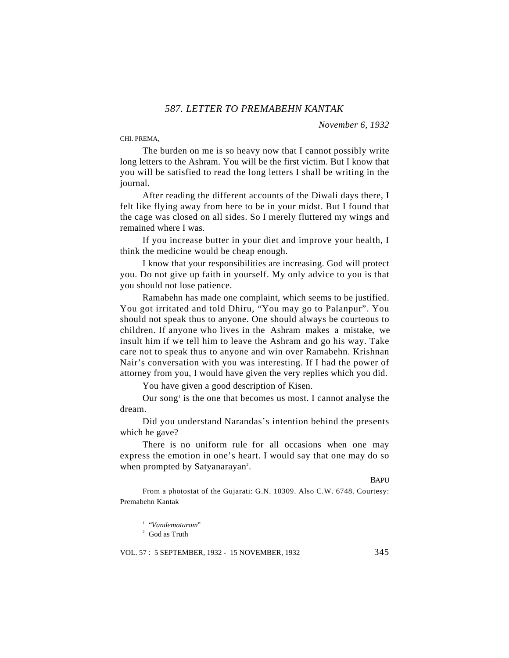### CHI. PREMA,

The burden on me is so heavy now that I cannot possibly write long letters to the Ashram. You will be the first victim. But I know that you will be satisfied to read the long letters I shall be writing in the journal.

After reading the different accounts of the Diwali days there, I felt like flying away from here to be in your midst. But I found that the cage was closed on all sides. So I merely fluttered my wings and remained where I was.

If you increase butter in your diet and improve your health, I think the medicine would be cheap enough.

I know that your responsibilities are increasing. God will protect you. Do not give up faith in yourself. My only advice to you is that you should not lose patience.

Ramabehn has made one complaint, which seems to be justified. You got irritated and told Dhiru, "You may go to Palanpur". You should not speak thus to anyone. One should always be courteous to children. If anyone who lives in the Ashram makes a mistake, we insult him if we tell him to leave the Ashram and go his way. Take care not to speak thus to anyone and win over Ramabehn. Krishnan Nair's conversation with you was interesting. If I had the power of attorney from you, I would have given the very replies which you did.

You have given a good description of Kisen.

Our song<sup>1</sup> is the one that becomes us most. I cannot analyse the dream.

Did you understand Narandas's intention behind the presents which he gave?

There is no uniform rule for all occasions when one may express the emotion in one's heart. I would say that one may do so when prompted by Satyanarayan<sup>2</sup>.

**BAPU** 

From a photostat of the Gujarati: G.N. 10309. Also C.W. 6748. Courtesy: Premabehn Kantak

1 "*Vandemataram*"

2 God as Truth

VOL. 57 : 5 SEPTEMBER, 1932 - 15 NOVEMBER, 1932 345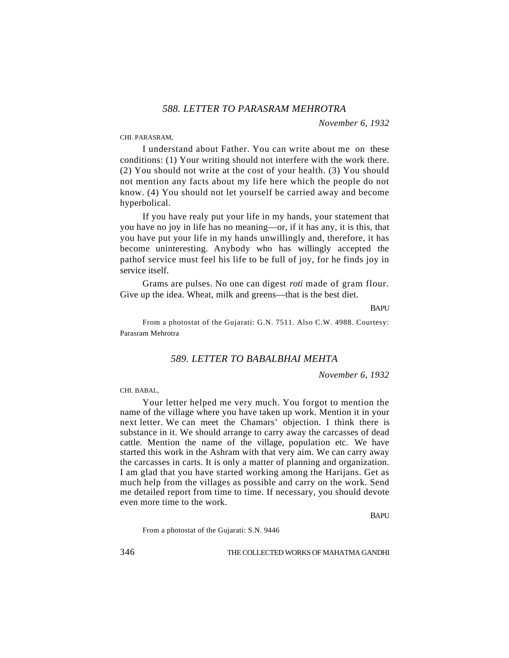#### CHI. PARASRAM,

I understand about Father. You can write about me on these conditions: (1) Your writing should not interfere with the work there. (2) You should not write at the cost of your health. (3) You should not mention any facts about my life here which the people do not know. (4) You should not let yourself be carried away and become hyperbolical.

If you have realy put your life in my hands, your statement that you have no joy in life has no meaning—or, if it has any, it is this, that you have put your life in my hands unwillingly and, therefore, it has become uninteresting. Anybody who has willingly accepted the pathof service must feel his life to be full of joy, for he finds joy in service itself.

Grams are pulses. No one can digest *roti* made of gram flour. Give up the idea. Wheat, milk and greens—that is the best diet.

**BAPU** 

From a photostat of the Gujarati: G.N. 7511. Also C.W. 4988. Courtesy: Parasram Mehrotra

### *589. LETTER TO BABALBHAI MEHTA*

*November 6, 1932*

CHI. BABAL,

Your letter helped me very much. You forgot to mention the name of the village where you have taken up work. Mention it in your next letter. We can meet the Chamars' objection. I think there is substance in it. We should arrange to carry away the carcasses of dead cattle. Mention the name of the village, population etc. We have started this work in the Ashram with that very aim. We can carry away the carcasses in carts. It is only a matter of planning and organization. I am glad that you have started working among the Harijans. Get as much help from the villages as possible and carry on the work. Send me detailed report from time to time. If necessary, you should devote even more time to the work.

**BAPU** 

From a photostat of the Gujarati: S.N. 9446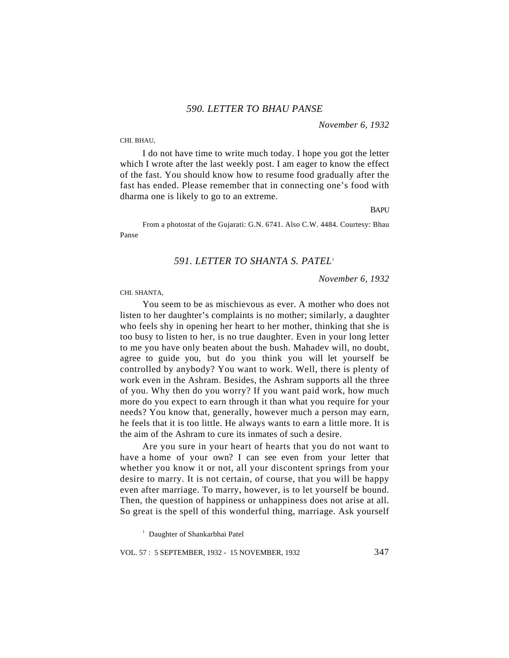#### CHI. BHAU,

I do not have time to write much today. I hope you got the letter which I wrote after the last weekly post. I am eager to know the effect of the fast. You should know how to resume food gradually after the fast has ended. Please remember that in connecting one's food with dharma one is likely to go to an extreme.

**BAPU** 

From a photostat of the Gujarati: G.N. 6741. Also C.W. 4484. Courtesy: Bhau Panse

# *591. LETTER TO SHANTA S. PATEL*<sup>1</sup>

*November 6, 1932*

### CHI. SHANTA,

You seem to be as mischievous as ever. A mother who does not listen to her daughter's complaints is no mother; similarly, a daughter who feels shy in opening her heart to her mother, thinking that she is too busy to listen to her, is no true daughter. Even in your long letter to me you have only beaten about the bush. Mahadev will, no doubt, agree to guide you, but do you think you will let yourself be controlled by anybody? You want to work. Well, there is plenty of work even in the Ashram. Besides, the Ashram supports all the three of you. Why then do you worry? If you want paid work, how much more do you expect to earn through it than what you require for your needs? You know that, generally, however much a person may earn, he feels that it is too little. He always wants to earn a little more. It is the aim of the Ashram to cure its inmates of such a desire.

Are you sure in your heart of hearts that you do not want to have a home of your own? I can see even from your letter that whether you know it or not, all your discontent springs from your desire to marry. It is not certain, of course, that you will be happy even after marriage. To marry, however, is to let yourself be bound. Then, the question of happiness or unhappiness does not arise at all. So great is the spell of this wonderful thing, marriage. Ask yourself

<sup>1</sup> Daughter of Shankarbhai Patel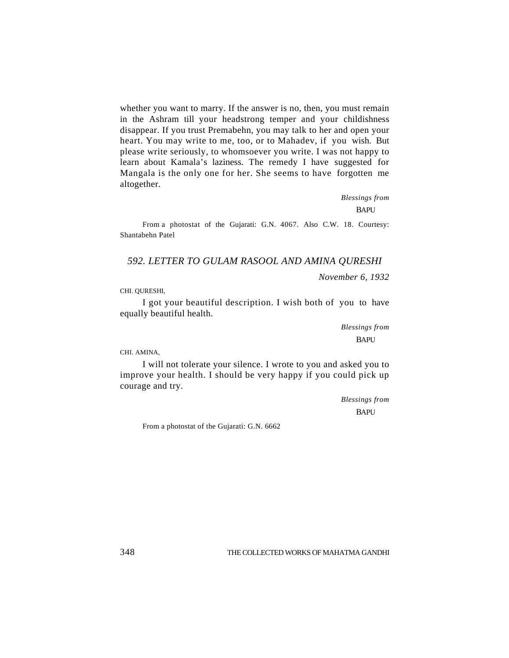whether you want to marry. If the answer is no, then, you must remain in the Ashram till your headstrong temper and your childishness disappear. If you trust Premabehn, you may talk to her and open your heart. You may write to me, too, or to Mahadev, if you wish. But please write seriously, to whomsoever you write. I was not happy to learn about Kamala's laziness. The remedy I have suggested for Mangala is the only one for her. She seems to have forgotten me altogether.

> *Blessings from* **BAPU**

From a photostat of the Gujarati: G.N. 4067. Also C.W. 18. Courtesy: Shantabehn Patel

# *592. LETTER TO GULAM RASOOL AND AMINA QURESHI*

*November 6, 1932*

CHI. QURESHI,

I got your beautiful description. I wish both of you to have equally beautiful health.

> *Blessings from* **BAPU**

CHI. AMINA,

I will not tolerate your silence. I wrote to you and asked you to improve your health. I should be very happy if you could pick up courage and try.

> *Blessings from* **BAPU**

From a photostat of the Gujarati: G.N. 6662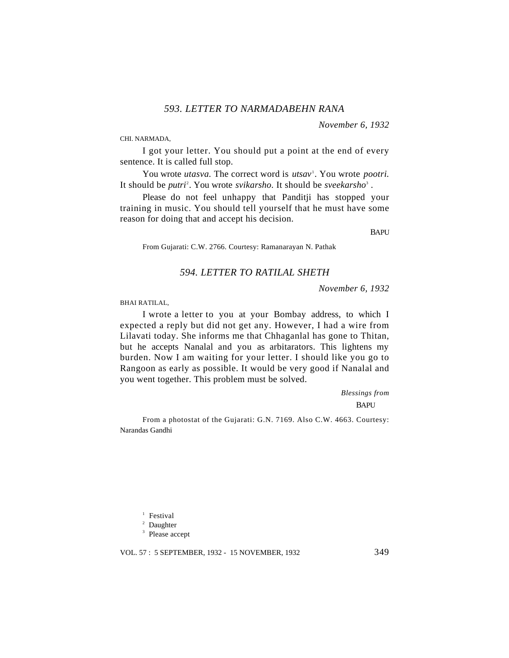CHI. NARMADA,

I got your letter. You should put a point at the end of every sentence. It is called full stop.

You wrote *utasva*. The correct word is *utsav*<sup>1</sup>. You wrote *pootri*. It should be *putri<sup>2</sup>*. You wrote *svikarsho*. It should be *sveekarsho<sup>3</sup>*.

Please do not feel unhappy that Panditji has stopped your training in music. You should tell yourself that he must have some reason for doing that and accept his decision.

**BAPU** 

From Gujarati: C.W. 2766. Courtesy: Ramanarayan N. Pathak

### *594. LETTER TO RATILAL SHETH*

*November 6, 1932*

BHAI RATILAL,

I wrote a letter to you at your Bombay address, to which I expected a reply but did not get any. However, I had a wire from Lilavati today. She informs me that Chhaganlal has gone to Thitan, but he accepts Nanalal and you as arbitarators. This lightens my burden. Now I am waiting for your letter. I should like you go to Rangoon as early as possible. It would be very good if Nanalal and you went together. This problem must be solved.

*Blessings from*

BAPU

From a photostat of the Gujarati: G.N. 7169. Also C.W. 4663. Courtesy: Narandas Gandhi

<sup>1</sup> Festival

<sup>2</sup> Daughter

<sup>3</sup> Please accept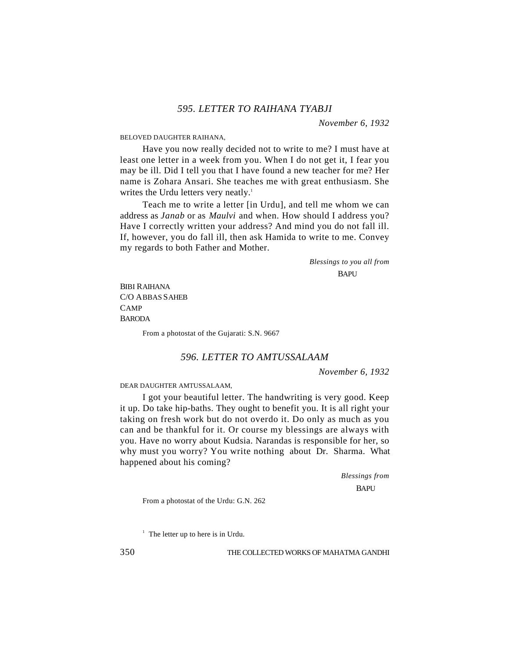BELOVED DAUGHTER RAIHANA,

Have you now really decided not to write to me? I must have at least one letter in a week from you. When I do not get it, I fear you may be ill. Did I tell you that I have found a new teacher for me? Her name is Zohara Ansari. She teaches me with great enthusiasm. She writes the Urdu letters very neatly.<sup>1</sup>

Teach me to write a letter [in Urdu], and tell me whom we can address as *Janab* or as *Maulvi* and when. How should I address you? Have I correctly written your address? And mind you do not fall ill. If, however, you do fall ill, then ask Hamida to write to me. Convey my regards to both Father and Mother.

> *Blessings to you all from* **BAPU**

BIBI RAIHANA C/O ABBAS SAHEB CAMP **BARODA** 

From a photostat of the Gujarati: S.N. 9667

### *596. LETTER TO AMTUSSALAAM*

*November 6, 1932*

DEAR DAUGHTER AMTUSSALAAM,

I got your beautiful letter. The handwriting is very good. Keep it up. Do take hip-baths. They ought to benefit you. It is all right your taking on fresh work but do not overdo it. Do only as much as you can and be thankful for it. Or course my blessings are always with you. Have no worry about Kudsia. Narandas is responsible for her, so why must you worry? You write nothing about Dr. Sharma. What happened about his coming?

> *Blessings from* **BAPU**

From a photostat of the Urdu: G.N. 262

 $<sup>1</sup>$  The letter up to here is in Urdu.</sup>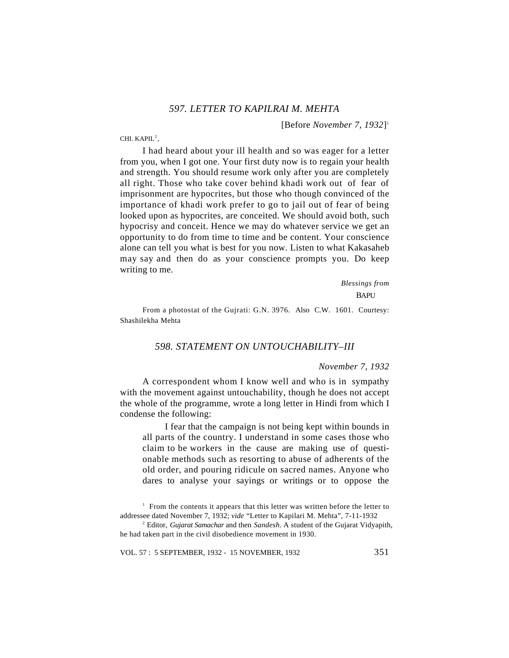[Before *November 7, 1932*] 1

CHI.  $KAPIL^2$ ,

I had heard about your ill health and so was eager for a letter from you, when I got one. Your first duty now is to regain your health and strength. You should resume work only after you are completely all right. Those who take cover behind khadi work out of fear of imprisonment are hypocrites, but those who though convinced of the importance of khadi work prefer to go to jail out of fear of being looked upon as hypocrites, are conceited. We should avoid both, such hypocrisy and conceit. Hence we may do whatever service we get an opportunity to do from time to time and be content. Your conscience alone can tell you what is best for you now. Listen to what Kakasaheb may say and then do as your conscience prompts you. Do keep writing to me.

> *Blessings from* BAPU

From a photostat of the Gujrati: G.N. 3976. Also C.W. 1601. Courtesy: Shashilekha Mehta

## *598. STATEMENT ON UNTOUCHABILITY–III*

# *November 7, 1932*

A correspondent whom I know well and who is in sympathy with the movement against untouchability, though he does not accept the whole of the programme, wrote a long letter in Hindi from which I condense the following:

I fear that the campaign is not being kept within bounds in all parts of the country. I understand in some cases those who claim to be workers in the cause are making use of questionable methods such as resorting to abuse of adherents of the old order, and pouring ridicule on sacred names. Anyone who dares to analyse your sayings or writings or to oppose the

 $1$  From the contents it appears that this letter was written before the letter to addressee dated November 7, 1932; *vide* "Letter to Kapilari M. Mehta", 7-11-1932

<sup>2</sup> Editor, *Gujarat Samachar* and then *Sandesh*. A student of the Gujarat Vidyapith, he had taken part in the civil disobedience movement in 1930.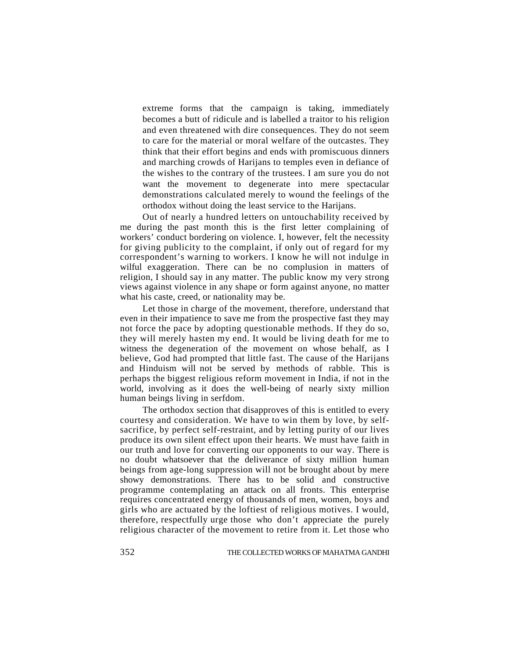extreme forms that the campaign is taking, immediately becomes a butt of ridicule and is labelled a traitor to his religion and even threatened with dire consequences. They do not seem to care for the material or moral welfare of the outcastes. They think that their effort begins and ends with promiscuous dinners and marching crowds of Harijans to temples even in defiance of the wishes to the contrary of the trustees. I am sure you do not want the movement to degenerate into mere spectacular demonstrations calculated merely to wound the feelings of the orthodox without doing the least service to the Harijans.

Out of nearly a hundred letters on untouchability received by me during the past month this is the first letter complaining of workers' conduct bordering on violence. I, however, felt the necessity for giving publicity to the complaint, if only out of regard for my correspondent's warning to workers. I know he will not indulge in wilful exaggeration. There can be no complusion in matters of religion, I should say in any matter. The public know my very strong views against violence in any shape or form against anyone, no matter what his caste, creed, or nationality may be.

Let those in charge of the movement, therefore, understand that even in their impatience to save me from the prospective fast they may not force the pace by adopting questionable methods. If they do so, they will merely hasten my end. It would be living death for me to witness the degeneration of the movement on whose behalf, as I believe, God had prompted that little fast. The cause of the Harijans and Hinduism will not be served by methods of rabble. This is perhaps the biggest religious reform movement in India, if not in the world, involving as it does the well-being of nearly sixty million human beings living in serfdom.

The orthodox section that disapproves of this is entitled to every courtesy and consideration. We have to win them by love, by selfsacrifice, by perfect self-restraint, and by letting purity of our lives produce its own silent effect upon their hearts. We must have faith in our truth and love for converting our opponents to our way. There is no doubt whatsoever that the deliverance of sixty million human beings from age-long suppression will not be brought about by mere showy demonstrations. There has to be solid and constructive programme contemplating an attack on all fronts. This enterprise requires concentrated energy of thousands of men, women, boys and girls who are actuated by the loftiest of religious motives. I would, therefore, respectfully urge those who don't appreciate the purely religious character of the movement to retire from it. Let those who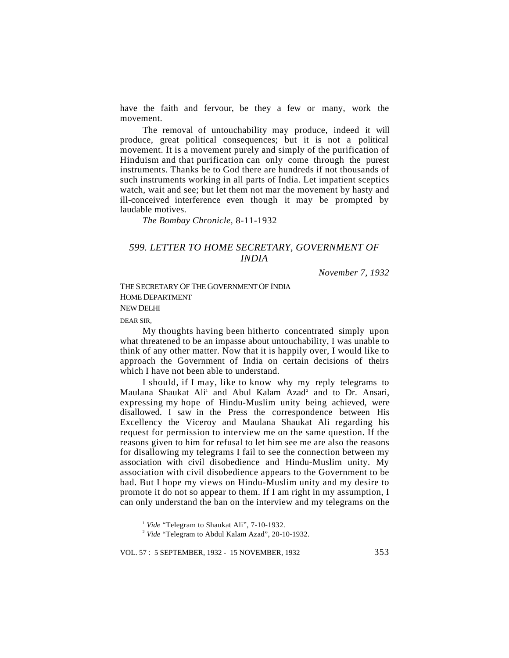have the faith and fervour, be they a few or many, work the movement.

The removal of untouchability may produce, indeed it will produce, great political consequences; but it is not a political movement. It is a movement purely and simply of the purification of Hinduism and that purification can only come through the purest instruments. Thanks be to God there are hundreds if not thousands of such instruments working in all parts of India. Let impatient sceptics watch, wait and see; but let them not mar the movement by hasty and ill-conceived interference even though it may be prompted by laudable motives.

*The Bombay Chronicle,* 8-11-1932

# *599. LETTER TO HOME SECRETARY, GOVERNMENT OF INDIA*

*November 7, 1932*

THE SECRETARY OF THE GOVERNMENT OF INDIA HOME DEPARTMENT NEW DELHI

DEAR SIR,

My thoughts having been hitherto concentrated simply upon what threatened to be an impasse about untouchability, I was unable to think of any other matter. Now that it is happily over, I would like to approach the Government of India on certain decisions of theirs which I have not been able to understand.

I should, if I may, like to know why my reply telegrams to Maulana Shaukat Ali<sup>1</sup> and Abul Kalam Azad<sup>2</sup> and to Dr. Ansari, expressing my hope of Hindu-Muslim unity being achieved, were disallowed. I saw in the Press the correspondence between His Excellency the Viceroy and Maulana Shaukat Ali regarding his request for permission to interview me on the same question. If the reasons given to him for refusal to let him see me are also the reasons for disallowing my telegrams I fail to see the connection between my association with civil disobedience and Hindu-Muslim unity. My association with civil disobedience appears to the Government to be bad. But I hope my views on Hindu-Muslim unity and my desire to promote it do not so appear to them. If I am right in my assumption, I can only understand the ban on the interview and my telegrams on the

<sup>1</sup> *Vide* "Telegram to Shaukat Ali", 7-10-1932.

<sup>2</sup> *Vide* "Telegram to Abdul Kalam Azad", 20-10-1932.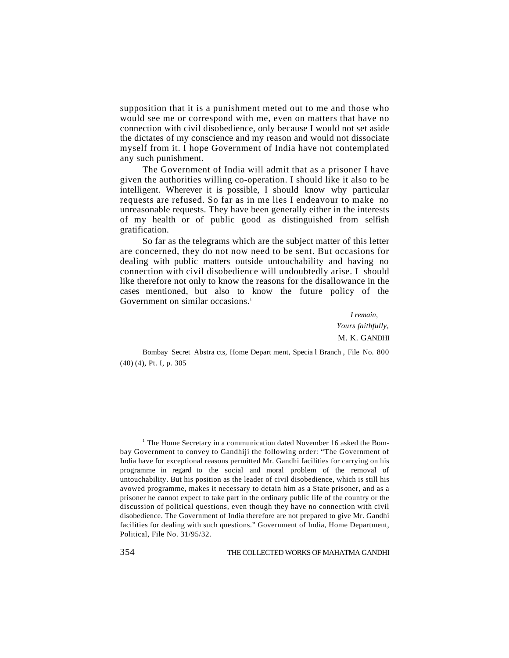supposition that it is a punishment meted out to me and those who would see me or correspond with me, even on matters that have no connection with civil disobedience, only because I would not set aside the dictates of my conscience and my reason and would not dissociate myself from it. I hope Government of India have not contemplated any such punishment.

The Government of India will admit that as a prisoner I have given the authorities willing co-operation. I should like it also to be intelligent. Wherever it is possible, I should know why particular requests are refused. So far as in me lies I endeavour to make no unreasonable requests. They have been generally either in the interests of my health or of public good as distinguished from selfish gratification.

So far as the telegrams which are the subject matter of this letter are concerned, they do not now need to be sent. But occasions for dealing with public matters outside untouchability and having no connection with civil disobedience will undoubtedly arise. I should like therefore not only to know the reasons for the disallowance in the cases mentioned, but also to know the future policy of the Government on similar occasions.<sup>1</sup>

> *I remain*, *Yours faithfully*, M. K. GANDHI

Bombay Secret Abstra cts, Home Depart ment, Specia l Branch , File No. 800 (40) (4), Pt. I, p. 305

<sup>1</sup> The Home Secretary in a communication dated November 16 asked the Bombay Government to convey to Gandhiji the following order: "The Government of India have for exceptional reasons permitted Mr. Gandhi facilities for carrying on his programme in regard to the social and moral problem of the removal of untouchability. But his position as the leader of civil disobedience, which is still his avowed programme, makes it necessary to detain him as a State prisoner, and as a prisoner he cannot expect to take part in the ordinary public life of the country or the discussion of political questions, even though they have no connection with civil disobedience. The Government of India therefore are not prepared to give Mr. Gandhi facilities for dealing with such questions." Government of India, Home Department, Political, File No. 31/95/32.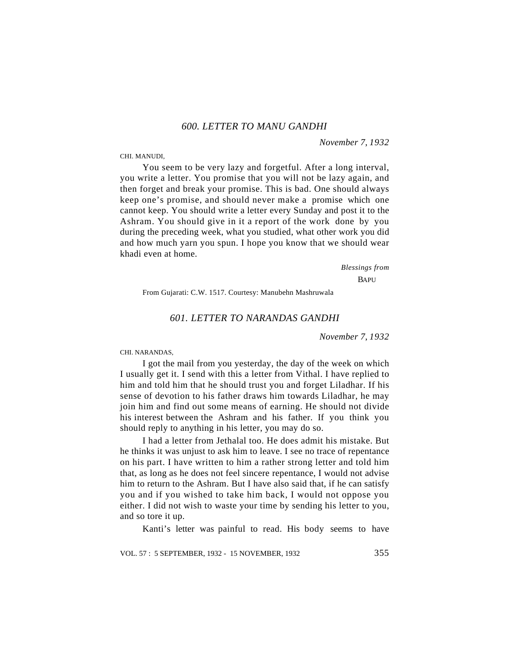# *600. LETTER TO MANU GANDHI*

*November 7*, *1932*

CHI. MANUDI,

You seem to be very lazy and forgetful. After a long interval, you write a letter. You promise that you will not be lazy again, and then forget and break your promise. This is bad. One should always keep one's promise, and should never make a promise which one cannot keep. You should write a letter every Sunday and post it to the Ashram. You should give in it a report of the work done by you during the preceding week, what you studied, what other work you did and how much yarn you spun. I hope you know that we should wear khadi even at home.

*Blessings from*

**BAPU** 

From Gujarati: C.W. 1517. Courtesy: Manubehn Mashruwala

## *601. LETTER TO NARANDAS GANDHI*

*November 7*, *1932*

CHI. NARANDAS,

I got the mail from you yesterday, the day of the week on which I usually get it. I send with this a letter from Vithal. I have replied to him and told him that he should trust you and forget Liladhar. If his sense of devotion to his father draws him towards Liladhar, he may join him and find out some means of earning. He should not divide his interest between the Ashram and his father. If you think you should reply to anything in his letter, you may do so.

I had a letter from Jethalal too. He does admit his mistake. But he thinks it was unjust to ask him to leave. I see no trace of repentance on his part. I have written to him a rather strong letter and told him that, as long as he does not feel sincere repentance, I would not advise him to return to the Ashram. But I have also said that, if he can satisfy you and if you wished to take him back, I would not oppose you either. I did not wish to waste your time by sending his letter to you, and so tore it up.

Kanti's letter was painful to read. His body seems to have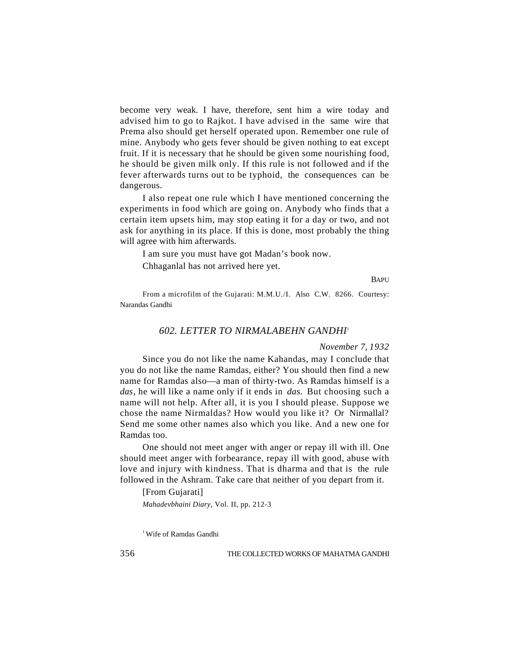become very weak. I have, therefore, sent him a wire today and advised him to go to Rajkot. I have advised in the same wire that Prema also should get herself operated upon. Remember one rule of mine. Anybody who gets fever should be given nothing to eat except fruit. If it is necessary that he should be given some nourishing food, he should be given milk only. If this rule is not followed and if the fever afterwards turns out to be typhoid, the consequences can be dangerous.

I also repeat one rule which I have mentioned concerning the experiments in food which are going on. Anybody who finds that a certain item upsets him, may stop eating it for a day or two, and not ask for anything in its place. If this is done, most probably the thing will agree with him afterwards.

I am sure you must have got Madan's book now.

Chhaganlal has not arrived here yet.

**BAPU** 

From a microfilm of the Gujarati: M.M.U./I. Also C.W. 8266. Courtesy: Narandas Gandhi

# *602. LETTER TO NIRMALABEHN GANDHI*<sup>1</sup>

# *November 7*, *1932*

Since you do not like the name Kahandas, may I conclude that you do not like the name Ramdas, either? You should then find a new name for Ramdas also—a man of thirty-two. As Ramdas himself is a *das*, he will like a name only if it ends in *das.* But choosing such a name will not help. After all, it is you I should please. Suppose we chose the name Nirmaldas? How would you like it? Or Nirmallal? Send me some other names also which you like. And a new one for Ramdas too.

One should not meet anger with anger or repay ill with ill. One should meet anger with forbearance, repay ill with good, abuse with love and injury with kindness. That is dharma and that is the rule followed in the Ashram. Take care that neither of you depart from it.

[From Gujarati] *Mahadevbhaini Diary*, Vol. II, pp. 212-3

1 Wife of Ramdas Gandhi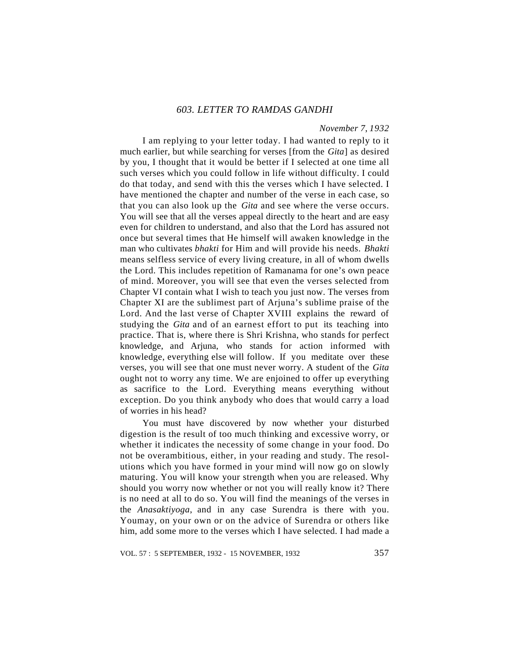# *603. LETTER TO RAMDAS GANDHI*

### *November 7*, *1932*

I am replying to your letter today. I had wanted to reply to it much earlier, but while searching for verses [from the *Gita*] as desired by you, I thought that it would be better if I selected at one time all such verses which you could follow in life without difficulty. I could do that today, and send with this the verses which I have selected. I have mentioned the chapter and number of the verse in each case, so that you can also look up the *Gita* and see where the verse occurs. You will see that all the verses appeal directly to the heart and are easy even for children to understand, and also that the Lord has assured not once but several times that He himself will awaken knowledge in the man who cultivates *bhakti* for Him and will provide his needs. *Bhakti* means selfless service of every living creature, in all of whom dwells the Lord. This includes repetition of Ramanama for one's own peace of mind. Moreover, you will see that even the verses selected from Chapter VI contain what I wish to teach you just now. The verses from Chapter XI are the sublimest part of Arjuna's sublime praise of the Lord. And the last verse of Chapter XVIII explains the reward of studying the *Gita* and of an earnest effort to put its teaching into practice. That is, where there is Shri Krishna, who stands for perfect knowledge, and Arjuna, who stands for action informed with knowledge, everything else will follow. If you meditate over these verses, you will see that one must never worry. A student of the *Gita* ought not to worry any time. We are enjoined to offer up everything as sacrifice to the Lord. Everything means everything without exception. Do you think anybody who does that would carry a load of worries in his head?

You must have discovered by now whether your disturbed digestion is the result of too much thinking and excessive worry, or whether it indicates the necessity of some change in your food. Do not be overambitious, either, in your reading and study. The resolutions which you have formed in your mind will now go on slowly maturing. You will know your strength when you are released. Why should you worry now whether or not you will really know it? There is no need at all to do so. You will find the meanings of the verses in the *Anasaktiyoga*, and in any case Surendra is there with you. Youmay, on your own or on the advice of Surendra or others like him, add some more to the verses which I have selected. I had made a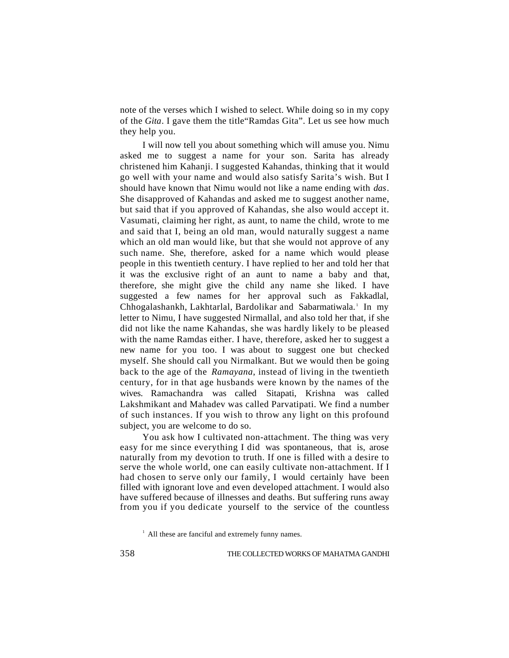note of the verses which I wished to select. While doing so in my copy of the *Gita*. I gave them the title"Ramdas Gita". Let us see how much they help you.

I will now tell you about something which will amuse you. Nimu asked me to suggest a name for your son. Sarita has already christened him Kahanji. I suggested Kahandas, thinking that it would go well with your name and would also satisfy Sarita's wish. But I should have known that Nimu would not like a name ending with *das*. She disapproved of Kahandas and asked me to suggest another name, but said that if you approved of Kahandas, she also would accept it. Vasumati, claiming her right, as aunt, to name the child, wrote to me and said that I, being an old man, would naturally suggest a name which an old man would like, but that she would not approve of any such name. She, therefore, asked for a name which would please people in this twentieth century. I have replied to her and told her that it was the exclusive right of an aunt to name a baby and that, therefore, she might give the child any name she liked. I have suggested a few names for her approval such as Fakkadlal, Chhogalashankh, Lakhtarlal, Bardolikar and Sabarmatiwala.<sup>1</sup> In my letter to Nimu, I have suggested Nirmallal, and also told her that, if she did not like the name Kahandas, she was hardly likely to be pleased with the name Ramdas either. I have, therefore, asked her to suggest a new name for you too. I was about to suggest one but checked myself. She should call you Nirmalkant. But we would then be going back to the age of the *Ramayana*, instead of living in the twentieth century, for in that age husbands were known by the names of the wives. Ramachandra was called Sitapati, Krishna was called Lakshmikant and Mahadev was called Parvatipati. We find a number of such instances. If you wish to throw any light on this profound subject, you are welcome to do so.

You ask how I cultivated non-attachment. The thing was very easy for me since everything I did was spontaneous, that is, arose naturally from my devotion to truth. If one is filled with a desire to serve the whole world, one can easily cultivate non-attachment. If I had chosen to serve only our family, I would certainly have been filled with ignorant love and even developed attachment. I would also have suffered because of illnesses and deaths. But suffering runs away from you if you dedicate yourself to the service of the countless

 $<sup>1</sup>$  All these are fanciful and extremely funny names.</sup>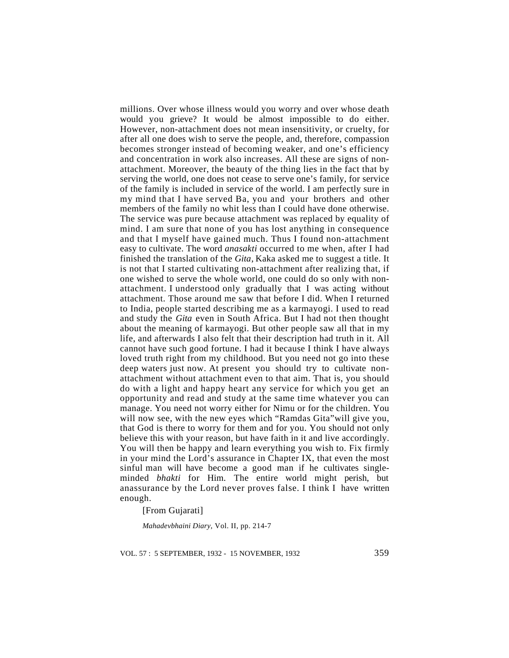millions. Over whose illness would you worry and over whose death would you grieve? It would be almost impossible to do either. However, non-attachment does not mean insensitivity, or cruelty, for after all one does wish to serve the people, and, therefore, compassion becomes stronger instead of becoming weaker, and one's efficiency and concentration in work also increases. All these are signs of nonattachment. Moreover, the beauty of the thing lies in the fact that by serving the world, one does not cease to serve one's family, for service of the family is included in service of the world. I am perfectly sure in my mind that I have served Ba, you and your brothers and other members of the family no whit less than I could have done otherwise. The service was pure because attachment was replaced by equality of mind. I am sure that none of you has lost anything in consequence and that I myself have gained much. Thus I found non-attachment easy to cultivate. The word *anasakti* occurred to me when, after I had finished the translation of the *Gita*, Kaka asked me to suggest a title. It is not that I started cultivating non-attachment after realizing that, if one wished to serve the whole world, one could do so only with nonattachment. I understood only gradually that I was acting without attachment. Those around me saw that before I did. When I returned to India, people started describing me as a karmayogi. I used to read and study the *Gita* even in South Africa. But I had not then thought about the meaning of karmayogi. But other people saw all that in my life, and afterwards I also felt that their description had truth in it. All cannot have such good fortune. I had it because I think I have always loved truth right from my childhood. But you need not go into these deep waters just now. At present you should try to cultivate nonattachment without attachment even to that aim. That is, you should do with a light and happy heart any service for which you get an opportunity and read and study at the same time whatever you can manage. You need not worry either for Nimu or for the children. You will now see, with the new eyes which "Ramdas Gita"will give you, that God is there to worry for them and for you. You should not only believe this with your reason, but have faith in it and live accordingly. You will then be happy and learn everything you wish to. Fix firmly in your mind the Lord's assurance in Chapter IX, that even the most sinful man will have become a good man if he cultivates singleminded *bhakti* for Him. The entire world might perish, but anassurance by the Lord never proves false. I think I have written enough.

[From Gujarati]

*Mahadevbhaini Diary*, Vol. II, pp. 214-7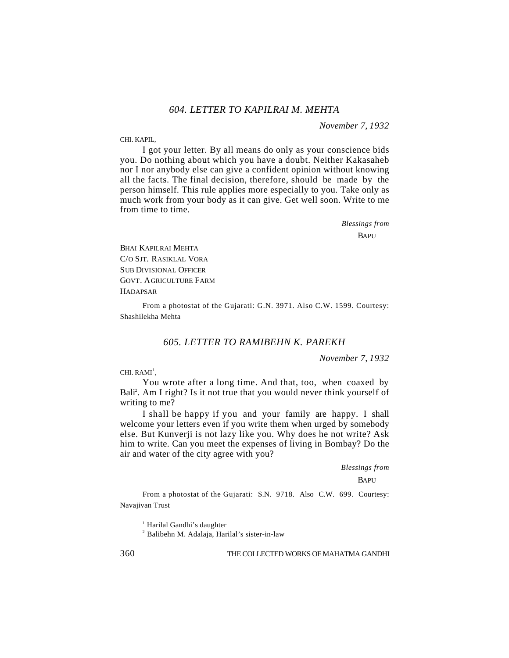# *604. LETTER TO KAPILRAI M. MEHTA*

*November 7*, *1932*

CHI. KAPIL,

I got your letter. By all means do only as your conscience bids you. Do nothing about which you have a doubt. Neither Kakasaheb nor I nor anybody else can give a confident opinion without knowing all the facts. The final decision, therefore, should be made by the person himself. This rule applies more especially to you. Take only as much work from your body as it can give. Get well soon. Write to me from time to time.

> *Blessings from* **BAPU**

BHAI KAPILRAI MEHTA C/O SJT. RASIKLAL VORA SUB DIVISIONAL OFFICER GOVT. AGRICULTURE FARM HADAPSAR

From a photostat of the Gujarati: G.N. 3971. Also C.W. 1599. Courtesy: Shashilekha Mehta

### *605. LETTER TO RAMIBEHN K. PAREKH*

*November 7*, *1932*

CHI.  $RAM<sup>1</sup>$ ,

You wrote after a long time. And that, too, when coaxed by Bali<sup>2</sup>. Am I right? Is it not true that you would never think yourself of writing to me?

I shall be happy if you and your family are happy. I shall welcome your letters even if you write them when urged by somebody else. But Kunverji is not lazy like you. Why does he not write? Ask him to write. Can you meet the expenses of living in Bombay? Do the air and water of the city agree with you?

*Blessings from*

**BAPU** 

From a photostat of the Gujarati: S.N. 9718. Also C.W. 699. Courtesy: Navajivan Trust

<sup>1</sup> Harilal Gandhi's daughter

2 Balibehn M. Adalaja, Harilal's sister-in-law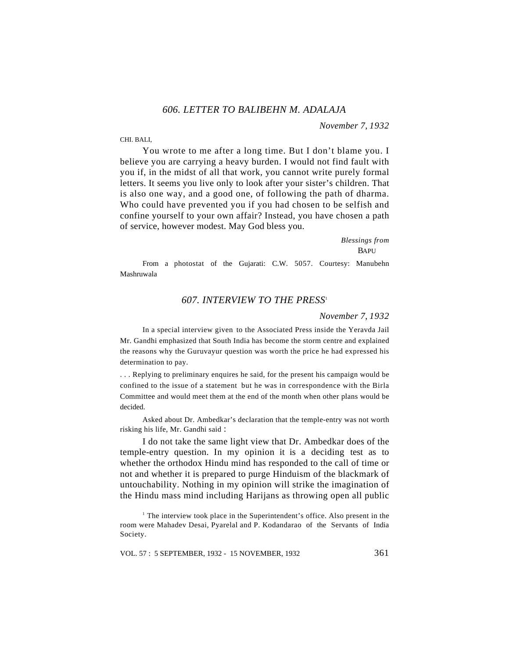# *606. LETTER TO BALIBEHN M. ADALAJA*

*November 7*, *1932*

#### CHI. BALI,

You wrote to me after a long time. But I don't blame you. I believe you are carrying a heavy burden. I would not find fault with you if, in the midst of all that work, you cannot write purely formal letters. It seems you live only to look after your sister's children. That is also one way, and a good one, of following the path of dharma. Who could have prevented you if you had chosen to be selfish and confine yourself to your own affair? Instead, you have chosen a path of service, however modest. May God bless you.

> *Blessings from* BAPU

From a photostat of the Gujarati: C.W. 5057. Courtesy: Manubehn Mashruwala

# *607. INTERVIEW TO THE PRESS*<sup>1</sup>

# *November 7*, *1932*

In a special interview given to the Associated Press inside the Yeravda Jail Mr. Gandhi emphasized that South India has become the storm centre and explained the reasons why the Guruvayur question was worth the price he had expressed his determination to pay.

. . . Replying to preliminary enquires he said, for the present his campaign would be confined to the issue of a statement but he was in correspondence with the Birla Committee and would meet them at the end of the month when other plans would be decided.

Asked about Dr. Ambedkar's declaration that the temple-entry was not worth risking his life, Mr. Gandhi said :

I do not take the same light view that Dr. Ambedkar does of the temple-entry question. In my opinion it is a deciding test as to whether the orthodox Hindu mind has responded to the call of time or not and whether it is prepared to purge Hinduism of the blackmark of untouchability. Nothing in my opinion will strike the imagination of the Hindu mass mind including Harijans as throwing open all public

<sup>1</sup> The interview took place in the Superintendent's office. Also present in the room were Mahadev Desai, Pyarelal and P. Kodandarao of the Servants of India Society.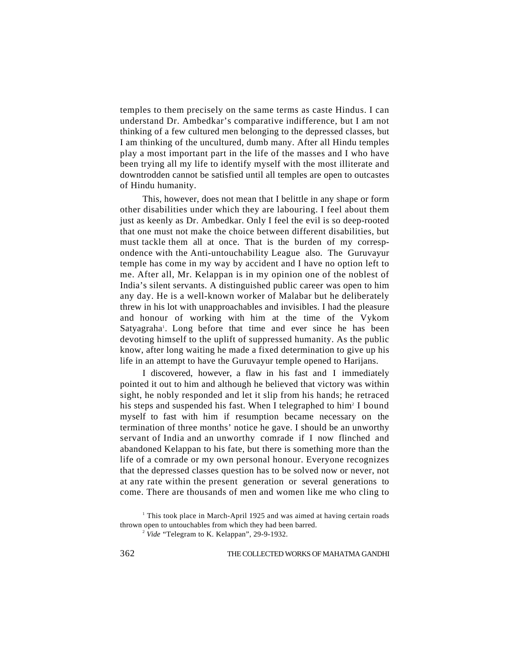temples to them precisely on the same terms as caste Hindus. I can understand Dr. Ambedkar's comparative indifference, but I am not thinking of a few cultured men belonging to the depressed classes, but I am thinking of the uncultured, dumb many. After all Hindu temples play a most important part in the life of the masses and I who have been trying all my life to identify myself with the most illiterate and downtrodden cannot be satisfied until all temples are open to outcastes of Hindu humanity.

This, however, does not mean that I belittle in any shape or form other disabilities under which they are labouring. I feel about them just as keenly as Dr. Ambedkar. Only I feel the evil is so deep-rooted that one must not make the choice between different disabilities, but must tackle them all at once. That is the burden of my correspondence with the Anti-untouchability League also. The Guruvayur temple has come in my way by accident and I have no option left to me. After all, Mr. Kelappan is in my opinion one of the noblest of India's silent servants. A distinguished public career was open to him any day. He is a well-known worker of Malabar but he deliberately threw in his lot with unapproachables and invisibles. I had the pleasure and honour of working with him at the time of the Vykom Satyagraha<sup>1</sup>. Long before that time and ever since he has been devoting himself to the uplift of suppressed humanity. As the public know, after long waiting he made a fixed determination to give up his life in an attempt to have the Guruvayur temple opened to Harijans.

I discovered, however, a flaw in his fast and I immediately pointed it out to him and although he believed that victory was within sight, he nobly responded and let it slip from his hands; he retraced his steps and suspended his fast. When I telegraphed to him<sup>2</sup> I bound myself to fast with him if resumption became necessary on the termination of three months' notice he gave. I should be an unworthy servant of India and an unworthy comrade if I now flinched and abandoned Kelappan to his fate, but there is something more than the life of a comrade or my own personal honour. Everyone recognizes that the depressed classes question has to be solved now or never, not at any rate within the present generation or several generations to come. There are thousands of men and women like me who cling to

<sup>&</sup>lt;sup>1</sup> This took place in March-April 1925 and was aimed at having certain roads thrown open to untouchables from which they had been barred.

<sup>&</sup>lt;sup>2</sup> *Vide* "Telegram to K. Kelappan", 29-9-1932.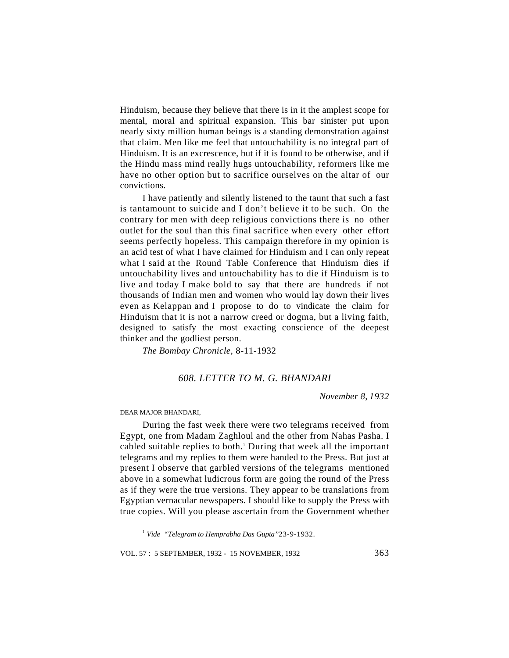Hinduism, because they believe that there is in it the amplest scope for mental, moral and spiritual expansion. This bar sinister put upon nearly sixty million human beings is a standing demonstration against that claim. Men like me feel that untouchability is no integral part of Hinduism. It is an excrescence, but if it is found to be otherwise, and if the Hindu mass mind really hugs untouchability, reformers like me have no other option but to sacrifice ourselves on the altar of our convictions.

I have patiently and silently listened to the taunt that such a fast is tantamount to suicide and I don't believe it to be such. On the contrary for men with deep religious convictions there is no other outlet for the soul than this final sacrifice when every other effort seems perfectly hopeless. This campaign therefore in my opinion is an acid test of what I have claimed for Hinduism and I can only repeat what I said at the Round Table Conference that Hinduism dies if untouchability lives and untouchability has to die if Hinduism is to live and today I make bold to say that there are hundreds if not thousands of Indian men and women who would lay down their lives even as Kelappan and I propose to do to vindicate the claim for Hinduism that it is not a narrow creed or dogma, but a living faith, designed to satisfy the most exacting conscience of the deepest thinker and the godliest person.

*The Bombay Chronicle*, 8-11-1932

# *608. LETTER TO M. G. BHANDARI*

*November 8*, *1932*

#### DEAR MAJOR BHANDARI,

During the fast week there were two telegrams received from Egypt, one from Madam Zaghloul and the other from Nahas Pasha. I cabled suitable replies to both.<sup>1</sup> During that week all the important telegrams and my replies to them were handed to the Press. But just at present I observe that garbled versions of the telegrams mentioned above in a somewhat ludicrous form are going the round of the Press as if they were the true versions. They appear to be translations from Egyptian vernacular newspapers. I should like to supply the Press with true copies. Will you please ascertain from the Government whether

<sup>1</sup> *Vide "Telegram to Hemprabha Das Gupta"*23-9-1932.

VOL. 57 : 5 SEPTEMBER, 1932 - 15 NOVEMBER, 1932 363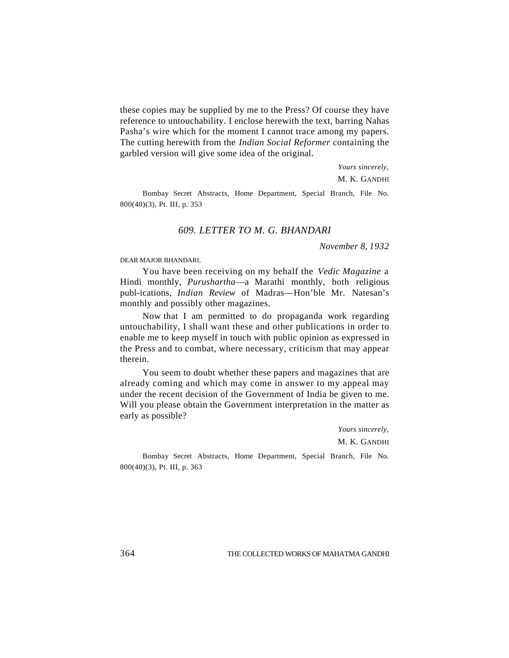these copies may be supplied by me to the Press? Of course they have reference to untouchability. I enclose herewith the text, barring Nahas Pasha's wire which for the moment I cannot trace among my papers. The cutting herewith from the *Indian Social Reformer* containing the garbled version will give some idea of the original.

> *Yours sincerely*, M. K. GANDHI

Bombay Secret Abstracts, Home Department, Special Branch, File No. 800(40)(3), Pt. III, p. 353

# *609. LETTER TO M. G. BHANDARI*

*November 8*, *1932*

DEAR MAJOR BHANDARI,

You have been receiving on my behalf the *Vedic Magazine* a Hindi monthly, *Purushartha*—a Marathi monthly, both religious publ-ications, *Indian Review* of Madras—Hon'ble Mr. Natesan's monthly and possibly other magazines.

Now that I am permitted to do propaganda work regarding untouchability, I shall want these and other publications in order to enable me to keep myself in touch with public opinion as expressed in the Press and to combat, where necessary, criticism that may appear therein.

You seem to doubt whether these papers and magazines that are already coming and which may come in answer to my appeal may under the recent decision of the Government of India be given to me. Will you please obtain the Government interpretation in the matter as early as possible?

> *Yours sincerely*, M. K. GANDHI

Bombay Secret Abstracts, Home Department, Special Branch, File No. 800(40)(3), Pt. III, p. 363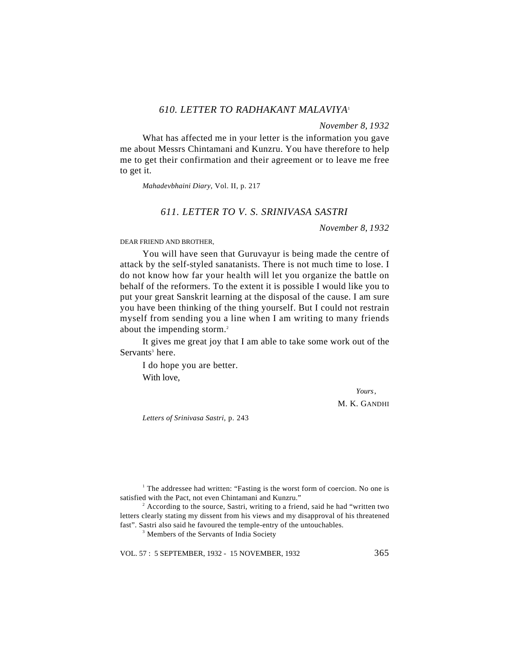# *610. LETTER TO RADHAKANT MALAVIYA*<sup>1</sup>

*November 8*, *1932*

What has affected me in your letter is the information you gave me about Messrs Chintamani and Kunzru. You have therefore to help me to get their confirmation and their agreement or to leave me free to get it.

*Mahadevbhaini Diary*, Vol. II, p. 217

# *611. LETTER TO V. S. SRINIVASA SASTRI*

*November 8*, *1932*

DEAR FRIEND AND BROTHER.

You will have seen that Guruvayur is being made the centre of attack by the self-styled sanatanists. There is not much time to lose. I do not know how far your health will let you organize the battle on behalf of the reformers. To the extent it is possible I would like you to put your great Sanskrit learning at the disposal of the cause. I am sure you have been thinking of the thing yourself. But I could not restrain myself from sending you a line when I am writing to many friends about the impending storm.<sup>2</sup>

It gives me great joy that I am able to take some work out of the Servants<sup>3</sup> here.

I do hope you are better. With love,

> *Yours*, M. K. GANDHI

*Letters of Srinivasa Sastri*, p. 243

<sup>1</sup> The addressee had written: "Fasting is the worst form of coercion. No one is satisfied with the Pact, not even Chintamani and Kunzru."

 $2$  According to the source, Sastri, writing to a friend, said he had "written two letters clearly stating my dissent from his views and my disapproval of his threatened fast". Sastri also said he favoured the temple-entry of the untouchables.

<sup>3</sup> Members of the Servants of India Society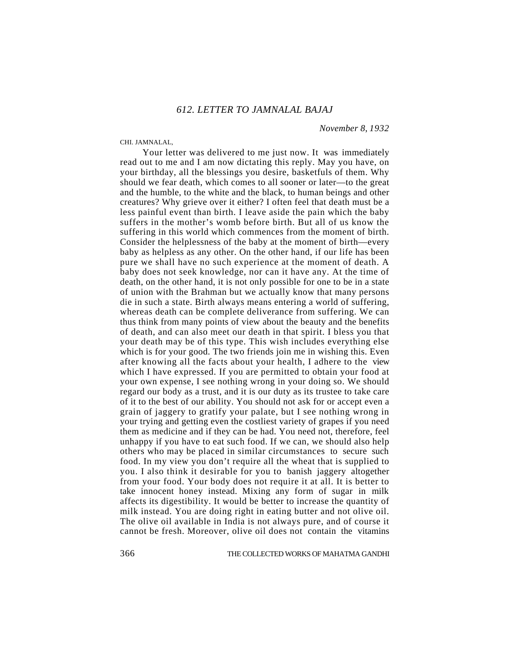*November 8*, *1932*

#### CHI. JAMNALAL,

Your letter was delivered to me just now. It was immediately read out to me and I am now dictating this reply. May you have, on your birthday, all the blessings you desire, basketfuls of them. Why should we fear death, which comes to all sooner or later—to the great and the humble, to the white and the black, to human beings and other creatures? Why grieve over it either? I often feel that death must be a less painful event than birth. I leave aside the pain which the baby suffers in the mother's womb before birth. But all of us know the suffering in this world which commences from the moment of birth. Consider the helplessness of the baby at the moment of birth—every baby as helpless as any other. On the other hand, if our life has been pure we shall have no such experience at the moment of death. A baby does not seek knowledge, nor can it have any. At the time of death, on the other hand, it is not only possible for one to be in a state of union with the Brahman but we actually know that many persons die in such a state. Birth always means entering a world of suffering, whereas death can be complete deliverance from suffering. We can thus think from many points of view about the beauty and the benefits of death, and can also meet our death in that spirit. I bless you that your death may be of this type. This wish includes everything else which is for your good. The two friends join me in wishing this. Even after knowing all the facts about your health, I adhere to the view which I have expressed. If you are permitted to obtain your food at your own expense, I see nothing wrong in your doing so. We should regard our body as a trust, and it is our duty as its trustee to take care of it to the best of our ability. You should not ask for or accept even a grain of jaggery to gratify your palate, but I see nothing wrong in your trying and getting even the costliest variety of grapes if you need them as medicine and if they can be had. You need not, therefore, feel unhappy if you have to eat such food. If we can, we should also help others who may be placed in similar circumstances to secure such food. In my view you don't require all the wheat that is supplied to you. I also think it desirable for you to banish jaggery altogether from your food. Your body does not require it at all. It is better to take innocent honey instead. Mixing any form of sugar in milk affects its digestibility. It would be better to increase the quantity of milk instead. You are doing right in eating butter and not olive oil. The olive oil available in India is not always pure, and of course it cannot be fresh. Moreover, olive oil does not contain the vitamins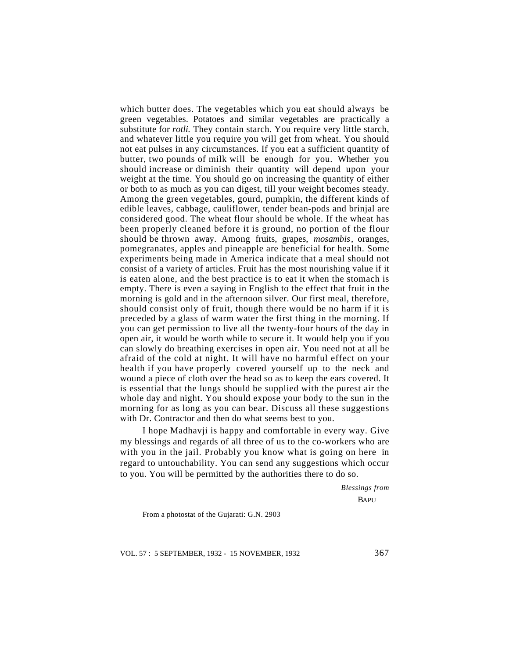which butter does. The vegetables which you eat should always be green vegetables. Potatoes and similar vegetables are practically a substitute for *rotli.* They contain starch. You require very little starch, and whatever little you require you will get from wheat. You should not eat pulses in any circumstances. If you eat a sufficient quantity of butter, two pounds of milk will be enough for you. Whether you should increase or diminish their quantity will depend upon your weight at the time. You should go on increasing the quantity of either or both to as much as you can digest, till your weight becomes steady. Among the green vegetables, gourd, pumpkin, the different kinds of edible leaves, cabbage, cauliflower, tender bean-pods and brinjal are considered good. The wheat flour should be whole. If the wheat has been properly cleaned before it is ground, no portion of the flour should be thrown away. Among fruits, grapes, *mosambis*, oranges, pomegranates, apples and pineapple are beneficial for health. Some experiments being made in America indicate that a meal should not consist of a variety of articles. Fruit has the most nourishing value if it is eaten alone, and the best practice is to eat it when the stomach is empty. There is even a saying in English to the effect that fruit in the morning is gold and in the afternoon silver. Our first meal, therefore, should consist only of fruit, though there would be no harm if it is preceded by a glass of warm water the first thing in the morning. If you can get permission to live all the twenty-four hours of the day in open air, it would be worth while to secure it. It would help you if you can slowly do breathing exercises in open air. You need not at all be afraid of the cold at night. It will have no harmful effect on your health if you have properly covered yourself up to the neck and wound a piece of cloth over the head so as to keep the ears covered. It is essential that the lungs should be supplied with the purest air the whole day and night. You should expose your body to the sun in the morning for as long as you can bear. Discuss all these suggestions with Dr. Contractor and then do what seems best to you.

I hope Madhavji is happy and comfortable in every way. Give my blessings and regards of all three of us to the co-workers who are with you in the jail. Probably you know what is going on here in regard to untouchability. You can send any suggestions which occur to you. You will be permitted by the authorities there to do so.

> *Blessings from* **BAPU**

From a photostat of the Gujarati: G.N. 2903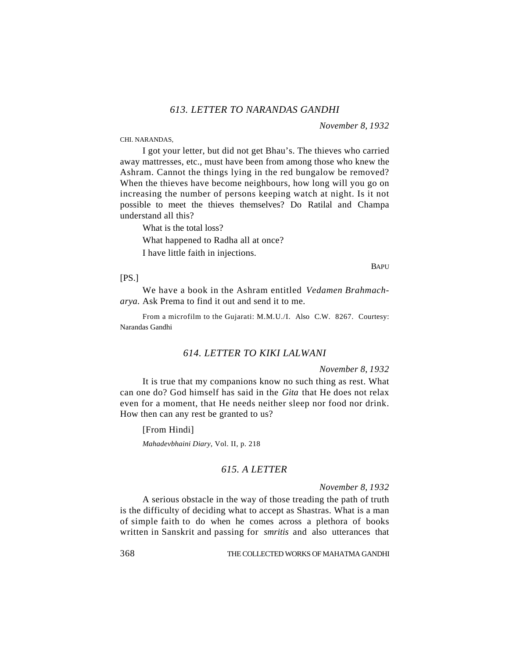*November 8*, *1932*

#### CHI. NARANDAS,

I got your letter, but did not get Bhau's. The thieves who carried away mattresses, etc., must have been from among those who knew the Ashram. Cannot the things lying in the red bungalow be removed? When the thieves have become neighbours, how long will you go on increasing the number of persons keeping watch at night. Is it not possible to meet the thieves themselves? Do Ratilal and Champa understand all this?

What is the total loss? What happened to Radha all at once? I have little faith in injections.

**BAPU** 

[PS.]

We have a book in the Ashram entitled *Vedamen Brahmacharya.* Ask Prema to find it out and send it to me.

From a microfilm to the Gujarati: M.M.U./I. Also C.W. 8267. Courtesy: Narandas Gandhi

# *614. LETTER TO KIKI LALWANI*

#### *November 8*, *1932*

It is true that my companions know no such thing as rest. What can one do? God himself has said in the *Gita* that He does not relax even for a moment, that He needs neither sleep nor food nor drink. How then can any rest be granted to us?

[From Hindi] *Mahadevbhaini Diary*, Vol. II, p. 218

# *615. A LETTER*

*November 8*, *1932*

A serious obstacle in the way of those treading the path of truth is the difficulty of deciding what to accept as Shastras. What is a man of simple faith to do when he comes across a plethora of books written in Sanskrit and passing for *smritis* and also utterances that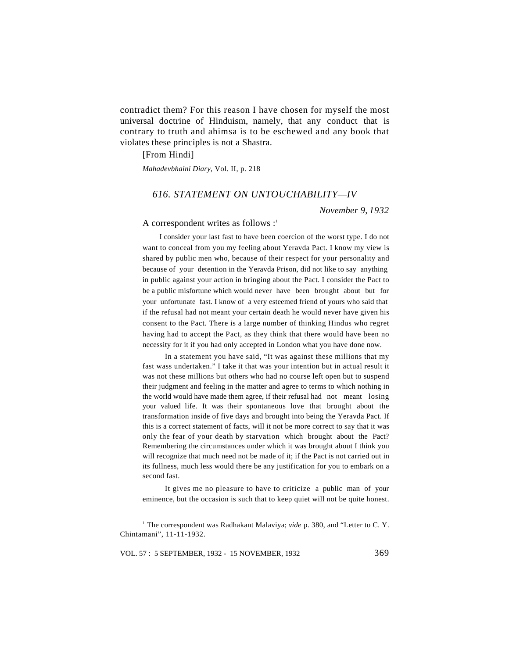contradict them? For this reason I have chosen for myself the most universal doctrine of Hinduism, namely, that any conduct that is contrary to truth and ahimsa is to be eschewed and any book that violates these principles is not a Shastra.

[From Hindi]

*Mahadevbhaini Diary*, Vol. II, p. 218

# *616. STATEMENT ON UNTOUCHABILITY—IV*

*November 9*, *1932*

A correspondent writes as follows  $:$ <sup>1</sup>

 I consider your last fast to have been coercion of the worst type. I do not want to conceal from you my feeling about Yeravda Pact. I know my view is shared by public men who, because of their respect for your personality and because of your detention in the Yeravda Prison, did not like to say anything in public against your action in bringing about the Pact. I consider the Pact to be a public misfortune which would never have been brought about but for your unfortunate fast. I know of a very esteemed friend of yours who said that if the refusal had not meant your certain death he would never have given his consent to the Pact. There is a large number of thinking Hindus who regret having had to accept the Pact, as they think that there would have been no necessity for it if you had only accepted in London what you have done now.

In a statement you have said, "It was against these millions that my fast wass undertaken." I take it that was your intention but in actual result it was not these millions but others who had no course left open but to suspend their judgment and feeling in the matter and agree to terms to which nothing in the world would have made them agree, if their refusal had not meant losing your valued life. It was their spontaneous love that brought about the transformation inside of five days and brought into being the Yeravda Pact. If this is a correct statement of facts, will it not be more correct to say that it was only the fear of your death by starvation which brought about the Pact? Remembering the circumstances under which it was brought about I think you will recognize that much need not be made of it; if the Pact is not carried out in its fullness, much less would there be any justification for you to embark on a second fast.

It gives me no pleasure to have to criticize a public man of your eminence, but the occasion is such that to keep quiet will not be quite honest.

<sup>&</sup>lt;sup>1</sup> The correspondent was Radhakant Malaviya; *vide* p. 380, and "Letter to C. Y. Chintamani", 11-11-1932.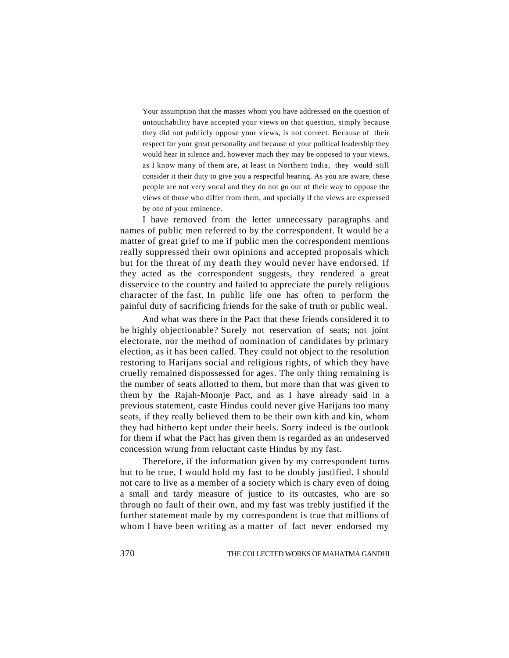Your assumption that the masses whom you have addressed on the question of untouchability have accepted your views on that question, simply because they did not publicly oppose your views, is not correct. Because of their respect for your great personality and because of your political leadership they would hear in silence and, however much they may be opposed to your views, as I know many of them are, at least in Northern India, they would still consider it their duty to give you a respectful hearing. As you are aware, these people are not very vocal and they do not go out of their way to oppose the views of those who differ from them, and specially if the views are expressed by one of your eminence.

I have removed from the letter unnecessary paragraphs and names of public men referred to by the correspondent. It would be a matter of great grief to me if public men the correspondent mentions really suppressed their own opinions and accepted proposals which but for the threat of my death they would never have endorsed. If they acted as the correspondent suggests, they rendered a great disservice to the country and failed to appreciate the purely religious character of the fast. In public life one has often to perform the painful duty of sacrificing friends for the sake of truth or public weal.

And what was there in the Pact that these friends considered it to be highly objectionable? Surely not reservation of seats; not joint electorate, nor the method of nomination of candidates by primary election, as it has been called. They could not object to the resolution restoring to Harijans social and religious rights, of which they have cruelly remained dispossessed for ages. The only thing remaining is the number of seats allotted to them, but more than that was given to them by the Rajah-Moonje Pact, and as I have already said in a previous statement, caste Hindus could never give Harijans too many seats, if they really believed them to be their own kith and kin, whom they had hitherto kept under their heels. Sorry indeed is the outlook for them if what the Pact has given them is regarded as an undeserved concession wrung from reluctant caste Hindus by my fast.

Therefore, if the information given by my correspondent turns but to be true, I would hold my fast to be doubly justified. I should not care to live as a member of a society which is chary even of doing a small and tardy measure of justice to its outcastes, who are so through no fault of their own, and my fast was trebly justified if the further statement made by my correspondent is true that millions of whom I have been writing as a matter of fact never endorsed my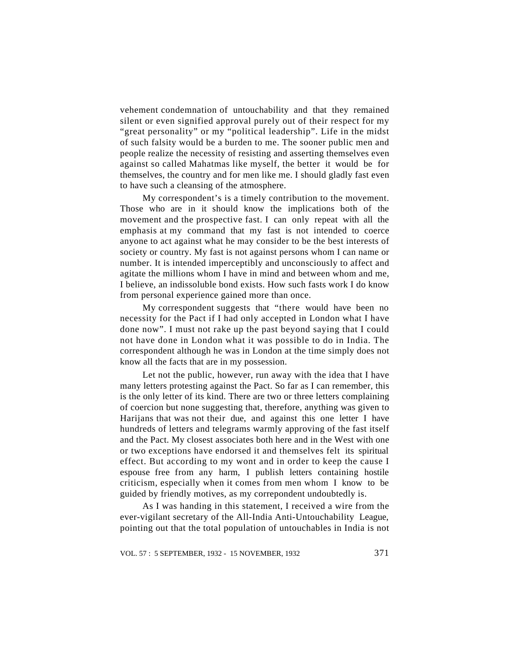vehement condemnation of untouchability and that they remained silent or even signified approval purely out of their respect for my "great personality" or my "political leadership". Life in the midst of such falsity would be a burden to me. The sooner public men and people realize the necessity of resisting and asserting themselves even against so called Mahatmas like myself, the better it would be for themselves, the country and for men like me. I should gladly fast even to have such a cleansing of the atmosphere.

My correspondent's is a timely contribution to the movement. Those who are in it should know the implications both of the movement and the prospective fast. I can only repeat with all the emphasis at my command that my fast is not intended to coerce anyone to act against what he may consider to be the best interests of society or country. My fast is not against persons whom I can name or number. It is intended imperceptibly and unconsciously to affect and agitate the millions whom I have in mind and between whom and me, I believe, an indissoluble bond exists. How such fasts work I do know from personal experience gained more than once.

My correspondent suggests that "there would have been no necessity for the Pact if I had only accepted in London what I have done now". I must not rake up the past beyond saying that I could not have done in London what it was possible to do in India. The correspondent although he was in London at the time simply does not know all the facts that are in my possession.

Let not the public, however, run away with the idea that I have many letters protesting against the Pact. So far as I can remember, this is the only letter of its kind. There are two or three letters complaining of coercion but none suggesting that, therefore, anything was given to Harijans that was not their due, and against this one letter I have hundreds of letters and telegrams warmly approving of the fast itself and the Pact. My closest associates both here and in the West with one or two exceptions have endorsed it and themselves felt its spiritual effect. But according to my wont and in order to keep the cause I espouse free from any harm, I publish letters containing hostile criticism, especially when it comes from men whom I know to be guided by friendly motives, as my correpondent undoubtedly is.

As I was handing in this statement, I received a wire from the ever-vigilant secretary of the All-India Anti-Untouchability League, pointing out that the total population of untouchables in India is not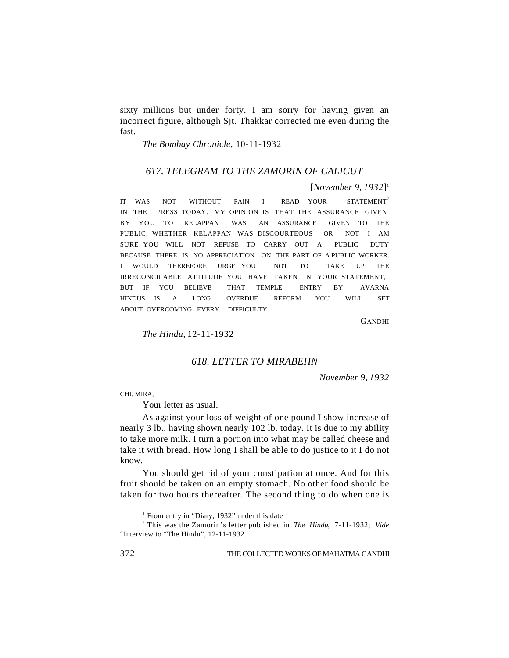sixty millions but under forty. I am sorry for having given an incorrect figure, although Sjt. Thakkar corrected me even during the fast.

*The Bombay Chronicle*, 10-11-1932

# *617. TELEGRAM TO THE ZAMORIN OF CALICUT*

[*November 9*, *1932*] 1

IT WAS NOT WITHOUT PAIN I READ YOUR STATEMENT<sup>2</sup> IN THE PRESS TODAY. MY OPINION IS THAT THE ASSURANCE GIVEN BY YOU TO KELAPPAN WAS AN ASSURANCE GIVEN TO THE PUBLIC. WHETHER KELAPPAN WAS DISCOURTEOUS OR NOT I AM SURE YOU WILL NOT REFUSE TO CARRY OUT A PUBLIC DUTY BECAUSE THERE IS NO APPRECIATION ON THE PART OF A PUBLIC WORKER. I WOULD THEREFORE URGE YOU NOT TO TAKE UP THE IRRECONCILABLE ATTITUDE YOU HAVE TAKEN IN YOUR STATEMENT, BUT IF YOU BELIEVE THAT TEMPLE ENTRY BY AVARNA HINDUS IS A LONG OVERDUE REFORM YOU WILL SET ABOUT OVERCOMING EVERY DIFFICULTY.

GANDHI

*The Hindu*, 12-11-1932

# *618. LETTER TO MIRABEHN*

*November 9*, *1932*

CHI. MIRA,

Your letter as usual.

As against your loss of weight of one pound I show increase of nearly 3 lb., having shown nearly 102 lb. today. It is due to my ability to take more milk. I turn a portion into what may be called cheese and take it with bread. How long I shall be able to do justice to it I do not know.

You should get rid of your constipation at once. And for this fruit should be taken on an empty stomach. No other food should be taken for two hours thereafter. The second thing to do when one is

<sup>1</sup> From entry in "Diary, 1932" under this date

2 This was the Zamorin's letter published in *The Hindu*, 7-11-1932; *Vide* "Interview to "The Hindu", 12-11-1932.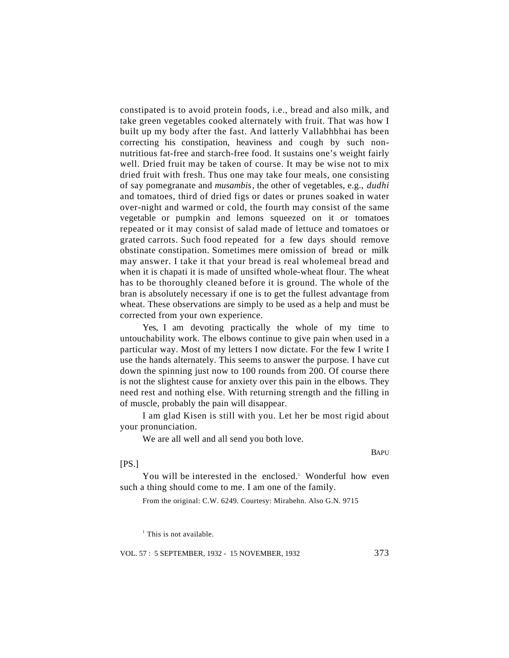constipated is to avoid protein foods, i.e., bread and also milk, and take green vegetables cooked alternately with fruit. That was how I built up my body after the fast. And latterly Vallabhbhai has been correcting his constipation, heaviness and cough by such nonnutritious fat-free and starch-free food. It sustains one's weight fairly well. Dried fruit may be taken of course. It may be wise not to mix dried fruit with fresh. Thus one may take four meals, one consisting of say pomegranate and *musambis*, the other of vegetables, e.g., *dudhi* and tomatoes, third of dried figs or dates or prunes soaked in water over-night and warmed or cold, the fourth may consist of the same vegetable or pumpkin and lemons squeezed on it or tomatoes repeated or it may consist of salad made of lettuce and tomatoes or grated carrots. Such food repeated for a few days should remove obstinate constipation. Sometimes mere omission of bread or milk may answer. I take it that your bread is real wholemeal bread and when it is chapati it is made of unsifted whole-wheat flour. The wheat has to be thoroughly cleaned before it is ground. The whole of the bran is absolutely necessary if one is to get the fullest advantage from wheat. These observations are simply to be used as a help and must be corrected from your own experience.

Yes, I am devoting practically the whole of my time to untouchability work. The elbows continue to give pain when used in a particular way. Most of my letters I now dictate. For the few I write I use the hands alternately. This seems to answer the purpose. I have cut down the spinning just now to 100 rounds from 200. Of course there is not the slightest cause for anxiety over this pain in the elbows. They need rest and nothing else. With returning strength and the filling in of muscle, probably the pain will disappear.

I am glad Kisen is still with you. Let her be most rigid about your pronunciation.

We are all well and all send you both love.

BAPU

[PS.]

You will be interested in the enclosed<sup> $1$ </sup> Wonderful how even such a thing should come to me. I am one of the family.

From the original: C.W. 6249. Courtesy: Mirabehn. Also G.N. 9715

<sup>1</sup> This is not available.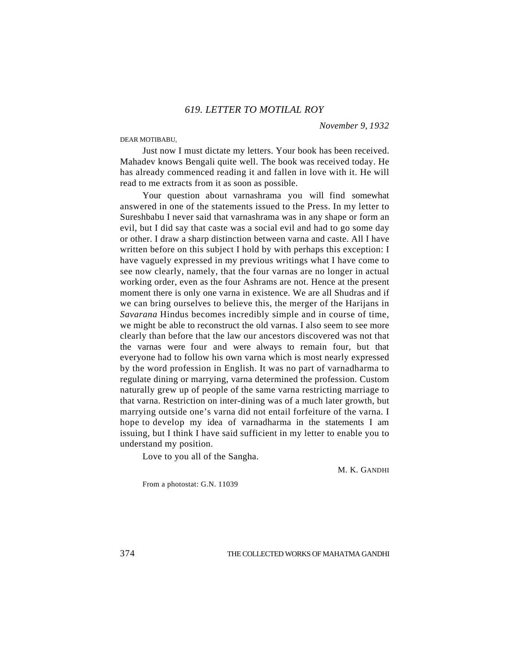*November 9*, *1932*

#### DEAR MOTIBABU,

Just now I must dictate my letters. Your book has been received. Mahadev knows Bengali quite well. The book was received today. He has already commenced reading it and fallen in love with it. He will read to me extracts from it as soon as possible.

Your question about varnashrama you will find somewhat answered in one of the statements issued to the Press. In my letter to Sureshbabu I never said that varnashrama was in any shape or form an evil, but I did say that caste was a social evil and had to go some day or other. I draw a sharp distinction between varna and caste. All I have written before on this subject I hold by with perhaps this exception: I have vaguely expressed in my previous writings what I have come to see now clearly, namely, that the four varnas are no longer in actual working order, even as the four Ashrams are not. Hence at the present moment there is only one varna in existence. We are all Shudras and if we can bring ourselves to believe this, the merger of the Harijans in *Savarana* Hindus becomes incredibly simple and in course of time, we might be able to reconstruct the old varnas. I also seem to see more clearly than before that the law our ancestors discovered was not that the varnas were four and were always to remain four, but that everyone had to follow his own varna which is most nearly expressed by the word profession in English. It was no part of varnadharma to regulate dining or marrying, varna determined the profession. Custom naturally grew up of people of the same varna restricting marriage to that varna. Restriction on inter-dining was of a much later growth, but marrying outside one's varna did not entail forfeiture of the varna. I hope to develop my idea of varnadharma in the statements I am issuing, but I think I have said sufficient in my letter to enable you to understand my position.

Love to you all of the Sangha.

M. K. GANDHI

From a photostat: G.N. 11039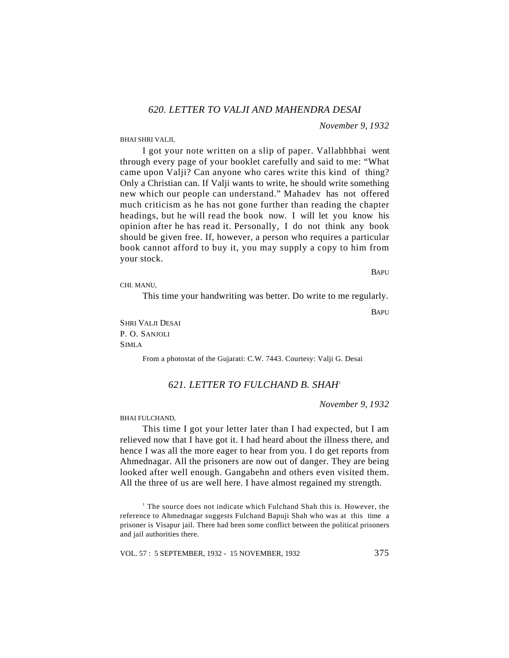*November 9*, *1932*

#### BHAI SHRI VALJI,

I got your note written on a slip of paper. Vallabhbhai went through every page of your booklet carefully and said to me: "What came upon Valji? Can anyone who cares write this kind of thing? Only a Christian can. If Valji wants to write, he should write something new which our people can understand." Mahadev has not offered much criticism as he has not gone further than reading the chapter headings, but he will read the book now. I will let you know his opinion after he has read it. Personally, I do not think any book should be given free. If, however, a person who requires a particular book cannot afford to buy it, you may supply a copy to him from your stock.

CHI. MANU,

This time your handwriting was better. Do write to me regularly.

**BAPU** 

**BAPU** 

SHRI VALJI DESAI P. O. SANJOLI SIMLA

From a photostat of the Gujarati: C.W. 7443. Courtesy: Valji G. Desai

# *621. LETTER TO FULCHAND B. SHAH*<sup>1</sup>

*November 9*, *1932*

BHAI FULCHAND,

This time I got your letter later than I had expected, but I am relieved now that I have got it. I had heard about the illness there, and hence I was all the more eager to hear from you. I do get reports from Ahmednagar. All the prisoners are now out of danger. They are being looked after well enough. Gangabehn and others even visited them. All the three of us are well here. I have almost regained my strength.

<sup>1</sup> The source does not indicate which Fulchand Shah this is. However, the reference to Ahmednagar suggests Fulchand Bapuji Shah who was at this time a prisoner is Visapur jail. There had been some conflict between the political prisoners and jail authorities there.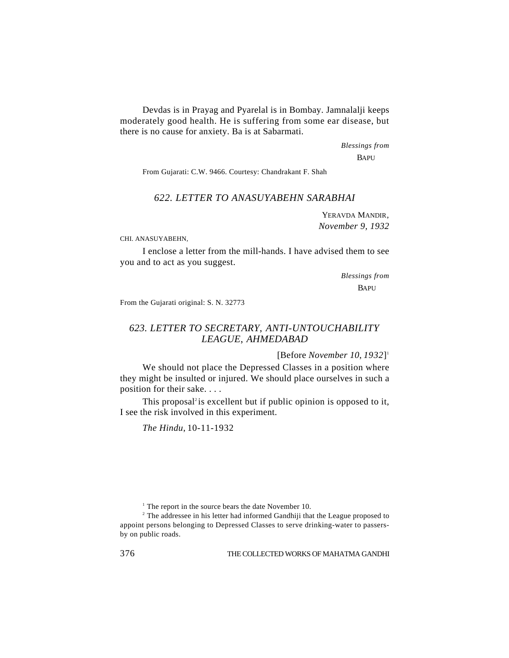Devdas is in Prayag and Pyarelal is in Bombay. Jamnalalji keeps moderately good health. He is suffering from some ear disease, but there is no cause for anxiety. Ba is at Sabarmati.

*Blessings from*

**BAPU** 

From Gujarati: C.W. 9466. Courtesy: Chandrakant F. Shah

# *622. LETTER TO ANASUYABEHN SARABHAI*

YERAVDA MANDIR, *November 9, 1932*

CHI. ANASUYABEHN,

I enclose a letter from the mill-hands. I have advised them to see you and to act as you suggest.

> *Blessings from* **BAPU**

From the Gujarati original: S. N. 32773

# *623. LETTER TO SECRETARY*, *ANTI-UNTOUCHABILITY LEAGUE*, *AHMEDABAD*

[Before *November 10*, *1932*] 1

We should not place the Depressed Classes in a position where they might be insulted or injured. We should place ourselves in such a position for their sake. . . .

This proposal<sup>2</sup> is excellent but if public opinion is opposed to it, I see the risk involved in this experiment.

*The Hindu*, 10-11-1932

<sup>1</sup> The report in the source bears the date November 10.

 $2$  The addressee in his letter had informed Gandhiji that the League proposed to appoint persons belonging to Depressed Classes to serve drinking-water to passersby on public roads.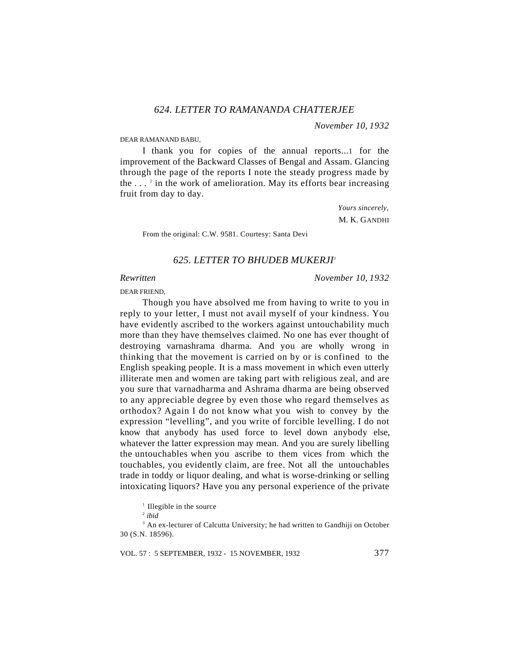*November 10*, *1932*

#### DEAR RAMANAND BABU,

I thank you for copies of the annual reports...1 for the improvement of the Backward Classes of Bengal and Assam. Glancing through the page of the reports I note the steady progress made by the  $\dots$  <sup>2</sup> in the work of amelioration. May its efforts bear increasing fruit from day to day.

> *Yours sincerely*, M. K. GANDHI

From the original: C.W. 9581. Courtesy: Santa Devi

#### *625. LETTER TO BHUDEB MUKERJI<sup>3</sup>*

*Rewritten November 10*, *1932*

DEAR FRIEND,

Though you have absolved me from having to write to you in reply to your letter, I must not avail myself of your kindness. You have evidently ascribed to the workers against untouchability much more than they have themselves claimed. No one has ever thought of destroying varnashrama dharma. And you are wholly wrong in thinking that the movement is carried on by or is confined to the English speaking people. It is a mass movement in which even utterly illiterate men and women are taking part with religious zeal, and are you sure that varnadharma and Ashrama dharma are being observed to any appreciable degree by even those who regard themselves as orthodox? Again I do not know what you wish to convey by the expression "levelling", and you write of forcible levelling. I do not know that anybody has used force to level down anybody else, whatever the latter expression may mean. And you are surely libelling the untouchables when you ascribe to them vices from which the touchables, you evidently claim, are free. Not all the untouchables trade in toddy or liquor dealing, and what is worse-drinking or selling intoxicating liquors? Have you any personal experience of the private

 $<sup>1</sup>$  Illegible in the source</sup>

2 *ibid*

<sup>3</sup> An ex-lecturer of Calcutta University; he had written to Gandhiji on October 30 (S.N. 18596).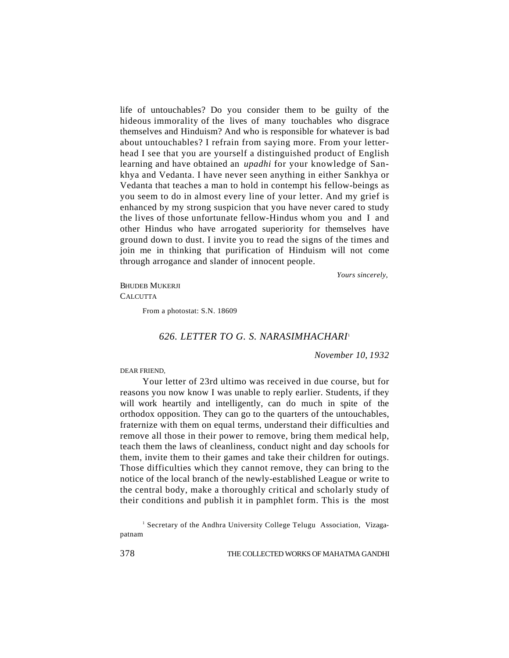life of untouchables? Do you consider them to be guilty of the hideous immorality of the lives of many touchables who disgrace themselves and Hinduism? And who is responsible for whatever is bad about untouchables? I refrain from saying more. From your letterhead I see that you are yourself a distinguished product of English learning and have obtained an *upadhi* for your knowledge of Sankhya and Vedanta. I have never seen anything in either Sankhya or Vedanta that teaches a man to hold in contempt his fellow-beings as you seem to do in almost every line of your letter. And my grief is enhanced by my strong suspicion that you have never cared to study the lives of those unfortunate fellow-Hindus whom you and I and other Hindus who have arrogated superiority for themselves have ground down to dust. I invite you to read the signs of the times and join me in thinking that purification of Hinduism will not come through arrogance and slander of innocent people.

*Yours sincerely*,

BHUDEB MUKERJI **CALCUTTA** 

From a photostat: S.N. 18609

# *626. LETTER TO G. S. NARASIMHACHARI*<sup>1</sup>

*November 10*, *1932*

DEAR FRIEND,

Your letter of 23rd ultimo was received in due course, but for reasons you now know I was unable to reply earlier. Students, if they will work heartily and intelligently, can do much in spite of the orthodox opposition. They can go to the quarters of the untouchables, fraternize with them on equal terms, understand their difficulties and remove all those in their power to remove, bring them medical help, teach them the laws of cleanliness, conduct night and day schools for them, invite them to their games and take their children for outings. Those difficulties which they cannot remove, they can bring to the notice of the local branch of the newly-established League or write to the central body, make a thoroughly critical and scholarly study of their conditions and publish it in pamphlet form. This is the most

<sup>&</sup>lt;sup>1</sup> Secretary of the Andhra University College Telugu Association, Vizagapatnam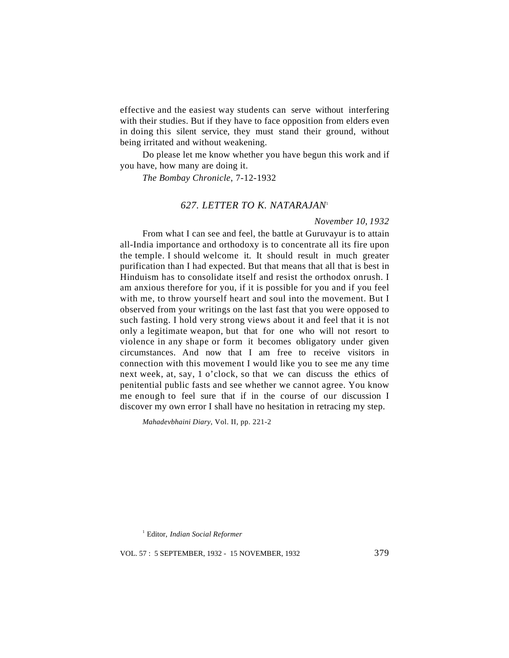effective and the easiest way students can serve without interfering with their studies. But if they have to face opposition from elders even in doing this silent service, they must stand their ground, without being irritated and without weakening.

Do please let me know whether you have begun this work and if you have, how many are doing it.

*The Bombay Chronicle*, 7-12-1932

# *627. LETTER TO K. NATARAJAN*<sup>1</sup>

# *November 10*, *1932*

From what I can see and feel, the battle at Guruvayur is to attain all-India importance and orthodoxy is to concentrate all its fire upon the temple. I should welcome it. It should result in much greater purification than I had expected. But that means that all that is best in Hinduism has to consolidate itself and resist the orthodox onrush. I am anxious therefore for you, if it is possible for you and if you feel with me, to throw yourself heart and soul into the movement. But I observed from your writings on the last fast that you were opposed to such fasting. I hold very strong views about it and feel that it is not only a legitimate weapon, but that for one who will not resort to violence in any shape or form it becomes obligatory under given circumstances. And now that I am free to receive visitors in connection with this movement I would like you to see me any time next week, at, say, 1 o'clock, so that we can discuss the ethics of penitential public fasts and see whether we cannot agree. You know me enough to feel sure that if in the course of our discussion I discover my own error I shall have no hesitation in retracing my step.

*Mahadevbhaini Diary*, Vol. II, pp. 221-2

1 Editor, *Indian Social Reformer*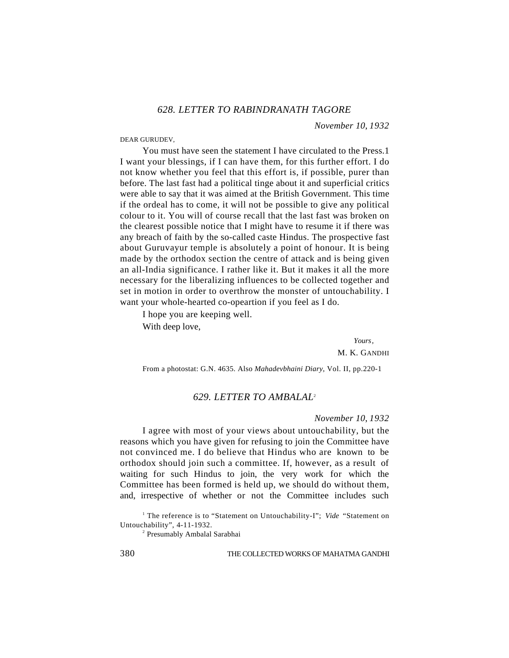*November 10*, *1932*

#### DEAR GURUDEV,

You must have seen the statement I have circulated to the Press.1 I want your blessings, if I can have them, for this further effort. I do not know whether you feel that this effort is, if possible, purer than before. The last fast had a political tinge about it and superficial critics were able to say that it was aimed at the British Government. This time if the ordeal has to come, it will not be possible to give any political colour to it. You will of course recall that the last fast was broken on the clearest possible notice that I might have to resume it if there was any breach of faith by the so-called caste Hindus. The prospective fast about Guruvayur temple is absolutely a point of honour. It is being made by the orthodox section the centre of attack and is being given an all-India significance. I rather like it. But it makes it all the more necessary for the liberalizing influences to be collected together and set in motion in order to overthrow the monster of untouchability. I want your whole-hearted co-opeartion if you feel as I do.

I hope you are keeping well.

With deep love,

 *Yours*, M. K. GANDHI

From a photostat: G.N. 4635. Also *Mahadevbhaini Diary*, Vol. II, pp.220-1

# *629. LETTER TO AMBALAL*<sup>2</sup>

#### *November 10*, *1932*

I agree with most of your views about untouchability, but the reasons which you have given for refusing to join the Committee have not convinced me. I do believe that Hindus who are known to be orthodox should join such a committee. If, however, as a result of waiting for such Hindus to join, the very work for which the Committee has been formed is held up, we should do without them, and, irrespective of whether or not the Committee includes such

<sup>&</sup>lt;sup>1</sup> The reference is to "Statement on Untouchability-I"; *Vide* "Statement on Untouchability", 4-11-1932.

<sup>2</sup> Presumably Ambalal Sarabhai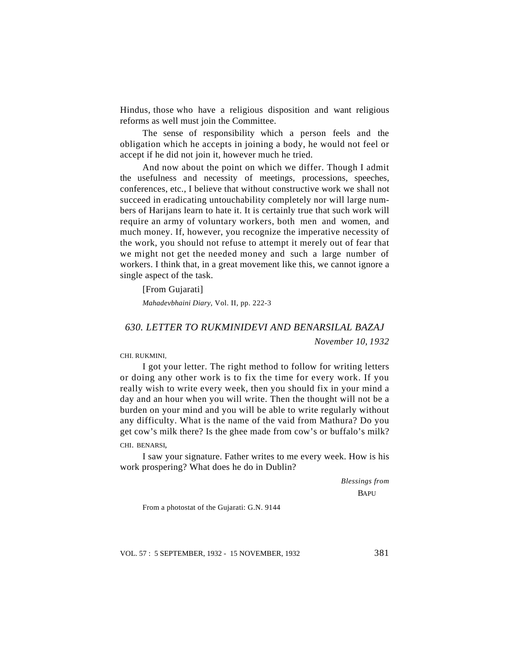Hindus, those who have a religious disposition and want religious reforms as well must join the Committee.

The sense of responsibility which a person feels and the obligation which he accepts in joining a body, he would not feel or accept if he did not join it, however much he tried.

And now about the point on which we differ. Though I admit the usefulness and necessity of meetings, processions, speeches, conferences, etc., I believe that without constructive work we shall not succeed in eradicating untouchability completely nor will large numbers of Harijans learn to hate it. It is certainly true that such work will require an army of voluntary workers, both men and women, and much money. If, however, you recognize the imperative necessity of the work, you should not refuse to attempt it merely out of fear that we might not get the needed money and such a large number of workers. I think that, in a great movement like this, we cannot ignore a single aspect of the task.

[From Gujarati]

*Mahadevbhaini Diary*, Vol. II, pp. 222-3

# *630. LETTER TO RUKMINIDEVI AND BENARSILAL BAZAJ*

*November 10*, *1932*

CHI. RUKMINI,

I got your letter. The right method to follow for writing letters or doing any other work is to fix the time for every work. If you really wish to write every week, then you should fix in your mind a day and an hour when you will write. Then the thought will not be a burden on your mind and you will be able to write regularly without any difficulty. What is the name of the vaid from Mathura? Do you get cow's milk there? Is the ghee made from cow's or buffalo's milk? CHI. BENARSI,

I saw your signature. Father writes to me every week. How is his work prospering? What does he do in Dublin?

> *Blessings from* **BAPU**

From a photostat of the Gujarati: G.N. 9144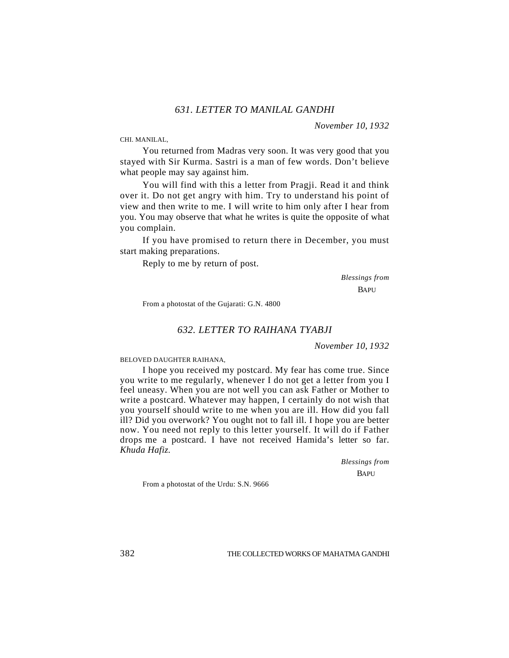*November 10*, *1932*

CHI. MANILAL,

You returned from Madras very soon. It was very good that you stayed with Sir Kurma. Sastri is a man of few words. Don't believe what people may say against him.

You will find with this a letter from Pragji. Read it and think over it. Do not get angry with him. Try to understand his point of view and then write to me. I will write to him only after I hear from you. You may observe that what he writes is quite the opposite of what you complain.

If you have promised to return there in December, you must start making preparations.

Reply to me by return of post.

*Blessings from*

**BAPU** 

From a photostat of the Gujarati: G.N. 4800

# *632. LETTER TO RAIHANA TYABJI*

*November 10*, *1932*

BELOVED DAUGHTER RAIHANA,

I hope you received my postcard. My fear has come true. Since you write to me regularly, whenever I do not get a letter from you I feel uneasy. When you are not well you can ask Father or Mother to write a postcard. Whatever may happen, I certainly do not wish that you yourself should write to me when you are ill. How did you fall ill? Did you overwork? You ought not to fall ill. I hope you are better now. You need not reply to this letter yourself. It will do if Father drops me a postcard. I have not received Hamida's letter so far. *Khuda Hafiz.*

> *Blessings from* **BAPU**

From a photostat of the Urdu: S.N. 9666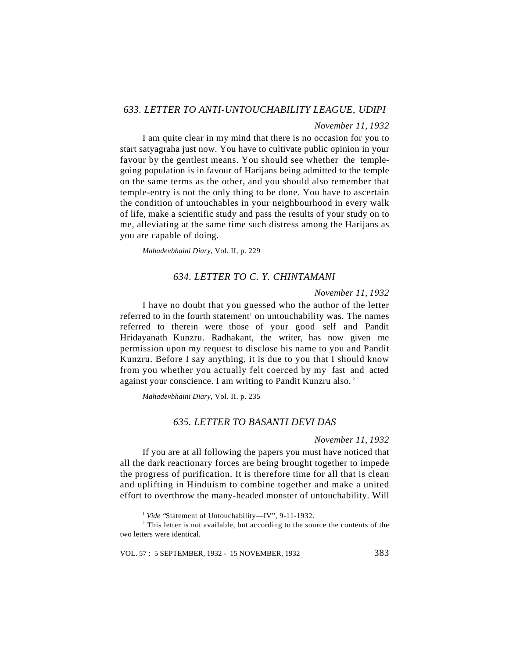### *633. LETTER TO ANTI-UNTOUCHABILITY LEAGUE*, *UDIPI*

# *November 11*, *1932*

I am quite clear in my mind that there is no occasion for you to start satyagraha just now. You have to cultivate public opinion in your favour by the gentlest means. You should see whether the templegoing population is in favour of Harijans being admitted to the temple on the same terms as the other, and you should also remember that temple-entry is not the only thing to be done. You have to ascertain the condition of untouchables in your neighbourhood in every walk of life, make a scientific study and pass the results of your study on to me, alleviating at the same time such distress among the Harijans as you are capable of doing.

*Mahadevbhaini Diary*, Vol. II, p. 229

# *634. LETTER TO C. Y. CHINTAMANI*

#### *November 11*, *1932*

I have no doubt that you guessed who the author of the letter referred to in the fourth statement<sup>1</sup> on untouchability was. The names referred to therein were those of your good self and Pandit Hridayanath Kunzru. Radhakant, the writer, has now given me permission upon my request to disclose his name to you and Pandit Kunzru. Before I say anything, it is due to you that I should know from you whether you actually felt coerced by my fast and acted against your conscience. I am writing to Pandit Kunzru also.<sup>2</sup>

*Mahadevbhaini Diary*, Vol. II. p. 235

# *635. LETTER TO BASANTI DEVI DAS*

# *November 11*, *1932*

If you are at all following the papers you must have noticed that all the dark reactionary forces are being brought together to impede the progress of purification. It is therefore time for all that is clean and uplifting in Hinduism to combine together and make a united effort to overthrow the many-headed monster of untouchability. Will

<sup>2</sup> This letter is not available, but according to the source the contents of the two letters were identical.

<sup>&</sup>lt;sup>1</sup> Vide "Statement of Untouchability-IV", 9-11-1932.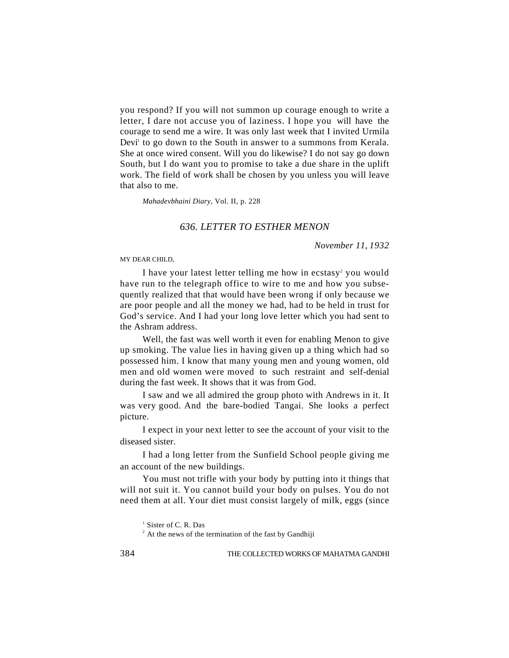you respond? If you will not summon up courage enough to write a letter, I dare not accuse you of laziness. I hope you will have the courage to send me a wire. It was only last week that I invited Urmila Devi<sup>1</sup> to go down to the South in answer to a summons from Kerala. She at once wired consent. Will you do likewise? I do not say go down South, but I do want you to promise to take a due share in the uplift work. The field of work shall be chosen by you unless you will leave that also to me.

*Mahadevbhaini Diary*, Vol. II, p. 228

# *636. LETTER TO ESTHER MENON*

*November 11*, *1932*

#### MY DEAR CHILD,

I have your latest letter telling me how in ecstasy<sup>2</sup> you would have run to the telegraph office to wire to me and how you subsequently realized that that would have been wrong if only because we are poor people and all the money we had, had to be held in trust for God's service. And I had your long love letter which you had sent to the Ashram address.

Well, the fast was well worth it even for enabling Menon to give up smoking. The value lies in having given up a thing which had so possessed him. I know that many young men and young women, old men and old women were moved to such restraint and self-denial during the fast week. It shows that it was from God.

I saw and we all admired the group photo with Andrews in it. It was very good. And the bare-bodied Tangai. She looks a perfect picture.

I expect in your next letter to see the account of your visit to the diseased sister.

I had a long letter from the Sunfield School people giving me an account of the new buildings.

You must not trifle with your body by putting into it things that will not suit it. You cannot build your body on pulses. You do not need them at all. Your diet must consist largely of milk, eggs (since

<sup>&</sup>lt;sup>1</sup> Sister of C. R. Das

 $2<sup>2</sup>$  At the news of the termination of the fast by Gandhiji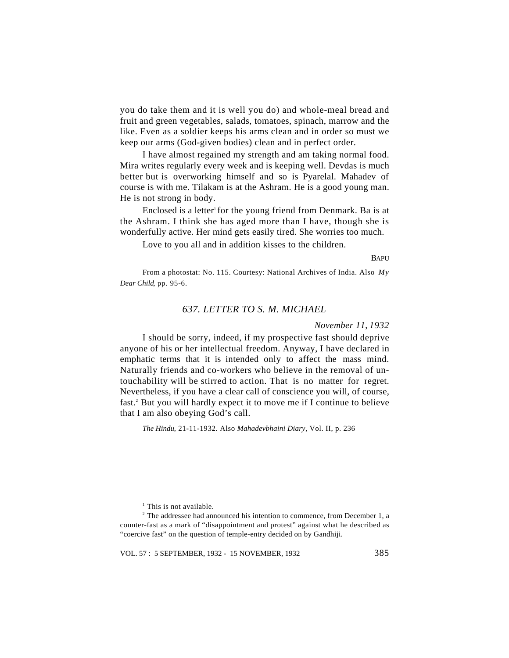you do take them and it is well you do) and whole-meal bread and fruit and green vegetables, salads, tomatoes, spinach, marrow and the like. Even as a soldier keeps his arms clean and in order so must we keep our arms (God-given bodies) clean and in perfect order.

I have almost regained my strength and am taking normal food. Mira writes regularly every week and is keeping well. Devdas is much better but is overworking himself and so is Pyarelal. Mahadev of course is with me. Tilakam is at the Ashram. He is a good young man. He is not strong in body.

Enclosed is a letter<sup>1</sup> for the young friend from Denmark. Ba is at the Ashram. I think she has aged more than I have, though she is wonderfully active. Her mind gets easily tired. She worries too much.

Love to you all and in addition kisses to the children.

**BAPU** 

From a photostat: No. 115. Courtesy: National Archives of India. Also *My Dear Child*, pp. 95-6.

# *637. LETTER TO S. M. MICHAEL*

*November 11*, *1932*

I should be sorry, indeed, if my prospective fast should deprive anyone of his or her intellectual freedom. Anyway, I have declared in emphatic terms that it is intended only to affect the mass mind. Naturally friends and co-workers who believe in the removal of untouchability will be stirred to action. That is no matter for regret. Nevertheless, if you have a clear call of conscience you will, of course, fast.<sup>2</sup> But you will hardly expect it to move me if I continue to believe that I am also obeying God's call.

*The Hindu*, 21-11-1932. Also *Mahadevbhaini Diary*, Vol. II, p. 236

<sup>1</sup> This is not available.

 $2^2$  The addressee had announced his intention to commence, from December 1, a counter-fast as a mark of "disappointment and protest" against what he described as "coercive fast" on the question of temple-entry decided on by Gandhiji.

VOL. 57 : 5 SEPTEMBER, 1932 - 15 NOVEMBER, 1932 385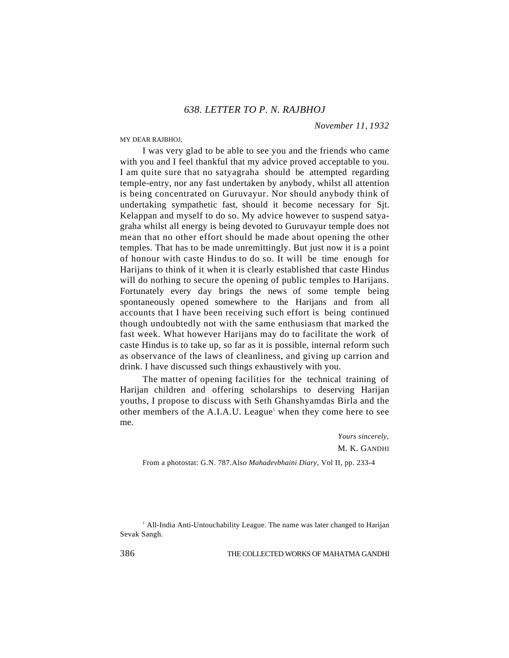*November 11*, *1932*

MY DEAR RAJBHOJ,

I was very glad to be able to see you and the friends who came with you and I feel thankful that my advice proved acceptable to you. I am quite sure that no satyagraha should be attempted regarding temple-entry, nor any fast undertaken by anybody, whilst all attention is being concentrated on Guruvayur. Nor should anybody think of undertaking sympathetic fast, should it become necessary for Sjt. Kelappan and myself to do so. My advice however to suspend satyagraha whilst all energy is being devoted to Guruvayur temple does not mean that no other effort should be made about opening the other temples. That has to be made unremittingly. But just now it is a point of honour with caste Hindus to do so. It will be time enough for Harijans to think of it when it is clearly established that caste Hindus will do nothing to secure the opening of public temples to Harijans. Fortunately every day brings the news of some temple being spontaneously opened somewhere to the Harijans and from all accounts that I have been receiving such effort is being continued though undoubtedly not with the same enthusiasm that marked the fast week. What however Harijans may do to facilitate the work of caste Hindus is to take up, so far as it is possible, internal reform such as observance of the laws of cleanliness, and giving up carrion and drink. I have discussed such things exhaustively with you.

The matter of opening facilities for the technical training of Harijan children and offering scholarships to deserving Harijan youths, I propose to discuss with Seth Ghanshyamdas Birla and the other members of the A.I.A.U. League<sup>1</sup> when they come here to see me.

> *Yours sincerely*, M. K. GANDHI

From a photostat: G.N. 787.Also *Mahadevbhaini Diary*, Vol II, pp. 233-4

<sup>1</sup> All-India Anti-Untouchability League. The name was later changed to Harijan Sevak Sangh.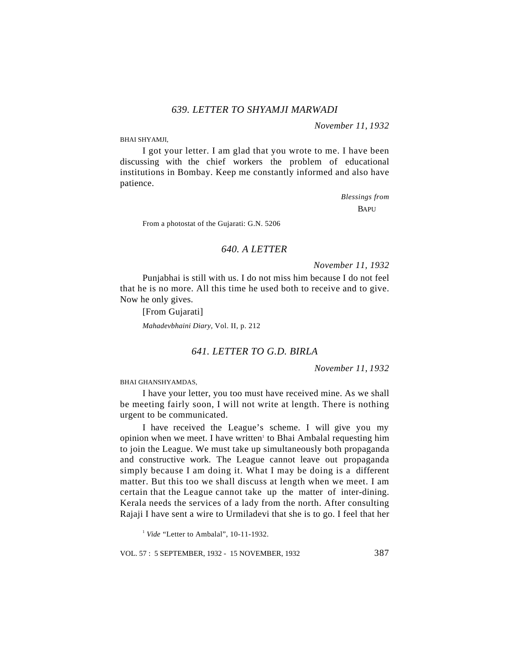*November 11*, *1932*

BHAI SHYAMJI,

I got your letter. I am glad that you wrote to me. I have been discussing with the chief workers the problem of educational institutions in Bombay. Keep me constantly informed and also have patience.

> *Blessings from* **BAPU**

From a photostat of the Gujarati: G.N. 5206

#### *640. A LETTER*

*November 11, 1932*

Punjabhai is still with us. I do not miss him because I do not feel that he is no more. All this time he used both to receive and to give. Now he only gives.

[From Gujarati]

*Mahadevbhaini Diary,* Vol. II, p. 212

# *641. LETTER TO G.D. BIRLA*

*November 11*, *1932*

BHAI GHANSHYAMDAS,

I have your letter, you too must have received mine. As we shall be meeting fairly soon, I will not write at length. There is nothing urgent to be communicated.

I have received the League's scheme. I will give you my opinion when we meet. I have written<sup>1</sup> to Bhai Ambalal requesting him to join the League. We must take up simultaneously both propaganda and constructive work. The League cannot leave out propaganda simply because I am doing it. What I may be doing is a different matter. But this too we shall discuss at length when we meet. I am certain that the League cannot take up the matter of inter-dining. Kerala needs the services of a lady from the north. After consulting Rajaji I have sent a wire to Urmiladevi that she is to go. I feel that her

<sup>1</sup> *Vide* "Letter to Ambalal", 10-11-1932.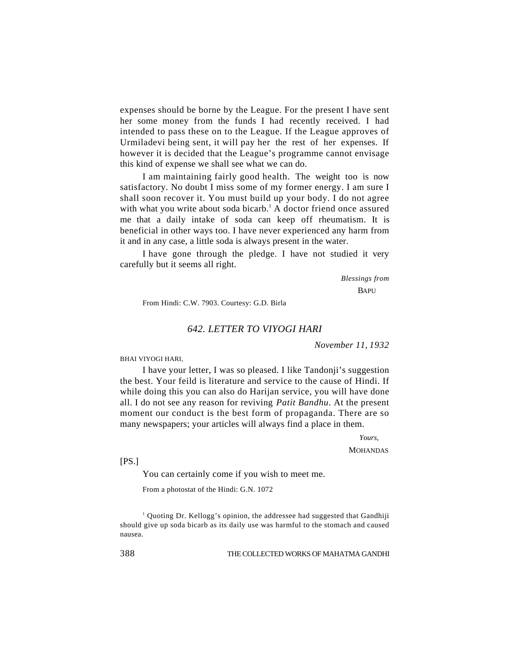expenses should be borne by the League. For the present I have sent her some money from the funds I had recently received. I had intended to pass these on to the League. If the League approves of Urmiladevi being sent, it will pay her the rest of her expenses. If however it is decided that the League's programme cannot envisage this kind of expense we shall see what we can do.

I am maintaining fairly good health. The weight too is now satisfactory. No doubt I miss some of my former energy. I am sure I shall soon recover it. You must build up your body. I do not agree with what you write about soda bicarb.<sup>1</sup> A doctor friend once assured me that a daily intake of soda can keep off rheumatism. It is beneficial in other ways too. I have never experienced any harm from it and in any case, a little soda is always present in the water.

I have gone through the pledge. I have not studied it very carefully but it seems all right.

> *Blessings from* BAPU

From Hindi: C.W. 7903. Courtesy: G.D. Birla

# *642. LETTER TO VIYOGI HARI*

*November 11*, *1932*

BHAI VIYOGI HARI,

I have your letter, I was so pleased. I like Tandonji's suggestion the best. Your feild is literature and service to the cause of Hindi. If while doing this you can also do Harijan service, you will have done all. I do not see any reason for reviving *Patit Bandhu*. At the present moment our conduct is the best form of propaganda. There are so many newspapers; your articles will always find a place in them.

> *Yours*, **MOHANDAS**

[PS.]

You can certainly come if you wish to meet me.

From a photostat of the Hindi: G.N. 1072

<sup>1</sup> Quoting Dr. Kellogg's opinion, the addressee had suggested that Gandhiji should give up soda bicarb as its daily use was harmful to the stomach and caused nausea.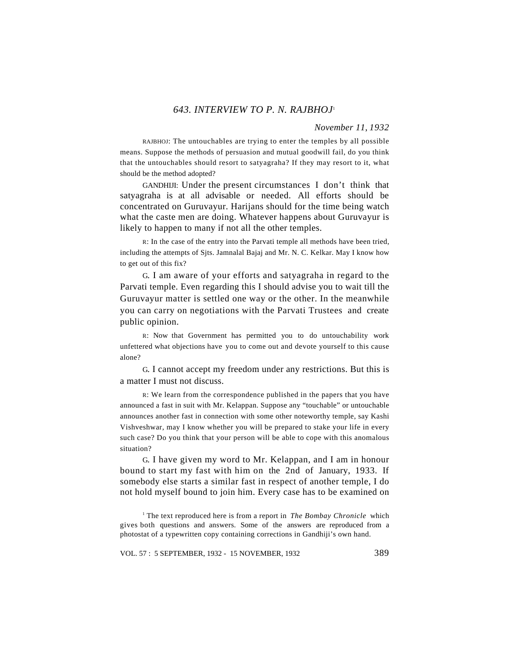# *643. INTERVIEW TO P. N. RAJBHOJ*<sup>1</sup>

### *November 11*, *1932*

RAJBHOJ: The untouchables are trying to enter the temples by all possible means. Suppose the methods of persuasion and mutual goodwill fail, do you think that the untouchables should resort to satyagraha? If they may resort to it, what should be the method adopted?

GANDHIJI: Under the present circumstances I don't think that satyagraha is at all advisable or needed. All efforts should be concentrated on Guruvayur. Harijans should for the time being watch what the caste men are doing. Whatever happens about Guruvayur is likely to happen to many if not all the other temples.

R: In the case of the entry into the Parvati temple all methods have been tried, including the attempts of Sjts. Jamnalal Bajaj and Mr. N. C. Kelkar. May I know how to get out of this fix?

G. I am aware of your efforts and satyagraha in regard to the Parvati temple. Even regarding this I should advise you to wait till the Guruvayur matter is settled one way or the other. In the meanwhile you can carry on negotiations with the Parvati Trustees and create public opinion.

R: Now that Government has permitted you to do untouchability work unfettered what objections have you to come out and devote yourself to this cause alone?

G. I cannot accept my freedom under any restrictions. But this is a matter I must not discuss.

R: We learn from the correspondence published in the papers that you have announced a fast in suit with Mr. Kelappan. Suppose any "touchable" or untouchable announces another fast in connection with some other noteworthy temple, say Kashi Vishveshwar, may I know whether you will be prepared to stake your life in every such case? Do you think that your person will be able to cope with this anomalous situation?

G. I have given my word to Mr. Kelappan, and I am in honour bound to start my fast with him on the 2nd of January, 1933. If somebody else starts a similar fast in respect of another temple, I do not hold myself bound to join him. Every case has to be examined on

<sup>&</sup>lt;sup>1</sup> The text reproduced here is from a report in *The Bombay Chronicle* which gives both questions and answers. Some of the answers are reproduced from a photostat of a typewritten copy containing corrections in Gandhiji's own hand.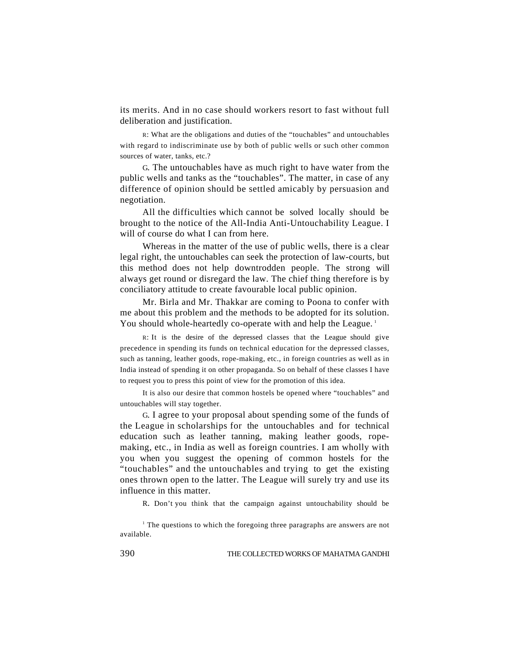its merits. And in no case should workers resort to fast without full deliberation and justification.

R: What are the obligations and duties of the "touchables" and untouchables with regard to indiscriminate use by both of public wells or such other common sources of water, tanks, etc.?

G. The untouchables have as much right to have water from the public wells and tanks as the "touchables". The matter, in case of any difference of opinion should be settled amicably by persuasion and negotiation.

All the difficulties which cannot be solved locally should be brought to the notice of the All-India Anti-Untouchability League. I will of course do what I can from here.

Whereas in the matter of the use of public wells, there is a clear legal right, the untouchables can seek the protection of law-courts, but this method does not help downtrodden people. The strong will always get round or disregard the law. The chief thing therefore is by conciliatory attitude to create favourable local public opinion.

Mr. Birla and Mr. Thakkar are coming to Poona to confer with me about this problem and the methods to be adopted for its solution. You should whole-heartedly co-operate with and help the League.<sup>1</sup>

R: It is the desire of the depressed classes that the League should give precedence in spending its funds on technical education for the depressed classes, such as tanning, leather goods, rope-making, etc., in foreign countries as well as in India instead of spending it on other propaganda. So on behalf of these classes I have to request you to press this point of view for the promotion of this idea.

It is also our desire that common hostels be opened where "touchables" and untouchables will stay together.

G. I agree to your proposal about spending some of the funds of the League in scholarships for the untouchables and for technical education such as leather tanning, making leather goods, ropemaking, etc., in India as well as foreign countries. I am wholly with you when you suggest the opening of common hostels for the "touchables" and the untouchables and trying to get the existing ones thrown open to the latter. The League will surely try and use its influence in this matter.

R. Don't you think that the campaign against untouchability should be

<sup>1</sup> The questions to which the foregoing three paragraphs are answers are not available.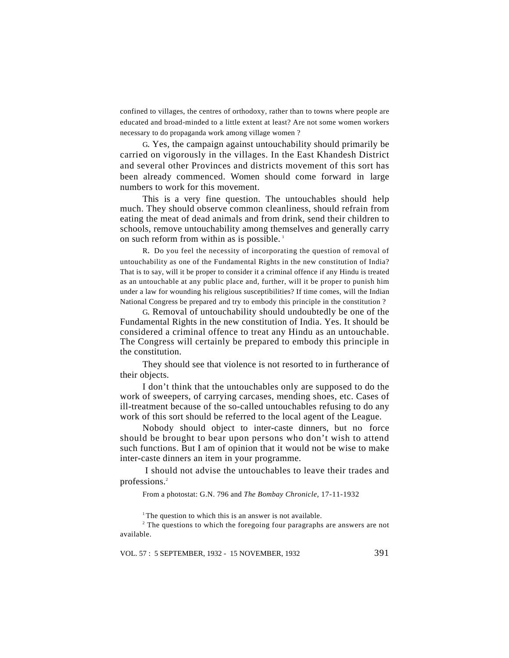confined to villages, the centres of orthodoxy, rather than to towns where people are educated and broad-minded to a little extent at least? Are not some women workers necessary to do propaganda work among village women ?

G. Yes, the campaign against untouchability should primarily be carried on vigorously in the villages. In the East Khandesh District and several other Provinces and districts movement of this sort has been already commenced. Women should come forward in large numbers to work for this movement.

This is a very fine question. The untouchables should help much. They should observe common cleanliness, should refrain from eating the meat of dead animals and from drink, send their children to schools, remove untouchability among themselves and generally carry on such reform from within as is possible.<sup>1</sup>

R. Do you feel the necessity of incorporating the question of removal of untouchability as one of the Fundamental Rights in the new constitution of India? That is to say, will it be proper to consider it a criminal offence if any Hindu is treated as an untouchable at any public place and, further, will it be proper to punish him under a law for wounding his religious susceptibilities? If time comes, will the Indian National Congress be prepared and try to embody this principle in the constitution ?

G. Removal of untouchability should undoubtedly be one of the Fundamental Rights in the new constitution of India. Yes. It should be considered a criminal offence to treat any Hindu as an untouchable. The Congress will certainly be prepared to embody this principle in the constitution.

They should see that violence is not resorted to in furtherance of their objects.

I don't think that the untouchables only are supposed to do the work of sweepers, of carrying carcases, mending shoes, etc. Cases of ill-treatment because of the so-called untouchables refusing to do any work of this sort should be referred to the local agent of the League.

Nobody should object to inter-caste dinners, but no force should be brought to bear upon persons who don't wish to attend such functions. But I am of opinion that it would not be wise to make inter-caste dinners an item in your programme.

 I should not advise the untouchables to leave their trades and professions.<sup>2</sup>

From a photostat: G.N. 796 and *The Bombay Chronicle*, 17-11-1932

 $1$ <sup>1</sup> The question to which this is an answer is not available.

<sup>2</sup> The questions to which the foregoing four paragraphs are answers are not available.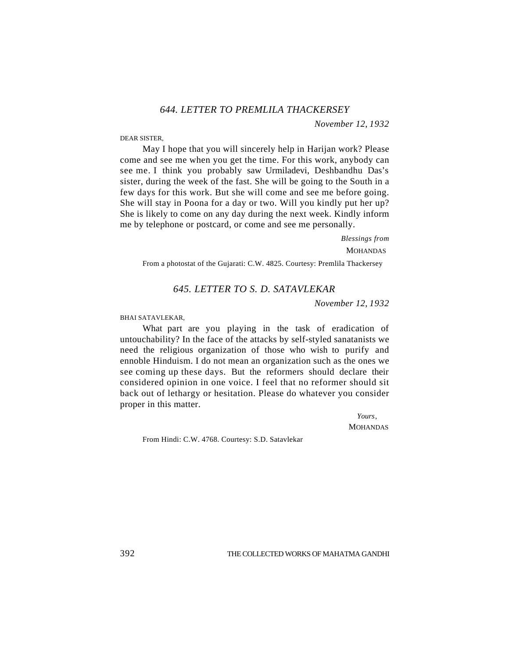*November 12*, *1932*

DEAR SISTER,

May I hope that you will sincerely help in Harijan work? Please come and see me when you get the time. For this work, anybody can see me. I think you probably saw Urmiladevi, Deshbandhu Das's sister, during the week of the fast. She will be going to the South in a few days for this work. But she will come and see me before going. She will stay in Poona for a day or two. Will you kindly put her up? She is likely to come on any day during the next week. Kindly inform me by telephone or postcard, or come and see me personally.

> *Blessings from* **MOHANDAS**

From a photostat of the Gujarati: C.W. 4825. Courtesy: Premlila Thackersey

# *645. LETTER TO S. D. SATAVLEKAR*

*November 12*, *1932*

BHAI SATAVLEKAR,

What part are you playing in the task of eradication of untouchability? In the face of the attacks by self-styled sanatanists we need the religious organization of those who wish to purify and ennoble Hinduism. I do not mean an organization such as the ones we see coming up these days. But the reformers should declare their considered opinion in one voice. I feel that no reformer should sit back out of lethargy or hesitation. Please do whatever you consider proper in this matter.

> *Yours*, **MOHANDAS**

From Hindi: C.W. 4768. Courtesy: S.D. Satavlekar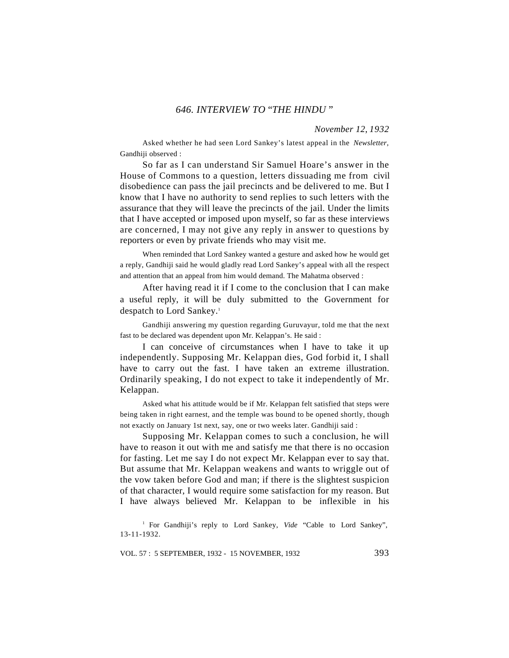# *646. INTERVIEW TO* "*THE HINDU* "

#### *November 12*, *1932*

Asked whether he had seen Lord Sankey's latest appeal in the *Newsletter*, Gandhiji observed :

So far as I can understand Sir Samuel Hoare's answer in the House of Commons to a question, letters dissuading me from civil disobedience can pass the jail precincts and be delivered to me. But I know that I have no authority to send replies to such letters with the assurance that they will leave the precincts of the jail. Under the limits that I have accepted or imposed upon myself, so far as these interviews are concerned, I may not give any reply in answer to questions by reporters or even by private friends who may visit me.

When reminded that Lord Sankey wanted a gesture and asked how he would get a reply, Gandhiji said he would gladly read Lord Sankey's appeal with all the respect and attention that an appeal from him would demand. The Mahatma observed :

After having read it if I come to the conclusion that I can make a useful reply, it will be duly submitted to the Government for despatch to Lord Sankey.<sup>1</sup>

Gandhiji answering my question regarding Guruvayur, told me that the next fast to be declared was dependent upon Mr. Kelappan's. He said :

I can conceive of circumstances when I have to take it up independently. Supposing Mr. Kelappan dies, God forbid it, I shall have to carry out the fast. I have taken an extreme illustration. Ordinarily speaking, I do not expect to take it independently of Mr. Kelappan.

Asked what his attitude would be if Mr. Kelappan felt satisfied that steps were being taken in right earnest, and the temple was bound to be opened shortly, though not exactly on January 1st next, say, one or two weeks later. Gandhiji said :

Supposing Mr. Kelappan comes to such a conclusion, he will have to reason it out with me and satisfy me that there is no occasion for fasting. Let me say I do not expect Mr. Kelappan ever to say that. But assume that Mr. Kelappan weakens and wants to wriggle out of the vow taken before God and man; if there is the slightest suspicion of that character, I would require some satisfaction for my reason. But I have always believed Mr. Kelappan to be inflexible in his

<sup>1</sup> For Gandhiji's reply to Lord Sankey, Vide "Cable to Lord Sankey", 13-11-1932.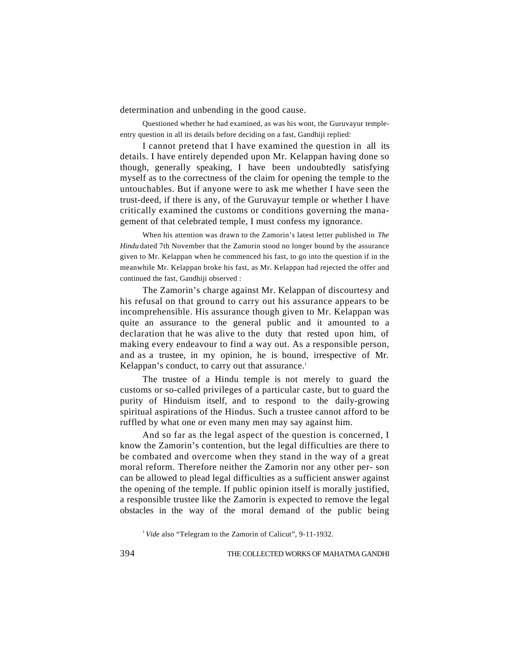determination and unbending in the good cause.

Questioned whether he had examined, as was his wont, the Guruvayur templeentry question in all its details before deciding on a fast, Gandhiji replied:

I cannot pretend that I have examined the question in all its details. I have entirely depended upon Mr. Kelappan having done so though, generally speaking, I have been undoubtedly satisfying myself as to the correctness of the claim for opening the temple to the untouchables. But if anyone were to ask me whether I have seen the trust-deed, if there is any, of the Guruvayur temple or whether I have critically examined the customs or conditions governing the management of that celebrated temple, I must confess my ignorance.

When his attention was drawn to the Zamorin's latest letter published in *The Hindu* dated 7th November that the Zamorin stood no longer bound by the assurance given to Mr. Kelappan when he commenced his fast, to go into the question if in the meanwhile Mr. Kelappan broke his fast, as Mr. Kelappan had rejected the offer and continued the fast, Gandhiji observed :

The Zamorin's charge against Mr. Kelappan of discourtesy and his refusal on that ground to carry out his assurance appears to be incomprehensible. His assurance though given to Mr. Kelappan was quite an assurance to the general public and it amounted to a declaration that he was alive to the duty that rested upon him, of making every endeavour to find a way out. As a responsible person, and as a trustee, in my opinion, he is bound, irrespective of Mr. Kelappan's conduct, to carry out that assurance.<sup>1</sup>

The trustee of a Hindu temple is not merely to guard the customs or so-called privileges of a particular caste, but to guard the purity of Hinduism itself, and to respond to the daily-growing spiritual aspirations of the Hindus. Such a trustee cannot afford to be ruffled by what one or even many men may say against him.

And so far as the legal aspect of the question is concerned, I know the Zamorin's contention, but the legal difficulties are there to be combated and overcome when they stand in the way of a great moral reform. Therefore neither the Zamorin nor any other per- son can be allowed to plead legal difficulties as a sufficient answer against the opening of the temple. If public opinion itself is morally justified, a responsible trustee like the Zamorin is expected to remove the legal obstacles in the way of the moral demand of the public being

<sup>1</sup> Vide also "Telegram to the Zamorin of Calicut", 9-11-1932.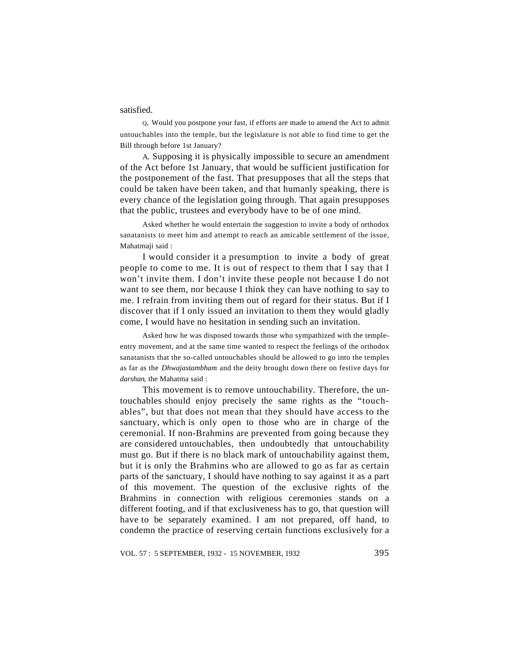satisfied.

<sup>Q</sup>. Would you postpone your fast, if efforts are made to amend the Act to admit untouchables into the temple, but the legislature is not able to find time to get the Bill through before 1st January?

A. Supposing it is physically impossible to secure an amendment of the Act before 1st January, that would be sufficient justification for the postponement of the fast. That presupposes that all the steps that could be taken have been taken, and that humanly speaking, there is every chance of the legislation going through. That again presupposes that the public, trustees and everybody have to be of one mind.

Asked whether he would entertain the suggestion to invite a body of orthodox sanatanists to meet him and attempt to reach an amicable settlement of the issue, Mahatmaji said :

I would consider it a presumption to invite a body of great people to come to me. It is out of respect to them that I say that I won't invite them. I don't invite these people not because I do not want to see them, nor because I think they can have nothing to say to me. I refrain from inviting them out of regard for their status. But if I discover that if I only issued an invitation to them they would gladly come, I would have no hesitation in sending such an invitation.

Asked how he was disposed towards those who sympathized with the templeentry movement, and at the same time wanted to respect the feelings of the orthodox sanatanists that the so-called untouchables should be allowed to go into the temples as far as the *Dhwajastambham* and the deity brought down there on festive days for *darshan*, the Mahatma said :

This movement is to remove untouchability. Therefore, the untouchables should enjoy precisely the same rights as the "touchables", but that does not mean that they should have access to the sanctuary, which is only open to those who are in charge of the ceremonial. If non-Brahmins are prevented from going because they are considered untouchables, then undoubtedly that untouchability must go. But if there is no black mark of untouchability against them, but it is only the Brahmins who are allowed to go as far as certain parts of the sanctuary, I should have nothing to say against it as a part of this movement. The question of the exclusive rights of the Brahmins in connection with religious ceremonies stands on a different footing, and if that exclusiveness has to go, that question will have to be separately examined. I am not prepared, off hand, to condemn the practice of reserving certain functions exclusively for a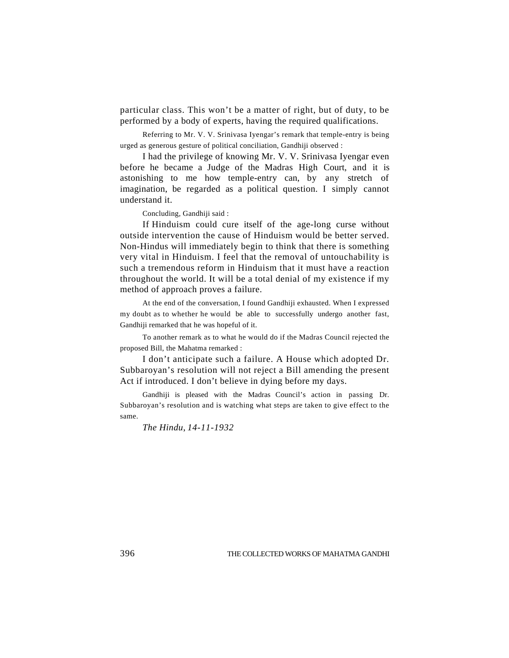particular class. This won't be a matter of right, but of duty, to be performed by a body of experts, having the required qualifications.

Referring to Mr. V. V. Srinivasa Iyengar's remark that temple-entry is being urged as generous gesture of political conciliation, Gandhiji observed :

I had the privilege of knowing Mr. V. V. Srinivasa Iyengar even before he became a Judge of the Madras High Court, and it is astonishing to me how temple-entry can, by any stretch of imagination, be regarded as a political question. I simply cannot understand it.

Concluding, Gandhiji said :

If Hinduism could cure itself of the age-long curse without outside intervention the cause of Hinduism would be better served. Non-Hindus will immediately begin to think that there is something very vital in Hinduism. I feel that the removal of untouchability is such a tremendous reform in Hinduism that it must have a reaction throughout the world. It will be a total denial of my existence if my method of approach proves a failure.

At the end of the conversation, I found Gandhiji exhausted. When I expressed my doubt as to whether he would be able to successfully undergo another fast, Gandhiji remarked that he was hopeful of it.

To another remark as to what he would do if the Madras Council rejected the proposed Bill, the Mahatma remarked :

I don't anticipate such a failure. A House which adopted Dr. Subbaroyan's resolution will not reject a Bill amending the present Act if introduced. I don't believe in dying before my days.

Gandhiji is pleased with the Madras Council's action in passing Dr. Subbaroyan's resolution and is watching what steps are taken to give effect to the same.

*The Hindu*, *14-11-1932*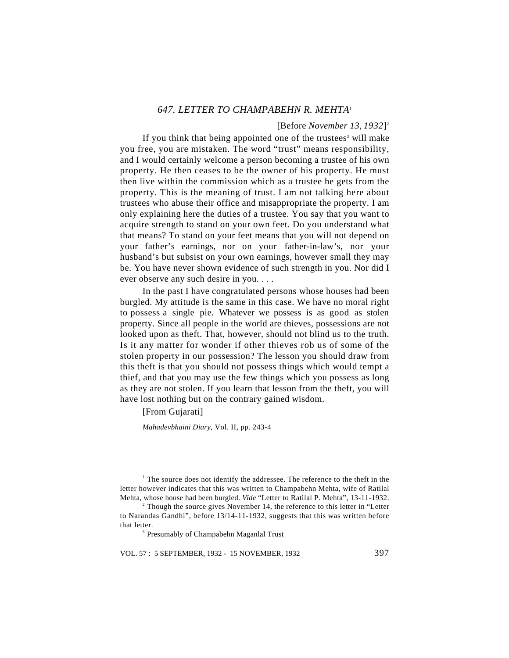## *647. LETTER TO CHAMPABEHN R. MEHTA*<sup>1</sup>

#### [Before *November 13*, *1932*] 2

If you think that being appointed one of the trustees<sup>3</sup> will make you free, you are mistaken. The word "trust" means responsibility, and I would certainly welcome a person becoming a trustee of his own property. He then ceases to be the owner of his property. He must then live within the commission which as a trustee he gets from the property. This is the meaning of trust. I am not talking here about trustees who abuse their office and misappropriate the property. I am only explaining here the duties of a trustee. You say that you want to acquire strength to stand on your own feet. Do you understand what that means? To stand on your feet means that you will not depend on your father's earnings, nor on your father-in-law's, nor your husband's but subsist on your own earnings, however small they may be. You have never shown evidence of such strength in you. Nor did I ever observe any such desire in you. . . .

In the past I have congratulated persons whose houses had been burgled. My attitude is the same in this case. We have no moral right to possess a single pie. Whatever we possess is as good as stolen property. Since all people in the world are thieves, possessions are not looked upon as theft. That, however, should not blind us to the truth. Is it any matter for wonder if other thieves rob us of some of the stolen property in our possession? The lesson you should draw from this theft is that you should not possess things which would tempt a thief, and that you may use the few things which you possess as long as they are not stolen. If you learn that lesson from the theft, you will have lost nothing but on the contrary gained wisdom.

[From Gujarati]

*Mahadevbhaini Diary*, Vol. II, pp. 243-4

<sup>1</sup> The source does not identify the addressee. The reference to the theft in the letter however indicates that this was written to Champabehn Mehta, wife of Ratilal Mehta, whose house had been burgled. *Vide* "Letter to Ratilal P. Mehta", 13-11-1932.

 $2$  Though the source gives November 14, the reference to this letter in "Letter" to Narandas Gandhi", before 13/14-11-1932, suggests that this was written before that letter.

<sup>3</sup> Presumably of Champabehn Maganlal Trust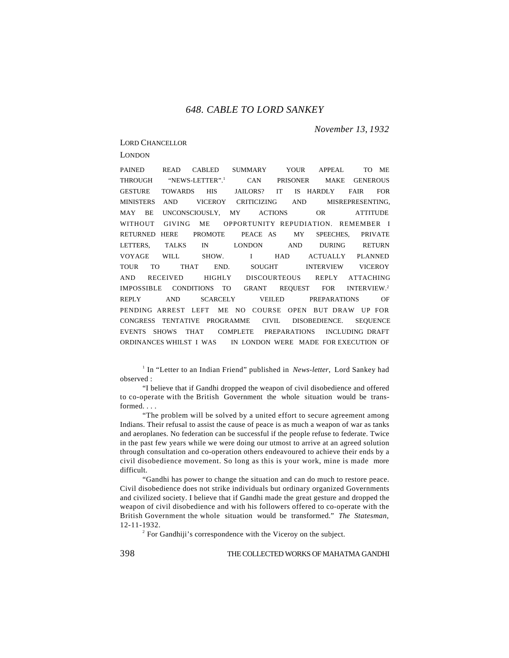## *648. CABLE TO LORD SANKEY*

*November 13*, *1932*

#### LORD CHANCELLOR

LONDON

PAINED READ CABLED SUMMARY YOUR APPEAL TO ME THROUGH "NEWS-LETTER".<sup>1</sup> CAN PRISONER MAKE GENEROUS GESTURE TOWARDS HIS JAILORS? IT IS HARDLY FAIR FOR MINISTERS AND VICEROY CRITICIZING AND MISREPRESENTING, MAY BE UNCONSCIOUSLY, MY ACTIONS OR ATTITUDE WITHOUT GIVING ME OPPORTUNITY REPUDIATION. REMEMBER I RETURNED HERE PROMOTE PEACE AS MY SPEECHES, PRIVATE LETTERS, TALKS IN LONDON AND DURING RETURN VOYAGE WILL SHOW. I HAD ACTUALLY PLANNED TOUR TO THAT END. SOUGHT INTERVIEW VICEROY AND RECEIVED HIGHLY DISCOURTEOUS REPLY ATTACHING IMPOSSIBLE CONDITIONS TO GRANT REQUEST FOR INTERVIEW.<sup>2</sup> REPLY AND SCARCELY VEILED PREPARATIONS OF PENDING ARREST LEFT ME NO COURSE OPEN BUT DRAW UP FOR CONGRESS TENTATIVE PROGRAMME CIVIL DISOBEDIENCE. SEQUENCE EVENTS SHOWS THAT COMPLETE PREPARATIONS INCLUDING DRAFT ORDINANCES WHILST I WAS IN LONDON WERE MADE FOR EXECUTION OF

<sup>1</sup> In "Letter to an Indian Friend" published in *News-letter*, Lord Sankey had observed :

"I believe that if Gandhi dropped the weapon of civil disobedience and offered to co-operate with the British Government the whole situation would be transformed. . . .

"The problem will be solved by a united effort to secure agreement among Indians. Their refusal to assist the cause of peace is as much a weapon of war as tanks and aeroplanes. No federation can be successful if the people refuse to federate. Twice in the past few years while we were doing our utmost to arrive at an agreed solution through consultation and co-operation others endeavoured to achieve their ends by a civil disobedience movement. So long as this is your work, mine is made more difficult.

"Gandhi has power to change the situation and can do much to restore peace. Civil disobedience does not strike individuals but ordinary organized Governments and civilized society. I believe that if Gandhi made the great gesture and dropped the weapon of civil disobedience and with his followers offered to co-operate with the British Government the whole situation would be transformed." *The Statesman*, 12-11-1932.

 $2^2$  For Gandhiji's correspondence with the Viceroy on the subject.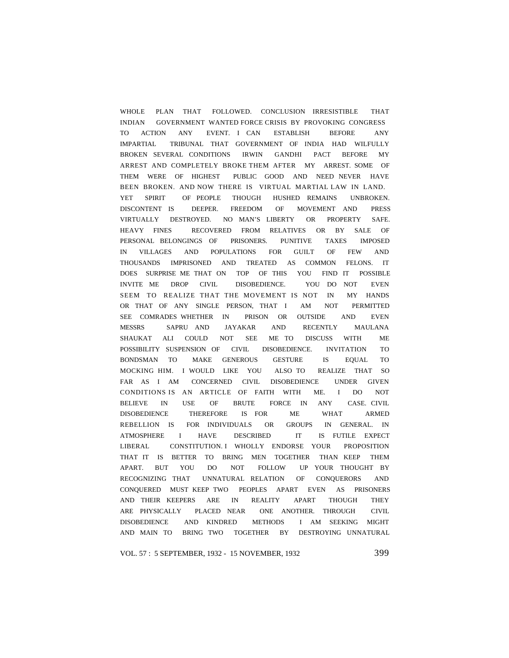WHOLE PLAN THAT FOLLOWED. CONCLUSION IRRESISTIBLE THAT INDIAN GOVERNMENT WANTED FORCE CRISIS BY PROVOKING CONGRESS TO ACTION ANY EVENT. I CAN ESTABLISH BEFORE ANY IMPARTIAL TRIBUNAL THAT GOVERNMENT OF INDIA HAD WILFULLY BROKEN SEVERAL CONDITIONS IRWIN GANDHI PACT BEFORE MY ARREST AND COMPLETELY BROKE THEM AFTER MY ARREST. SOME OF THEM WERE OF HIGHEST PUBLIC GOOD AND NEED NEVER HAVE BEEN BROKEN. AND NOW THERE IS VIRTUAL MARTIAL LAW IN LAND. YET SPIRIT OF PEOPLE THOUGH HUSHED REMAINS UNBROKEN. DISCONTENT IS DEEPER. FREEDOM OF MOVEMENT AND PRESS VIRTUALLY DESTROYED. NO MAN'S LIBERTY OR PROPERTY SAFE. HEAVY FINES RECOVERED FROM RELATIVES OR BY SALE OF PERSONAL BELONGINGS OF PRISONERS. PUNITIVE TAXES IMPOSED IN VILLAGES AND POPULATIONS FOR GUILT OF FEW AND THOUSANDS IMPRISONED AND TREATED AS COMMON FELONS. IT DOES SURPRISE ME THAT ON TOP OF THIS YOU FIND IT POSSIBLE INVITE ME DROP CIVIL DISOBEDIENCE. YOU DO NOT EVEN SEEM TO REALIZE THAT THE MOVEMENT IS NOT IN MY HANDS OR THAT OF ANY SINGLE PERSON, THAT I AM NOT PERMITTED SEE COMRADES WHETHER IN PRISON OR OUTSIDE AND EVEN MESSRS SAPRU AND JAYAKAR AND RECENTLY MAULANA SHAUKAT ALI COULD NOT SEE ME TO DISCUSS WITH ME POSSIBILITY SUSPENSION OF CIVIL DISOBEDIENCE. INVITATION TO BONDSMAN TO MAKE GENEROUS GESTURE IS EQUAL TO MOCKING HIM. I WOULD LIKE YOU ALSO TO REALIZE THAT SO FAR AS I AM CONCERNED CIVIL DISOBEDIENCE UNDER GIVEN CONDITIONS IS AN ARTICLE OF FAITH WITH ME. I DO NOT BELIEVE IN USE OF BRUTE FORCE IN ANY CASE. CIVIL DISOBEDIENCE THEREFORE IS FOR ME WHAT ARMED REBELLION IS FOR INDIVIDUALS OR GROUPS IN GENERAL. IN ATMOSPHERE I HAVE DESCRIBED IT IS FUTILE EXPECT LIBERAL CONSTITUTION. I WHOLLY ENDORSE YOUR PROPOSITION THAT IT IS BETTER TO BRING MEN TOGETHER THAN KEEP THEM APART. BUT YOU DO NOT FOLLOW UP YOUR THOUGHT BY RECOGNIZING THAT UNNATURAL RELATION OF CONQUERORS AND CONQUERED MUST KEEP TWO PEOPLES APART EVEN AS PRISONERS AND THEIR KEEPERS ARE IN REALITY APART THOUGH THEY ARE PHYSICALLY PLACED NEAR ONE ANOTHER. THROUGH CIVIL DISOBEDIENCE AND KINDRED METHODS I AM SEEKING MIGHT AND MAIN TO BRING TWO TOGETHER BY DESTROYING UNNATURAL

VOL. 57 : 5 SEPTEMBER, 1932 - 15 NOVEMBER, 1932 399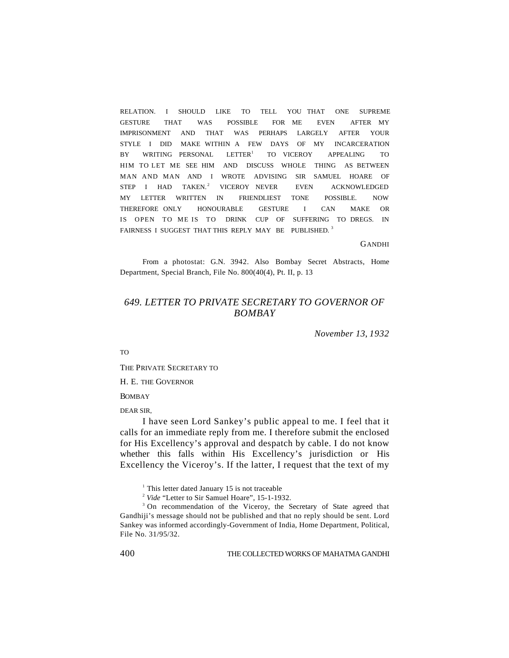RELATION. I SHOULD LIKE TO TELL YOU THAT ONE SUPREME GESTURE THAT WAS POSSIBLE FOR ME EVEN AFTER MY IMPRISONMENT AND THAT WAS PERHAPS LARGELY AFTER YOUR STYLE I DID MAKE WITHIN A FEW DAYS OF MY INCARCERATION BY WRITING PERSONAL LETTER<sup>1</sup> TO VICEROY APPEALING TO HIM TO LET ME SEE HIM AND DISCUSS WHOLE THING AS BETWEEN MAN AND MAN AND I WROTE ADVISING SIR SAMUEL HOARE OF STEP I HAD TAKEN.<sup>2</sup> VICEROY NEVER EVEN ACKNOWLEDGED MY LETTER WRITTEN IN FRIENDLIEST TONE POSSIBLE. NOW THEREFORE ONLY HONOURABLE GESTURE I CAN MAKE OR IS OPEN TO ME IS TO DRINK CUP OF SUFFERING TO DREGS. IN FAIRNESS I SUGGEST THAT THIS REPLY MAY BE PUBLISHED.<sup>3</sup>

GANDHI

From a photostat: G.N. 3942. Also Bombay Secret Abstracts, Home Department, Special Branch, File No. 800(40(4), Pt. II, p. 13

## *649. LETTER TO PRIVATE SECRETARY TO GOVERNOR OF BOMBAY*

*November 13*, *1932*

TO

#### THE PRIVATE SECRETARY TO

H. E. THE GOVERNOR

**BOMBAY** 

DEAR SIR,

I have seen Lord Sankey's public appeal to me. I feel that it calls for an immediate reply from me. I therefore submit the enclosed for His Excellency's approval and despatch by cable. I do not know whether this falls within His Excellency's jurisdiction or His Excellency the Viceroy's. If the latter, I request that the text of my

<sup>1</sup> This letter dated January 15 is not traceable

<sup>2</sup> Vide "Letter to Sir Samuel Hoare", 15-1-1932.

<sup>3</sup> On recommendation of the Viceroy, the Secretary of State agreed that Gandhiji's message should not be published and that no reply should be sent. Lord Sankey was informed accordingly-Government of India, Home Department, Political, File No. 31/95/32.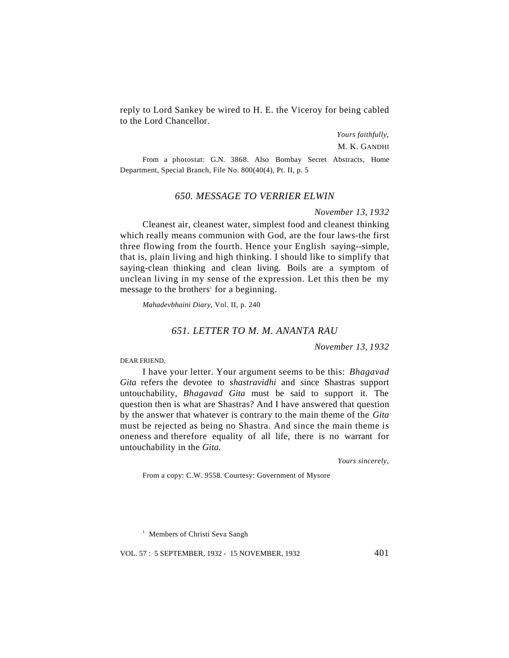reply to Lord Sankey be wired to H. E. the Viceroy for being cabled to the Lord Chancellor.

*Yours faithfully*,

M. K. GANDHI

From a photostat: G.N. 3868. Also Bombay Secret Abstracts, Home Department, Special Branch, File No. 800(40(4), Pt. II, p. 5

## *650. MESSAGE TO VERRIER ELWIN*

### *November 13*, *1932*

Cleanest air, cleanest water, simplest food and cleanest thinking which really means communion with God, are the four laws-the first three flowing from the fourth. Hence your English saying--simple, that is, plain living and high thinking. I should like to simplify that saying-clean thinking and clean living. Boils are a symptom of unclean living in my sense of the expression. Let this then be my message to the brothers<sup>1</sup> for a beginning.

*Mahadevbhaini Diary*, Vol. II, p. 240

### *651. LETTER TO M. M. ANANTA RAU*

*November 13*, *1932*

DEAR FRIEND,

I have your letter. Your argument seems to be this: *Bhagavad Gita* refers the devotee to *shastravidhi* and since Shastras support untouchability, *Bhagavad Gita* must be said to support it. The question then is what are Shastras? And I have answered that question by the answer that whatever is contrary to the main theme of the *Gita* must be rejected as being no Shastra. And since the main theme is oneness and therefore equality of all life, there is no warrant for untouchability in the *Gita.*

*Yours sincerely*,

From a copy: C.W. 9558. Courtesy: Government of Mysore

<sup>1</sup> Members of Christi Seva Sangh

VOL. 57 : 5 SEPTEMBER, 1932 - 15 NOVEMBER, 1932 401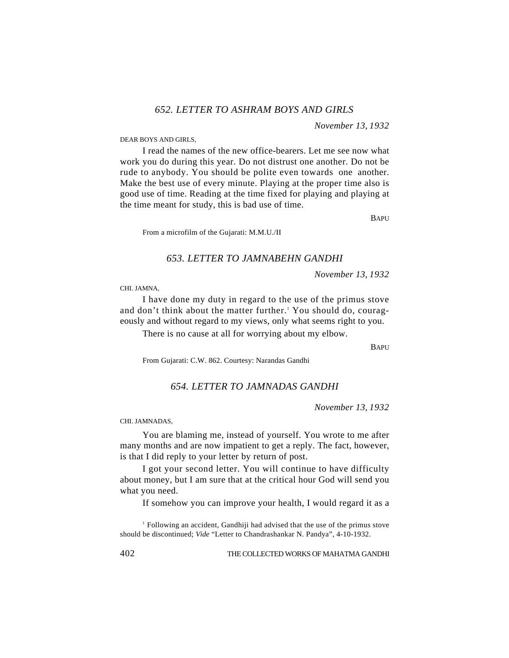## *652. LETTER TO ASHRAM BOYS AND GIRLS*

*November 13*, *1932*

DEAR BOYS AND GIRLS,

I read the names of the new office-bearers. Let me see now what work you do during this year. Do not distrust one another. Do not be rude to anybody. You should be polite even towards one another. Make the best use of every minute. Playing at the proper time also is good use of time. Reading at the time fixed for playing and playing at the time meant for study, this is bad use of time.

**BAPU** 

From a microfilm of the Gujarati: M.M.U./II

## *653. LETTER TO JAMNABEHN GANDHI*

*November 13*, *1932*

CHI. JAMNA,

I have done my duty in regard to the use of the primus stove and don't think about the matter further.<sup>1</sup> You should do, courageously and without regard to my views, only what seems right to you.

There is no cause at all for worrying about my elbow.

**BAPU** 

From Gujarati: C.W. 862. Courtesy: Narandas Gandhi

## *654. LETTER TO JAMNADAS GANDHI*

*November 13*, *1932*

CHI. JAMNADAS,

You are blaming me, instead of yourself. You wrote to me after many months and are now impatient to get a reply. The fact, however, is that I did reply to your letter by return of post.

I got your second letter. You will continue to have difficulty about money, but I am sure that at the critical hour God will send you what you need.

If somehow you can improve your health, I would regard it as a

<sup>1</sup> Following an accident, Gandhiji had advised that the use of the primus stove should be discontinued; *Vide* "Letter to Chandrashankar N. Pandya", 4-10-1932.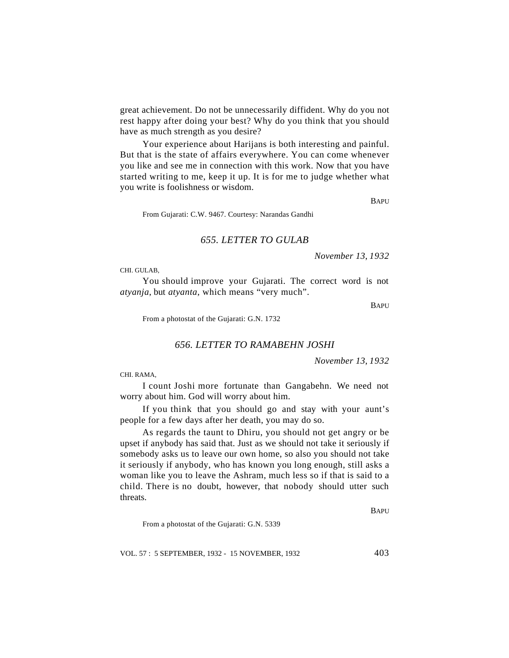great achievement. Do not be unnecessarily diffident. Why do you not rest happy after doing your best? Why do you think that you should have as much strength as you desire?

Your experience about Harijans is both interesting and painful. But that is the state of affairs everywhere. You can come whenever you like and see me in connection with this work. Now that you have started writing to me, keep it up. It is for me to judge whether what you write is foolishness or wisdom.

BAPU

From Gujarati: C.W. 9467. Courtesy: Narandas Gandhi

## *655. LETTER TO GULAB*

*November 13*, *1932*

CHI. GULAB,

You should improve your Gujarati. The correct word is not *atyanja*, but *atyanta*, which means "very much".

**BAPU** 

From a photostat of the Gujarati: G.N. 1732

## *656. LETTER TO RAMABEHN JOSHI*

*November 13*, *1932*

CHI. RAMA,

I count Joshi more fortunate than Gangabehn. We need not worry about him. God will worry about him.

If you think that you should go and stay with your aunt's people for a few days after her death, you may do so.

As regards the taunt to Dhiru, you should not get angry or be upset if anybody has said that. Just as we should not take it seriously if somebody asks us to leave our own home, so also you should not take it seriously if anybody, who has known you long enough, still asks a woman like you to leave the Ashram, much less so if that is said to a child. There is no doubt, however, that nobody should utter such threats.

**BAPU** 

From a photostat of the Gujarati: G.N. 5339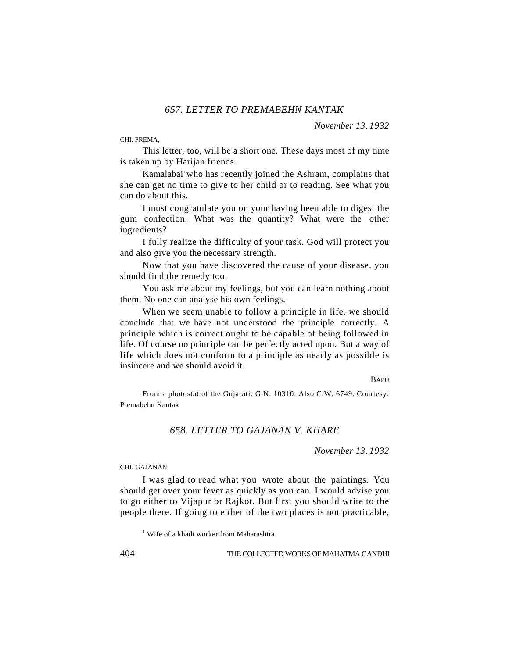*November 13*, *1932*

CHI. PREMA,

This letter, too, will be a short one. These days most of my time is taken up by Harijan friends.

Kamalabai<sup>1</sup> who has recently joined the Ashram, complains that she can get no time to give to her child or to reading. See what you can do about this.

I must congratulate you on your having been able to digest the gum confection. What was the quantity? What were the other ingredients?

I fully realize the difficulty of your task. God will protect you and also give you the necessary strength.

Now that you have discovered the cause of your disease, you should find the remedy too.

You ask me about my feelings, but you can learn nothing about them. No one can analyse his own feelings.

When we seem unable to follow a principle in life, we should conclude that we have not understood the principle correctly. A principle which is correct ought to be capable of being followed in life. Of course no principle can be perfectly acted upon. But a way of life which does not conform to a principle as nearly as possible is insincere and we should avoid it.

**BAPU** 

From a photostat of the Gujarati: G.N. 10310. Also C.W. 6749. Courtesy: Premabehn Kantak

## *658. LETTER TO GAJANAN V. KHARE*

*November 13*, *1932*

CHI. GAJANAN,

I was glad to read what you wrote about the paintings. You should get over your fever as quickly as you can. I would advise you to go either to Vijapur or Rajkot. But first you should write to the people there. If going to either of the two places is not practicable,

<sup>1</sup> Wife of a khadi worker from Maharashtra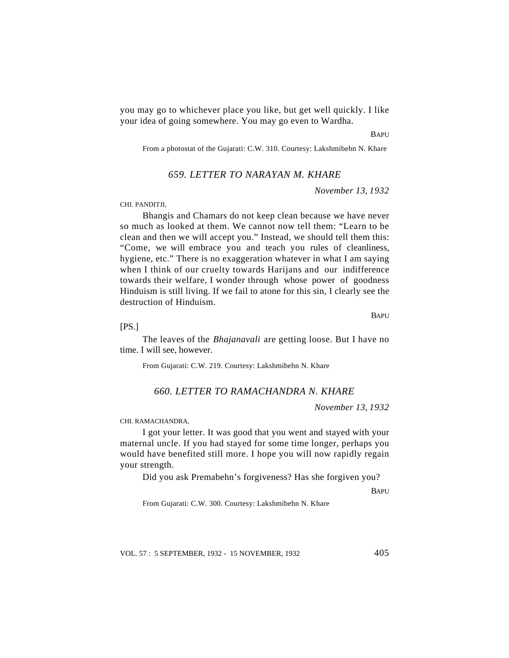you may go to whichever place you like, but get well quickly. I like your idea of going somewhere. You may go even to Wardha.

**BAPU** 

From a photostat of the Gujarati: C.W. 310. Courtesy: Lakshmibehn N. Khare

### *659. LETTER TO NARAYAN M. KHARE*

*November 13*, *1932*

CHI. PANDITJI,

Bhangis and Chamars do not keep clean because we have never so much as looked at them. We cannot now tell them: "Learn to be clean and then we will accept you." Instead, we should tell them this: "Come, we will embrace you and teach you rules of cleanliness, hygiene, etc." There is no exaggeration whatever in what I am saying when I think of our cruelty towards Harijans and our indifference towards their welfare, I wonder through whose power of goodness Hinduism is still living. If we fail to atone for this sin, I clearly see the destruction of Hinduism.

BAPU

#### [PS.]

The leaves of the *Bhajanavali* are getting loose. But I have no time. I will see, however.

From Gujarati: C.W. 219. Courtesy: Lakshmibehn N. Khare

## *660. LETTER TO RAMACHANDRA N. KHARE*

*November 13*, *1932*

#### CHI. RAMACHANDRA,

I got your letter. It was good that you went and stayed with your maternal uncle. If you had stayed for some time longer, perhaps you would have benefited still more. I hope you will now rapidly regain your strength.

Did you ask Premabehn's forgiveness? Has she forgiven you?

**BAPU** 

From Gujarati: C.W. 300. Courtesy: Lakshmibehn N. Khare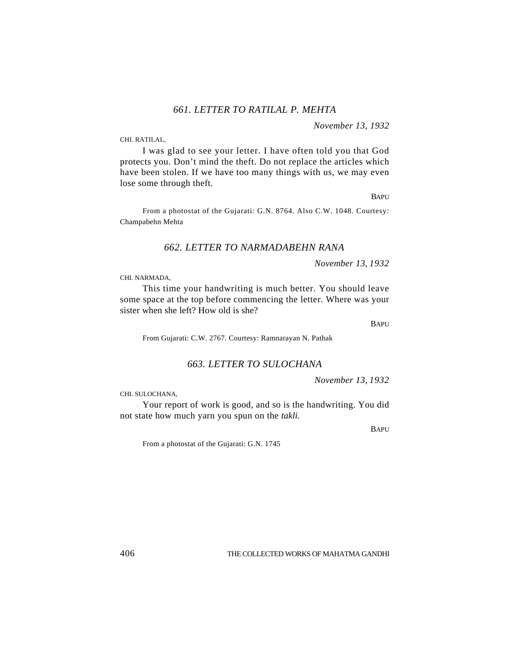# *661. LETTER TO RATILAL P. MEHTA*

*November 13, 1932*

CHI. RATILAL,

I was glad to see your letter. I have often told you that God protects you. Don't mind the theft. Do not replace the articles which have been stolen. If we have too many things with us, we may even lose some through theft.

**BAPU** 

From a photostat of the Gujarati: G.N. 8764. Also C.W. 1048. Courtesy: Champabehn Mehta

## *662. LETTER TO NARMADABEHN RANA*

*November 13*, *1932*

CHI. NARMADA,

This time your handwriting is much better. You should leave some space at the top before commencing the letter. Where was your sister when she left? How old is she?

**BAPU** 

From Gujarati: C.W. 2767. Courtesy: Ramnarayan N. Pathak

## *663. LETTER TO SULOCHANA*

*November 13*, *1932*

CHI. SULOCHANA,

Your report of work is good, and so is the handwriting. You did not state how much yarn you spun on the *takli.*

**BAPU** 

From a photostat of the Gujarati: G.N. 1745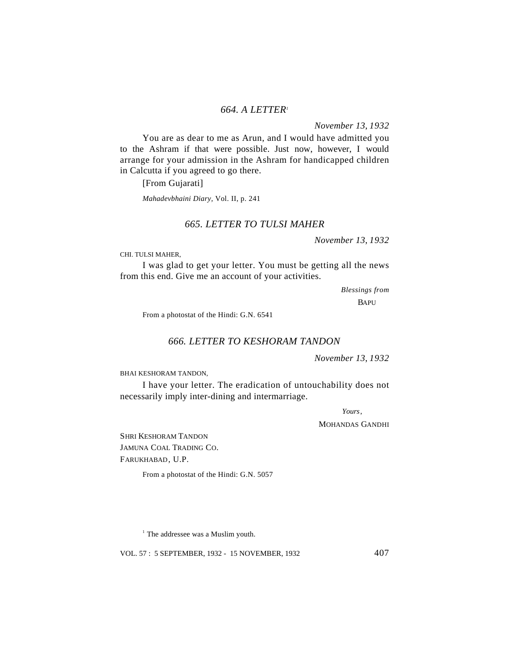### *664. A LETTER<sup>1</sup>*

*November 13*, *1932*

You are as dear to me as Arun, and I would have admitted you to the Ashram if that were possible. Just now, however, I would arrange for your admission in the Ashram for handicapped children in Calcutta if you agreed to go there.

[From Gujarati]

*Mahadevbhaini Diary,* Vol. II, p. 241

## *665. LETTER TO TULSI MAHER*

*November 13*, *1932*

CHI. TULSI MAHER,

I was glad to get your letter. You must be getting all the news from this end. Give me an account of your activities.

> *Blessings from* **BAPU**

From a photostat of the Hindi: G.N. 6541

### *666. LETTER TO KESHORAM TANDON*

*November 13*, *1932*

BHAI KESHORAM TANDON,

I have your letter. The eradication of untouchability does not necessarily imply inter-dining and intermarriage.

 *Yours*,

MOHANDAS GANDHI

SHRI KESHORAM TANDON JAMUNA COAL TRADING CO. FARUKHABAD, U.P.

From a photostat of the Hindi: G.N. 5057

<sup>1</sup> The addressee was a Muslim youth.

VOL. 57 : 5 SEPTEMBER, 1932 - 15 NOVEMBER, 1932 407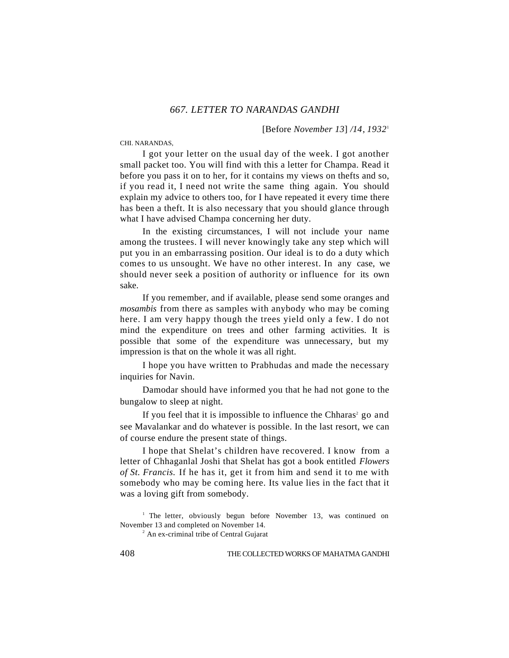[Before *November 13*] */14*, *1932*<sup>1</sup>

CHI. NARANDAS,

I got your letter on the usual day of the week. I got another small packet too. You will find with this a letter for Champa. Read it before you pass it on to her, for it contains my views on thefts and so, if you read it, I need not write the same thing again. You should explain my advice to others too, for I have repeated it every time there has been a theft. It is also necessary that you should glance through what I have advised Champa concerning her duty.

In the existing circumstances, I will not include your name among the trustees. I will never knowingly take any step which will put you in an embarrassing position. Our ideal is to do a duty which comes to us unsought. We have no other interest. In any case, we should never seek a position of authority or influence for its own sake.

If you remember, and if available, please send some oranges and *mosambis* from there as samples with anybody who may be coming here. I am very happy though the trees yield only a few. I do not mind the expenditure on trees and other farming activities. It is possible that some of the expenditure was unnecessary, but my impression is that on the whole it was all right.

I hope you have written to Prabhudas and made the necessary inquiries for Navin.

Damodar should have informed you that he had not gone to the bungalow to sleep at night.

If you feel that it is impossible to influence the Chharas<sup>2</sup> go and see Mavalankar and do whatever is possible. In the last resort, we can of course endure the present state of things.

I hope that Shelat's children have recovered. I know from a letter of Chhaganlal Joshi that Shelat has got a book entitled *Flowers of St. Francis.* If he has it, get it from him and send it to me with somebody who may be coming here. Its value lies in the fact that it was a loving gift from somebody.

<sup>2</sup> An ex-criminal tribe of Central Gujarat

<sup>&</sup>lt;sup>1</sup> The letter, obviously begun before November 13, was continued on November 13 and completed on November 14.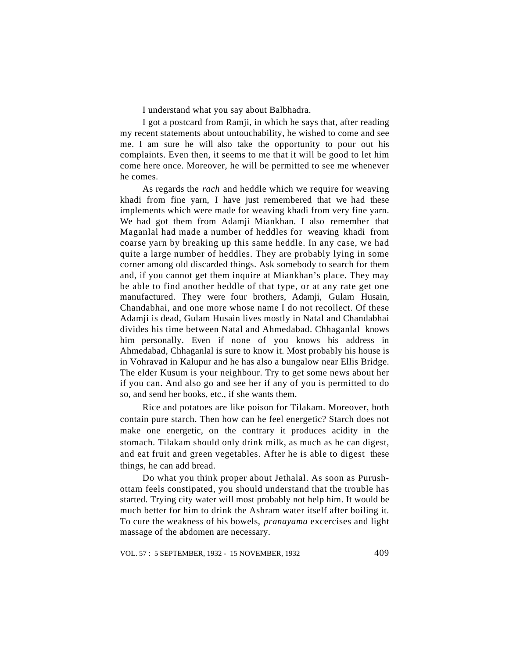I understand what you say about Balbhadra.

I got a postcard from Ramji, in which he says that, after reading my recent statements about untouchability, he wished to come and see me. I am sure he will also take the opportunity to pour out his complaints. Even then, it seems to me that it will be good to let him come here once. Moreover, he will be permitted to see me whenever he comes.

As regards the *rach* and heddle which we require for weaving khadi from fine yarn, I have just remembered that we had these implements which were made for weaving khadi from very fine yarn. We had got them from Adamji Miankhan. I also remember that Maganlal had made a number of heddles for weaving khadi from coarse yarn by breaking up this same heddle. In any case, we had quite a large number of heddles. They are probably lying in some corner among old discarded things. Ask somebody to search for them and, if you cannot get them inquire at Miankhan's place. They may be able to find another heddle of that type, or at any rate get one manufactured. They were four brothers, Adamji, Gulam Husain, Chandabhai, and one more whose name I do not recollect. Of these Adamji is dead, Gulam Husain lives mostly in Natal and Chandabhai divides his time between Natal and Ahmedabad. Chhaganlal knows him personally. Even if none of you knows his address in Ahmedabad, Chhaganlal is sure to know it. Most probably his house is in Vohravad in Kalupur and he has also a bungalow near Ellis Bridge. The elder Kusum is your neighbour. Try to get some news about her if you can. And also go and see her if any of you is permitted to do so, and send her books, etc., if she wants them.

Rice and potatoes are like poison for Tilakam. Moreover, both contain pure starch. Then how can he feel energetic? Starch does not make one energetic, on the contrary it produces acidity in the stomach. Tilakam should only drink milk, as much as he can digest, and eat fruit and green vegetables. After he is able to digest these things, he can add bread.

Do what you think proper about Jethalal. As soon as Purushottam feels constipated, you should understand that the trouble has started. Trying city water will most probably not help him. It would be much better for him to drink the Ashram water itself after boiling it. To cure the weakness of his bowels, *pranayama* excercises and light massage of the abdomen are necessary.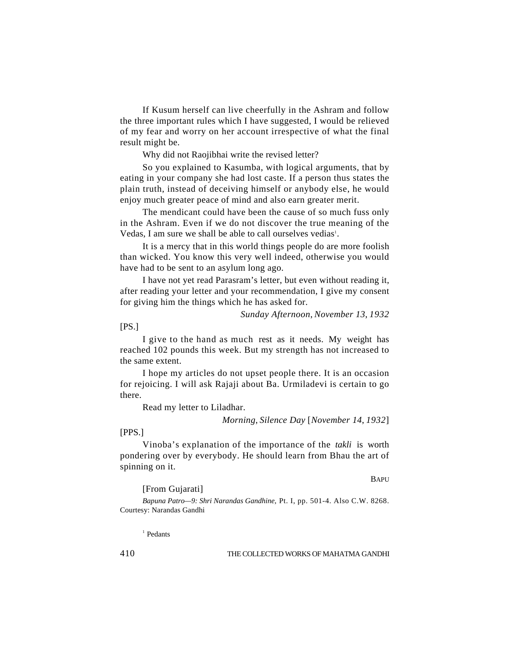If Kusum herself can live cheerfully in the Ashram and follow the three important rules which I have suggested, I would be relieved of my fear and worry on her account irrespective of what the final result might be.

Why did not Raojibhai write the revised letter?

So you explained to Kasumba, with logical arguments, that by eating in your company she had lost caste. If a person thus states the plain truth, instead of deceiving himself or anybody else, he would enjoy much greater peace of mind and also earn greater merit.

The mendicant could have been the cause of so much fuss only in the Ashram. Even if we do not discover the true meaning of the Vedas, I am sure we shall be able to call ourselves vedias<sup>1</sup>.

It is a mercy that in this world things people do are more foolish than wicked. You know this very well indeed, otherwise you would have had to be sent to an asylum long ago.

I have not yet read Parasram's letter, but even without reading it, after reading your letter and your recommendation, I give my consent for giving him the things which he has asked for.

*Sunday Afternoon*, *November 13*, *1932*

[PS.]

I give to the hand as much rest as it needs. My weight has reached 102 pounds this week. But my strength has not increased to the same extent.

I hope my articles do not upset people there. It is an occasion for rejoicing. I will ask Rajaji about Ba. Urmiladevi is certain to go there.

Read my letter to Liladhar.

*Morning*, *Silence Day* [*November 14*, *1932*]

[PPS.]

Vinoba's explanation of the importance of the *takli* is worth pondering over by everybody. He should learn from Bhau the art of spinning on it.

**BAPU** 

[From Gujarati]

*Bapuna Patro—9: Shri Narandas Gandhine*, Pt. I, pp. 501-4. Also C.W. 8268. Courtesy: Narandas Gandhi

1 Pedants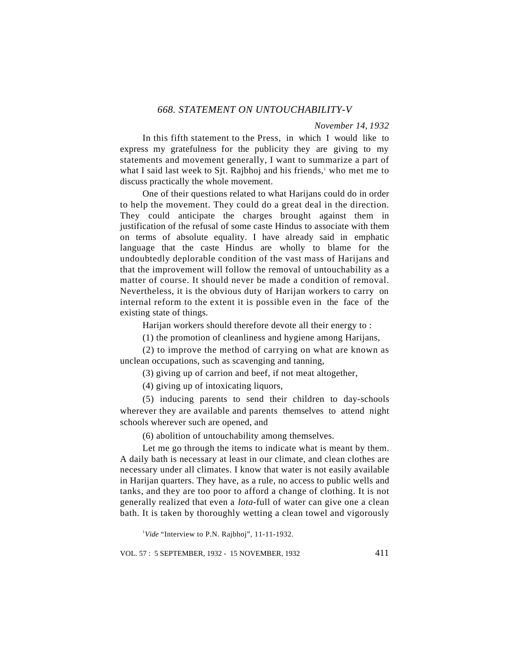## *668. STATEMENT ON UNTOUCHABILITY-V*

*November 14*, *1932*

In this fifth statement to the Press, in which I would like to express my gratefulness for the publicity they are giving to my statements and movement generally, I want to summarize a part of what I said last week to Sjt. Rajbhoj and his friends,<sup>1</sup> who met me to discuss practically the whole movement.

One of their questions related to what Harijans could do in order to help the movement. They could do a great deal in the direction. They could anticipate the charges brought against them in justification of the refusal of some caste Hindus to associate with them on terms of absolute equality. I have already said in emphatic language that the caste Hindus are wholly to blame for the undoubtedly deplorable condition of the vast mass of Harijans and that the improvement will follow the removal of untouchability as a matter of course. It should never be made a condition of removal. Nevertheless, it is the obvious duty of Harijan workers to carry on internal reform to the extent it is possible even in the face of the existing state of things.

Harijan workers should therefore devote all their energy to :

(1) the promotion of cleanliness and hygiene among Harijans,

(2) to improve the method of carrying on what are known as unclean occupations, such as scavenging and tanning,

(3) giving up of carrion and beef, if not meat altogether,

(4) giving up of intoxicating liquors,

(5) inducing parents to send their children to day-schools wherever they are available and parents themselves to attend night schools wherever such are opened, and

(6) abolition of untouchability among themselves.

Let me go through the items to indicate what is meant by them. A daily bath is necessary at least in our climate, and clean clothes are necessary under all climates. I know that water is not easily available in Harijan quarters. They have, as a rule, no access to public wells and tanks, and they are too poor to afford a change of clothing. It is not generally realized that even a *lota-*full of water can give one a clean bath. It is taken by thoroughly wetting a clean towel and vigorously

<sup>1</sup>Vide "Interview to P.N. Rajbhoj", 11-11-1932.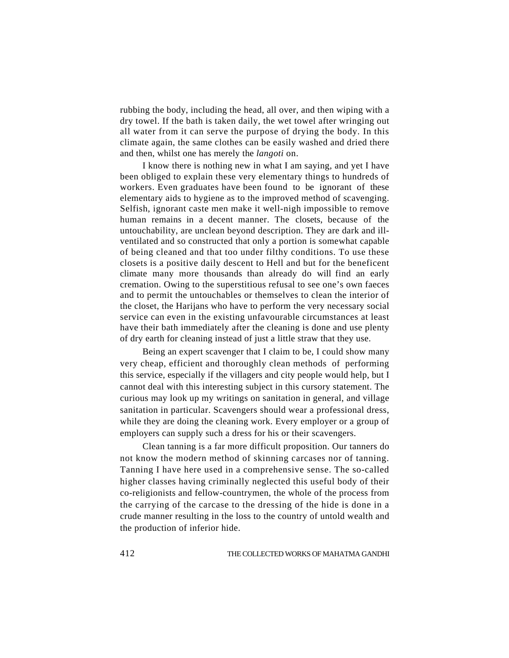rubbing the body, including the head, all over, and then wiping with a dry towel. If the bath is taken daily, the wet towel after wringing out all water from it can serve the purpose of drying the body. In this climate again, the same clothes can be easily washed and dried there and then, whilst one has merely the *langoti* on.

I know there is nothing new in what I am saying, and yet I have been obliged to explain these very elementary things to hundreds of workers. Even graduates have been found to be ignorant of these elementary aids to hygiene as to the improved method of scavenging. Selfish, ignorant caste men make it well-nigh impossible to remove human remains in a decent manner. The closets, because of the untouchability, are unclean beyond description. They are dark and illventilated and so constructed that only a portion is somewhat capable of being cleaned and that too under filthy conditions. To use these closets is a positive daily descent to Hell and but for the beneficent climate many more thousands than already do will find an early cremation. Owing to the superstitious refusal to see one's own faeces and to permit the untouchables or themselves to clean the interior of the closet, the Harijans who have to perform the very necessary social service can even in the existing unfavourable circumstances at least have their bath immediately after the cleaning is done and use plenty of dry earth for cleaning instead of just a little straw that they use.

Being an expert scavenger that I claim to be, I could show many very cheap, efficient and thoroughly clean methods of performing this service, especially if the villagers and city people would help, but I cannot deal with this interesting subject in this cursory statement. The curious may look up my writings on sanitation in general, and village sanitation in particular. Scavengers should wear a professional dress, while they are doing the cleaning work. Every employer or a group of employers can supply such a dress for his or their scavengers.

Clean tanning is a far more difficult proposition. Our tanners do not know the modern method of skinning carcases nor of tanning. Tanning I have here used in a comprehensive sense. The so-called higher classes having criminally neglected this useful body of their co-religionists and fellow-countrymen, the whole of the process from the carrying of the carcase to the dressing of the hide is done in a crude manner resulting in the loss to the country of untold wealth and the production of inferior hide.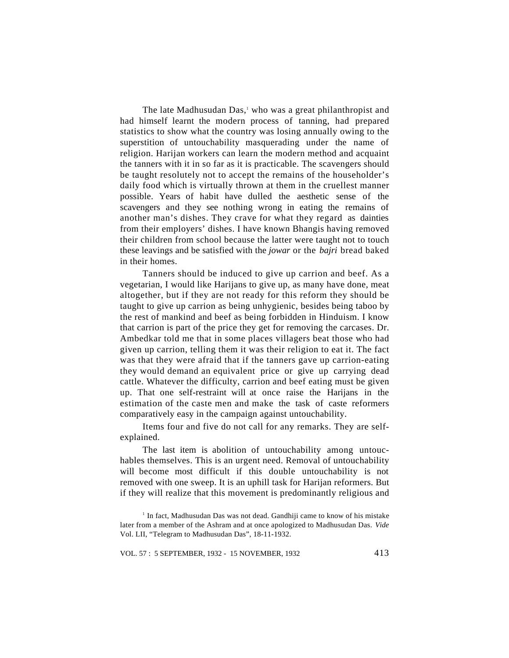The late Madhusudan Das,<sup>1</sup> who was a great philanthropist and had himself learnt the modern process of tanning, had prepared statistics to show what the country was losing annually owing to the superstition of untouchability masquerading under the name of religion. Harijan workers can learn the modern method and acquaint the tanners with it in so far as it is practicable. The scavengers should be taught resolutely not to accept the remains of the householder's daily food which is virtually thrown at them in the cruellest manner possible. Years of habit have dulled the aesthetic sense of the scavengers and they see nothing wrong in eating the remains of another man's dishes. They crave for what they regard as dainties from their employers' dishes. I have known Bhangis having removed their children from school because the latter were taught not to touch these leavings and be satisfied with the *jowar* or the *bajri* bread baked in their homes.

Tanners should be induced to give up carrion and beef. As a vegetarian, I would like Harijans to give up, as many have done, meat altogether, but if they are not ready for this reform they should be taught to give up carrion as being unhygienic, besides being taboo by the rest of mankind and beef as being forbidden in Hinduism. I know that carrion is part of the price they get for removing the carcases. Dr. Ambedkar told me that in some places villagers beat those who had given up carrion, telling them it was their religion to eat it. The fact was that they were afraid that if the tanners gave up carrion-eating they would demand an equivalent price or give up carrying dead cattle. Whatever the difficulty, carrion and beef eating must be given up. That one self-restraint will at once raise the Harijans in the estimation of the caste men and make the task of caste reformers comparatively easy in the campaign against untouchability.

Items four and five do not call for any remarks. They are selfexplained.

The last item is abolition of untouchability among untouchables themselves. This is an urgent need. Removal of untouchability will become most difficult if this double untouchability is not removed with one sweep. It is an uphill task for Harijan reformers. But if they will realize that this movement is predominantly religious and

<sup>&</sup>lt;sup>1</sup> In fact, Madhusudan Das was not dead. Gandhiji came to know of his mistake later from a member of the Ashram and at once apologized to Madhusudan Das. *Vide* Vol. LII, "Telegram to Madhusudan Das", 18-11-1932.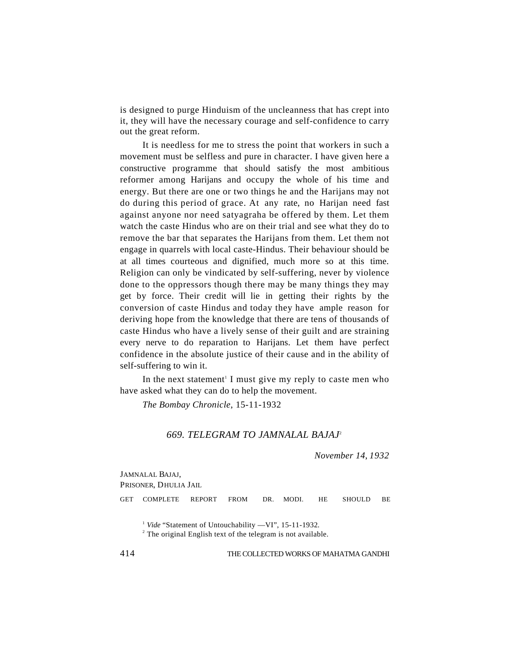is designed to purge Hinduism of the uncleanness that has crept into it, they will have the necessary courage and self-confidence to carry out the great reform.

It is needless for me to stress the point that workers in such a movement must be selfless and pure in character. I have given here a constructive programme that should satisfy the most ambitious reformer among Harijans and occupy the whole of his time and energy. But there are one or two things he and the Harijans may not do during this period of grace. At any rate, no Harijan need fast against anyone nor need satyagraha be offered by them. Let them watch the caste Hindus who are on their trial and see what they do to remove the bar that separates the Harijans from them. Let them not engage in quarrels with local caste-Hindus. Their behaviour should be at all times courteous and dignified, much more so at this time. Religion can only be vindicated by self-suffering, never by violence done to the oppressors though there may be many things they may get by force. Their credit will lie in getting their rights by the conversion of caste Hindus and today they have ample reason for deriving hope from the knowledge that there are tens of thousands of caste Hindus who have a lively sense of their guilt and are straining every nerve to do reparation to Harijans. Let them have perfect confidence in the absolute justice of their cause and in the ability of self-suffering to win it.

In the next statement<sup>1</sup> I must give my reply to caste men who have asked what they can do to help the movement.

*The Bombay Chronicle*, 15-11-1932

### *669. TELEGRAM TO JAMNALAL BAJAJ*<sup>2</sup>

*November 14*, *1932*

JAMNALAL BAJAJ,

PRISONER, DHULIA JAIL

GET COMPLETE REPORT FROM DR. MODI. HE SHOULD BE

<sup>1</sup> Vide "Statement of Untouchability —VI", 15-11-1932.

 $2$ <sup>2</sup> The original English text of the telegram is not available.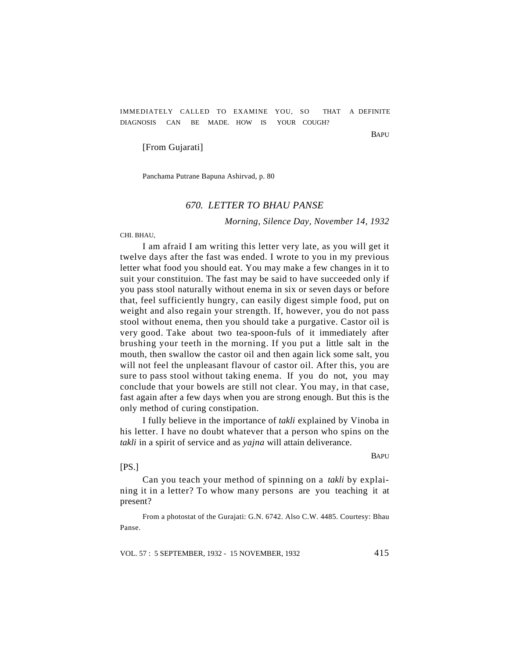IMMEDIATELY CALLED TO EXAMINE YOU, SO THAT A DEFINITE DIAGNOSIS CAN BE MADE. HOW IS YOUR COUGH?

**BAPU** 

#### [From Gujarati]

Panchama Putrane Bapuna Ashirvad, p. 80

### *670. LETTER TO BHAU PANSE*

*Morning, Silence Day, November 14, 1932*

CHI. BHAU,

I am afraid I am writing this letter very late, as you will get it twelve days after the fast was ended. I wrote to you in my previous letter what food you should eat. You may make a few changes in it to suit your constituion. The fast may be said to have succeeded only if you pass stool naturally without enema in six or seven days or before that, feel sufficiently hungry, can easily digest simple food, put on weight and also regain your strength. If, however, you do not pass stool without enema, then you should take a purgative. Castor oil is very good. Take about two tea-spoon-fuls of it immediately after brushing your teeth in the morning. If you put a little salt in the mouth, then swallow the castor oil and then again lick some salt, you will not feel the unpleasant flavour of castor oil. After this, you are sure to pass stool without taking enema. If you do not, you may conclude that your bowels are still not clear. You may, in that case, fast again after a few days when you are strong enough. But this is the only method of curing constipation.

I fully believe in the importance of *takli* explained by Vinoba in his letter. I have no doubt whatever that a person who spins on the *takli* in a spirit of service and as *yajna* will attain deliverance.

BAPU

[PS.]

Can you teach your method of spinning on a *takli* by explaining it in a letter? To whow many persons are you teaching it at present?

From a photostat of the Gurajati: G.N. 6742. Also C.W. 4485. Courtesy: Bhau Panse.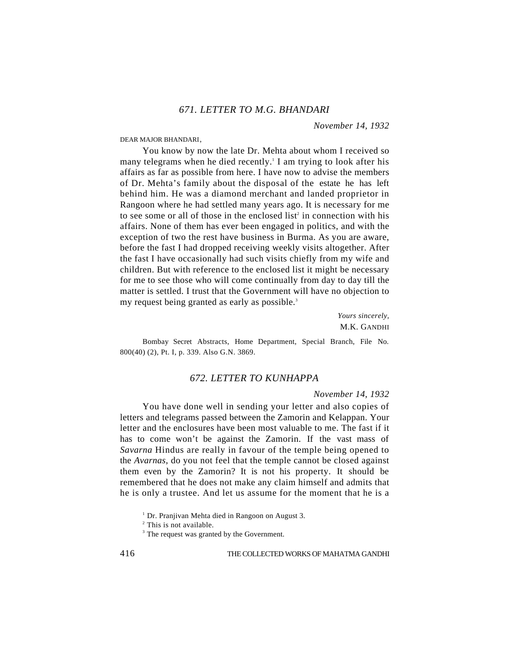*November 14, 1932*

#### DEAR MAJOR BHANDARI,

You know by now the late Dr. Mehta about whom I received so many telegrams when he died recently.<sup>1</sup> I am trying to look after his affairs as far as possible from here. I have now to advise the members of Dr. Mehta's family about the disposal of the estate he has left behind him. He was a diamond merchant and landed proprietor in Rangoon where he had settled many years ago. It is necessary for me to see some or all of those in the enclosed list<sup>2</sup> in connection with his affairs. None of them has ever been engaged in politics, and with the exception of two the rest have business in Burma. As you are aware, before the fast I had dropped receiving weekly visits altogether. After the fast I have occasionally had such visits chiefly from my wife and children. But with reference to the enclosed list it might be necessary for me to see those who will come continually from day to day till the matter is settled. I trust that the Government will have no objection to my request being granted as early as possible.<sup>3</sup>

> *Yours sincerely,* M.K. GANDHI

Bombay Secret Abstracts, Home Department, Special Branch, File No. 800(40) (2), Pt. I, p. 339. Also G.N. 3869.

## *672. LETTER TO KUNHAPPA*

#### *November 14, 1932*

You have done well in sending your letter and also copies of letters and telegrams passed between the Zamorin and Kelappan. Your letter and the enclosures have been most valuable to me. The fast if it has to come won't be against the Zamorin. If the vast mass of *Savarna* Hindus are really in favour of the temple being opened to the *Avarnas*, do you not feel that the temple cannot be closed against them even by the Zamorin? It is not his property. It should be remembered that he does not make any claim himself and admits that he is only a trustee. And let us assume for the moment that he is a

<sup>2</sup> This is not available.

<sup>3</sup> The request was granted by the Government.

<sup>&</sup>lt;sup>1</sup> Dr. Pranjivan Mehta died in Rangoon on August 3.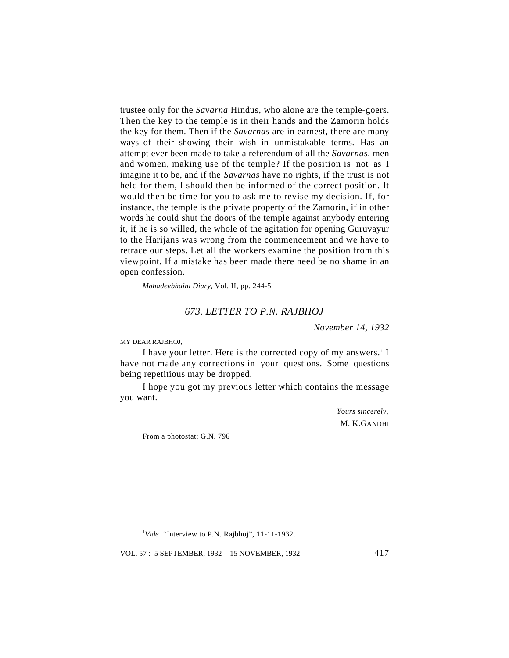trustee only for the *Savarna* Hindus, who alone are the temple-goers. Then the key to the temple is in their hands and the Zamorin holds the key for them. Then if the *Savarnas* are in earnest, there are many ways of their showing their wish in unmistakable terms. Has an attempt ever been made to take a referendum of all the *Savarnas,* men and women, making use of the temple? If the position is not as I imagine it to be, and if the *Savarnas* have no rights, if the trust is not held for them, I should then be informed of the correct position. It would then be time for you to ask me to revise my decision. If, for instance, the temple is the private property of the Zamorin, if in other words he could shut the doors of the temple against anybody entering it, if he is so willed, the whole of the agitation for opening Guruvayur to the Harijans was wrong from the commencement and we have to retrace our steps. Let all the workers examine the position from this viewpoint. If a mistake has been made there need be no shame in an open confession.

*Mahadevbhaini Diary*, Vol. II, pp. 244-5

### *673. LETTER TO P.N. RAJBHOJ*

*November 14, 1932*

MY DEAR RAJBHOJ,

I have your letter. Here is the corrected copy of my answers.<sup>1</sup> I have not made any corrections in your questions. Some questions being repetitious may be dropped.

I hope you got my previous letter which contains the message you want.

> *Yours sincerely,* M. K.GANDHI

From a photostat: G.N. 796

<sup>1</sup>Vide "Interview to P.N. Rajbhoj", 11-11-1932.

VOL. 57 : 5 SEPTEMBER, 1932 - 15 NOVEMBER, 1932 417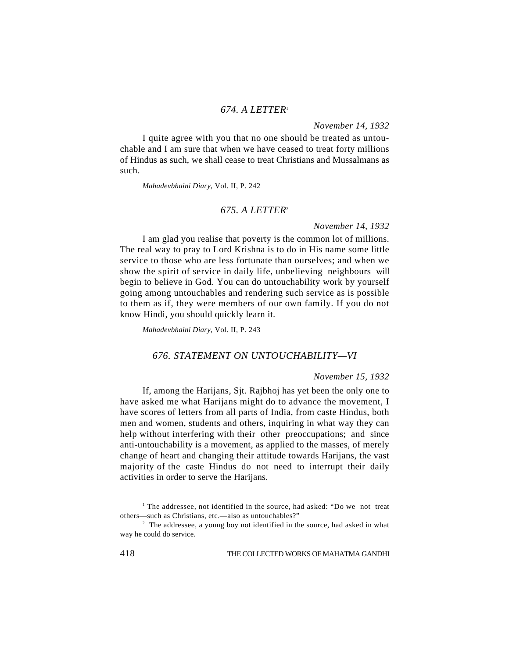### *674. A LETTER*<sup>1</sup>

*November 14, 1932*

I quite agree with you that no one should be treated as untouchable and I am sure that when we have ceased to treat forty millions of Hindus as such, we shall cease to treat Christians and Mussalmans as such.

*Mahadevbhaini Diary*, Vol. II, P. 242

## *675. A LETTER*<sup>2</sup>

#### *November 14, 1932*

I am glad you realise that poverty is the common lot of millions. The real way to pray to Lord Krishna is to do in His name some little service to those who are less fortunate than ourselves; and when we show the spirit of service in daily life, unbelieving neighbours will begin to believe in God. You can do untouchability work by yourself going among untouchables and rendering such service as is possible to them as if, they were members of our own family. If you do not know Hindi, you should quickly learn it.

*Mahadevbhaini Diary*, Vol. II, P. 243

### *676. STATEMENT ON UNTOUCHABILITY—VI*

#### *November 15, 1932*

If, among the Harijans, Sjt. Rajbhoj has yet been the only one to have asked me what Harijans might do to advance the movement, I have scores of letters from all parts of India, from caste Hindus, both men and women, students and others, inquiring in what way they can help without interfering with their other preoccupations; and since anti-untouchability is a movement, as applied to the masses, of merely change of heart and changing their attitude towards Harijans, the vast majority of the caste Hindus do not need to interrupt their daily activities in order to serve the Harijans.

<sup>&</sup>lt;sup>1</sup> The addressee, not identified in the source, had asked: "Do we not treat others—such as Christians, etc.—also as untouchables?"

<sup>&</sup>lt;sup>2</sup> The addressee, a young boy not identified in the source, had asked in what way he could do service.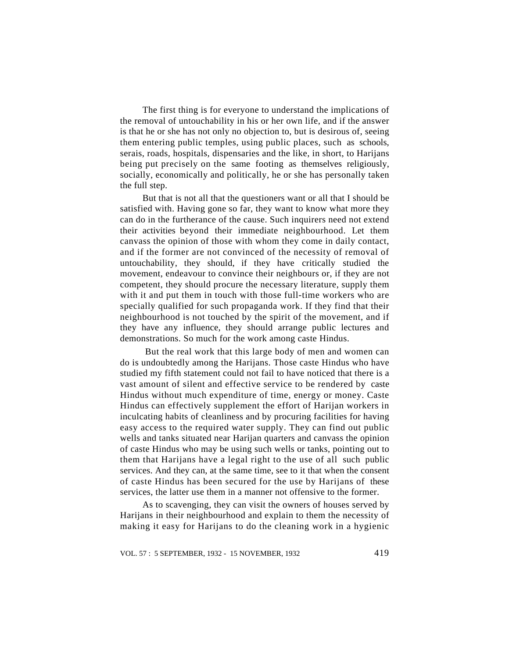The first thing is for everyone to understand the implications of the removal of untouchability in his or her own life, and if the answer is that he or she has not only no objection to, but is desirous of, seeing them entering public temples, using public places, such as schools, serais, roads, hospitals, dispensaries and the like, in short, to Harijans being put precisely on the same footing as themselves religiously, socially, economically and politically, he or she has personally taken the full step.

But that is not all that the questioners want or all that I should be satisfied with. Having gone so far, they want to know what more they can do in the furtherance of the cause. Such inquirers need not extend their activities beyond their immediate neighbourhood. Let them canvass the opinion of those with whom they come in daily contact, and if the former are not convinced of the necessity of removal of untouchability, they should, if they have critically studied the movement, endeavour to convince their neighbours or, if they are not competent, they should procure the necessary literature, supply them with it and put them in touch with those full-time workers who are specially qualified for such propaganda work. If they find that their neighbourhood is not touched by the spirit of the movement, and if they have any influence, they should arrange public lectures and demonstrations. So much for the work among caste Hindus.

 But the real work that this large body of men and women can do is undoubtedly among the Harijans. Those caste Hindus who have studied my fifth statement could not fail to have noticed that there is a vast amount of silent and effective service to be rendered by caste Hindus without much expenditure of time, energy or money. Caste Hindus can effectively supplement the effort of Harijan workers in inculcating habits of cleanliness and by procuring facilities for having easy access to the required water supply. They can find out public wells and tanks situated near Harijan quarters and canvass the opinion of caste Hindus who may be using such wells or tanks, pointing out to them that Harijans have a legal right to the use of all such public services. And they can, at the same time, see to it that when the consent of caste Hindus has been secured for the use by Harijans of these services, the latter use them in a manner not offensive to the former.

As to scavenging, they can visit the owners of houses served by Harijans in their neighbourhood and explain to them the necessity of making it easy for Harijans to do the cleaning work in a hygienic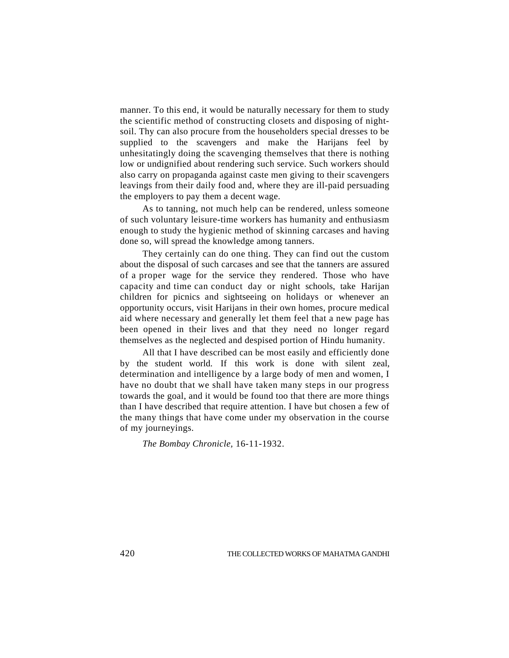manner. To this end, it would be naturally necessary for them to study the scientific method of constructing closets and disposing of nightsoil. Thy can also procure from the householders special dresses to be supplied to the scavengers and make the Harijans feel by unhesitatingly doing the scavenging themselves that there is nothing low or undignified about rendering such service. Such workers should also carry on propaganda against caste men giving to their scavengers leavings from their daily food and, where they are ill-paid persuading the employers to pay them a decent wage.

As to tanning, not much help can be rendered, unless someone of such voluntary leisure-time workers has humanity and enthusiasm enough to study the hygienic method of skinning carcases and having done so, will spread the knowledge among tanners.

They certainly can do one thing. They can find out the custom about the disposal of such carcases and see that the tanners are assured of a proper wage for the service they rendered. Those who have capacity and time can conduct day or night schools, take Harijan children for picnics and sightseeing on holidays or whenever an opportunity occurs, visit Harijans in their own homes, procure medical aid where necessary and generally let them feel that a new page has been opened in their lives and that they need no longer regard themselves as the neglected and despised portion of Hindu humanity.

All that I have described can be most easily and efficiently done by the student world. If this work is done with silent zeal, determination and intelligence by a large body of men and women, I have no doubt that we shall have taken many steps in our progress towards the goal, and it would be found too that there are more things than I have described that require attention. I have but chosen a few of the many things that have come under my observation in the course of my journeyings.

*The Bombay Chronicle,* 16-11-1932.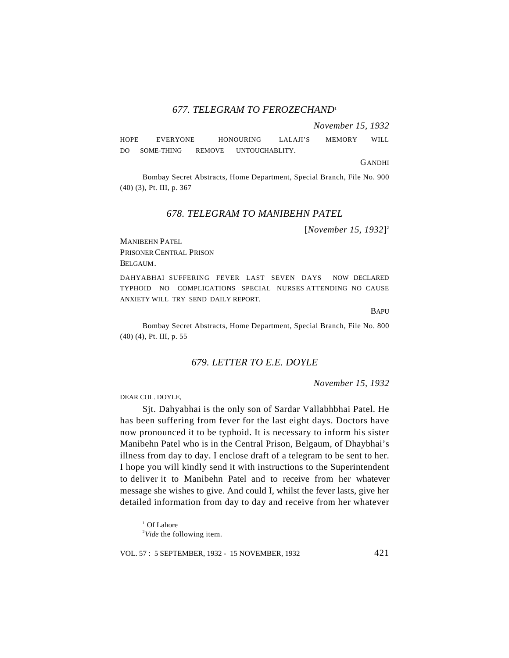*November 15, 1932*

HOPE EVERYONE HONOURING LALAJI'S MEMORY WILL DO SOME-THING REMOVE UNTOUCHABLITY.

GANDHI

Bombay Secret Abstracts, Home Department, Special Branch, File No. 900 (40) (3), Pt. III, p. 367

## *678. TELEGRAM TO MANIBEHN PATEL*

[*November 15, 1932*] 2

MANIBEHN PATEL PRISONER CENTRAL PRISON BELGAUM.

DAHYABHAI SUFFERING FEVER LAST SEVEN DAYS NOW DECLARED TYPHOID NO COMPLICATIONS SPECIAL NURSES ATTENDING NO CAUSE ANXIETY WILL TRY SEND DAILY REPORT.

**BAPU** 

Bombay Secret Abstracts, Home Department, Special Branch, File No. 800 (40) (4), Pt. III, p. 55

## *679. LETTER TO E.E. DOYLE*

*November 15, 1932*

DEAR COL. DOYLE,

Sjt. Dahyabhai is the only son of Sardar Vallabhbhai Patel. He has been suffering from fever for the last eight days. Doctors have now pronounced it to be typhoid. It is necessary to inform his sister Manibehn Patel who is in the Central Prison, Belgaum, of Dhaybhai's illness from day to day. I enclose draft of a telegram to be sent to her. I hope you will kindly send it with instructions to the Superintendent to deliver it to Manibehn Patel and to receive from her whatever message she wishes to give. And could I, whilst the fever lasts, give her detailed information from day to day and receive from her whatever

<sup>1</sup> Of Lahore <sup>2</sup>*Vide* the following item.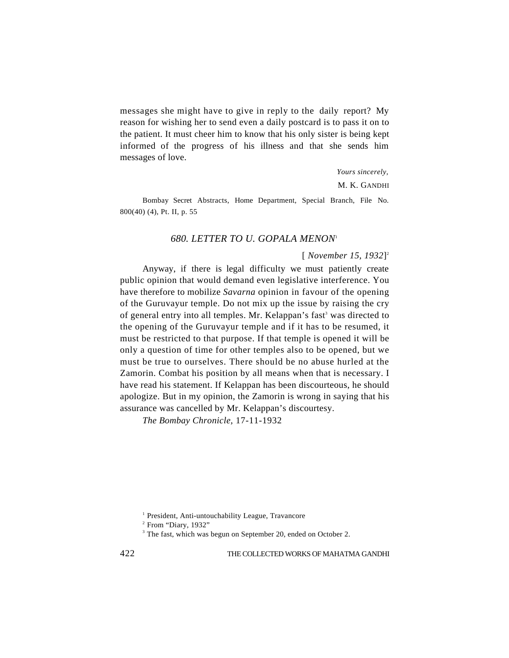messages she might have to give in reply to the daily report? My reason for wishing her to send even a daily postcard is to pass it on to the patient. It must cheer him to know that his only sister is being kept informed of the progress of his illness and that she sends him messages of love.

*Yours sincerely,*

M. K. GANDHI

Bombay Secret Abstracts, Home Department, Special Branch, File No. 800(40) (4), Pt. II, p. 55

### *680. LETTER TO U. GOPALA MENON*<sup>1</sup>

#### [ *November 15, 1932*] 2

Anyway, if there is legal difficulty we must patiently create public opinion that would demand even legislative interference. You have therefore to mobilize *Savarna* opinion in favour of the opening of the Guruvayur temple. Do not mix up the issue by raising the cry of general entry into all temples. Mr. Kelappan's fast<sup>3</sup> was directed to the opening of the Guruvayur temple and if it has to be resumed, it must be restricted to that purpose. If that temple is opened it will be only a question of time for other temples also to be opened, but we must be true to ourselves. There should be no abuse hurled at the Zamorin. Combat his position by all means when that is necessary. I have read his statement. If Kelappan has been discourteous, he should apologize. But in my opinion, the Zamorin is wrong in saying that his assurance was cancelled by Mr. Kelappan's discourtesy.

*The Bombay Chronicle,* 17-11-1932

<sup>&</sup>lt;sup>1</sup> President, Anti-untouchability League, Travancore

<sup>2</sup> From "Diary, 1932"

<sup>&</sup>lt;sup>3</sup> The fast, which was begun on September 20, ended on October 2.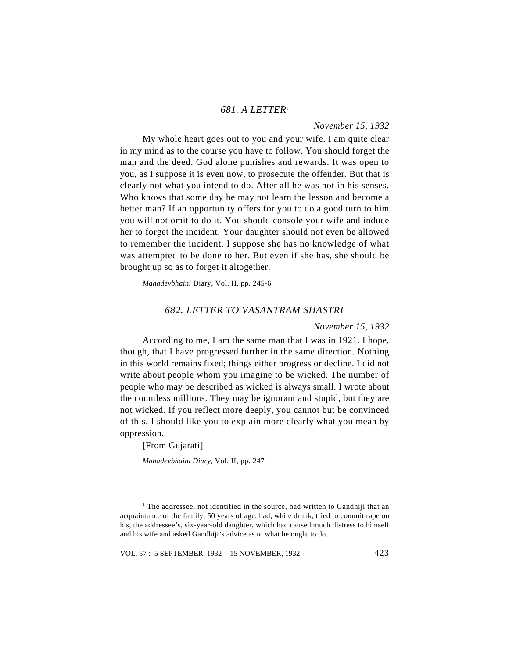### *681. A LETTER*<sup>1</sup>

#### *November 15, 1932*

My whole heart goes out to you and your wife. I am quite clear in my mind as to the course you have to follow. You should forget the man and the deed. God alone punishes and rewards. It was open to you, as I suppose it is even now, to prosecute the offender. But that is clearly not what you intend to do. After all he was not in his senses. Who knows that some day he may not learn the lesson and become a better man? If an opportunity offers for you to do a good turn to him you will not omit to do it. You should console your wife and induce her to forget the incident. Your daughter should not even be allowed to remember the incident. I suppose she has no knowledge of what was attempted to be done to her. But even if she has, she should be brought up so as to forget it altogether.

*Mahadevbhaini* Diary, Vol. II, pp. 245-6

#### *682. LETTER TO VASANTRAM SHASTRI*

#### *November 15, 1932*

According to me, I am the same man that I was in 1921. I hope, though, that I have progressed further in the same direction. Nothing in this world remains fixed; things either progress or decline. I did not write about people whom you imagine to be wicked. The number of people who may be described as wicked is always small. I wrote about the countless millions. They may be ignorant and stupid, but they are not wicked. If you reflect more deeply, you cannot but be convinced of this. I should like you to explain more clearly what you mean by oppression.

[From Gujarati]

*Mahadevbhaini Diary*, Vol. II, pp. 247

<sup>1</sup> The addressee, not identified in the source, had written to Gandhiji that an acquaintance of the family, 50 years of age, had, while drunk, tried to commit rape on his, the addressee's, six-year-old daughter, which had caused much distress to himself and his wife and asked Gandhiji's advice as to what he ought to do.

VOL. 57 : 5 SEPTEMBER, 1932 - 15 NOVEMBER, 1932 423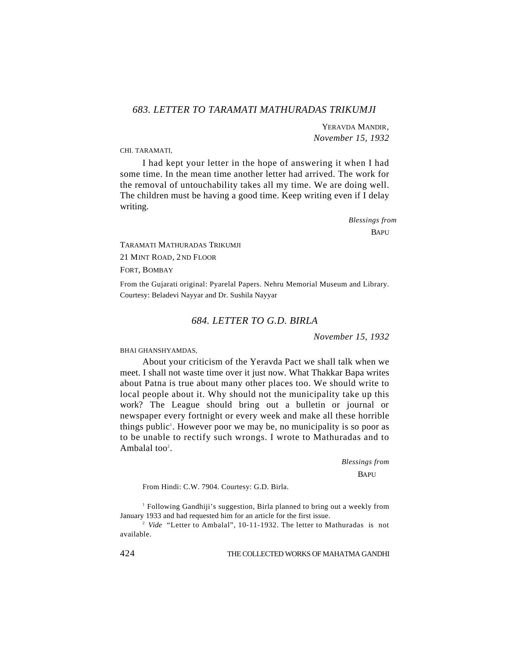## *683. LETTER TO TARAMATI MATHURADAS TRIKUMJI*

YERAVDA MANDIR, *November 15, 1932*

CHI. TARAMATI,

I had kept your letter in the hope of answering it when I had some time. In the mean time another letter had arrived. The work for the removal of untouchability takes all my time. We are doing well. The children must be having a good time. Keep writing even if I delay writing.

> *Blessings from* **BAPU**

TARAMATI MATHURADAS TRIKUMJI 21 MINT ROAD, 2ND FLOOR FORT, BOMBAY

From the Gujarati original: Pyarelal Papers. Nehru Memorial Museum and Library. Courtesy: Beladevi Nayyar and Dr. Sushila Nayyar

## *684. LETTER TO G.D. BIRLA*

*November 15, 1932*

BHAI GHANSHYAMDAS,

About your criticism of the Yeravda Pact we shall talk when we meet. I shall not waste time over it just now. What Thakkar Bapa writes about Patna is true about many other places too. We should write to local people about it. Why should not the municipality take up this work? The League should bring out a bulletin or journal or newspaper every fortnight or every week and make all these horrible things public<sup>1</sup>. However poor we may be, no municipality is so poor as to be unable to rectify such wrongs. I wrote to Mathuradas and to Ambalal too $2$ .

 *Blessings from*

**BAPU** 

From Hindi: C.W. 7904. Courtesy: G.D. Birla.

<sup>1</sup> Following Gandhiji's suggestion, Birla planned to bring out a weekly from January 1933 and had requested him for an article for the first issue.

<sup>2</sup> *Vide* "Letter to Ambalal", 10-11-1932. The letter to Mathuradas is not available.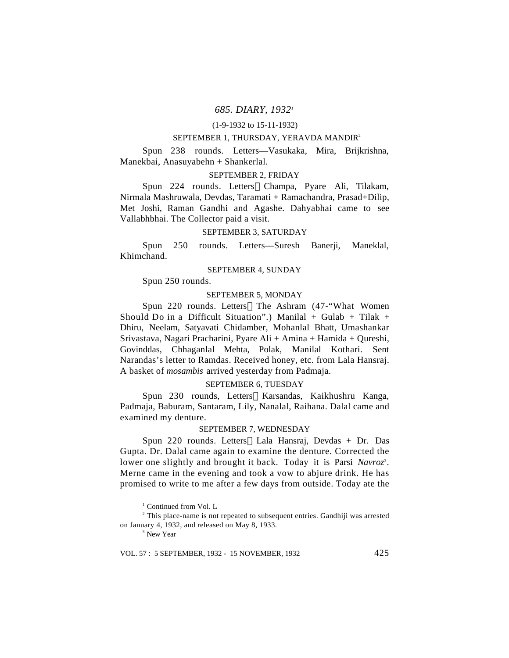### *685. DIARY, 1932<sup>1</sup>*

#### (1-9-1932 to 15-11-1932)

#### SEPTEMBER 1, THURSDAY, YERAVDA MANDIR<sup>2</sup>

Spun 238 rounds. Letters—Vasukaka, Mira, Brijkrishna, Manekbai, Anasuyabehn + Shankerlal.

#### SEPTEMBER 2, FRIDAY

Spun 224 rounds. Letters Champa, Pyare Ali, Tilakam, Nirmala Mashruwala, Devdas, Taramati + Ramachandra, Prasad+Dilip, Met Joshi, Raman Gandhi and Agashe. Dahyabhai came to see Vallabhbhai. The Collector paid a visit.

#### SEPTEMBER 3, SATURDAY

Spun 250 rounds. Letters—Suresh Banerji, Maneklal, Khimchand.

#### SEPTEMBER 4, SUNDAY

Spun 250 rounds.

### SEPTEMBER 5, MONDAY

Spun 220 rounds. Letters The Ashram (47-"What Women Should Do in a Difficult Situation".) Manilal  $+$  Gulab  $+$  Tilak  $+$ Dhiru, Neelam, Satyavati Chidamber, Mohanlal Bhatt, Umashankar Srivastava, Nagari Pracharini, Pyare Ali + Amina + Hamida + Qureshi, Govinddas, Chhaganlal Mehta, Polak, Manilal Kothari. Sent Narandas's letter to Ramdas. Received honey, etc. from Lala Hansraj. A basket of *mosambis* arrived yesterday from Padmaja.

#### SEPTEMBER 6, TUESDAY

Spun 230 rounds, Letters Karsandas, Kaikhushru Kanga, Padmaja, Baburam, Santaram, Lily, Nanalal, Raihana. Dalal came and examined my denture.

#### SEPTEMBER 7, WEDNESDAY

Spun 220 rounds. Letters Lala Hansraj, Devdas + Dr. Das Gupta. Dr. Dalal came again to examine the denture. Corrected the lower one slightly and brought it back. Today it is Parsi Navroz<sup>3</sup>. Merne came in the evening and took a vow to abjure drink. He has promised to write to me after a few days from outside. Today ate the

<sup>1</sup> Continued from Vol. L

 $2$  This place-name is not repeated to subsequent entries. Gandhiji was arrested on January 4, 1932, and released on May 8, 1933.

<sup>3</sup> New Year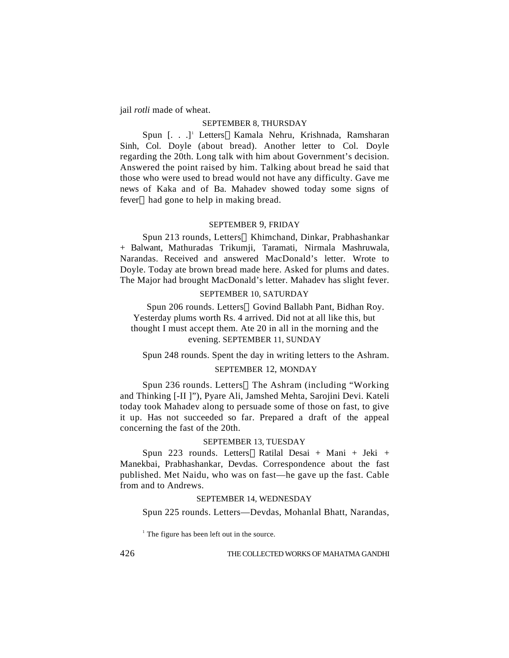jail *rotli* made of wheat.

### SEPTEMBER 8, THURSDAY

Spun [. . .]<sup>1</sup> Letters Kamala Nehru, Krishnada, Ramsharan Sinh, Col. Doyle (about bread). Another letter to Col. Doyle regarding the 20th. Long talk with him about Government's decision. Answered the point raised by him. Talking about bread he said that those who were used to bread would not have any difficulty. Gave me news of Kaka and of Ba. Mahadev showed today some signs of fever had gone to help in making bread.

### SEPTEMBER 9, FRIDAY

Spun 213 rounds, Letters Khimchand, Dinkar, Prabhashankar + Balwant, Mathuradas Trikumji, Taramati, Nirmala Mashruwala, Narandas. Received and answered MacDonald's letter. Wrote to Doyle. Today ate brown bread made here. Asked for plums and dates. The Major had brought MacDonald's letter. Mahadev has slight fever.

### SEPTEMBER 10, SATURDAY

Spun 206 rounds. Letters Govind Ballabh Pant, Bidhan Roy. Yesterday plums worth Rs. 4 arrived. Did not at all like this, but thought I must accept them. Ate 20 in all in the morning and the evening. SEPTEMBER 11, SUNDAY

Spun 248 rounds. Spent the day in writing letters to the Ashram.

## SEPTEMBER 12, MONDAY

Spun 236 rounds. Letters The Ashram (including "Working and Thinking [-II ]"), Pyare Ali, Jamshed Mehta, Sarojini Devi. Kateli today took Mahadev along to persuade some of those on fast, to give it up. Has not succeeded so far. Prepared a draft of the appeal concerning the fast of the 20th.

### SEPTEMBER 13, TUESDAY

Spun 223 rounds. Letters Ratilal Desai + Mani + Jeki + Manekbai, Prabhashankar, Devdas. Correspondence about the fast published. Met Naidu, who was on fast—he gave up the fast. Cable from and to Andrews.

### SEPTEMBER 14, WEDNESDAY

Spun 225 rounds. Letters—Devdas, Mohanlal Bhatt, Narandas,

<sup>1</sup> The figure has been left out in the source.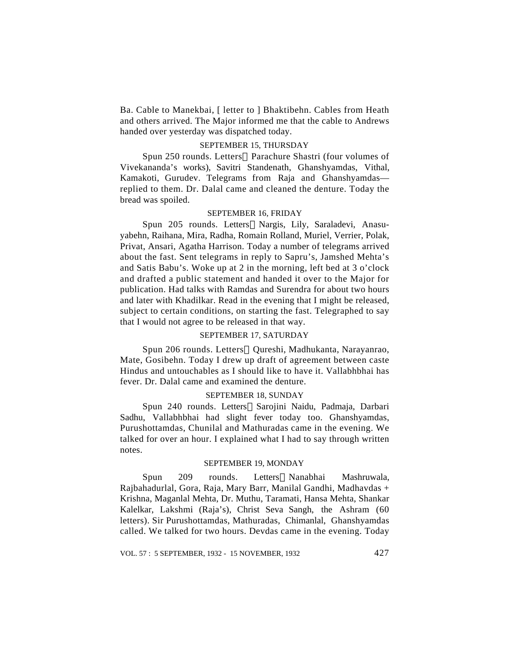Ba. Cable to Manekbai, [ letter to ] Bhaktibehn. Cables from Heath and others arrived. The Major informed me that the cable to Andrews handed over yesterday was dispatched today.

### SEPTEMBER 15, THURSDAY

Spun 250 rounds. Letters Parachure Shastri (four volumes of Vivekananda's works), Savitri Standenath, Ghanshyamdas, Vithal, Kamakoti, Gurudev. Telegrams from Raja and Ghanshyamdas replied to them. Dr. Dalal came and cleaned the denture. Today the bread was spoiled.

### SEPTEMBER 16, FRIDAY

Spun 205 rounds. Letters Nargis, Lily, Saraladevi, Anasuyabehn, Raihana, Mira, Radha, Romain Rolland, Muriel, Verrier, Polak, Privat, Ansari, Agatha Harrison. Today a number of telegrams arrived about the fast. Sent telegrams in reply to Sapru's, Jamshed Mehta's and Satis Babu's. Woke up at 2 in the morning, left bed at 3 o'clock and drafted a public statement and handed it over to the Major for publication. Had talks with Ramdas and Surendra for about two hours and later with Khadilkar. Read in the evening that I might be released, subject to certain conditions, on starting the fast. Telegraphed to say that I would not agree to be released in that way.

## SEPTEMBER 17, SATURDAY

Spun 206 rounds. Letters Oureshi, Madhukanta, Narayanrao, Mate, Gosibehn. Today I drew up draft of agreement between caste Hindus and untouchables as I should like to have it. Vallabhbhai has fever. Dr. Dalal came and examined the denture.

### SEPTEMBER 18, SUNDAY

Spun 240 rounds. Letters Sarojini Naidu, Padmaja, Darbari Sadhu, Vallabhbhai had slight fever today too. Ghanshyamdas, Purushottamdas, Chunilal and Mathuradas came in the evening. We talked for over an hour. I explained what I had to say through written notes.

### SEPTEMBER 19, MONDAY

Spun 209 rounds. Letters Nanabhai Mashruwala, Rajbahadurlal, Gora, Raja, Mary Barr, Manilal Gandhi, Madhavdas + Krishna, Maganlal Mehta, Dr. Muthu, Taramati, Hansa Mehta, Shankar Kalelkar, Lakshmi (Raja's), Christ Seva Sangh, the Ashram (60 letters). Sir Purushottamdas, Mathuradas, Chimanlal, Ghanshyamdas called. We talked for two hours. Devdas came in the evening. Today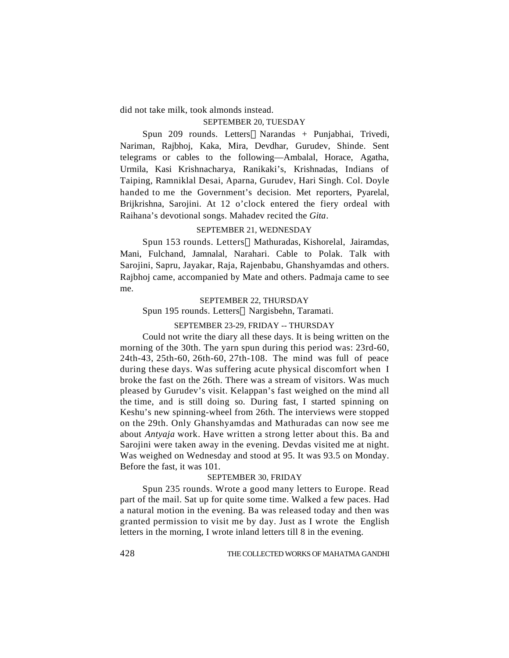did not take milk, took almonds instead.

#### SEPTEMBER 20, TUESDAY

Spun 209 rounds. Letters Narandas + Punjabhai, Trivedi, Nariman, Rajbhoj, Kaka, Mira, Devdhar, Gurudev, Shinde. Sent telegrams or cables to the following—Ambalal, Horace, Agatha, Urmila, Kasi Krishnacharya, Ranikaki's, Krishnadas, Indians of Taiping, Ramniklal Desai, Aparna, Gurudev, Hari Singh. Col. Doyle handed to me the Government's decision. Met reporters, Pyarelal, Brijkrishna, Sarojini. At 12 o'clock entered the fiery ordeal with Raihana's devotional songs. Mahadev recited the *Gita*.

### SEPTEMBER 21, WEDNESDAY

Spun 153 rounds. Letters Mathuradas, Kishorelal, Jairamdas, Mani, Fulchand, Jamnalal, Narahari. Cable to Polak. Talk with Sarojini, Sapru, Jayakar, Raja, Rajenbabu, Ghanshyamdas and others. Rajbhoj came, accompanied by Mate and others. Padmaja came to see me.

### SEPTEMBER 22, THURSDAY

Spun 195 rounds. Letters Nargisbehn, Taramati.

### SEPTEMBER 23-29, FRIDAY -- THURSDAY

Could not write the diary all these days. It is being written on the morning of the 30th. The yarn spun during this period was: 23rd-60, 24th-43, 25th-60, 26th-60, 27th-108. The mind was full of peace during these days. Was suffering acute physical discomfort when I broke the fast on the 26th. There was a stream of visitors. Was much pleased by Gurudev's visit. Kelappan's fast weighed on the mind all the time, and is still doing so. During fast, I started spinning on Keshu's new spinning-wheel from 26th. The interviews were stopped on the 29th. Only Ghanshyamdas and Mathuradas can now see me about *Antyaja* work. Have written a strong letter about this. Ba and Sarojini were taken away in the evening. Devdas visited me at night. Was weighed on Wednesday and stood at 95. It was 93.5 on Monday. Before the fast, it was 101.

#### SEPTEMBER 30, FRIDAY

Spun 235 rounds. Wrote a good many letters to Europe. Read part of the mail. Sat up for quite some time. Walked a few paces. Had a natural motion in the evening. Ba was released today and then was granted permission to visit me by day. Just as I wrote the English letters in the morning, I wrote inland letters till 8 in the evening.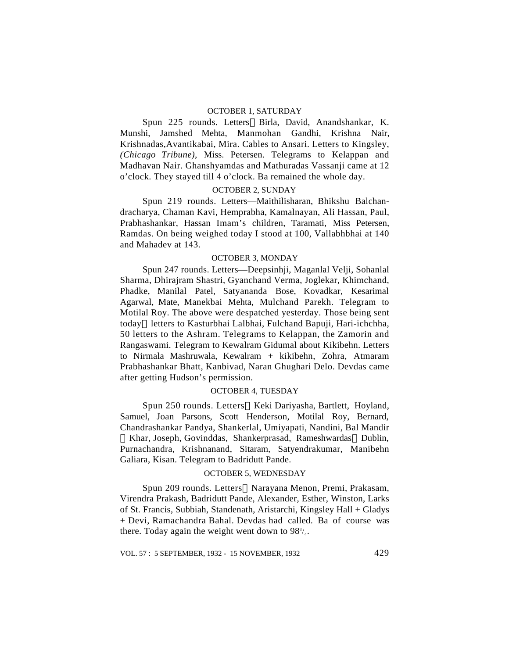#### OCTOBER 1, SATURDAY

Spun 225 rounds. Letters Birla, David, Anandshankar, K. Munshi, Jamshed Mehta, Manmohan Gandhi, Krishna Nair, Krishnadas,Avantikabai, Mira. Cables to Ansari. Letters to Kingsley, *(Chicago Tribune),* Miss. Petersen. Telegrams to Kelappan and Madhavan Nair. Ghanshyamdas and Mathuradas Vassanji came at 12 o'clock. They stayed till 4 o'clock. Ba remained the whole day.

#### OCTOBER 2, SUNDAY

Spun 219 rounds. Letters—Maithilisharan, Bhikshu Balchandracharya, Chaman Kavi, Hemprabha, Kamalnayan, Ali Hassan, Paul, Prabhashankar, Hassan Imam's children, Taramati, Miss Petersen, Ramdas. On being weighed today I stood at 100, Vallabhbhai at 140 and Mahadev at 143.

#### OCTOBER 3, MONDAY

Spun 247 rounds. Letters—Deepsinhji, Maganlal Velji, Sohanlal Sharma, Dhirajram Shastri, Gyanchand Verma, Joglekar, Khimchand, Phadke, Manilal Patel, Satyananda Bose, Kovadkar, Kesarimal Agarwal, Mate, Manekbai Mehta, Mulchand Parekh. Telegram to Motilal Roy. The above were despatched yesterday. Those being sent today letters to Kasturbhai Lalbhai, Fulchand Bapuji, Hari-ichchha, 50 letters to the Ashram. Telegrams to Kelappan, the Zamorin and Rangaswami. Telegram to Kewalram Gidumal about Kikibehn. Letters to Nirmala Mashruwala, Kewalram + kikibehn, Zohra, Atmaram Prabhashankar Bhatt, Kanbivad, Naran Ghughari Delo. Devdas came after getting Hudson's permission.

#### OCTOBER 4, TUESDAY

Spun 250 rounds. Letters Keki Dariyasha, Bartlett, Hoyland, Samuel, Joan Parsons, Scott Henderson, Motilal Roy, Bernard, Chandrashankar Pandya, Shankerlal, Umiyapati, Nandini, Bal Mandir

Khar, Joseph, Govinddas, Shankerprasad, Rameshwardas Dublin, Purnachandra, Krishnanand, Sitaram, Satyendrakumar, Manibehn Galiara, Kisan. Telegram to Badridutt Pande.

#### OCTOBER 5, WEDNESDAY

Spun 209 rounds. Letters Narayana Menon, Premi, Prakasam, Virendra Prakash, Badridutt Pande, Alexander, Esther, Winston, Larks of St. Francis, Subbiah, Standenath, Aristarchi, Kingsley Hall + Gladys + Devi, Ramachandra Bahal. Devdas had called. Ba of course was there. Today again the weight went down to  $98\frac{3}{4}$ .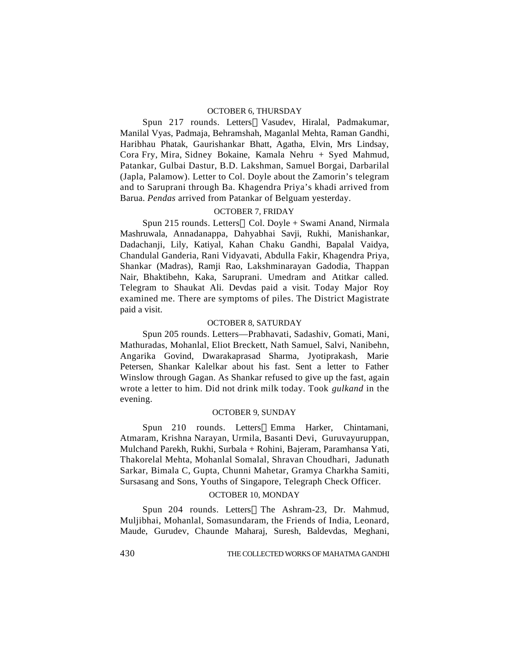#### OCTOBER 6, THURSDAY

Spun 217 rounds. Letters Vasudev, Hiralal, Padmakumar, Manilal Vyas, Padmaja, Behramshah, Maganlal Mehta, Raman Gandhi, Haribhau Phatak, Gaurishankar Bhatt, Agatha, Elvin, Mrs Lindsay, Cora Fry, Mira, Sidney Bokaine, Kamala Nehru + Syed Mahmud, Patankar, Gulbai Dastur, B.D. Lakshman, Samuel Borgai, Darbarilal (Japla, Palamow). Letter to Col. Doyle about the Zamorin's telegram and to Saruprani through Ba. Khagendra Priya's khadi arrived from Barua. *Pendas* arrived from Patankar of Belguam yesterday.

#### OCTOBER 7, FRIDAY

Spun 215 rounds. Letters Col. Doyle + Swami Anand, Nirmala Mashruwala, Annadanappa, Dahyabhai Savji, Rukhi, Manishankar, Dadachanji, Lily, Katiyal, Kahan Chaku Gandhi, Bapalal Vaidya, Chandulal Ganderia, Rani Vidyavati, Abdulla Fakir, Khagendra Priya, Shankar (Madras), Ramji Rao, Lakshminarayan Gadodia, Thappan Nair, Bhaktibehn, Kaka, Saruprani. Umedram and Atitkar called. Telegram to Shaukat Ali. Devdas paid a visit. Today Major Roy examined me. There are symptoms of piles. The District Magistrate paid a visit.

### OCTOBER 8, SATURDAY

Spun 205 rounds. Letters—Prabhavati, Sadashiv, Gomati, Mani, Mathuradas, Mohanlal, Eliot Breckett, Nath Samuel, Salvi, Nanibehn, Angarika Govind, Dwarakaprasad Sharma, Jyotiprakash, Marie Petersen, Shankar Kalelkar about his fast. Sent a letter to Father Winslow through Gagan. As Shankar refused to give up the fast, again wrote a letter to him. Did not drink milk today. Took *gulkand* in the evening.

### OCTOBER 9, SUNDAY

Spun 210 rounds. Letters Emma Harker, Chintamani, Atmaram, Krishna Narayan, Urmila, Basanti Devi, Guruvayuruppan, Mulchand Parekh, Rukhi, Surbala + Rohini, Bajeram, Paramhansa Yati, Thakorelal Mehta, Mohanlal Somalal, Shravan Choudhari, Jadunath Sarkar, Bimala C, Gupta, Chunni Mahetar, Gramya Charkha Samiti, Sursasang and Sons, Youths of Singapore, Telegraph Check Officer.

#### OCTOBER 10, MONDAY

Spun 204 rounds. Letters The Ashram-23, Dr. Mahmud, Muljibhai, Mohanlal, Somasundaram, the Friends of India, Leonard, Maude, Gurudev, Chaunde Maharaj, Suresh, Baldevdas, Meghani,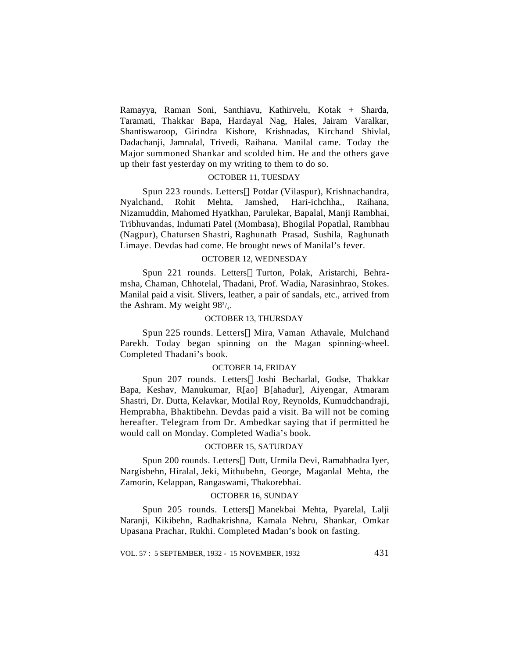Ramayya, Raman Soni, Santhiavu, Kathirvelu, Kotak + Sharda, Taramati, Thakkar Bapa, Hardayal Nag, Hales, Jairam Varalkar, Shantiswaroop, Girindra Kishore, Krishnadas, Kirchand Shivlal, Dadachanji, Jamnalal, Trivedi, Raihana. Manilal came. Today the Major summoned Shankar and scolded him. He and the others gave up their fast yesterday on my writing to them to do so.

#### OCTOBER 11, TUESDAY

Spun 223 rounds. Letters Potdar (Vilaspur), Krishnachandra, Nyalchand, Rohit Mehta, Jamshed, Hari-ichchha,, Raihana, Nizamuddin, Mahomed Hyatkhan, Parulekar, Bapalal, Manji Rambhai, Tribhuvandas, Indumati Patel (Mombasa), Bhogilal Popatlal, Rambhau (Nagpur), Chatursen Shastri, Raghunath Prasad, Sushila, Raghunath Limaye. Devdas had come. He brought news of Manilal's fever.

#### OCTOBER 12, WEDNESDAY

Spun 221 rounds. Letters Turton, Polak, Aristarchi, Behramsha, Chaman, Chhotelal, Thadani, Prof. Wadia, Narasinhrao, Stokes. Manilal paid a visit. Slivers, leather, a pair of sandals, etc., arrived from the Ashram. My weight  $98^{\frac{3}{4}}$ .

#### OCTOBER 13, THURSDAY

Spun 225 rounds. Letters Mira, Vaman Athavale, Mulchand Parekh. Today began spinning on the Magan spinning-wheel. Completed Thadani's book.

### OCTOBER 14, FRIDAY

Spun 207 rounds. Letters Joshi Becharlal, Godse, Thakkar Bapa, Keshav, Manukumar, R[ao] B[ahadur], Aiyengar, Atmaram Shastri, Dr. Dutta, Kelavkar, Motilal Roy, Reynolds, Kumudchandraji, Hemprabha, Bhaktibehn. Devdas paid a visit. Ba will not be coming hereafter. Telegram from Dr. Ambedkar saying that if permitted he would call on Monday. Completed Wadia's book.

### OCTOBER 15, SATURDAY

Spun 200 rounds. Letters Dutt, Urmila Devi, Ramabhadra Iyer, Nargisbehn, Hiralal, Jeki, Mithubehn, George, Maganlal Mehta, the Zamorin, Kelappan, Rangaswami, Thakorebhai.

### OCTOBER 16, SUNDAY

Spun 205 rounds. Letters Manekbai Mehta, Pyarelal, Lalji Naranji, Kikibehn, Radhakrishna, Kamala Nehru, Shankar, Omkar Upasana Prachar, Rukhi. Completed Madan's book on fasting.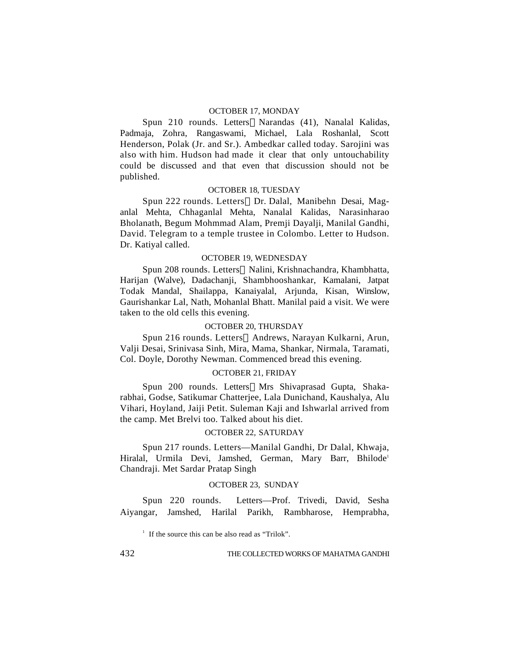#### OCTOBER 17, MONDAY

Spun 210 rounds. Letters Narandas (41), Nanalal Kalidas, Padmaja, Zohra, Rangaswami, Michael, Lala Roshanlal, Scott Henderson, Polak (Jr. and Sr.). Ambedkar called today. Sarojini was also with him. Hudson had made it clear that only untouchability could be discussed and that even that discussion should not be published.

#### OCTOBER 18, TUESDAY

Spun 222 rounds. Letters Dr. Dalal, Manibehn Desai, Maganlal Mehta, Chhaganlal Mehta, Nanalal Kalidas, Narasinharao Bholanath, Begum Mohmmad Alam, Premji Dayalji, Manilal Gandhi, David. Telegram to a temple trustee in Colombo. Letter to Hudson. Dr. Katiyal called.

#### OCTOBER 19, WEDNESDAY

Spun 208 rounds. Letters Nalini, Krishnachandra, Khambhatta, Harijan (Walve), Dadachanji, Shambhooshankar, Kamalani, Jatpat Todak Mandal, Shailappa, Kanaiyalal, Arjunda, Kisan, Winslow, Gaurishankar Lal, Nath, Mohanlal Bhatt. Manilal paid a visit. We were taken to the old cells this evening.

#### OCTOBER 20, THURSDAY

Spun 216 rounds. Letters Andrews, Narayan Kulkarni, Arun, Valji Desai, Srinivasa Sinh, Mira, Mama, Shankar, Nirmala, Taramati, Col. Doyle, Dorothy Newman. Commenced bread this evening.

## OCTOBER 21, FRIDAY

Spun 200 rounds. Letters Mrs Shivaprasad Gupta, Shakarabhai, Godse, Satikumar Chatterjee, Lala Dunichand, Kaushalya, Alu Vihari, Hoyland, Jaiji Petit. Suleman Kaji and Ishwarlal arrived from the camp. Met Brelvi too. Talked about his diet.

#### OCTOBER 22*,* SATURDAY

Spun 217 rounds. Letters—Manilal Gandhi, Dr Dalal, Khwaja, Hiralal, Urmila Devi, Jamshed, German, Mary Barr, Bhilode<sup>1</sup> Chandraji. Met Sardar Pratap Singh

#### OCTOBER 23, SUNDAY

Spun 220 rounds. Letters—Prof. Trivedi, David, Sesha Aiyangar, Jamshed, Harilal Parikh, Rambharose, Hemprabha,

<sup>1</sup> If the source this can be also read as "Trilok".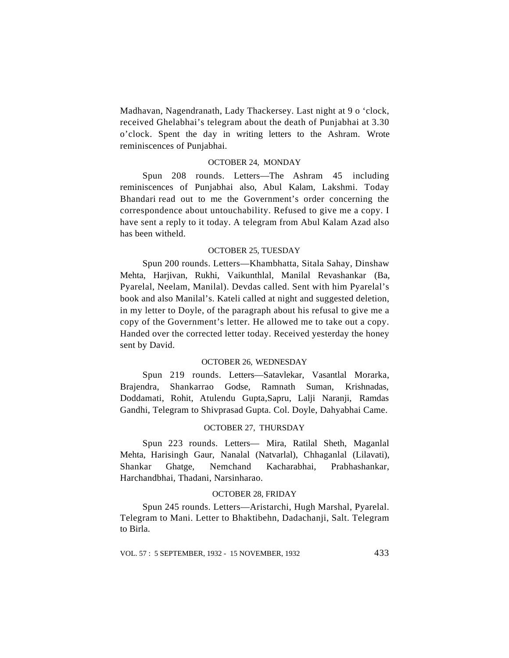Madhavan, Nagendranath, Lady Thackersey. Last night at 9 o 'clock, received Ghelabhai's telegram about the death of Punjabhai at 3.30 o'clock. Spent the day in writing letters to the Ashram. Wrote reminiscences of Punjabhai.

## OCTOBER 24, MONDAY

Spun 208 rounds. Letters—The Ashram 45 including reminiscences of Punjabhai also, Abul Kalam, Lakshmi. Today Bhandari read out to me the Government's order concerning the correspondence about untouchability. Refused to give me a copy. I have sent a reply to it today. A telegram from Abul Kalam Azad also has been witheld.

# OCTOBER 25, TUESDAY

Spun 200 rounds. Letters—Khambhatta, Sitala Sahay, Dinshaw Mehta, Harjivan, Rukhi, Vaikunthlal, Manilal Revashankar (Ba, Pyarelal, Neelam, Manilal). Devdas called. Sent with him Pyarelal's book and also Manilal's. Kateli called at night and suggested deletion, in my letter to Doyle, of the paragraph about his refusal to give me a copy of the Government's letter. He allowed me to take out a copy. Handed over the corrected letter today. Received yesterday the honey sent by David.

# OCTOBER 26*,* WEDNESDAY

Spun 219 rounds. Letters—Satavlekar, Vasantlal Morarka, Brajendra, Shankarrao Godse, Ramnath Suman, Krishnadas, Doddamati, Rohit, Atulendu Gupta,Sapru, Lalji Naranji, Ramdas Gandhi, Telegram to Shivprasad Gupta. Col. Doyle, Dahyabhai Came.

# OCTOBER 27, THURSDAY

Spun 223 rounds. Letters— Mira, Ratilal Sheth, Maganlal Mehta, Harisingh Gaur, Nanalal (Natvarlal), Chhaganlal (Lilavati), Shankar Ghatge, Nemchand Kacharabhai, Prabhashankar, Harchandbhai, Thadani, Narsinharao.

#### OCTOBER 28, FRIDAY

Spun 245 rounds. Letters—Aristarchi, Hugh Marshal, Pyarelal. Telegram to Mani. Letter to Bhaktibehn, Dadachanji, Salt. Telegram to Birla.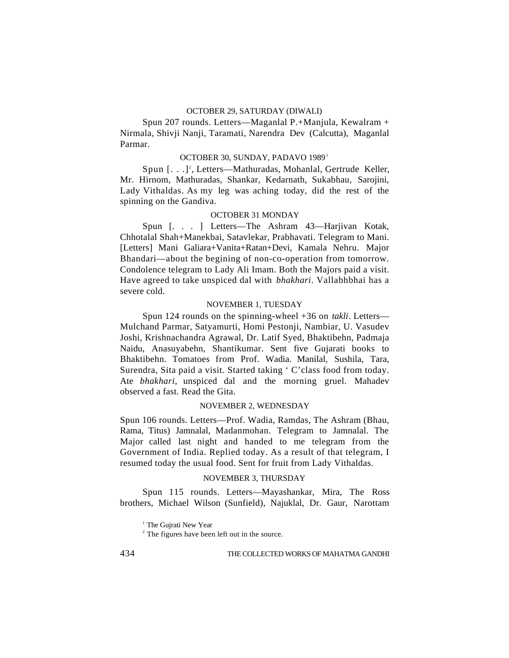## OCTOBER 29, SATURDAY (DIWALI)

Spun 207 rounds. Letters—Maganlal P.+Manjula, Kewalram + Nirmala, Shivji Nanji, Taramati, Narendra Dev (Calcutta), Maganlal Parmar.

#### OCTOBER 30, SUNDAY, PADAVO 1989<sup>1</sup>

Spun [...]<sup>2</sup>, Letters—Mathuradas, Mohanlal, Gertrude Keller, Mr. Hirnom, Mathuradas, Shankar, Kedarnath, Sukabhau, Sarojini, Lady Vithaldas. As my leg was aching today, did the rest of the spinning on the Gandiva.

#### OCTOBER 31 MONDAY

Spun [. . . ] Letters—The Ashram 43—Harjivan Kotak, Chhotalal Shah+Manekbai, Satavlekar, Prabhavati. Telegram to Mani. [Letters] Mani Galiara+Vanita+Ratan+Devi, Kamala Nehru. Major Bhandari—about the begining of non-co-operation from tomorrow. Condolence telegram to Lady Ali Imam. Both the Majors paid a visit. Have agreed to take unspiced dal with *bhakhari*. Vallabhbhai has a severe cold.

## NOVEMBER 1, TUESDAY

Spun 124 rounds on the spinning-wheel +36 on *takli*. Letters— Mulchand Parmar, Satyamurti, Homi Pestonji, Nambiar, U. Vasudev Joshi, Krishnachandra Agrawal, Dr. Latif Syed, Bhaktibehn, Padmaja Naidu, Anasuyabehn, Shantikumar. Sent five Gujarati books to Bhaktibehn. Tomatoes from Prof. Wadia. Manilal, Sushila, Tara, Surendra, Sita paid a visit. Started taking ' C'class food from today. Ate *bhakhari*, unspiced dal and the morning gruel. Mahadev observed a fast. Read the Gita.

## NOVEMBER 2, WEDNESDAY

Spun 106 rounds. Letters—Prof. Wadia, Ramdas, The Ashram (Bhau, Rama, Titus) Jamnalal, Madanmohan. Telegram to Jamnalal. The Major called last night and handed to me telegram from the Government of India. Replied today. As a result of that telegram, I resumed today the usual food. Sent for fruit from Lady Vithaldas.

#### NOVEMBER 3, THURSDAY

Spun 115 rounds. Letters—Mayashankar, Mira, The Ross brothers, Michael Wilson (Sunfield), Najuklal, Dr. Gaur, Narottam

<sup>1</sup> The Gujrati New Year

<sup>2</sup> The figures have been left out in the source.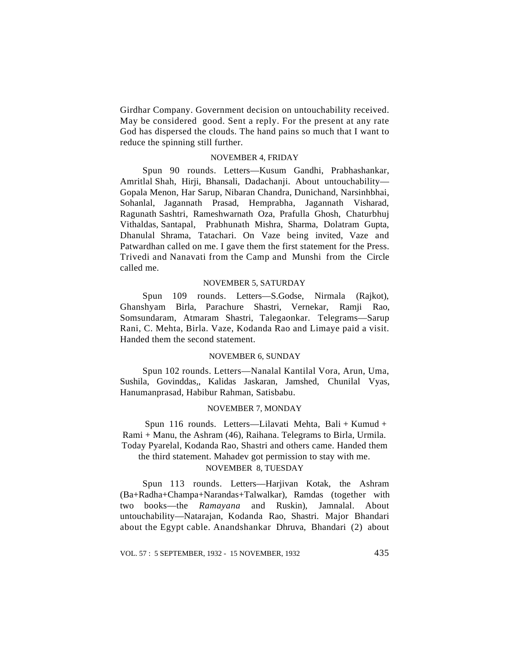Girdhar Company. Government decision on untouchability received. May be considered good. Sent a reply. For the present at any rate God has dispersed the clouds. The hand pains so much that I want to reduce the spinning still further.

#### NOVEMBER 4, FRIDAY

Spun 90 rounds. Letters—Kusum Gandhi, Prabhashankar, Amritlal Shah, Hirji, Bhansali, Dadachanji. About untouchability— Gopala Menon, Har Sarup, Nibaran Chandra, Dunichand, Narsinhbhai, Sohanlal, Jagannath Prasad, Hemprabha, Jagannath Visharad, Ragunath Sashtri, Rameshwarnath Oza, Prafulla Ghosh, Chaturbhuj Vithaldas, Santapal, Prabhunath Mishra, Sharma, Dolatram Gupta, Dhanulal Shrama, Tatachari. On Vaze being invited, Vaze and Patwardhan called on me. I gave them the first statement for the Press. Trivedi and Nanavati from the Camp and Munshi from the Circle called me.

## NOVEMBER 5, SATURDAY

Spun 109 rounds. Letters—S.Godse, Nirmala (Rajkot), Ghanshyam Birla, Parachure Shastri, Vernekar, Ramji Rao, Somsundaram, Atmaram Shastri, Talegaonkar. Telegrams—Sarup Rani, C. Mehta, Birla. Vaze, Kodanda Rao and Limaye paid a visit. Handed them the second statement.

#### NOVEMBER 6, SUNDAY

Spun 102 rounds. Letters—Nanalal Kantilal Vora, Arun, Uma, Sushila, Govinddas,, Kalidas Jaskaran, Jamshed, Chunilal Vyas, Hanumanprasad, Habibur Rahman, Satisbabu.

#### NOVEMBER 7, MONDAY

Spun 116 rounds. Letters—Lilavati Mehta, Bali + Kumud + Rami + Manu, the Ashram (46), Raihana. Telegrams to Birla, Urmila. Today Pyarelal, Kodanda Rao, Shastri and others came. Handed them the third statement. Mahadev got permission to stay with me. NOVEMBER 8, TUESDAY

Spun 113 rounds. Letters—Harjivan Kotak, the Ashram (Ba+Radha+Champa+Narandas+Talwalkar), Ramdas (together with two books—the *Ramayana* and Ruskin), Jamnalal. About untouchability—Natarajan, Kodanda Rao, Shastri. Major Bhandari about the Egypt cable. Anandshankar Dhruva, Bhandari (2) about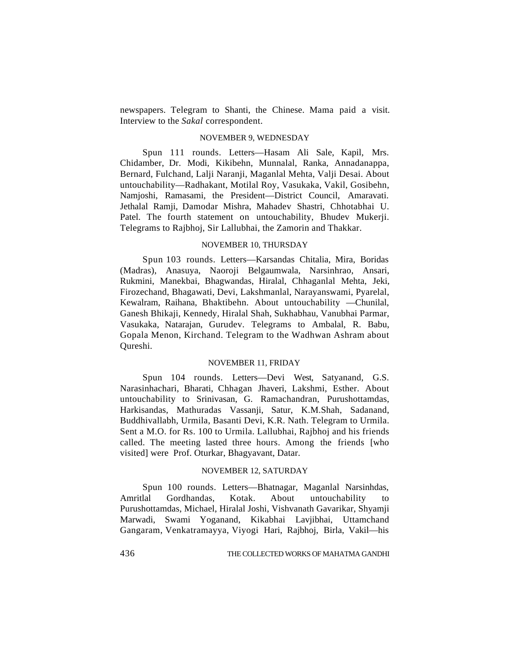newspapers. Telegram to Shanti, the Chinese. Mama paid a visit. Interview to the *Sakal* correspondent.

## NOVEMBER 9, WEDNESDAY

Spun 111 rounds. Letters—Hasam Ali Sale, Kapil, Mrs. Chidamber, Dr. Modi, Kikibehn, Munnalal, Ranka, Annadanappa, Bernard, Fulchand, Lalji Naranji, Maganlal Mehta, Valji Desai. About untouchability—Radhakant, Motilal Roy, Vasukaka, Vakil, Gosibehn, Namjoshi, Ramasami, the President—District Council, Amaravati. Jethalal Ramji, Damodar Mishra, Mahadev Shastri, Chhotabhai U. Patel. The fourth statement on untouchability, Bhudev Mukerji. Telegrams to Rajbhoj, Sir Lallubhai, the Zamorin and Thakkar.

## NOVEMBER 10, THURSDAY

Spun 103 rounds. Letters—Karsandas Chitalia, Mira, Boridas (Madras), Anasuya, Naoroji Belgaumwala, Narsinhrao, Ansari, Rukmini, Manekbai, Bhagwandas, Hiralal, Chhaganlal Mehta, Jeki, Firozechand, Bhagawati, Devi, Lakshmanlal, Narayanswami, Pyarelal, Kewalram, Raihana, Bhaktibehn. About untouchability —Chunilal, Ganesh Bhikaji, Kennedy, Hiralal Shah, Sukhabhau, Vanubhai Parmar, Vasukaka, Natarajan, Gurudev. Telegrams to Ambalal, R. Babu, Gopala Menon, Kirchand. Telegram to the Wadhwan Ashram about Qureshi.

## NOVEMBER 11, FRIDAY

Spun 104 rounds. Letters—Devi West, Satyanand, G.S. Narasinhachari, Bharati, Chhagan Jhaveri, Lakshmi, Esther. About untouchability to Srinivasan, G. Ramachandran, Purushottamdas, Harkisandas, Mathuradas Vassanji, Satur, K.M.Shah, Sadanand, Buddhivallabh, Urmila, Basanti Devi, K.R. Nath. Telegram to Urmila. Sent a M.O. for Rs. 100 to Urmila. Lallubhai, Rajbhoj and his friends called. The meeting lasted three hours. Among the friends [who visited] were Prof. Oturkar, Bhagyavant, Datar.

#### NOVEMBER 12, SATURDAY

Spun 100 rounds. Letters—Bhatnagar, Maganlal Narsinhdas, Amritlal Gordhandas, Kotak. About untouchability to Purushottamdas, Michael, Hiralal Joshi, Vishvanath Gavarikar, Shyamji Marwadi, Swami Yoganand, Kikabhai Lavjibhai, Uttamchand Gangaram, Venkatramayya, Viyogi Hari, Rajbhoj, Birla, Vakil—his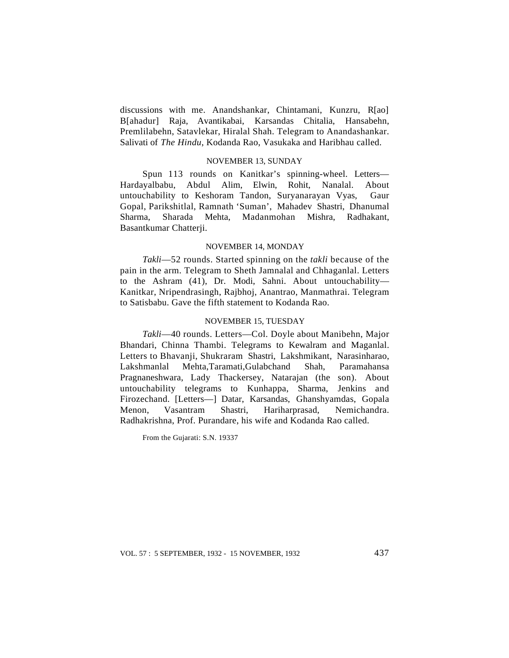discussions with me. Anandshankar, Chintamani, Kunzru, R[ao] B[ahadur] Raja, Avantikabai, Karsandas Chitalia, Hansabehn, Premlilabehn, Satavlekar, Hiralal Shah. Telegram to Anandashankar. Salivati of *The Hindu*, Kodanda Rao, Vasukaka and Haribhau called.

## NOVEMBER 13, SUNDAY

Spun 113 rounds on Kanitkar's spinning-wheel. Letters— Hardayalbabu, Abdul Alim, Elwin, Rohit, Nanalal. About untouchability to Keshoram Tandon, Suryanarayan Vyas, Gaur Gopal, Parikshitlal, Ramnath 'Suman', Mahadev Shastri, Dhanumal Sharma, Sharada Mehta, Madanmohan Mishra, Radhakant, Basantkumar Chatterji.

## NOVEMBER 14, MONDAY

*Takli*—52 rounds. Started spinning on the *takli* because of the pain in the arm. Telegram to Sheth Jamnalal and Chhaganlal. Letters to the Ashram (41), Dr. Modi, Sahni. About untouchability— Kanitkar, Nripendrasingh, Rajbhoj, Anantrao, Manmathrai. Telegram to Satisbabu. Gave the fifth statement to Kodanda Rao.

#### NOVEMBER 15, TUESDAY

*Takli*—40 rounds. Letters—Col. Doyle about Manibehn, Major Bhandari, Chinna Thambi. Telegrams to Kewalram and Maganlal. Letters to Bhavanii, Shukraram Shastri, Lakshmikant, Narasinharao, Lakshmanlal Mehta,Taramati,Gulabchand Shah, Paramahansa Pragnaneshwara, Lady Thackersey, Natarajan (the son). About untouchability telegrams to Kunhappa, Sharma, Jenkins and Firozechand. [Letters—] Datar, Karsandas, Ghanshyamdas, Gopala Menon, Vasantram Shastri, Hariharprasad, Nemichandra. Radhakrishna, Prof. Purandare, his wife and Kodanda Rao called.

From the Gujarati: S.N. 19337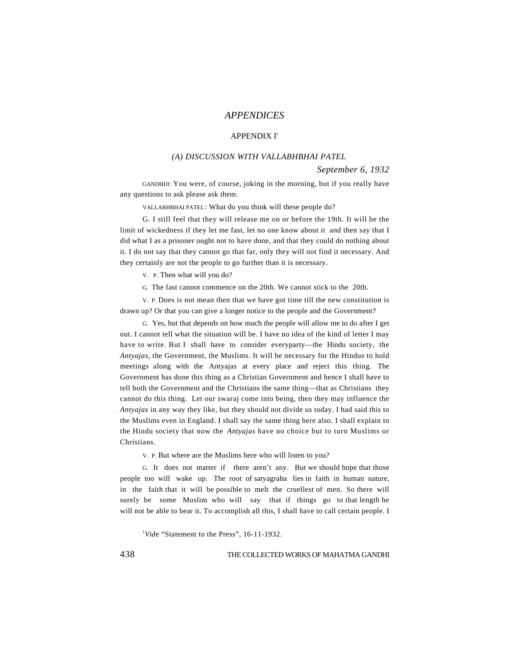# *APPENDICES*

## APPENDIX I<sup>1</sup>

# *(A) DISCUSSION WITH VALLABHBHAI PATEL September 6, 1932*

GANDHIJI: You were, of course, joking in the morning, but if you really have any questions to ask please ask them.

VALLABHBHAI PATEL : What do you think will these people do?

G. I still feel that they will release me on or before the 19th. It will be the limit of wickedness if they let me fast, let no one know about it and then say that I did what I as a prisoner ought not to have done, and that they could do nothing about it. I do not say that they cannot go that far, only they will not find it necessary. And they certainly are not the people to go further than it is necessary.

V. P. Then what will you do?

G. The fast cannot commence on the 20th. We cannot stick to the 20th.

V. P. Does is not mean then that we have got time till the new constitution is drawn up? Or that you can give a longer notice to the people and the Government?

G. Yes, but that depends on how much the people will allow me to do after I get out. I cannot tell what the situation will be. I have no idea of the kind of letter I may have to write. But I shall have to consider everyparty—the Hindu society, the *Antyajas*, the Government, the Muslims. It will be necessary for the Hindus to hold meetings along with the Antyajas at every place and reject this thing. The Government has done this thing as a Christian Government and hence I shall have to tell both the Government and the Christians the same thing—that as Christians they cannot do this thing. Let our swaraj come into being, then they may influence the *Antyajas* in any way they like, but they should not divide us today. I had said this to the Muslims even in England. I shall say the same thing here also. I shall explain to the Hindu society that now the *Antyajas* have no choice but to turn Muslims or Christians.

V. P. But where are the Muslims here who will listen to you?

G. It does not matter if there aren't any. But we should hope that those people too will wake up. The root of satyagraha lies in faith in human nature, in the faith that it will be possible to melt the cruellest of men. So there will surely be some Muslim who will say that if things go to that length he will not be able to bear it. To accomplish all this, I shall have to call certain people. I

<sup>1</sup>Vide "Statement to the Press", 16-11-1932.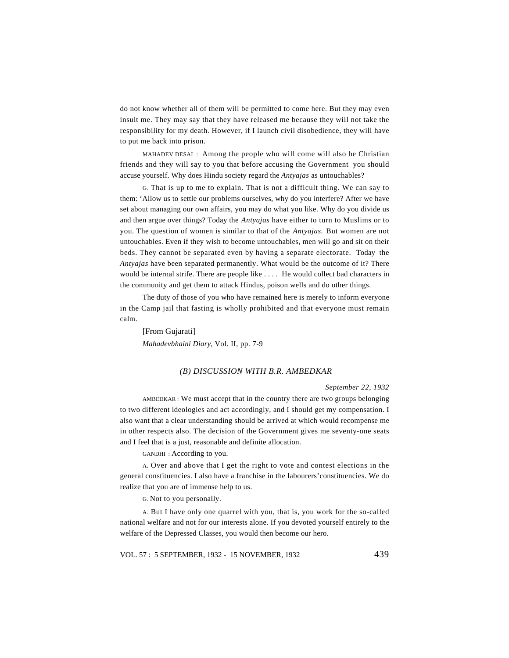do not know whether all of them will be permitted to come here. But they may even insult me. They may say that they have released me because they will not take the responsibility for my death. However, if I launch civil disobedience, they will have to put me back into prison.

MAHADEV DESAI : Among the people who will come will also be Christian friends and they will say to you that before accusing the Government you should accuse yourself. Why does Hindu society regard the *Antyajas* as untouchables?

G. That is up to me to explain. That is not a difficult thing. We can say to them: 'Allow us to settle our problems ourselves, why do you interfere? After we have set about managing our own affairs, you may do what you like. Why do you divide us and then argue over things? Today the *Antyajas* have either to turn to Muslims or to you. The question of women is similar to that of the *Antyajas.* But women are not untouchables. Even if they wish to become untouchables, men will go and sit on their beds. They cannot be separated even by having a separate electorate. Today the *Antyajas* have been separated permanently. What would be the outcome of it? There would be internal strife. There are people like . . . . He would collect bad characters in the community and get them to attack Hindus, poison wells and do other things.

The duty of those of you who have remained here is merely to inform everyone in the Camp jail that fasting is wholly prohibited and that everyone must remain calm.

[From Gujarati] *Mahadevbhaini Diary,* Vol. II, pp. 7-9

#### *(B) DISCUSSION WITH B.R. AMBEDKAR*

#### *September 22, 1932*

AMBEDKAR : We must accept that in the country there are two groups belonging to two different ideologies and act accordingly, and I should get my compensation. I also want that a clear understanding should be arrived at which would recompense me in other respects also. The decision of the Government gives me seventy-one seats and I feel that is a just, reasonable and definite allocation.

GANDHI : According to you.

A. Over and above that I get the right to vote and contest elections in the general constituencies. I also have a franchise in the labourers'constituencies. We do realize that you are of immense help to us.

G. Not to you personally.

A. But I have only one quarrel with you, that is, you work for the so-called national welfare and not for our interests alone. If you devoted yourself entirely to the welfare of the Depressed Classes, you would then become our hero.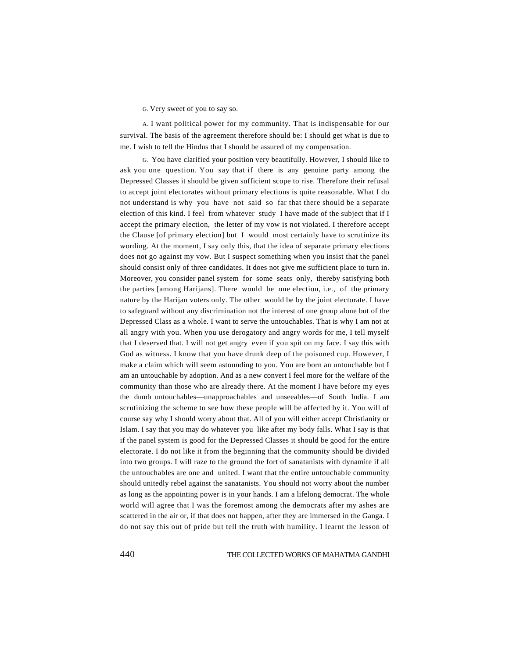G. Very sweet of you to say so.

A. I want political power for my community. That is indispensable for our survival. The basis of the agreement therefore should be: I should get what is due to me. I wish to tell the Hindus that I should be assured of my compensation.

G. You have clarified your position very beautifully. However, I should like to ask you one question. You say that if there is any genuine party among the Depressed Classes it should be given sufficient scope to rise. Therefore their refusal to accept joint electorates without primary elections is quite reasonable. What I do not understand is why you have not said so far that there should be a separate election of this kind. I feel from whatever study I have made of the subject that if I accept the primary election, the letter of my vow is not violated. I therefore accept the Clause [of primary election] but I would most certainly have to scrutinize its wording. At the moment, I say only this, that the idea of separate primary elections does not go against my vow. But I suspect something when you insist that the panel should consist only of three candidates. It does not give me sufficient place to turn in. Moreover, you consider panel system for some seats only, thereby satisfying both the parties [among Harijans]. There would be one election, i.e., of the primary nature by the Harijan voters only. The other would be by the joint electorate. I have to safeguard without any discrimination not the interest of one group alone but of the Depressed Class as a whole. I want to serve the untouchables. That is why I am not at all angry with you. When you use derogatory and angry words for me, I tell myself that I deserved that. I will not get angry even if you spit on my face. I say this with God as witness. I know that you have drunk deep of the poisoned cup. However, I make a claim which will seem astounding to you. You are born an untouchable but I am an untouchable by adoption. And as a new convert I feel more for the welfare of the community than those who are already there. At the moment I have before my eyes the dumb untouchables—unapproachables and unseeables—of South India. I am scrutinizing the scheme to see how these people will be affected by it. You will of course say why I should worry about that. All of you will either accept Christianity or Islam. I say that you may do whatever you like after my body falls. What I say is that if the panel system is good for the Depressed Classes it should be good for the entire electorate. I do not like it from the beginning that the community should be divided into two groups. I will raze to the ground the fort of sanatanists with dynamite if all the untouchables are one and united. I want that the entire untouchable community should unitedly rebel against the sanatanists. You should not worry about the number as long as the appointing power is in your hands. I am a lifelong democrat. The whole world will agree that I was the foremost among the democrats after my ashes are scattered in the air or, if that does not happen, after they are immersed in the Ganga. I do not say this out of pride but tell the truth with humility. I learnt the lesson of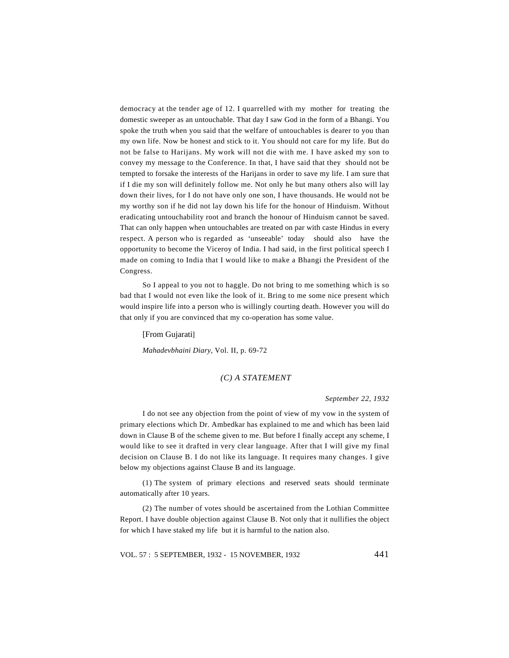democracy at the tender age of 12. I quarrelled with my mother for treating the domestic sweeper as an untouchable. That day I saw God in the form of a Bhangi. You spoke the truth when you said that the welfare of untouchables is dearer to you than my own life. Now be honest and stick to it. You should not care for my life. But do not be false to Harijans. My work will not die with me. I have asked my son to convey my message to the Conference. In that, I have said that they should not be tempted to forsake the interests of the Harijans in order to save my life. I am sure that if I die my son will definitely follow me. Not only he but many others also will lay down their lives, for I do not have only one son, I have thousands. He would not be my worthy son if he did not lay down his life for the honour of Hinduism. Without eradicating untouchability root and branch the honour of Hinduism cannot be saved. That can only happen when untouchables are treated on par with caste Hindus in every respect. A person who is regarded as 'unseeable' today should also have the opportunity to become the Viceroy of India. I had said, in the first political speech I made on coming to India that I would like to make a Bhangi the President of the Congress.

So I appeal to you not to haggle. Do not bring to me something which is so bad that I would not even like the look of it. Bring to me some nice present which would inspire life into a person who is willingly courting death. However you will do that only if you are convinced that my co-operation has some value.

[From Gujarati]

*Mahadevbhaini Diary,* Vol. II, p. 69-72

#### *(C) A STATEMENT*

#### *September 22, 1932*

I do not see any objection from the point of view of my vow in the system of primary elections which Dr. Ambedkar has explained to me and which has been laid down in Clause B of the scheme given to me. But before I finally accept any scheme, I would like to see it drafted in very clear language. After that I will give my final decision on Clause B. I do not like its language. It requires many changes. I give below my objections against Clause B and its language.

(1) The system of primary elections and reserved seats should terminate automatically after 10 years.

(2) The number of votes should be ascertained from the Lothian Committee Report. I have double objection against Clause B. Not only that it nullifies the object for which I have staked my life but it is harmful to the nation also.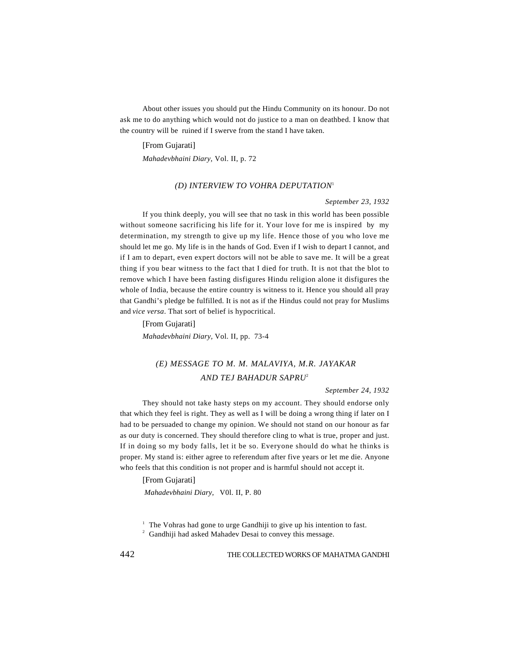About other issues you should put the Hindu Community on its honour. Do not ask me to do anything which would not do justice to a man on deathbed. I know that the country will be ruined if I swerve from the stand I have taken.

[From Gujarati] *Mahadevbhaini Diary*, Vol. II, p. 72

#### *(D) INTERVIEW TO VOHRA DEPUTATION*<sup>1</sup>

#### *September 23, 1932*

If you think deeply, you will see that no task in this world has been possible without someone sacrificing his life for it. Your love for me is inspired by my determination, my strength to give up my life. Hence those of you who love me should let me go. My life is in the hands of God. Even if I wish to depart I cannot, and if I am to depart, even expert doctors will not be able to save me. It will be a great thing if you bear witness to the fact that I died for truth. It is not that the blot to remove which I have been fasting disfigures Hindu religion alone it disfigures the whole of India, because the entire country is witness to it. Hence you should all pray that Gandhi's pledge be fulfilled. It is not as if the Hindus could not pray for Muslims and *vice versa*. That sort of belief is hypocritical.

[From Gujarati] *Mahadevbhaini Diary,* Vol. II, pp. 73-4

# *(E) MESSAGE TO M. M. MALAVIYA, M.R. JAYAKAR AND TEJ BAHADUR SAPRU*<sup>2</sup>

#### *September 24, 1932*

They should not take hasty steps on my account. They should endorse only that which they feel is right. They as well as I will be doing a wrong thing if later on I had to be persuaded to change my opinion. We should not stand on our honour as far as our duty is concerned. They should therefore cling to what is true, proper and just. If in doing so my body falls, let it be so. Everyone should do what he thinks is proper. My stand is: either agree to referendum after five years or let me die. Anyone who feels that this condition is not proper and is harmful should not accept it.

[From Gujarati]

 *Mahadevbhaini Diary,* V0l. II, P. 80

<sup>&</sup>lt;sup>1</sup> The Vohras had gone to urge Gandhiji to give up his intention to fast.

<sup>&</sup>lt;sup>2</sup> Gandhiji had asked Mahadev Desai to convey this message.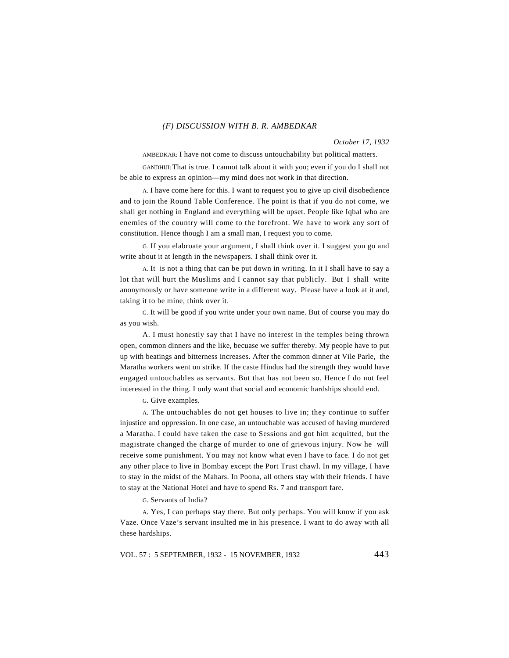#### *(F) DISCUSSION WITH B. R. AMBEDKAR*

AMBEDKAR: I have not come to discuss untouchability but political matters.

GANDHIJI: That is true. I cannot talk about it with you; even if you do I shall not be able to express an opinion—my mind does not work in that direction.

A. I have come here for this. I want to request you to give up civil disobedience and to join the Round Table Conference. The point is that if you do not come, we shall get nothing in England and everything will be upset. People like Iqbal who are enemies of the country will come to the forefront. We have to work any sort of constitution. Hence though I am a small man, I request you to come.

G. If you elabroate your argument, I shall think over it. I suggest you go and write about it at length in the newspapers. I shall think over it.

A. It is not a thing that can be put down in writing. In it I shall have to say a lot that will hurt the Muslims and I cannot say that publicly. But I shall write anonymously or have someone write in a different way. Please have a look at it and, taking it to be mine, think over it.

G. It will be good if you write under your own name. But of course you may do as you wish.

A. I must honestly say that I have no interest in the temples being thrown open, common dinners and the like, becuase we suffer thereby. My people have to put up with beatings and bitterness increases. After the common dinner at Vile Parle, the Maratha workers went on strike. If the caste Hindus had the strength they would have engaged untouchables as servants. But that has not been so. Hence I do not feel interested in the thing. I only want that social and economic hardships should end.

G. Give examples.

A. The untouchables do not get houses to live in; they continue to suffer injustice and oppression. In one case, an untouchable was accused of having murdered a Maratha. I could have taken the case to Sessions and got him acquitted, but the magistrate changed the charge of murder to one of grievous injury. Now he will receive some punishment. You may not know what even I have to face. I do not get any other place to live in Bombay except the Port Trust chawl. In my village, I have to stay in the midst of the Mahars. In Poona, all others stay with their friends. I have to stay at the National Hotel and have to spend Rs. 7 and transport fare.

G. Servants of India?

A. Yes, I can perhaps stay there. But only perhaps. You will know if you ask Vaze. Once Vaze's servant insulted me in his presence. I want to do away with all these hardships.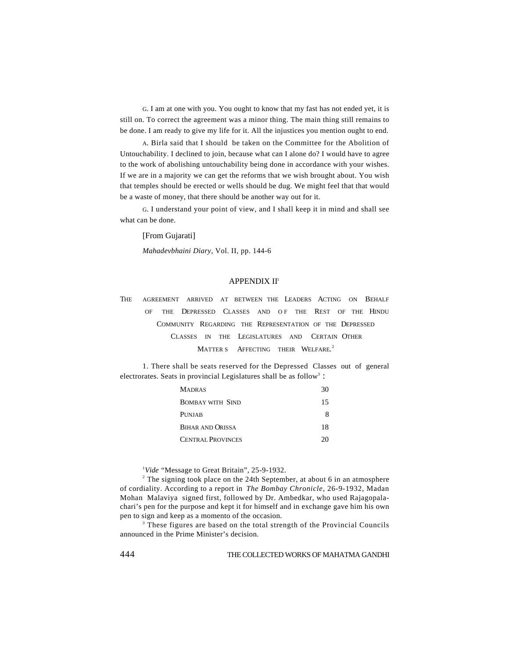G. I am at one with you. You ought to know that my fast has not ended yet, it is still on. To correct the agreement was a minor thing. The main thing still remains to be done. I am ready to give my life for it. All the injustices you mention ought to end.

A. Birla said that I should be taken on the Committee for the Abolition of Untouchability. I declined to join, because what can I alone do? I would have to agree to the work of abolishing untouchability being done in accordance with your wishes. If we are in a majority we can get the reforms that we wish brought about. You wish that temples should be erected or wells should be dug. We might feel that that would be a waste of money, that there should be another way out for it.

G. I understand your point of view, and I shall keep it in mind and shall see what can be done.

[From Gujarati] *Mahadevbhaini Diary,* Vol. II, pp. 144-6

#### APPENDIX II<sup>1</sup>

THE AGREEMENT ARRIVED AT BETWEEN THE LEADERS ACTING ON BEHALF OF THE DEPRESSED CLASSES AND OF THE REST OF THE HINDU COMMUNITY REGARDING THE REPRESENTATION OF THE DEPRESSED CLASSES IN THE LEGISLATURES AND CERTAIN OTHER MATTER S AFFECTING THEIR WELFARE.<sup>2</sup>

1. There shall be seats reserved for the Depressed Classes out of general electrorates. Seats in provincial Legislatures shall be as follow<sup>3</sup>:

| MADRAS                   | 30 |
|--------------------------|----|
| BOMBAY WITH SIND         | 15 |
| PUNJAB                   | 8  |
| BIHAR AND ORISSA         | 18 |
| <b>CENTRAL PROVINCES</b> | 20 |

<sup>1</sup>*Vide* "Message to Great Britain", 25-9-1932.

<sup>2</sup> The signing took place on the 24th September, at about 6 in an atmosphere of cordiality. According to a report in *The Bombay Chronicle*, 26-9-1932, Madan Mohan Malaviya signed first, followed by Dr. Ambedkar, who used Rajagopalachari's pen for the purpose and kept it for himself and in exchange gave him his own pen to sign and keep as a momento of the occasion.

<sup>3</sup> These figures are based on the total strength of the Provincial Councils announced in the Prime Minister's decision.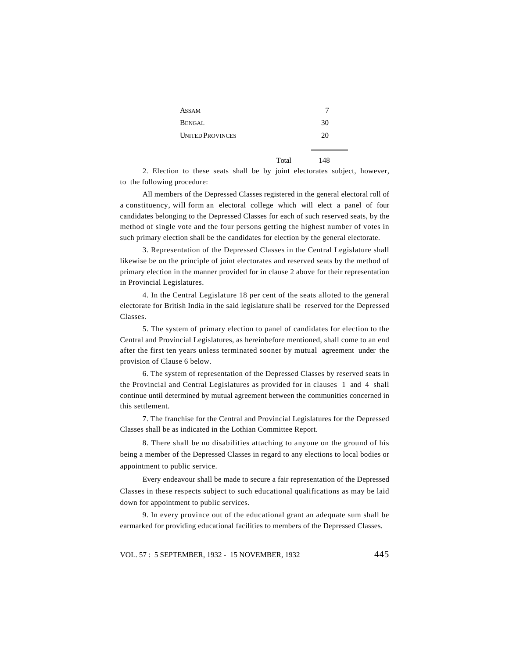| ASSAM                   |       | 7   |
|-------------------------|-------|-----|
| Bengal                  |       | 30  |
| <b>UNITED PROVINCES</b> |       | 20  |
|                         | Total | 148 |

2. Election to these seats shall be by joint electorates subject, however, to the following procedure:

All members of the Depressed Classes registered in the general electoral roll of a constituency, will form an electoral college which will elect a panel of four candidates belonging to the Depressed Classes for each of such reserved seats, by the method of single vote and the four persons getting the highest number of votes in such primary election shall be the candidates for election by the general electorate.

3. Representation of the Depressed Classes in the Central Legislature shall likewise be on the principle of joint electorates and reserved seats by the method of primary election in the manner provided for in clause 2 above for their representation in Provincial Legislatures.

4. In the Central Legislature 18 per cent of the seats alloted to the general electorate for British India in the said legislature shall be reserved for the Depressed Classes.

5. The system of primary election to panel of candidates for election to the Central and Provincial Legislatures, as hereinbefore mentioned, shall come to an end after the first ten years unless terminated sooner by mutual agreement under the provision of Clause 6 below.

6. The system of representation of the Depressed Classes by reserved seats in the Provincial and Central Legislatures as provided for in clauses 1 and 4 shall continue until determined by mutual agreement between the communities concerned in this settlement.

7. The franchise for the Central and Provincial Legislatures for the Depressed Classes shall be as indicated in the Lothian Committee Report.

8. There shall be no disabilities attaching to anyone on the ground of his being a member of the Depressed Classes in regard to any elections to local bodies or appointment to public service.

Every endeavour shall be made to secure a fair representation of the Depressed Classes in these respects subject to such educational qualifications as may be laid down for appointment to public services.

9. In every province out of the educational grant an adequate sum shall be earmarked for providing educational facilities to members of the Depressed Classes.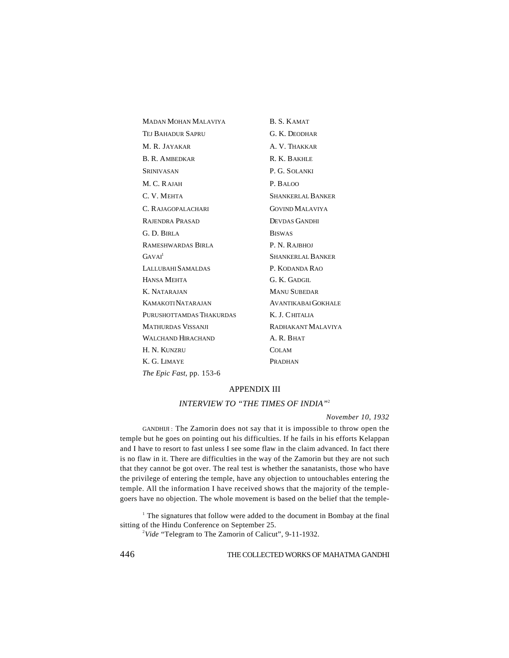| <b>MADAN MOHAN MALAVIYA</b>      | B. S. KAMAT              |
|----------------------------------|--------------------------|
| <b>TEJ BAHADUR SAPRU</b>         | G. K. DEODHAR            |
| M. R. JAYAKAR                    | A. V. THAKKAR            |
| B. R. AMBEDKAR                   | R. K. BAKHLE             |
| SRINIVASAN                       | P. G. SOLANKI            |
| M. C. RAJAH                      | P. BALOO                 |
| C. V. MEHTA                      | <b>SHANKERLAL BANKER</b> |
| C. RAJAGOPALACHARI               | <b>GOVIND MALAVIYA</b>   |
| RAJENDRA PRASAD                  | <b>DEVDAS GANDHI</b>     |
| G. D. BIRLA                      | <b>BISWAS</b>            |
| RAMESHWARDAS BIRLA               | P. N. RAJBHOJ            |
| GAVAI <sup>1</sup>               | <b>SHANKERLAL BANKER</b> |
| LALLUBAHI SAMALDAS               | P. KODANDA RAO           |
| HANSA MEHTA                      | G. K. GADGIL             |
| K. NATARAJAN                     | <b>MANU SUBEDAR</b>      |
| <b>KAMAKOTI NATARAJAN</b>        | AVANTIKABAI GOKHALE      |
| PURUSHOTTAMDAS THAKURDAS         | K. J. CHITALIA           |
| <b>MATHURDAS VISSANJI</b>        | RADHAKANT MALAVIYA       |
| <b>WALCHAND HIRACHAND</b>        | A. R. BHAT               |
| H. N. KUNZRU                     | <b>COLAM</b>             |
| K. G. LIMAYE                     | PRADHAN                  |
| <i>The Epic Fast</i> , pp. 153-6 |                          |

#### APPENDIX III

#### *INTERVIEW TO "THE TIMES OF INDIA"*<sup>2</sup>

*November 10, 1932*

GANDHIJI : The Zamorin does not say that it is impossible to throw open the temple but he goes on pointing out his difficulties. If he fails in his efforts Kelappan and I have to resort to fast unless I see some flaw in the claim advanced. In fact there is no flaw in it. There are difficulties in the way of the Zamorin but they are not such that they cannot be got over. The real test is whether the sanatanists, those who have the privilege of entering the temple, have any objection to untouchables entering the temple. All the information I have received shows that the majority of the templegoers have no objection. The whole movement is based on the belief that the temple-

<sup>1</sup> The signatures that follow were added to the document in Bombay at the final sitting of the Hindu Conference on September 25.

<sup>2</sup>*Vide* "Telegram to The Zamorin of Calicut", 9-11-1932.